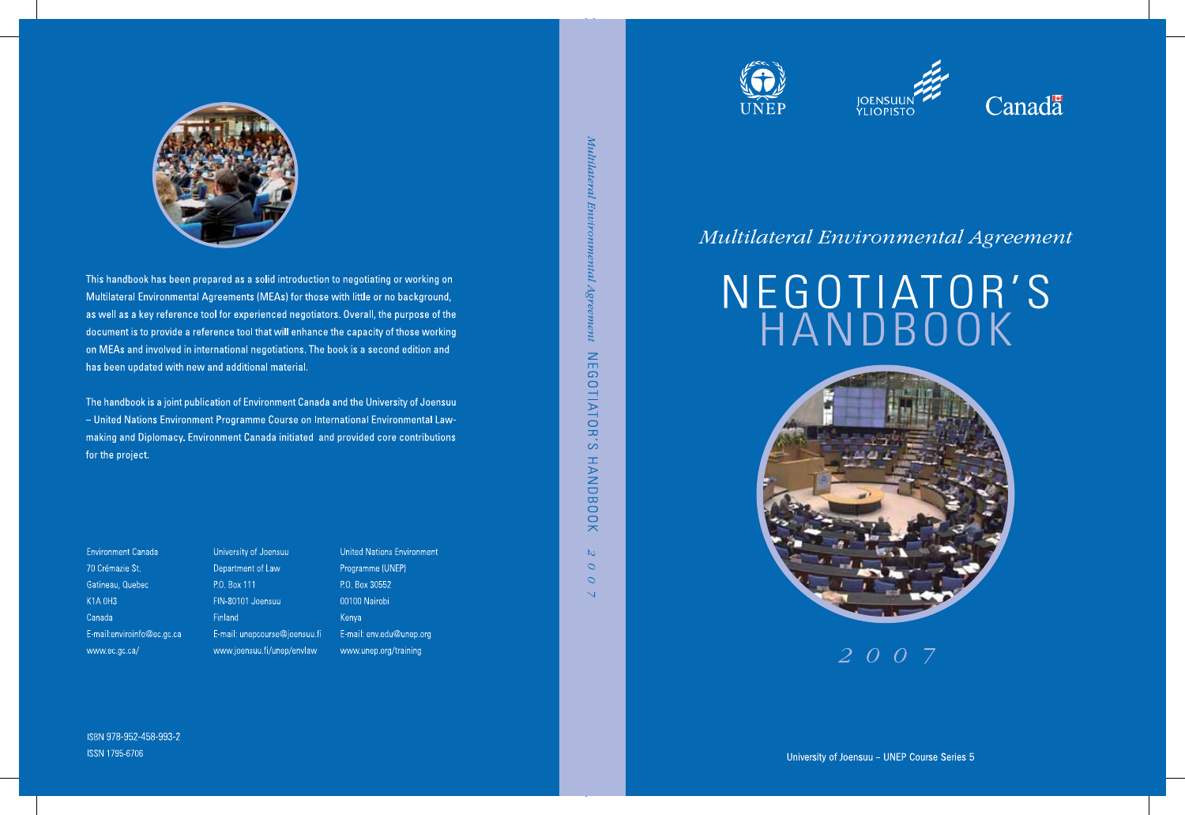

This handbook has been prepared as a solid introduction to negotiating or working on Multilateral Environmental Agreements (MEAs) for those with little or no background, as well as a key reference tool for experienced negotiators. Overall, the purpose of the document is to provide a reference tool that will enhance the capacity of those working on MEAs and involved in international negotiations. The book is a second edition and has been updated with new and additional material.

The handbook is a joint publication of Environment Canada and the University of Joensuu - United Nations Environment Programme Course on International Environmental Lawmaking and Diplomacy. Environment Canada initiated and provided core contributions for the project.

onment

p.org

| <b>Environment Canada</b>  | University of Joensuu         | <b>United Nations Envi</b> |
|----------------------------|-------------------------------|----------------------------|
| 70 Crémazie St.            | Department of Law             | Programme (UNEP)           |
| Gatineau, Quebec           | P.O. Box 111                  | P.O. Box 30552             |
| <b>K1A 0H3</b>             | FIN-80101 Joensuu             | 00100 Nairobi              |
| Canada                     | <b>Finland</b>                | Kenya                      |
| E-mail:enviroinfo@ec.gc.ca | E-mail: unepcourse@joensuu.fi | E-mail: env.edu@un         |
| www.ec.gc.ca/              | www.joensuu.fi/unep/envlaw    | www.unep.org/train         |

Agreement NEGOTIATOR'S HANDBOOK  $\mathbb{N}$  $\circ$  $\circ$  $\overline{\mathbb{R}}$ 







## Multilateral Environmental Agreement

# NEGOTIATOR'S<br>HANDBOOK



 $2007$ 

ISBN 978-952-458-993-2 ISSN 1795-6706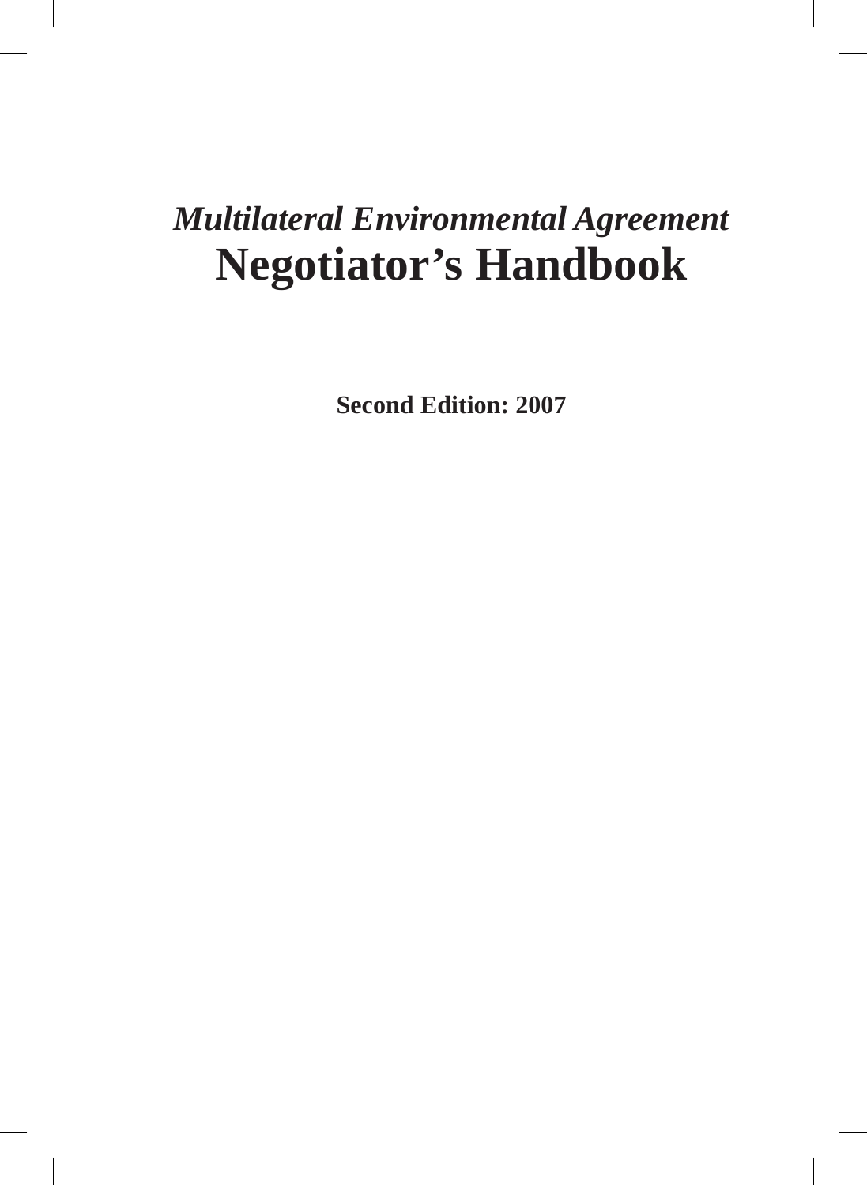# *Multilateral Environmental Agreement* **Negotiator's Handbook**

**Second Edition: 2007**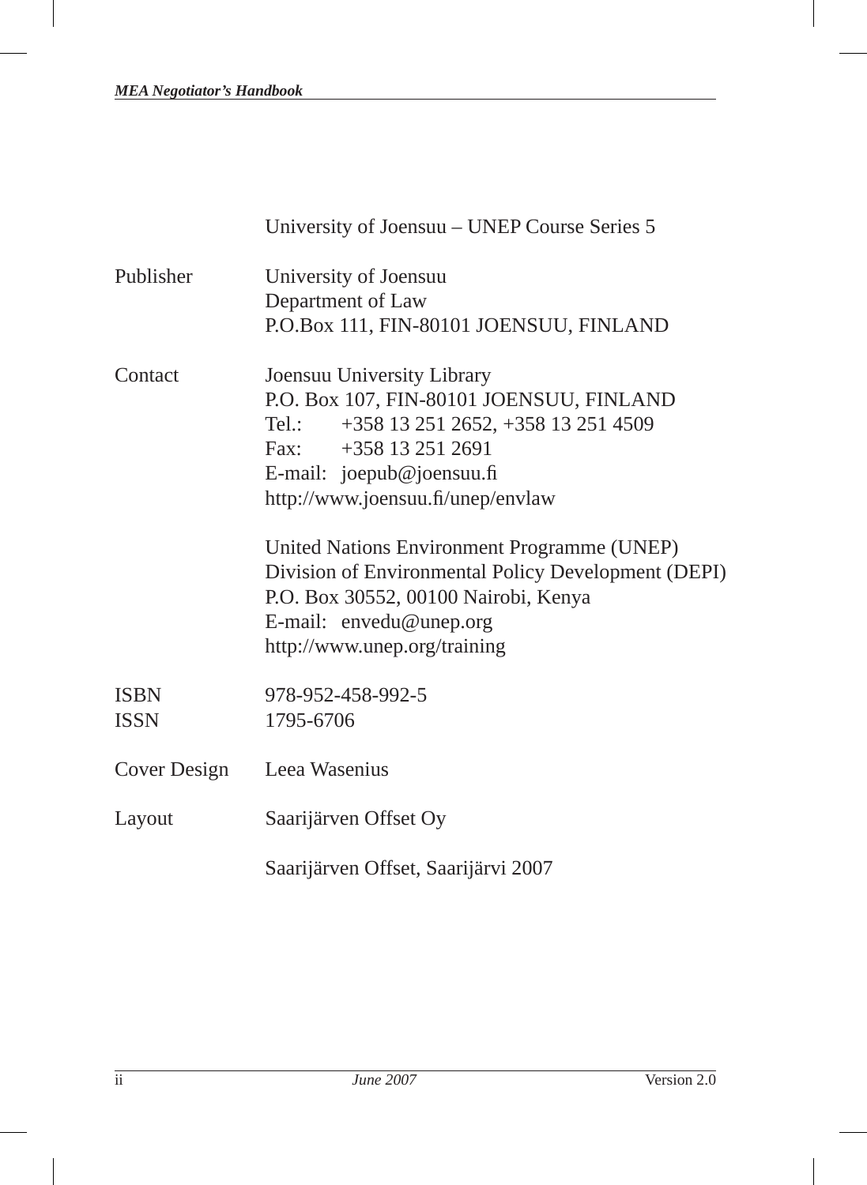|                            | University of Joensuu – UNEP Course Series 5                                                                                                                                                                                                                                                                                                                                                                             |
|----------------------------|--------------------------------------------------------------------------------------------------------------------------------------------------------------------------------------------------------------------------------------------------------------------------------------------------------------------------------------------------------------------------------------------------------------------------|
| Publisher                  | University of Joensuu<br>Department of Law<br>P.O.Box 111, FIN-80101 JOENSUU, FINLAND                                                                                                                                                                                                                                                                                                                                    |
| Contact                    | Joensuu University Library<br>P.O. Box 107, FIN-80101 JOENSUU, FINLAND<br>+358 13 251 2652, +358 13 251 4509<br>Tel.:<br>Fax: $+358132512691$<br>E-mail: joepub@joensuu.fi<br>http://www.joensuu.fi/unep/envlaw<br>United Nations Environment Programme (UNEP)<br>Division of Environmental Policy Development (DEPI)<br>P.O. Box 30552, 00100 Nairobi, Kenya<br>E-mail: envedu@unep.org<br>http://www.unep.org/training |
| <b>ISBN</b><br><b>ISSN</b> | 978-952-458-992-5<br>1795-6706                                                                                                                                                                                                                                                                                                                                                                                           |
| Cover Design               | Leea Wasenius                                                                                                                                                                                                                                                                                                                                                                                                            |
| Layout                     | Saarijärven Offset Oy                                                                                                                                                                                                                                                                                                                                                                                                    |
|                            | Saarijärven Offset, Saarijärvi 2007                                                                                                                                                                                                                                                                                                                                                                                      |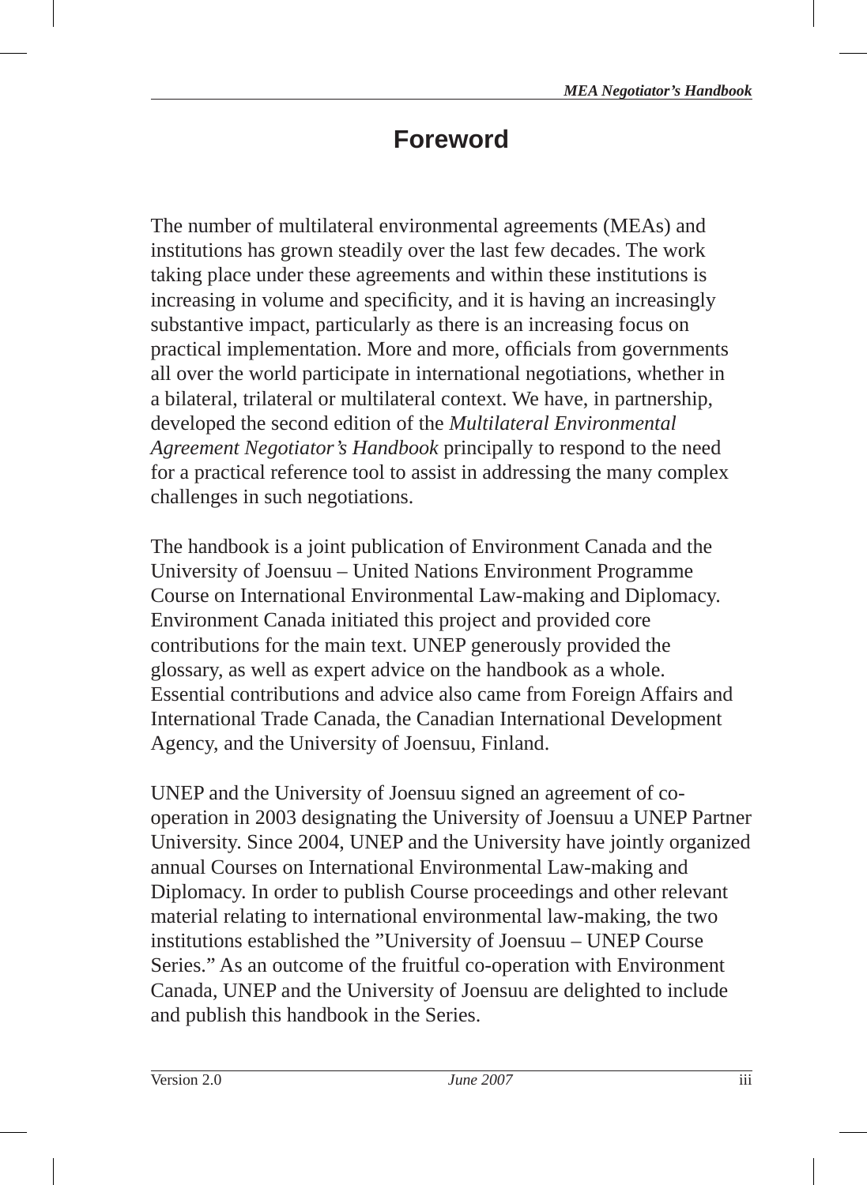# **Foreword**

The number of multilateral environmental agreements (MEAs) and institutions has grown steadily over the last few decades. The work taking place under these agreements and within these institutions is increasing in volume and specificity, and it is having an increasingly substantive impact, particularly as there is an increasing focus on practical implementation. More and more, officials from governments all over the world participate in international negotiations, whether in a bilateral, trilateral or multilateral context. We have, in partnership, developed the second edition of the *Multilateral Environmental Agreement Negotiator's Handbook* principally to respond to the need for a practical reference tool to assist in addressing the many complex challenges in such negotiations.

The handbook is a joint publication of Environment Canada and the University of Joensuu – United Nations Environment Programme Course on International Environmental Law-making and Diplomacy. Environment Canada initiated this project and provided core contributions for the main text. UNEP generously provided the glossary, as well as expert advice on the handbook as a whole. Essential contributions and advice also came from Foreign Affairs and International Trade Canada, the Canadian International Development Agency, and the University of Joensuu, Finland.

UNEP and the University of Joensuu signed an agreement of cooperation in 2003 designating the University of Joensuu a UNEP Partner University. Since 2004, UNEP and the University have jointly organized annual Courses on International Environmental Law-making and Diplomacy. In order to publish Course proceedings and other relevant material relating to international environmental law-making, the two institutions established the "University of Joensuu – UNEP Course Series." As an outcome of the fruitful co-operation with Environment Canada, UNEP and the University of Joensuu are delighted to include and publish this handbook in the Series.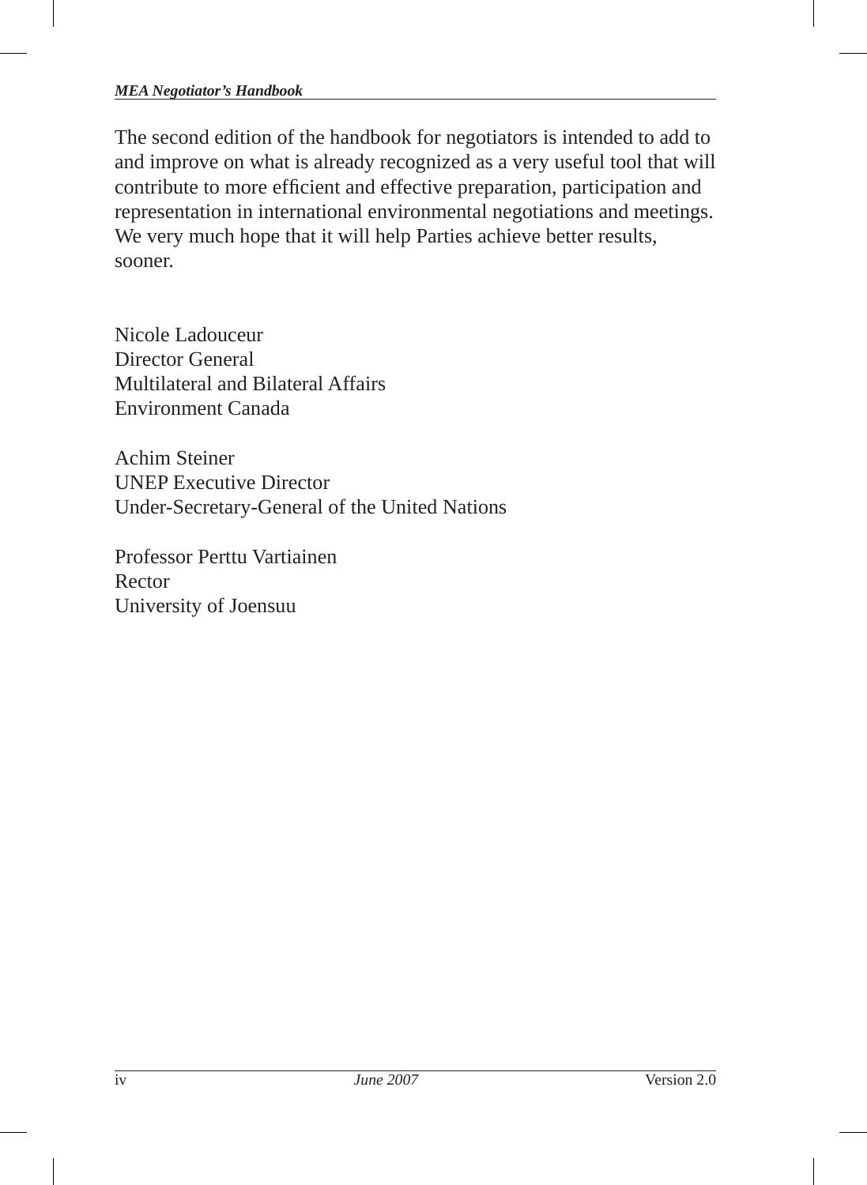#### *MEA Negotiator's Handbook*

The second edition of the handbook for negotiators is intended to add to and improve on what is already recognized as a very useful tool that will contribute to more efficient and effective preparation, participation and representation in international environmental negotiations and meetings. We very much hope that it will help Parties achieve better results, sooner.

Nicole Ladouceur Director General Multilateral and Bilateral Affairs Environment Canada

Achim Steiner UNEP Executive Director Under-Secretary-General of the United Nations

Professor Perttu Vartiainen Rector University of Joensuu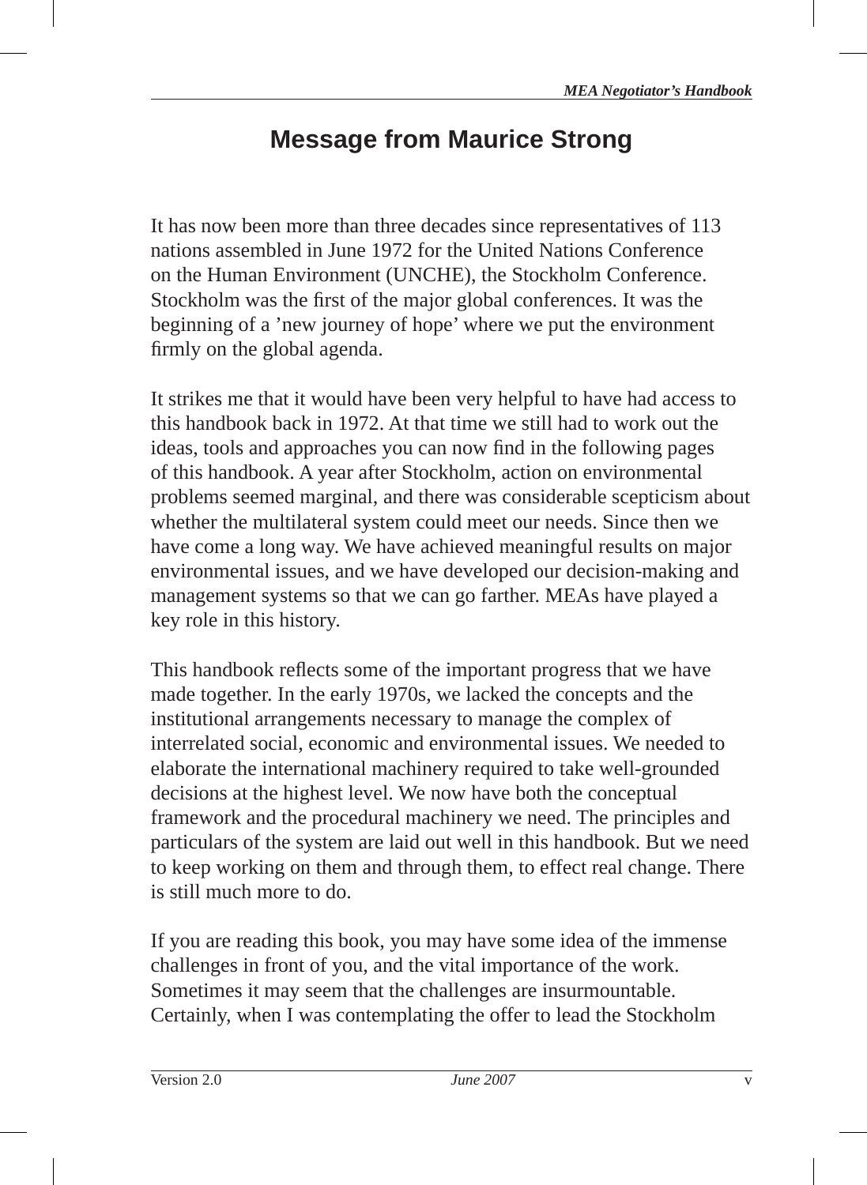# **Message from Maurice Strong**

It has now been more than three decades since representatives of 113 nations assembled in June 1972 for the United Nations Conference on the Human Environment (UNCHE), the Stockholm Conference. Stockholm was the first of the major global conferences. It was the beginning of a 'new journey of hope' where we put the environment firmly on the global agenda.

It strikes me that it would have been very helpful to have had access to this handbook back in 1972. At that time we still had to work out the ideas, tools and approaches you can now find in the following pages of this handbook. A year after Stockholm, action on environmental problems seemed marginal, and there was considerable scepticism about whether the multilateral system could meet our needs. Since then we have come a long way. We have achieved meaningful results on major environmental issues, and we have developed our decision-making and management systems so that we can go farther. MEAs have played a key role in this history.

This handbook reflects some of the important progress that we have made together. In the early 1970s, we lacked the concepts and the institutional arrangements necessary to manage the complex of interrelated social, economic and environmental issues. We needed to elaborate the international machinery required to take well-grounded decisions at the highest level. We now have both the conceptual framework and the procedural machinery we need. The principles and particulars of the system are laid out well in this handbook. But we need to keep working on them and through them, to effect real change. There is still much more to do.

If you are reading this book, you may have some idea of the immense challenges in front of you, and the vital importance of the work. Sometimes it may seem that the challenges are insurmountable. Certainly, when I was contemplating the offer to lead the Stockholm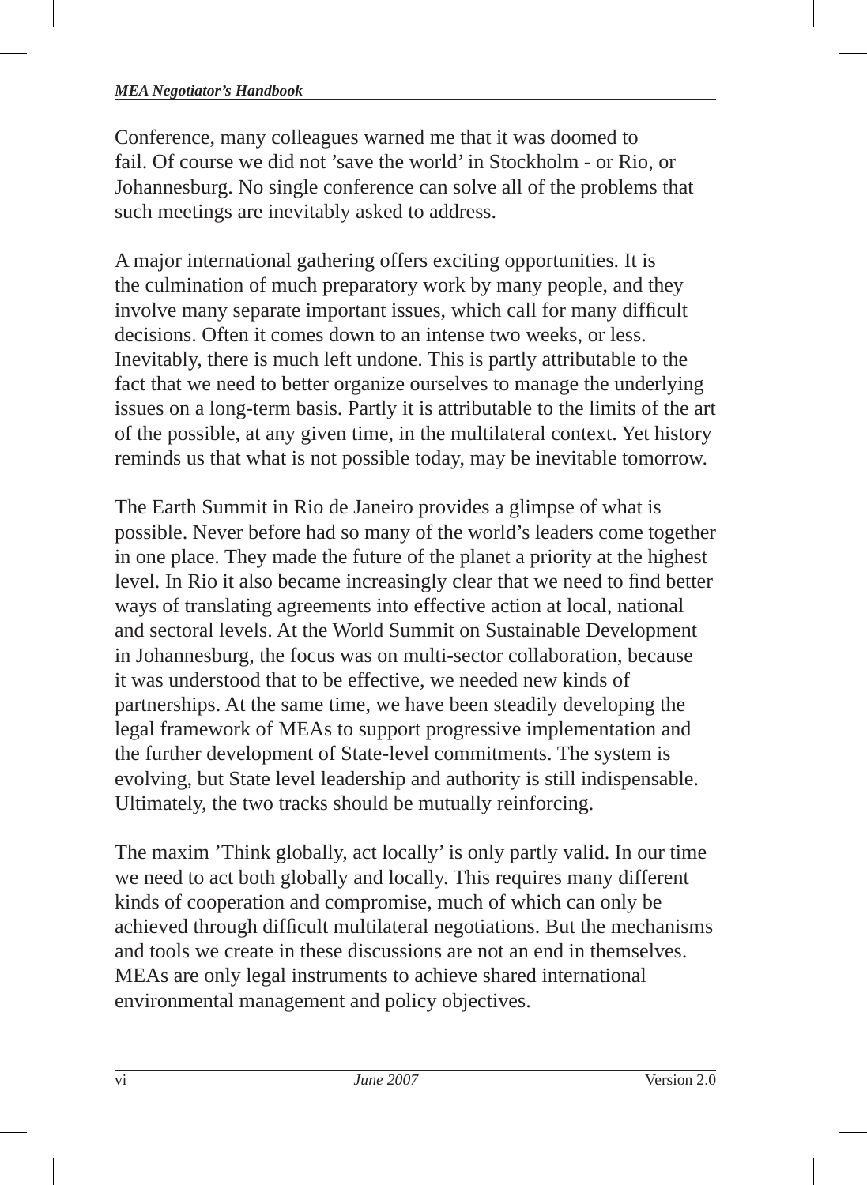#### *MEA Negotiator's Handbook*

Conference, many colleagues warned me that it was doomed to fail. Of course we did not 'save the world' in Stockholm - or Rio, or Johannesburg. No single conference can solve all of the problems that such meetings are inevitably asked to address.

A major international gathering offers exciting opportunities. It is the culmination of much preparatory work by many people, and they involve many separate important issues, which call for many difficult decisions. Often it comes down to an intense two weeks, or less. Inevitably, there is much left undone. This is partly attributable to the fact that we need to better organize ourselves to manage the underlying issues on a long-term basis. Partly it is attributable to the limits of the art of the possible, at any given time, in the multilateral context. Yet history reminds us that what is not possible today, may be inevitable tomorrow.

The Earth Summit in Rio de Janeiro provides a glimpse of what is possible. Never before had so many of the world's leaders come together in one place. They made the future of the planet a priority at the highest level. In Rio it also became increasingly clear that we need to find better ways of translating agreements into effective action at local, national and sectoral levels. At the World Summit on Sustainable Development in Johannesburg, the focus was on multi-sector collaboration, because it was understood that to be effective, we needed new kinds of partnerships. At the same time, we have been steadily developing the legal framework of MEAs to support progressive implementation and the further development of State-level commitments. The system is evolving, but State level leadership and authority is still indispensable. Ultimately, the two tracks should be mutually reinforcing.

The maxim 'Think globally, act locally' is only partly valid. In our time we need to act both globally and locally. This requires many different kinds of cooperation and compromise, much of which can only be achieved through difficult multilateral negotiations. But the mechanisms and tools we create in these discussions are not an end in themselves. MEAs are only legal instruments to achieve shared international environmental management and policy objectives.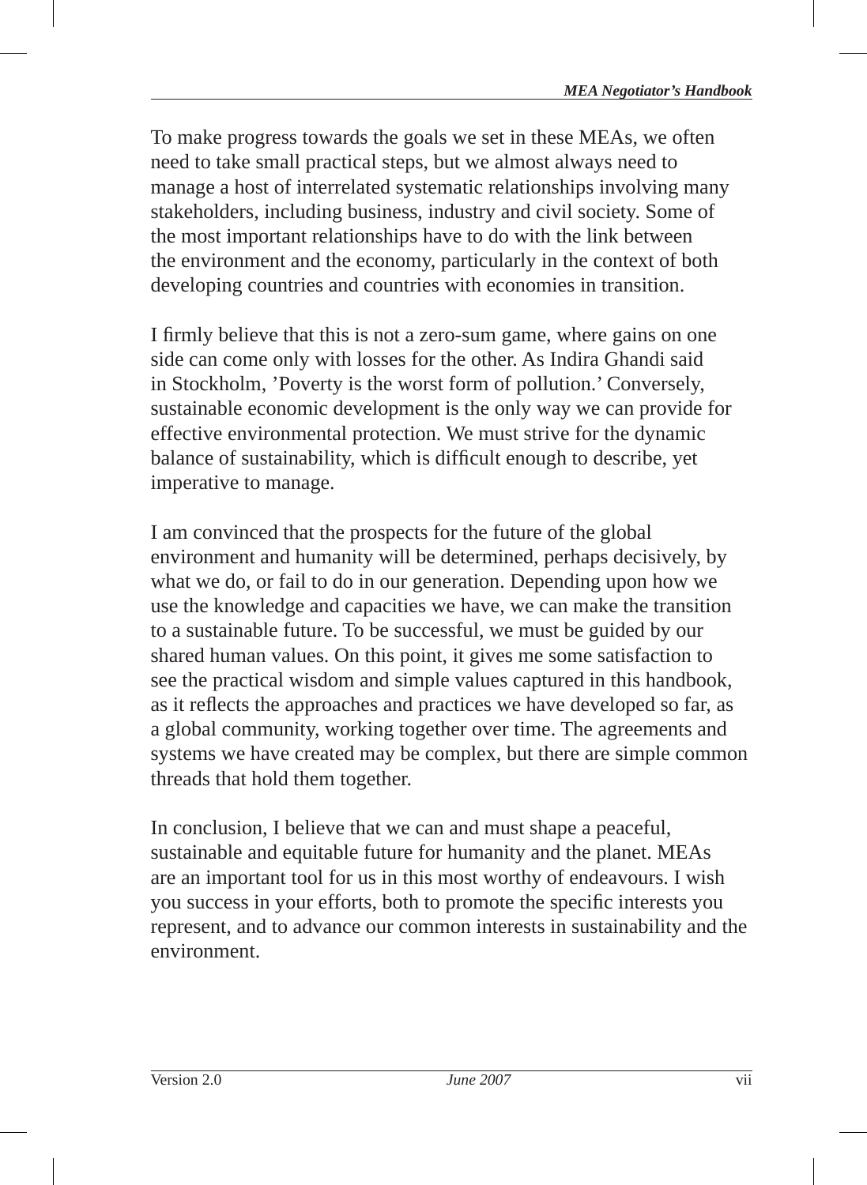To make progress towards the goals we set in these MEAs, we often need to take small practical steps, but we almost always need to manage a host of interrelated systematic relationships involving many stakeholders, including business, industry and civil society. Some of the most important relationships have to do with the link between the environment and the economy, particularly in the context of both developing countries and countries with economies in transition.

I firmly believe that this is not a zero-sum game, where gains on one side can come only with losses for the other. As Indira Ghandi said in Stockholm, 'Poverty is the worst form of pollution.' Conversely, sustainable economic development is the only way we can provide for effective environmental protection. We must strive for the dynamic balance of sustainability, which is difficult enough to describe, yet imperative to manage.

I am convinced that the prospects for the future of the global environment and humanity will be determined, perhaps decisively, by what we do, or fail to do in our generation. Depending upon how we use the knowledge and capacities we have, we can make the transition to a sustainable future. To be successful, we must be guided by our shared human values. On this point, it gives me some satisfaction to see the practical wisdom and simple values captured in this handbook, as it reflects the approaches and practices we have developed so far, as a global community, working together over time. The agreements and systems we have created may be complex, but there are simple common threads that hold them together.

In conclusion, I believe that we can and must shape a peaceful, sustainable and equitable future for humanity and the planet. MEAs are an important tool for us in this most worthy of endeavours. I wish you success in your efforts, both to promote the specific interests you represent, and to advance our common interests in sustainability and the environment.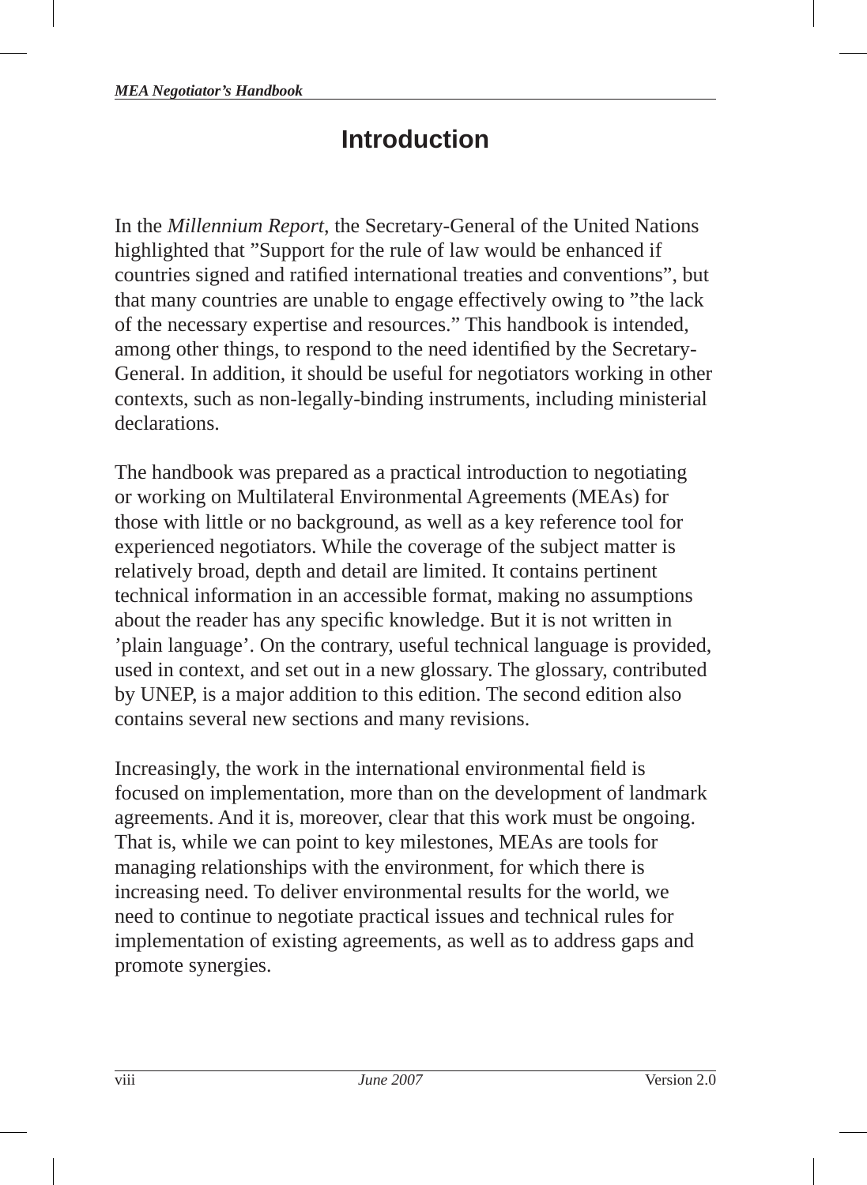# **Introduction**

In the *Millennium Report*, the Secretary-General of the United Nations highlighted that "Support for the rule of law would be enhanced if countries signed and ratified international treaties and conventions", but that many countries are unable to engage effectively owing to "the lack of the necessary expertise and resources." This handbook is intended, among other things, to respond to the need identified by the Secretary-General. In addition, it should be useful for negotiators working in other contexts, such as non-legally-binding instruments, including ministerial declarations.

The handbook was prepared as a practical introduction to negotiating or working on Multilateral Environmental Agreements (MEAs) for those with little or no background, as well as a key reference tool for experienced negotiators. While the coverage of the subject matter is relatively broad, depth and detail are limited. It contains pertinent technical information in an accessible format, making no assumptions about the reader has any specific knowledge. But it is not written in 'plain language'. On the contrary, useful technical language is provided, used in context, and set out in a new glossary. The glossary, contributed by UNEP, is a major addition to this edition. The second edition also contains several new sections and many revisions.

Increasingly, the work in the international environmental field is focused on implementation, more than on the development of landmark agreements. And it is, moreover, clear that this work must be ongoing. That is, while we can point to key milestones, MEAs are tools for managing relationships with the environment, for which there is increasing need. To deliver environmental results for the world, we need to continue to negotiate practical issues and technical rules for implementation of existing agreements, as well as to address gaps and promote synergies.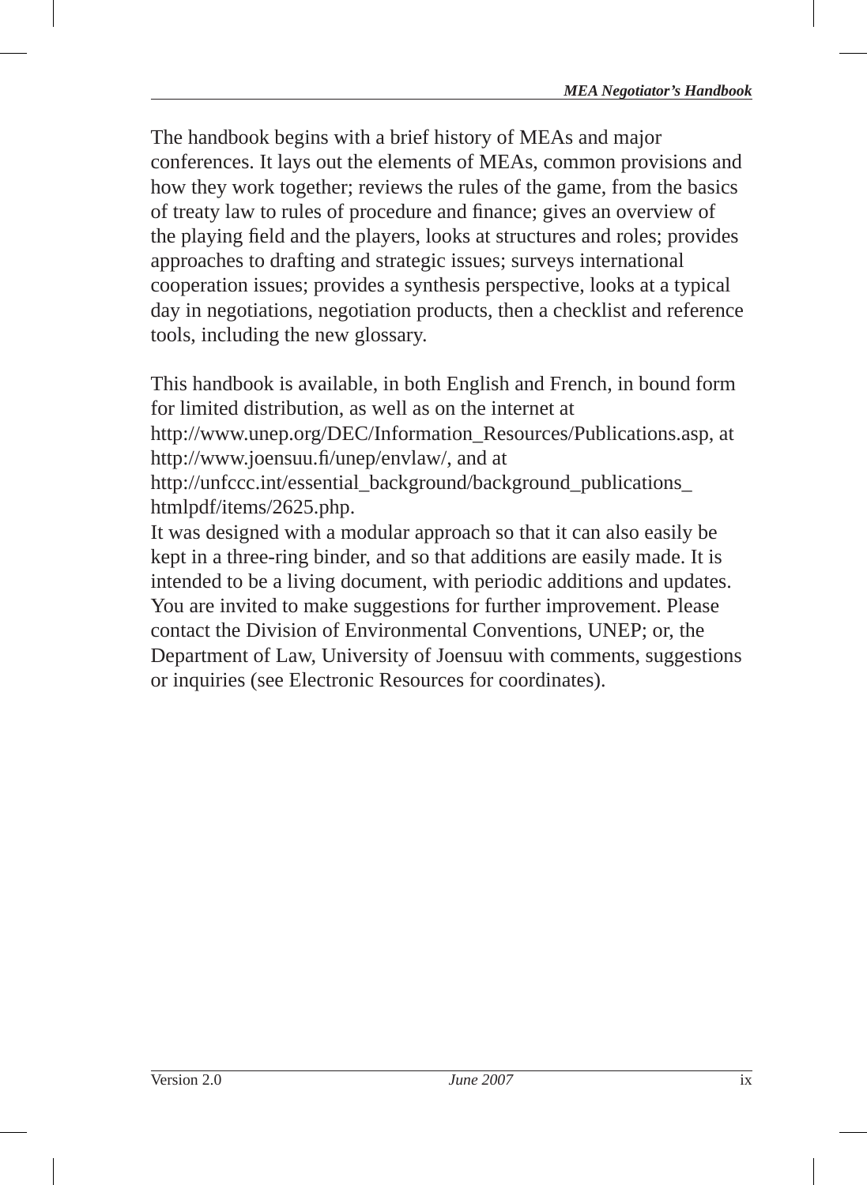The handbook begins with a brief history of MEAs and major conferences. It lays out the elements of MEAs, common provisions and how they work together; reviews the rules of the game, from the basics of treaty law to rules of procedure and finance; gives an overview of the playing field and the players, looks at structures and roles; provides approaches to drafting and strategic issues; surveys international cooperation issues; provides a synthesis perspective, looks at a typical day in negotiations, negotiation products, then a checklist and reference tools, including the new glossary.

This handbook is available, in both English and French, in bound form for limited distribution, as well as on the internet at

http://www.unep.org/DEC/Information\_Resources/Publications.asp, at http://www.joensuu.fi/unep/envlaw/, and at

http://unfccc.int/essential\_background/background\_publications htmlpdf/items/2625.php.

It was designed with a modular approach so that it can also easily be kept in a three-ring binder, and so that additions are easily made. It is intended to be a living document, with periodic additions and updates. You are invited to make suggestions for further improvement. Please contact the Division of Environmental Conventions, UNEP; or, the Department of Law, University of Joensuu with comments, suggestions or inquiries (see Electronic Resources for coordinates).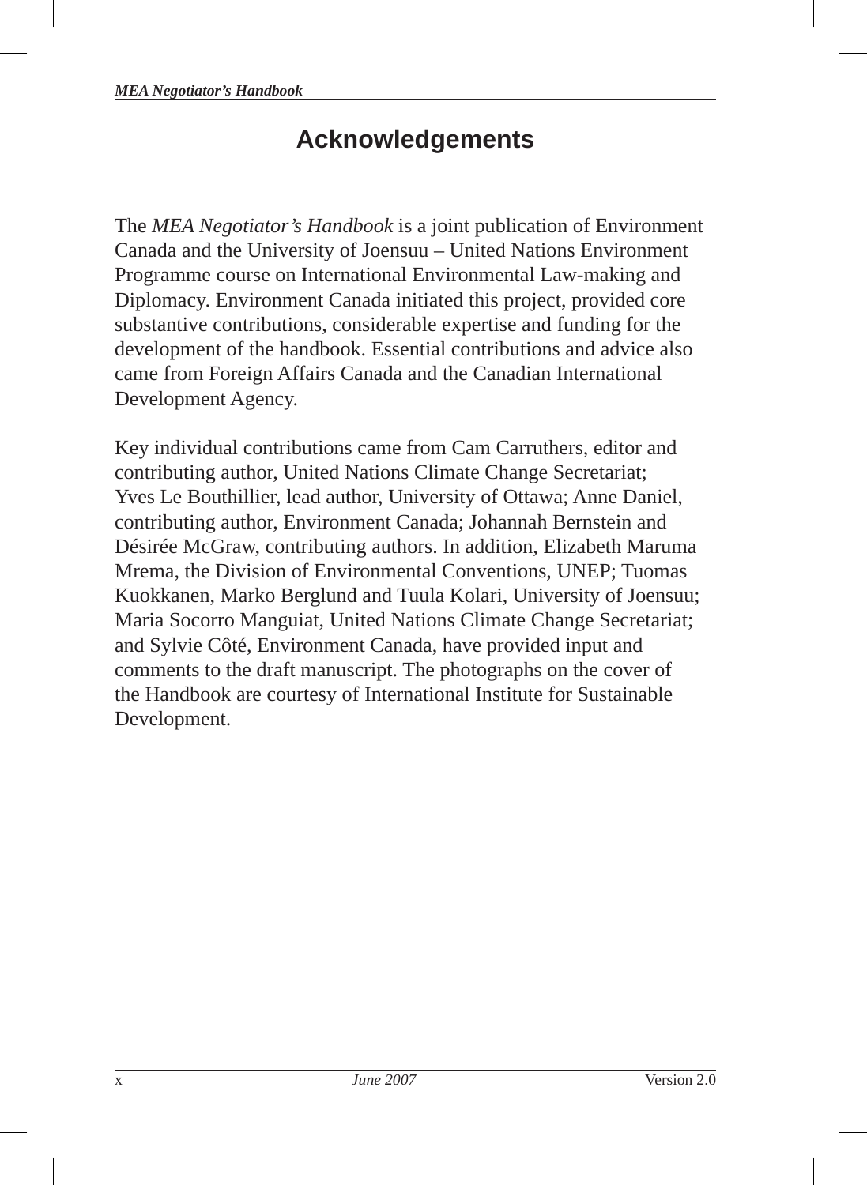# **Acknowledgements**

The *MEA Negotiator's Handbook* is a joint publication of Environment Canada and the University of Joensuu – United Nations Environment Programme course on International Environmental Law-making and Diplomacy. Environment Canada initiated this project, provided core substantive contributions, considerable expertise and funding for the development of the handbook. Essential contributions and advice also came from Foreign Affairs Canada and the Canadian International Development Agency.

Key individual contributions came from Cam Carruthers, editor and contributing author, United Nations Climate Change Secretariat; Yves Le Bouthillier, lead author, University of Ottawa; Anne Daniel, contributing author, Environment Canada; Johannah Bernstein and Désirée McGraw, contributing authors. In addition, Elizabeth Maruma Mrema, the Division of Environmental Conventions, UNEP; Tuomas Kuokkanen, Marko Berglund and Tuula Kolari, University of Joensuu; Maria Socorro Manguiat, United Nations Climate Change Secretariat; and Sylvie Côté, Environment Canada, have provided input and comments to the draft manuscript. The photographs on the cover of the Handbook are courtesy of International Institute for Sustainable Development.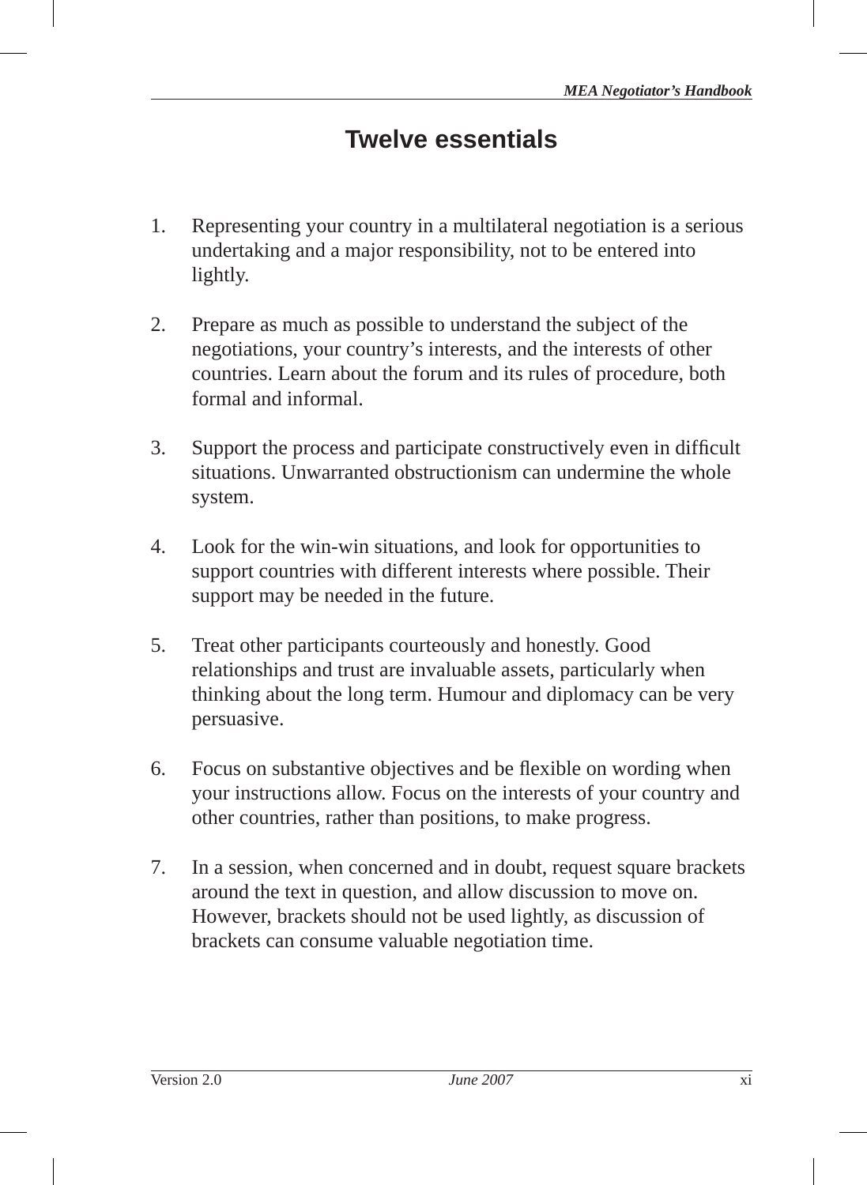# **Twelve essentials**

- 1. Representing your country in a multilateral negotiation is a serious undertaking and a major responsibility, not to be entered into lightly.
- 2. Prepare as much as possible to understand the subject of the negotiations, your country's interests, and the interests of other countries. Learn about the forum and its rules of procedure, both formal and informal.
- 3. Support the process and participate constructively even in difficult situations. Unwarranted obstructionism can undermine the whole system.
- 4. Look for the win-win situations, and look for opportunities to support countries with different interests where possible. Their support may be needed in the future.
- 5. Treat other participants courteously and honestly. Good relationships and trust are invaluable assets, particularly when thinking about the long term. Humour and diplomacy can be very persuasive.
- 6. Focus on substantive objectives and be flexible on wording when your instructions allow. Focus on the interests of your country and other countries, rather than positions, to make progress.
- 7. In a session, when concerned and in doubt, request square brackets around the text in question, and allow discussion to move on . However, brackets should not be used lightly, as discussion of brackets can consume valuable negotiation time.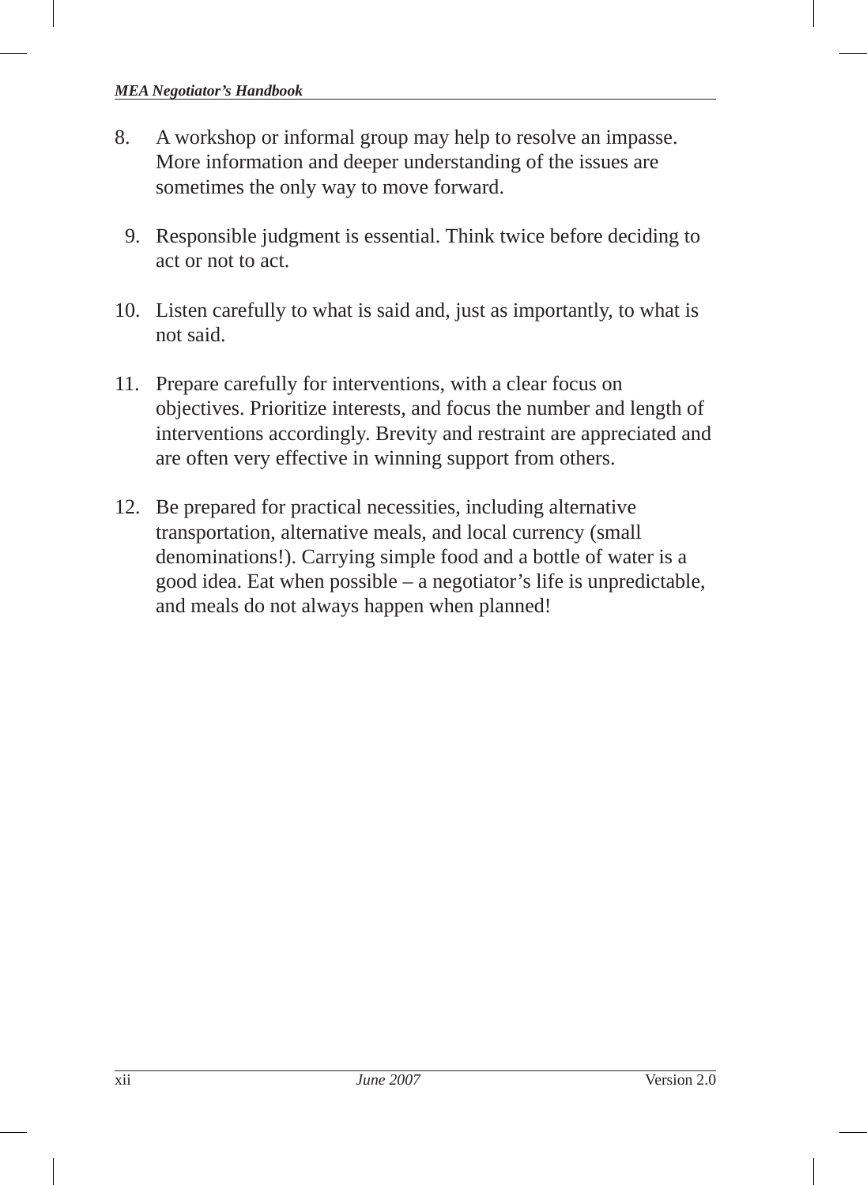- 8. A workshop or informal group may help to resolve an impasse. More information and deeper understanding of the issues are sometimes the only way to move forward.
	- 9. Responsible judgment is essential. Think twice before deciding to act or not to act.
- 10. Listen carefully to what is said and, just as importantly, to what is not said.
- 11. Prepare carefully for interventions, with a clear focus on objectives. Prioritize interests, and focus the number and length of interventions accordingly. Brevity and restraint are appreciated and are often very effective in winning support from others.
- 12. Be prepared for practical necessities, including alternative transportation, alternative meals, and local currency (small denominations!). Carrying simple food and a bottle of water is a good idea. Eat when possible – a negotiator's life is unpredictable, and meals do not always happen when planned!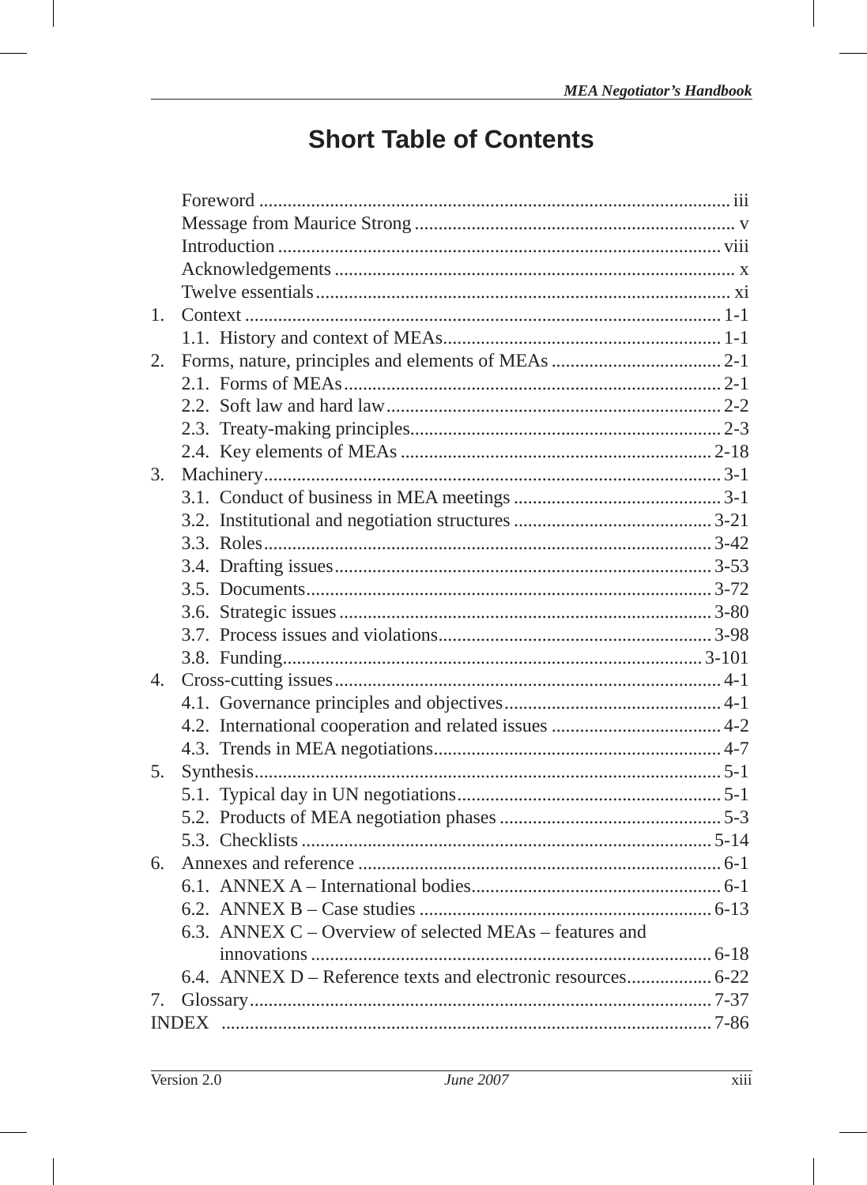# **Short Table of Contents**

| 1.          |  |                                                         |  |  |  |
|-------------|--|---------------------------------------------------------|--|--|--|
|             |  |                                                         |  |  |  |
| 2.          |  |                                                         |  |  |  |
|             |  |                                                         |  |  |  |
|             |  |                                                         |  |  |  |
|             |  |                                                         |  |  |  |
|             |  |                                                         |  |  |  |
| 3.          |  |                                                         |  |  |  |
|             |  |                                                         |  |  |  |
|             |  |                                                         |  |  |  |
|             |  |                                                         |  |  |  |
|             |  |                                                         |  |  |  |
|             |  |                                                         |  |  |  |
|             |  |                                                         |  |  |  |
|             |  |                                                         |  |  |  |
|             |  |                                                         |  |  |  |
| $4_{\cdot}$ |  |                                                         |  |  |  |
|             |  |                                                         |  |  |  |
|             |  |                                                         |  |  |  |
|             |  |                                                         |  |  |  |
| 5.          |  |                                                         |  |  |  |
|             |  |                                                         |  |  |  |
|             |  |                                                         |  |  |  |
|             |  |                                                         |  |  |  |
| 6.          |  |                                                         |  |  |  |
|             |  |                                                         |  |  |  |
|             |  |                                                         |  |  |  |
|             |  | 6.3. ANNEX C – Overview of selected MEAs – features and |  |  |  |
|             |  |                                                         |  |  |  |
|             |  |                                                         |  |  |  |
|             |  |                                                         |  |  |  |
|             |  |                                                         |  |  |  |
|             |  |                                                         |  |  |  |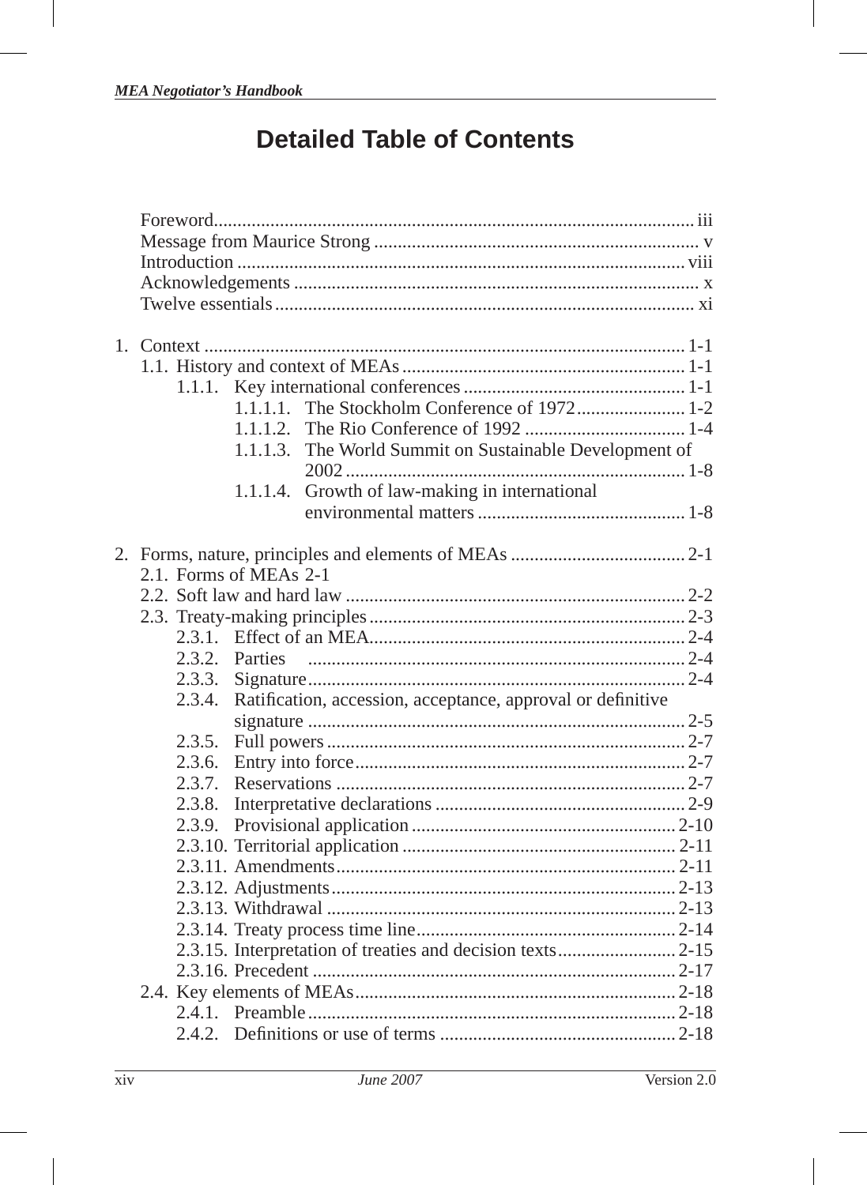# **Detailed Table of Contents**

| $1_{\cdot}$                                                           |  |        |                        |                                                |  |
|-----------------------------------------------------------------------|--|--------|------------------------|------------------------------------------------|--|
|                                                                       |  |        |                        |                                                |  |
|                                                                       |  |        |                        |                                                |  |
|                                                                       |  |        |                        |                                                |  |
|                                                                       |  |        | 1.1.1.2.               |                                                |  |
|                                                                       |  |        | 1.1.1.3.               | The World Summit on Sustainable Development of |  |
|                                                                       |  |        |                        |                                                |  |
|                                                                       |  |        |                        |                                                |  |
|                                                                       |  |        | 1.1.1.4.               | Growth of law-making in international          |  |
|                                                                       |  |        |                        |                                                |  |
|                                                                       |  |        |                        |                                                |  |
|                                                                       |  |        | 2.1. Forms of MEAs 2-1 |                                                |  |
|                                                                       |  |        |                        |                                                |  |
|                                                                       |  |        |                        |                                                |  |
|                                                                       |  |        |                        |                                                |  |
|                                                                       |  |        |                        |                                                |  |
|                                                                       |  |        |                        |                                                |  |
|                                                                       |  |        |                        |                                                |  |
| Ratification, accession, acceptance, approval or definitive<br>2.3.4. |  |        |                        |                                                |  |
|                                                                       |  |        |                        |                                                |  |
|                                                                       |  | 2.3.5. |                        |                                                |  |
|                                                                       |  | 2.3.6. |                        |                                                |  |
|                                                                       |  | 2.3.7. |                        |                                                |  |
|                                                                       |  | 2.3.8. |                        |                                                |  |
|                                                                       |  | 2.3.9. |                        |                                                |  |
|                                                                       |  |        |                        |                                                |  |
|                                                                       |  |        |                        |                                                |  |
|                                                                       |  |        |                        |                                                |  |
|                                                                       |  |        |                        |                                                |  |
|                                                                       |  |        |                        |                                                |  |
|                                                                       |  |        |                        |                                                |  |
|                                                                       |  |        |                        |                                                |  |
|                                                                       |  |        |                        |                                                |  |
|                                                                       |  |        |                        |                                                |  |
|                                                                       |  |        |                        |                                                |  |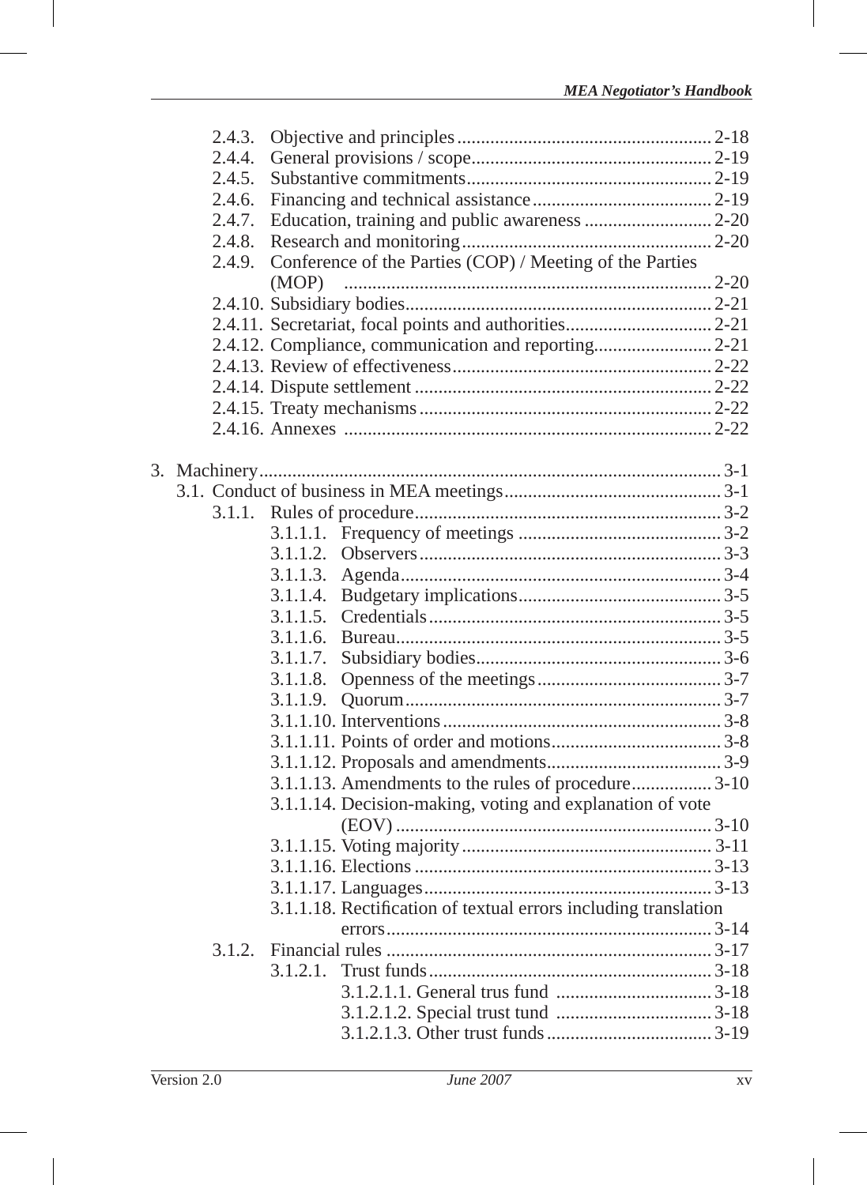| 2.4.3. |          |                                                                 |  |
|--------|----------|-----------------------------------------------------------------|--|
| 2.4.4. |          |                                                                 |  |
| 2.4.5. |          |                                                                 |  |
| 2.4.6. |          |                                                                 |  |
| 2.4.7. |          |                                                                 |  |
| 2.4.8. |          |                                                                 |  |
| 2.4.9. |          | Conference of the Parties (COP) / Meeting of the Parties        |  |
|        |          |                                                                 |  |
|        |          |                                                                 |  |
|        |          |                                                                 |  |
|        |          | 2.4.12. Compliance, communication and reporting 2-21            |  |
|        |          |                                                                 |  |
|        |          |                                                                 |  |
|        |          |                                                                 |  |
|        |          |                                                                 |  |
|        |          |                                                                 |  |
|        |          |                                                                 |  |
|        |          |                                                                 |  |
| 3.1.1. |          |                                                                 |  |
|        |          |                                                                 |  |
|        | 3.1.1.2. |                                                                 |  |
|        | 3.1.1.3. |                                                                 |  |
|        | 3.1.1.4. |                                                                 |  |
|        | 3.1.1.5. |                                                                 |  |
|        | 3.1.1.6. |                                                                 |  |
|        | 3.1.1.7. |                                                                 |  |
|        | 3.1.1.8. |                                                                 |  |
|        | 3.1.1.9. |                                                                 |  |
|        |          |                                                                 |  |
|        |          |                                                                 |  |
|        |          |                                                                 |  |
|        |          | 3.1.1.13. Amendments to the rules of procedure 3-10             |  |
|        |          | 3.1.1.14. Decision-making, voting and explanation of vote       |  |
|        |          |                                                                 |  |
|        |          |                                                                 |  |
|        |          |                                                                 |  |
|        |          |                                                                 |  |
|        |          | 3.1.1.18. Rectification of textual errors including translation |  |
|        |          |                                                                 |  |
| 3.1.2. |          |                                                                 |  |
|        |          |                                                                 |  |
|        |          |                                                                 |  |
|        |          |                                                                 |  |
|        |          |                                                                 |  |
|        |          |                                                                 |  |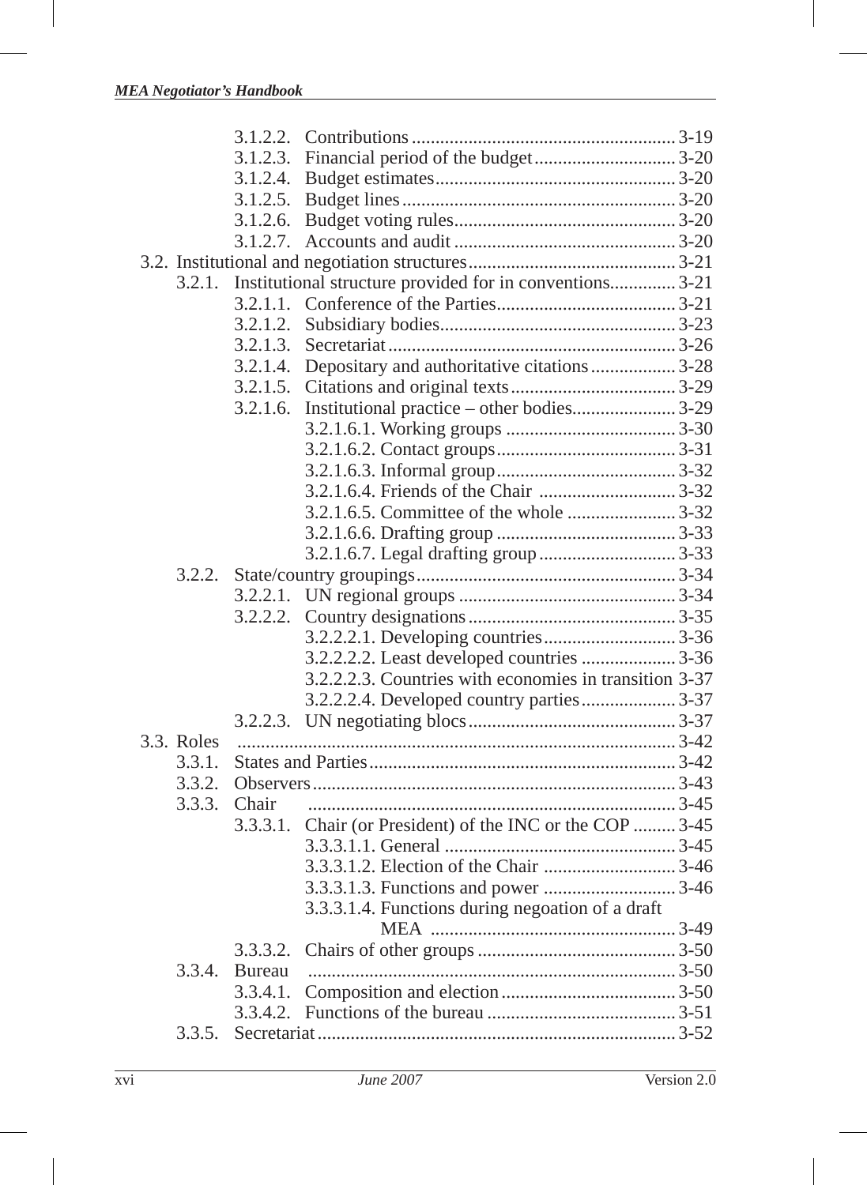|            | 3.1.2.2. |                                                          |  |
|------------|----------|----------------------------------------------------------|--|
|            | 3.1.2.3. |                                                          |  |
|            | 3.1.2.4. |                                                          |  |
|            | 3.1.2.5. |                                                          |  |
|            | 3.1.2.6. |                                                          |  |
|            | 3.1.2.7. |                                                          |  |
|            |          |                                                          |  |
| 3.2.1.     |          | Institutional structure provided for in conventions 3-21 |  |
|            | 3.2.1.1. |                                                          |  |
|            | 3.2.1.2. |                                                          |  |
|            | 3.2.1.3. |                                                          |  |
|            | 3.2.1.4. | Depositary and authoritative citations  3-28             |  |
|            | 3.2.1.5. |                                                          |  |
|            | 3.2.1.6. |                                                          |  |
|            |          |                                                          |  |
|            |          |                                                          |  |
|            |          |                                                          |  |
|            |          |                                                          |  |
|            |          |                                                          |  |
|            |          |                                                          |  |
|            |          |                                                          |  |
|            |          |                                                          |  |
|            | 3.2.2.1. |                                                          |  |
|            | 3.2.2.2. |                                                          |  |
|            |          |                                                          |  |
|            |          | 3.2.2.2.2. Least developed countries  3-36               |  |
|            |          | 3.2.2.2.3. Countries with economies in transition 3-37   |  |
|            |          | 3.2.2.2.4. Developed country parties 3-37                |  |
|            |          |                                                          |  |
| 3.3. Roles |          |                                                          |  |
| 3.3.1.     |          |                                                          |  |
| 3.3.2.     |          |                                                          |  |
| 3.3.3.     | Chair    |                                                          |  |
|            | 3.3.3.1. | Chair (or President) of the INC or the COP  3-45         |  |
|            |          |                                                          |  |
|            |          |                                                          |  |
|            |          |                                                          |  |
|            |          | 3.3.3.1.4. Functions during negoation of a draft         |  |
|            |          |                                                          |  |
|            | 3.3.3.2. |                                                          |  |
| 3.3.4.     | Bureau   |                                                          |  |
|            | 3.3.4.1. |                                                          |  |
|            | 3.3.4.2. |                                                          |  |
| 3.3.5.     |          |                                                          |  |
|            |          |                                                          |  |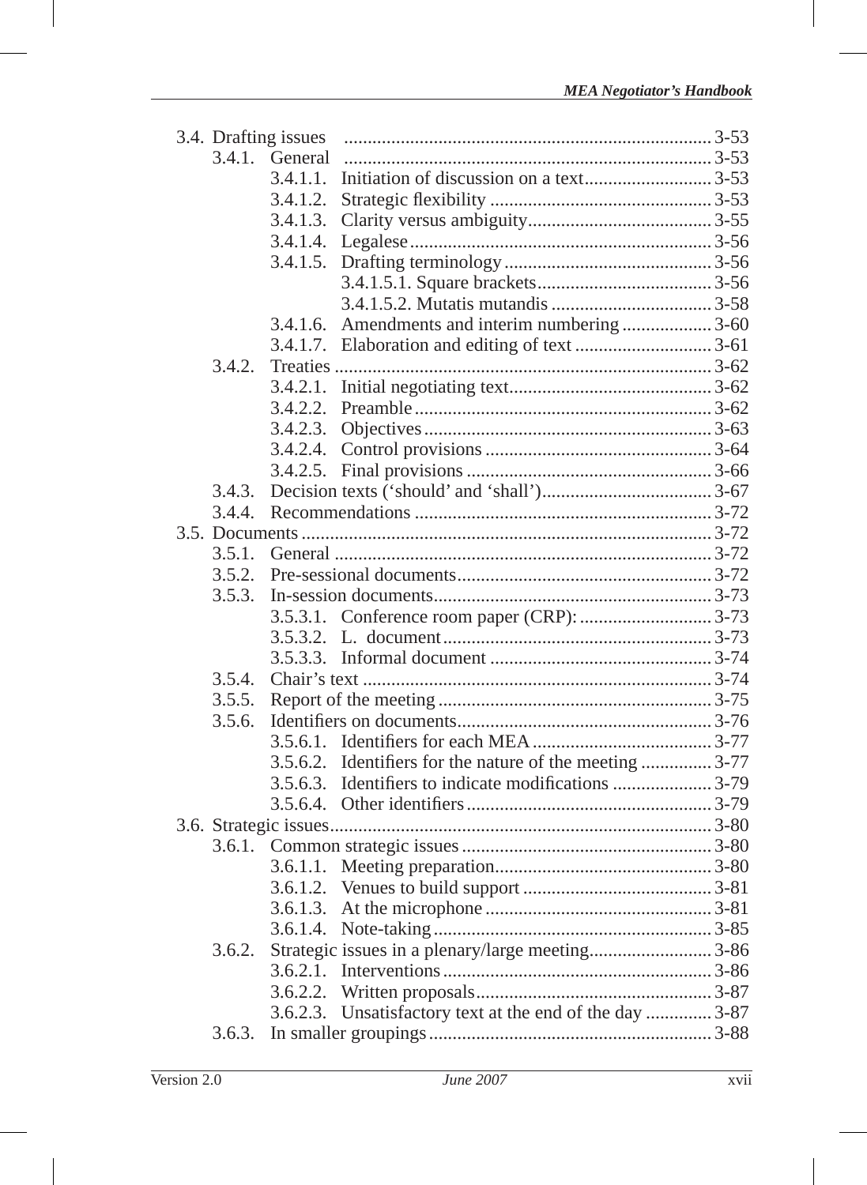|        | 3.4. Drafting issues |                                                          |  |
|--------|----------------------|----------------------------------------------------------|--|
|        | 3.4.1. General       |                                                          |  |
|        | 3.4.1.1.             |                                                          |  |
|        | 3.4.1.2.             |                                                          |  |
|        | 3.4.1.3.             |                                                          |  |
|        | 3.4.1.4.             |                                                          |  |
|        | 3.4.1.5.             |                                                          |  |
|        |                      |                                                          |  |
|        |                      |                                                          |  |
|        | 3.4.1.6.             | Amendments and interim numbering  3-60                   |  |
|        |                      |                                                          |  |
| 3.4.2. |                      |                                                          |  |
|        | 3.4.2.1.             |                                                          |  |
|        | 3.4.2.2.             |                                                          |  |
|        | 3.4.2.3.             |                                                          |  |
|        | 3.4.2.4.             |                                                          |  |
|        | 3.4.2.5.             |                                                          |  |
| 3.4.3. |                      |                                                          |  |
| 3.4.4. |                      |                                                          |  |
|        |                      |                                                          |  |
| 3.5.1. |                      |                                                          |  |
| 3.5.2. |                      |                                                          |  |
| 3.5.3. |                      |                                                          |  |
|        |                      |                                                          |  |
|        |                      |                                                          |  |
|        | 3.5.3.3.             |                                                          |  |
| 3.5.4. |                      |                                                          |  |
|        |                      |                                                          |  |
| 3.5.6. |                      |                                                          |  |
|        |                      |                                                          |  |
|        |                      | 3.5.6.2. Identifiers for the nature of the meeting  3-77 |  |
|        |                      |                                                          |  |
|        | 3.5.6.4.             |                                                          |  |
|        |                      |                                                          |  |
|        |                      |                                                          |  |
|        | 3.6.1.1.             |                                                          |  |
|        |                      |                                                          |  |
|        | 3.6.1.3.             |                                                          |  |
|        | 3.6.1.4.             |                                                          |  |
| 3.6.2. |                      |                                                          |  |
|        |                      |                                                          |  |
|        |                      |                                                          |  |
|        |                      | 3.6.2.3. Unsatisfactory text at the end of the day  3-87 |  |
| 3.6.3. |                      |                                                          |  |
|        |                      |                                                          |  |

I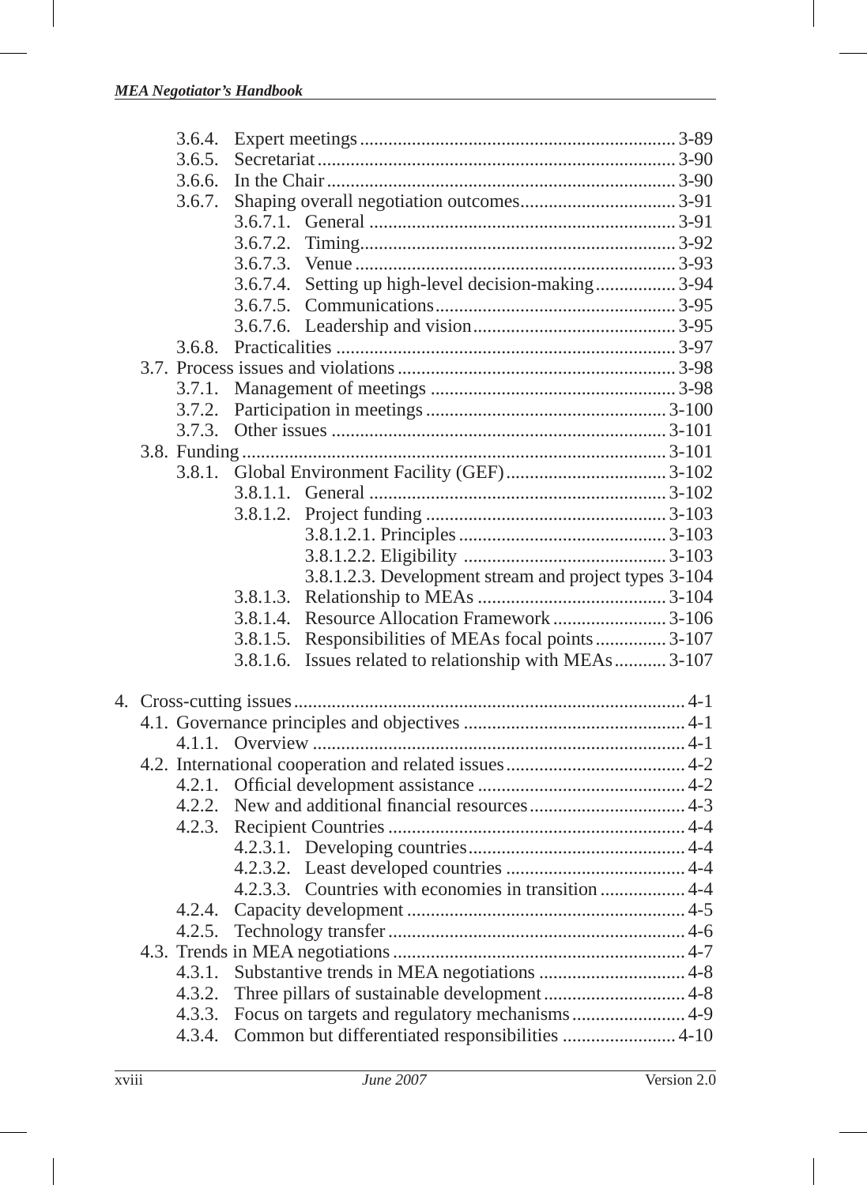|  | 3.6.4.    |          |                                                       |  |
|--|-----------|----------|-------------------------------------------------------|--|
|  | 3.6.5.    |          |                                                       |  |
|  | 3.6.6.    |          |                                                       |  |
|  | 3.6.7.    |          |                                                       |  |
|  |           |          |                                                       |  |
|  |           | 3.6.7.2. |                                                       |  |
|  |           | 3.6.7.3. |                                                       |  |
|  |           |          | 3.6.7.4. Setting up high-level decision-making3-94    |  |
|  |           |          |                                                       |  |
|  |           |          |                                                       |  |
|  | 3.6.8.    |          |                                                       |  |
|  |           |          |                                                       |  |
|  | 3.7.1.    |          |                                                       |  |
|  | 3.7.2.    |          |                                                       |  |
|  | 3.7.3.    |          |                                                       |  |
|  |           |          |                                                       |  |
|  | 3.8.1.    |          |                                                       |  |
|  |           |          |                                                       |  |
|  |           | 3.8.1.2. |                                                       |  |
|  |           |          |                                                       |  |
|  |           |          |                                                       |  |
|  |           |          |                                                       |  |
|  |           |          | 3.8.1.2.3. Development stream and project types 3-104 |  |
|  |           | 3.8.1.3. |                                                       |  |
|  |           | 3.8.1.4. |                                                       |  |
|  |           | 3.8.1.5. | Responsibilities of MEAs focal points  3-107          |  |
|  |           | 3.8.1.6. | Issues related to relationship with MEAs 3-107        |  |
|  |           |          |                                                       |  |
|  |           |          |                                                       |  |
|  | $4.1.1$ . |          |                                                       |  |
|  |           |          |                                                       |  |
|  | 4.2.1.    |          |                                                       |  |
|  | 4.2.2.    |          |                                                       |  |
|  | 4.2.3.    |          |                                                       |  |
|  |           |          |                                                       |  |
|  |           |          |                                                       |  |
|  |           |          |                                                       |  |
|  | 4.2.4.    |          |                                                       |  |
|  | 4.2.5.    |          |                                                       |  |
|  |           |          |                                                       |  |
|  | 4.3.1.    |          |                                                       |  |
|  | 4.3.2.    |          |                                                       |  |
|  | 4.3.3.    |          |                                                       |  |
|  | 4.3.4.    |          | Common but differentiated responsibilities  4-10      |  |
|  |           |          |                                                       |  |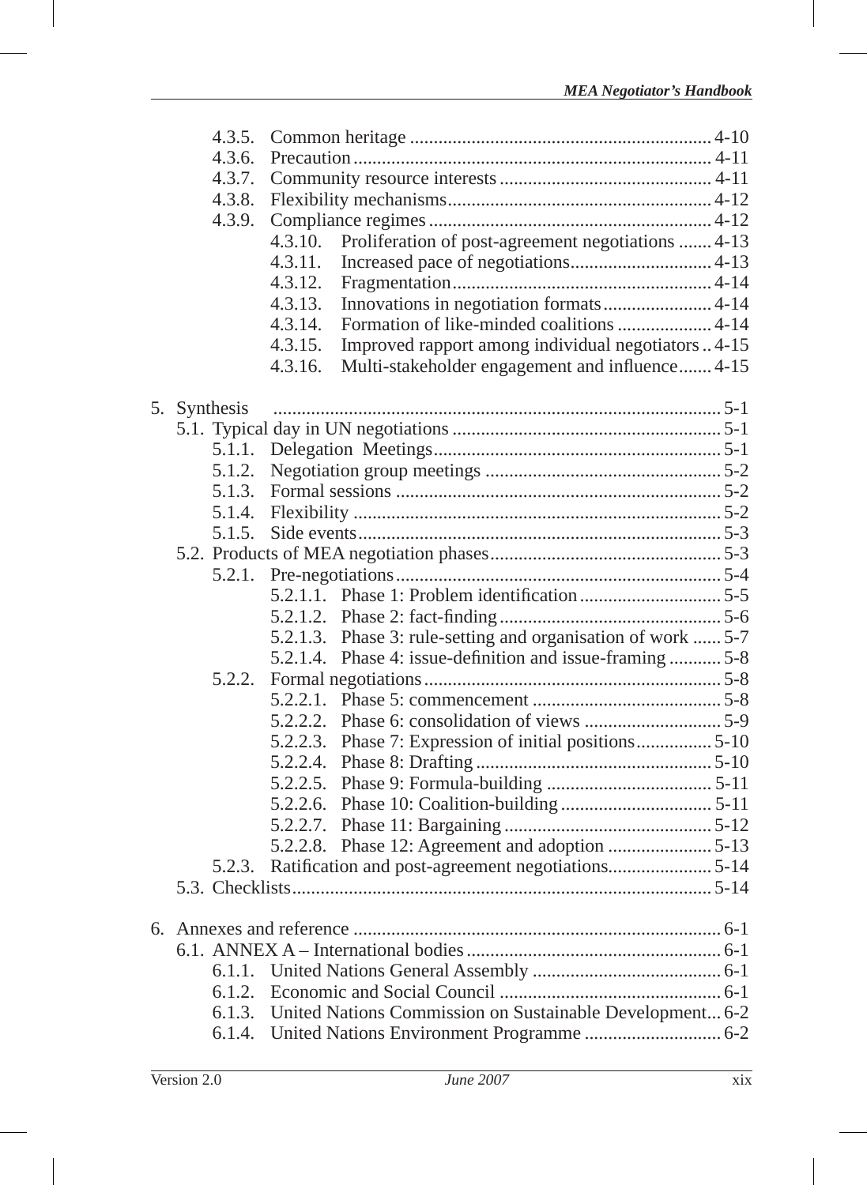|    | 4.3.5.       |          |                                                                 |  |
|----|--------------|----------|-----------------------------------------------------------------|--|
|    | 4.3.6.       |          |                                                                 |  |
|    | 4.3.7.       |          |                                                                 |  |
|    | 4.3.8.       |          |                                                                 |  |
|    | 4.3.9.       |          |                                                                 |  |
|    |              | 4.3.10.  | Proliferation of post-agreement negotiations  4-13              |  |
|    |              | 4.3.11.  |                                                                 |  |
|    |              | 4.3.12.  |                                                                 |  |
|    |              | 4.3.13.  |                                                                 |  |
|    |              | 4.3.14.  | Formation of like-minded coalitions  4-14                       |  |
|    |              | 4.3.15.  | Improved rapport among individual negotiators  4-15             |  |
|    |              | 4.3.16.  | Multi-stakeholder engagement and influence 4-15                 |  |
|    | 5. Synthesis |          |                                                                 |  |
|    |              |          |                                                                 |  |
|    |              |          |                                                                 |  |
|    | 5.1.2.       |          |                                                                 |  |
|    | 5.1.3.       |          |                                                                 |  |
|    | 5.1.4.       |          |                                                                 |  |
|    | 5.1.5.       |          |                                                                 |  |
|    |              |          |                                                                 |  |
|    | 5.2.1.       |          |                                                                 |  |
|    |              |          |                                                                 |  |
|    |              |          |                                                                 |  |
|    |              | 5.2.1.3. | Phase 3: rule-setting and organisation of work  5-7             |  |
|    |              |          | 5.2.1.4. Phase 4: issue-definition and issue-framing  5-8       |  |
|    | 5.2.2.       |          |                                                                 |  |
|    |              | 5.2.2.1. |                                                                 |  |
|    |              |          |                                                                 |  |
|    |              |          | 5.2.2.3. Phase 7: Expression of initial positions 5-10          |  |
|    |              |          |                                                                 |  |
|    |              |          |                                                                 |  |
|    |              |          |                                                                 |  |
|    |              | 5.2.2.7. |                                                                 |  |
|    |              |          |                                                                 |  |
|    | 5.2.3.       |          |                                                                 |  |
|    |              |          |                                                                 |  |
| б. |              |          |                                                                 |  |
|    |              |          |                                                                 |  |
|    | 6.1.1.       |          |                                                                 |  |
|    | 6.1.2.       |          |                                                                 |  |
|    |              |          | 6.1.3. United Nations Commission on Sustainable Development 6-2 |  |
|    |              |          |                                                                 |  |
|    |              |          |                                                                 |  |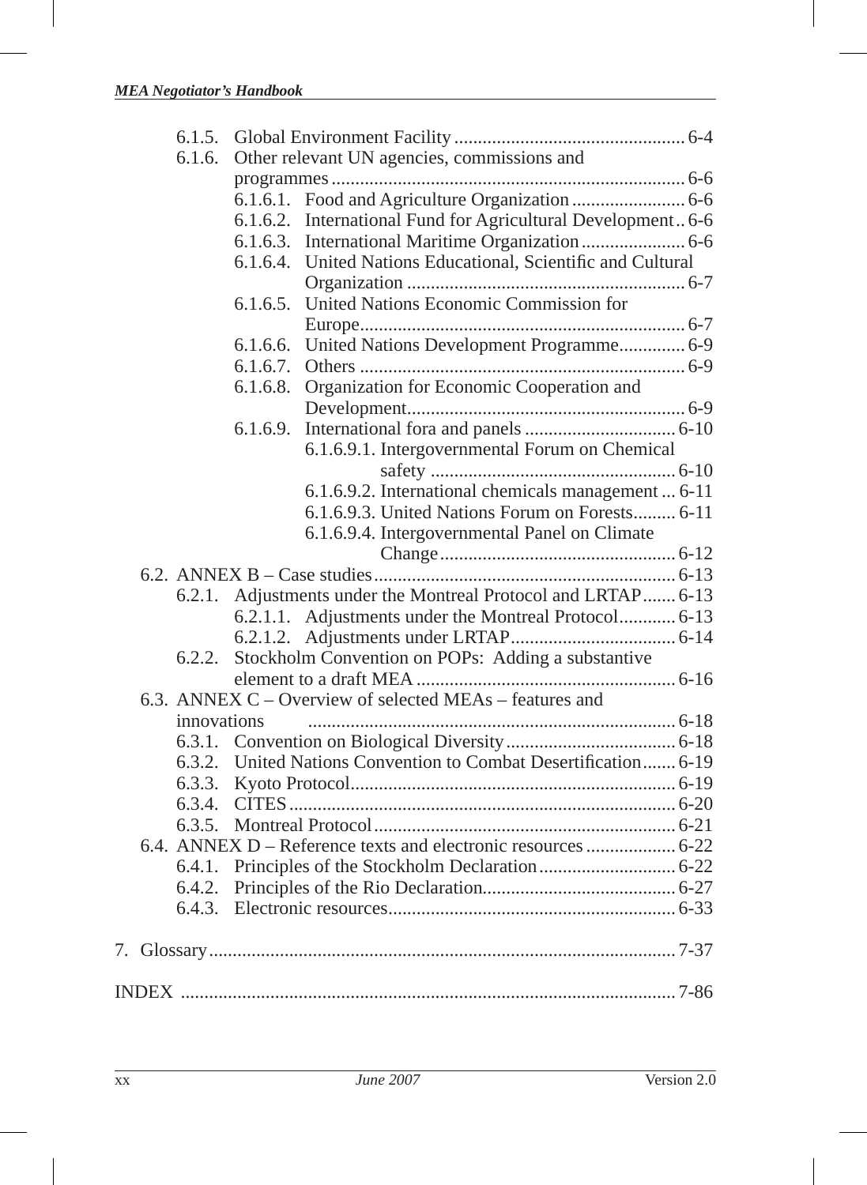|  | 6.1.6.      | Other relevant UN agencies, commissions and |                                                                 |  |
|--|-------------|---------------------------------------------|-----------------------------------------------------------------|--|
|  |             |                                             |                                                                 |  |
|  |             |                                             |                                                                 |  |
|  |             | 6.1.6.2.                                    | International Fund for Agricultural Development 6-6             |  |
|  |             | 6.1.6.3.                                    |                                                                 |  |
|  |             | 6.1.6.4.                                    | United Nations Educational, Scientific and Cultural             |  |
|  |             |                                             |                                                                 |  |
|  |             | 6.1.6.5.                                    | United Nations Economic Commission for                          |  |
|  |             |                                             |                                                                 |  |
|  |             | 6.1.6.6.                                    | United Nations Development Programme 6-9                        |  |
|  |             | 6.1.6.7.                                    |                                                                 |  |
|  |             | 6.1.6.8.                                    | Organization for Economic Cooperation and                       |  |
|  |             |                                             |                                                                 |  |
|  |             | 6.1.6.9.                                    |                                                                 |  |
|  |             |                                             | 6.1.6.9.1. Intergovernmental Forum on Chemical                  |  |
|  |             |                                             |                                                                 |  |
|  |             |                                             | 6.1.6.9.2. International chemicals management  6-11             |  |
|  |             |                                             | 6.1.6.9.3. United Nations Forum on Forests 6-11                 |  |
|  |             |                                             | 6.1.6.9.4. Intergovernmental Panel on Climate                   |  |
|  |             |                                             |                                                                 |  |
|  |             |                                             |                                                                 |  |
|  | 6.2.1.      |                                             | Adjustments under the Montreal Protocol and LRTAP 6-13          |  |
|  |             |                                             | 6.2.1.1. Adjustments under the Montreal Protocol 6-13           |  |
|  |             |                                             |                                                                 |  |
|  | 6.2.2.      |                                             | Stockholm Convention on POPs: Adding a substantive              |  |
|  |             |                                             |                                                                 |  |
|  |             |                                             | 6.3. ANNEX C – Overview of selected MEAs – features and         |  |
|  | innovations |                                             |                                                                 |  |
|  |             |                                             |                                                                 |  |
|  |             |                                             | 6.3.2. United Nations Convention to Combat Desertification 6-19 |  |
|  | 6.3.3.      |                                             |                                                                 |  |
|  |             |                                             |                                                                 |  |
|  |             |                                             |                                                                 |  |
|  |             |                                             |                                                                 |  |
|  | 6.4.1.      |                                             |                                                                 |  |
|  | 6.4.2.      |                                             |                                                                 |  |
|  | 6.4.3.      |                                             |                                                                 |  |
|  |             |                                             |                                                                 |  |
|  |             |                                             |                                                                 |  |
|  |             |                                             |                                                                 |  |
|  |             |                                             |                                                                 |  |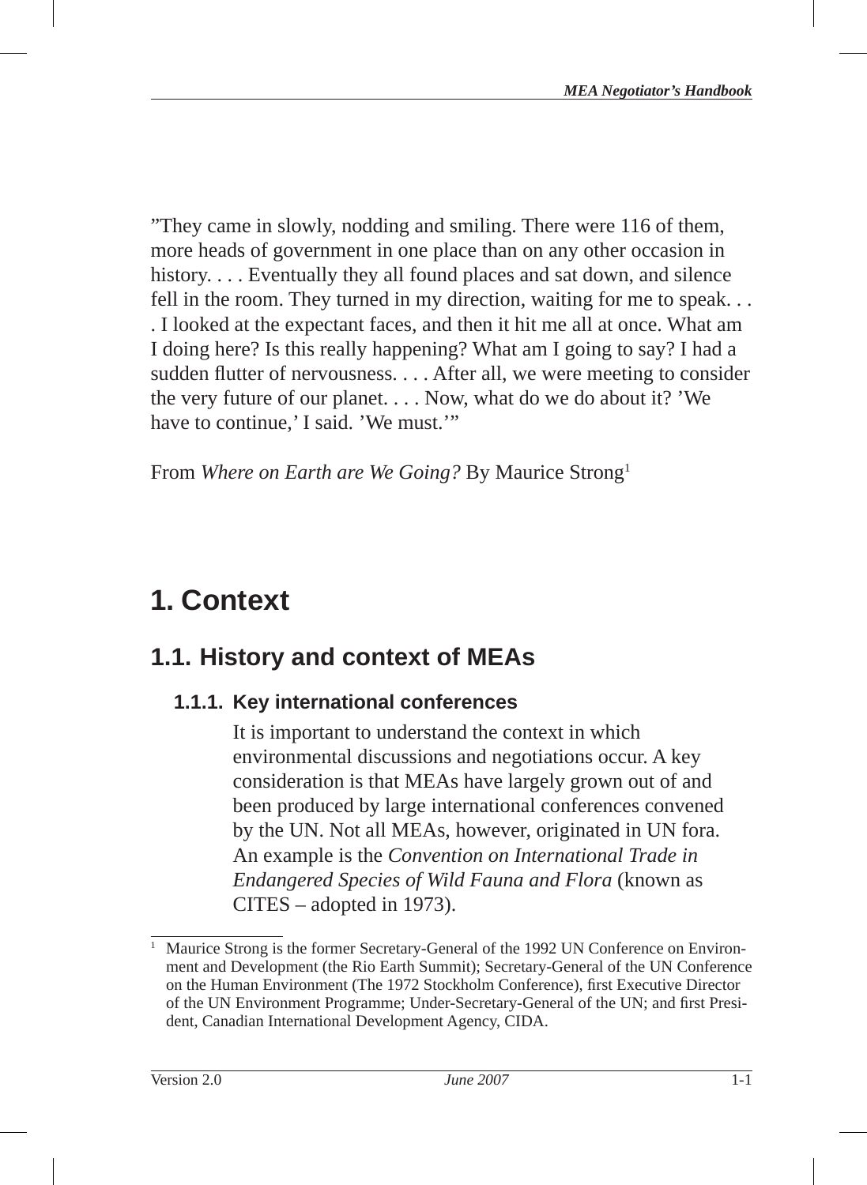"They came in slowly, nodding and smiling. There were 116 of them, more heads of government in one place than on any other occasion in history.... Eventually they all found places and sat down, and silence fell in the room. They turned in my direction, waiting for me to speak. . . . I looked at the expectant faces, and then it hit me all at once. What am I doing here? Is this really happening? What am I going to say? I had a sudden flutter of nervousness. . . . After all, we were meeting to consider the very future of our planet. . . . Now, what do we do about it? 'We have to continue,' I said. 'We must.'"

From *Where on Earth are We Going?* By Maurice Strong1

# **1. Context**

# **1.1. History and context of MEAs**

## **1.1.1. Key international conferences**

It is important to understand the context in which environmental discussions and negotiations occur. A key consideration is that MEAs have largely grown out of and been produced by large international conferences convened by the UN. Not all MEAs, however, originated in UN fora. An example is the *Convention on International Trade in Endangered Species of Wild Fauna and Flora* (known as CITES – adopted in 1973 ).

<sup>1</sup> Maurice Strong is the former Secretary-General of the 1992 UN Conference on Environment and Development (the Rio Earth Summit); Secretary-General of the UN Conference on the Human Environment (The 1972 Stockholm Conference), first Executive Director of the UN Environment Programme; Under-Secretary-General of the UN; and first President, Canadian International Development Agency, CIDA.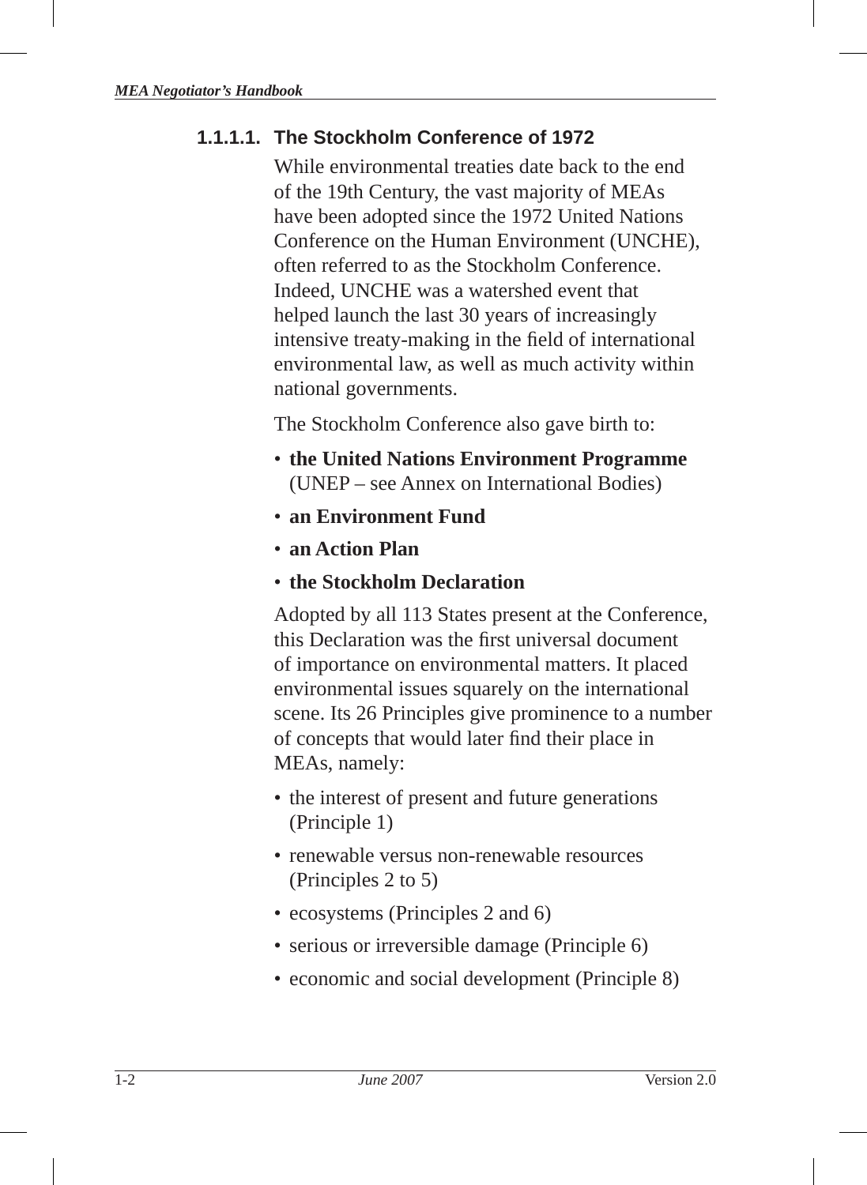## **1.1.1.1. The Stockholm Conference of 1972**

While environmental treaties date back to the end of the 19th Century, the vast majority of MEAs have been adopted since the 1972 United Nations Conference on the Human Environment (UNCHE), often referred to as the Stockholm Conference. Indeed, UNCHE was a watershed event that helped launch the last 30 years of increasingly intensive treaty-making in the field of international environmental law, as well as much activity within national governments.

The Stockholm Conference also gave birth to:

- **the United Nations Environment Program me**  (UNEP – see Annex on International Bodies)
- **an Environment Fund**
- **an Action Plan**
- **the Stockholm Declaration**

Adopted by all 113 States present at the Conference, this Declaration was the first universal document of importance on environmental matters. It placed environmental issues squarely on the international scene. Its 26 Principles give prominence to a number of concepts that would later find their place in MEAs, namely:

- the interest of present and future generations (Principle 1)
- renewable versus non-renewable resources (Principles 2 to 5)
- ecosystems (Principles 2 and 6)
- serious or irreversible damage (Principle 6)
- economic and social development (Principle 8)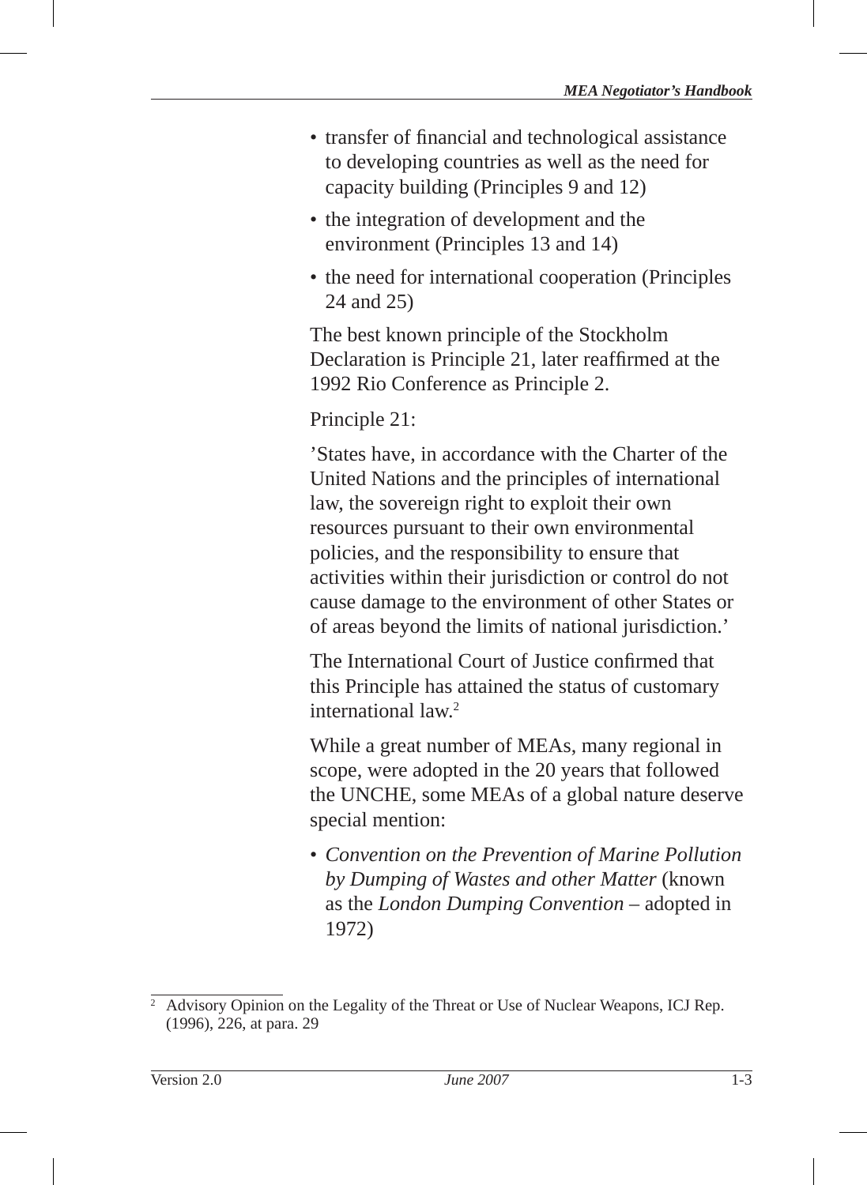- transfer of financial and technological assistance to developing countries as well as the need for capacity building (Principles 9 and 12)
- the integration of development and the environment (Principles 13 and 14)
- the need for international cooperation (Principles 24 and 25)

The best known principle of the Stockholm Declaration is Principle 21, later reaffirmed at the 1992 Rio Conference as Principle 2.

Principle 21:

'States have, in accordance with the Charter of the United Nations and the principles of international law, the sovereign right to exploit their own resources pursuant to their own environmental policies, and the responsibility to ensure that activities within their jurisdiction or control do not cause damage to the environment of other States or of areas beyond the limits of national jurisdiction.'

The International Court of Justice confirmed that this Principle has attained the status of customary international law.2

While a great number of MEAs, many regional in scope, were adopted in the 20 years that followed the UNCHE, some MEAs of a global nature deserve special mention:

• *Convention on the Prevention of Marine Pollution by Dumping of Wastes and other Matter* (known as the *London Dumping Convention* – adopted in 1972)

<sup>2</sup> Advisory Opinion on the Legality of the Threat or Use of Nuclear Weapons, ICJ Rep. (1996), 226, at para. 29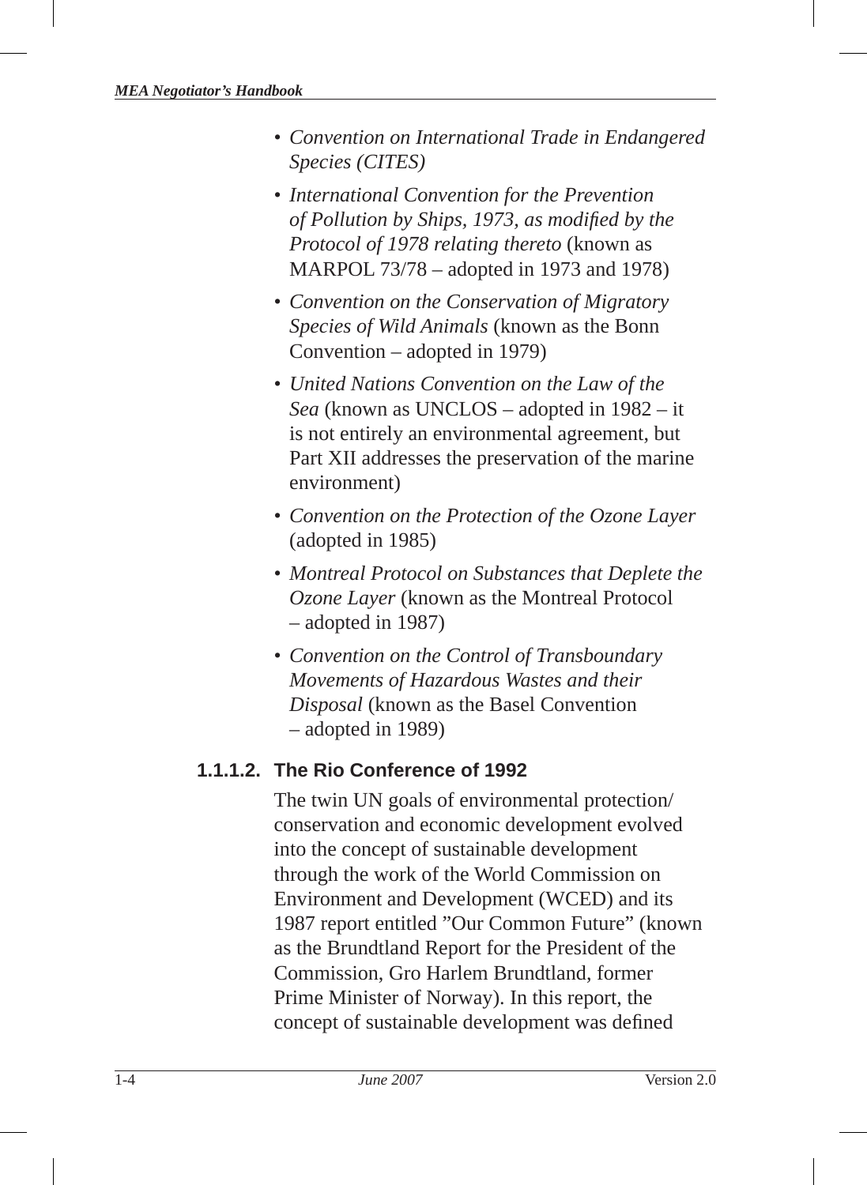- *Convention on International Trade in Endangered Species (CITES)*
- *International Convention for the Prevention of Pollution by Ships, 1973, as modified by the Protocol of 1978 relating thereto* (known as MARPOL 73/78 – adopted in 1973 and 1978)
- *Convention on the Conservation of Migratory Species of Wild Animals* (known as the Bonn Convention – adopted in 1979)
- *United Nations Convention on the Law of the Sea* (known as UNCLOS – adopted in 1982 – it is not entirely an environmental agreement, but Part XII addresses the preservation of the marine environment)
- *Convention on the Protection of the Ozone Layer* (adopted in 1985)
- *Montreal Protocol on Substances that Deplete the Ozone Layer* (known as the Montreal Protocol – adopted in 1987)
- *Convention on the Control of Transboundary Movements of Hazardous Wastes and their Disposal* (known as the Basel Convention – adopted in 1989)

## **1.1.1.2. The Rio Conference of 1992**

The twin UN goals of environmental protection/ conservation and economic development evolved into the concept of sustainable development through the work of the World Commission on Environment and Development (WCED) and its 1987 report entitled "Our Common Future" (known as the Brundtland Report for the President of the Commission, Gro Harlem Brundtland, former Prime Minister of Norway). In this report, the concept of sustainable development was defined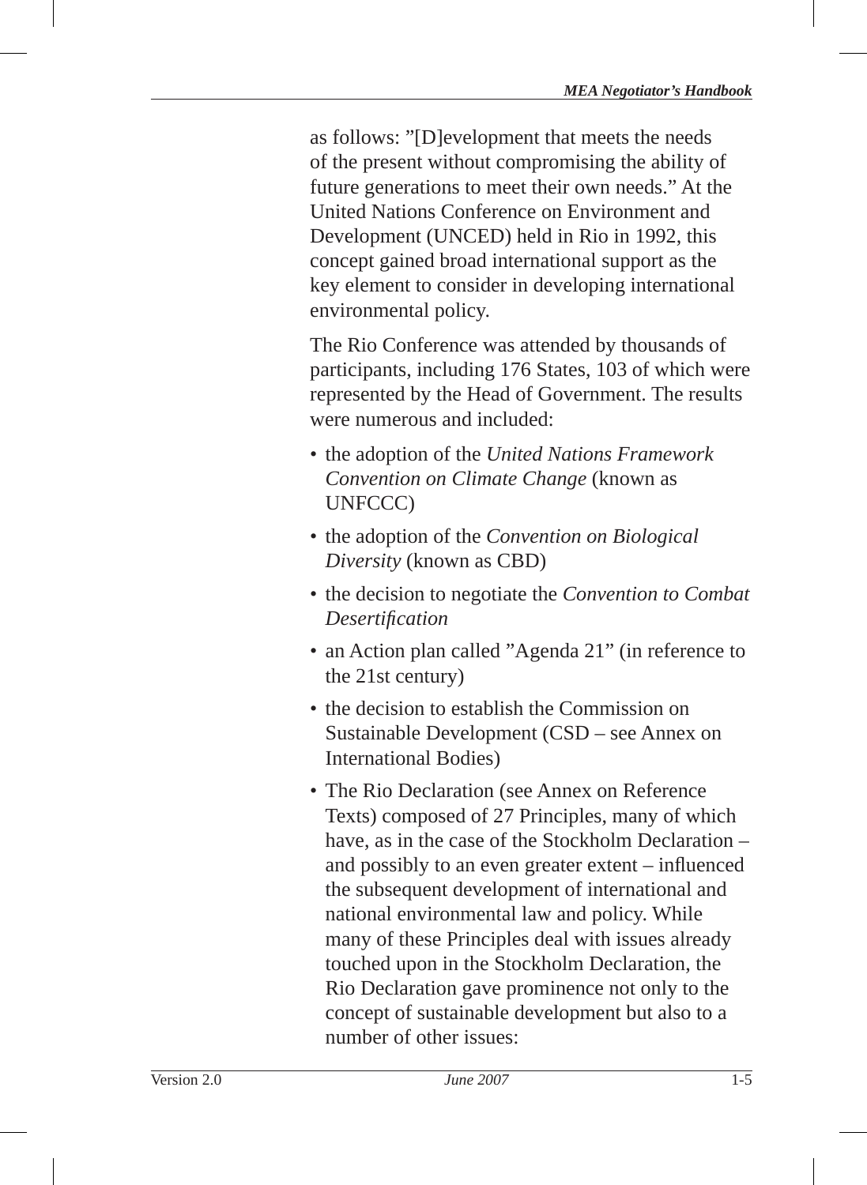as follows: "[D]evelopment that meets the needs of the present without compromising the ability of future generations to meet their own needs." At the United Nations Conference on Environment and Development (UNCED) held in Rio in 1992, this concept gained broad international support as the key element to consider in developing international environmental policy.

The Rio Conference was attended by thousands of participants, including 176 States, 103 of which were represented by the Head of Government. The results were numerous and included:

- the adoption of the *United Nations Framework Convention on Climate Change* (known as UNFCCC)
- the adoption of the *Convention on Biological Diversity* (known as CBD)
- the decision to negotiate the *Convention to Combat Desertifi cation*
- an Action plan called "Agenda 21" (in reference to the 21st century)
- the decision to establish the Commission on Sustainable Development (CSD – see Annex on International Bodies)
- The Rio Declaration (see Annex on Reference Texts) composed of 27 Principles, many of which have, as in the case of the Stockholm Declaration – and possibly to an even greater extent  $-$  influenced the subsequent development of international and national environmental law and policy. While many of these Principles deal with issues already touched upon in the Stockholm Declaration, the Rio Declaration gave prominence not only to the concept of sustainable development but also to a number of other issues: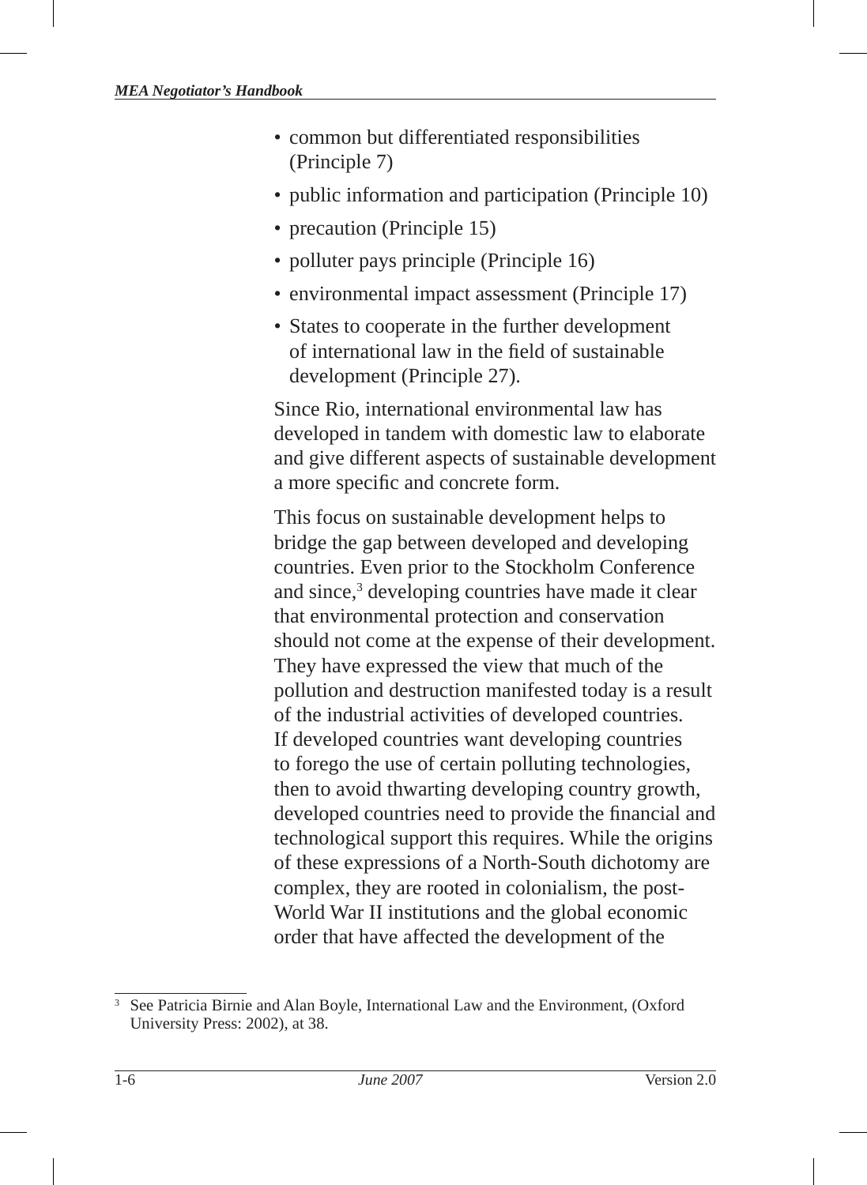- common but differentiated responsibilities (Principle 7)
- public information and participation (Principle 10)
- precaution (Principle 15)
- polluter pays principle (Principle 16)
- environmental impact assessment (Principle 17)
- States to cooperate in the further development of international law in the field of sustainable development (Principle 27).

Since Rio, international environmental law has developed in tandem with domestic law to elaborate and give different aspects of sustainable development a more specific and concrete form.

This focus on sustainable development helps to bridge the gap between developed and developing countries. Even prior to the Stockholm Conference and since,<sup>3</sup> developing countries have made it clear that environmental protection and conservation should not come at the expense of their development. They have expressed the view that much of the pollution and destruction manifested today is a result of the industrial activities of developed countries. If developed countries want developing countries to forego the use of certain polluting technologies, then to avoid thwarting developing country growth, developed countries need to provide the financial and technological support this requires. While the origins of these expressions of a North-South dichotomy are complex, they are rooted in colonialism, the post-World War II institutions and the global economic order that have affected the development of the

<sup>3</sup> See Patricia Birnie and Alan Boyle, International Law and the Environment, (Oxford University Press: 2002), at 38.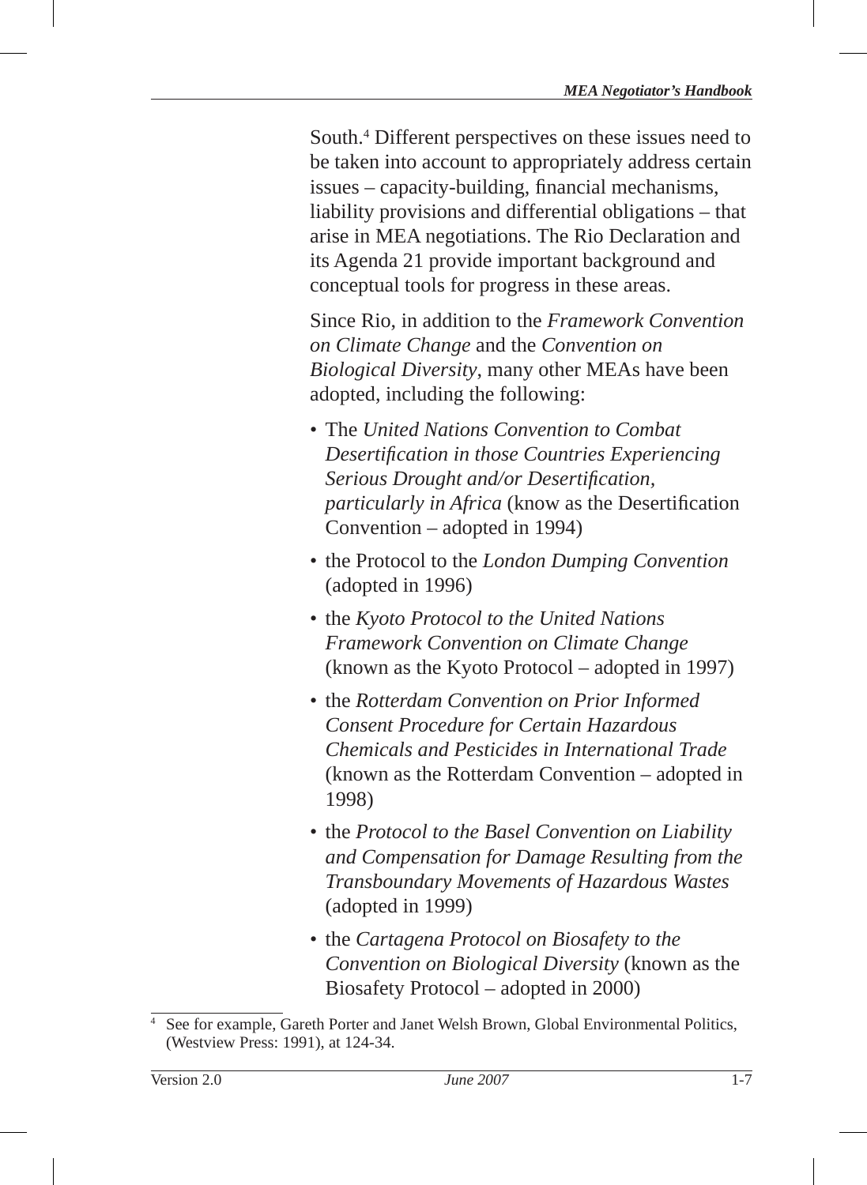South.4 Different perspectives on these issues need to be taken into account to appropriately address certain issues – capacity-building, financial mechanisms, liability provisions and differential obligations – that arise in MEA negotiations. The Rio Declaration and its Agenda 21 provide important background and conceptual tools for progress in these areas.

Since Rio, in addition to the *Framework Convention on Climate Change* and the *Convention on Biological Diversity*, many other MEAs have been adopted, including the following:

- The *United Nations Convention to Combat Desertifi cation in those Countries Experiencing Serious Drought and/or Desertification, particularly in Africa* (know as the Desertification Convention – adopted in 1994)
- the Protocol to the *London Dumping Convention* (adopted in 1996)
- the *Kyoto Protocol to the United Nations Framework Convention on Climate Change* (known as the Kyoto Protocol – adopted in 1997)
- the *Rotterdam Convention on Prior Informed Consent Procedure for Certain Hazardous Chemicals and Pesticides in International Trade* (known as the Rotterdam Convention – adopted in 1998)
- the *Protocol to the Basel Convention on Liability and Compensation for Damage Resulting from the Transboundary Movements of Hazardous Wastes* (adopted in 1999)
- the *Cartagena Protocol on Biosafety to the Convention on Biological Diversity* (known as the Biosafety Protocol – adopted in 2000)

<sup>4</sup> See for example, Gareth Porter and Janet Welsh Brown, Global Environmental Politics, (Westview Press: 1991), at 124-34.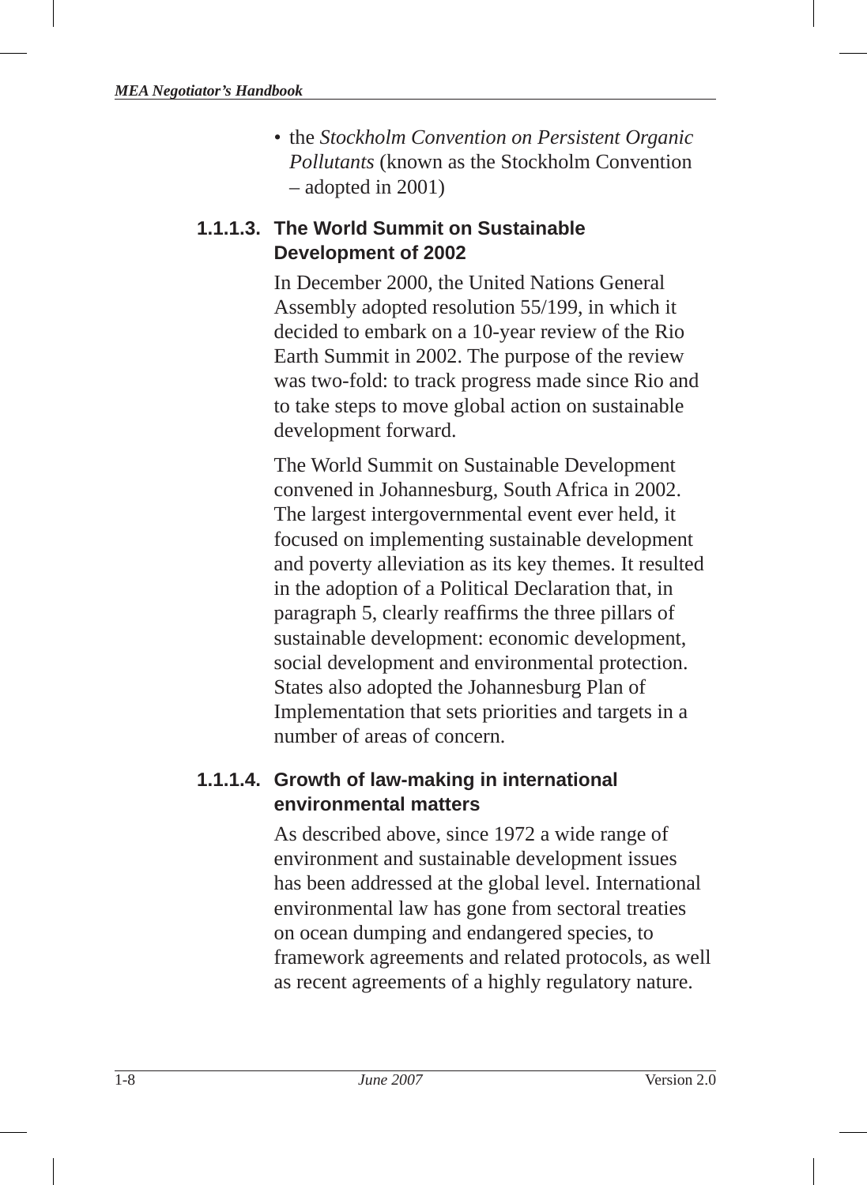• the *Stockholm Convention on Persistent Organic Pollutants* (known as the Stockholm Convention – adopted in 2001)

## **1.1.1.3. The World Summit on Sustainable Development of 2002**

In December 2000, the United Nations General Assembly adopted resolution 55/199, in which it decided to embark on a 10-year review of the Rio Earth Summit in 2002. The purpose of the review was two-fold: to track progress made since Rio and to take steps to move global action on sustainable development forward.

The World Summit on Sustainable Development convened in Johannesburg, South Africa in 2002. The largest intergovernmental event ever held, it focused on implementing sustainable development and poverty alleviation as its key themes. It resulted in the adoption of a Political Declaration that, in paragraph 5, clearly reaffirms the three pillars of sustainable development: economic development, social development and environmental protection. States also adopted the Johannesburg Plan of Implementation that sets priorities and targets in a number of areas of concern.

## **1.1.1.4. Growth of law-making in international environmental matters**

As described above, since 1972 a wide range of environment and sustainable development issues has been addressed at the global level. International environmental law has gone from sectoral treaties on ocean dumping and endangered species, to framework agreements and related protocols, as well as recent agreements of a highly regulatory nature.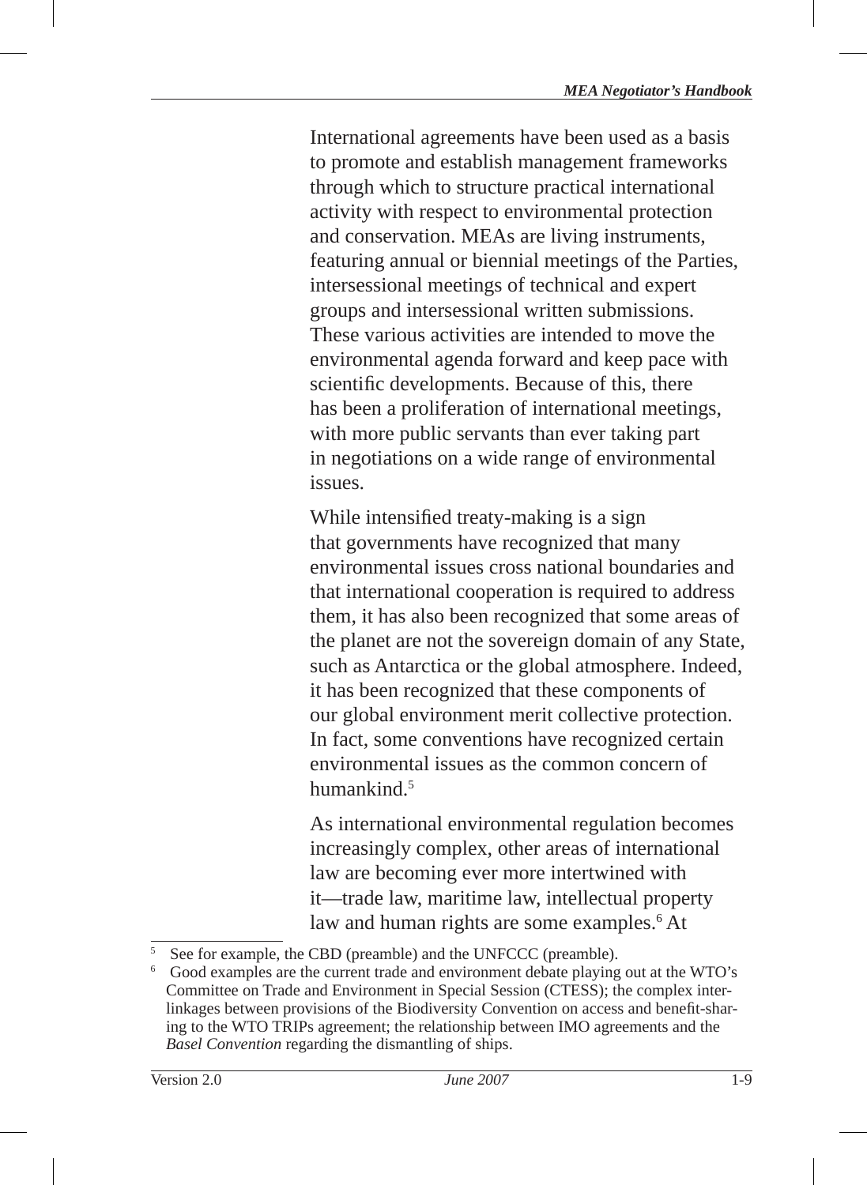International agreements have been used as a basis to promote and establish management frameworks through which to structure practical international activity with respect to environmental protection and conservation. MEAs are living instruments, featuring annual or biennial meetings of the Parties, intersessional meetings of technical and expert groups and intersessional written submissions. These various activities are intended to move the environmental agenda forward and keep pace with scientific developments. Because of this, there has been a proliferation of international meetings, with more public servants than ever taking part in negotiations on a wide range of environmental issues.

While intensified treaty-making is a sign that governments have recognized that many environmental issues cross national boundaries and that international cooperation is required to address them, it has also been recognized that some areas of the planet are not the sovereign domain of any State, such as Antarctica or the global atmosphere. Indeed, it has been recognized that these components of our global environment merit collective protection. In fact, some conventions have recognized certain environmental issues as the common concern of humankind $<sup>5</sup>$ </sup>

As international environmental regulation becomes increasingly complex, other areas of international law are becoming ever more intertwined with it—trade law, maritime law, intellectual property law and human rights are some examples.<sup>6</sup> At

<sup>5</sup> See for example, the CBD (preamble) and the UNFCCC (preamble).

<sup>6</sup> Good examples are the current trade and environment debate playing out at the WTO's Committee on Trade and Environment in Special Session (CTESS); the complex interlinkages between provisions of the Biodiversity Convention on access and benefit-sharing to the WTO TRIPs agreement; the relationship between IMO agreements and the *Basel Convention* regarding the dismantling of ships.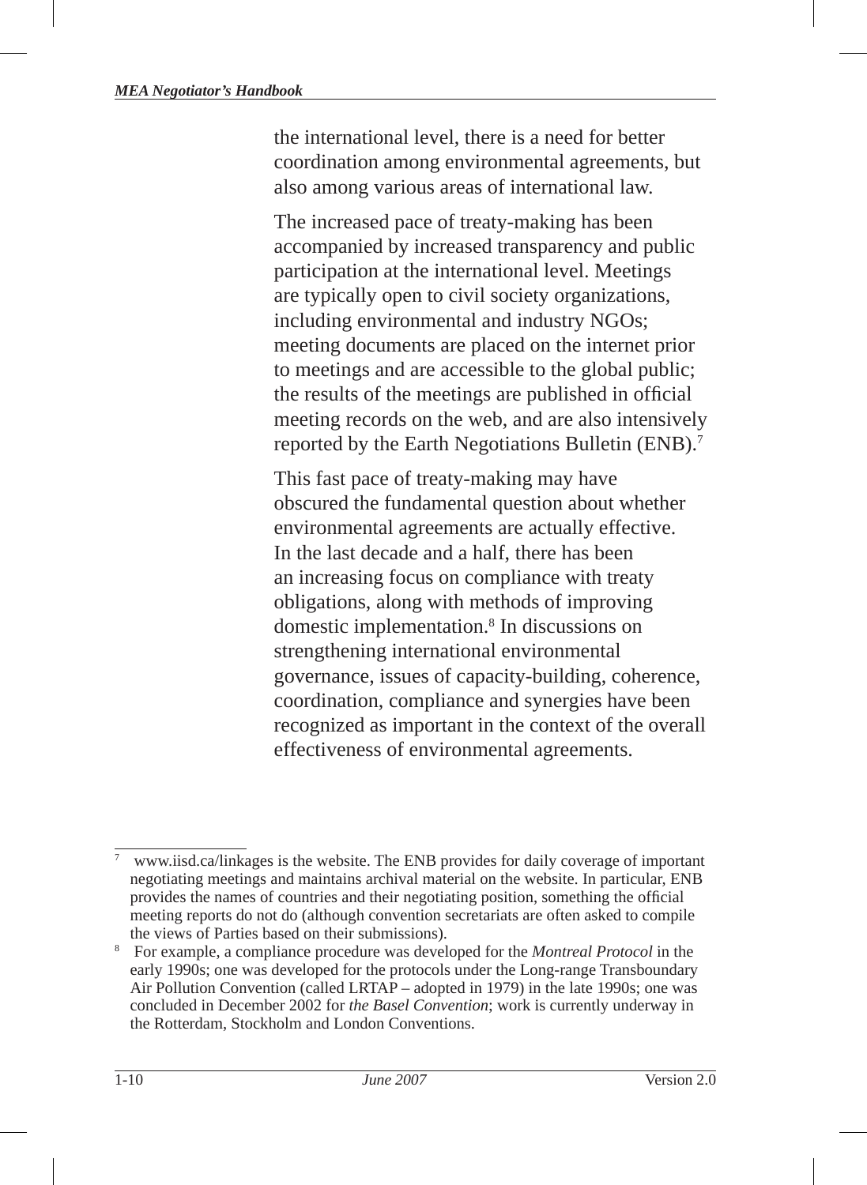the international level, there is a need for better coordination among environmental agreements, but also among various areas of international law.

The increased pace of treaty-making has been accompanied by increased transparency and public participation at the international level. Meetings are typically open to civil society organizations, including environmental and industry NGOs; meeting documents are placed on the internet prior to meetings and are accessible to the global public; the results of the meetings are published in official meeting records on the web, and are also intensively reported by the Earth Negotiations Bulletin (ENB).7

This fast pace of treaty-making may have obscured the fundamental question about whether environmental agreements are actually effective. In the last decade and a half, there has been an increasing focus on compliance with treaty obligations, along with methods of improving domestic implementation .8 In discussions on strengthening international environmental governance, issues of capacity-building, coherence, coordination, compliance and synergies have been recognized as important in the context of the overall effectiveness of environmental agreements.

<sup>7</sup> www.iisd.ca/linkages is the website. The ENB provides for daily coverage of important negotiating meetings and maintains archival material on the website. In particular, ENB provides the names of countries and their negotiating position, something the official meeting reports do not do (although convention secretariats are often asked to compile the views of Parties based on their submissions).

<sup>8</sup> For example, a compliance procedure was developed for the *Montreal Protocol* in the early 1990s; one was developed for the protocols under the Long-range Transboundary Air Pollution Convention (called LRTAP – adopted in 1979) in the late 1990s; one was concluded in December 2002 for *the Basel Convention*; work is currently underway in the Rotterdam, Stockholm and London Conventions.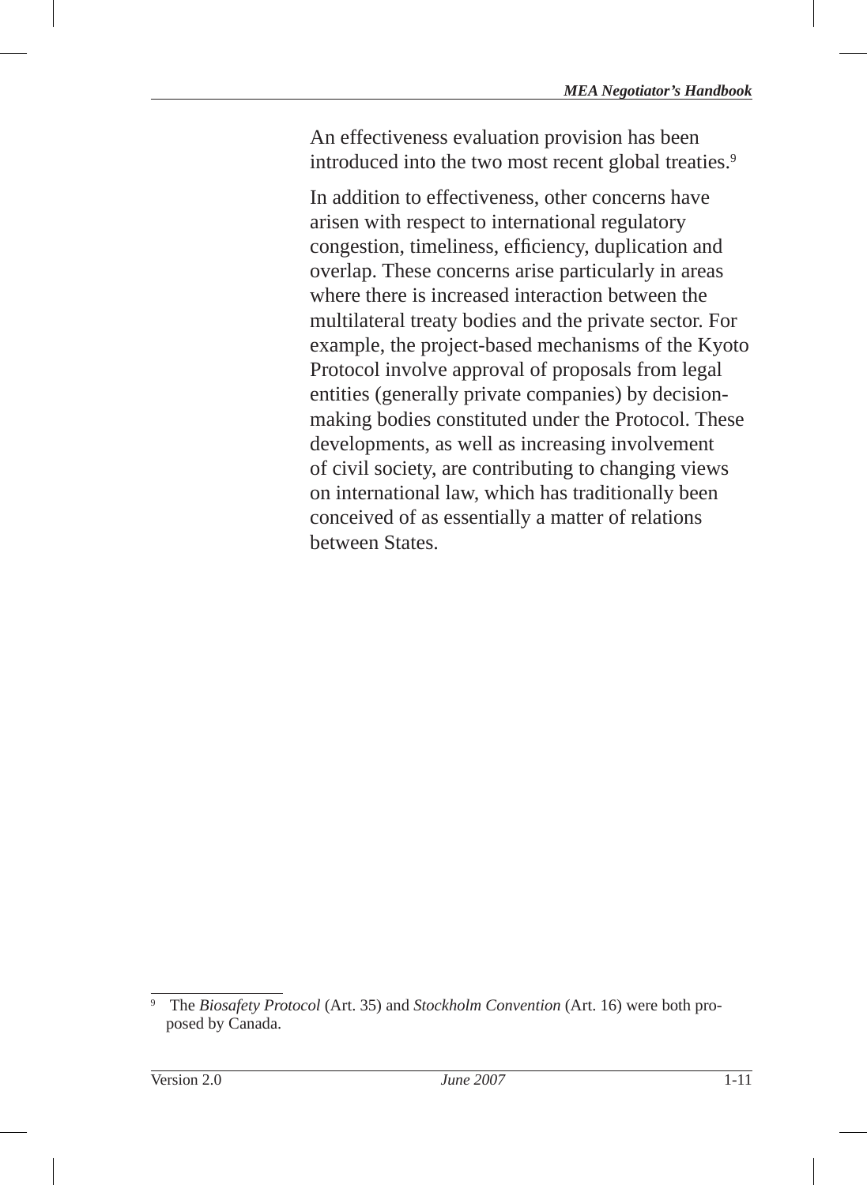An effectiveness evaluation provision has been introduced into the two most recent global treaties.<sup>9</sup>

In addition to effectiveness, other concerns have arisen with respect to international regulatory congestion, timeliness, efficiency, duplication and overlap. These concerns arise particularly in areas where there is increased interaction between the multilateral treaty bodies and the private sector. For example, the project-based mechanisms of the Kyoto Protocol involve approval of proposals from legal entities (generally private companies) by decisionmaking bodies constituted under the Protocol. These developments, as well as increasing involvement of civil society, are contributing to changing views on international law, which has traditionally been conceived of as essentially a matter of relations between States.

<sup>9</sup> The *Biosafety Protocol* (Art. 35) and *Stockholm Convention* (Art. 16) were both proposed by Canada.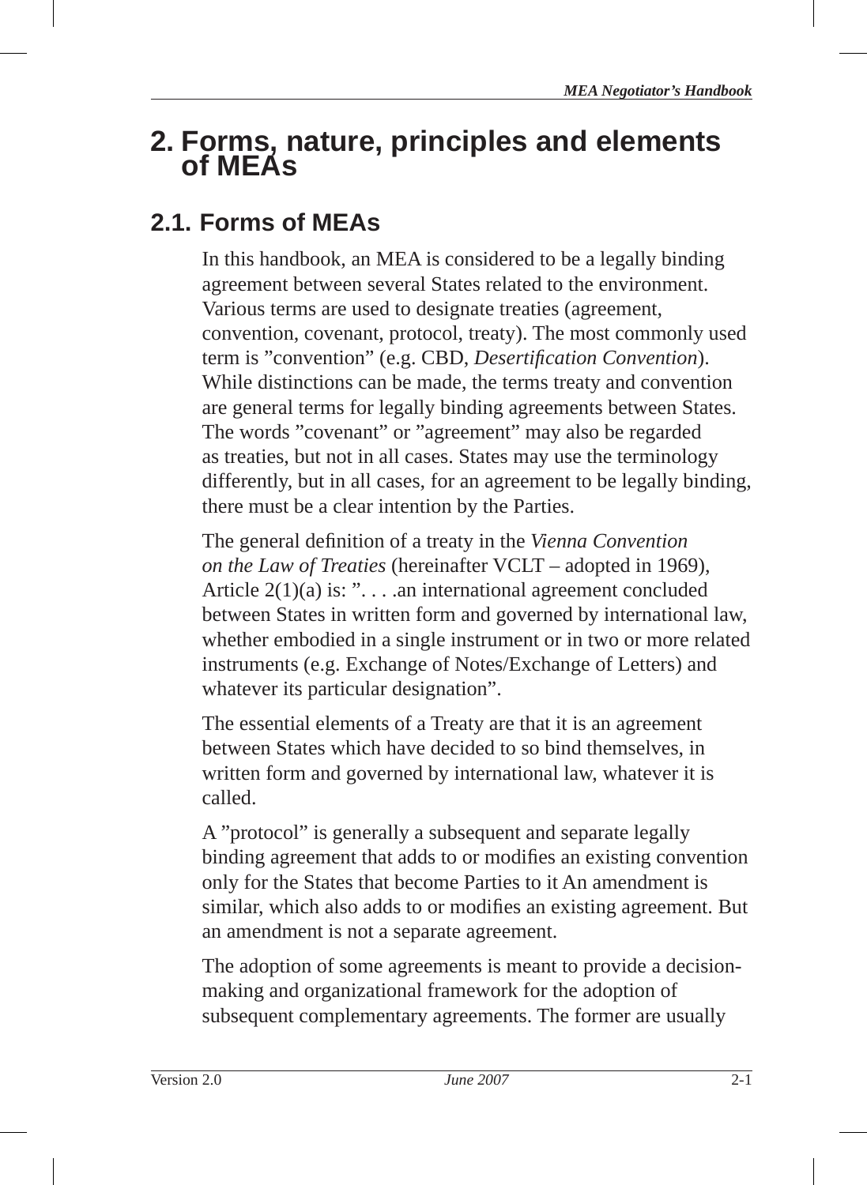# **2. Forms, nature, principles and elements of MEAs**

# **2.1. Forms of MEAs**

In this handbook, an MEA is considered to be a legally binding agreement between several States related to the environment. Various terms are used to designate treaties (agreement, convention, covenant, protocol, treaty). The most commonly used term is "convention" (e.g. CBD, *Desertification Convention*). While distinctions can be made, the terms treaty and convention are general terms for legally binding agreements between States. The words "covenant" or "agreement" may also be regarded as treaties, but not in all cases. States may use the terminology differently, but in all cases, for an agreement to be legally binding, there must be a clear intention by the Parties.

The general definition of a treaty in the *Vienna Convention on the Law of Treaties* (hereinafter VCLT – adopted in 1969), Article 2(1)(a) is: ". . . .an international agreement concluded between States in written form and governed by international law, whether embodied in a single instrument or in two or more related instruments (e.g. Exchange of Notes/Exchange of Letters) and whatever its particular designation".

The essential elements of a Treaty are that it is an agreement between States which have decided to so bind themselves, in written form and governed by international law, whatever it is called.

A "protocol" is generally a subsequent and separate legally binding agreement that adds to or modifies an existing convention only for the States that become Parties to it An amendment is similar, which also adds to or modifies an existing agreement. But an amendment is not a separate agreement.

The adoption of some agreements is meant to provide a decisionmaking and organizational framework for the adoption of subsequent complementary agreements. The former are usually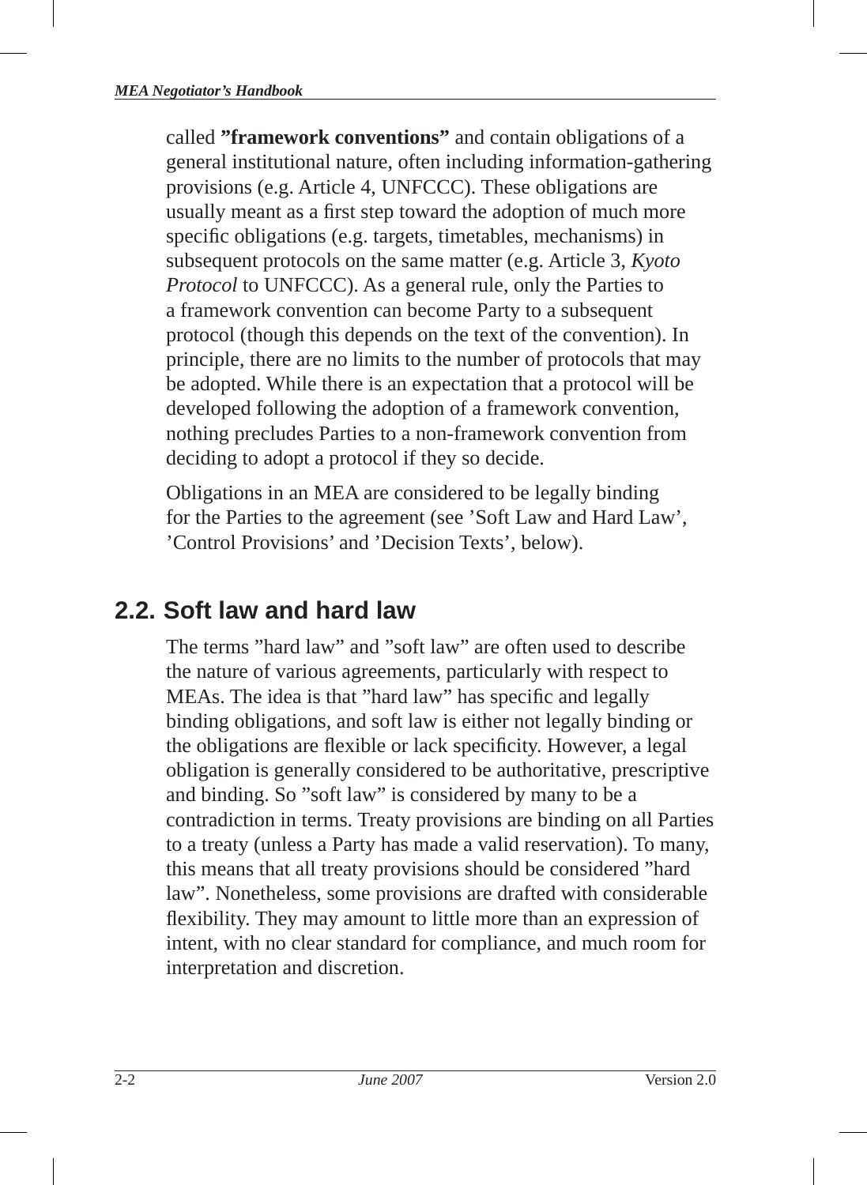called **"framework conventions"** and contain obligations of a general institutional nature, often including information-gathering provisions (e.g. Article 4, UNFCCC). These obligations are usually meant as a first step toward the adoption of much more specific obligations (e.g. targets, timetables, mechanisms) in subsequent protocols on the same matter (e.g. Article 3, *Kyoto Protocol* to UNFCCC). As a general rule, only the Parties to a framework convention can become Party to a subsequent protocol (though this depends on the text of the convention). In principle, there are no limits to the number of protocols that may be adopted. While there is an expectation that a protocol will be developed following the adoption of a framework convention, nothing precludes Parties to a non-framework convention from deciding to adopt a protocol if they so decide.

Obligations in an MEA are considered to be legally binding for the Parties to the agreement (see 'Soft Law and Hard Law', 'Control Provisions' and 'Decision Texts', below).

# **2.2. Soft law and hard law**

The terms "hard law" and "soft law" are often used to describe the nature of various agreements, particularly with respect to MEAs. The idea is that "hard law" has specific and legally binding obligations, and soft law is either not legally binding or the obligations are flexible or lack specificity. However, a legal obligation is generally considered to be authoritative, prescriptive and binding. So "soft law" is considered by many to be a contradiction in terms. Treaty provisions are binding on all Parties to a treaty (unless a Party has made a valid reservation). To many, this means that all treaty provisions should be considered "hard law". Nonetheless, some provisions are drafted with considerable flexibility. They may amount to little more than an expression of intent, with no clear standard for compliance, and much room for interpretation and discretion.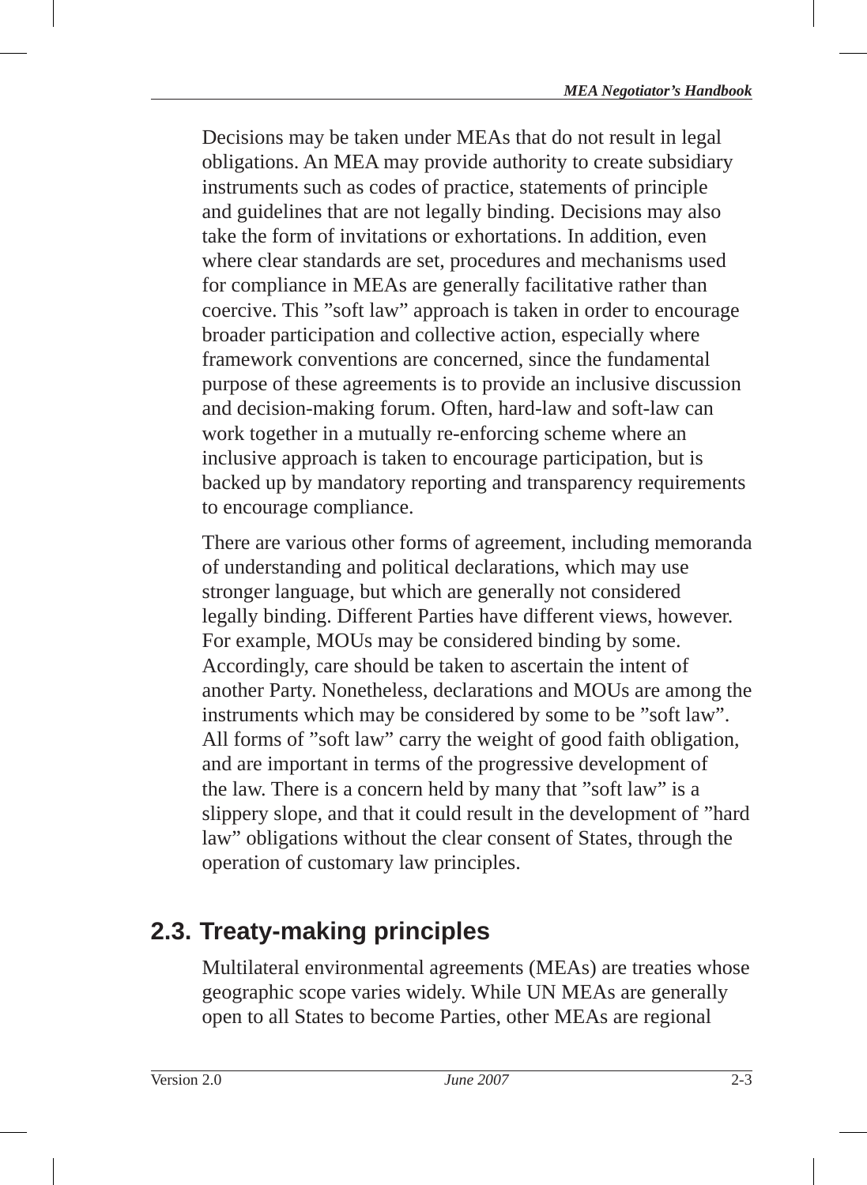Decisions may be taken under MEAs that do not result in legal obligations. An MEA may provide authority to create subsidiary instruments such as codes of practice, statements of principle and guidelines that are not legally binding. Decisions may also take the form of invitations or exhortations. In addition, even where clear standards are set, procedures and mechanisms used for compliance in MEAs are generally facilitative rather than coercive. This "soft law" approach is taken in order to encourage broader participation and collective action, especially where framework conventions are concerned, since the fundamental purpose of these agreements is to provide an inclusive discussion and decision-making forum. Often, hard-law and soft-law can work together in a mutually re-enforcing scheme where an inclusive approach is taken to encourage participation, but is backed up by mandatory reporting and transparency requirements to encourage compliance.

There are various other forms of agreement, including memoranda of understanding and political declarations, which may use stronger language, but which are generally not considered legally binding. Different Parties have different views, however. For example, MOUs may be considered binding by some. Accordingly, care should be taken to ascertain the intent of another Party. Nonetheless, declarations and MOUs are among the instruments which may be considered by some to be "soft law". All forms of "soft law" carry the weight of good faith obligation, and are important in terms of the progressive development of the law. There is a concern held by many that "soft law" is a slippery slope, and that it could result in the development of "hard law" obligations without the clear consent of States, through the operation of customary law principles.

# **2.3. Treaty-making principles**

Multilateral environmental agreements (MEAs) are treaties whose geographic scope varies widely. While UN MEAs are generally open to all States to become Parties, other MEAs are regional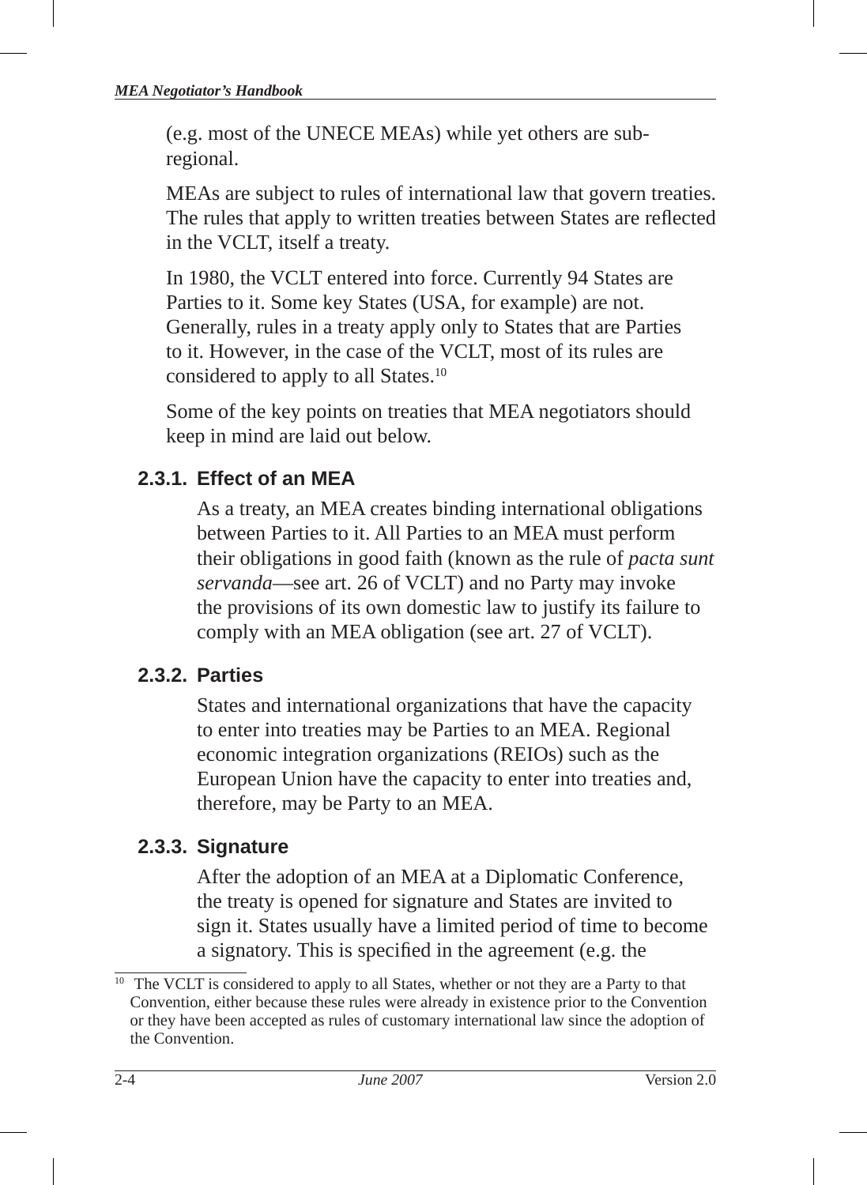(e.g. most of the UNECE MEAs) while yet others are subregional.

MEAs are subject to rules of international law that govern treaties. The rules that apply to written treaties between States are reflected in the VCLT, itself a treaty.

In 1980, the VCLT entered into force. Currently 94 States are Parties to it. Some key States (USA, for example) are not. Generally, rules in a treaty apply only to States that are Parties to it. However, in the case of the VCLT, most of its rules are considered to apply to all States.10

Some of the key points on treaties that MEA negotiators should keep in mind are laid out below.

# **2.3.1. Effect of an MEA**

As a treaty, an MEA creates binding international obligations between Parties to it. All Parties to an MEA must perform their obligations in good faith (known as the rule of *pacta sunt servanda* —see art. 26 of VCLT ) and no Party may invoke the provisions of its own domestic law to justify its failure to comply with an MEA obligation (see art. 27 of VCLT).

## **2.3.2. Parties**

States and international organizations that have the capacity to enter into treaties may be Parties to an MEA. Regional economic integration organizations (REIOs) such as the European Union have the capacity to enter into treaties and, therefore, may be Party to an MEA.

# **2.3.3. Signature**

After the adoption of an MEA at a Diplomatic Conference, the treaty is opened for signature and States are invited to sign it. States usually have a limited period of time to become a signatory. This is specified in the agreement (e.g. the

<sup>&</sup>lt;sup>10</sup> The VCLT is considered to apply to all States, whether or not they are a Party to that Convention, either because these rules were already in existence prior to the Convention or they have been accepted as rules of customary international law since the adoption of the Convention.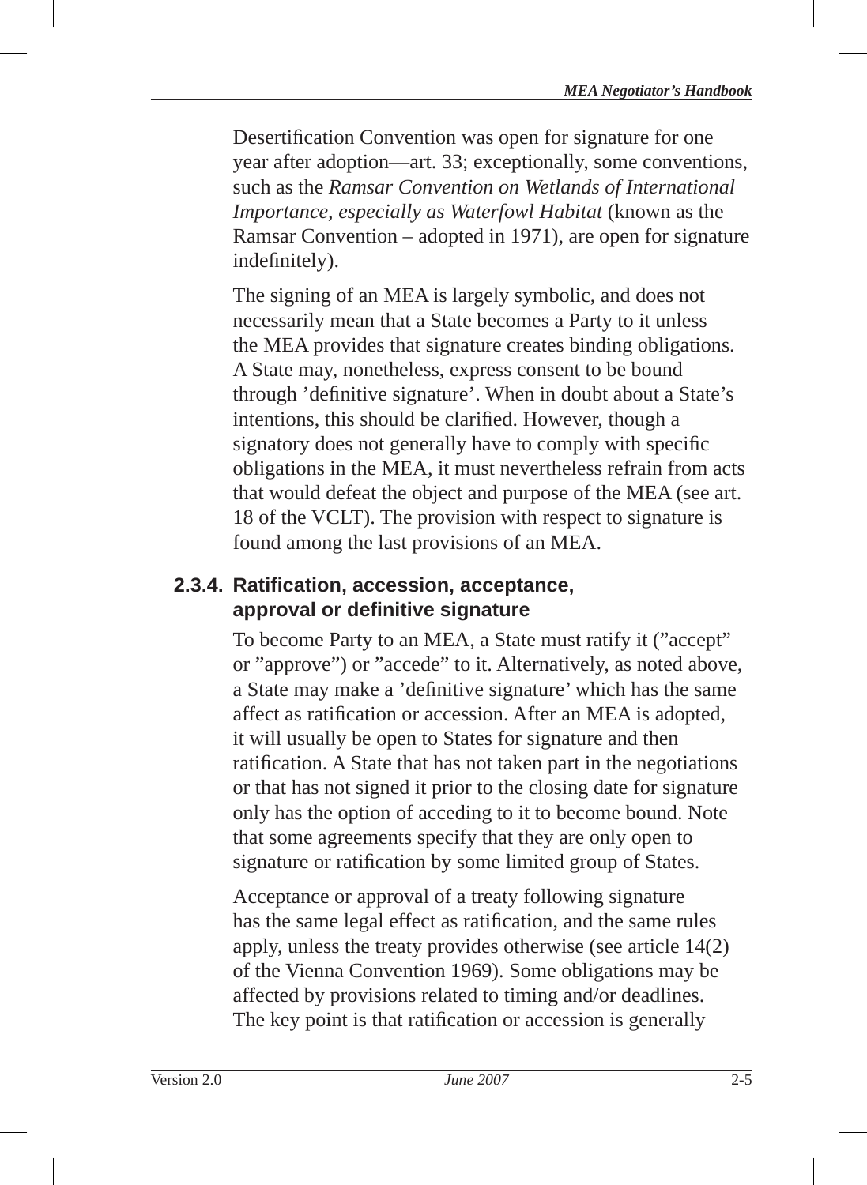Desertification Convention was open for signature for one year after adoption—art. 33; exceptionally, some conventions, such as the *Ramsar Convention on Wetlands of International Importance, especially as Waterfowl Habitat* (known as the Ramsar Convention – adopted in 1971), are open for signature indefinitely).

The signing of an MEA is largely symbolic, and does not necessarily mean that a State becomes a Party to it unless the MEA provides that signature creates binding obligations . A State may, nonetheless, express consent to be bound through 'definitive signature'. When in doubt about a State's intentions, this should be clarified. However, though a signatory does not generally have to comply with specific obligations in the MEA, it must nevertheless refrain from acts that would defeat the object and purpose of the MEA (see art. 18 of the VCLT). The provision with respect to signature is found among the last provisions of an MEA.

# **2.3.4. Ratifi cation, accession, acceptance, approval or defi nitive signature**

To become Party to an MEA, a State must ratify it ("accept" or "approve") or "accede" to it. Alternatively, as noted above, a State may make a 'definitive signature' which has the same affect as ratification or accession. After an MEA is adopted, it will usually be open to States for signature and then ratification. A State that has not taken part in the negotiations or that has not signed it prior to the closing date for signature only has the option of acceding to it to become bound. Note that some agreements specify that they are only open to signature or ratification by some limited group of States.

Acceptance or approval of a treaty following signature has the same legal effect as ratification, and the same rules apply, unless the treaty provides otherwise (see article 14(2) of the Vienna Convention 1969). Some obligations may be affected by provisions related to timing and/or deadlines. The key point is that ratification or accession is generally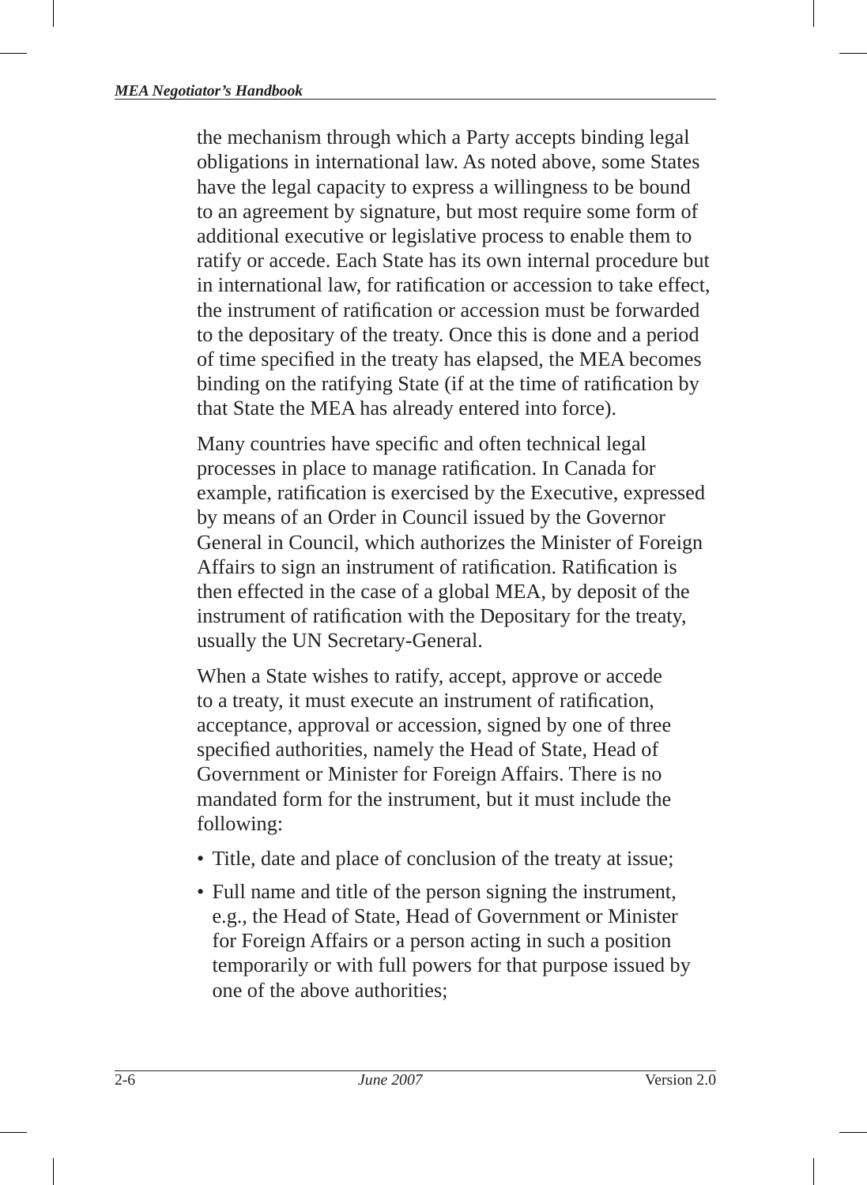the mechanism through which a Party accepts binding legal obligations in international law. As noted above, some States have the legal capacity to express a willingness to be bound to an agreement by signature, but most require some form of additional executive or legislative process to enable them to ratify or accede. Each State has its own internal procedure but in international law, for ratification or accession to take effect. the instrument of ratification or accession must be forwarded to the depositary of the treaty. Once this is done and a period of time specified in the treaty has elapsed, the MEA becomes binding on the ratifying State (if at the time of ratification by that State the MEA has already entered into force).

Many countries have specific and often technical legal processes in place to manage ratification. In Canada for example, ratification is exercised by the Executive, expressed by means of an Order in Council issued by the Governor General in Council, which authorizes the Minister of Foreign Affairs to sign an instrument of ratification. Ratification is then effected in the case of a global MEA, by deposit of the instrument of ratification with the Depositary for the treaty, usually the UN Secretary-General.

When a State wishes to ratify, accept, approve or accede to a treaty, it must execute an instrument of ratification, acceptance, approval or accession, signed by one of three specified authorities, namely the Head of State, Head of Government or Minister for Foreign Affairs. There is no mandated form for the instrument, but it must include the following:

- Title, date and place of conclusion of the treaty at issue;
- Full name and title of the person signing the instrument, e.g., the Head of State, Head of Government or Minister for Foreign Affairs or a person acting in such a position temporarily or with full powers for that purpose issued by one of the above authorities;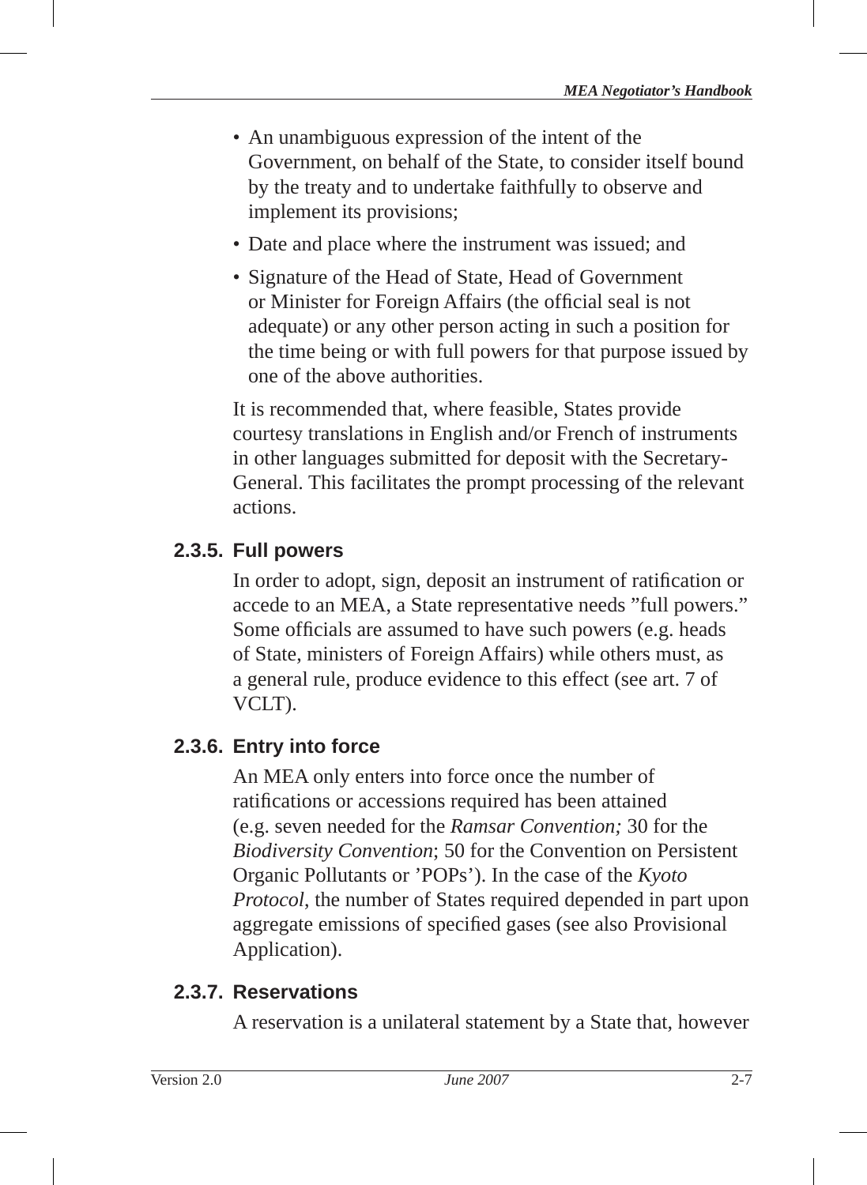- An unambiguous expression of the intent of the Government, on behalf of the State, to consider itself bound by the treaty and to undertake faithfully to observe and implement its provisions;
- Date and place where the instrument was issued; and
- Signature of the Head of State, Head of Government or Minister for Foreign Affairs (the official seal is not adequate) or any other person acting in such a position for the time being or with full powers for that purpose issued by one of the above authorities.

It is recommended that, where feasible, States provide courtesy translations in English and/or French of instruments in other languages submitted for deposit with the Secretary-General. This facilitates the prompt processing of the relevant actions.

## **2.3.5. Full powers**

In order to adopt, sign, deposit an instrument of ratification or accede to an MEA, a State representative needs "full powers." Some officials are assumed to have such powers (e.g. heads of State, ministers of Foreign Affairs) while others must, as a general rule, produce evidence to this effect (see art. 7 of VCLT).

## **2.3.6. Entry into force**

An MEA only enters into force once the number of ratifications or accessions required has been attained (e.g. seven needed for the *Ramsar Convention;* 30 for the *Biodiversity Convention*; 50 for the Convention on Persistent Organic Pollutants or 'POPs'). In the case of the *Kyoto Protocol*, the number of States required depended in part upon aggregate emissions of specified gases (see also Provisional Application).

#### **2.3.7. Reservations**

A reservation is a unilateral statement by a State that, however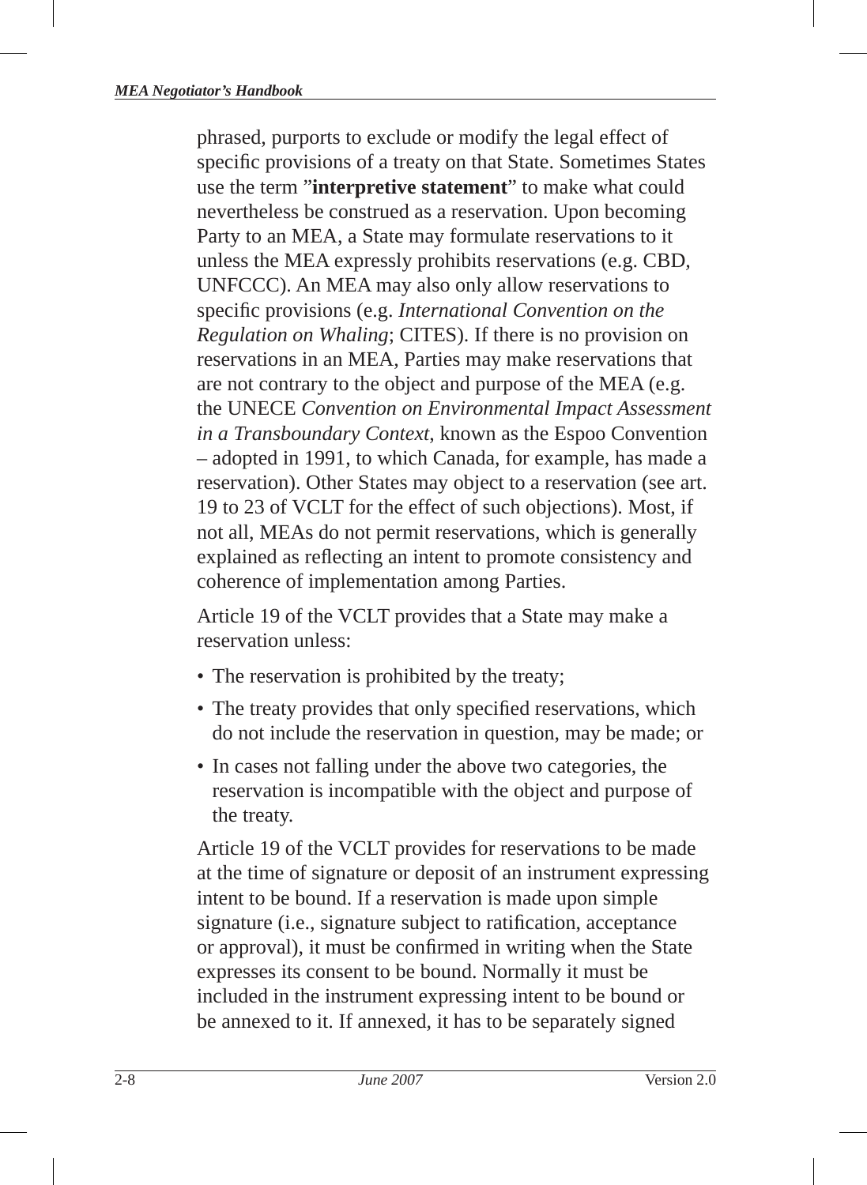phrased, purports to exclude or modify the legal effect of specific provisions of a treaty on that State. Sometimes States use the term "**interpretive statement**" to make what could nevertheless be construed as a reservation. Upon becoming Party to an MEA, a State may formulate reservations to it unless the MEA expressly prohibits reservations (e.g. CBD*,*  UNFCCC). An MEA may also only allow reservations to specific provisions (e.g. *International Convention on the Regulation on Whaling*; CITES). If there is no provision on reservations in an MEA, Parties may make reservations that are not contrary to the object and purpose of the MEA (e.g. the UNECE *Convention on Environmental Impact Assessment in a Transboundary Context*, known as the Espoo Convention – adopted in 1991, to which Canada, for example, has made a reservation). Other States may object to a reservation (see art. 19 to 23 of VCLT for the effect of such objections). Most, if not all, MEAs do not permit reservations, which is generally explained as reflecting an intent to promote consistency and coherence of implementation among Parties.

Article 19 of the VCLT provides that a State may make a reservation unless:

- The reservation is prohibited by the treaty;
- The treaty provides that only specified reservations, which do not include the reservation in question, may be made; or
- In cases not falling under the above two categories, the reservation is incompatible with the object and purpose of the treaty.

Article 19 of the VCLT provides for reservations to be made at the time of signature or deposit of an instrument expressing intent to be bound. If a reservation is made upon simple signature (i.e., signature subject to ratification, acceptance or approval), it must be confirmed in writing when the State expresses its consent to be bound. Normally it must be included in the instrument expressing intent to be bound or be annexed to it. If annexed, it has to be separately signed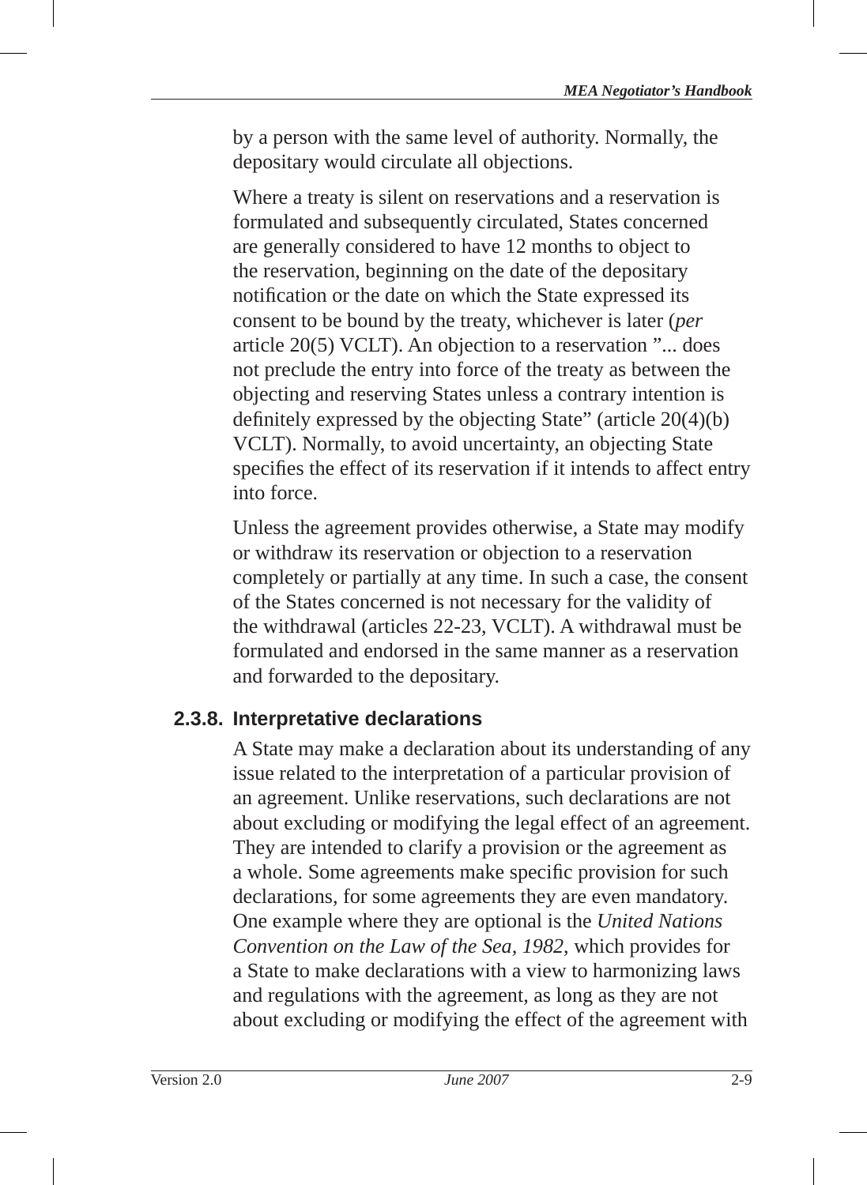by a person with the same level of authority. Normally, the depositary would circulate all objections.

Where a treaty is silent on reservations and a reservation is formulated and subsequently circulated, States concerned are generally considered to have 12 months to object to the reservation, beginning on the date of the depositary notification or the date on which the State expressed its consent to be bound by the treaty, whichever is later (*per* article 20(5) VCLT). An objection to a reservation "... does not preclude the entry into force of the treaty as between the objecting and reserving States unless a contrary intention is definitely expressed by the objecting State" (article  $20(4)(b)$ ) VCLT). Normally, to avoid uncertainty, an objecting State specifies the effect of its reservation if it intends to affect entry into force.

Unless the agreement provides otherwise, a State may modify or withdraw its reservation or objection to a reservation completely or partially at any time. In such a case, the consent of the States concerned is not necessary for the validity of the withdrawal (articles 22-23, VCLT). A withdrawal must be formulated and endorsed in the same manner as a reservation and forwarded to the depositary.

## **2.3.8. Interpretative declarations**

A State may make a declaration about its understanding of any issue related to the interpretation of a particular provision of an agreement. Unlike reservations, such declarations are not about excluding or modifying the legal effect of an agreement. They are intended to clarify a provision or the agreement as a whole. Some agreements make specific provision for such declarations, for some agreements they are even mandatory. One example where they are optional is the *United Nations Convention on the Law of the Sea, 1982*, which provides for a State to make declarations with a view to harmonizing laws and regulations with the agreement, as long as they are not about excluding or modifying the effect of the agreement with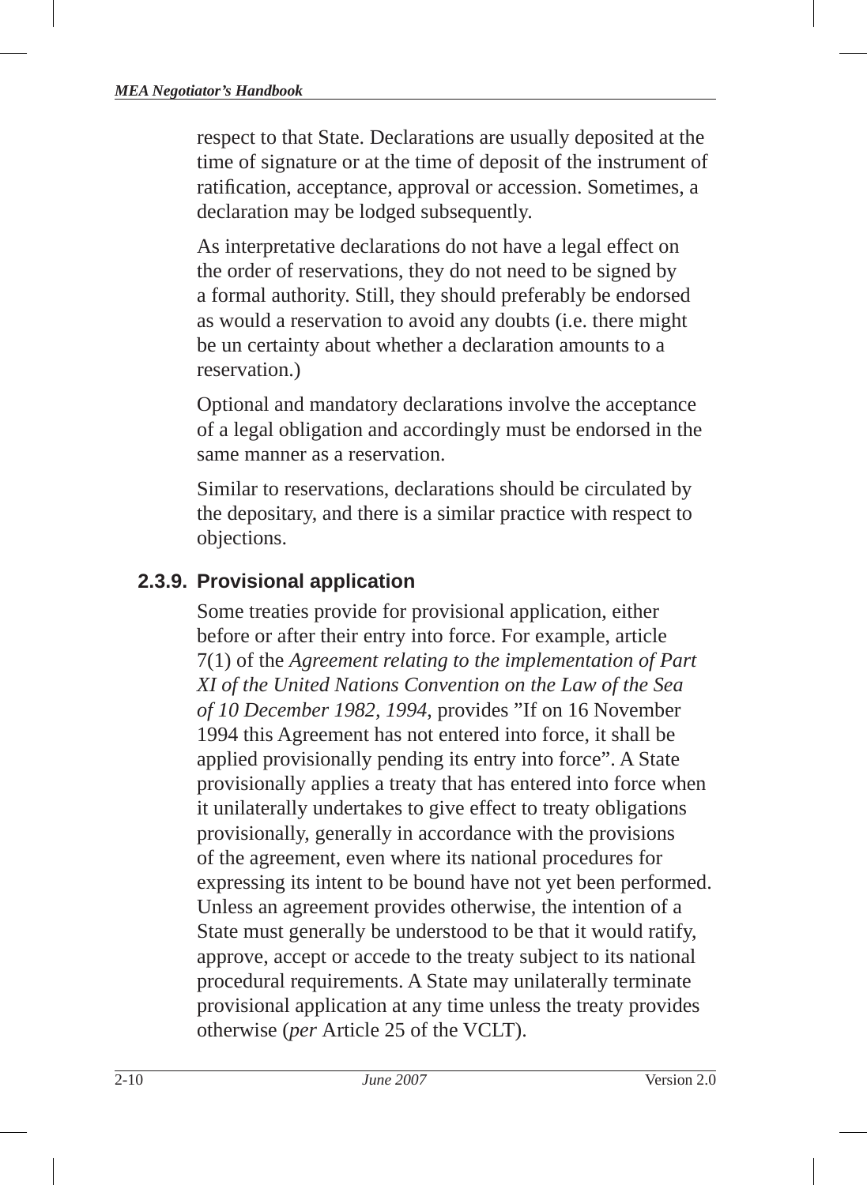respect to that State. Declarations are usually deposited at the time of signature or at the time of deposit of the instrument of ratification, acceptance, approval or accession. Sometimes, a declaration may be lodged subsequently.

As interpretative declarations do not have a legal effect on the order of reservations, they do not need to be signed by a formal authority. Still, they should preferably be endorsed as would a reservation to avoid any doubts (i.e. there might be un certainty about whether a declaration amounts to a reservation.)

Optional and mandatory declarations involve the acceptance of a legal obligation and accordingly must be endorsed in the same manner as a reservation.

Similar to reservations, declarations should be circulated by the depositary, and there is a similar practice with respect to objections.

#### **2.3.9. Provisional application**

Some treaties provide for provisional application, either before or after their entry into force. For example, article 7(1) of the *Agreement relating to the implementation of Part XI of the United Nations Convention on the Law of the Sea of 10 December 1982, 1994*, provides "If on 16 November 1994 this Agreement has not entered into force, it shall be applied provisionally pending its entry into force". A State provisionally applies a treaty that has entered into force when it unilaterally undertakes to give effect to treaty obligations provisionally, generally in accordance with the provisions of the agreement, even where its national procedures for expressing its intent to be bound have not yet been performed. Unless an agreement provides otherwise, the intention of a State must generally be understood to be that it would ratify, approve, accept or accede to the treaty subject to its national procedural requirements. A State may unilaterally terminate provisional application at any time unless the treaty provides otherwise (*per* Article 25 of the VCLT).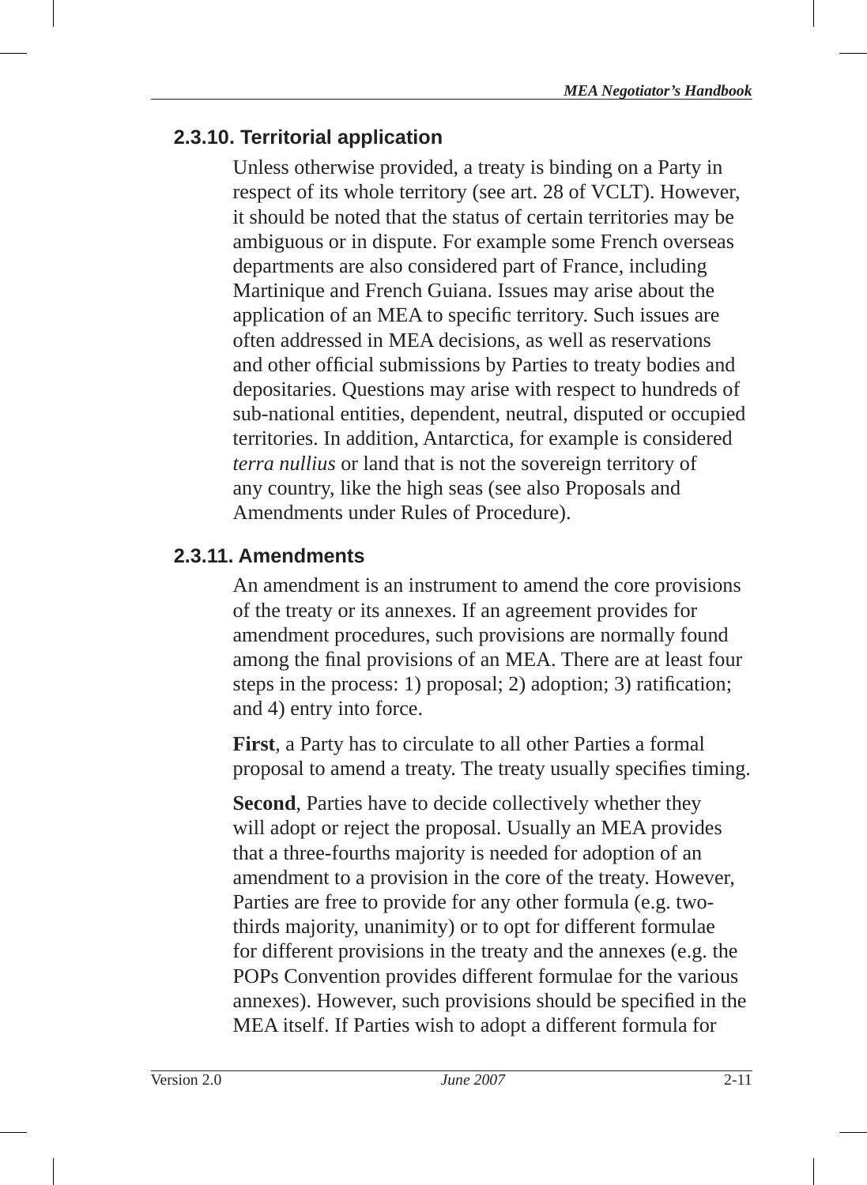# **2.3.10. Territorial application**

Unless otherwise provided, a treaty is binding on a Party in respect of its whole territory (see art. 28 of VCLT). However, it should be noted that the status of certain territories may be ambiguous or in dispute. For example some French overseas departments are also considered part of France, including Martinique and French Guiana. Issues may arise about the application of an MEA to specific territory. Such issues are often addressed in MEA decisions, as well as reservations and other official submissions by Parties to treaty bodies and depositaries. Questions may arise with respect to hundreds of sub-national entities, dependent, neutral, disputed or occupied territories. In addition, Antarctica, for example is considered *terra nullius* or land that is not the sovereign territory of any country, like the high seas (see also Proposals and Amendments under Rules of Procedure).

# **2.3.11. Amendments**

An amendment is an instrument to amend the core provisions of the treaty or its annexes. If an agreement provides for amendment procedures, such provisions are normally found among the final provisions of an MEA. There are at least four steps in the process: 1) proposal; 2) adoption; 3) ratification; and 4) entry into force .

**First**, a Party has to circulate to all other Parties a formal proposal to amend a treaty. The treaty usually specifies timing.

**Second**, Parties have to decide collectively whether they will adopt or reject the proposal. Usually an MEA provides that a three-fourths majority is needed for adoption of an amendment to a provision in the core of the treaty. However, Parties are free to provide for any other formula (e.g. twothirds majority, unanimity) or to opt for different formulae for different provisions in the treaty and the annexes (e.g. the POPs Convention provides different formulae for the various annexes). However, such provisions should be specified in the MEA itself. If Parties wish to adopt a different formula for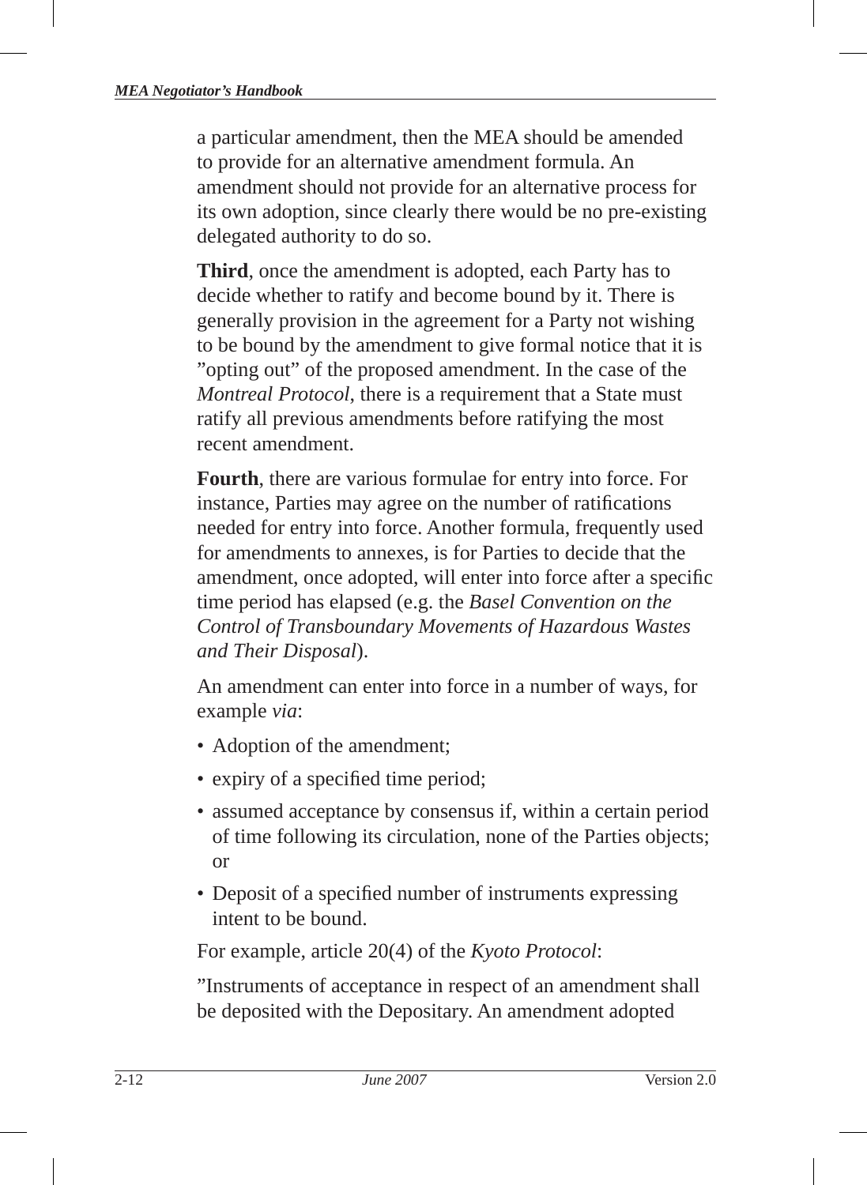a particular amendment, then the MEA should be amended to provide for an alternative amendment formula. An amendment should not provide for an alternative process for its own adoption, since clearly there would be no pre-existing delegated authority to do so.

**Third**, once the amendment is adopted, each Party has to decide whether to ratify and become bound by it. There is generally provision in the agreement for a Party not wishing to be bound by the amendment to give formal notice that it is "opting out" of the proposed amendment. In the case of the *Montreal Protocol*, there is a requirement that a State must ratify all previous amendments before ratifying the most recent amendment.

**Fourth**, there are various formulae for entry into force. For instance, Parties may agree on the number of ratifications needed for entry into force. Another formula, frequently used for amendments to annexes, is for Parties to decide that the amendment, once adopted, will enter into force after a specific time period has elapsed (e.g. the *Basel Convention on the Control of Transboundary Movements of Hazardous Wastes and Their Disposal*).

An amendment can enter into force in a number of ways, for example *via*:

- Adoption of the amendment;
- expiry of a specified time period;
- assumed acceptance by consensus if, within a certain period of time following its circulation, none of the Parties objects; or
- Deposit of a specified number of instruments expressing intent to be bound.

For example, article 20(4) of the *Kyoto Protocol*:

"Instruments of acceptance in respect of an amendment shall be deposited with the Depositary. An amendment adopted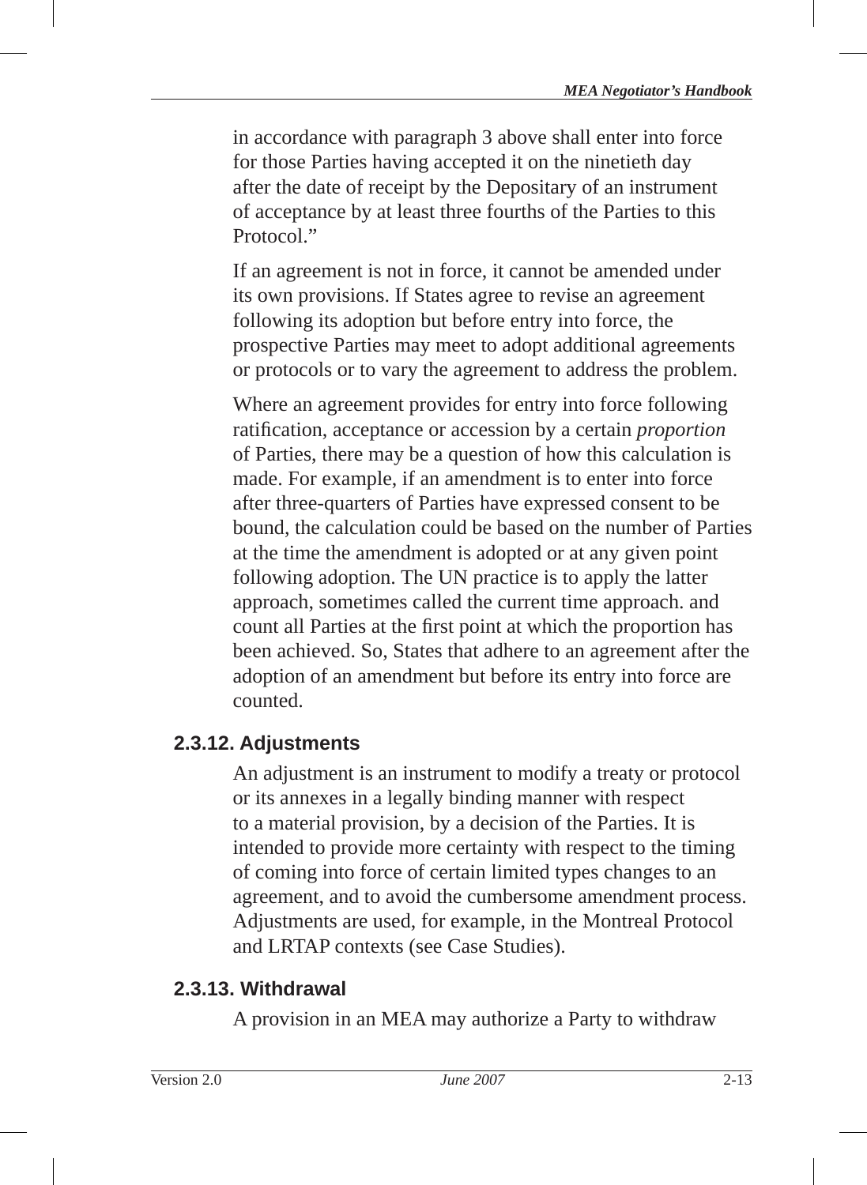in accordance with paragraph 3 above shall enter into force for those Parties having accepted it on the ninetieth day after the date of receipt by the Depositary of an instrument of acceptance by at least three fourths of the Parties to this Protocol."

If an agreement is not in force, it cannot be amended under its own provisions. If States agree to revise an agreement following its adoption but before entry into force, the prospective Parties may meet to adopt additional agreements or protocols or to vary the agreement to address the problem.

Where an agreement provides for entry into force following ratification, acceptance or accession by a certain *proportion* of Parties, there may be a question of how this calculation is made. For example, if an amendment is to enter into force after three-quarters of Parties have expressed consent to be bound, the calculation could be based on the number of Parties at the time the amendment is adopted or at any given point following adoption. The UN practice is to apply the latter approach, sometimes called the current time approach. and count all Parties at the first point at which the proportion has been achieved. So, States that adhere to an agreement after the adoption of an amendment but before its entry into force are counted.

## **2.3.12. Adjustments**

An adjustment is an instrument to modify a treaty or protocol or its annexes in a legally binding manner with respect to a material provision, by a decision of the Parties. It is intended to provide more certainty with respect to the timing of coming into force of certain limited types changes to an agreement, and to avoid the cumbersome amendment process. Adjustments are used, for example, in the Montreal Protocol and LRTAP contexts (see Case Studies).

## **2.3.13. Withdrawal**

A provision in an MEA may authorize a Party to withdraw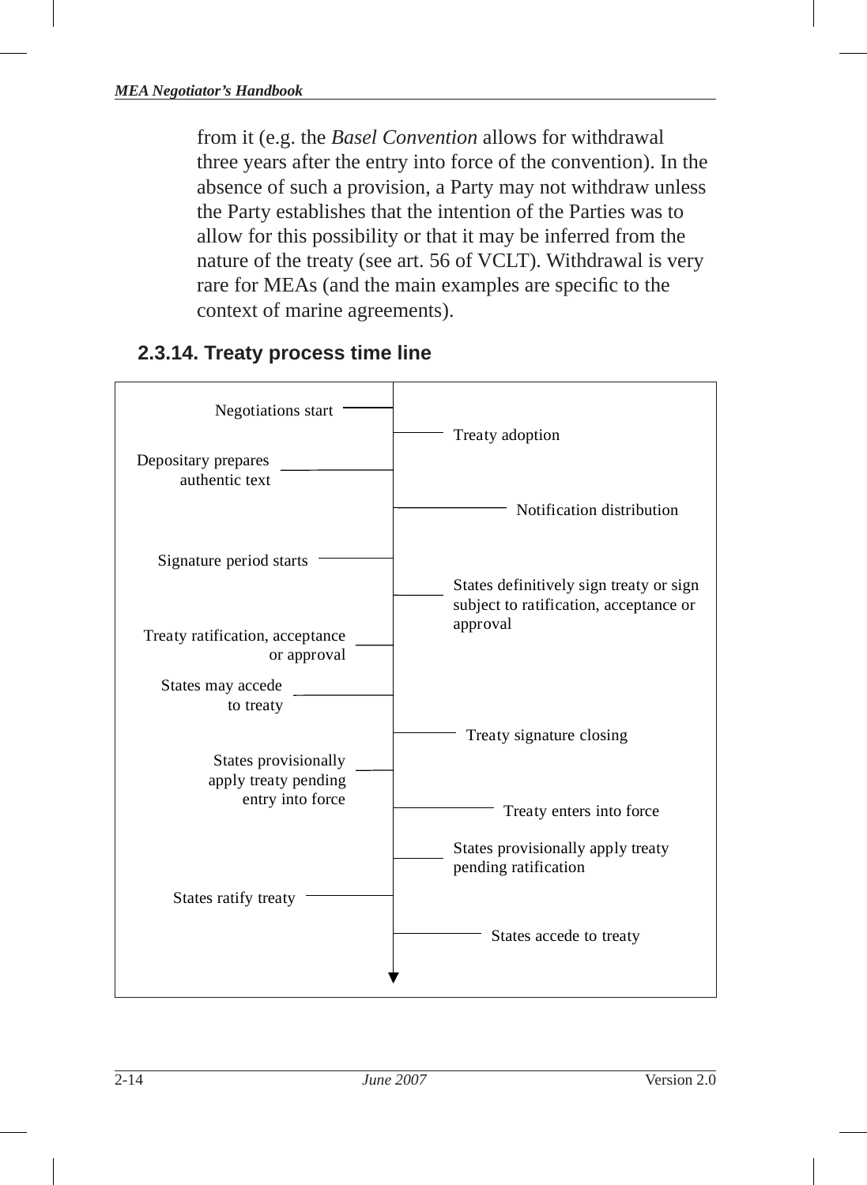from it (e.g. the *Basel Convention* allows for withdrawal three years after the entry into force of the convention). In the absence of such a provision, a Party may not withdraw unless the Party establishes that the intention of the Parties was to allow for this possibility or that it may be inferred from the nature of the treaty (see art. 56 of VCLT). Withdrawal is very rare for MEAs (and the main examples are specific to the context of marine agreements).

## **2.3.14. Treaty process time line**

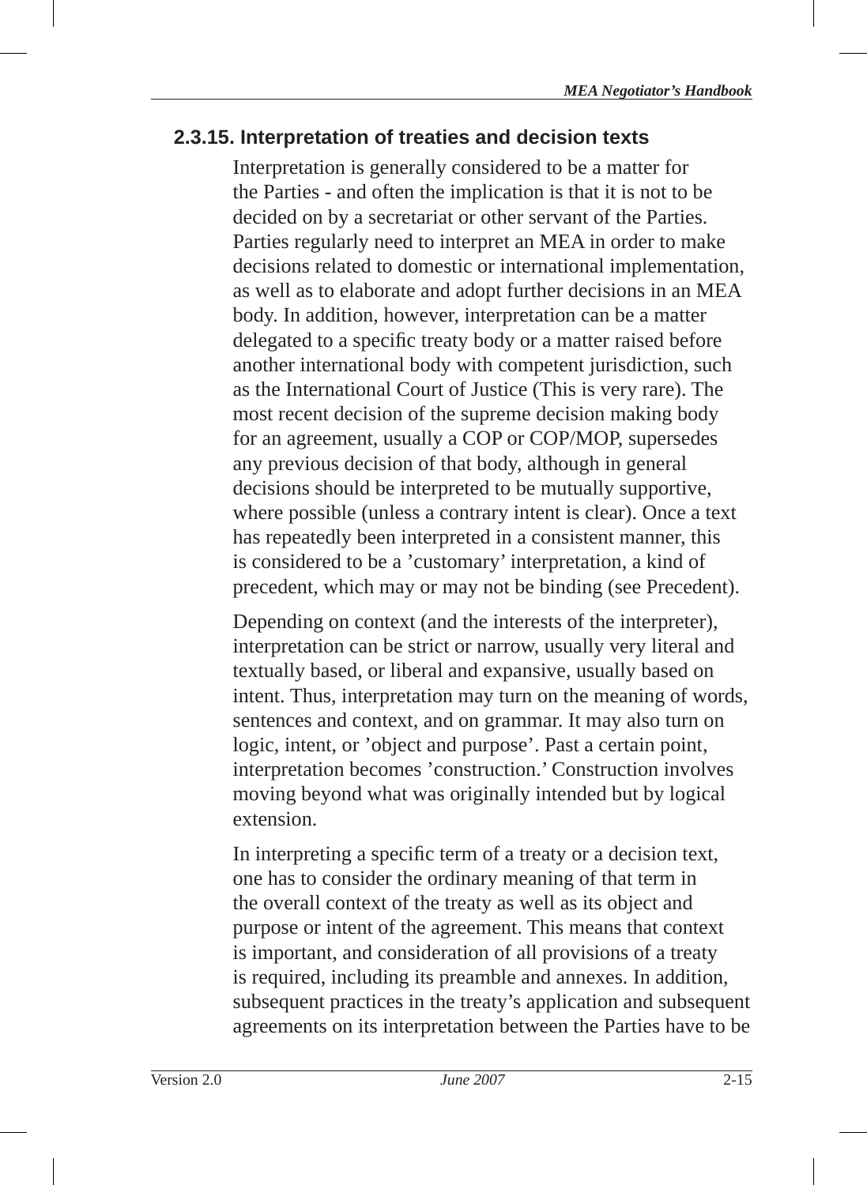#### **2.3.15. Interpretation of treaties and decision texts**

Interpretation is generally considered to be a matter for the Parties - and often the implication is that it is not to be decided on by a secretariat or other servant of the Parties. Parties regularly need to interpret an MEA in order to make decisions related to domestic or international implementation, as well as to elaborate and adopt further decisions in an MEA body. In addition, however, interpretation can be a matter delegated to a specific treaty body or a matter raised before another international body with competent jurisdiction, such as the International Court of Justice (This is very rare). The most recent decision of the supreme decision making body for an agreement, usually a COP or COP/MOP, supersedes any previous decision of that body, although in general decisions should be interpreted to be mutually supportive, where possible (unless a contrary intent is clear). Once a text has repeatedly been interpreted in a consistent manner, this is considered to be a 'customary' interpretation, a kind of precedent, which may or may not be binding (see Precedent).

Depending on context (and the interests of the interpreter), interpretation can be strict or narrow, usually very literal and textually based, or liberal and expansive, usually based on intent. Thus, interpretation may turn on the meaning of words, sentences and context, and on grammar. It may also turn on logic, intent, or 'object and purpose'. Past a certain point, interpretation becomes 'construction.' Construction involves moving beyond what was originally intended but by logical extension.

In interpreting a specific term of a treaty or a decision text, one has to consider the ordinary meaning of that term in the overall context of the treaty as well as its object and purpose or intent of the agreement. This means that context is important, and consideration of all provisions of a treaty is required, including its preamble and annexes. In addition, subsequent practices in the treaty's application and subsequent agreements on its interpretation between the Parties have to be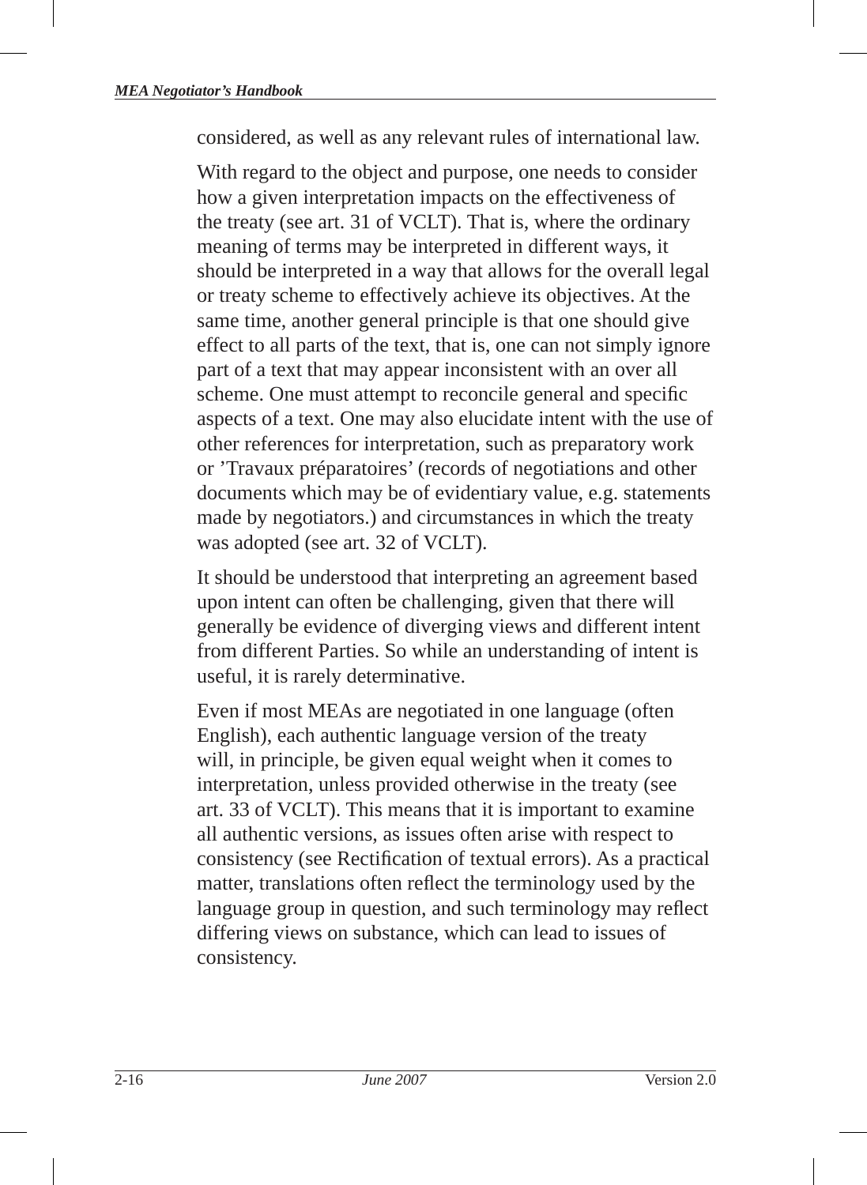considered, as well as any relevant rules of international law.

With regard to the object and purpose, one needs to consider how a given interpretation impacts on the effectiveness of the treaty (see art. 31 of VCLT) . That is, where the ordinary meaning of terms may be interpreted in different ways, it should be interpreted in a way that allows for the overall legal or treaty scheme to effectively achieve its objectives. At the same time, another general principle is that one should give effect to all parts of the text, that is, one can not simply ignore part of a text that may appear inconsistent with an over all scheme. One must attempt to reconcile general and specific aspects of a text. One may also elucidate intent with the use of other references for interpretation, such as preparatory work or 'Travaux préparatoires' (records of negotiations and other documents which may be of evidentiary value, e.g. statements made by negotiators.) and circumstances in which the treaty was adopted (see art. 32 of VCLT).

It should be understood that interpreting an agreement based upon intent can often be challenging, given that there will generally be evidence of diverging views and different intent from different Parties. So while an understanding of intent is useful, it is rarely determinative.

Even if most MEAs are negotiated in one language (often English), each authentic language version of the treaty will, in principle, be given equal weight when it comes to interpretation, unless provided otherwise in the treaty (see art. 33 of VCLT). This means that it is important to examine all authentic versions, as issues often arise with respect to consistency (see Rectification of textual errors). As a practical matter, translations often reflect the terminology used by the language group in question, and such terminology may reflect differing views on substance, which can lead to issues of consistency.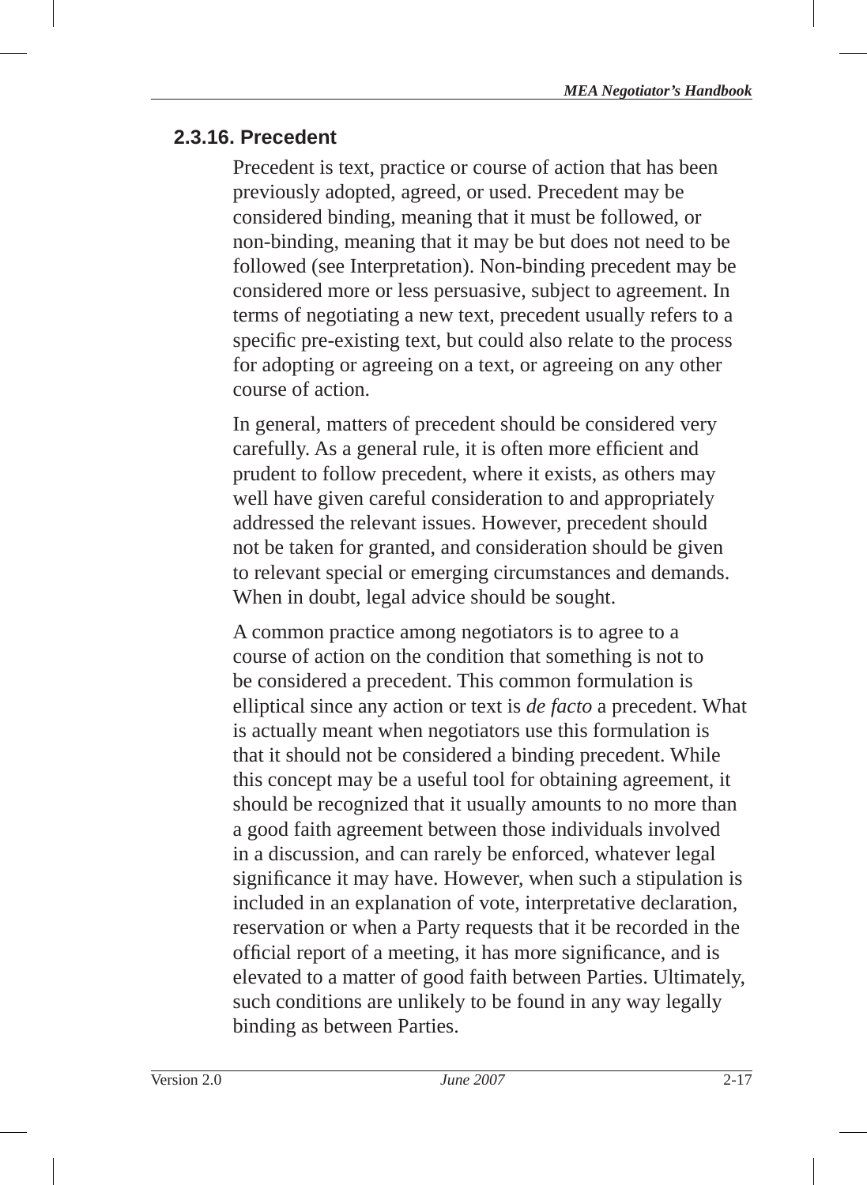#### **2.3.16. Precedent**

Precedent is text, practice or course of action that has been previously adopted, agreed, or used. Precedent may be considered binding, meaning that it must be followed, or non-binding, meaning that it may be but does not need to be followed (see Interpretation). Non-binding precedent may be considered more or less persuasive, subject to agreement. In terms of negotiating a new text, precedent usually refers to a specific pre-existing text, but could also relate to the process for adopting or agreeing on a text, or agreeing on any other course of action.

In general, matters of precedent should be considered very carefully. As a general rule, it is often more efficient and prudent to follow precedent, where it exists, as others may well have given careful consideration to and appropriately addressed the relevant issues. However, precedent should not be taken for granted, and consideration should be given to relevant special or emerging circumstances and demands. When in doubt, legal advice should be sought.

A common practice among negotiators is to agree to a course of action on the condition that something is not to be considered a precedent. This common formulation is elliptical since any action or text is *de facto* a precedent. What is actually meant when negotiators use this formulation is that it should not be considered a binding precedent. While this concept may be a useful tool for obtaining agreement, it should be recognized that it usually amounts to no more than a good faith agreement between those individuals involved in a discussion, and can rarely be enforced, whatever legal significance it may have. However, when such a stipulation is included in an explanation of vote, interpretative declaration, reservation or when a Party requests that it be recorded in the official report of a meeting, it has more significance, and is elevated to a matter of good faith between Parties. Ultimately, such conditions are unlikely to be found in any way legally binding as between Parties.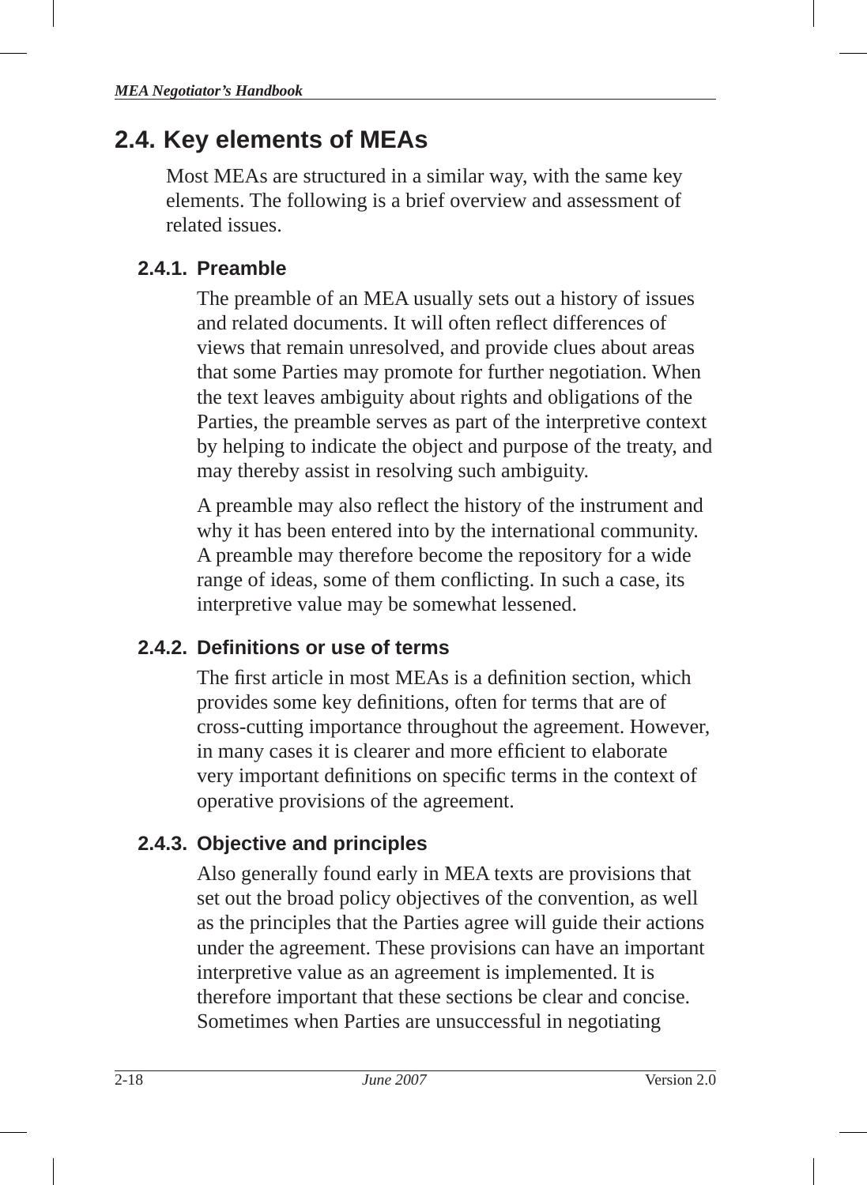# **2.4. Key elements of MEAs**

Most MEAs are structured in a similar way, with the same key elements. The following is a brief overview and assessment of related issues.

# **2.4.1. Preamble**

The preamble of an MEA usually sets out a history of issues and related documents. It will often reflect differences of views that remain unresolved, and provide clues about areas that some Parties may promote for further negotiation. When the text leaves ambiguity about rights and obligations of the Parties, the preamble serves as part of the interpretive context by helping to indicate the object and purpose of the treaty, and may thereby assist in resolving such ambiguity.

A preamble may also reflect the history of the instrument and why it has been entered into by the international community. A preamble may therefore become the repository for a wide range of ideas, some of them conflicting. In such a case, its interpretive value may be somewhat lessened.

# **2.4.2. Defi nitions or use of terms**

The first article in most MEAs is a definition section, which provides some key definitions, often for terms that are of cross-cutting importance throughout the agreement. However, in many cases it is clearer and more efficient to elaborate very important definitions on specific terms in the context of operative provisions of the agreement.

# **2.4.3. Objective and principles**

Also generally found early in MEA texts are provisions that set out the broad policy objectives of the convention, as well as the principles that the Parties agree will guide their actions under the agreement. These provisions can have an important interpretive value as an agreement is implemented. It is therefore important that these sections be clear and concise. Sometimes when Parties are unsuccessful in negotiating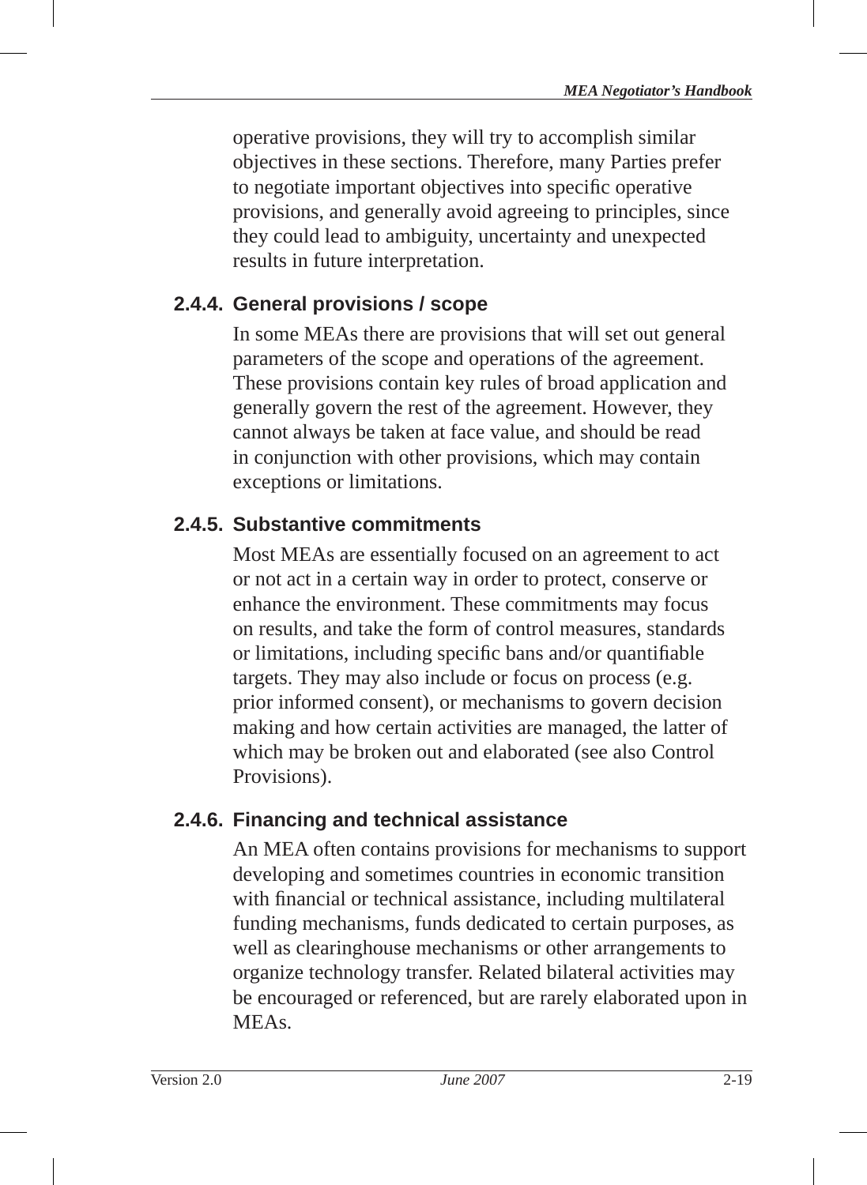operative provisions, they will try to accomplish similar objectives in these sections. Therefore, many Parties prefer to negotiate important objectives into specific operative provisions, and generally avoid agreeing to principles, since they could lead to ambiguity, uncertainty and unexpected results in future interpretation.

# **2.4.4. General provisions / scope**

In some MEAs there are provisions that will set out general parameters of the scope and operations of the agreement. These provisions contain key rules of broad application and generally govern the rest of the agreement. However, they cannot always be taken at face value, and should be read in conjunction with other provisions, which may contain exceptions or limitations.

# **2.4.5. Substantive commitments**

Most MEAs are essentially focused on an agreement to act or not act in a certain way in order to protect, conserve or enhance the environment. These commitments may focus on results, and take the form of control measures, standards or limitations, including specific bans and/or quantifiable targets. They may also include or focus on process (e.g. prior informed consent), or mechanisms to govern decision making and how certain activities are managed, the latter of which may be broken out and elaborated (see also Control Provisions).

## **2.4.6. Financing and technical assistance**

An MEA often contains provisions for mechanisms to support developing and sometimes countries in economic transition with financial or technical assistance, including multilateral funding mechanisms, funds dedicated to certain purposes, as well as clearinghouse mechanisms or other arrangements to organize technology transfer . Related bilateral activities may be encouraged or referenced, but are rarely elaborated upon in MEAs.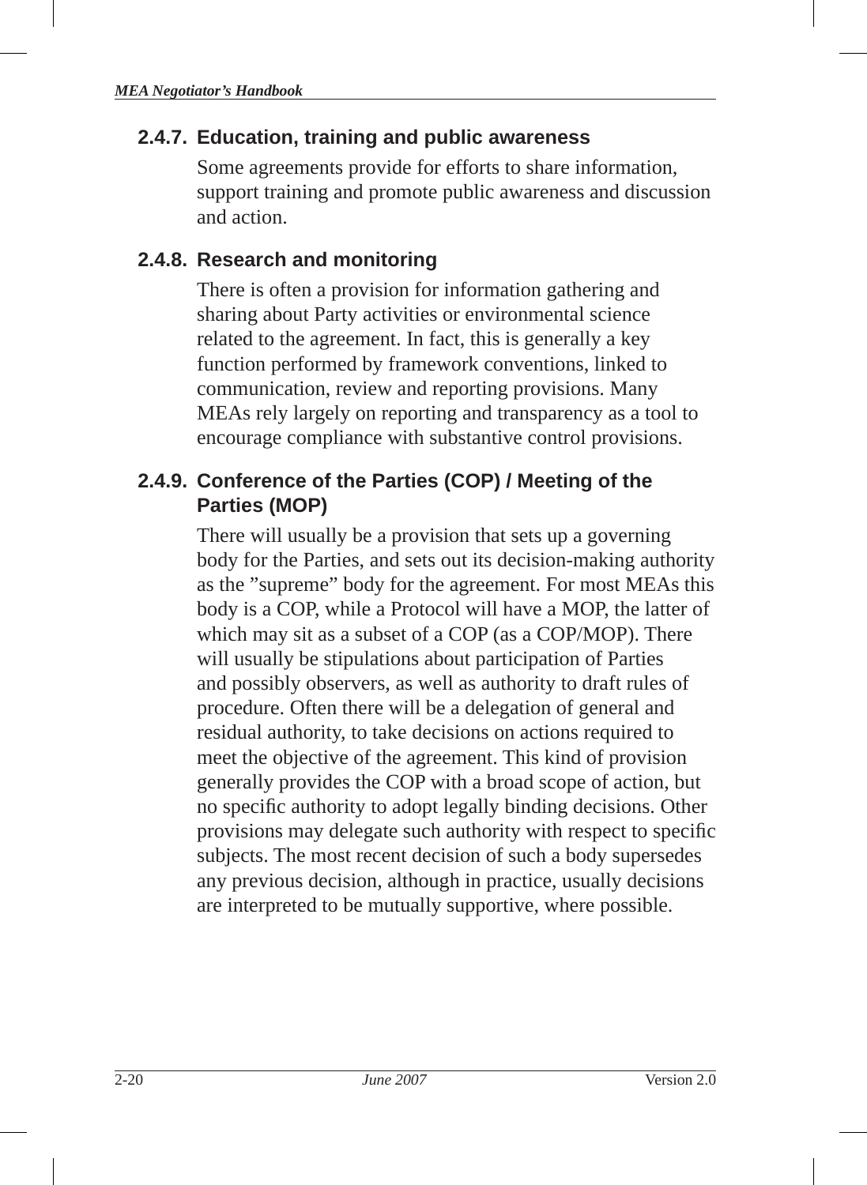#### **2.4.7. Education, training and public awareness**

Some agreements provide for efforts to share information, support training and promote public awareness and discussion and action.

#### **2.4.8. Research and monitoring**

There is often a provision for information gathering and sharing about Party activities or environmental science related to the agreement. In fact, this is generally a key function performed by framework conventions, linked to communication, review and reporting provisions. Many MEAs rely largely on reporting and transparency as a tool to encourage compliance with substantive control provisions.

## **2.4.9. Conference of the Parties(COP) / Meeting of the Parties(MOP)**

There will usually be a provision that sets up a governing body for the Parties, and sets out its decision-making authority as the "supreme" body for the agreement. For most MEAs this body is a COP, while a Protocol will have a MOP, the latter of which may sit as a subset of a COP (as a COP/MOP). There will usually be stipulations about participation of Parties and possibly observers, as well as authority to draft rules of procedure. Often there will be a delegation of general and residual authority, to take decisions on actions required to meet the objective of the agreement. This kind of provision generally provides the COP with a broad scope of action, but no specific authority to adopt legally binding decisions. Other provisions may delegate such authority with respect to specific subjects. The most recent decision of such a body supersedes any previous decision, although in practice, usually decisions are interpreted to be mutually supportive, where possible.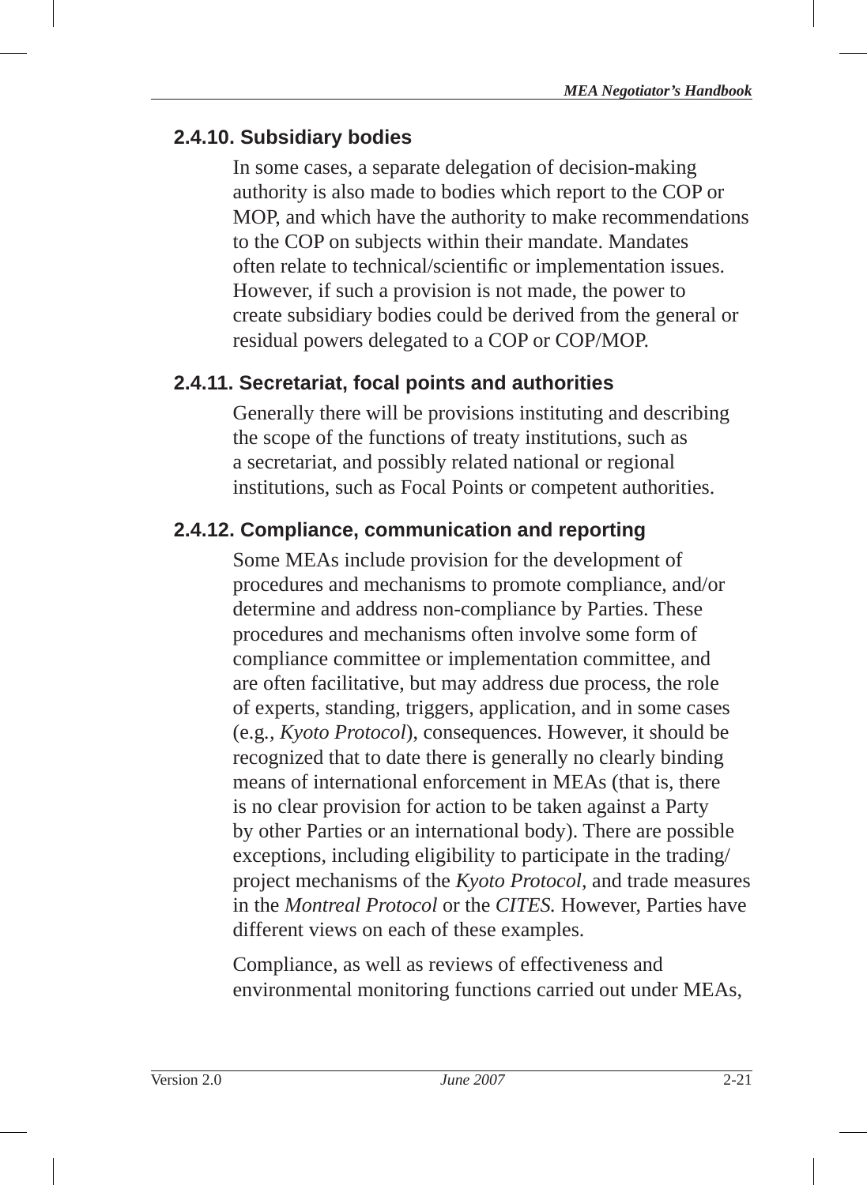#### **2.4.10. Subsidiary bodies**

In some cases, a separate delegation of decision-making authority is also made to bodies which report to the COP or MOP, and which have the authority to make recommendations to the COP on subjects within their mandate. Mandates often relate to technical/scientific or implementation issues. However, if such a provision is not made, the power to create subsidiary bodies could be derived from the general or residual powers delegated to a COP or COP/MOP.

# **2.4.11. Secretariat, focal points and authorities**

Generally there will be provisions instituting and describing the scope of the functions of treaty institutions, such as a secretariat, and possibly related national or regional institutions, such as Focal Points or competent authorities.

# **2.4.12. Compliance, communication and reporting**

Some MEAs include provision for the development of procedures and mechanisms to promote compliance, and/or determine and address non-compliance by Parties. These procedures and mechanisms often involve some form of compliance committee or implementation committee, and are often facilitative, but may address due process, the role of experts, standing, triggers, application, and in some cases (e.g*., Kyoto Protocol* ), consequences. However, it should be recognized that to date there is generally no clearly binding means of international enforcement in MEAs (that is, there is no clear provision for action to be taken against a Party by other Parties or an international body). There are possible exceptions, including eligibility to participate in the trading/ project mechanisms of the *Kyoto Protocol,* and trade measures in the *Montreal Protocol* or the *CITES.* However, Parties have different views on each of these examples.

Compliance, as well as reviews of effectiveness and environmental monitoring functions carried out under MEAs,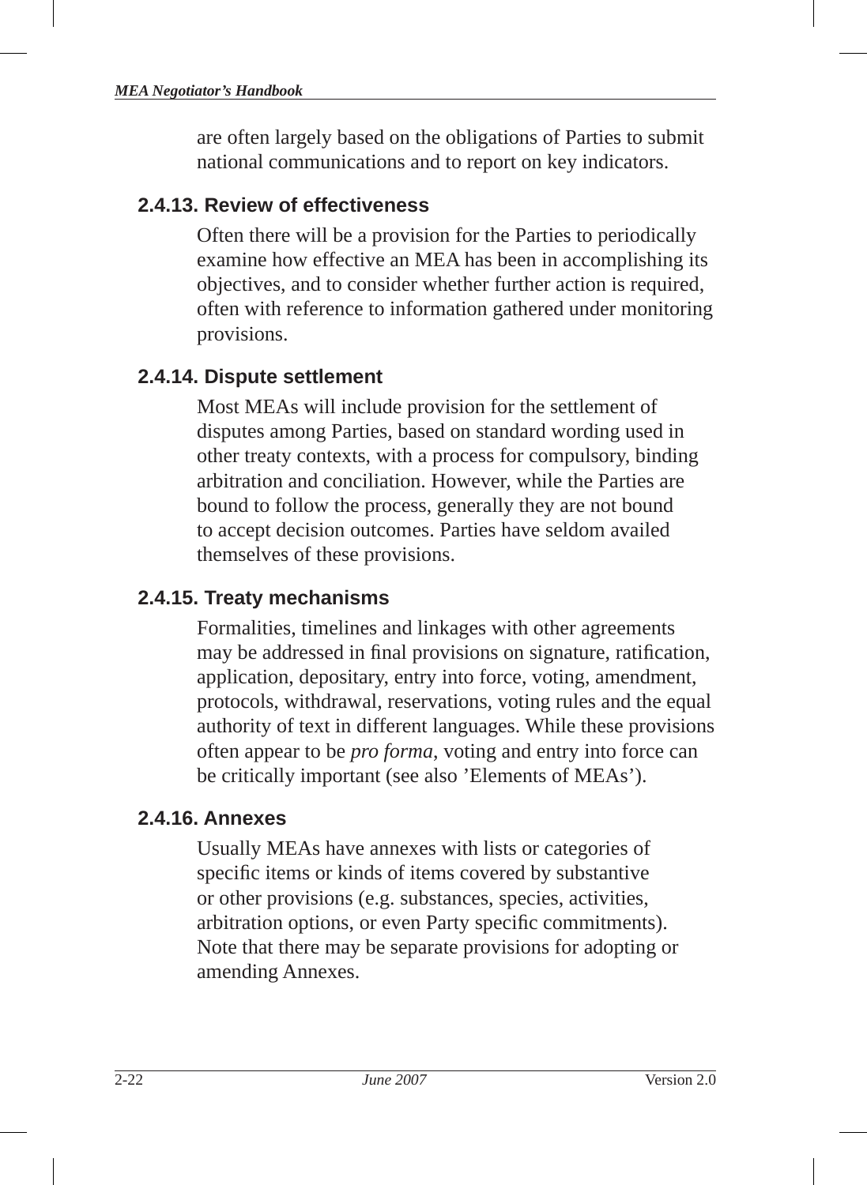are often largely based on the obligations of Parties to submit national communications and to report on key indicators.

#### **2.4.13. Review of effectiveness**

Often there will be a provision for the Parties to periodically examine how effective an MEA has been in accomplishing its objectives, and to consider whether further action is required, often with reference to information gathered under monitoring provisions.

## **2.4.14. Dispute settlement**

Most MEAs will include provision for the settlement of disputes among Parties, based on standard wording used in other treaty contexts, with a process for compulsory, binding arbitration and conciliation. However, while the Parties are bound to follow the process, generally they are not bound to accept decision outcomes. Parties have seldom availed themselves of these provisions.

# **2.4.15. Treaty mechanisms**

Formalities, timelines and linkages with other agreements may be addressed in final provisions on signature, ratification, application, depositary, entry into force, voting, amendment, protocols, withdrawal, reservations, voting rules and the equal authority of text in different languages . While these provisions often appear to be *pro forma*, voting and entry into force can be critically important (see also 'Elements of MEAs').

## **2.4.16. Annexes**

Usually MEAs have annexes with lists or categories of specific items or kinds of items covered by substantive or other provisions (e.g. substances, species, activities, arbitration options, or even Party specific commitments). Note that there may be separate provisions for adopting or amending Annexes.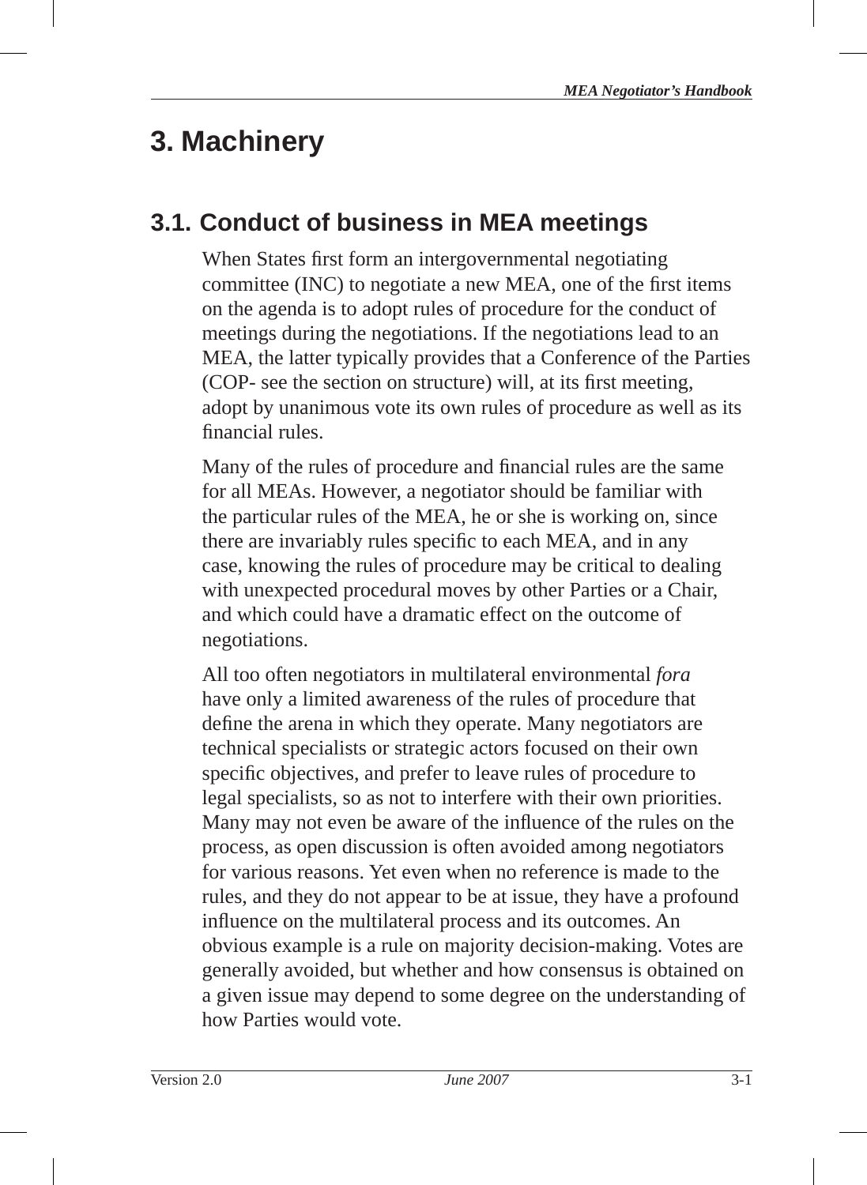# **3. Machinery**

# **3.1. Conduct of business in MEA meetings**

When States first form an intergovernmental negotiating committee (INC) to negotiate a new MEA, one of the first items on the agenda is to adopt rules of procedure for the conduct of meetings during the negotiations. If the negotiations lead to an MEA, the latter typically provides that a Conference of the Parties (COP- see the section on structure) will, at its first meeting, adopt by unanimous vote its own rules of procedure as well as its financial rules.

Many of the rules of procedure and financial rules are the same for all MEAs. However, a negotiator should be familiar with the particular rules of the MEA, he or she is working on, since there are invariably rules specific to each MEA, and in any case, knowing the rules of procedure may be critical to dealing with unexpected procedural moves by other Parties or a Chair, and which could have a dramatic effect on the outcome of negotiations.

All too often negotiators in multilateral environmental *fora* have only a limited awareness of the rules of procedure that define the arena in which they operate. Many negotiators are technical specialists or strategic actors focused on their own specific objectives, and prefer to leave rules of procedure to legal specialists, so as not to interfere with their own priorities. Many may not even be aware of the influence of the rules on the process, as open discussion is often avoided among negotiators for various reasons. Yet even when no reference is made to the rules, and they do not appear to be at issue, they have a profound influence on the multilateral process and its outcomes. An obvious example is a rule on majority decision-making. Votes are generally avoided, but whether and how consensus is obtained on a given issue may depend to some degree on the understanding of how Parties would vote.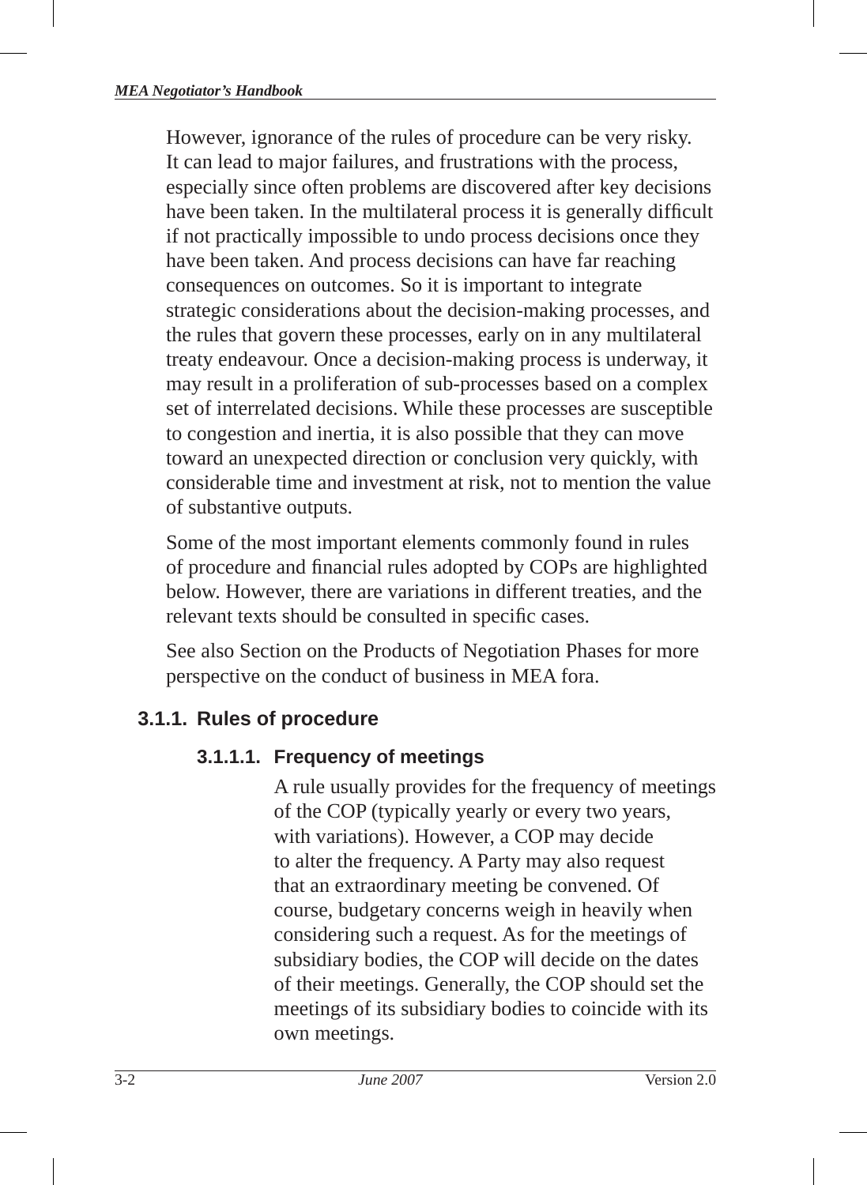However, ignorance of the rules of procedure can be very risky. It can lead to major failures, and frustrations with the process, especially since often problems are discovered after key decisions have been taken. In the multilateral process it is generally difficult if not practically impossible to undo process decisions once they have been taken. And process decisions can have far reaching consequences on outcomes. So it is important to integrate strategic considerations about the decision-making processes, and the rules that govern these processes, early on in any multilateral treaty endeavour. Once a decision-making process is underway, it may result in a proliferation of sub-processes based on a complex set of interrelated decisions. While these processes are susceptible to congestion and inertia, it is also possible that they can move toward an unexpected direction or conclusion very quickly, with considerable time and investment at risk, not to mention the value of substantive outputs.

Some of the most important elements commonly found in rules of procedure and financial rules adopted by COPs are highlighted below. However, there are variations in different treaties, and the relevant texts should be consulted in specific cases.

See also Section on the Products of Negotiation Phases for more perspective on the conduct of business in MEA fora.

# **3.1.1. Rules of procedure**

## **3.1.1.1. Frequency of meetings**

A rule usually provides for the frequency of meetings of the COP (typically yearly or every two years, with variations). However, a COP may decide to alter the frequency. A Party may also request that an extraordinary meeting be convened. Of course, budgetary concerns weigh in heavily when considering such a request. As for the meetings of subsidiary bodies, the COP will decide on the dates of their meetings. Generally, the COP should set the meetings of its subsidiary bodies to coincide with its own meetings.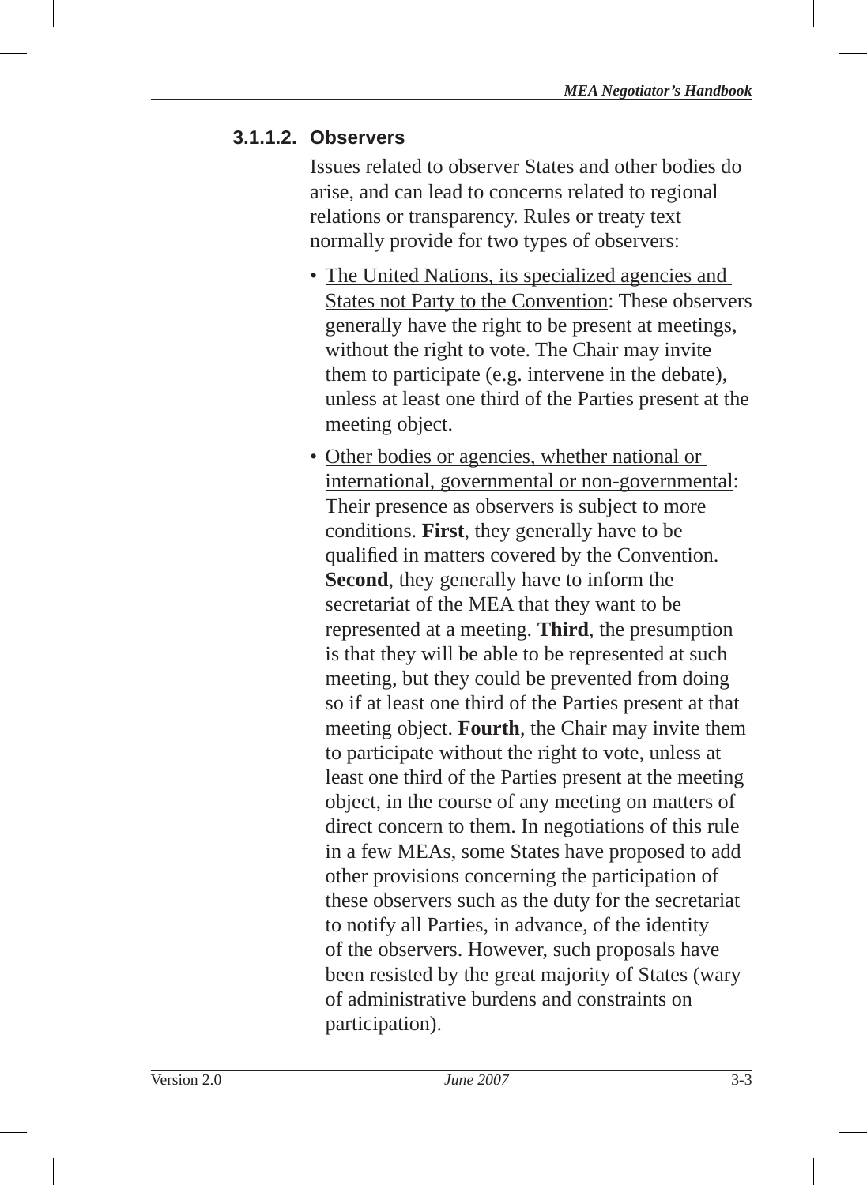#### **3.1.1.2. Observers**

Issues related to observer States and other bodies do arise, and can lead to concerns related to regional relations or transparency. Rules or treaty text normally provide for two types of observers:

- The United Nations, its specialized agencies and States not Party to the Convention: These observers generally have the right to be present at meetings, without the right to vote. The Chair may invite them to participate (e.g. intervene in the debate), unless at least one third of the Parties present at the meeting object.
- Other bodies or agencies, whether national or international, governmental or non-governmental: Their presence as observers is subject to more conditions. **First**, they generally have to be qualified in matters covered by the Convention. **Second**, they generally have to inform the secretariat of the MEA that they want to be represented at a meeting. **Third**, the presumption is that they will be able to be represented at such meeting, but they could be prevented from doing so if at least one third of the Parties present at that meeting object. **Fourth**, the Chair may invite them to participate without the right to vote, unless at least one third of the Parties present at the meeting object, in the course of any meeting on matters of direct concern to them. In negotiations of this rule in a few MEAs, some States have proposed to add other provisions concerning the participation of these observers such as the duty for the secretariat to notify all Parties, in advance, of the identity of the observers. However, such proposals have been resisted by the great majority of States (wary of administrative burdens and constraints on participation).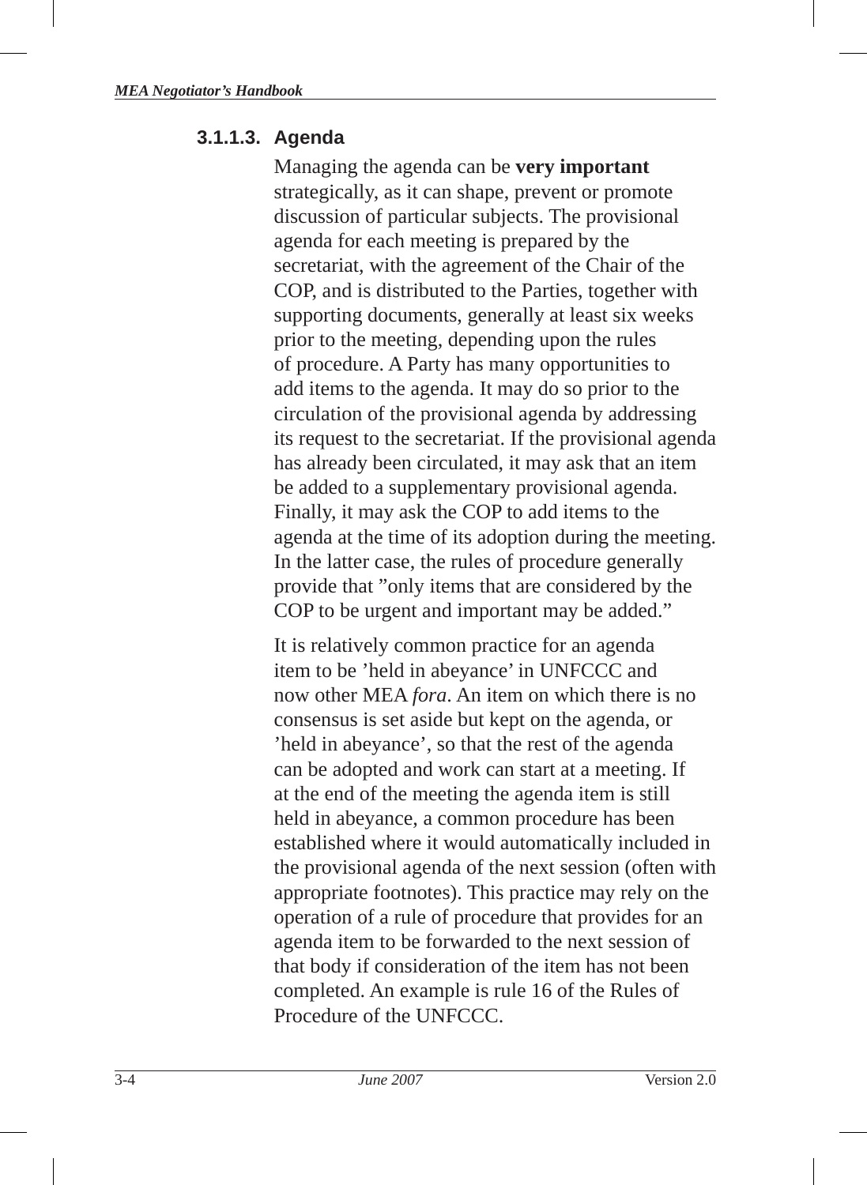#### **3.1.1.3. Agenda**

Managing the agenda can be **very important**  strategically, as it can shape, prevent or promote discussion of particular subjects. The provisional agenda for each meeting is prepared by the secretariat, with the agreement of the Chair of the COP, and is distributed to the Parties, together with supporting documents, generally at least six weeks prior to the meeting, depending upon the rules of procedure. A Party has many opportunities to add items to the agenda. It may do so prior to the circulation of the provisional agenda by addressing its request to the secretariat. If the provisional agenda has already been circulated, it may ask that an item be added to a supplementary provisional agenda. Finally, it may ask the COP to add items to the agenda at the time of its adoption during the meeting. In the latter case, the rules of procedure generally provide that "only items that are considered by the COP to be urgent and important may be added."

It is relatively common practice for an agenda item to be 'held in abeyance' in UNFCCC and now other MEA *fora*. An item on which there is no consensus is set aside but kept on the agenda, or 'held in abeyance', so that the rest of the agenda can be adopted and work can start at a meeting. If at the end of the meeting the agenda item is still held in abeyance, a common procedure has been established where it would automatically included in the provisional agenda of the next session (often with appropriate footnotes). This practice may rely on the operation of a rule of procedure that provides for an agenda item to be forwarded to the next session of that body if consideration of the item has not been completed. An example is rule 16 of the Rules of Procedure of the UNFCCC.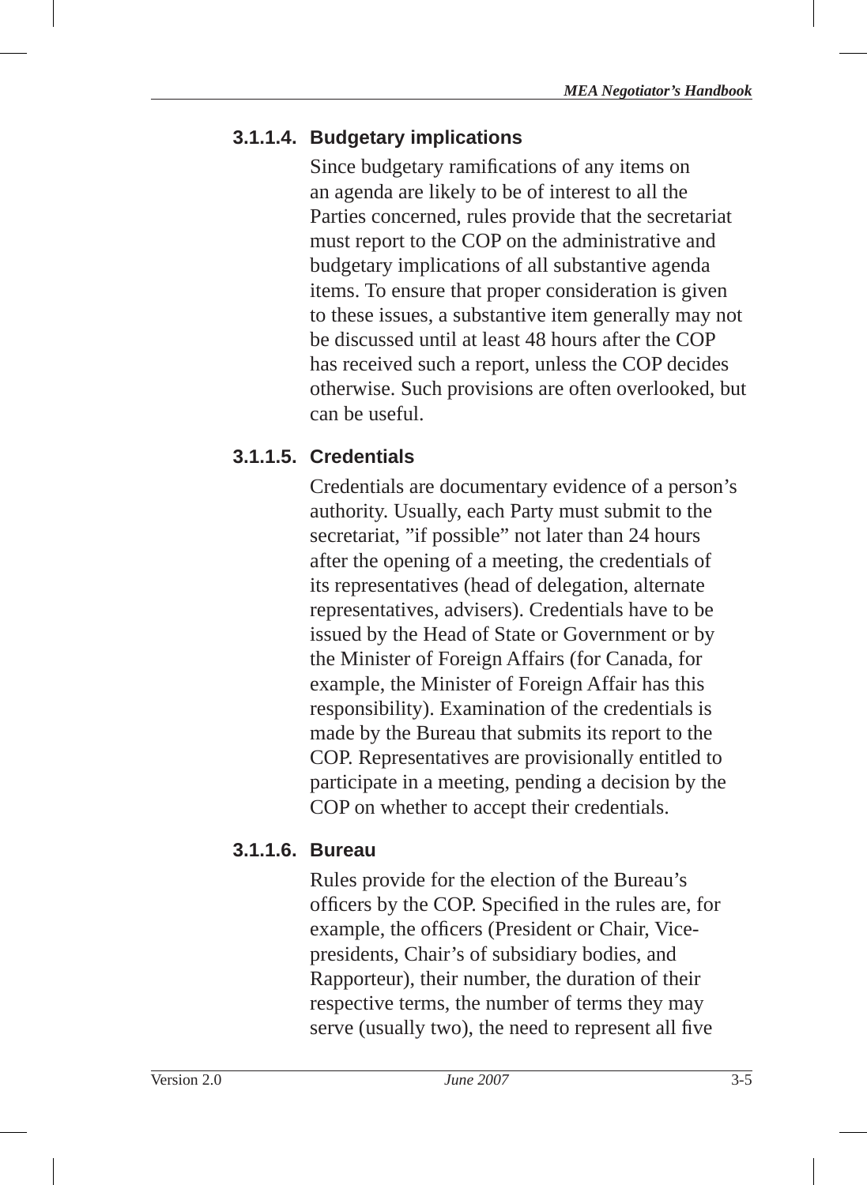# **3.1.1.4. Budgetary implications**

Since budgetary ramifications of any items on an agenda are likely to be of interest to all the Parties concerned, rules provide that the secretariat must report to the COP on the administrative and budgetary implications of all substantive agenda items. To ensure that proper consideration is given to these issues, a substantive item generally may not be discussed until at least 48 hours after the COP has received such a report, unless the COP decides otherwise. Such provisions are often overlooked, but can be useful.

# **3.1.1.5. Credentials**

Credentials are documentary evidence of a person's authority. Usually, each Party must submit to the secretariat, "if possible" not later than 24 hours after the opening of a meeting, the credentials of its representatives (head of delegation, alternate representatives, advisers). Credentials have to be issued by the Head of State or Government or by the Minister of Foreign Affairs (for Canada, for example, the Minister of Foreign Affair has this responsibility). Examination of the credentials is made by the Bureau that submits its report to the COP. Representatives are provisionally entitled to participate in a meeting, pending a decision by the COP on whether to accept their credentials.

## **3.1.1.6. Bureau**

Rules provide for the election of the Bureau's officers by the COP. Specified in the rules are, for example, the officers (President or Chair, Vicepresidents, Chair's of subsidiary bodies, and Rapporteur), their number, the duration of their respective terms, the number of terms they may serve (usually two), the need to represent all five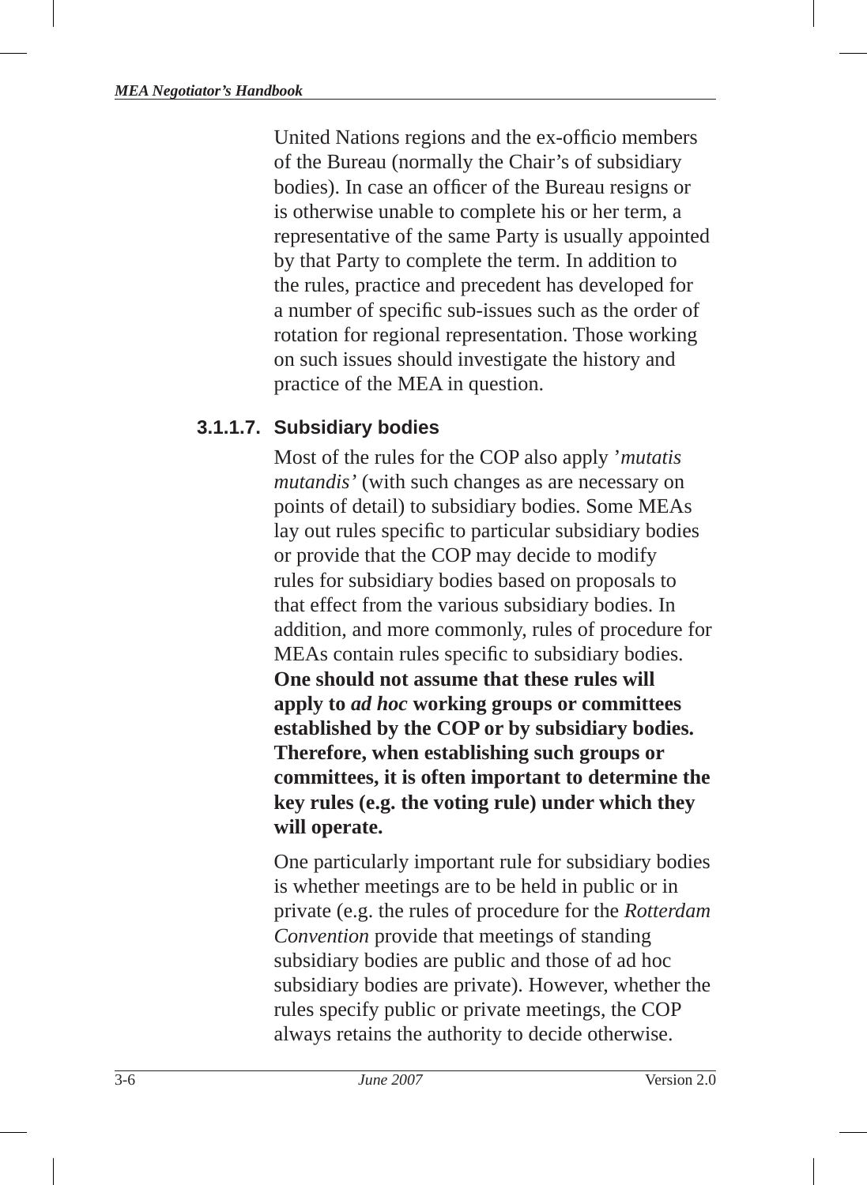United Nations regions and the ex-officio members of the Bureau (normally the Chair's of subsidiary bodies). In case an officer of the Bureau resigns or is otherwise unable to complete his or her term, a representative of the same Party is usually appointed by that Party to complete the term. In addition to the rules, practice and precedent has developed for a number of specific sub-issues such as the order of rotation for regional representation. Those working on such issues should investigate the history and practice of the MEA in question.

#### **3.1.1.7. Subsidiary bodies**

Most of the rules for the COP also apply '*mutatis mutandis'* (with such changes as are necessary on points of detail) to subsidiary bodies. Some MEAs lay out rules specific to particular subsidiary bodies or provide that the COP may decide to modify rules for subsidiary bodies based on proposals to that effect from the various subsidiary bodies. In addition, and more commonly, rules of procedure for MEAs contain rules specific to subsidiary bodies. **One should not assume that these rules will apply to** *ad hoc* **working groups or committees established by the COP or by subsidiary bodies. Therefore, when establishing such groups or committees, it is often important to determine the key rules (e.g. the voting rule) under which they will operate.**

One particularly important rule for subsidiary bodies is whether meetings are to be held in public or in private (e.g. the rules of procedure for the *Rotterdam Convention* provide that meetings of standing subsidiary bodies are public and those of ad hoc subsidiary bodies are private). However, whether the rules specify public or private meetings, the COP always retains the authority to decide otherwise.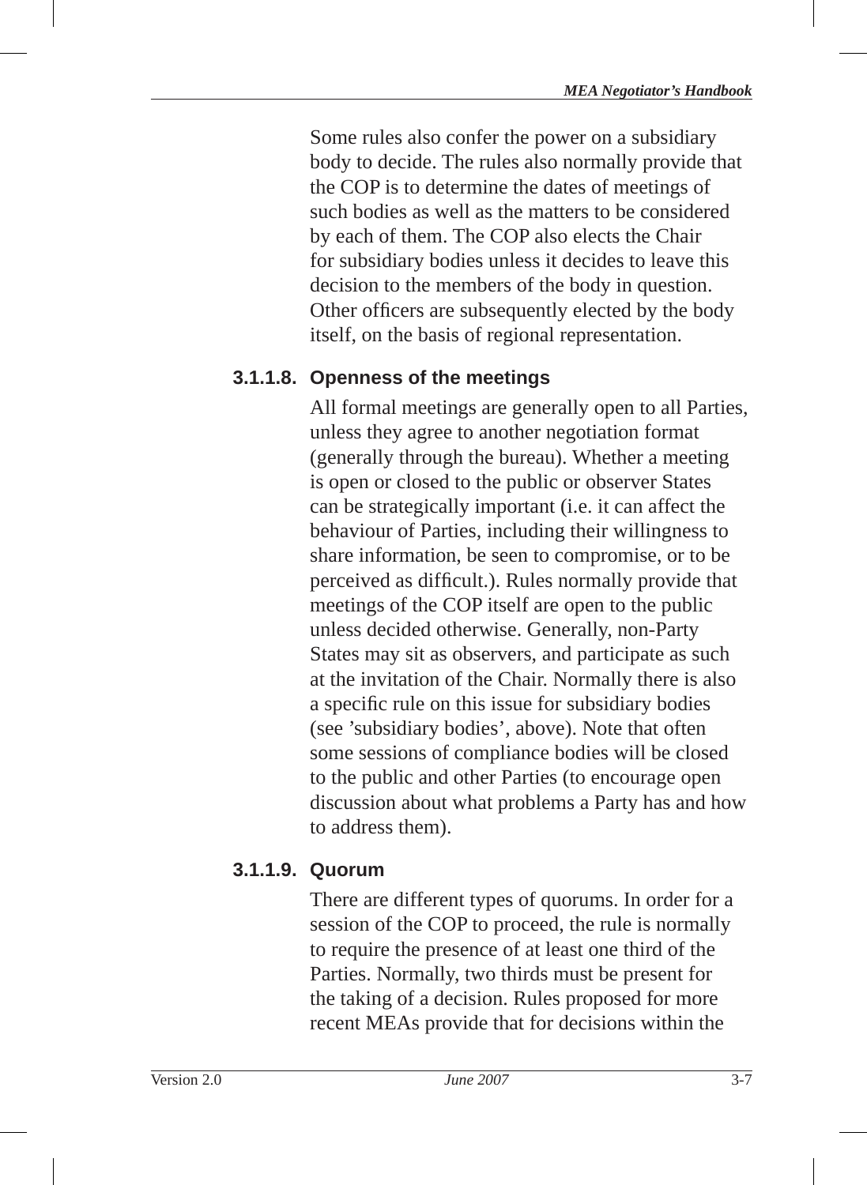Some rules also confer the power on a subsidiary body to decide. The rules also normally provide that the COP is to determine the dates of meetings of such bodies as well as the matters to be considered by each of them. The COP also elects the Chair for subsidiary bodies unless it decides to leave this decision to the members of the body in question. Other officers are subsequently elected by the body itself, on the basis of regional representation.

#### **3.1.1.8. Openness of the meetings**

All formal meetings are generally open to all Parties, unless they agree to another negotiation format (generally through the bureau). Whether a meeting is open or closed to the public or observer States can be strategically important (i.e. it can affect the behaviour of Parties, including their willingness to share information, be seen to compromise, or to be perceived as difficult.). Rules normally provide that meetings of the COP itself are open to the public unless decided otherwise. Generally, non-Party States may sit as observers, and participate as such at the invitation of the Chair. Normally there is also a specific rule on this issue for subsidiary bodies (see 'subsidiary bodies', above). Note that often some sessions of compliance bodies will be closed to the public and other Parties (to encourage open discussion about what problems a Party has and how to address them).

## **3.1.1.9. Quorum**

There are different types of quorums. In order for a session of the COP to proceed, the rule is normally to require the presence of at least one third of the Parties. Normally, two thirds must be present for the taking of a decision. Rules proposed for more recent MEAs provide that for decisions within the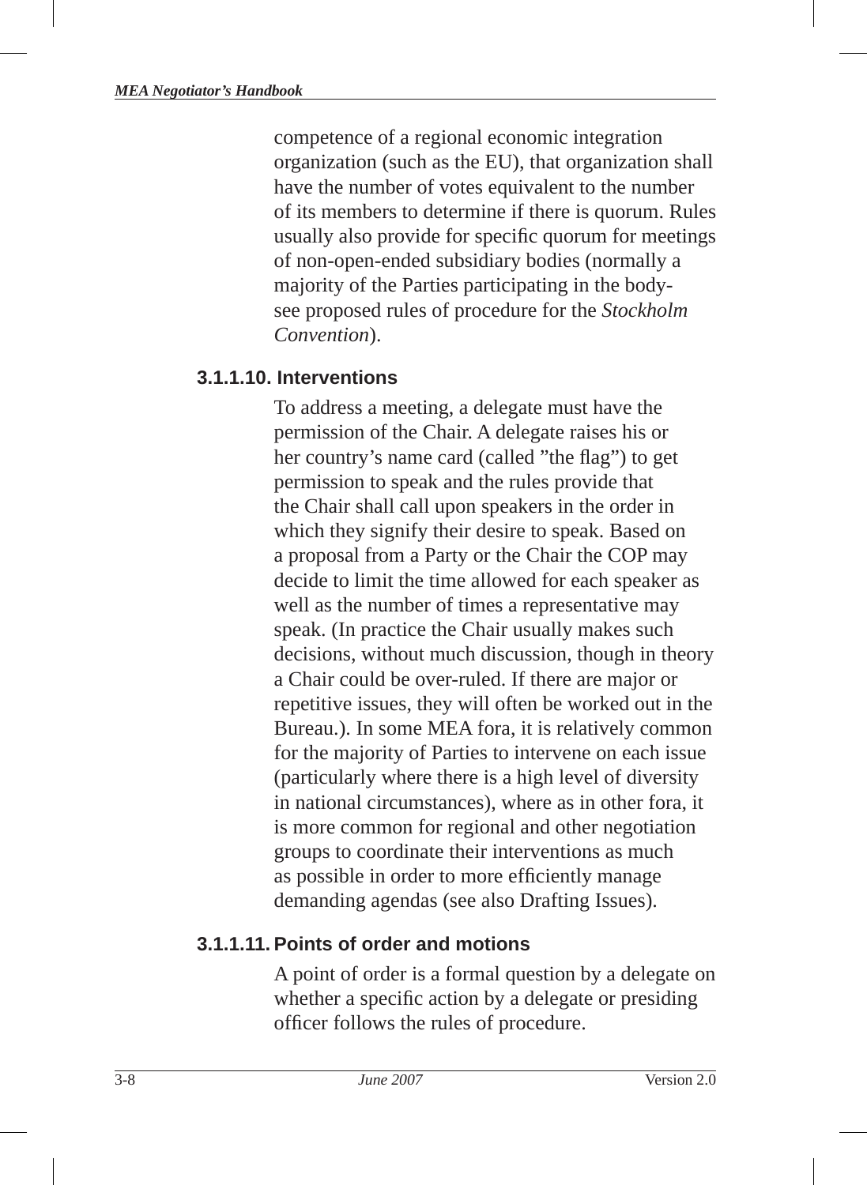competence of a regional economic integration organization (such as the EU ), that organization shall have the number of votes equivalent to the number of its members to determine if there is quorum . Rules usually also provide for specific quorum for meetings of non-open-ended subsidiary bodies (normally a majority of the Parties participating in the bodysee proposed rules of procedure for the *Stockholm Convention*).

#### **3.1.1.10. Interventions**

To address a meeting, a delegate must have the permission of the Chair. A delegate raises his or her country's name card (called "the flag") to get permission to speak and the rules provide that the Chair shall call upon speakers in the order in which they signify their desire to speak. Based on a proposal from a Party or the Chair the COP may decide to limit the time allowed for each speaker as well as the number of times a representative may speak. (In practice the Chair usually makes such decisions, without much discussion, though in theory a Chair could be over-ruled. If there are major or repetitive issues, they will often be worked out in the Bureau.). In some MEA fora, it is relatively common for the majority of Parties to intervene on each issue (particularly where there is a high level of diversity in national circumstances), where as in other fora, it is more common for regional and other negotiation groups to coordinate their interventions as much as possible in order to more efficiently manage demanding agendas (see also Drafting Issues).

## **3.1.1.11. Points of order and motions**

A point of order is a formal question by a delegate on whether a specific action by a delegate or presiding officer follows the rules of procedure.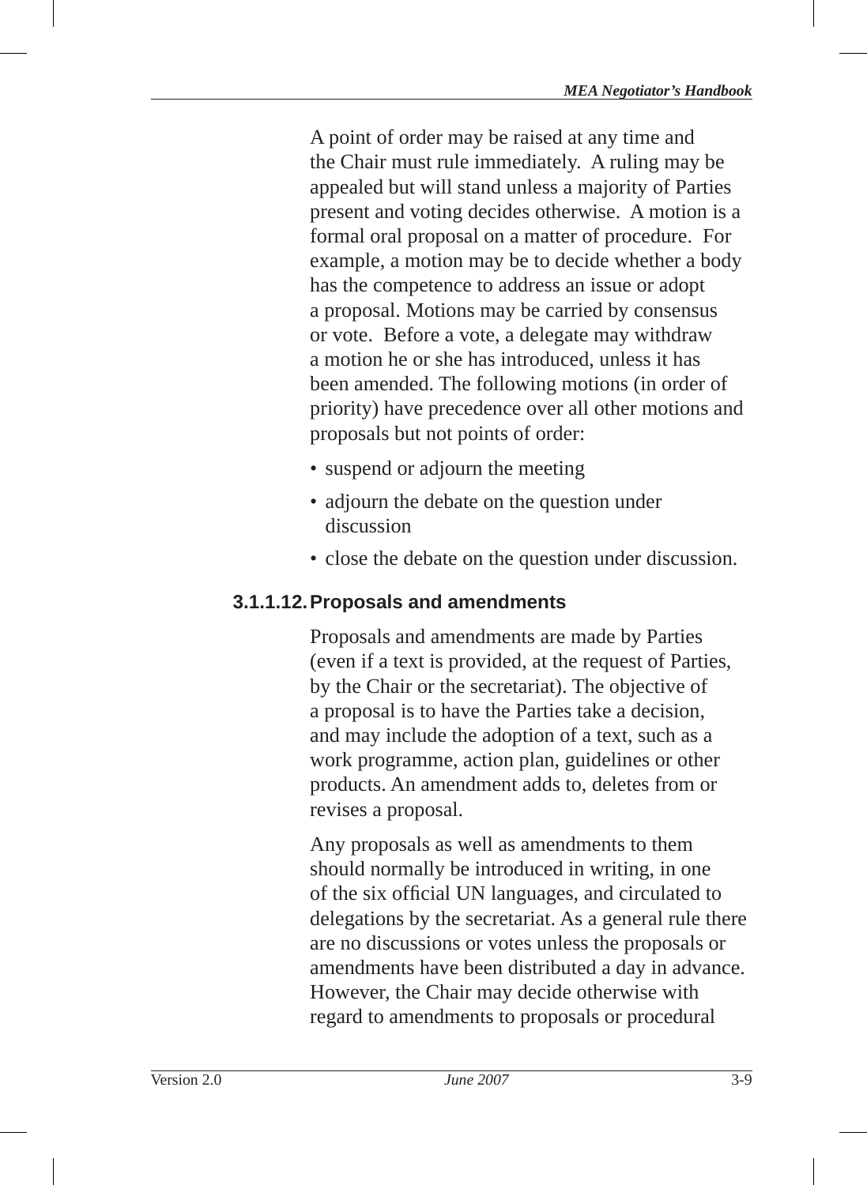A point of order may be raised at any time and the Chair must rule immediately. A ruling may be appealed but will stand unless a majority of Parties present and voting decides otherwise. A motion is a formal oral proposal on a matter of procedure. For example, a motion may be to decide whether a body has the competence to address an issue or adopt a proposal. Motions may be carried by consensus or vote. Before a vote, a delegate may withdraw a motion he or she has introduced, unless it has been amended. The following motions (in order of priority) have precedence over all other motions and proposals but not points of order:

- suspend or adjourn the meeting
- adjourn the debate on the question under discussion
- close the debate on the question under discussion.

#### **3.1.1.12. Proposals and amendments**

Proposals and amendments are made by Parties (even if a text is provided, at the request of Parties, by the Chair or the secretariat). The objective of a proposal is to have the Parties take a decision, and may include the adoption of a text, such as a work programme, action plan, guidelines or other products. An amendment adds to, deletes from or revises a proposal.

Any proposals as well as amendments to them should normally be introduced in writing, in one of the six official UN languages, and circulated to delegations by the secretariat. As a general rule there are no discussions or votes unless the proposals or amendments have been distributed a day in advance. However, the Chair may decide otherwise with regard to amendments to proposals or procedural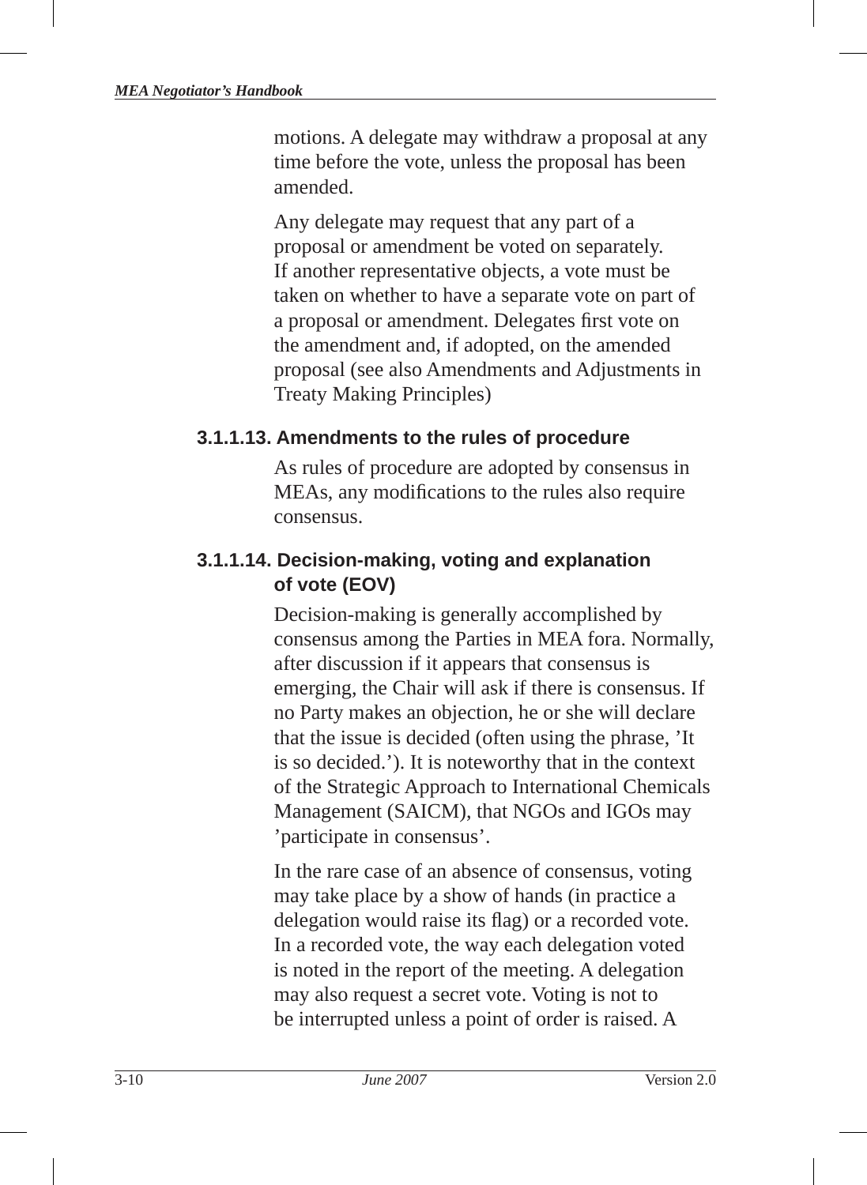motions . A delegate may withdraw a proposal at any time before the vote, unless the proposal has been amended.

Any delegate may request that any part of a proposal or amendment be voted on separately. If another representative objects, a vote must be taken on whether to have a separate vote on part of a proposal or amendment. Delegates first vote on the amendment and, if adopted, on the amended proposal (see also Amendments and Adjustments in Treaty Making Principles)

#### **3.1.1.13. Amendments to the rules of procedure**

As rules of procedure are adopted by consensus in MEAs, any modifications to the rules also require consensus.

#### **3.1.1.14. Decision-making, voting and explanation of vote (EOV)**

Decision-making is generally accomplished by consensus among the Parties in MEA fora. Normally, after discussion if it appears that consensus is emerging, the Chair will ask if there is consensus. If no Party makes an objection, he or she will declare that the issue is decided (often using the phrase, 'It is so decided.'). It is noteworthy that in the context of the Strategic Approach to International Chemicals Management (SAICM), that NGOs and IGOs may 'participate in consensus'.

In the rare case of an absence of consensus, voting may take place by a show of hands (in practice a delegation would raise its flag) or a recorded vote. In a recorded vote, the way each delegation voted is noted in the report of the meeting . A delegation may also request a secret vote. Voting is not to be interrupted unless a point of order is raised. A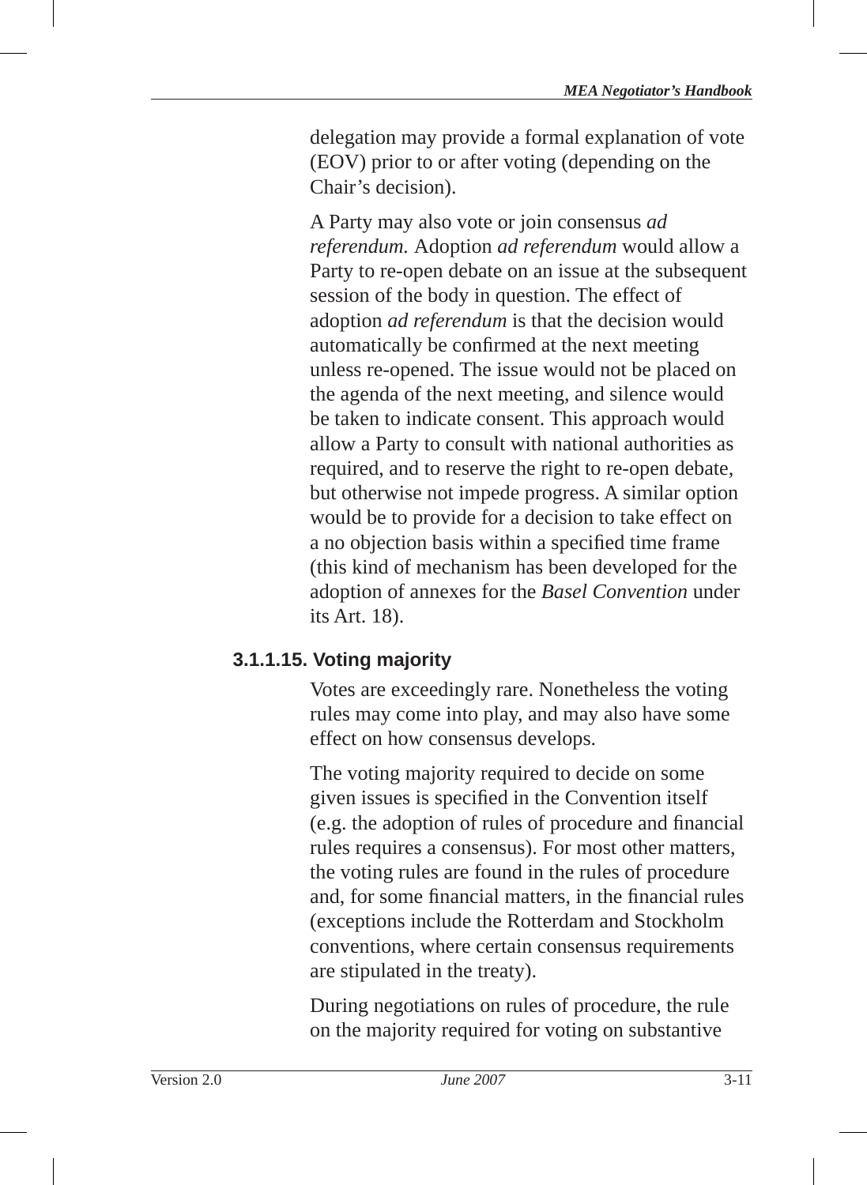delegation may provide a formal explanation of vote (EOV) prior to or after voting (depending on the Chair's decision).

A Party may also vote or join consensus *ad referendum .* Adoption *ad referendum* would allow a Party to re-open debate on an issue at the subsequent session of the body in question. The effect of adoption *ad referendum* is that the decision would automatically be confirmed at the next meeting unless re-opened. The issue would not be placed on the agenda of the next meeting, and silence would be taken to indicate consent. This approach would allow a Party to consult with national authorities as required, and to reserve the right to re-open debate, but otherwise not impede progress. A similar option would be to provide for a decision to take effect on a no objection basis within a specified time frame (this kind of mechanism has been developed for the adoption of annexes for the *Basel Convention* under its Art. 18).

#### **3.1.1.15. Voting majority**

Votes are exceedingly rare. Nonetheless the voting rules may come into play, and may also have some effect on how consensus develops.

The voting majority required to decide on some given issues is specified in the Convention itself (e.g. the adoption of rules of procedure and financial rules requires a consensus). For most other matters, the voting rules are found in the rules of procedure and, for some financial matters, in the financial rules (exceptions include the Rotterdam and Stockholm conventions, where certain consensus requirements are stipulated in the treaty).

During negotiations on rules of procedure, the rule on the majority required for voting on substantive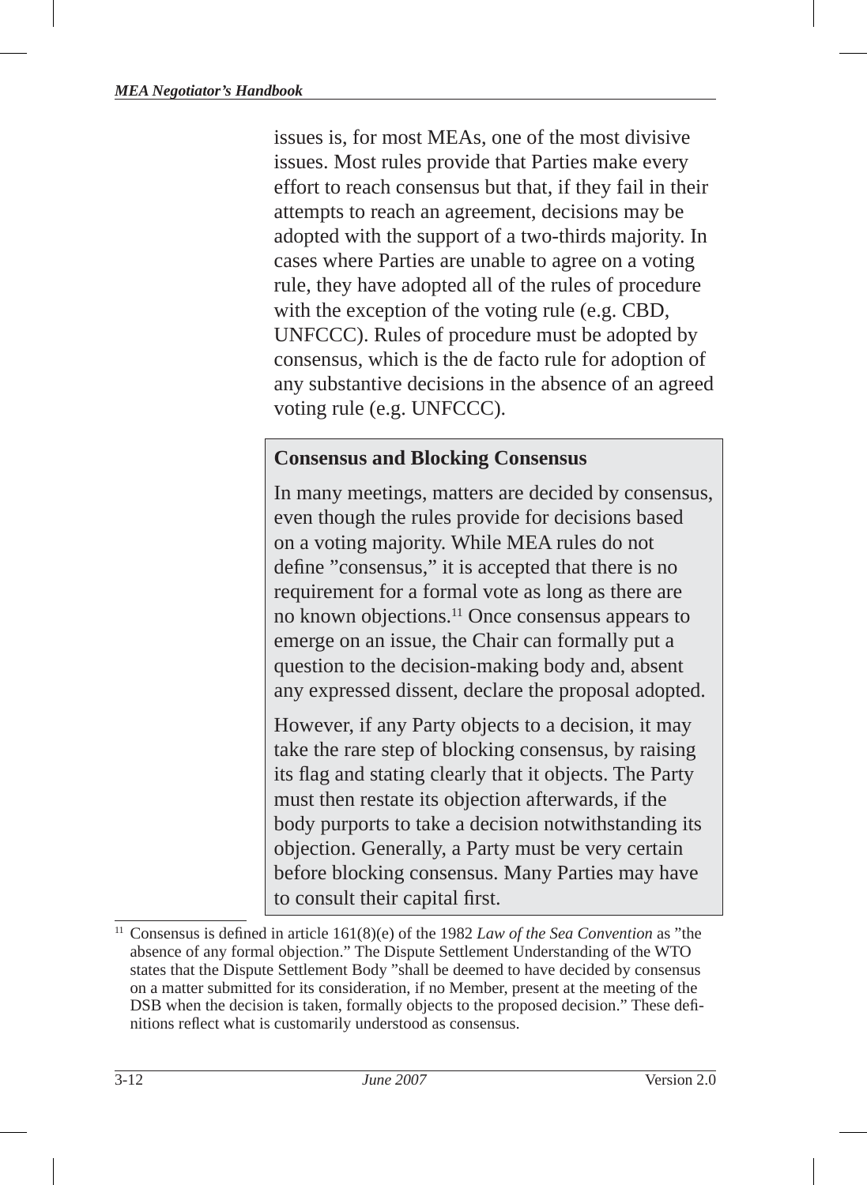issues is, for most MEAs, one of the most divisive issues. Most rules provide that Parties make every effort to reach consensus but that, if they fail in their attempts to reach an agreement, decisions may be adopted with the support of a two-thirds majority. In cases where Parties are unable to agree on a voting rule, they have adopted all of the rules of procedure with the exception of the voting rule (e.g. CBD, UNFCCC). Rules of procedure must be adopted by consensus, which is the de facto rule for adoption of any substantive decisions in the absence of an agreed voting rule (e.g. UNFCCC).

#### **Consensus and Blocking Consensus**

In many meetings, matters are decided by consensus, even though the rules provide for decisions based on a voting majority. While MEA rules do not define "consensus," it is accepted that there is no requirement for a formal vote as long as there are no known objections.11 Once consensus appears to emerge on an issue, the Chair can formally put a question to the decision-making body and, absent any expressed dissent, declare the proposal adopted.

However, if any Party objects to a decision, it may take the rare step of blocking consensus, by raising its flag and stating clearly that it objects. The Party must then restate its objection afterwards, if the body purports to take a decision notwithstanding its objection. Generally, a Party must be very certain before blocking consensus. Many Parties may have to consult their capital first.

Consensus is defined in article 161(8)(e) of the 1982 *Law of the Sea Convention* as "the absence of any formal objection." The Dispute Settlement Understanding of the WTO states that the Dispute Settlement Body "shall be deemed to have decided by consensus on a matter submitted for its consideration, if no Member, present at the meeting of the DSB when the decision is taken, formally objects to the proposed decision." These definitions reflect what is customarily understood as consensus.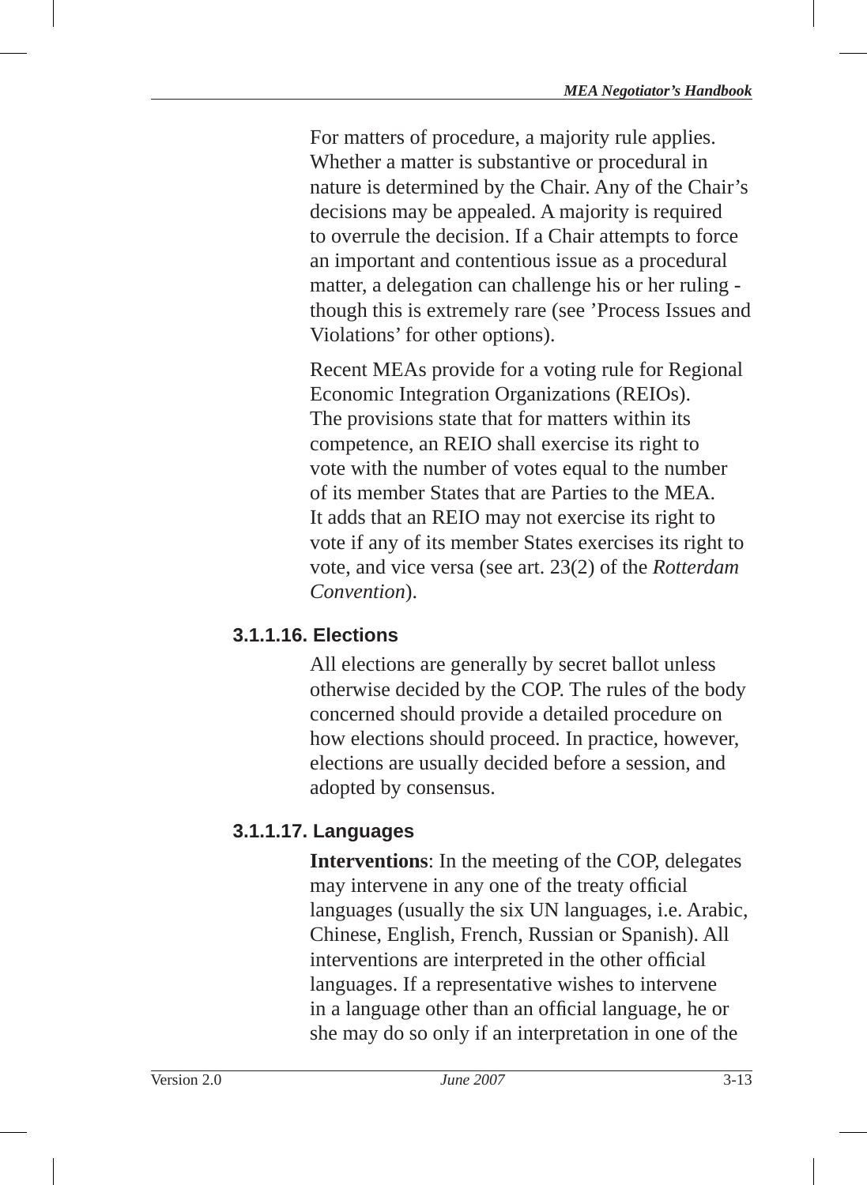For matters of procedure, a majority rule applies. Whether a matter is substantive or procedural in nature is determined by the Chair. Any of the Chair's decisions may be appealed. A majority is required to overrule the decision. If a Chair attempts to force an important and contentious issue as a procedural matter, a delegation can challenge his or her ruling though this is extremely rare (see 'Process Issues and Violations' for other options).

Recent MEAs provide for a voting rule for Regional Economic Integration Organizations (REIOs). The provisions state that for matters within its competence, an REIO shall exercise its right to vote with the number of votes equal to the number of its member States that are Parties to the MEA. It adds that an REIO may not exercise its right to vote if any of its member States exercises its right to vote, and vice versa (see art. 23(2) of the *Rotterdam Convention* ).

## **3.1.1.16. Elections**

All elections are generally by secret ballot unless otherwise decided by the COP. The rules of the body concerned should provide a detailed procedure on how elections should proceed. In practice, however, elections are usually decided before a session, and adopted by consensus.

## **3.1.1.17. Languages**

**Interventions**: In the meeting of the COP, delegates may intervene in any one of the treaty official languages (usually the six UN languages, i.e. Arabic, Chinese, English, French, Russian or Spanish). All interventions are interpreted in the other official languages. If a representative wishes to intervene in a language other than an official language, he or she may do so only if an interpretation in one of the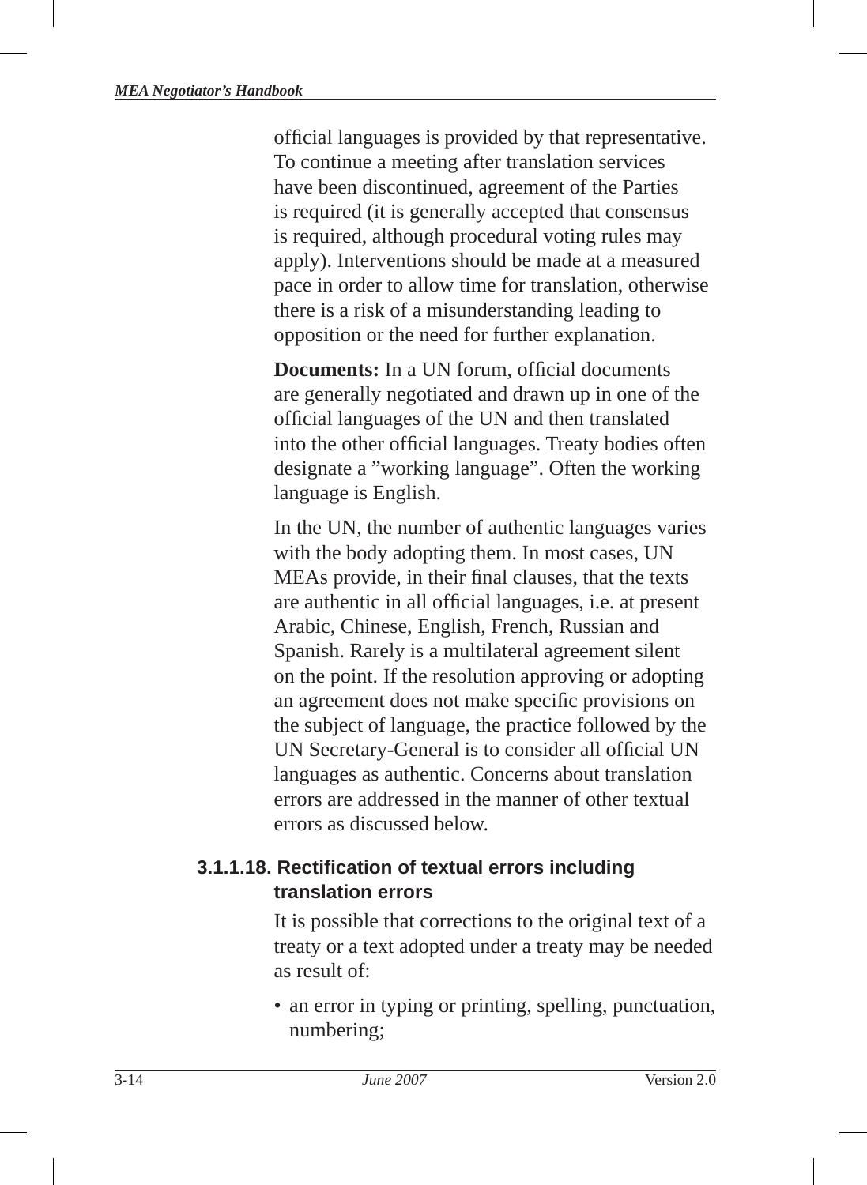official languages is provided by that representative. To continue a meeting after translation services have been discontinued, agreement of the Parties is required (it is generally accepted that consensus is required, although procedural voting rules may apply). Interventions should be made at a measured pace in order to allow time for translation, otherwise there is a risk of a misunderstanding leading to opposition or the need for further explanation.

**Documents:** In a UN forum, official documents are generally negotiated and drawn up in one of the official languages of the UN and then translated into the other official languages. Treaty bodies often designate a "working language". Often the working language is English.

In the UN, the number of authentic languages varies with the body adopting them. In most cases, UN MEAs provide, in their final clauses, that the texts are authentic in all official languages, *i.e.* at present Arabic, Chinese, English, French, Russian and Spanish. Rarely is a multilateral agreement silent on the point. If the resolution approving or adopting an agreement does not make specific provisions on the subject of language, the practice followed by the UN Secretary-General is to consider all official UN languages as authentic. Concerns about translation errors are addressed in the manner of other textual errors as discussed below.

#### **3.1.1.18. Rectifi cation of textual errors including translation errors**

It is possible that corrections to the original text of a treaty or a text adopted under a treaty may be needed as result of:

• an error in typing or printing, spelling, punctuation, numbering;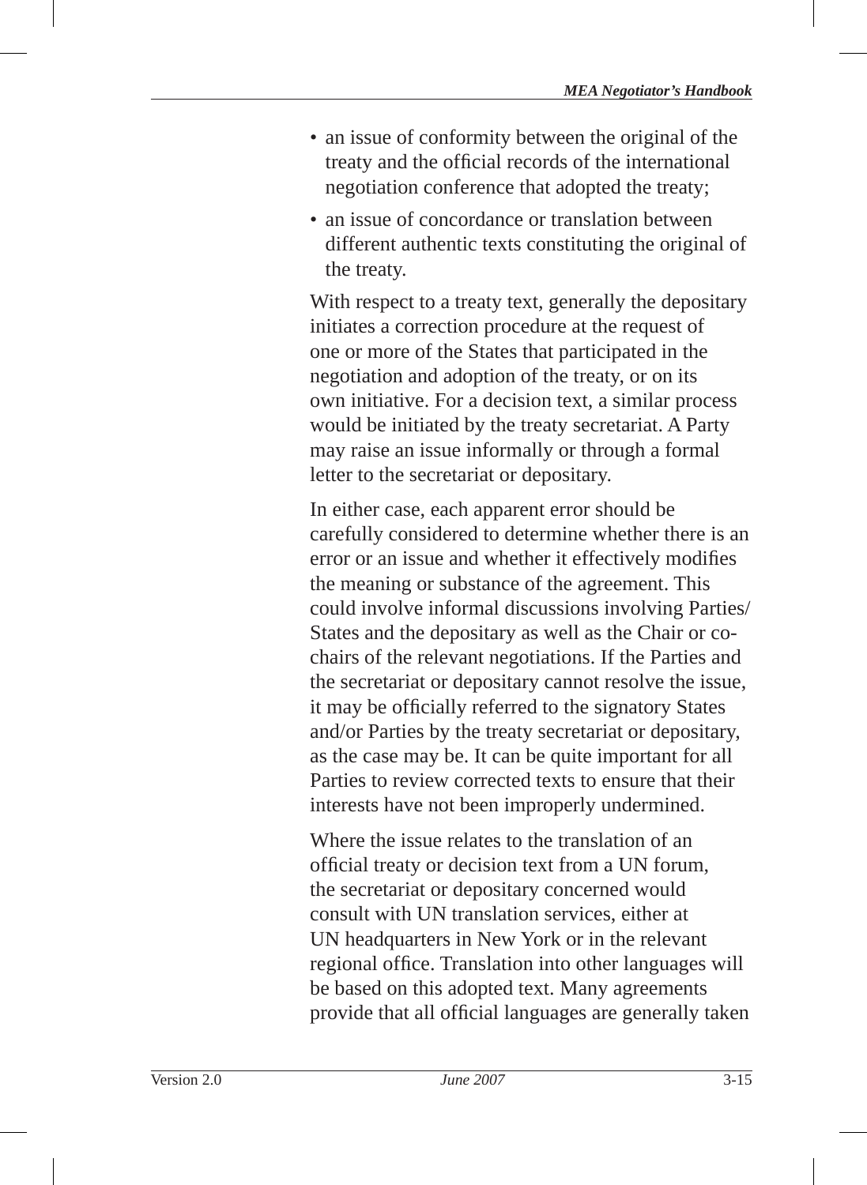- an issue of conformity between the original of the treaty and the official records of the international negotiation conference that adopted the treaty;
- an issue of concordance or translation between different authentic texts constituting the original of the treaty.

With respect to a treaty text, generally the depositary initiates a correction procedure at the request of one or more of the States that participated in the negotiation and adoption of the treaty, or on its own initiative. For a decision text, a similar process would be initiated by the treaty secretariat. A Party may raise an issue informally or through a formal letter to the secretariat or depositary.

In either case, each apparent error should be carefully considered to determine whether there is an error or an issue and whether it effectively modifies the meaning or substance of the agreement. This could involve informal discussions involving Parties/ States and the depositary as well as the Chair or cochairs of the relevant negotiations. If the Parties and the secretariat or depositary cannot resolve the issue, it may be officially referred to the signatory States and/or Parties by the treaty secretariat or depositary, as the case may be. It can be quite important for all Parties to review corrected texts to ensure that their interests have not been improperly undermined.

Where the issue relates to the translation of an official treaty or decision text from a UN forum, the secretariat or depositary concerned would consult with UN translation services, either at UN headquarters in New York or in the relevant regional office. Translation into other languages will be based on this adopted text. Many agreements provide that all official languages are generally taken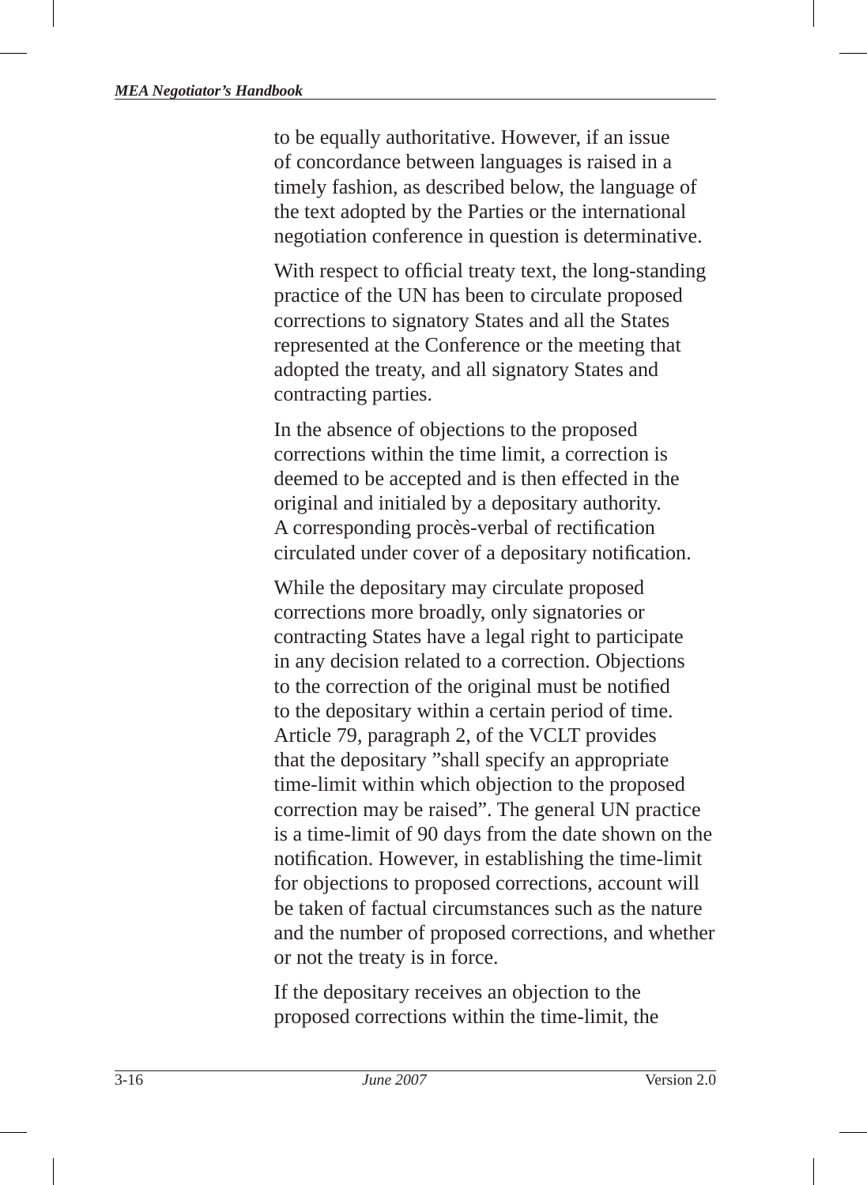to be equally authoritative. However, if an issue of concordance between languages is raised in a timely fashion, as described below, the language of the text adopted by the Parties or the international negotiation conference in question is determinative.

With respect to official treaty text, the long-standing practice of the UN has been to circulate proposed corrections to signatory States and all the States represented at the Conference or the meeting that adopted the treaty, and all signatory States and contracting parties.

In the absence of objections to the proposed corrections within the time limit, a correction is deemed to be accepted and is then effected in the original and initialed by a depositary authority. A corresponding procès-verbal of rectification circulated under cover of a depositary notification.

While the depositary may circulate proposed corrections more broadly, only signatories or contracting States have a legal right to participate in any decision related to a correction. Objections to the correction of the original must be notified to the depositary within a certain period of time. Article 79, paragraph 2, of the VCLT provides that the depositary "shall specify an appropriate time-limit within which objection to the proposed correction may be raised". The general UN practice is a time-limit of 90 days from the date shown on the notification. However, in establishing the time-limit for objections to proposed corrections, account will be taken of factual circumstances such as the nature and the number of proposed corrections, and whether or not the treaty is in force.

If the depositary receives an objection to the proposed corrections within the time-limit, the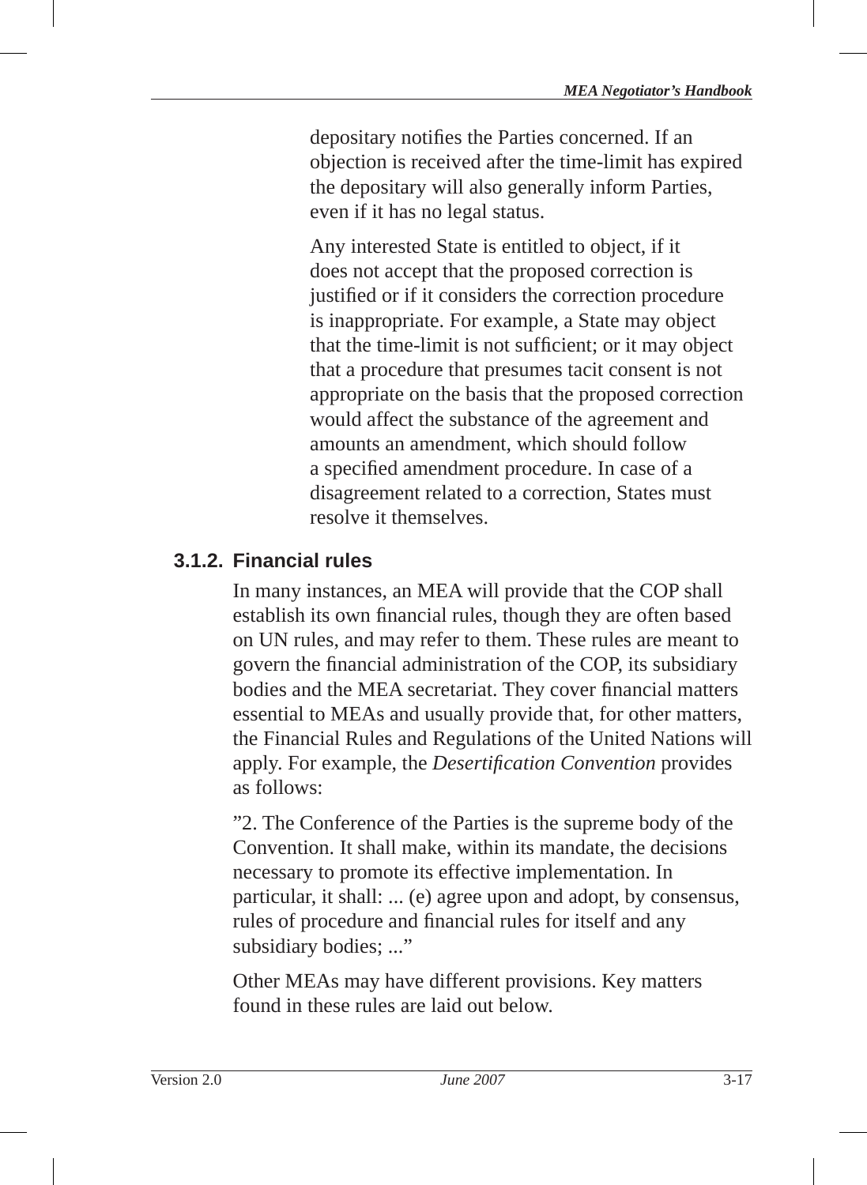depositary notifies the Parties concerned. If an objection is received after the time-limit has expired the depositary will also generally inform Parties, even if it has no legal status.

Any interested State is entitled to object, if it does not accept that the proposed correction is justified or if it considers the correction procedure is inappropriate. For example, a State may object that the time-limit is not sufficient; or it may object that a procedure that presumes tacit consent is not appropriate on the basis that the proposed correction would affect the substance of the agreement and amounts an amendment, which should follow a specified amendment procedure. In case of a disagreement related to a correction, States must resolve it themselves.

#### **3.1.2. Financial rules**

In many instances, an MEA will provide that the COP shall establish its own financial rules, though they are often based on UN rules, and may refer to them. These rules are meant to govern the financial administration of the COP, its subsidiary bodies and the MEA secretariat. They cover financial matters essential to MEAs and usually provide that, for other matters, the Financial Rules and Regulations of the United Nations will apply. For example, the *Desertification Convention* provides as follows:

"2. The Conference of the Parties is the supreme body of the Convention. It shall make, within its mandate, the decisions necessary to promote its effective implementation. In particular, it shall: ... (e) agree upon and adopt, by consensus, rules of procedure and financial rules for itself and any subsidiary bodies; ..."

Other MEAs may have different provisions. Key matters found in these rules are laid out below.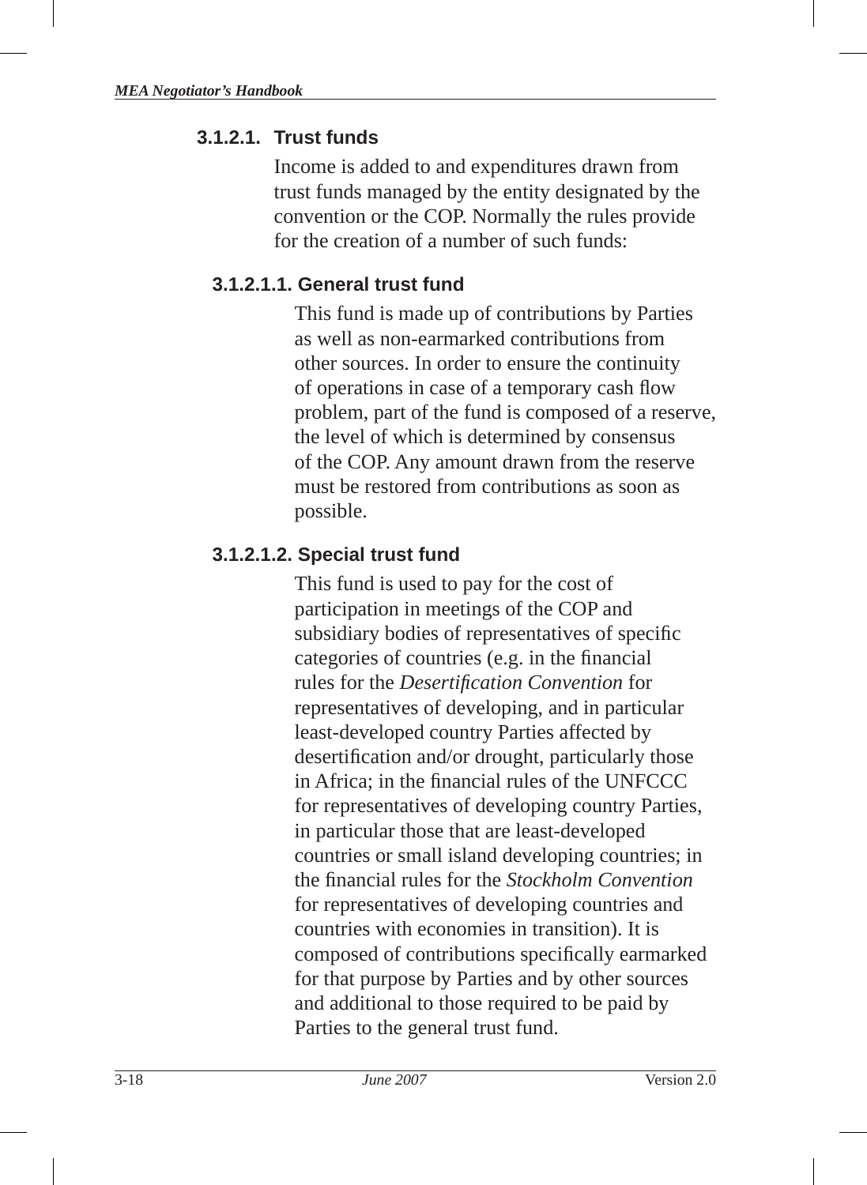#### **3.1.2.1. Trust funds**

Income is added to and expenditures drawn from trust funds managed by the entity designated by the convention or the COP. Normally the rules provide for the creation of a number of such funds:

#### **3.1.2.1.1. General trust fund**

This fund is made up of contributions by Parties as well as non-earmarked contributions from other sources. In order to ensure the continuity of operations in case of a temporary cash flow problem, part of the fund is composed of a reserve, the level of which is determined by consensus of the COP. Any amount drawn from the reserve must be restored from contributions as soon as possible.

#### **3.1.2.1.2. Special trust fund**

This fund is used to pay for the cost of participation in meetings of the COP and subsidiary bodies of representatives of specific categories of countries (e.g. in the financial rules for the *Desertification Convention* for representatives of developing, and in particular least-developed country Parties affected by desertification and/or drought, particularly those in Africa; in the financial rules of the UNFCCC for representatives of developing country Parties, in particular those that are least-developed countries or small island developing countries; in the fi nancial rules for the *Stockholm Convention* for representatives of developing countries and countries with economies in transition ). It is composed of contributions specifically earmarked for that purpose by Parties and by other sources and additional to those required to be paid by Parties to the general trust fund.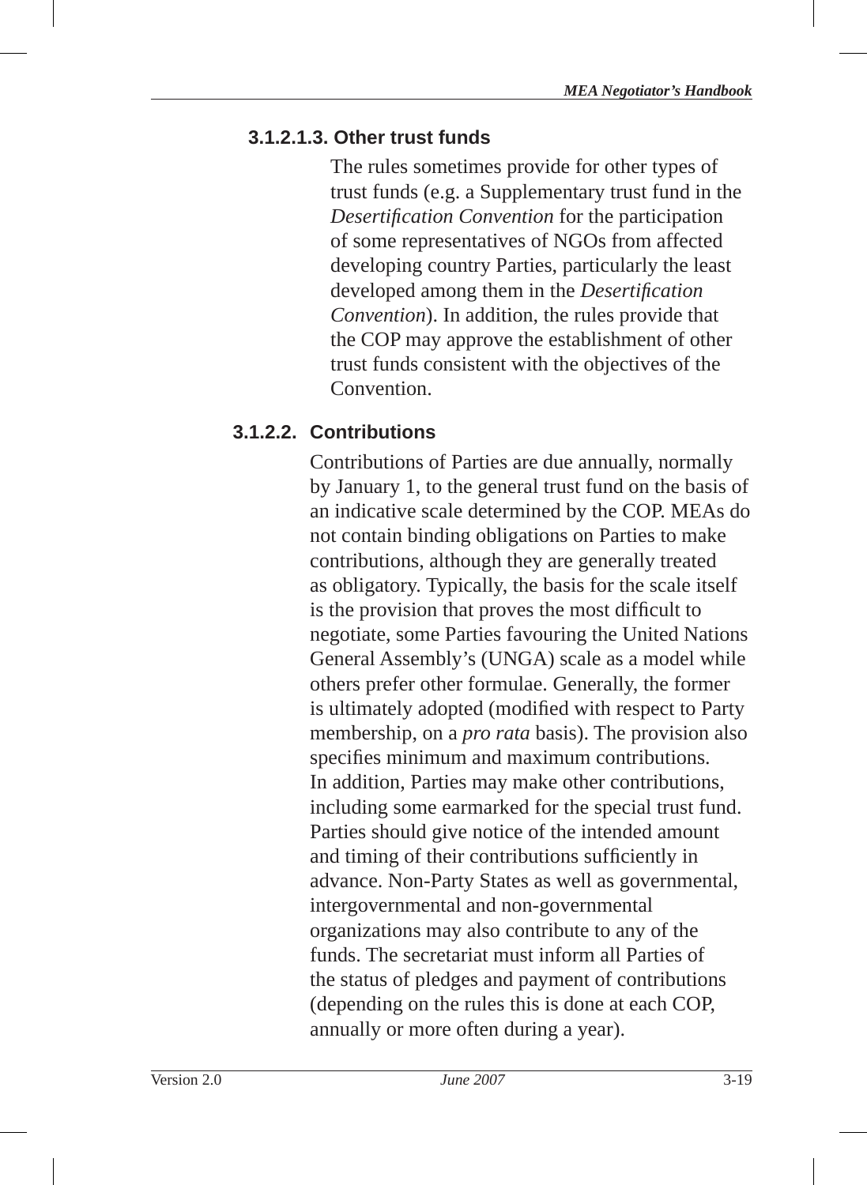## **3.1.2.1.3. Other trust funds**

The rules sometimes provide for other types of trust funds (e.g. a Supplementary trust fund in the *Desertifi cation Convention* for the participation of some representatives of NGOs from affected developing country Parties, particularly the least developed among them in the *Desertifi cation Convention*). In addition, the rules provide that the COP may approve the establishment of other trust funds consistent with the objectives of the **Convention** 

# **3.1.2.2. Contributions**

Contributions of Parties are due annually, normally by January 1, to the general trust fund on the basis of an indicative scale determined by the COP. MEAs do not contain binding obligations on Parties to make contributions, although they are generally treated as obligatory. Typically, the basis for the scale itself is the provision that proves the most difficult to negotiate, some Parties favouring the United Nations General Assembly 's (UNGA) scale as a model while others prefer other formulae. Generally, the former is ultimately adopted (modified with respect to Party membership, on a *pro rata* basis). The provision also specifies minimum and maximum contributions. In addition, Parties may make other contributions, including some earmarked for the special trust fund. Parties should give notice of the intended amount and timing of their contributions sufficiently in advance. Non-Party States as well as governmental, intergovernmental and non-governmental organizations may also contribute to any of the funds. The secretariat must inform all Parties of the status of pledges and payment of contributions (depending on the rules this is done at each COP, annually or more often during a year).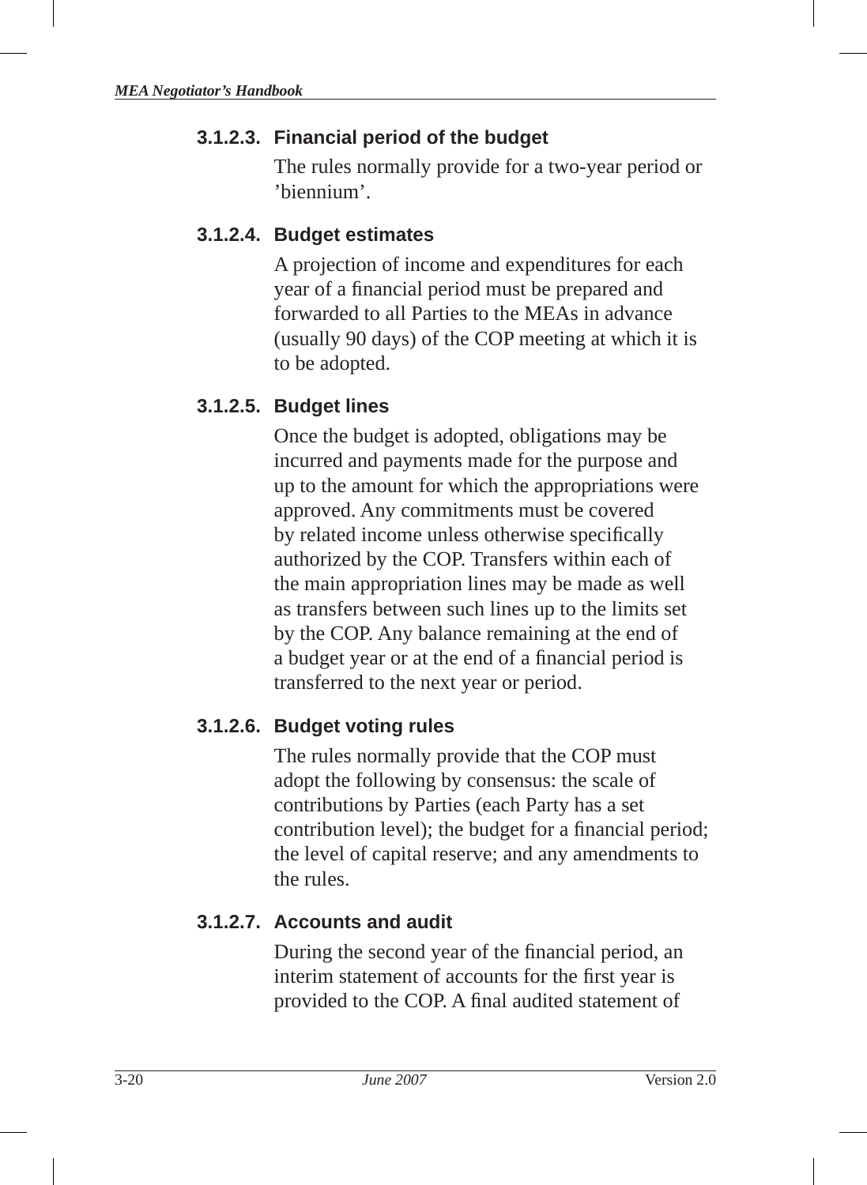## **3.1.2.3. Financial period of the budget**

The rules normally provide for a two-year period or 'biennium'.

## **3.1.2.4. Budget estimates**

A projection of income and expenditures for each year of a financial period must be prepared and forwarded to all Parties to the MEAs in advance (usually 90 days) of the COP meeting at which it is to be adopted.

## **3.1.2.5. Budget lines**

Once the budget is adopted, obligations may be incurred and payments made for the purpose and up to the amount for which the appropriations were approved. Any commitments must be covered by related income unless otherwise specifically authorized by the COP. Transfers within each of the main appropriation lines may be made as well as transfers between such lines up to the limits set by the COP. Any balance remaining at the end of a budget year or at the end of a financial period is transferred to the next year or period.

## **3.1.2.6. Budget voting rules**

The rules normally provide that the COP must adopt the following by consensus: the scale of contributions by Parties (each Party has a set contribution level); the budget for a financial period; the level of capital reserve; and any amendments to the rules.

## **3.1.2.7. Accounts and audit**

During the second year of the financial period, an interim statement of accounts for the first year is provided to the COP. A final audited statement of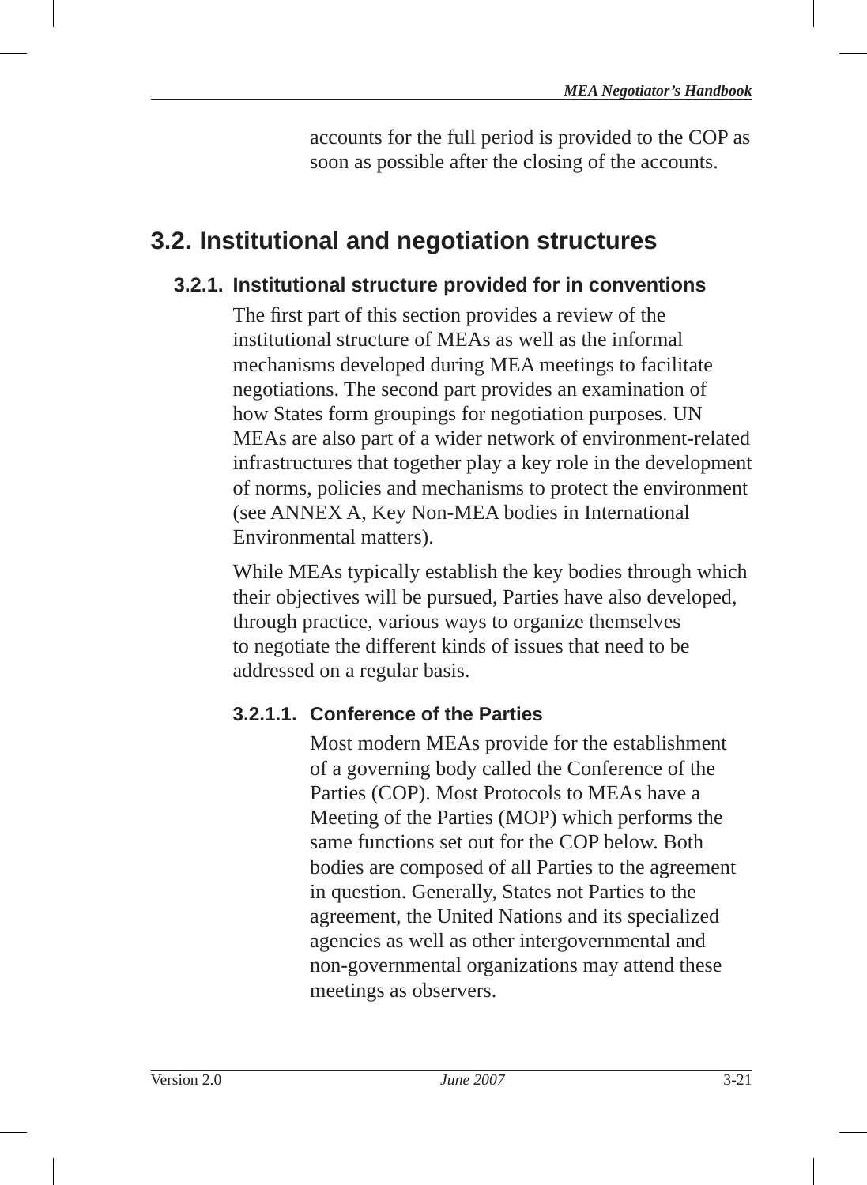accounts for the full period is provided to the COP as soon as possible after the closing of the accounts.

# **3.2. Institutional and negotiation structures**

## **3.2.1. Institutional structure provided for in conventions**

The first part of this section provides a review of the institutional structure of MEAs as well as the informal mechanisms developed during MEA meetings to facilitate negotiations. The second part provides an examination of how States form groupings for negotiation purposes. UN MEAs are also part of a wider network of environment-related infrastructures that together play a key role in the development of norms, policies and mechanisms to protect the environment (see ANNEX A, Key Non-MEA bodies in International Environmental matters).

While MEAs typically establish the key bodies through which their objectives will be pursued, Parties have also developed, through practice, various ways to organize themselves to negotiate the different kinds of issues that need to be addressed on a regular basis.

## **3.2.1.1. Conference of the Parties**

Most modern MEAs provide for the establishment of a governing body called the Conference of the Parties (COP). Most Protocols to MEAs have a Meeting of the Parties (MOP) which performs the same functions set out for the COP below. Both bodies are composed of all Parties to the agreement in question. Generally, States not Parties to the agreement, the United Nations and its specialized agencies as well as other intergovernmental and non-governmental organizations may attend these meetings as observers.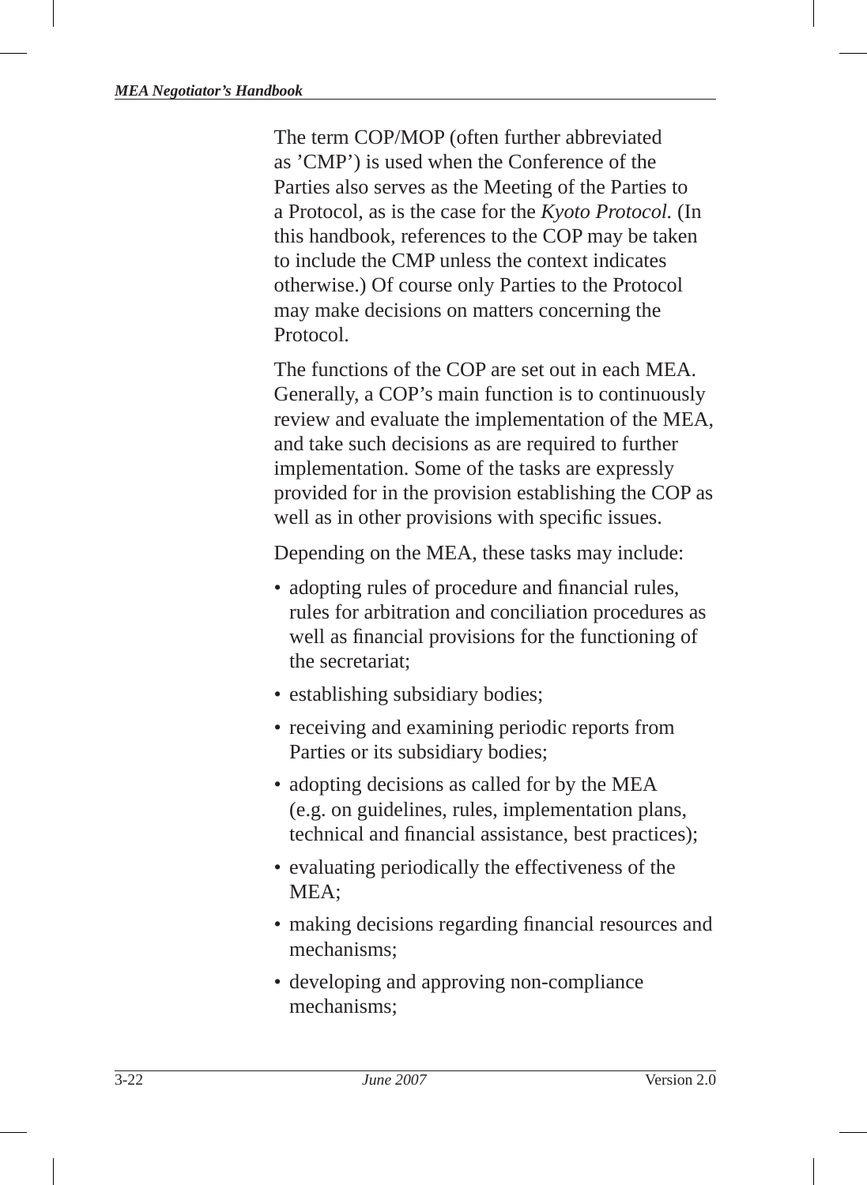The term COP/MOP (often further abbreviated as 'CMP') is used when the Conference of the Parties also serves as the Meeting of the Parties to a Protocol, as is the case for the *Kyoto Protocol.* (In this handbook, references to the COP may be taken to include the CMP unless the context indicates otherwise.) Of course only Parties to the Protocol may make decisions on matters concerning the Protocol.

The functions of the COP are set out in each MEA. Generally, a COP's main function is to continuously review and evaluate the implementation of the MEA, and take such decisions as are required to further implementation. Some of the tasks are expressly provided for in the provision establishing the COP as well as in other provisions with specific issues.

Depending on the MEA, these tasks may include:

- adopting rules of procedure and financial rules, rules for arbitration and conciliation procedures as well as financial provisions for the functioning of the secretariat;
- establishing subsidiary bodies;
- receiving and examining periodic reports from Parties or its subsidiary bodies;
- adopting decisions as called for by the MEA (e.g. on guidelines , rules, implementation plans, technical and financial assistance, best practices);
- evaluating periodically the effectiveness of the MEA;
- making decisions regarding financial resources and mechanisms;
- developing and approving non-compliance mechanisms;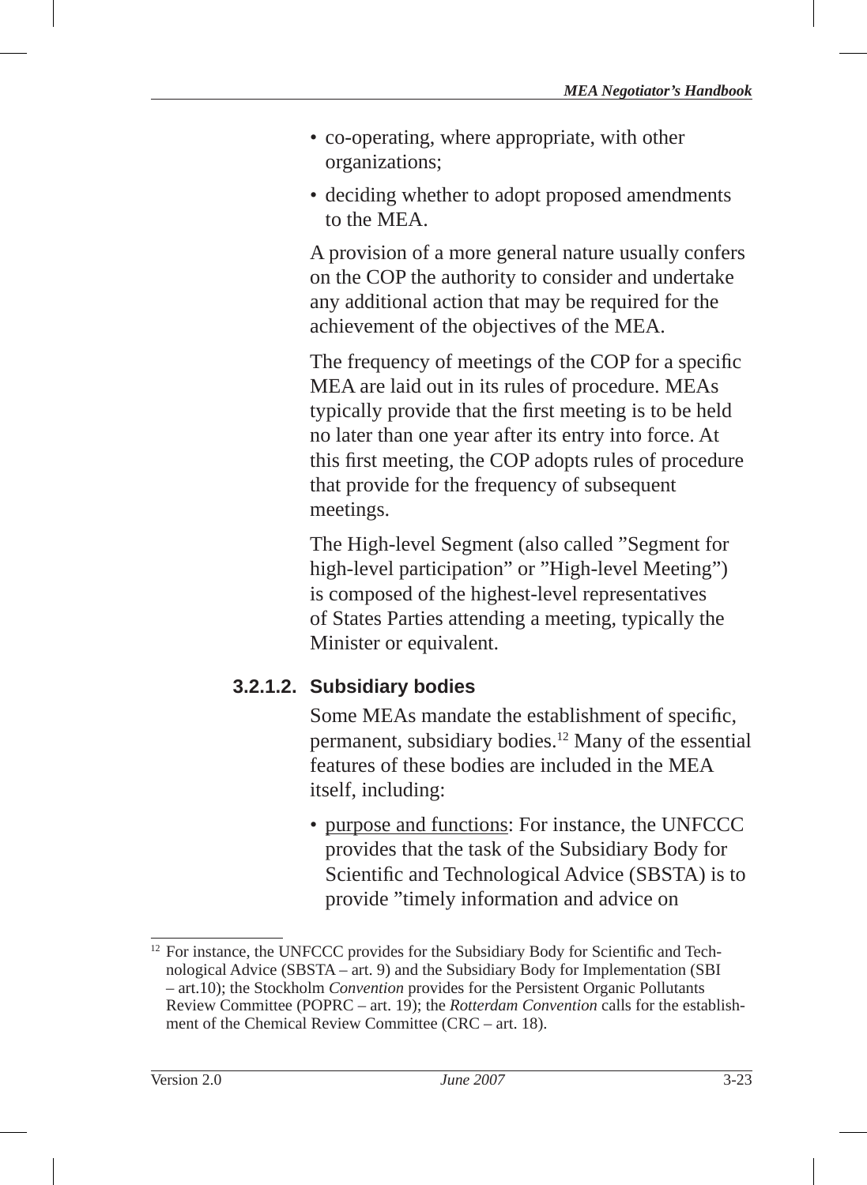- co-operating, where appropriate, with other organizations;
- deciding whether to adopt proposed amendments to the MEA.

A provision of a more general nature usually confers on the COP the authority to consider and undertake any additional action that may be required for the achievement of the objectives of the MEA.

The frequency of meetings of the COP for a specific MEA are laid out in its rules of procedure. MEAs typically provide that the first meeting is to be held no later than one year after its entry into force . At this first meeting, the COP adopts rules of procedure that provide for the frequency of subsequent meetings.

The High-level Segment (also called "Segment for high-level participation" or "High-level Meeting") is composed of the highest-level representatives of States Parties attending a meeting, typically the Minister or equivalent.

## **3.2.1.2. Subsidiary bodies**

Some MEAs mandate the establishment of specific, permanent, subsidiary bodies.12 Many of the essential features of these bodies are included in the MEA itself, including:

• purpose and functions: For instance, the UNFCCC provides that the task of the Subsidiary Body for Scientific and Technological Advice (SBSTA) is to provide "timely information and advice on

 $12$  For instance, the UNFCCC provides for the Subsidiary Body for Scientific and Technological Advice (SBSTA – art. 9) and the Subsidiary Body for Implementation (SBI – art.10); the Stockholm *Convention* provides for the Persistent Organic Pollutants Review Committee (POPRC – art. 19); the *Rotterdam Convention* calls for the establishment of the Chemical Review Committee (CRC – art. 18).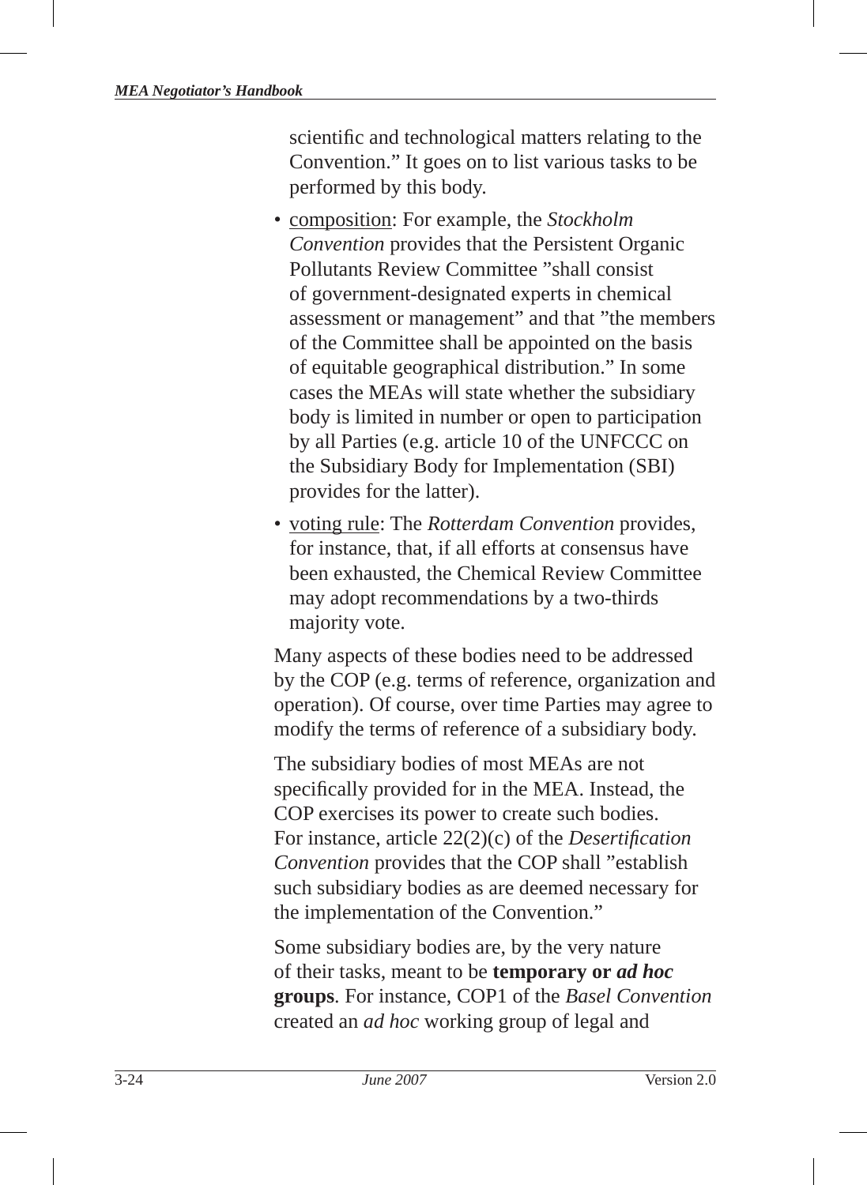scientific and technological matters relating to the Convention." It goes on to list various tasks to be performed by this body.

- composition: For example, the *Stockholm Convention* provides that the Persistent Organic Pollutants Review Committee "shall consist of government-designated experts in chemical assessment or management" and that "the members of the Committee shall be appointed on the basis of equitable geographical distribution." In some cases the MEAs will state whether the subsidiary body is limited in number or open to participation by all Parties (e.g. article 10 of the UNFCCC on the Subsidiary Body for Implementation (SBI) provides for the latter).
- voting rule: The *Rotterdam Convention* provides, for instance, that, if all efforts at consensus have been exhausted, the Chemical Review Committee may adopt recommendations by a two-thirds majority vote.

Many aspects of these bodies need to be addressed by the COP (e.g. terms of reference, organization and operation). Of course, over time Parties may agree to modify the terms of reference of a subsidiary body.

The subsidiary bodies of most MEAs are not specifically provided for in the MEA. Instead, the COP exercises its power to create such bodies. For instance, article 22(2)(c) of the *Desertification Convention* provides that the COP shall "establish such subsidiary bodies as are deemed necessary for the implementation of the Convention."

Some subsidiary bodies are, by the very nature of their tasks, meant to be **temporary or** *ad hoc*  **groups**. For instance, COP1 of the *Basel Convention* created an *ad hoc* working group of legal and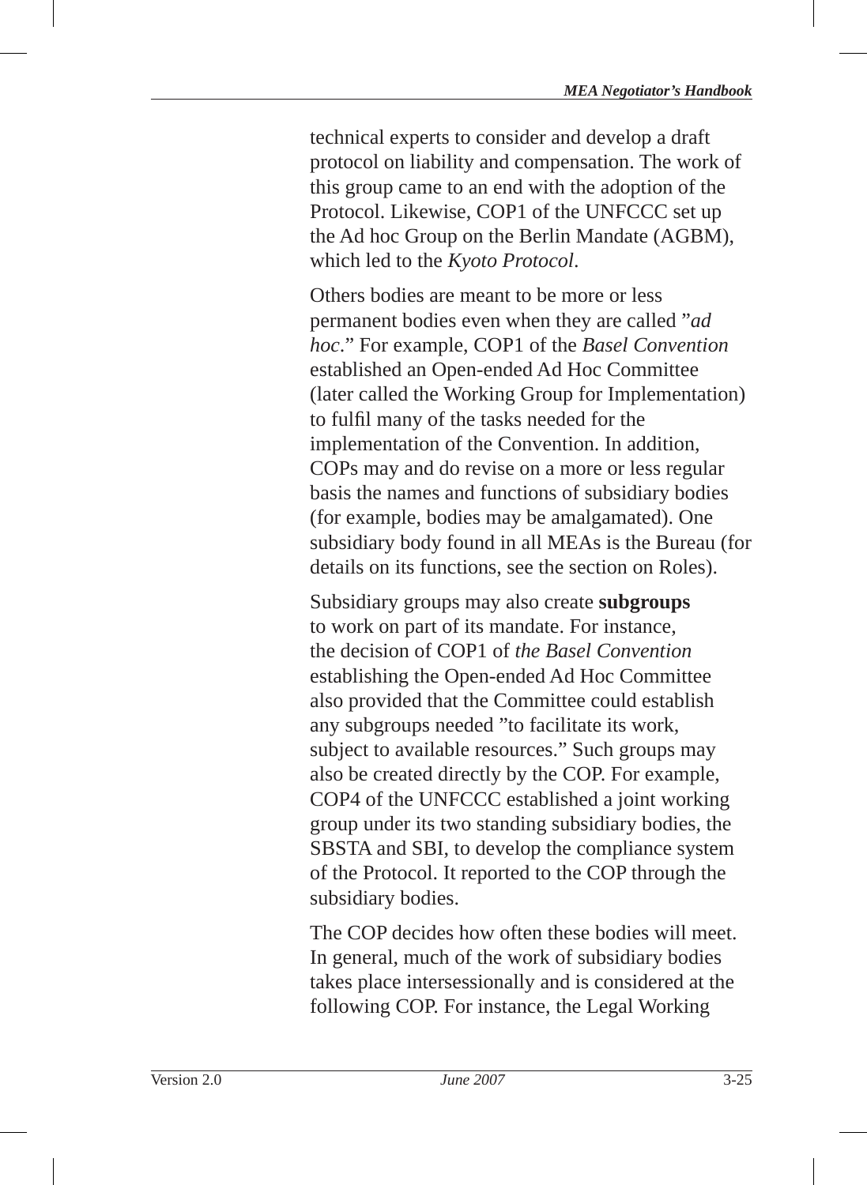technical experts to consider and develop a draft protocol on liability and compensation . The work of this group came to an end with the adoption of the Protocol. Likewise, COP1 of the UNFCCC set up the Ad hoc Group on the Berlin Mandate (AGBM), which led to the *Kyoto Protocol* .

Others bodies are meant to be more or less permanent bodies even when they are called "*ad hoc*." For example, COP1 of the *Basel Convention* established an Open-ended Ad Hoc Committee (later called the Working Group for Implementation) to fulfil many of the tasks needed for the implementation of the Convention. In addition, COPs may and do revise on a more or less regular basis the names and functions of subsidiary bodies (for example, bodies may be amalgamated). One subsidiary body found in all MEAs is the Bureau (for details on its functions, see the section on Roles).

Subsidiary groups may also create **subgroups** to work on part of its mandate. For instance, the decision of COP1 of *the Basel Convention* establishing the Open-ended Ad Hoc Committee also provided that the Committee could establish any subgroups needed "to facilitate its work, subject to available resources." Such groups may also be created directly by the COP. For example, COP4 of the UNFCCC established a joint working group under its two standing subsidiary bodies, the SBSTA and SBI, to develop the compliance system of the Protocol. It reported to the COP through the subsidiary bodies.

The COP decides how often these bodies will meet. In general, much of the work of subsidiary bodies takes place intersessionally and is considered at the following COP. For instance, the Legal Working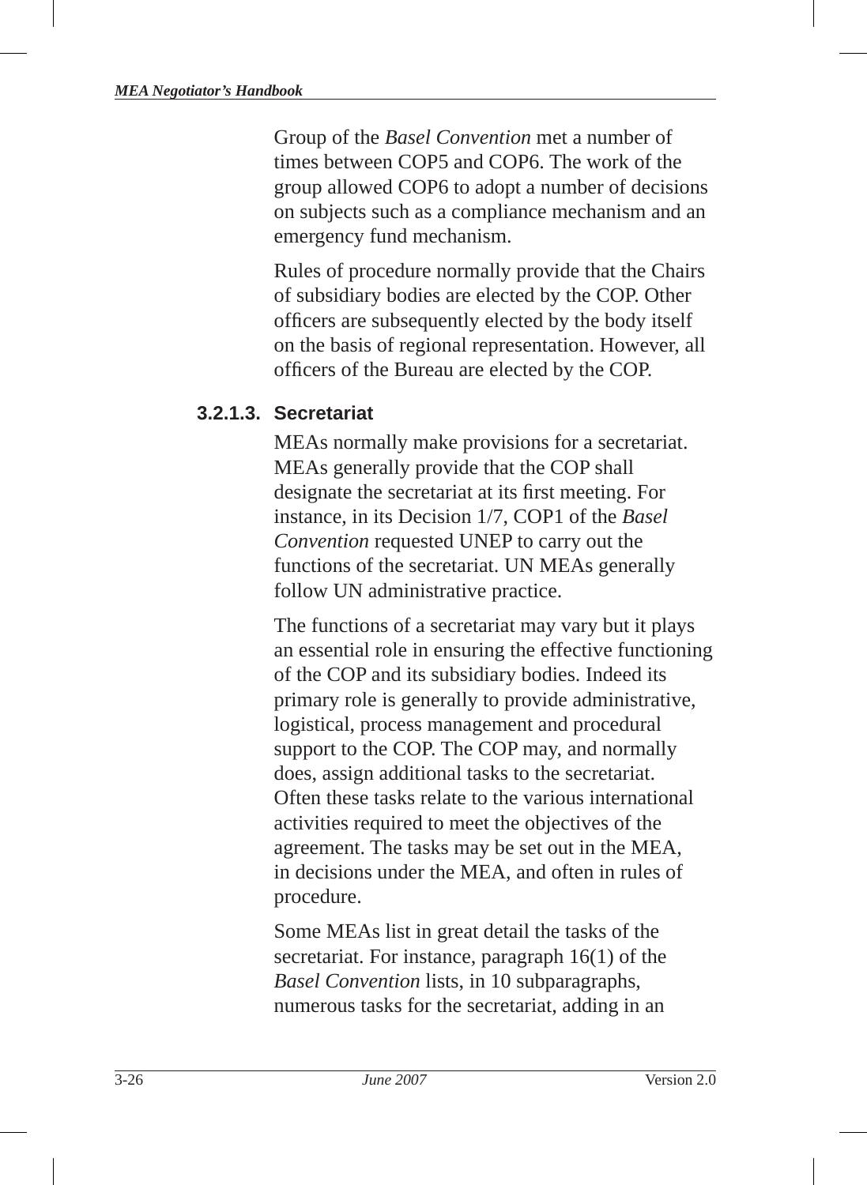Group of the *Basel Convention* met a number of times between COP5 and COP6. The work of the group allowed COP6 to adopt a number of decisions on subjects such as a compliance mechanism and an emergency fund mechanism.

Rules of procedure normally provide that the Chairs of subsidiary bodies are elected by the COP. Other officers are subsequently elected by the body itself on the basis of regional representation. However, all officers of the Bureau are elected by the COP.

#### **3.2.1.3. Secretariat**

MEAs normally make provisions for a secretariat. MEAs generally provide that the COP shall designate the secretariat at its first meeting. For instance, in its Decision 1/7, COP1 of the *Basel Convention* requested UNEP to carry out the functions of the secretariat. UN MEAs generally follow UN administrative practice.

The functions of a secretariat may vary but it plays an essential role in ensuring the effective functioning of the COP and its subsidiary bodies. Indeed its primary role is generally to provide administrative, logistical, process management and procedural support to the COP. The COP may, and normally does, assign additional tasks to the secretariat. Often these tasks relate to the various international activities required to meet the objectives of the agreement. The tasks may be set out in the MEA, in decisions under the MEA, and often in rules of procedure.

Some MEAs list in great detail the tasks of the secretariat. For instance, paragraph 16(1) of the *Basel Convention* lists, in 10 subparagraphs, numerous tasks for the secretariat, adding in an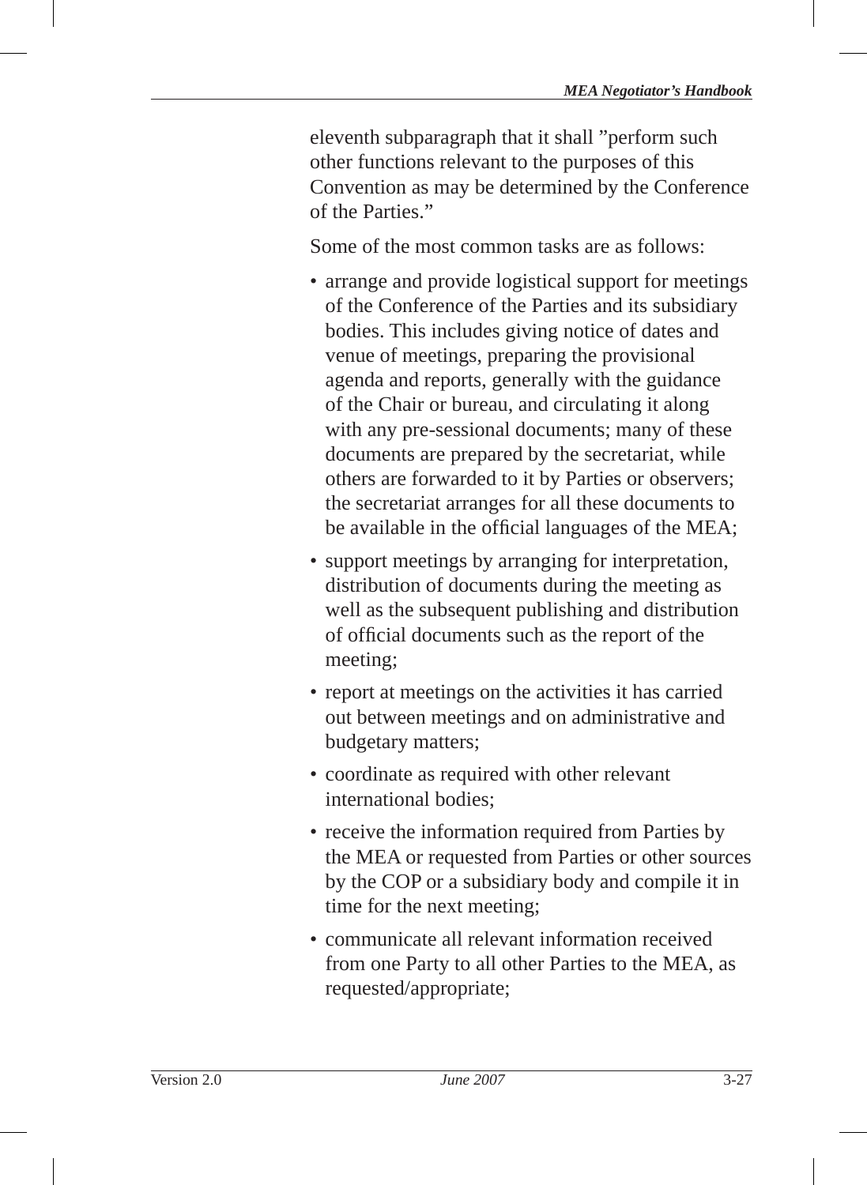eleventh subparagraph that it shall "perform such other functions relevant to the purposes of this Convention as may be determined by the Conference of the Parties."

Some of the most common tasks are as follows:

- arrange and provide logistical support for meetings of the Conference of the Parties and its subsidiary bodies. This includes giving notice of dates and venue of meetings, preparing the provisional agenda and reports, generally with the guidance of the Chair or bureau, and circulating it along with any pre-sessional documents; many of these documents are prepared by the secretariat, while others are forwarded to it by Parties or observers; the secretariat arranges for all these documents to be available in the official languages of the MEA;
- support meetings by arranging for interpretation, distribution of documents during the meeting as well as the subsequent publishing and distribution of official documents such as the report of the meeting;
- report at meetings on the activities it has carried out between meetings and on administrative and budgetary matters;
- coordinate as required with other relevant international bodies;
- receive the information required from Parties by the MEA or requested from Parties or other sources by the COP or a subsidiary body and compile it in time for the next meeting;
- communicate all relevant information received from one Party to all other Parties to the MEA, as requested/appropriate;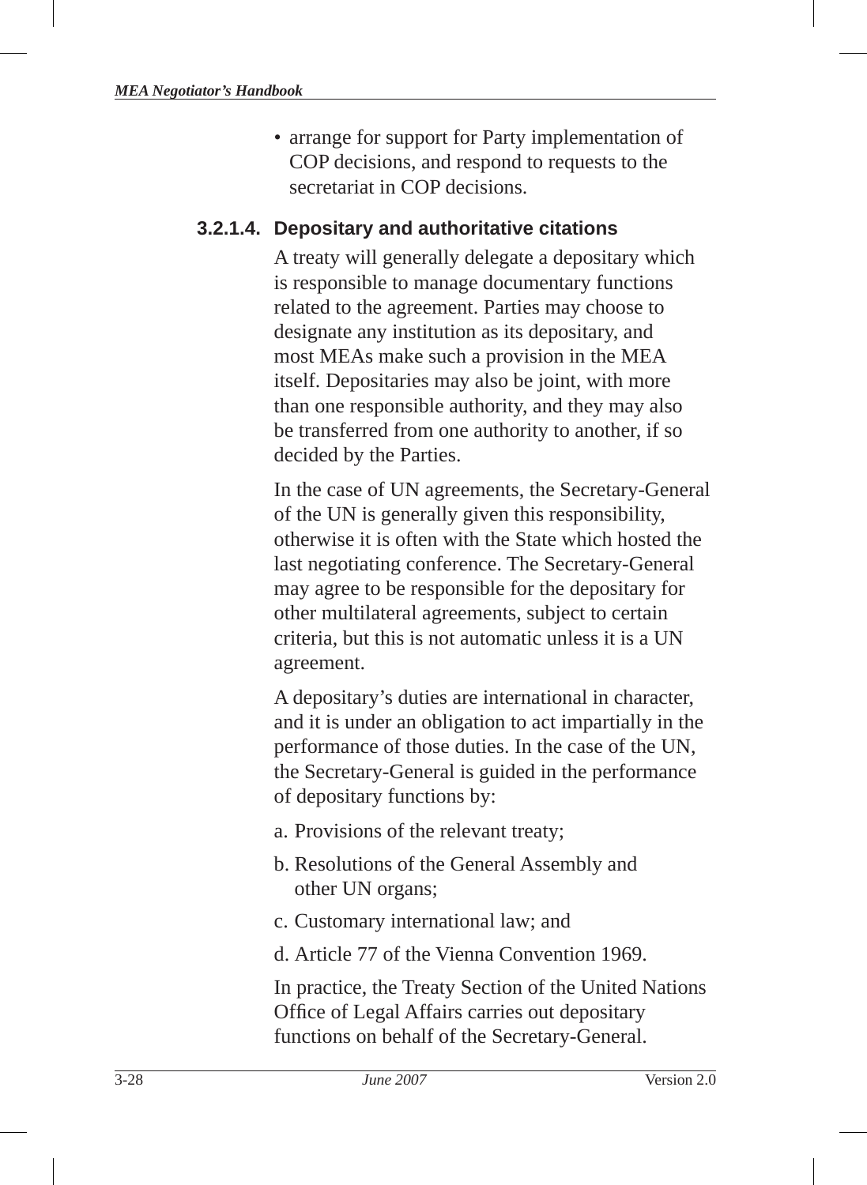• arrange for support for Party implementation of COP decisions, and respond to requests to the secretariat in COP decisions.

#### **3.2.1.4. Depositary and authoritative citations**

A treaty will generally delegate a depositary which is responsible to manage documentary functions related to the agreement. Parties may choose to designate any institution as its depositary, and most MEAs make such a provision in the MEA itself. Depositaries may also be joint, with more than one responsible authority, and they may also be transferred from one authority to another, if so decided by the Parties.

In the case of UN agreements, the Secretary-General of the UN is generally given this responsibility, otherwise it is often with the State which hosted the last negotiating conference. The Secretary-General may agree to be responsible for the depositary for other multilateral agreements, subject to certain criteria, but this is not automatic unless it is a UN agreement.

A depositary's duties are international in character, and it is under an obligation to act impartially in the performance of those duties. In the case of the UN, the Secretary-General is guided in the performance of depositary functions by:

- a. Provisions of the relevant treaty;
- b. Resolutions of the General Assembly and other UN organs;
- c. Customary international law; and
- d. Article 77 of the Vienna Convention 1969.

In practice, the Treaty Section of the United Nations Office of Legal Affairs carries out depositary functions on behalf of the Secretary-General.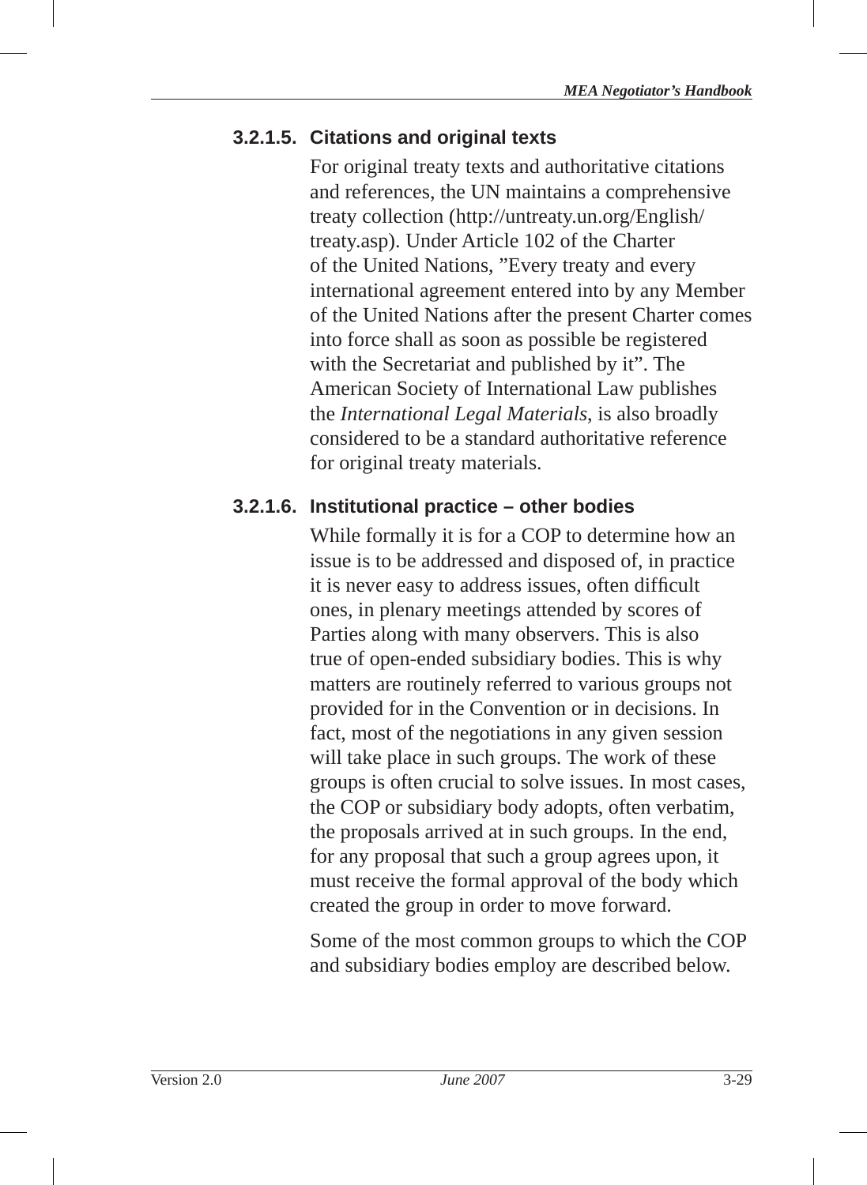## **3.2.1.5. Citations and original texts**

For original treaty texts and authoritative citations and references, the UN maintains a comprehensive treaty collection (http://untreaty.un.org/English/ treaty.asp). Under Article 102 of the Charter of the United Nations, "Every treaty and every international agreement entered into by any Member of the United Nations after the present Charter comes into force shall as soon as possible be registered with the Secretariat and published by it". The American Society of International Law publishes the *International Legal Materials*, is also broadly considered to be a standard authoritative reference for original treaty materials.

## **3.2.1.6. Institutional practice – other bodies**

While formally it is for a COP to determine how an issue is to be addressed and disposed of, in practice it is never easy to address issues, often difficult ones, in plenary meetings attended by scores of Parties along with many observers. This is also true of open-ended subsidiary bodies. This is why matters are routinely referred to various groups not provided for in the Convention or in decisions. In fact, most of the negotiations in any given session will take place in such groups. The work of these groups is often crucial to solve issues. In most cases, the COP or subsidiary body adopts, often verbatim, the proposals arrived at in such groups. In the end, for any proposal that such a group agrees upon, it must receive the formal approval of the body which created the group in order to move forward.

Some of the most common groups to which the COP and subsidiary bodies employ are described below.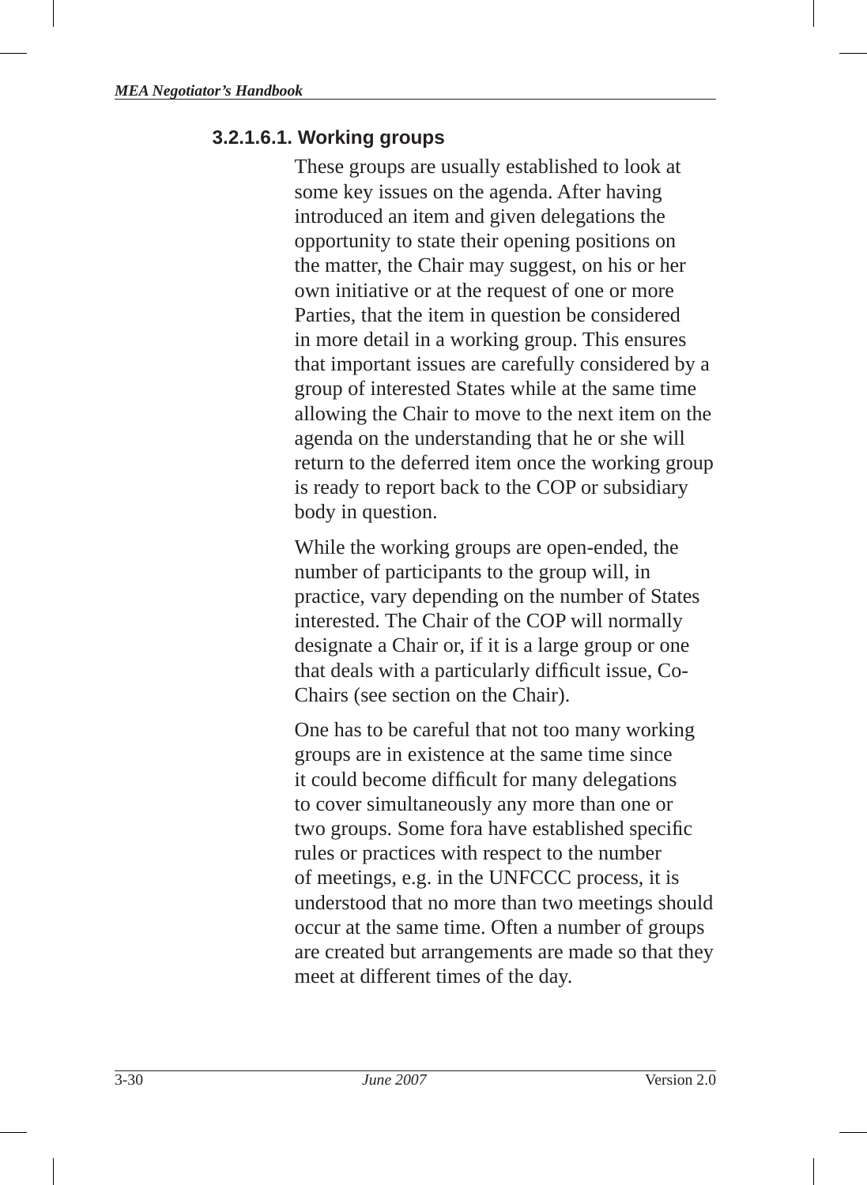#### **3.2.1.6.1. Working groups**

These groups are usually established to look at some key issues on the agenda. After having introduced an item and given delegations the opportunity to state their opening positions on the matter, the Chair may suggest, on his or her own initiative or at the request of one or more Parties, that the item in question be considered in more detail in a working group. This ensures that important issues are carefully considered by a group of interested States while at the same time allowing the Chair to move to the next item on the agenda on the understanding that he or she will return to the deferred item once the working group is ready to report back to the COP or subsidiary body in question.

While the working groups are open-ended, the number of participants to the group will, in practice, vary depending on the number of States interested. The Chair of the COP will normally designate a Chair or, if it is a large group or one that deals with a particularly difficult issue, Co-Chairs (see section on the Chair).

One has to be careful that not too many working groups are in existence at the same time since it could become difficult for many delegations to cover simultaneously any more than one or two groups. Some fora have established specific rules or practices with respect to the number of meetings, e.g. in the UNFCCC process, it is understood that no more than two meetings should occur at the same time. Often a number of groups are created but arrangements are made so that they meet at different times of the day.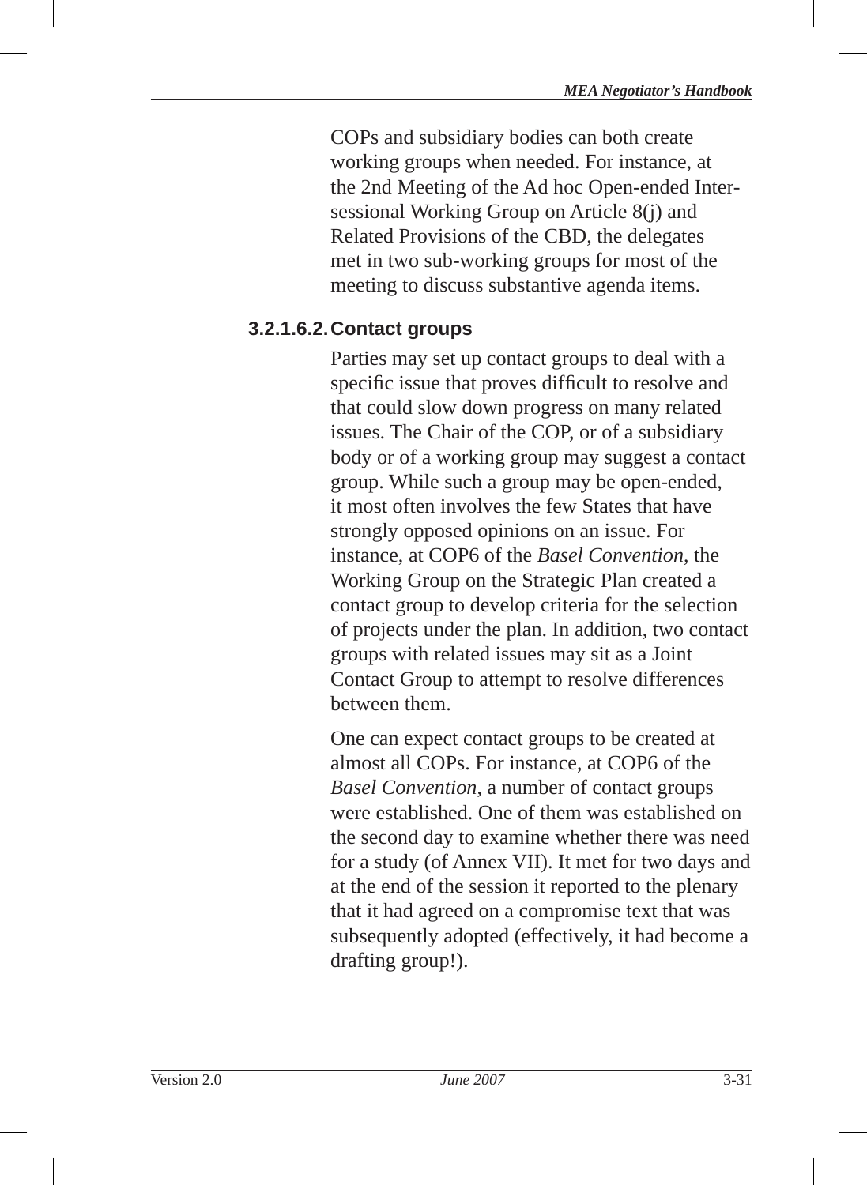COPs and subsidiary bodies can both create working groups when needed. For instance, at the 2nd Meeting of the Ad hoc Open-ended Intersessional Working Group on Article 8(j) and Related Provisions of the CBD, the delegates met in two sub-working groups for most of the meeting to discuss substantive agenda items.

## **3.2.1.6.2. Contact groups**

Parties may set up contact groups to deal with a specific issue that proves difficult to resolve and that could slow down progress on many related issues. The Chair of the COP, or of a subsidiary body or of a working group may suggest a contact group. While such a group may be open-ended, it most often involves the few States that have strongly opposed opinions on an issue. For instance, at COP6 of the *Basel Convention*, the Working Group on the Strategic Plan created a contact group to develop criteria for the selection of projects under the plan. In addition, two contact groups with related issues may sit as a Joint Contact Group to attempt to resolve differences between them.

One can expect contact groups to be created at almost all COPs. For instance, at COP6 of the *Basel Convention*, a number of contact groups were established. One of them was established on the second day to examine whether there was need for a study (of Annex VII). It met for two days and at the end of the session it reported to the plenary that it had agreed on a compromise text that was subsequently adopted (effectively, it had become a drafting group!).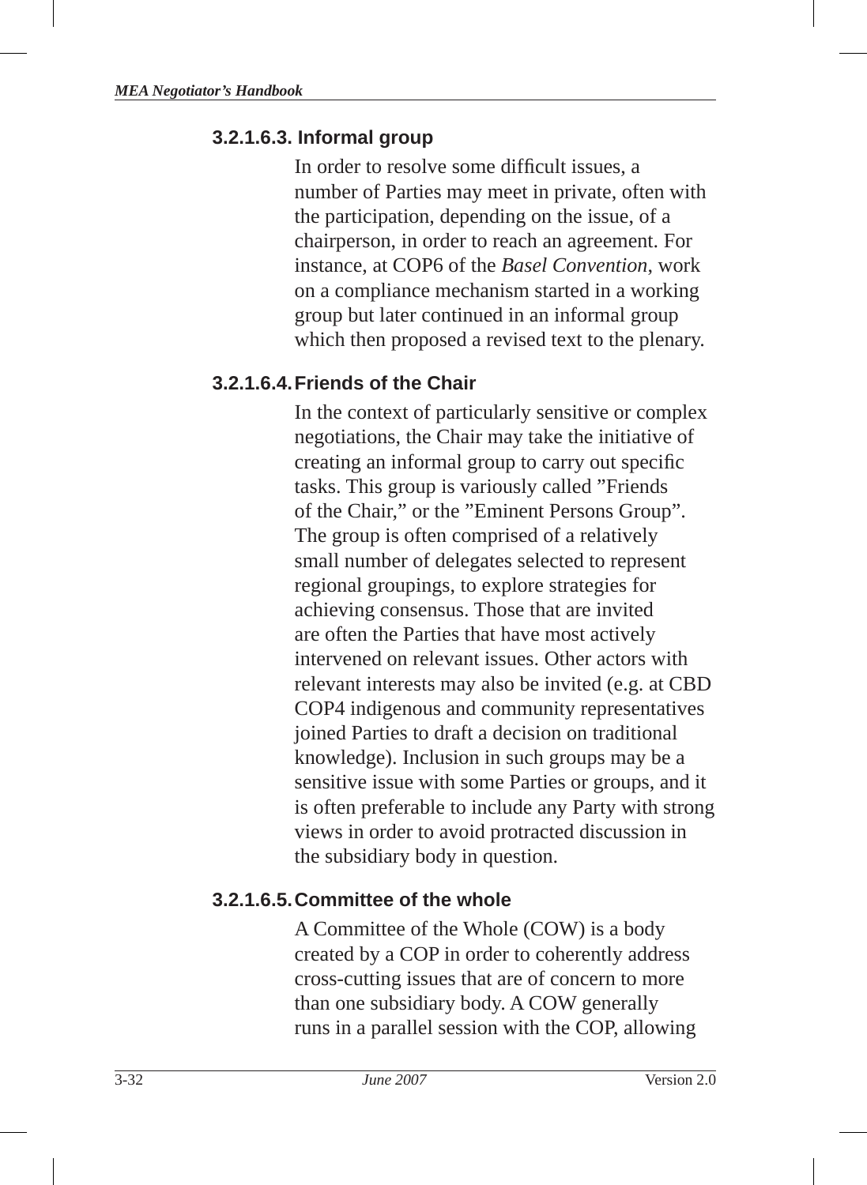#### **3.2.1.6.3. Informal group**

In order to resolve some difficult issues, a number of Parties may meet in private, often with the participation, depending on the issue, of a chairperson, in order to reach an agreement. For instance, at COP6 of the *Basel Convention*, work on a compliance mechanism started in a working group but later continued in an informal group which then proposed a revised text to the plenary.

#### **3.2.1.6.4. Friends of the Chair**

In the context of particularly sensitive or complex negotiations, the Chair may take the initiative of creating an informal group to carry out specific tasks. This group is variously called "Friends of the Chair," or the "Eminent Persons Group". The group is often comprised of a relatively small number of delegates selected to represent regional groupings, to explore strategies for achieving consensus. Those that are invited are often the Parties that have most actively intervened on relevant issues. Other actors with relevant interests may also be invited (e.g. at CBD COP4 indigenous and community representatives joined Parties to draft a decision on traditional knowledge). Inclusion in such groups may be a sensitive issue with some Parties or groups, and it is often preferable to include any Party with strong views in order to avoid protracted discussion in the subsidiary body in question.

#### **3.2.1.6.5. Committee of the whole**

A Committee of the Whole (COW) is a body created by a COP in order to coherently address cross-cutting issues that are of concern to more than one subsidiary body. A COW generally runs in a parallel session with the COP, allowing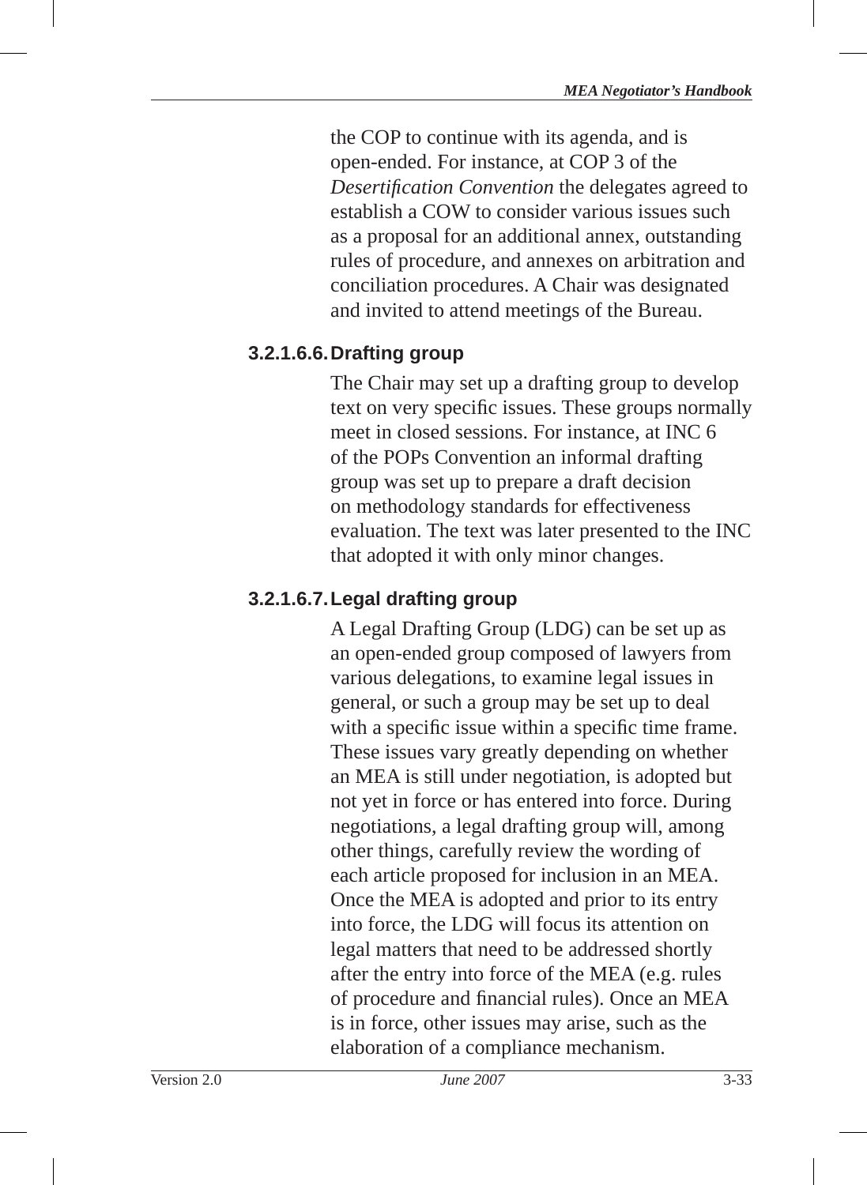the COP to continue with its agenda, and is open-ended. For instance, at COP 3 of the *Desertifi cation Convention* the delegates agreed to establish a COW to consider various issues such as a proposal for an additional annex, outstanding rules of procedure, and annexes on arbitration and conciliation procedures. A Chair was designated and invited to attend meetings of the Bureau.

# **3.2.1.6.6. Drafting group**

The Chair may set up a drafting group to develop text on very specific issues. These groups normally meet in closed sessions. For instance, at INC 6 of the POPs Convention an informal drafting group was set up to prepare a draft decision on methodology standards for effectiveness evaluation. The text was later presented to the INC that adopted it with only minor changes.

# **3.2.1.6.7. Legal drafting group**

A Legal Drafting Group (LDG) can be set up as an open-ended group composed of lawyers from various delegations, to examine legal issues in general, or such a group may be set up to deal with a specific issue within a specific time frame. These issues vary greatly depending on whether an MEA is still under negotiation, is adopted but not yet in force or has entered into force. During negotiations, a legal drafting group will, among other things, carefully review the wording of each article proposed for inclusion in an MEA. Once the MEA is adopted and prior to its entry into force , the LDG will focus its attention on legal matters that need to be addressed shortly after the entry into force of the MEA (e.g. rules of procedure and financial rules). Once an MEA is in force, other issues may arise, such as the elaboration of a compliance mechanism.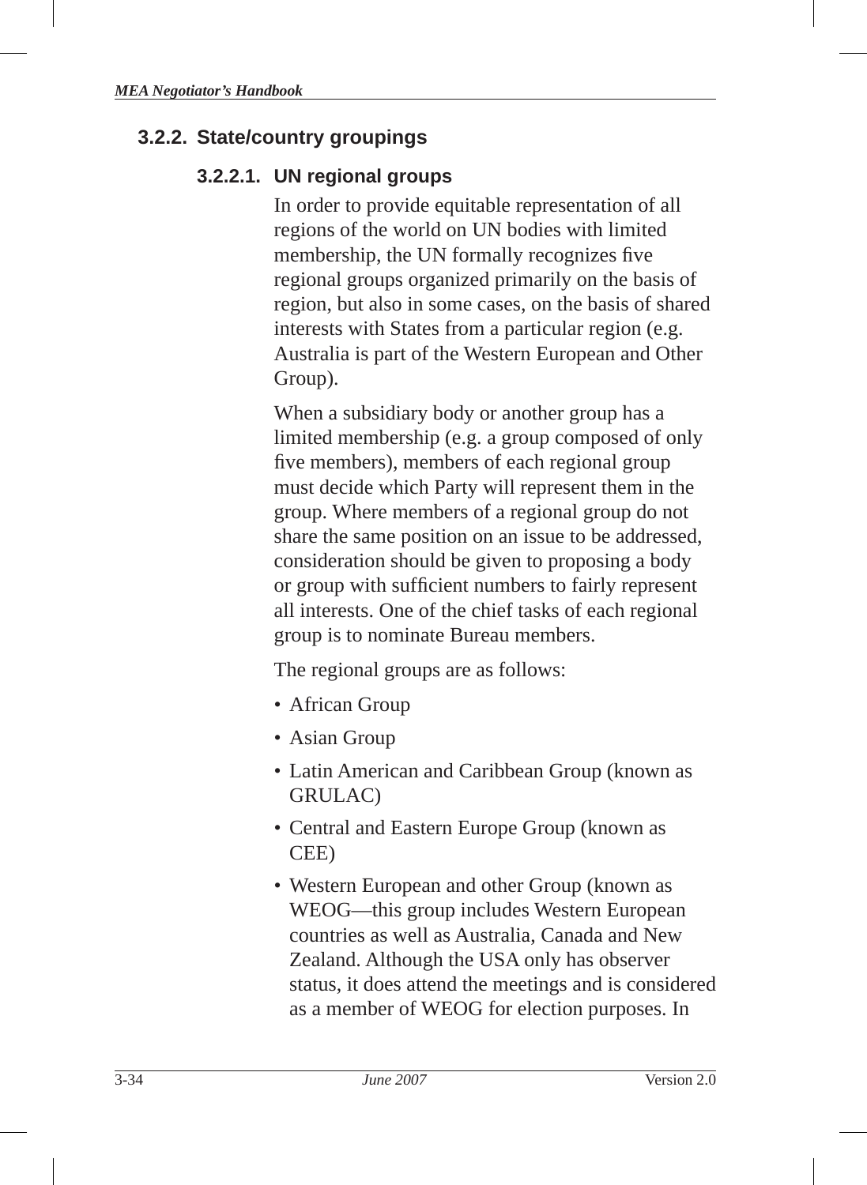## **3.2.2. State/country groupings**

#### **3.2.2.1. UN regional groups**

In order to provide equitable representation of all regions of the world on UN bodies with limited membership, the UN formally recognizes five regional groups organized primarily on the basis of region, but also in some cases, on the basis of shared interests with States from a particular region (e.g. Australia is part of the Western European and Other Group).

When a subsidiary body or another group has a limited membership (e.g. a group composed of only five members), members of each regional group must decide which Party will represent them in the group. Where members of a regional group do not share the same position on an issue to be addressed, consideration should be given to proposing a body or group with sufficient numbers to fairly represent all interests. One of the chief tasks of each regional group is to nominate Bureau members.

The regional groups are as follows:

- African Group
- Asian Group
- Latin American and Caribbean Group (known as GRULAC)
- Central and Eastern Europe Group (known as CEE)
- Western European and other Group (known as WEOG—this group includes Western European countries as well as Australia, Canada and New Zealand. Although the USA only has observer status, it does attend the meetings and is considered as a member of WEOG for election purposes. In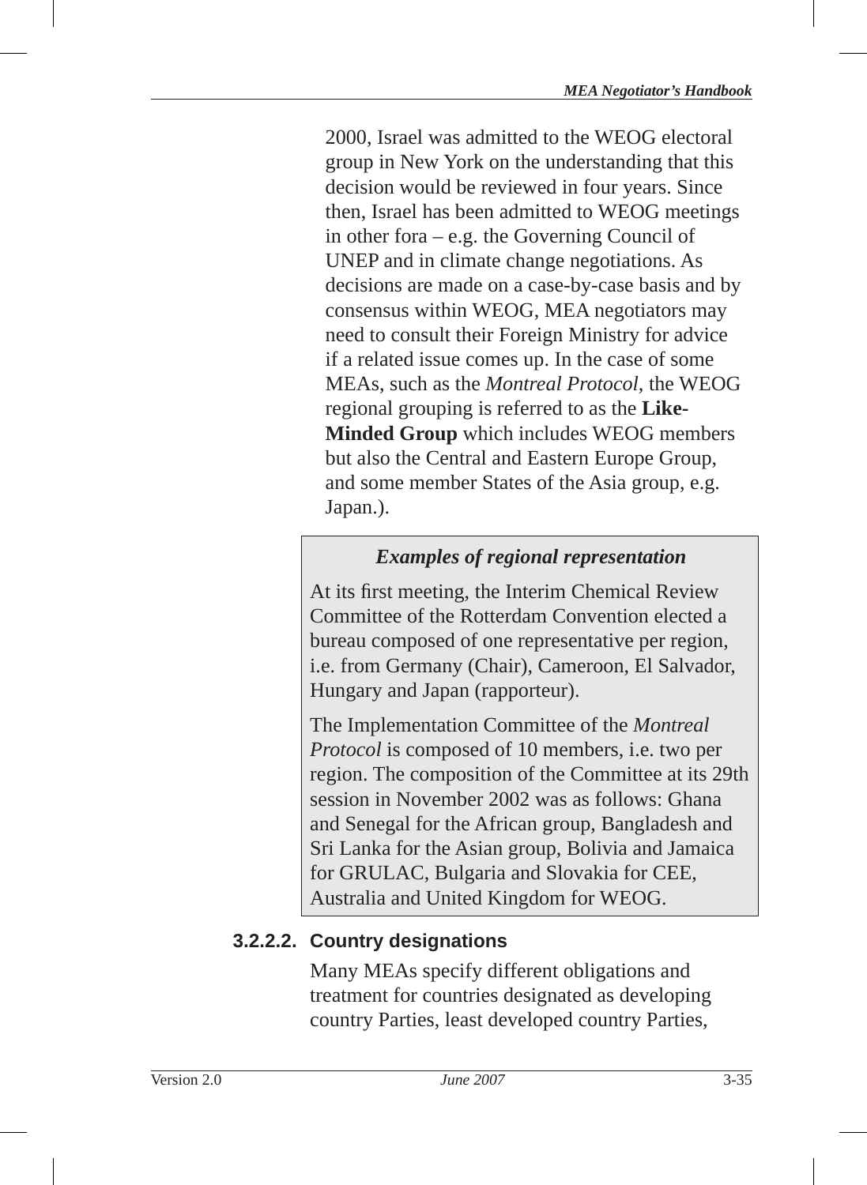2000, Israel was admitted to the WEOG electoral group in New York on the understanding that this decision would be reviewed in four years. Since then, Israel has been admitted to WEOG meetings in other fora – e.g. the Governing Council of UNEP and in climate change negotiations. As decisions are made on a case-by-case basis and by consensus within WEOG, MEA negotiators may need to consult their Foreign Ministry for advice if a related issue comes up. In the case of some MEAs, such as the *Montreal Protocol*, the WEOG regional grouping is referred to as the **Like-Minded Group** which includes WEOG members but also the Central and Eastern Europe Group, and some member States of the Asia group, e.g. Japan.).

# *Examples of regional representation*

At its first meeting, the Interim Chemical Review Committee of the Rotterdam Convention elected a bureau composed of one representative per region, i.e. from Germany (Chair), Cameroon, El Salvador, Hungary and Japan (rapporteur).

The Implementation Committee of the *Montreal Protocol* is composed of 10 members, i.e. two per region. The composition of the Committee at its 29th session in November 2002 was as follows: Ghana and Senegal for the African group, Bangladesh and Sri Lanka for the Asian group, Bolivia and Jamaica for GRULAC, Bulgaria and Slovakia for CEE, Australia and United Kingdom for WEOG.

# **3.2.2.2. Country designations**

Many MEAs specify different obligations and treatment for countries designated as developing country Parties, least developed country Parties,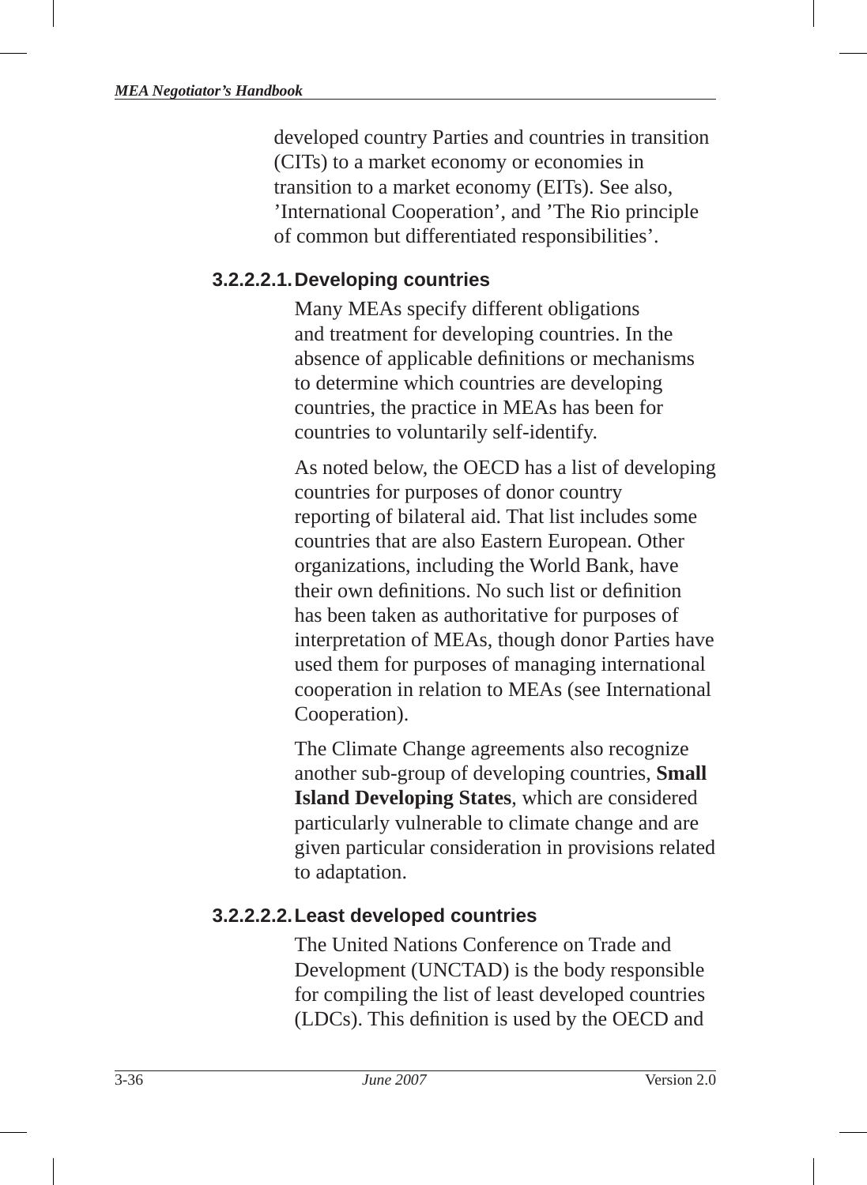developed country Parties and countries in transition (CITs) to a market economy or economies in transition to a market economy (EITs). See also, 'International Cooperation', and 'The Rio principle of common but differentiated responsibilities'.

#### **3.2.2.2.1. Developing countries**

Many MEAs specify different obligations and treatment for developing countries. In the absence of applicable definitions or mechanisms to determine which countries are developing countries, the practice in MEAs has been for countries to voluntarily self-identify.

As noted below, the OECD has a list of developing countries for purposes of donor country reporting of bilateral aid. That list includes some countries that are also Eastern European. Other organizations, including the World Bank, have their own definitions. No such list or definition has been taken as authoritative for purposes of interpretation of MEAs, though donor Parties have used them for purposes of managing international cooperation in relation to MEAs (see International Cooperation).

The Climate Change agreements also recognize another sub-group of developing countries, **Small Island Developing States**, which are considered particularly vulnerable to climate change and are given particular consideration in provisions related to adaptation.

#### **3.2.2.2.2. Least developed countries**

The United Nations Conference on Trade and Development (UNCTAD) is the body responsible for compiling the list of least developed countries (LDCs). This definition is used by the OECD and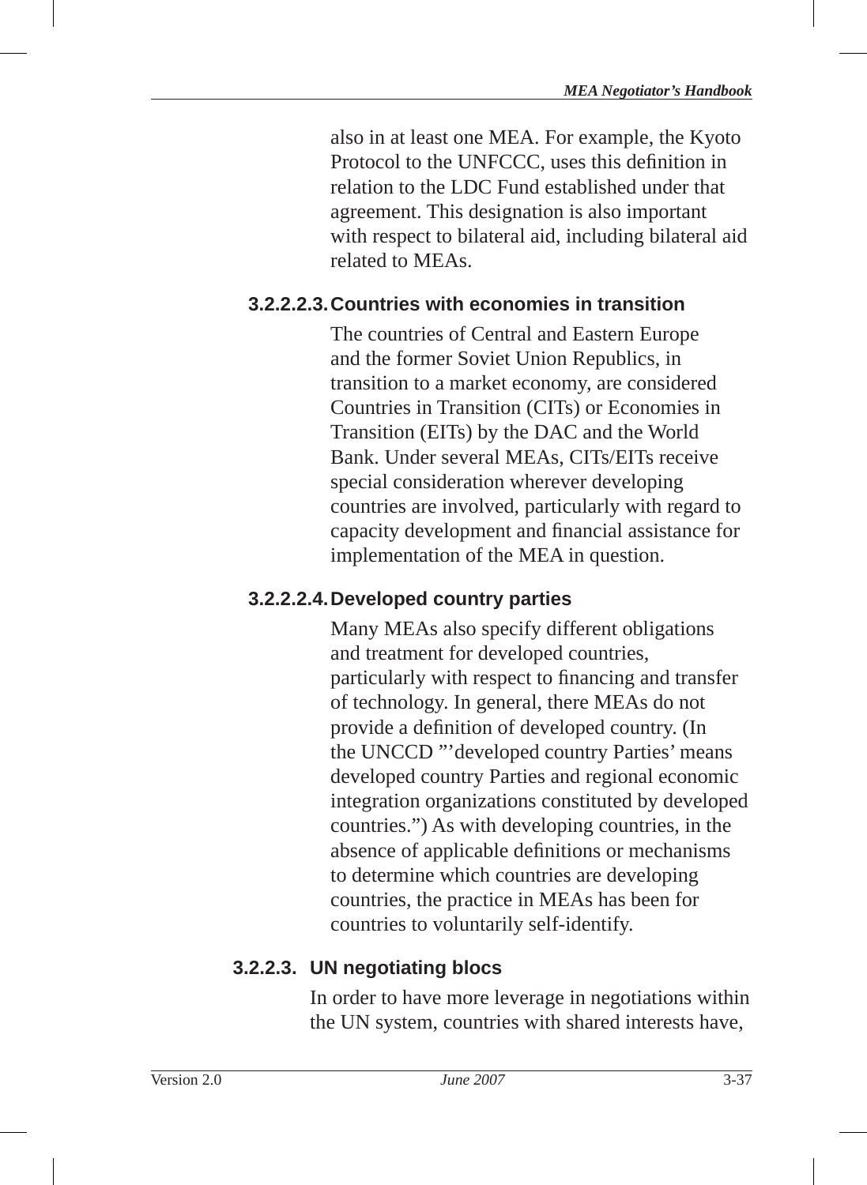also in at least one MEA. For example, the Kyoto Protocol to the UNFCCC, uses this definition in relation to the LDC Fund established under that agreement. This designation is also important with respect to bilateral aid, including bilateral aid related to MEAs.

## **3.2.2.2.3. Countries with economies in transition**

The countries of Central and Eastern Europe and the former Soviet Union Republics, in transition to a market economy, are considered Countries in Transition (CITs) or Economies in Transition (EITs ) by the DAC and the World Bank. Under several MEAs, CITs/EITs receive special consideration wherever developing countries are involved, particularly with regard to capacity development and financial assistance for implementation of the MEA in question.

## **3.2.2.2.4. Developed country parties**

Many MEAs also specify different obligations and treatment for developed countries, particularly with respect to financing and transfer of technology. In general, there MEAs do not provide a definition of developed country. (In the UNCCD "'developed country Parties' means developed country Parties and regional economic integration organizations constituted by developed countries.") As with developing countries, in the absence of applicable definitions or mechanisms to determine which countries are developing countries, the practice in MEAs has been for countries to voluntarily self-identify.

# **3.2.2.3. UN negotiating blocs**

In order to have more leverage in negotiations within the UN system, countries with shared interests have,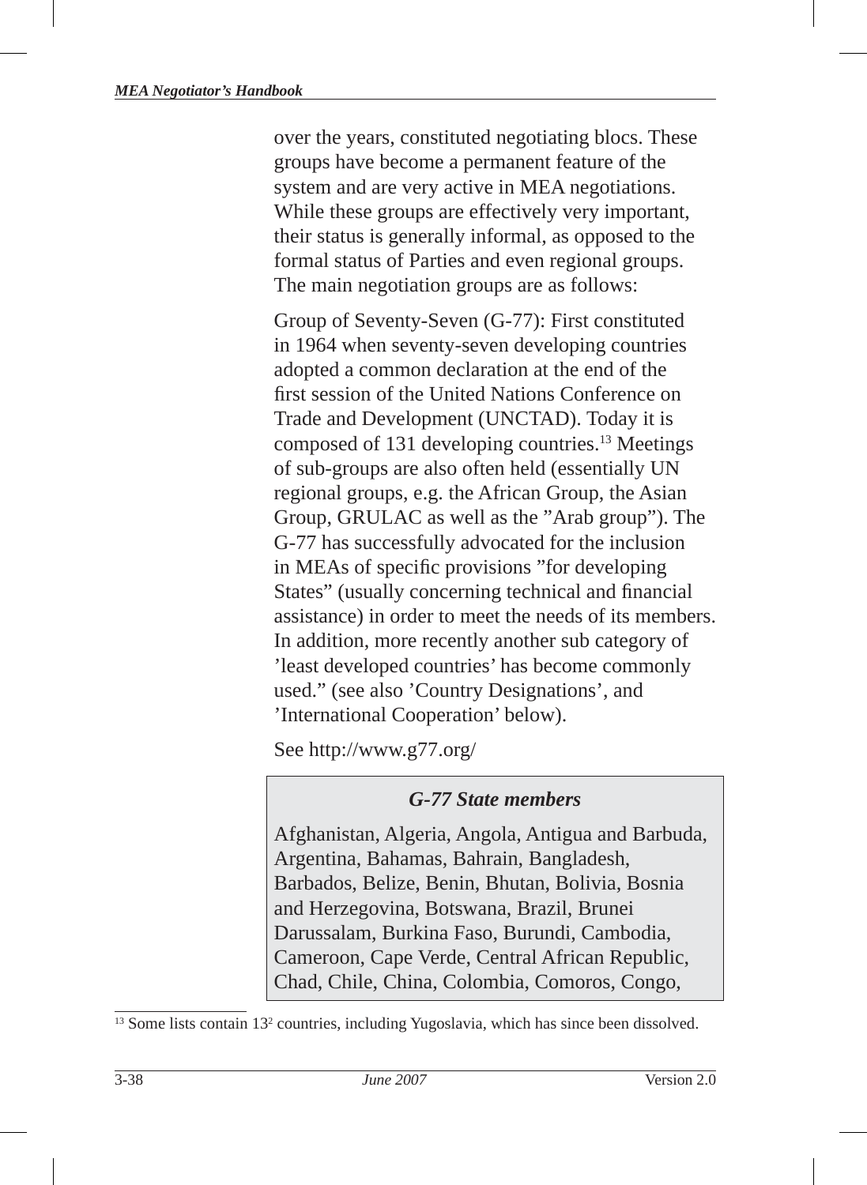over the years, constituted negotiating blocs . These groups have become a permanent feature of the system and are very active in MEA negotiations. While these groups are effectively very important, their status is generally informal, as opposed to the formal status of Parties and even regional groups. The main negotiation groups are as follows:

Group of Seventy-Seven (G-77): First constituted in 1964 when seventy-seven developing countries adopted a common declaration at the end of the first session of the United Nations Conference on Trade and Development (UNCTAD). Today it is composed of 131 developing countries.13 Meetings of sub-groups are also often held (essentially UN regional groups , e.g. the African Group, the Asian Group, GRULAC as well as the "Arab group"). The G-77 has successfully advocated for the inclusion in MEAs of specific provisions "for developing" States" (usually concerning technical and financial assistance) in order to meet the needs of its members. In addition, more recently another sub category of 'least developed countries' has become commonly used." (see also 'Country Designations', and 'International Cooperation' below).

See http://www.g77.org/

## *G-77 State members*

Afghanistan, Algeria, Angola, Antigua and Barbuda, Argentina, Bahamas, Bahrain, Bangladesh, Barbados, Belize, Benin, Bhutan, Bolivia, Bosnia and Herzegovina, Botswana, Brazil, Brunei Darussalam, Burkina Faso, Burundi, Cambodia, Cameroon, Cape Verde, Central African Republic, Chad, Chile, China, Colombia, Comoros, Congo,

<sup>13</sup> Some lists contain 13<sup>2</sup> countries, including Yugoslavia, which has since been dissolved.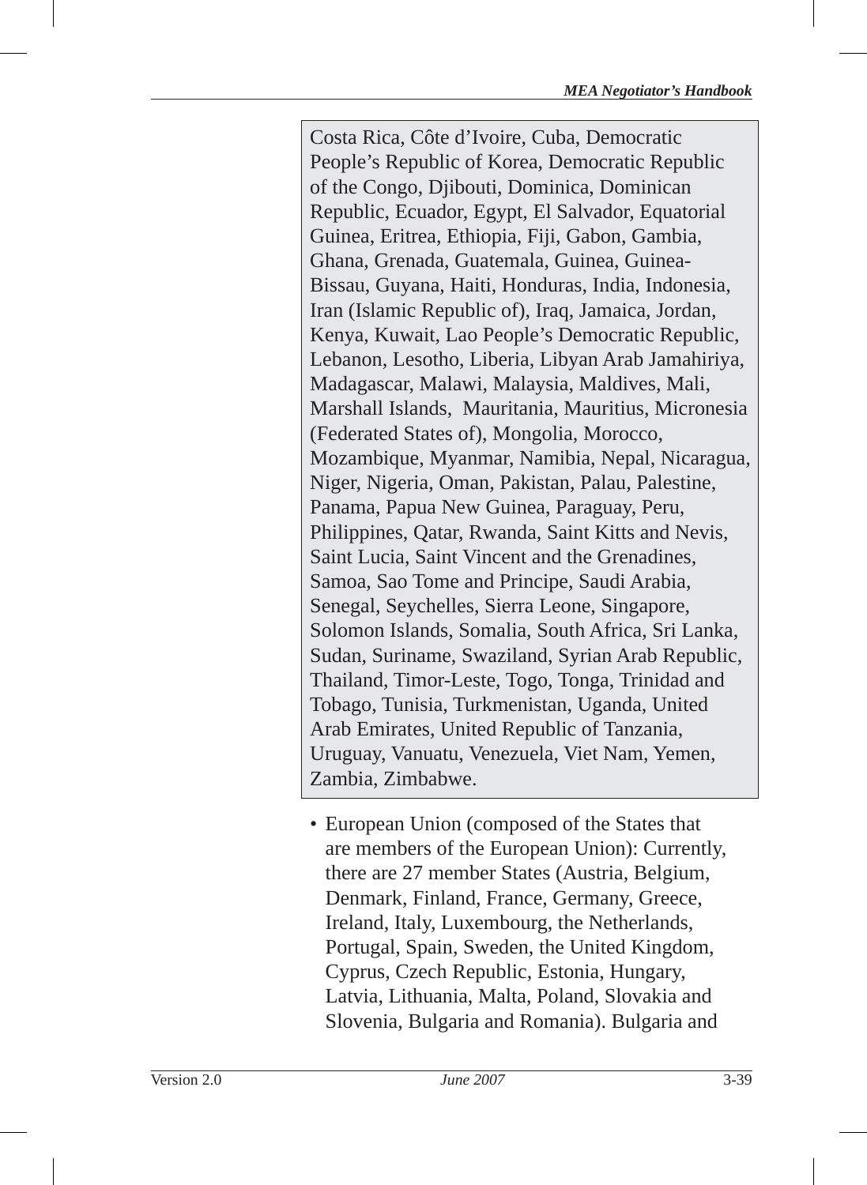Costa Rica, Côte d'Ivoire, Cuba, Democratic People's Republic of Korea, Democratic Republic of the Congo, Djibouti, Dominica, Dominican Republic, Ecuador, Egypt, El Salvador, Equatorial Guinea, Eritrea, Ethiopia, Fiji, Gabon, Gambia, Ghana, Grenada, Guatemala, Guinea, Guinea-Bissau, Guyana, Haiti, Honduras, India, Indonesia, Iran (Islamic Republic of), Iraq, Jamaica, Jordan, Kenya, Kuwait, Lao People's Democratic Republic, Lebanon, Lesotho, Liberia, Libyan Arab Jamahiriya, Madagascar, Malawi, Malaysia, Maldives, Mali, Marshall Islands, Mauritania, Mauritius, Micronesia (Federated States of), Mongolia, Morocco, Mozambique, Myanmar, Namibia, Nepal, Nicaragua, Niger, Nigeria, Oman, Pakistan, Palau, Palestine, Panama, Papua New Guinea, Paraguay, Peru, Philippines, Qatar, Rwanda, Saint Kitts and Nevis, Saint Lucia, Saint Vincent and the Grenadines, Samoa, Sao Tome and Principe, Saudi Arabia, Senegal, Seychelles, Sierra Leone, Singapore, Solomon Islands, Somalia, South Africa, Sri Lanka, Sudan, Suriname, Swaziland, Syrian Arab Republic, Thailand, Timor-Leste, Togo, Tonga, Trinidad and Tobago, Tunisia, Turkmenistan, Uganda, United Arab Emirates, United Republic of Tanzania, Uruguay, Vanuatu, Venezuela, Viet Nam, Yemen, Zambia, Zimbabwe.

• European Union (composed of the States that are members of the European Union): Currently, there are 27 member States (Austria, Belgium, Denmark, Finland, France, Germany, Greece, Ireland, Italy, Luxembourg, the Netherlands, Portugal, Spain, Sweden, the United Kingdom, Cyprus, Czech Republic, Estonia, Hungary, Latvia, Lithuania, Malta, Poland, Slovakia and Slovenia, Bulgaria and Romania). Bulgaria and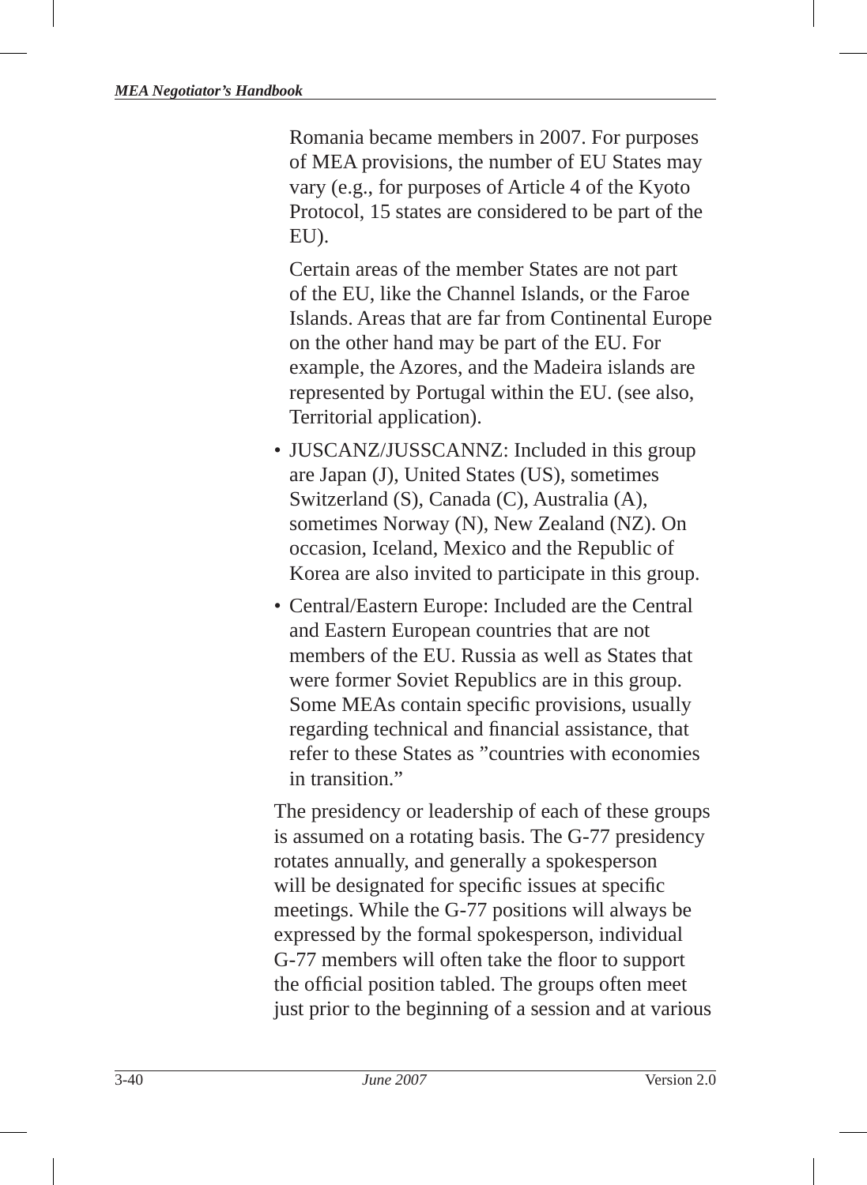Romania became members in 2007. For purposes of MEA provisions, the number of EU States may vary (e.g., for purposes of Article 4 of the Kyoto Protocol, 15 states are considered to be part of the EU).

 Certain areas of the member States are not part of the EU, like the Channel Islands, or the Faroe Islands. Areas that are far from Continental Europe on the other hand may be part of the EU. For example, the Azores, and the Madeira islands are represented by Portugal within the EU. (see also, Territorial application).

- JUSCANZ/JUSSCANNZ: Included in this group are Japan (J), United States (US), sometimes Switzerland (S), Canada (C), Australia (A), sometimes Norway (N), New Zealand (NZ). On occasion, Iceland, Mexico and the Republic of Korea are also invited to participate in this group.
- Central/Eastern Europe: Included are the Central and Eastern European countries that are not members of the EU. Russia as well as States that were former Soviet Republics are in this group. Some MEAs contain specific provisions, usually regarding technical and financial assistance, that refer to these States as "countries with economies in transition"

The presidency or leadership of each of these groups is assumed on a rotating basis. The G-77 presidency rotates annually, and generally a spokesperson will be designated for specific issues at specific meetings. While the G-77 positions will always be expressed by the formal spokesperson, individual G-77 members will often take the floor to support the official position tabled. The groups often meet just prior to the beginning of a session and at various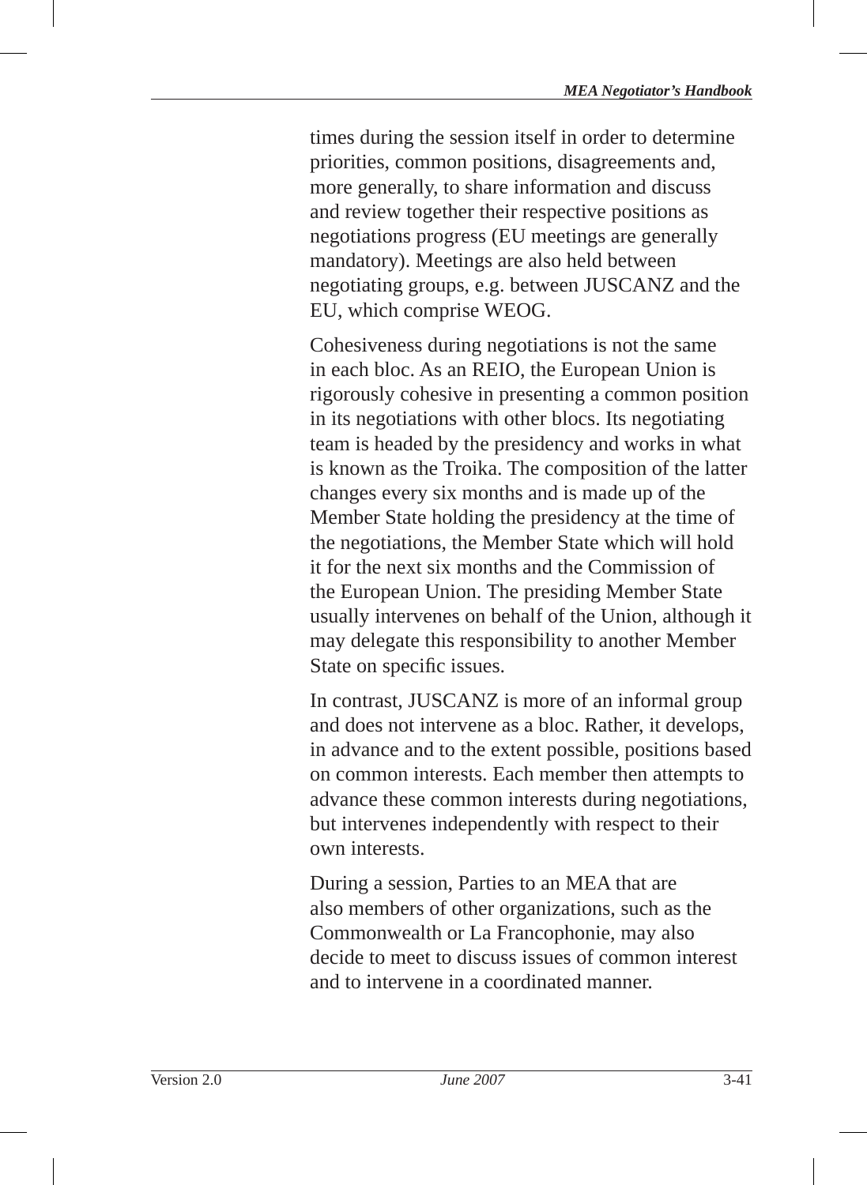times during the session itself in order to determine priorities, common positions, disagreements and, more generally, to share information and discuss and review together their respective positions as negotiations progress (EU meetings are generally mandatory). Meetings are also held between negotiating groups, e.g. between JUSCANZ and the EU, which comprise WEOG.

Cohesiveness during negotiations is not the same in each bloc. As an REIO, the European Union is rigorously cohesive in presenting a common position in its negotiations with other blocs . Its negotiating team is headed by the presidency and works in what is known as the Troika. The composition of the latter changes every six months and is made up of the Member State holding the presidency at the time of the negotiations, the Member State which will hold it for the next six months and the Commission of the European Union. The presiding Member State usually intervenes on behalf of the Union, although it may delegate this responsibility to another Member State on specific issues.

In contrast, JUSCANZ is more of an informal group and does not intervene as a bloc. Rather, it develops, in advance and to the extent possible, positions based on common interests. Each member then attempts to advance these common interests during negotiations, but intervenes independently with respect to their own interests.

During a session, Parties to an MEA that are also members of other organizations, such as the Commonwealth or La Francophonie, may also decide to meet to discuss issues of common interest and to intervene in a coordinated manner.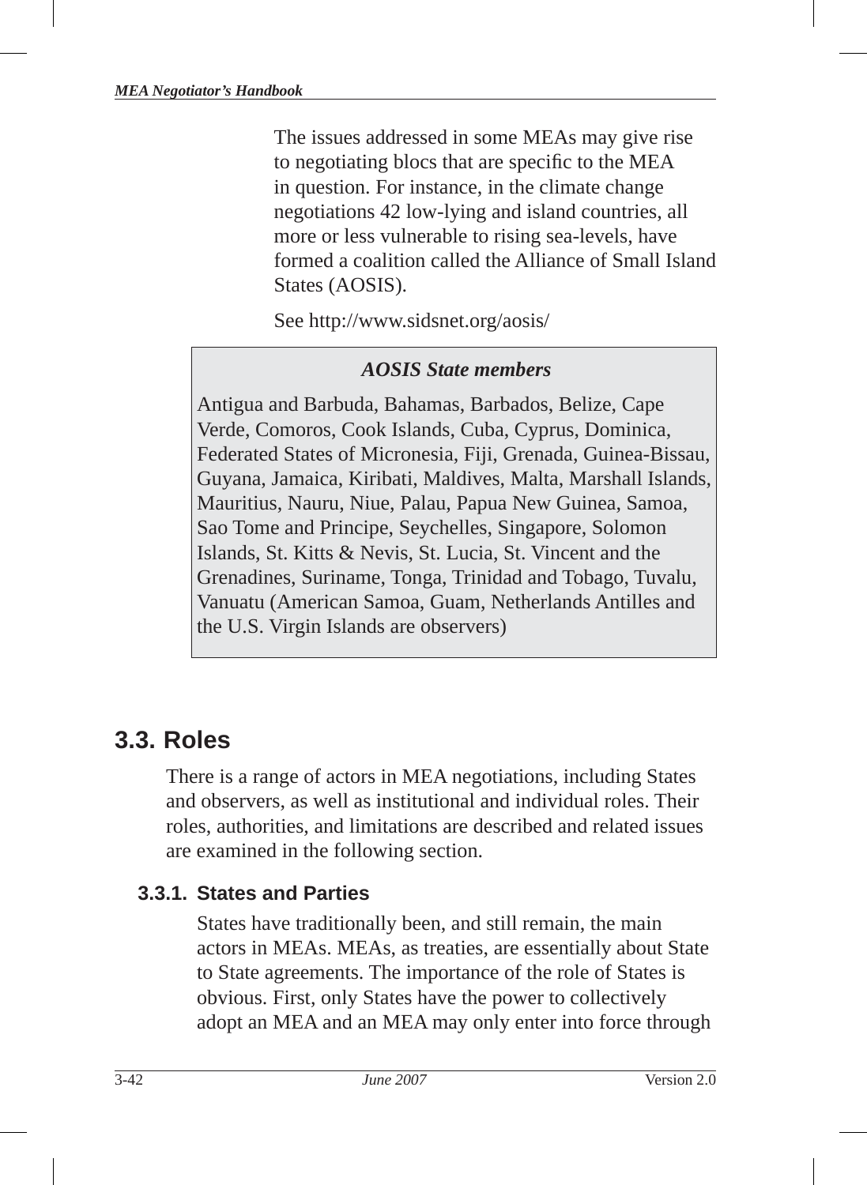The issues addressed in some MEAs may give rise to negotiating blocs that are specific to the MEA in question. For instance, in the climate change negotiations 42 low-lying and island countries, all more or less vulnerable to rising sea-levels, have formed a coalition called the Alliance of Small Island States (AOSIS).

See http://www.sidsnet.org/aosis/

#### *AOSIS State members*

Antigua and Barbuda, Bahamas, Barbados, Belize, Cape Verde, Comoros, Cook Islands, Cuba, Cyprus, Dominica, Federated States of Micronesia, Fiji, Grenada, Guinea-Bissau, Guyana, Jamaica, Kiribati, Maldives, Malta, Marshall Islands, Mauritius, Nauru, Niue, Palau, Papua New Guinea, Samoa, Sao Tome and Principe, Seychelles, Singapore, Solomon Islands, St. Kitts & Nevis, St. Lucia, St. Vincent and the Grenadines, Suriname, Tonga, Trinidad and Tobago, Tuvalu, Vanuatu (American Samoa, Guam, Netherlands Antilles and the U.S. Virgin Islands are observers)

# **3.3. Roles**

There is a range of actors in MEA negotiations, including States and observers, as well as institutional and individual roles. Their roles, authorities, and limitations are described and related issues are examined in the following section.

## **3.3.1. States and Parties**

States have traditionally been, and still remain, the main actors in MEAs. MEAs, as treaties, are essentially about State to State agreements. The importance of the role of States is obvious. First, only States have the power to collectively adopt an MEA and an MEA may only enter into force through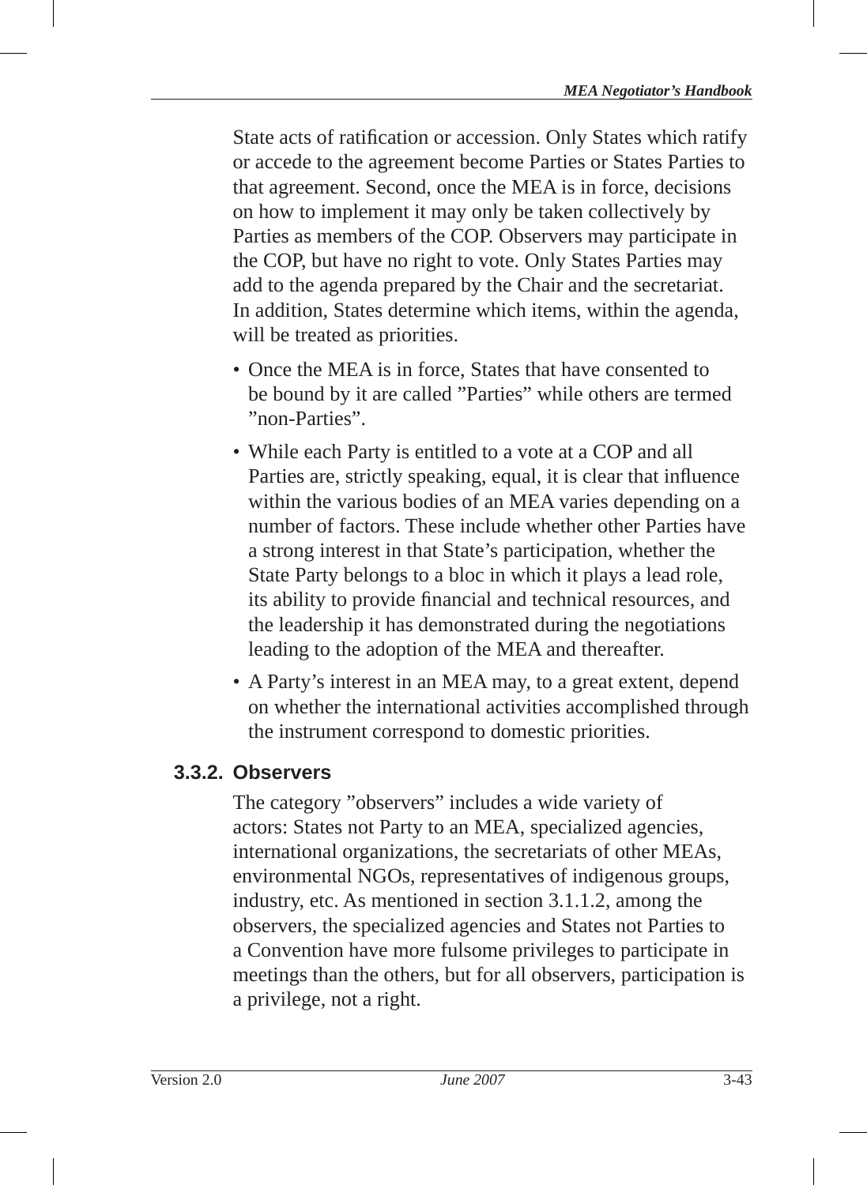State acts of ratification or accession. Only States which ratify or accede to the agreement become Parties or States Parties to that agreement. Second, once the MEA is in force, decisions on how to implement it may only be taken collectively by Parties as members of the COP. Observers may participate in the COP, but have no right to vote. Only States Parties may add to the agenda prepared by the Chair and the secretariat. In addition, States determine which items, within the agenda, will be treated as priorities.

- Once the MEA is in force. States that have consented to be bound by it are called "Parties" while others are termed "non-Parties".
- While each Party is entitled to a vote at a COP and all Parties are, strictly speaking, equal, it is clear that influence within the various bodies of an MEA varies depending on a number of factors. These include whether other Parties have a strong interest in that State's participation, whether the State Party belongs to a bloc in which it plays a lead role, its ability to provide financial and technical resources, and the leadership it has demonstrated during the negotiations leading to the adoption of the MEA and thereafter.
- A Party's interest in an MEA may, to a great extent, depend on whether the international activities accomplished through the instrument correspond to domestic priorities.

# **3.3.2. Observers**

The category "observers" includes a wide variety of actors: States not Party to an MEA, specialized agencies, international organizations, the secretariats of other MEAs, environmental NGOs, representatives of indigenous groups, industry, etc. As mentioned in section 3.1.1.2, among the observers, the specialized agencies and States not Parties to a Convention have more fulsome privileges to participate in meetings than the others, but for all observers, participation is a privilege, not a right.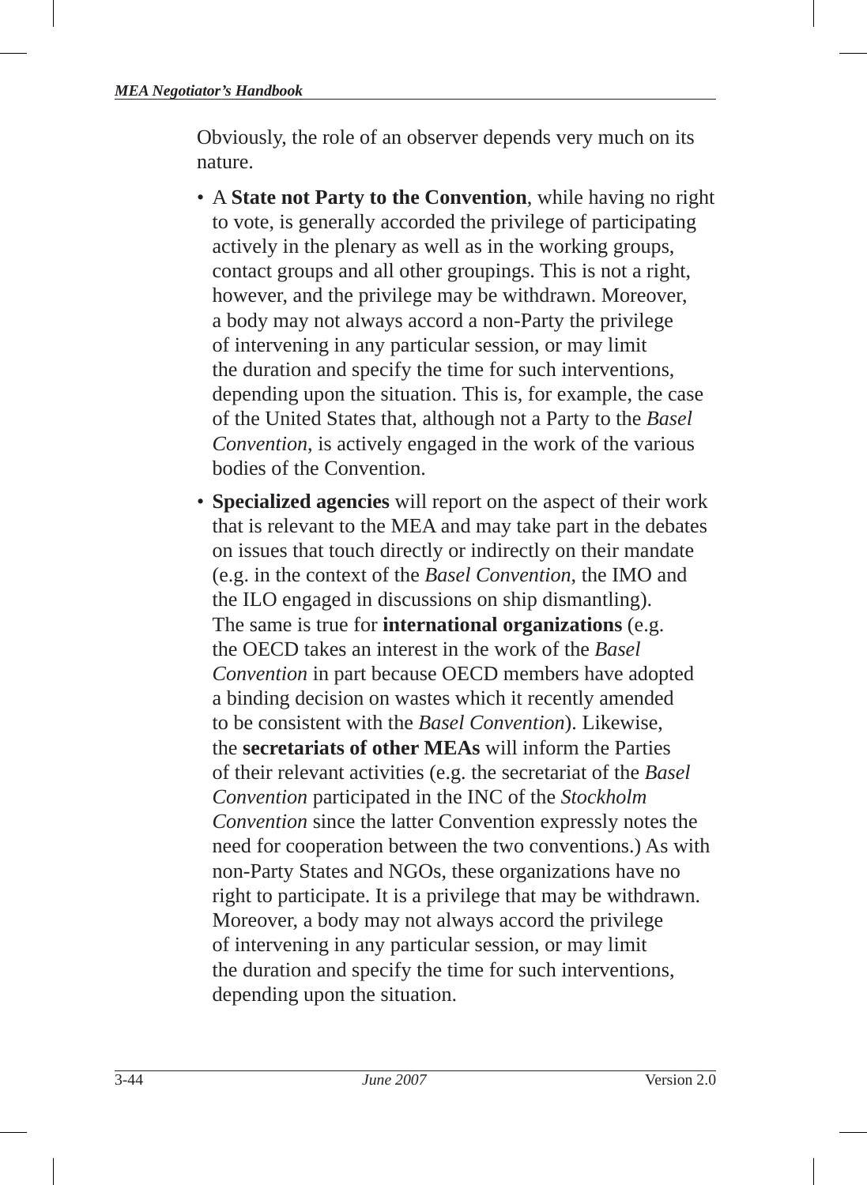Obviously, the role of an observer depends very much on its nature.

- A **State not Party to the Convention**, while having no right to vote, is generally accorded the privilege of participating actively in the plenary as well as in the working groups, contact groups and all other groupings. This is not a right, however, and the privilege may be withdrawn. Moreover, a body may not always accord a non-Party the privilege of intervening in any particular session, or may limit the duration and specify the time for such interventions, depending upon the situation. This is, for example, the case of the United States that, although not a Party to the *Basel Convention*, is actively engaged in the work of the various bodies of the Convention.
- **Specialized agencies** will report on the aspect of their work that is relevant to the MEA and may take part in the debates on issues that touch directly or indirectly on their mandate (e.g. in the context of the *Basel Convention*, the IMO and the ILO engaged in discussions on ship dismantling). The same is true for **international organizations** (e.g. the OECD takes an interest in the work of the *Basel Convention* in part because OECD members have adopted a binding decision on wastes which it recently amended to be consistent with the *Basel Convention*). Likewise, the **secretariats of other MEAs** will inform the Parties of their relevant activities (e.g. the secretariat of the *Basel Convention* participated in the INC of the *Stockholm Convention* since the latter Convention expressly notes the need for cooperation between the two conventions.) As with non-Party States and NGOs, these organizations have no right to participate. It is a privilege that may be withdrawn. Moreover, a body may not always accord the privilege of intervening in any particular session, or may limit the duration and specify the time for such interventions, depending upon the situation.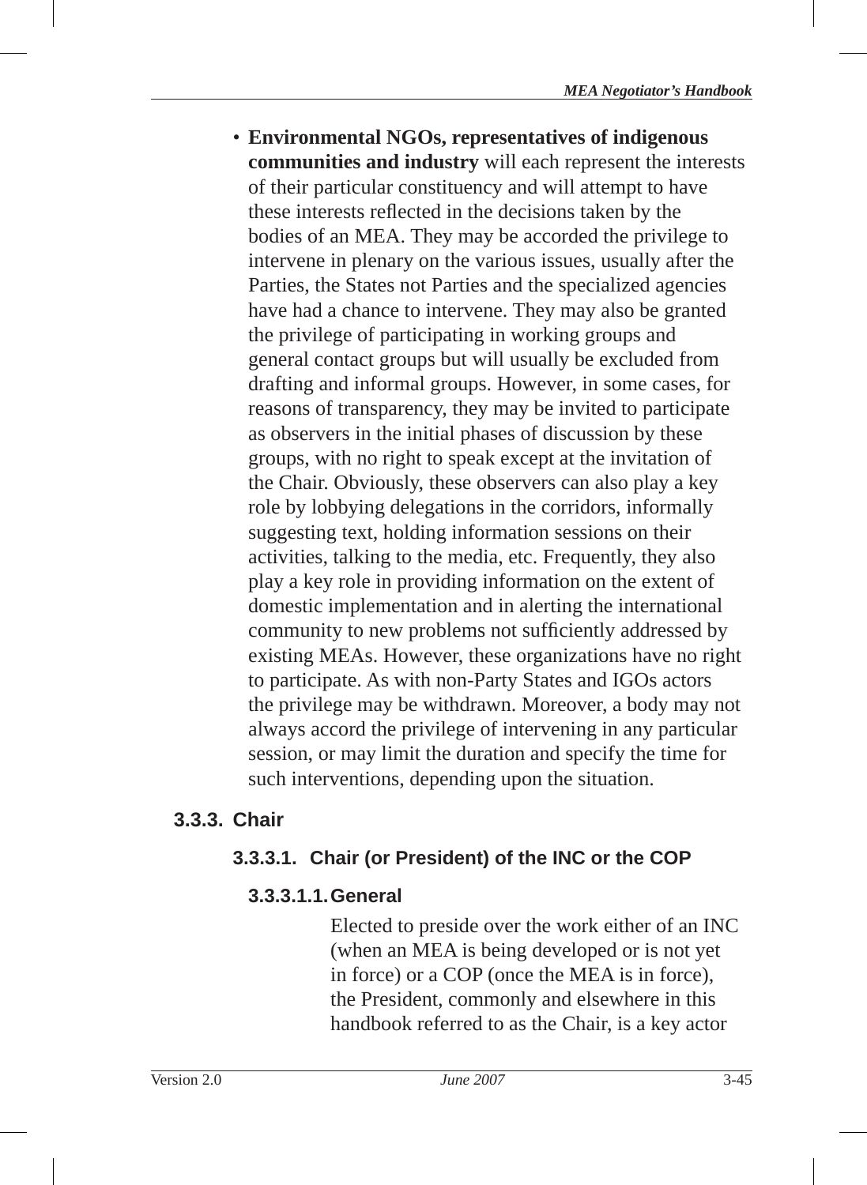• **Environmental NGOs , representatives of indigenous communities and industry** will each represent the interests of their particular constituency and will attempt to have these interests reflected in the decisions taken by the bodies of an MEA. They may be accorded the privilege to intervene in plenary on the various issues, usually after the Parties, the States not Parties and the specialized agencies have had a chance to intervene. They may also be granted the privilege of participating in working groups and general contact groups but will usually be excluded from drafting and informal groups. However, in some cases, for reasons of transparency, they may be invited to participate as observers in the initial phases of discussion by these groups, with no right to speak except at the invitation of the Chair. Obviously, these observers can also play a key role by lobbying delegations in the corridors, informally suggesting text, holding information sessions on their activities, talking to the media, etc. Frequently, they also play a key role in providing information on the extent of domestic implementation and in alerting the international community to new problems not sufficiently addressed by existing MEAs. However, these organizations have no right to participate. As with non-Party States and IGOs actors the privilege may be withdrawn. Moreover, a body may not always accord the privilege of intervening in any particular session, or may limit the duration and specify the time for such interventions, depending upon the situation.

## **3.3.3. Chair**

## **3.3.3.1. Chair (or President) of the INC or the COP**

## **3.3.3.1.1. General**

Elected to preside over the work either of an INC (when an MEA is being developed or is not yet in force) or a COP (once the MEA is in force), the President, commonly and elsewhere in this handbook referred to as the Chair, is a key actor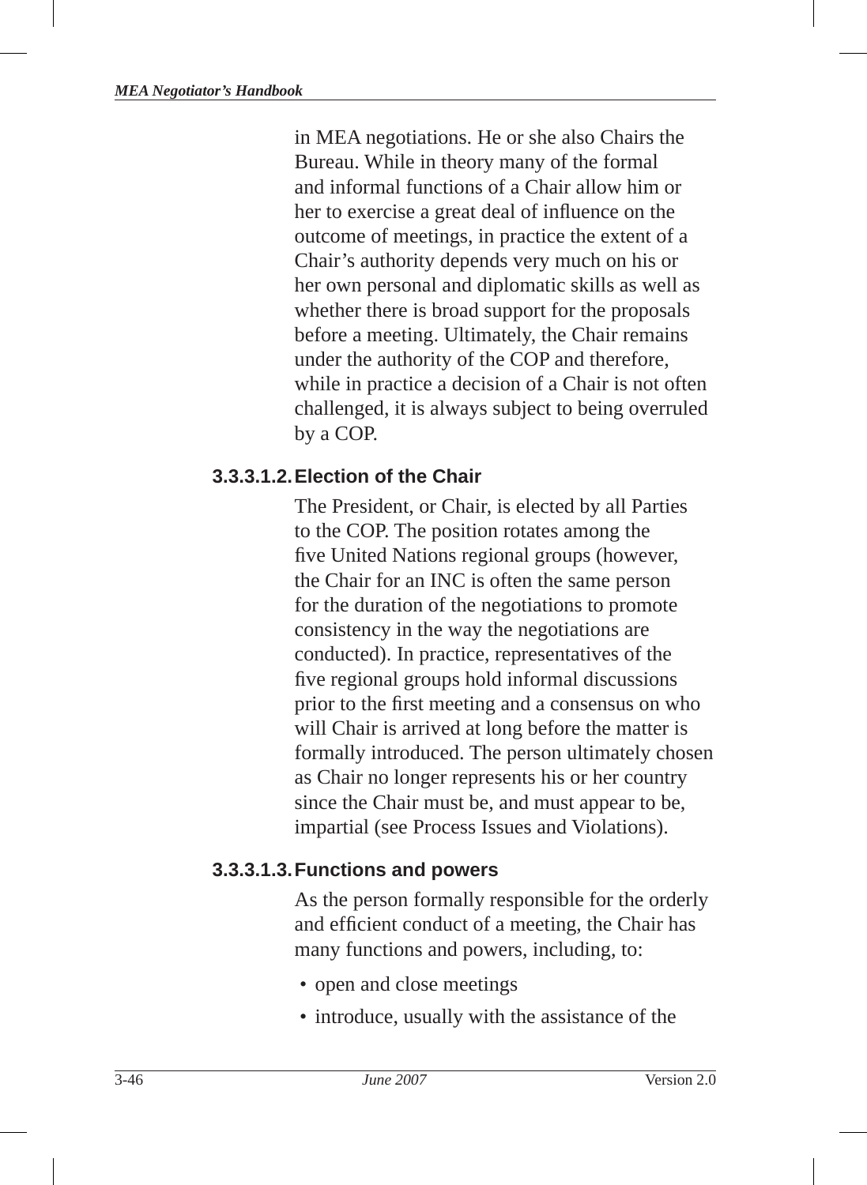in MEA negotiations. He or she also Chairs the Bureau. While in theory many of the formal and informal functions of a Chair allow him or her to exercise a great deal of influence on the outcome of meetings, in practice the extent of a Chair's authority depends very much on his or her own personal and diplomatic skills as well as whether there is broad support for the proposals before a meeting. Ultimately, the Chair remains under the authority of the COP and therefore, while in practice a decision of a Chair is not often challenged, it is always subject to being overruled by a COP.

## **3.3.3.1.2. Election of the Chair**

The President, or Chair, is elected by all Parties to the COP. The position rotates among the five United Nations regional groups (however, the Chair for an INC is often the same person for the duration of the negotiations to promote consistency in the way the negotiations are conducted). In practice, representatives of the five regional groups hold informal discussions prior to the first meeting and a consensus on who will Chair is arrived at long before the matter is formally introduced. The person ultimately chosen as Chair no longer represents his or her country since the Chair must be, and must appear to be, impartial (see Process Issues and Violations).

## **3.3.3.1.3. Functions and powers**

As the person formally responsible for the orderly and efficient conduct of a meeting, the Chair has many functions and powers, including, to:

- open and close meetings
- introduce, usually with the assistance of the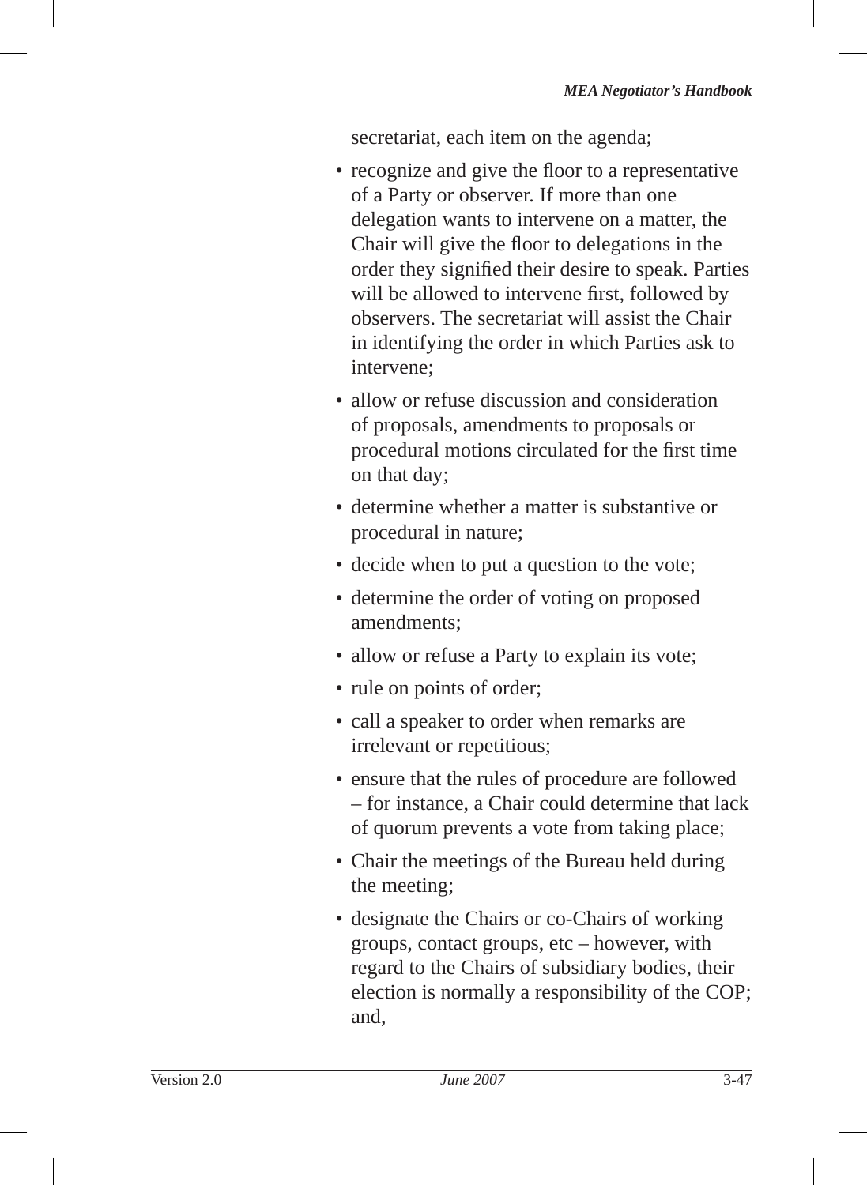secretariat, each item on the agenda;

- recognize and give the floor to a representative of a Party or observer. If more than one delegation wants to intervene on a matter, the Chair will give the floor to delegations in the order they signified their desire to speak. Parties will be allowed to intervene first, followed by observers. The secretariat will assist the Chair in identifying the order in which Parties ask to intervene;
- allow or refuse discussion and consideration of proposals, amendments to proposals or procedural motions circulated for the first time on that day;
- determine whether a matter is substantive or procedural in nature;
- decide when to put a question to the vote;
- determine the order of voting on proposed amendments;
- allow or refuse a Party to explain its vote;
- rule on points of order;
- call a speaker to order when remarks are irrelevant or repetitious;
- ensure that the rules of procedure are followed – for instance, a Chair could determine that lack of quorum prevents a vote from taking place;
- Chair the meetings of the Bureau held during the meeting;
- designate the Chairs or co-Chairs of working groups, contact groups, etc – however, with regard to the Chairs of subsidiary bodies, their election is normally a responsibility of the COP; and,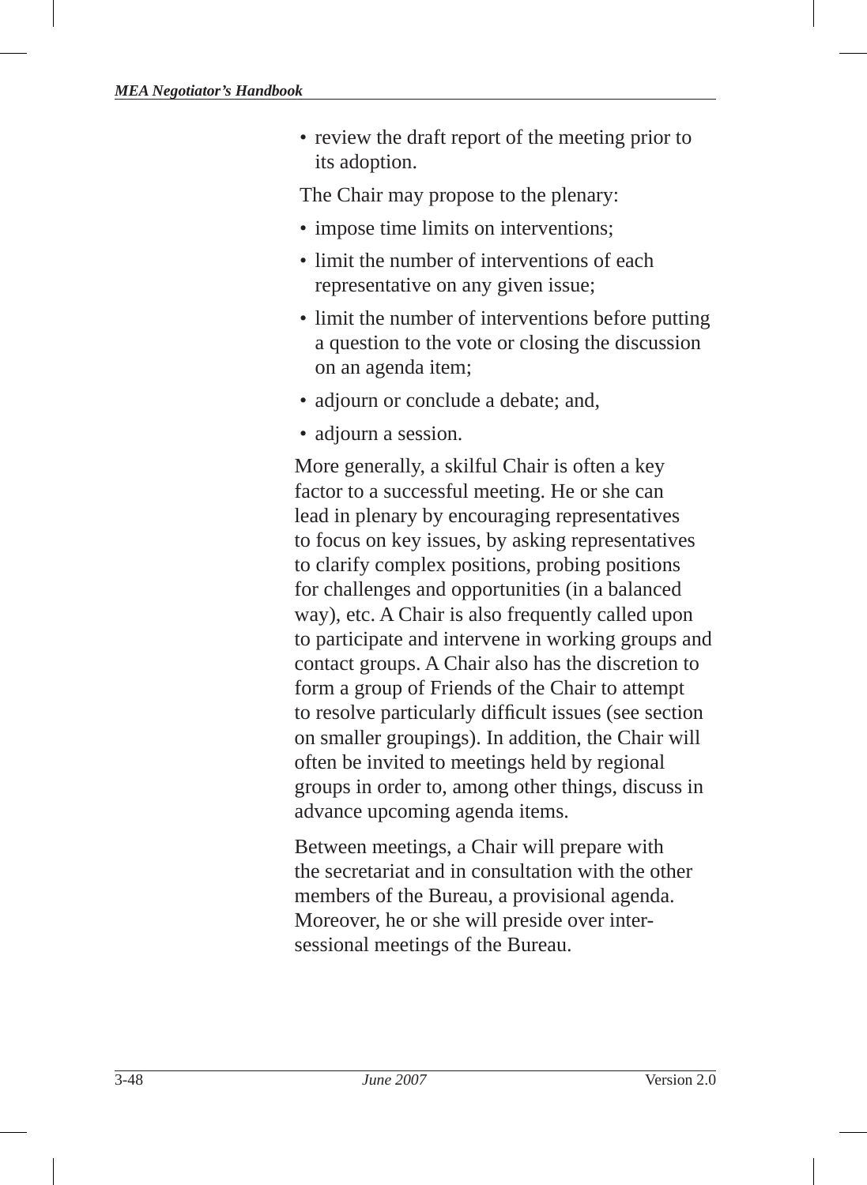• review the draft report of the meeting prior to its adoption.

The Chair may propose to the plenary:

- impose time limits on interventions;
- limit the number of interventions of each representative on any given issue;
- limit the number of interventions before putting a question to the vote or closing the discussion on an agenda item;
- adjourn or conclude a debate; and,
- adjourn a session.

More generally, a skilful Chair is often a key factor to a successful meeting. He or she can lead in plenary by encouraging representatives to focus on key issues, by asking representatives to clarify complex positions, probing positions for challenges and opportunities (in a balanced way), etc. A Chair is also frequently called upon to participate and intervene in working groups and contact groups. A Chair also has the discretion to form a group of Friends of the Chair to attempt to resolve particularly difficult issues (see section on smaller groupings). In addition, the Chair will often be invited to meetings held by regional groups in order to, among other things, discuss in advance upcoming agenda items.

Between meetings, a Chair will prepare with the secretariat and in consultation with the other members of the Bureau, a provisional agenda. Moreover, he or she will preside over intersessional meetings of the Bureau.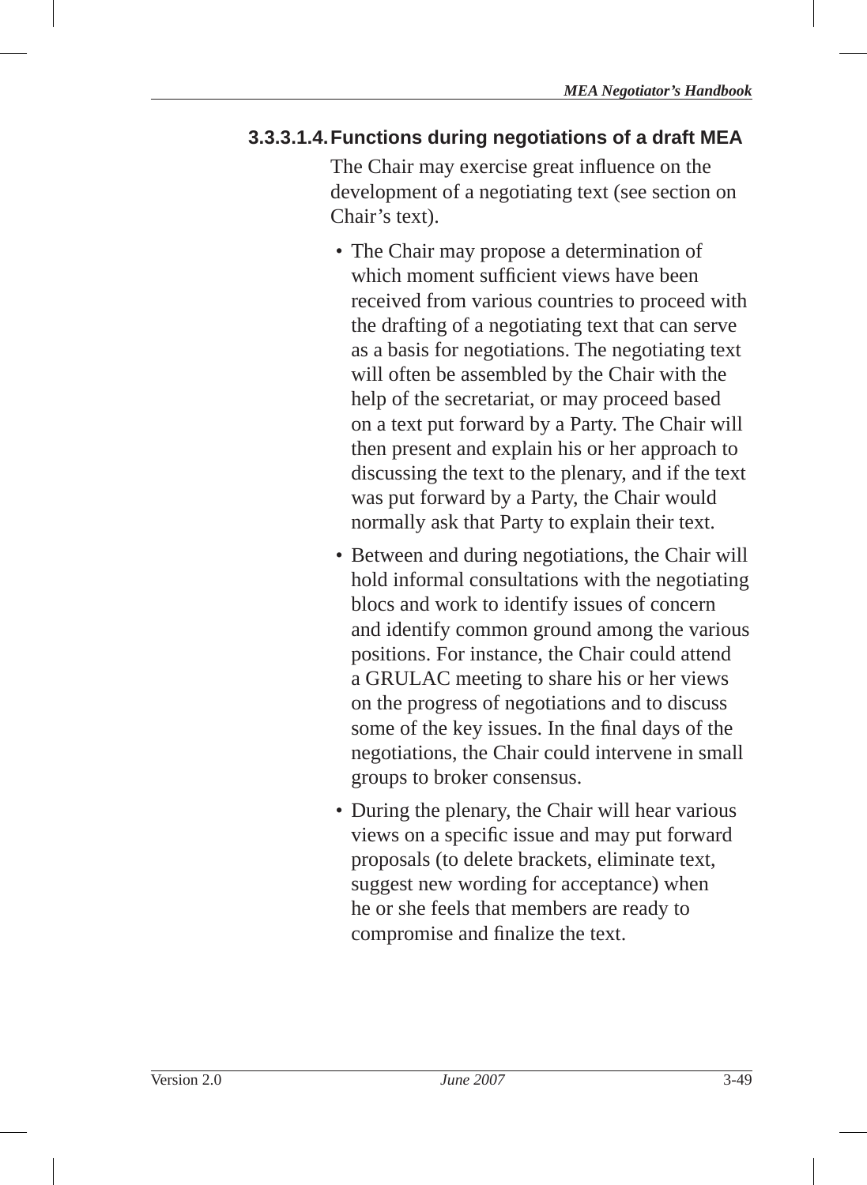#### **3.3.3.1.4. Functions during negotiations of a draft MEA**

The Chair may exercise great influence on the development of a negotiating text (see section on Chair's text).

- The Chair may propose a determination of which moment sufficient views have been received from various countries to proceed with the drafting of a negotiating text that can serve as a basis for negotiations. The negotiating text will often be assembled by the Chair with the help of the secretariat, or may proceed based on a text put forward by a Party. The Chair will then present and explain his or her approach to discussing the text to the plenary, and if the text was put forward by a Party, the Chair would normally ask that Party to explain their text.
- Between and during negotiations, the Chair will hold informal consultations with the negotiating blocs and work to identify issues of concern and identify common ground among the various positions. For instance, the Chair could attend a GRULAC meeting to share his or her views on the progress of negotiations and to discuss some of the key issues. In the final days of the negotiations, the Chair could intervene in small groups to broker consensus.
- During the plenary, the Chair will hear various views on a specific issue and may put forward proposals (to delete brackets, eliminate text, suggest new wording for acceptance) when he or she feels that members are ready to compromise and finalize the text.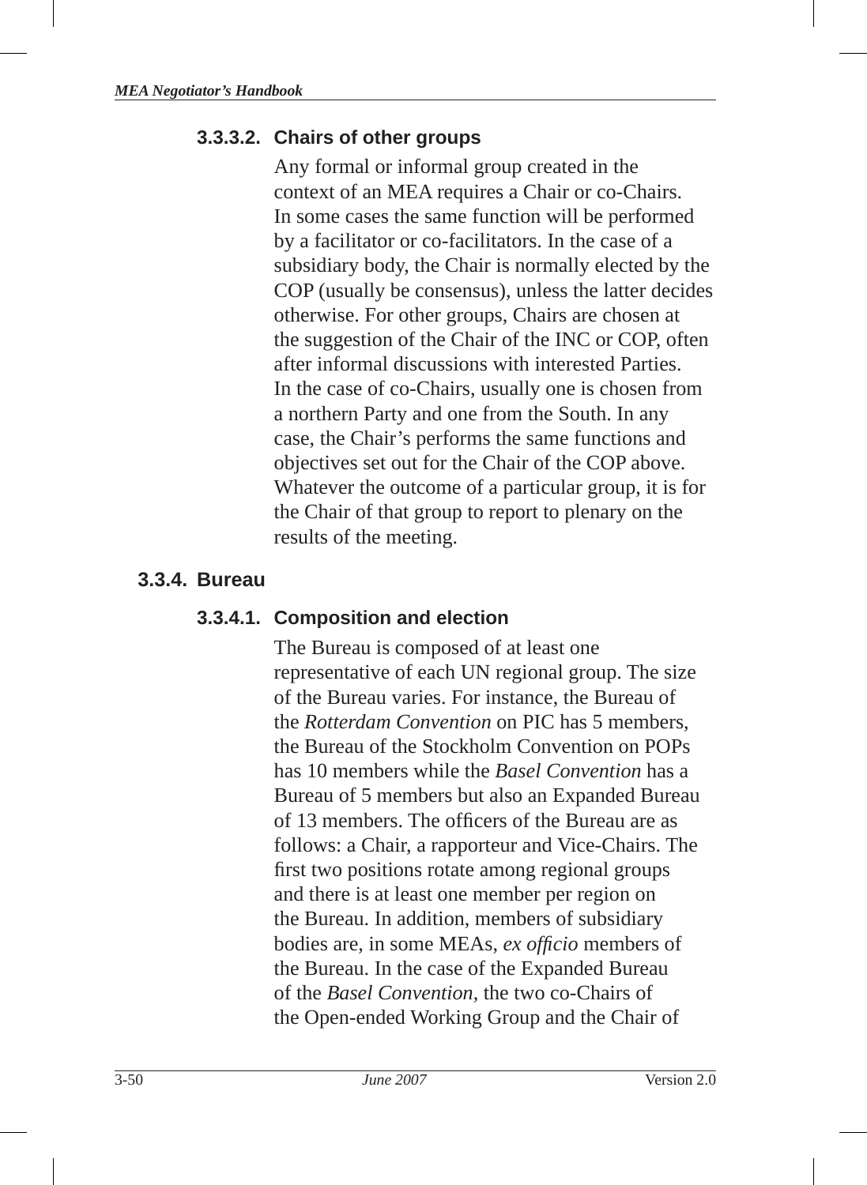#### **3.3.3.2. Chairs of other groups**

Any formal or informal group created in the context of an MEA requires a Chair or co-Chairs. In some cases the same function will be performed by a facilitator or co-facilitators. In the case of a subsidiary body, the Chair is normally elected by the COP (usually be consensus), unless the latter decides otherwise. For other groups, Chairs are chosen at the suggestion of the Chair of the INC or COP, often after informal discussions with interested Parties. In the case of co-Chairs, usually one is chosen from a northern Party and one from the South. In any case, the Chair's performs the same functions and objectives set out for the Chair of the COP above. Whatever the outcome of a particular group, it is for the Chair of that group to report to plenary on the results of the meeting.

#### **3.3.4. Bureau**

#### **3.3.4.1. Composition and election**

The Bureau is composed of at least one representative of each UN regional group. The size of the Bureau varies. For instance, the Bureau of the *Rotterdam Convention* on PIC has 5 members, the Bureau of the Stockholm Convention on POPs has 10 members while the *Basel Convention* has a Bureau of 5 members but also an Expanded Bureau of 13 members. The officers of the Bureau are as follows: a Chair, a rapporteur and Vice-Chairs. The first two positions rotate among regional groups and there is at least one member per region on the Bureau. In addition, members of subsidiary bodies are, in some MEAs, *ex officio* members of the Bureau. In the case of the Expanded Bureau of the *Basel Convention*, the two co-Chairs of the Open-ended Working Group and the Chair of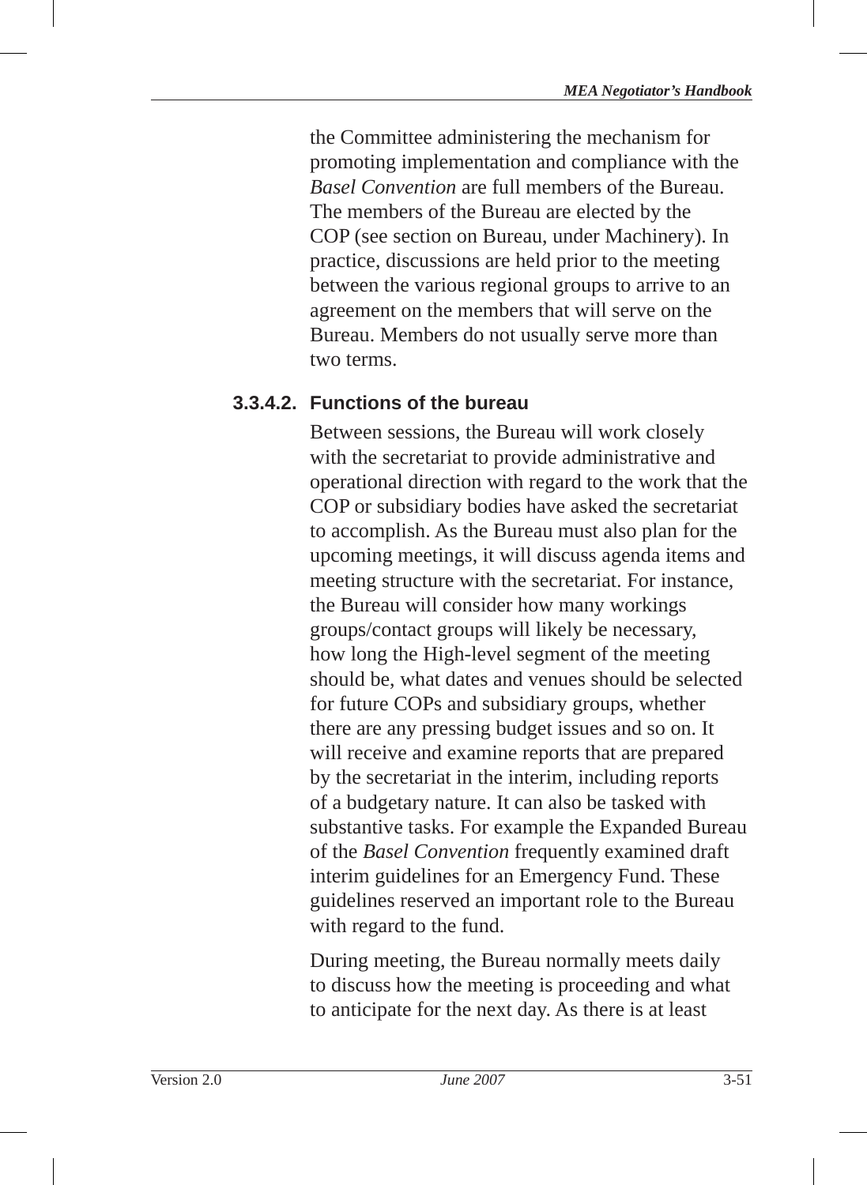the Committee administering the mechanism for promoting implementation and compliance with the *Basel Convention* are full members of the Bureau. The members of the Bureau are elected by the COP (see section on Bureau, under Machinery). In practice, discussions are held prior to the meeting between the various regional groups to arrive to an agreement on the members that will serve on the Bureau. Members do not usually serve more than two terms.

## **3.3.4.2. Functions of the bureau**

Between sessions, the Bureau will work closely with the secretariat to provide administrative and operational direction with regard to the work that the COP or subsidiary bodies have asked the secretariat to accomplish. As the Bureau must also plan for the upcoming meetings, it will discuss agenda items and meeting structure with the secretariat. For instance, the Bureau will consider how many workings groups/contact groups will likely be necessary, how long the High-level segment of the meeting should be, what dates and venues should be selected for future COPs and subsidiary groups, whether there are any pressing budget issues and so on. It will receive and examine reports that are prepared by the secretariat in the interim, including reports of a budgetary nature. It can also be tasked with substantive tasks. For example the Expanded Bureau of the *Basel Convention* frequently examined draft interim guidelines for an Emergency Fund. These guidelines reserved an important role to the Bureau with regard to the fund.

During meeting, the Bureau normally meets daily to discuss how the meeting is proceeding and what to anticipate for the next day. As there is at least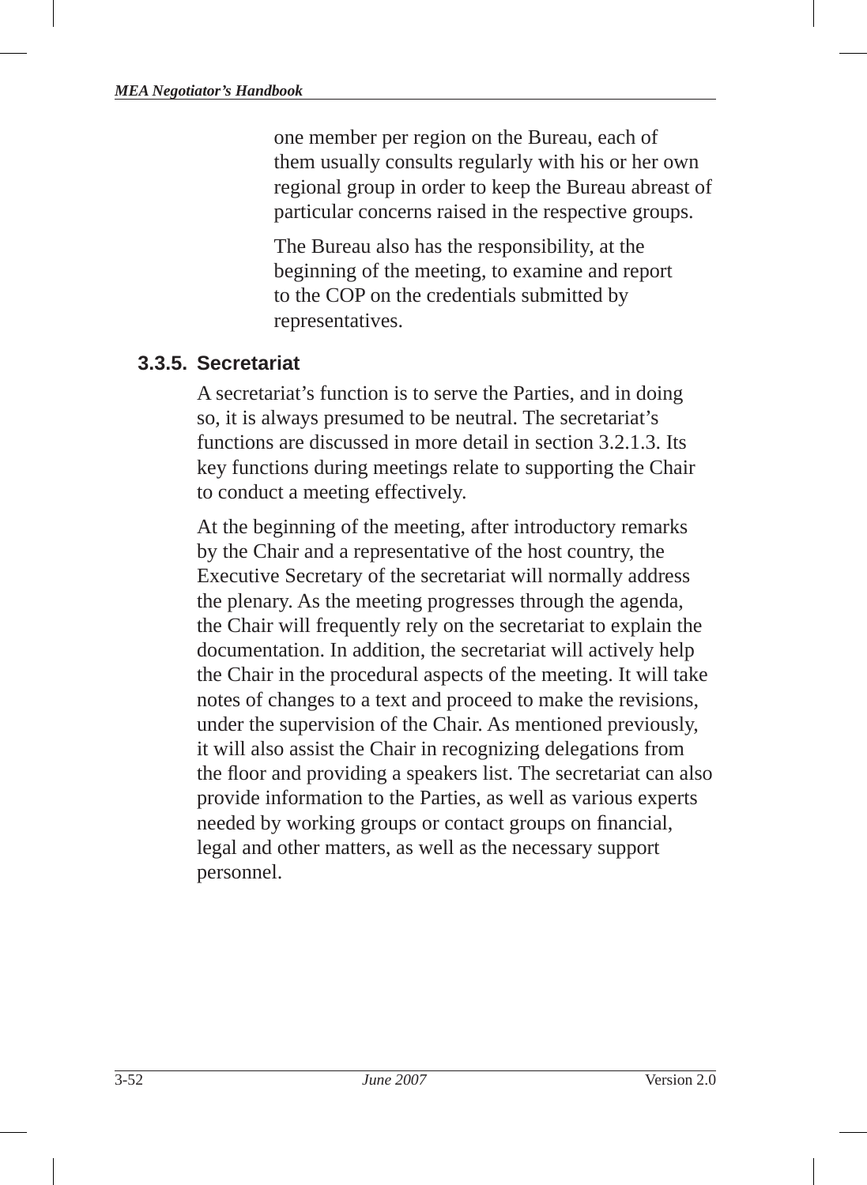one member per region on the Bureau, each of them usually consults regularly with his or her own regional group in order to keep the Bureau abreast of particular concerns raised in the respective groups.

The Bureau also has the responsibility, at the beginning of the meeting, to examine and report to the COP on the credentials submitted by representatives.

#### **3.3.5. Secretariat**

A secretariat's function is to serve the Parties, and in doing so, it is always presumed to be neutral. The secretariat's functions are discussed in more detail in section 3.2.1.3. Its key functions during meetings relate to supporting the Chair to conduct a meeting effectively.

At the beginning of the meeting, after introductory remarks by the Chair and a representative of the host country, the Executive Secretary of the secretariat will normally address the plenary. As the meeting progresses through the agenda, the Chair will frequently rely on the secretariat to explain the documentation. In addition, the secretariat will actively help the Chair in the procedural aspects of the meeting. It will take notes of changes to a text and proceed to make the revisions, under the supervision of the Chair. As mentioned previously, it will also assist the Chair in recognizing delegations from the floor and providing a speakers list. The secretariat can also provide information to the Parties, as well as various experts needed by working groups or contact groups on financial, legal and other matters, as well as the necessary support personnel.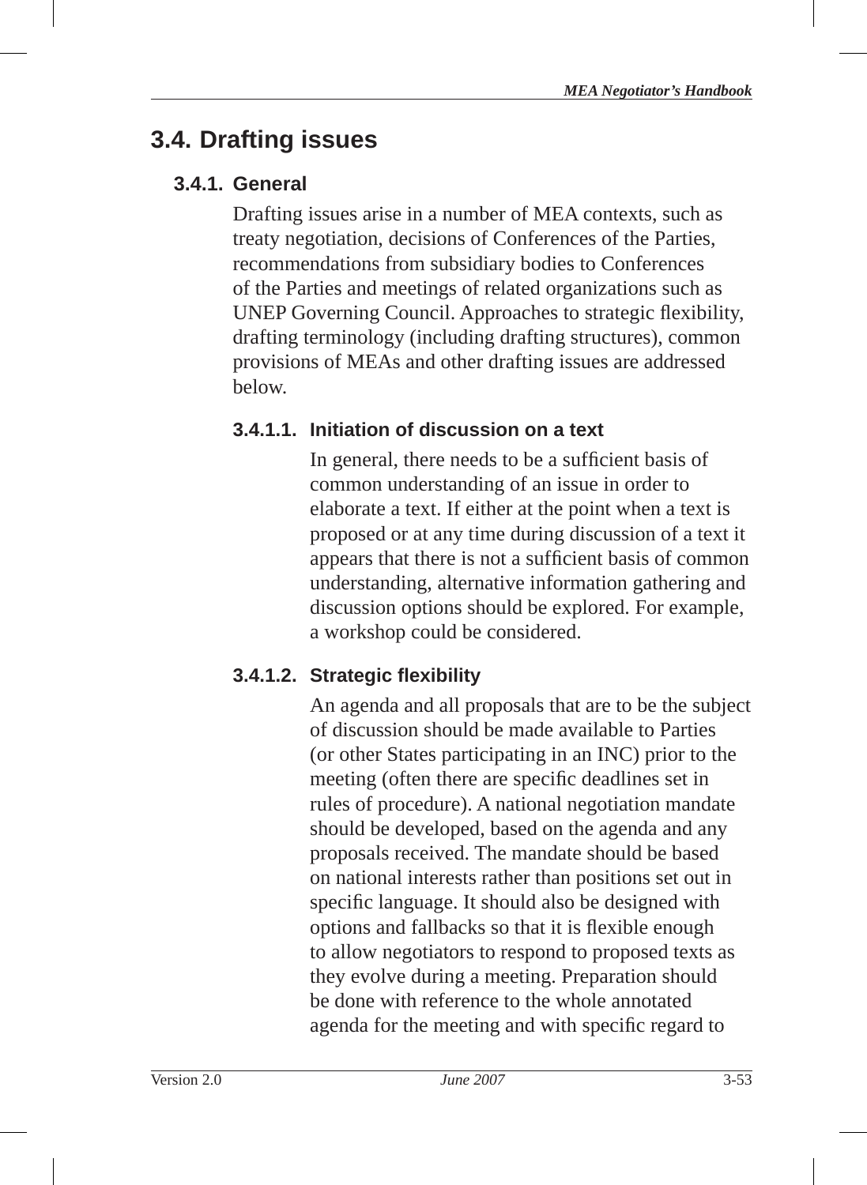# **3.4. Drafting issues**

## **3.4.1. General**

Drafting issues arise in a number of MEA contexts, such as treaty negotiation, decisions of Conferences of the Parties, recommendations from subsidiary bodies to Conferences of the Parties and meetings of related organizations such as UNEP Governing Council. Approaches to strategic flexibility, drafting terminology (including drafting structures), common provisions of MEAs and other drafting issues are addressed below.

## **3.4.1.1. Initiation of discussion on a text**

In general, there needs to be a sufficient basis of common understanding of an issue in order to elaborate a text. If either at the point when a text is proposed or at any time during discussion of a text it appears that there is not a sufficient basis of common understanding, alternative information gathering and discussion options should be explored. For example, a workshop could be considered.

# **3.4.1.2. Strategic fl exibility**

An agenda and all proposals that are to be the subject of discussion should be made available to Parties (or other States participating in an INC) prior to the meeting (often there are specific deadlines set in rules of procedure). A national negotiation mandate should be developed, based on the agenda and any proposals received. The mandate should be based on national interests rather than positions set out in specific language. It should also be designed with options and fallbacks so that it is flexible enough to allow negotiators to respond to proposed texts as they evolve during a meeting. Preparation should be done with reference to the whole annotated agenda for the meeting and with specific regard to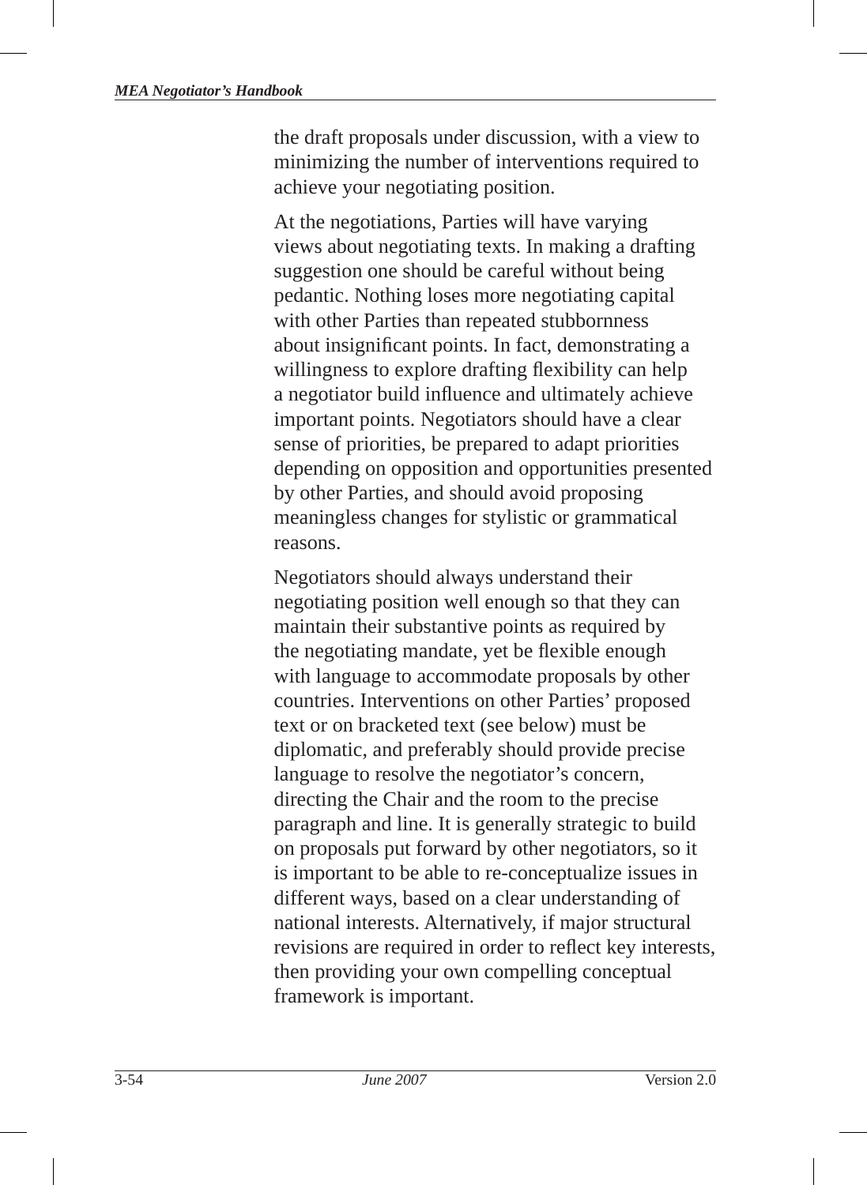the draft proposals under discussion, with a view to minimizing the number of interventions required to achieve your negotiating position.

At the negotiations, Parties will have varying views about negotiating texts. In making a drafting suggestion one should be careful without being pedantic. Nothing loses more negotiating capital with other Parties than repeated stubbornness about insignificant points. In fact, demonstrating a willingness to explore drafting flexibility can help a negotiator build influence and ultimately achieve important points. Negotiators should have a clear sense of priorities, be prepared to adapt priorities depending on opposition and opportunities presented by other Parties, and should avoid proposing meaningless changes for stylistic or grammatical reasons.

Negotiators should always understand their negotiating position well enough so that they can maintain their substantive points as required by the negotiating mandate, yet be flexible enough with language to accommodate proposals by other countries. Interventions on other Parties' proposed text or on bracketed text (see below) must be diplomatic, and preferably should provide precise language to resolve the negotiator's concern, directing the Chair and the room to the precise paragraph and line. It is generally strategic to build on proposals put forward by other negotiators, so it is important to be able to re-conceptualize issues in different ways, based on a clear understanding of national interests. Alternatively, if major structural revisions are required in order to reflect key interests, then providing your own compelling conceptual framework is important.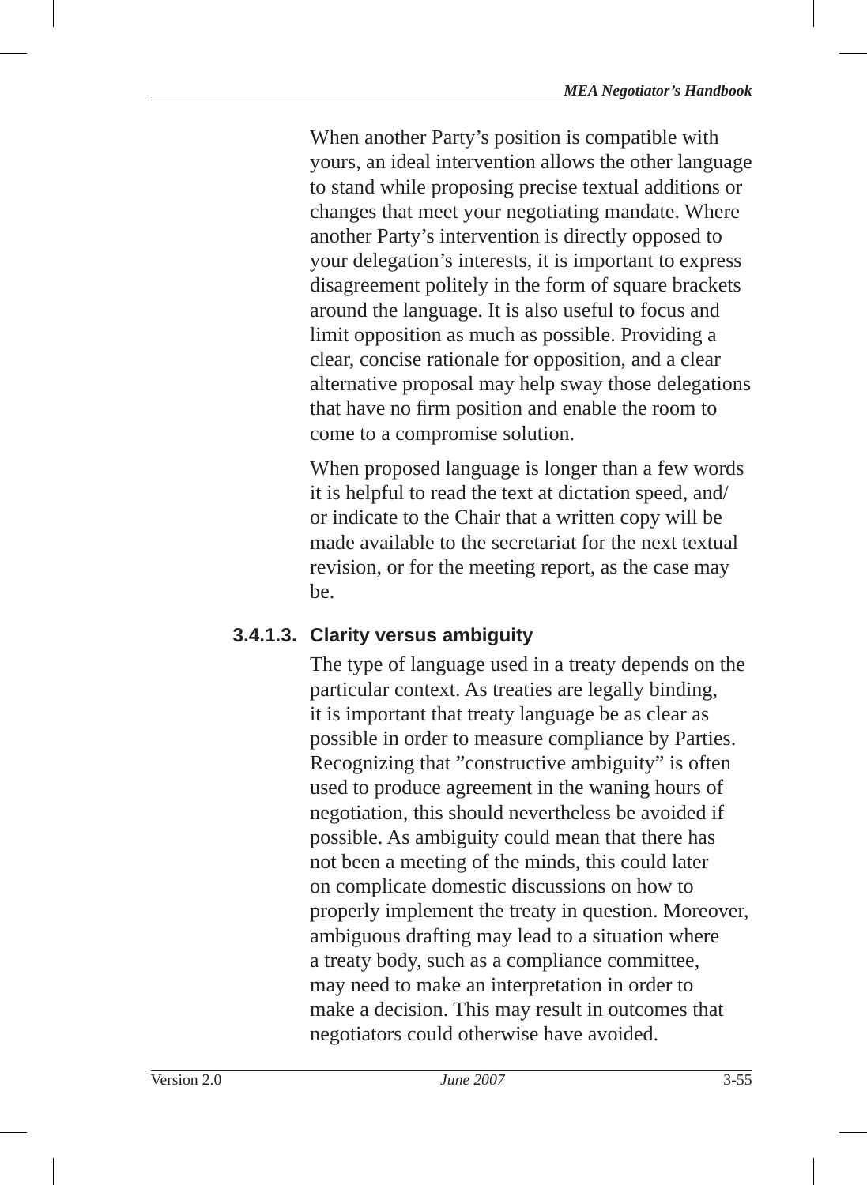When another Party's position is compatible with yours, an ideal intervention allows the other language to stand while proposing precise textual additions or changes that meet your negotiating mandate. Where another Party's intervention is directly opposed to your delegation's interests, it is important to express disagreement politely in the form of square brackets around the language. It is also useful to focus and limit opposition as much as possible. Providing a clear, concise rationale for opposition, and a clear alternative proposal may help sway those delegations that have no firm position and enable the room to come to a compromise solution.

When proposed language is longer than a few words it is helpful to read the text at dictation speed, and/ or indicate to the Chair that a written copy will be made available to the secretariat for the next textual revision, or for the meeting report, as the case may be.

## **3.4.1.3. Clarity versus ambiguity**

The type of language used in a treaty depends on the particular context. As treaties are legally binding , it is important that treaty language be as clear as possible in order to measure compliance by Parties. Recognizing that "constructive ambiguity" is often used to produce agreement in the waning hours of negotiation, this should nevertheless be avoided if possible. As ambiguity could mean that there has not been a meeting of the minds, this could later on complicate domestic discussions on how to properly implement the treaty in question. Moreover, ambiguous drafting may lead to a situation where a treaty body, such as a compliance committee, may need to make an interpretation in order to make a decision. This may result in outcomes that negotiators could otherwise have avoided.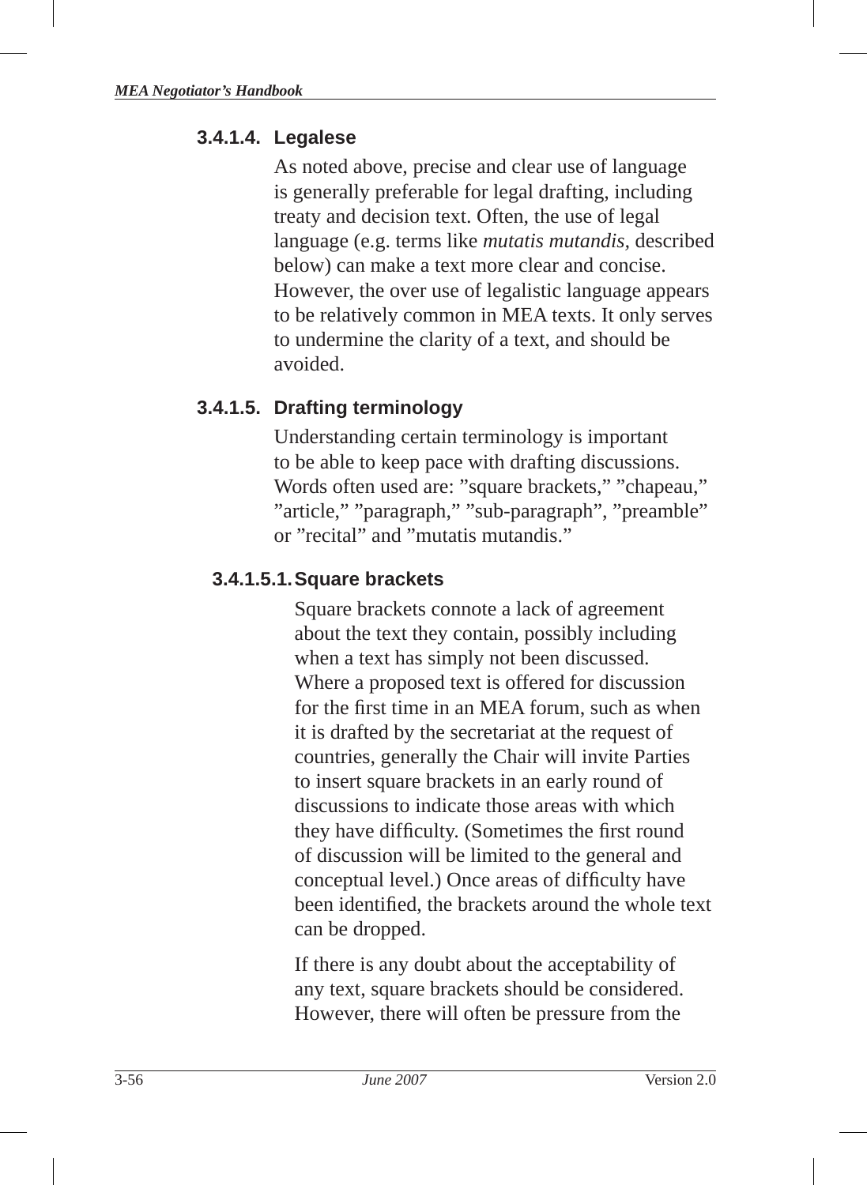#### **3.4.1.4. Legalese**

As noted above, precise and clear use of language is generally preferable for legal drafting, including treaty and decision text. Often, the use of legal language (e.g. terms like *mutatis mutandis,* described below) can make a text more clear and concise. However, the over use of legalistic language appears to be relatively common in MEA texts. It only serves to undermine the clarity of a text, and should be avoided.

#### **3.4.1.5. Drafting terminology**

Understanding certain terminology is important to be able to keep pace with drafting discussions. Words often used are: "square brackets ," "chapeau ," "article," "paragraph," "sub-paragraph", "preamble" or "recital" and "mutatis mutandis"

#### **3.4.1.5.1. Square brackets**

Square brackets connote a lack of agreement about the text they contain, possibly including when a text has simply not been discussed. Where a proposed text is offered for discussion for the first time in an MEA forum, such as when it is drafted by the secretariat at the request of countries, generally the Chair will invite Parties to insert square brackets in an early round of discussions to indicate those areas with which they have difficulty. (Sometimes the first round of discussion will be limited to the general and conceptual level.) Once areas of difficulty have been identified, the brackets around the whole text can be dropped.

If there is any doubt about the acceptability of any text, square brackets should be considered. However, there will often be pressure from the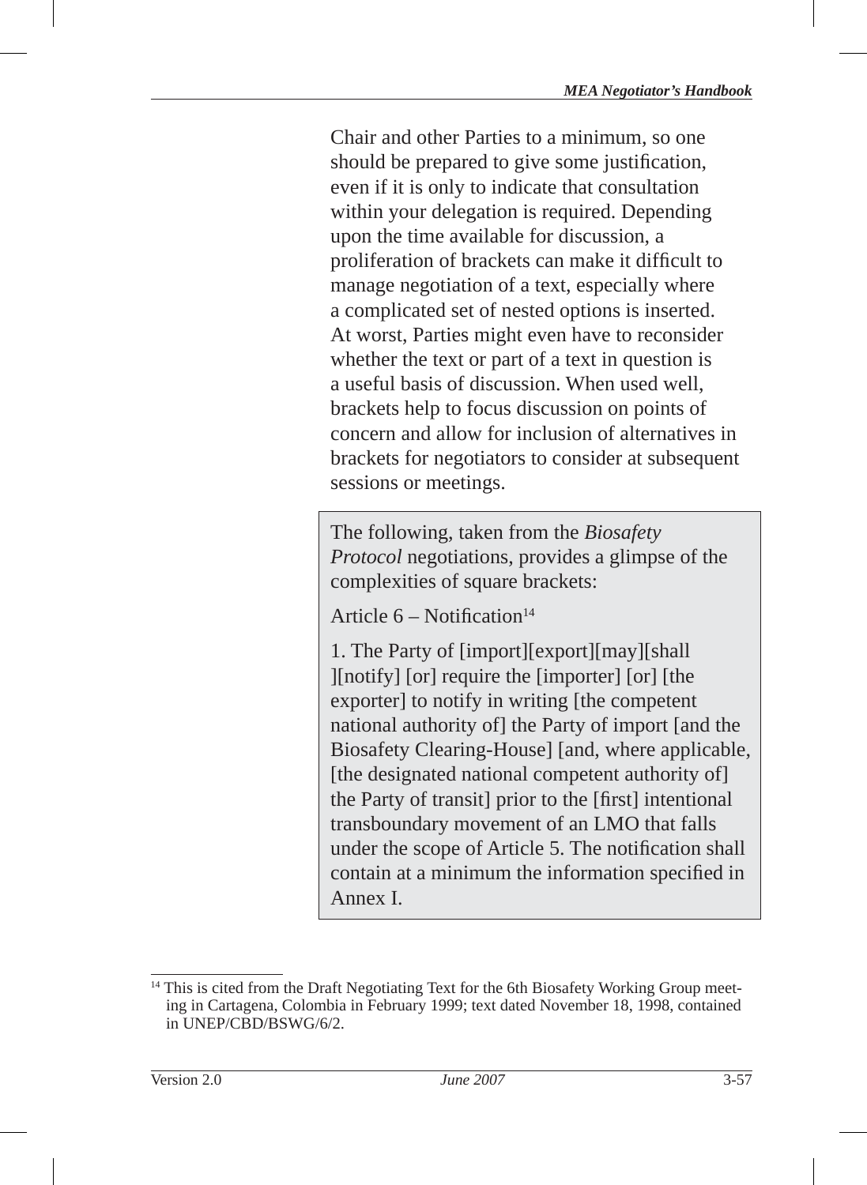Chair and other Parties to a minimum, so one should be prepared to give some justification. even if it is only to indicate that consultation within your delegation is required. Depending upon the time available for discussion, a proliferation of brackets can make it difficult to manage negotiation of a text, especially where a complicated set of nested options is inserted. At worst, Parties might even have to reconsider whether the text or part of a text in question is a useful basis of discussion. When used well, brackets help to focus discussion on points of concern and allow for inclusion of alternatives in brackets for negotiators to consider at subsequent sessions or meetings.

The following, taken from the *Biosafety Protocol* negotiations, provides a glimpse of the complexities of square brackets :

Article  $6 -$  Notification<sup>14</sup>

1. The Party of [import][export][may][shall ][notify] [or] require the [importer] [or] [the exporter] to notify in writing [the competent national authority of] the Party of import [and the Biosafety Clearing-House] [and, where applicable, [the designated national competent authority of] the Party of transit] prior to the [first] intentional transboundary movement of an LMO that falls under the scope of Article 5. The notification shall contain at a minimum the information specified in Annex I.

<sup>&</sup>lt;sup>14</sup> This is cited from the Draft Negotiating Text for the 6th Biosafety Working Group meeting in Cartagena, Colombia in February 1999; text dated November 18, 1998, contained in UNEP/CBD/BSWG/6/2.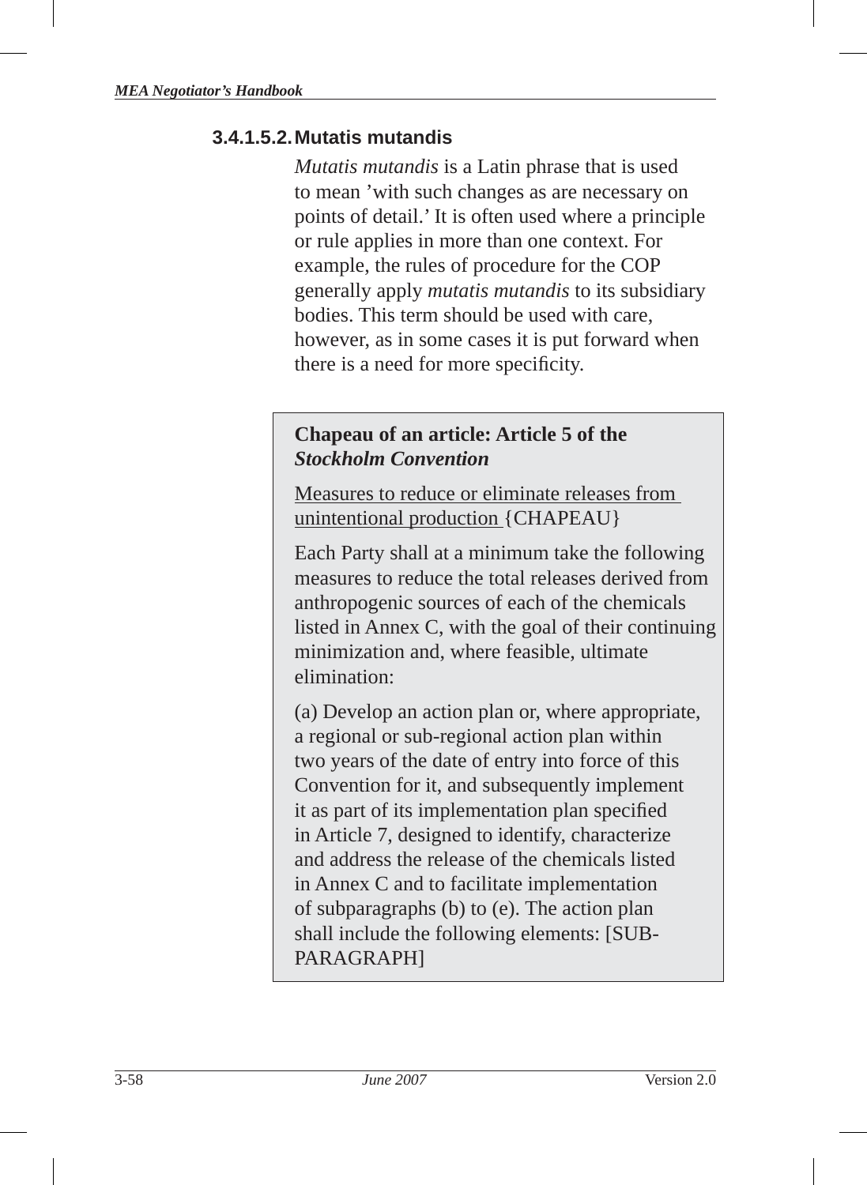#### **3.4.1.5.2. Mutatis mutandis**

*Mutatis mutandis* is a Latin phrase that is used to mean 'with such changes as are necessary on points of detail.' It is often used where a principle or rule applies in more than one context. For example, the rules of procedure for the COP generally apply *mutatis mutandis* to its subsidiary bodies. This term should be used with care, however, as in some cases it is put forward when there is a need for more specificity.

#### **Chapeau of an article: Article 5 of the**  *Stockholm Convention*

Measures to reduce or eliminate releases from unintentional production {CHAPEAU}

Each Party shall at a minimum take the following measures to reduce the total releases derived from anthropogenic sources of each of the chemicals listed in Annex C, with the goal of their continuing minimization and, where feasible, ultimate elimination:

(a) Develop an action plan or, where appropriate, a regional or sub-regional action plan within two years of the date of entry into force of this Convention for it, and subsequently implement it as part of its implementation plan specified in Article 7, designed to identify, characterize and address the release of the chemicals listed in Annex C and to facilitate implementation of subparagraphs (b) to (e). The action plan shall include the following elements: [SUB-PARAGRAPH]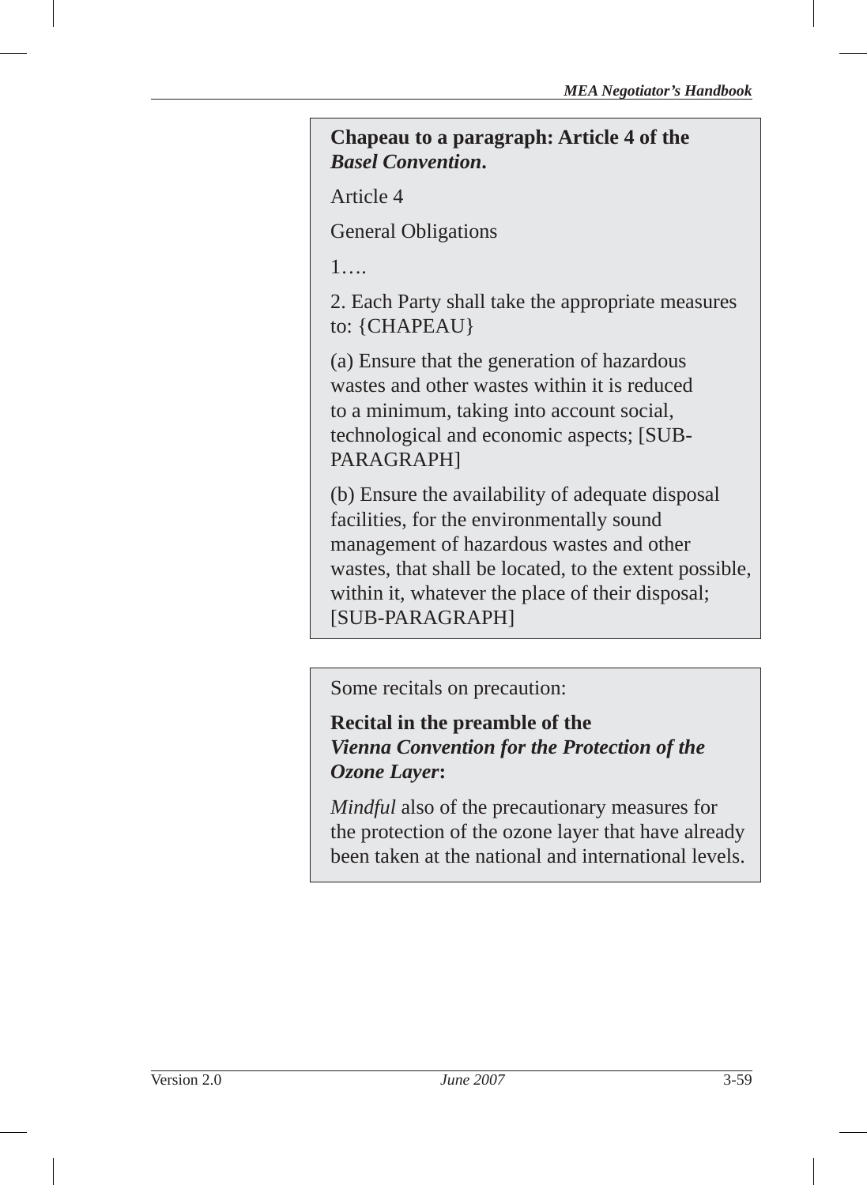#### **Chapeau to a paragraph: Article 4 of the**  *Basel Convention***.**

Article 4

General Obligations

1….

2. Each Party shall take the appropriate measures to: {CHAPEAU}

(a) Ensure that the generation of hazardous wastes and other wastes within it is reduced to a minimum, taking into account social, technological and economic aspects; [SUB-PARAGRAPH]

(b) Ensure the availability of adequate disposal facilities, for the environmentally sound management of hazardous wastes and other wastes, that shall be located, to the extent possible, within it, whatever the place of their disposal; [SUB-PARAGRAPH]

Some recitals on precaution:

## **Recital in the preamble of the**  *Vienna Convention for the Protection of the Ozone Layer***:**

*Mindful* also of the precautionary measures for the protection of the ozone layer that have already been taken at the national and international levels.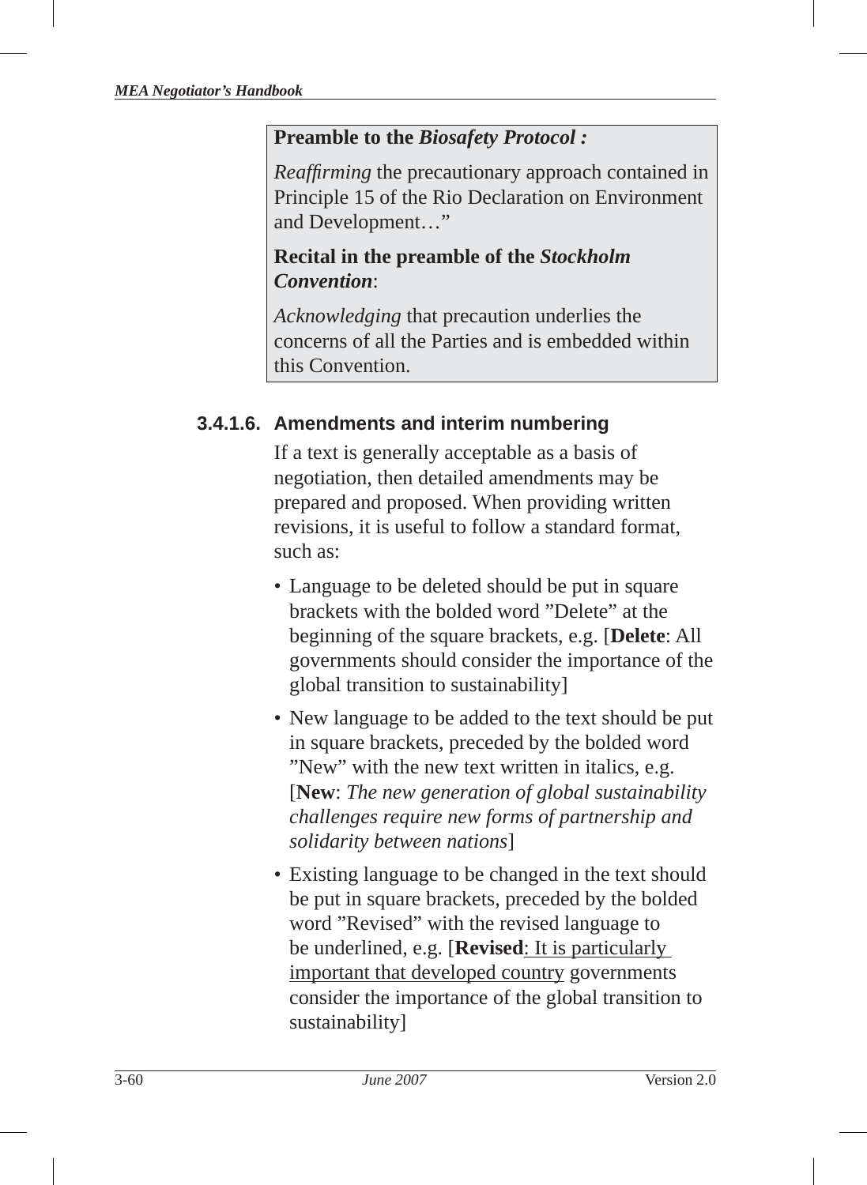#### **Preamble to the** *Biosafety Protocol :*

*Reaffirming* the precautionary approach contained in Principle 15 of the Rio Declaration on Environment and Development…"

#### **Recital in the preamble of the** *Stockholm Convention*:

*Acknowledging* that precaution underlies the concerns of all the Parties and is embedded within this Convention.

## **3.4.1.6. Amendments and interim numbering**

If a text is generally acceptable as a basis of negotiation, then detailed amendments may be prepared and proposed. When providing written revisions, it is useful to follow a standard format, such as:

- Language to be deleted should be put in square brackets with the bolded word "Delete" at the beginning of the square brackets, e.g. [**Delete**: All governments should consider the importance of the global transition to sustainability]
- New language to be added to the text should be put in square brackets, preceded by the bolded word "New" with the new text written in italics, e.g. [**New**: *The new generation of global sustainability challenges require new forms of partnership and solidarity between nations*]
- Existing language to be changed in the text should be put in square brackets, preceded by the bolded word "Revised" with the revised language to be underlined, e.g. [**Revised**: It is particularly important that developed country governments consider the importance of the global transition to sustainability]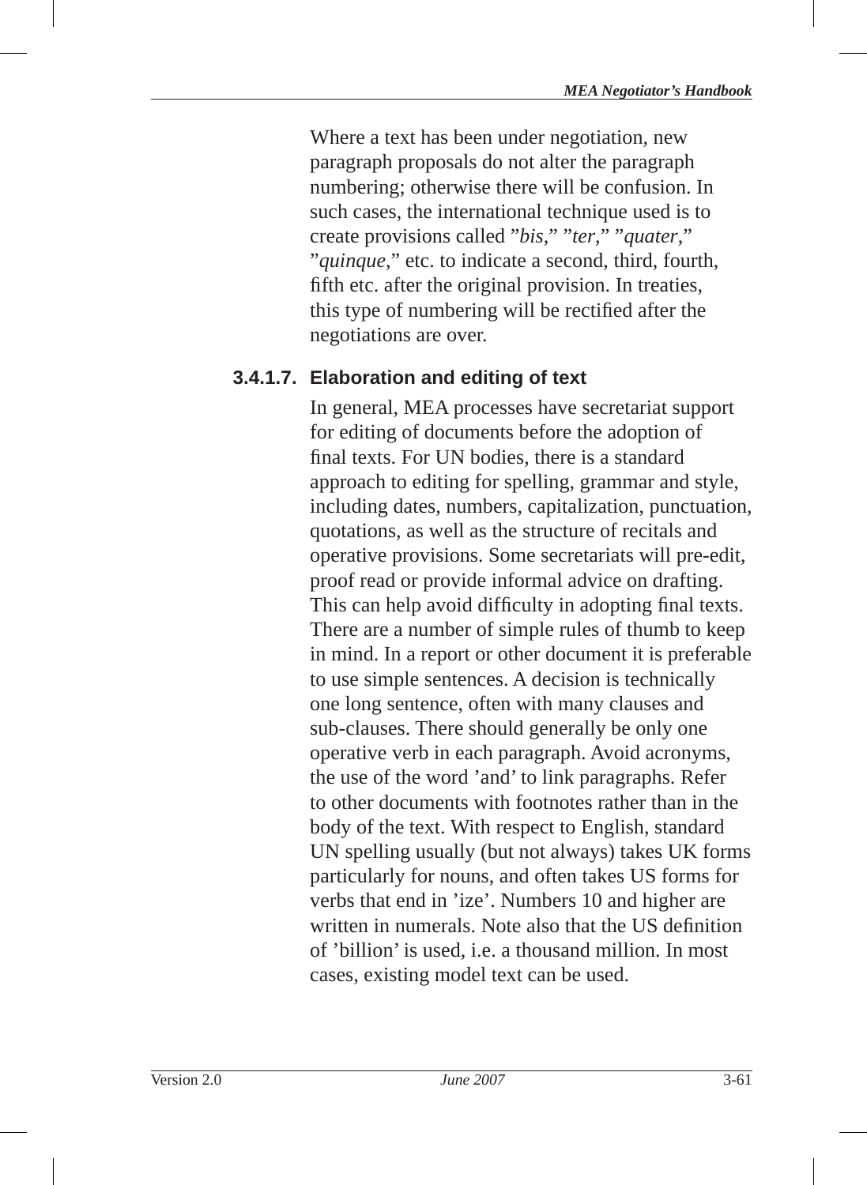Where a text has been under negotiation, new paragraph proposals do not alter the paragraph numbering; otherwise there will be confusion. In such cases, the international technique used is to create provisions called "*bis*," "*ter* ," "*quater* ," "*quinque* ," etc. to indicate a second, third, fourth, fifth etc. after the original provision. In treaties, this type of numbering will be rectified after the negotiations are over.

#### **3.4.1.7. Elaboration and editing of text**

In general, MEA processes have secretariat support for editing of documents before the adoption of final texts. For UN bodies, there is a standard approach to editing for spelling, grammar and style, including dates, numbers, capitalization, punctuation, quotations, as well as the structure of recitals and operative provisions. Some secretariats will pre-edit, proof read or provide informal advice on drafting. This can help avoid difficulty in adopting final texts. There are a number of simple rules of thumb to keep in mind. In a report or other document it is preferable to use simple sentences. A decision is technically one long sentence, often with many clauses and sub-clauses. There should generally be only one operative verb in each paragraph. Avoid acronyms, the use of the word 'and' to link paragraphs. Refer to other documents with footnotes rather than in the body of the text. With respect to English, standard UN spelling usually (but not always) takes UK forms particularly for nouns, and often takes US forms for verbs that end in 'ize'. Numbers 10 and higher are written in numerals. Note also that the US definition of 'billion' is used, i.e. a thousand million. In most cases, existing model text can be used.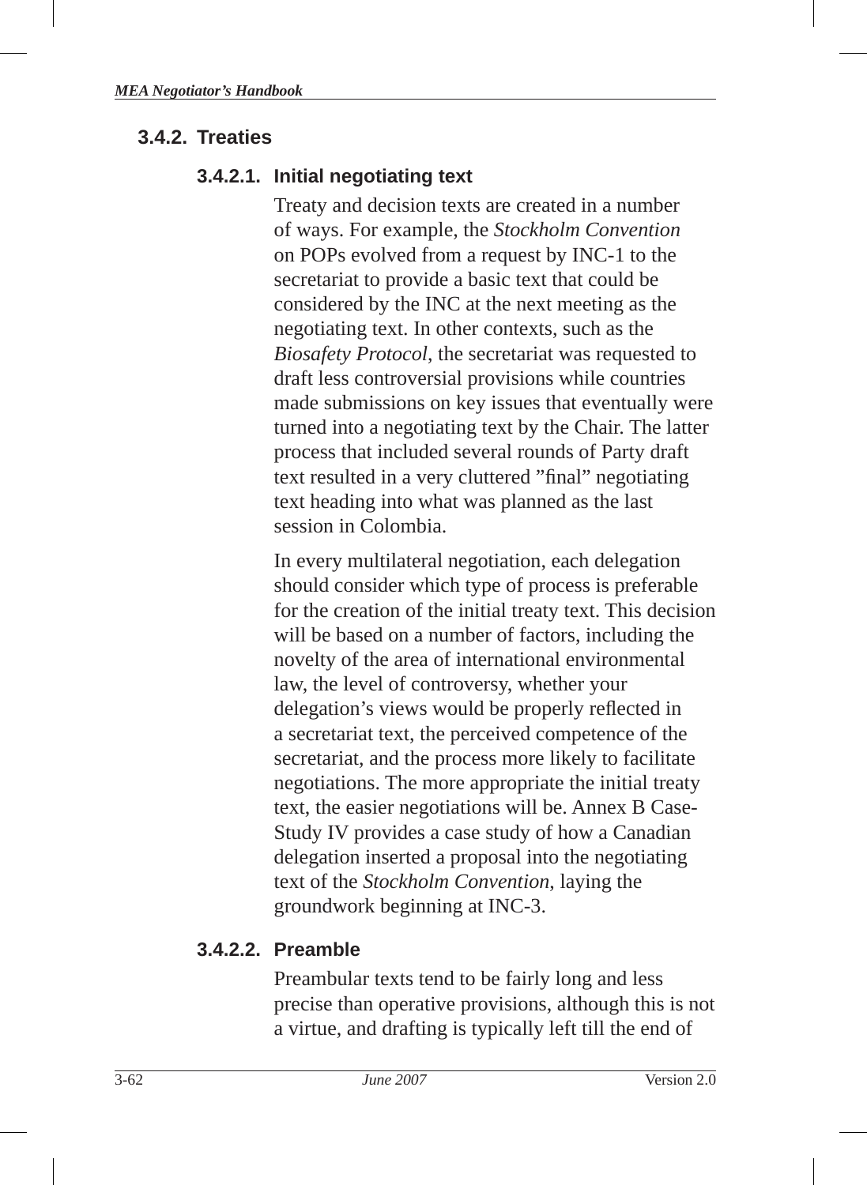#### **3.4.2. Treaties**

#### **3.4.2.1. Initial negotiating text**

Treaty and decision texts are created in a number of ways. For example, the *Stockholm Convention*  on POPs evolved from a request by INC-1 to the secretariat to provide a basic text that could be considered by the INC at the next meeting as the negotiating text. In other contexts, such as the *Biosafety Protocol*, the secretariat was requested to draft less controversial provisions while countries made submissions on key issues that eventually were turned into a negotiating text by the Chair. The latter process that included several rounds of Party draft text resulted in a very cluttered "final" negotiating text heading into what was planned as the last session in Colombia.

In every multilateral negotiation, each delegation should consider which type of process is preferable for the creation of the initial treaty text. This decision will be based on a number of factors, including the novelty of the area of international environmental law, the level of controversy, whether your delegation's views would be properly reflected in a secretariat text, the perceived competence of the secretariat, and the process more likely to facilitate negotiations. The more appropriate the initial treaty text, the easier negotiations will be. Annex B Case-Study IV provides a case study of how a Canadian delegation inserted a proposal into the negotiating text of the *Stockholm Convention*, laying the groundwork beginning at INC-3.

#### **3.4.2.2. Preamble**

Preambular texts tend to be fairly long and less precise than operative provisions, although this is not a virtue, and drafting is typically left till the end of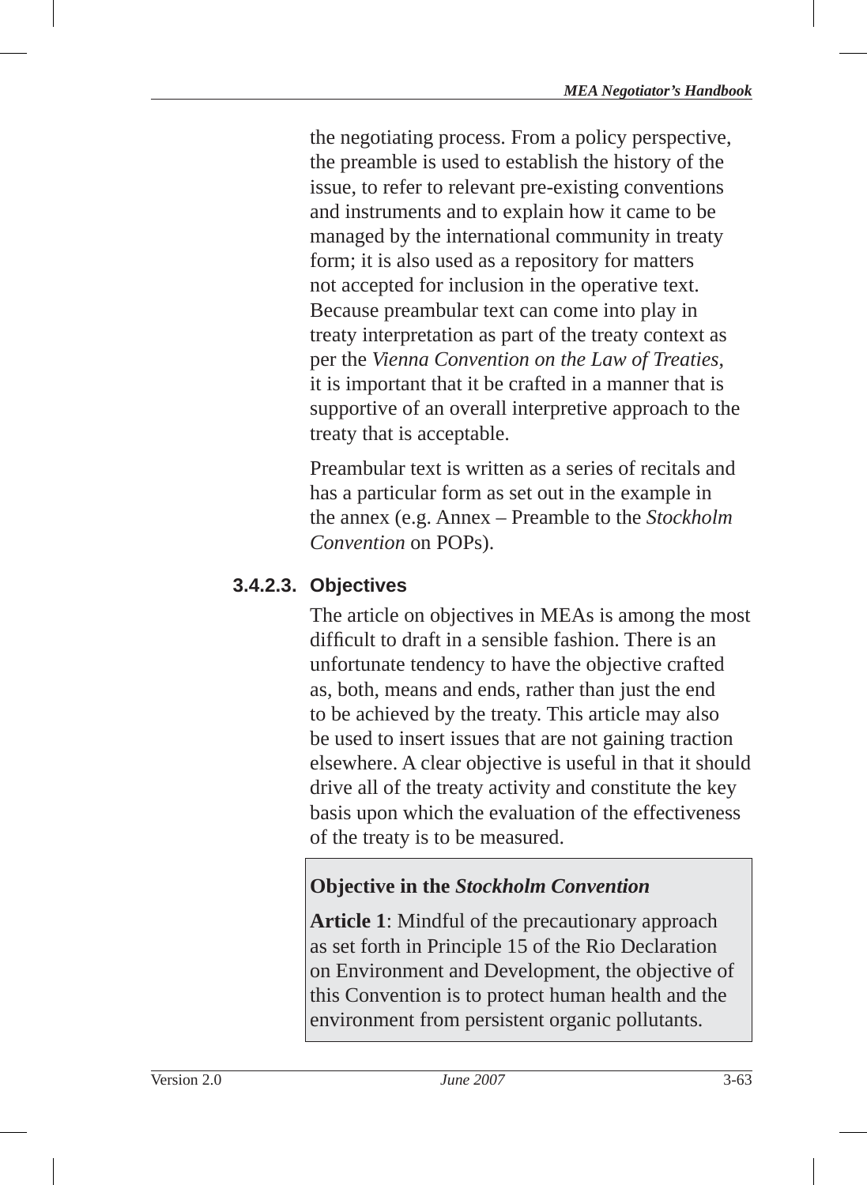the negotiating process. From a policy perspective, the preamble is used to establish the history of the issue, to refer to relevant pre-existing conventions and instruments and to explain how it came to be managed by the international community in treaty form; it is also used as a repository for matters not accepted for inclusion in the operative text. Because preambular text can come into play in treaty interpretation as part of the treaty context as per the *Vienna Convention on the Law of Treaties* , it is important that it be crafted in a manner that is supportive of an overall interpretive approach to the treaty that is acceptable.

Preambular text is written as a series of recitals and has a particular form as set out in the example in the annex (e.g. Annex – Preamble to the *Stockholm Convention* on POPs).

## **3.4.2.3. Objectives**

The article on objectives in MEAs is among the most difficult to draft in a sensible fashion. There is an unfortunate tendency to have the objective crafted as, both, means and ends, rather than just the end to be achieved by the treaty. This article may also be used to insert issues that are not gaining traction elsewhere. A clear objective is useful in that it should drive all of the treaty activity and constitute the key basis upon which the evaluation of the effectiveness of the treaty is to be measured.

## **Objective in the** *Stockholm Convention*

**Article 1**: Mindful of the precautionary approach as set forth in Principle 15 of the Rio Declaration on Environment and Development, the objective of this Convention is to protect human health and the environment from persistent organic pollutants.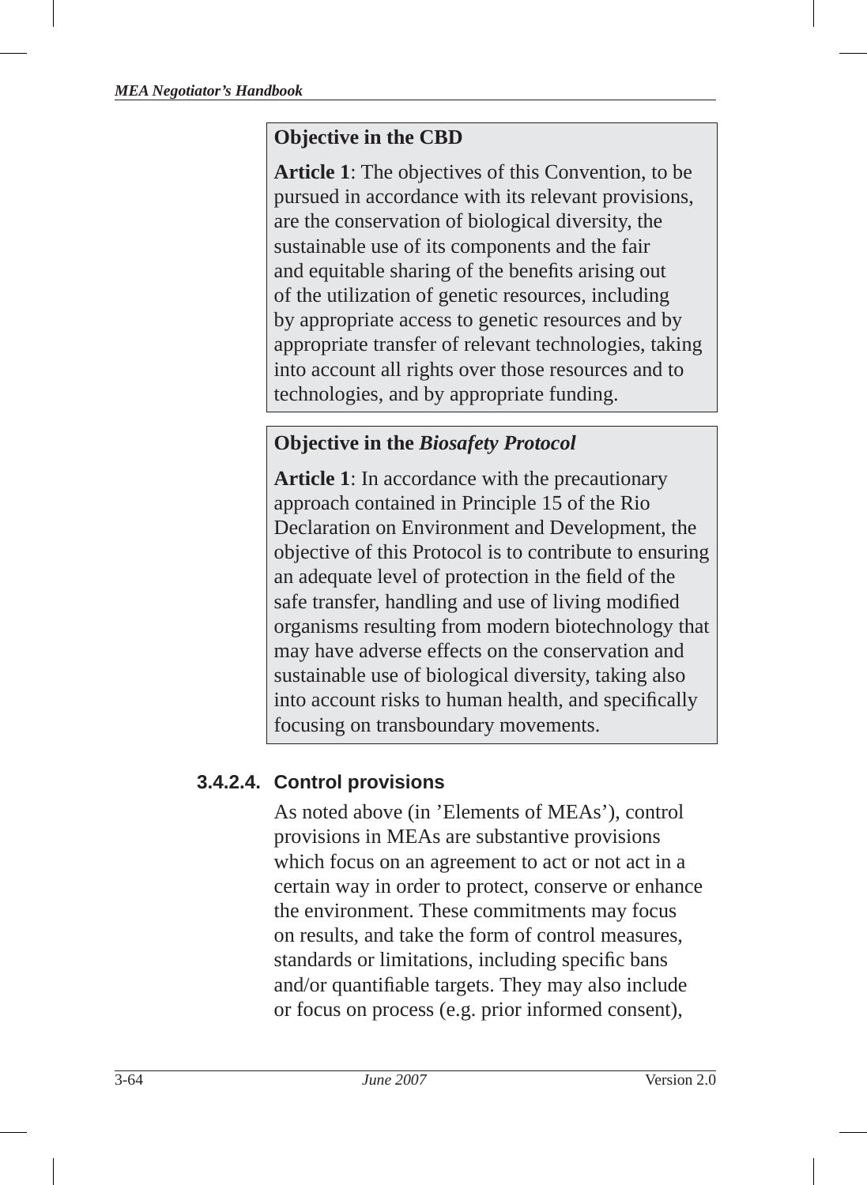## **Objective in the CBD**

**Article 1**: The objectives of this Convention, to be pursued in accordance with its relevant provisions, are the conservation of biological diversity, the sustainable use of its components and the fair and equitable sharing of the benefits arising out of the utilization of genetic resources, including by appropriate access to genetic resources and by appropriate transfer of relevant technologies, taking into account all rights over those resources and to technologies, and by appropriate funding.

# **Objective in the** *Biosafety Protocol*

**Article 1**: In accordance with the precautionary approach contained in Principle 15 of the Rio Declaration on Environment and Development, the objective of this Protocol is to contribute to ensuring an adequate level of protection in the field of the safe transfer, handling and use of living modified organisms resulting from modern biotechnology that may have adverse effects on the conservation and sustainable use of biological diversity, taking also into account risks to human health, and specifically focusing on transboundary movements.

# **3.4.2.4. Control provisions**

As noted above (in 'Elements of MEAs'), control provisions in MEAs are substantive provisions which focus on an agreement to act or not act in a certain way in order to protect, conserve or enhance the environment. These commitments may focus on results, and take the form of control measures, standards or limitations, including specific bans and/or quantifiable targets. They may also include or focus on process (e.g. prior informed consent),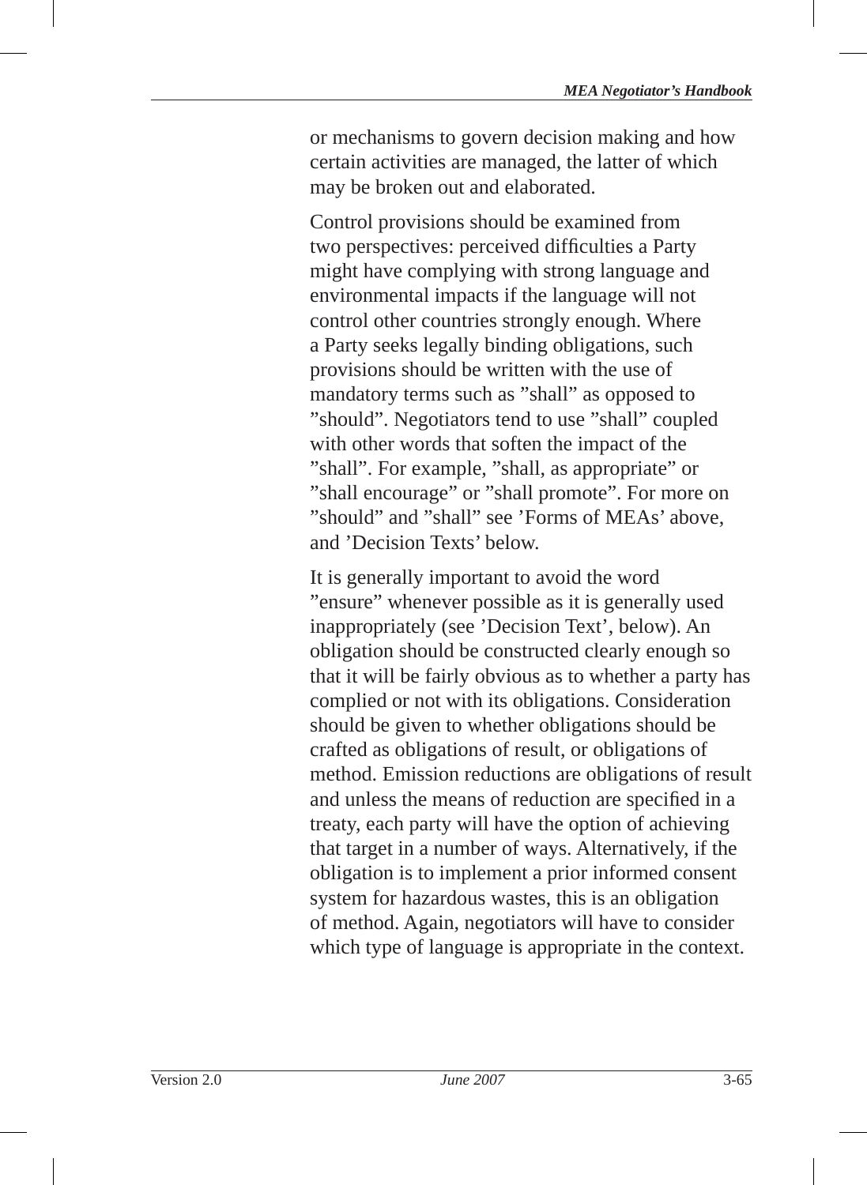or mechanisms to govern decision making and how certain activities are managed, the latter of which may be broken out and elaborated.

Control provisions should be examined from two perspectives: perceived difficulties a Party might have complying with strong language and environmental impacts if the language will not control other countries strongly enough. Where a Party seeks legally binding obligations, such provisions should be written with the use of mandatory terms such as "shall" as opposed to "should". Negotiators tend to use "shall" coupled with other words that soften the impact of the "shall". For example, "shall, as appropriate" or "shall encourage" or "shall promote". For more on "should" and "shall" see 'Forms of MEAs' above, and 'Decision Texts' below.

It is generally important to avoid the word "ensure" whenever possible as it is generally used inappropriately (see 'Decision Text', below). An obligation should be constructed clearly enough so that it will be fairly obvious as to whether a party has complied or not with its obligations. Consideration should be given to whether obligations should be crafted as obligations of result, or obligations of method. Emission reductions are obligations of result and unless the means of reduction are specified in a treaty, each party will have the option of achieving that target in a number of ways. Alternatively, if the obligation is to implement a prior informed consent system for hazardous wastes, this is an obligation of method. Again, negotiators will have to consider which type of language is appropriate in the context.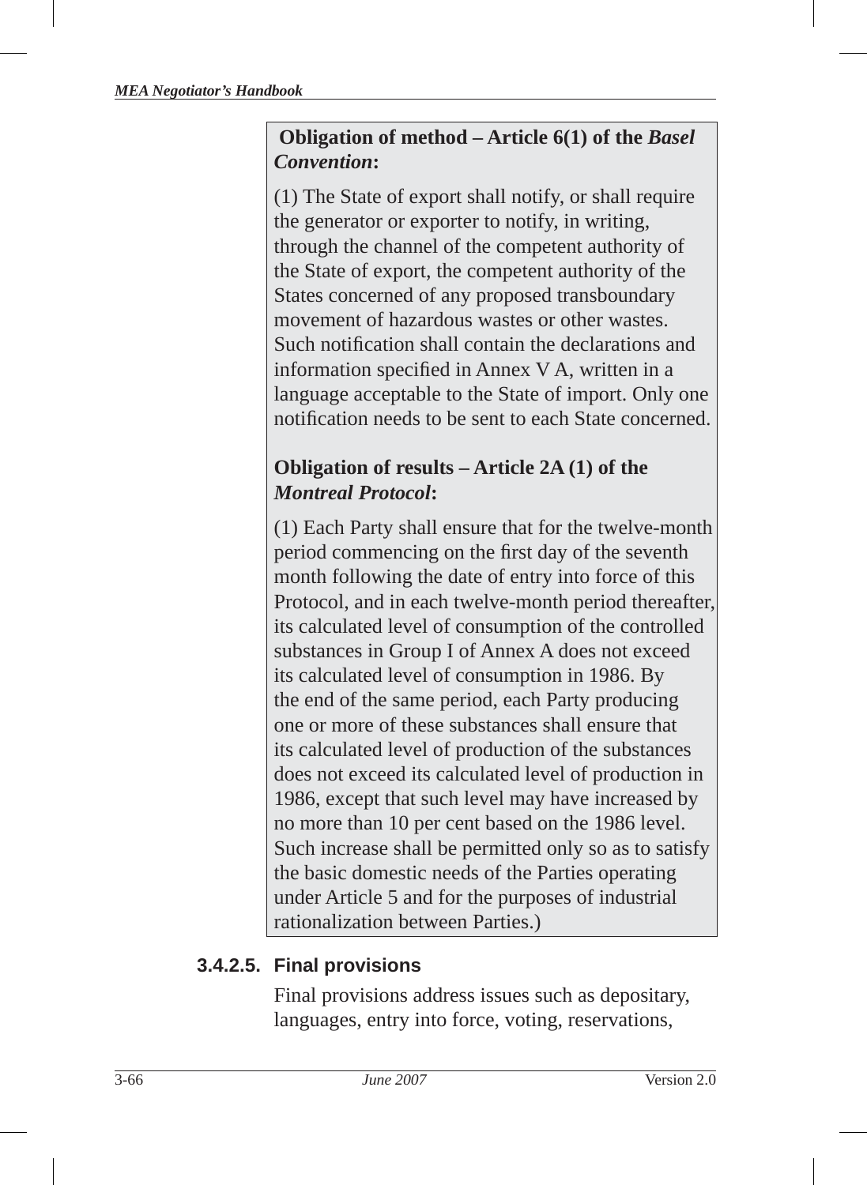#### **Obligation of method – Article 6(1) of the** *Basel Convention***:**

(1) The State of export shall notify, or shall require the generator or exporter to notify, in writing, through the channel of the competent authority of the State of export, the competent authority of the States concerned of any proposed transboundary movement of hazardous wastes or other wastes. Such notification shall contain the declarations and information specified in Annex  $V$  A, written in a language acceptable to the State of import. Only one notification needs to be sent to each State concerned.

## **Obligation of results – Article 2A (1) of the** *Montreal Protocol***:**

(1) Each Party shall ensure that for the twelve-month period commencing on the first day of the seventh month following the date of entry into force of this Protocol, and in each twelve-month period thereafter, its calculated level of consumption of the controlled substances in Group I of Annex A does not exceed its calculated level of consumption in 1986. By the end of the same period, each Party producing one or more of these substances shall ensure that its calculated level of production of the substances does not exceed its calculated level of production in 1986, except that such level may have increased by no more than 10 per cent based on the 1986 level. Such increase shall be permitted only so as to satisfy the basic domestic needs of the Parties operating under Article 5 and for the purposes of industrial rationalization between Parties.)

# **3.4.2.5. Final provisions**

Final provisions address issues such as depositary, languages, entry into force, voting, reservations,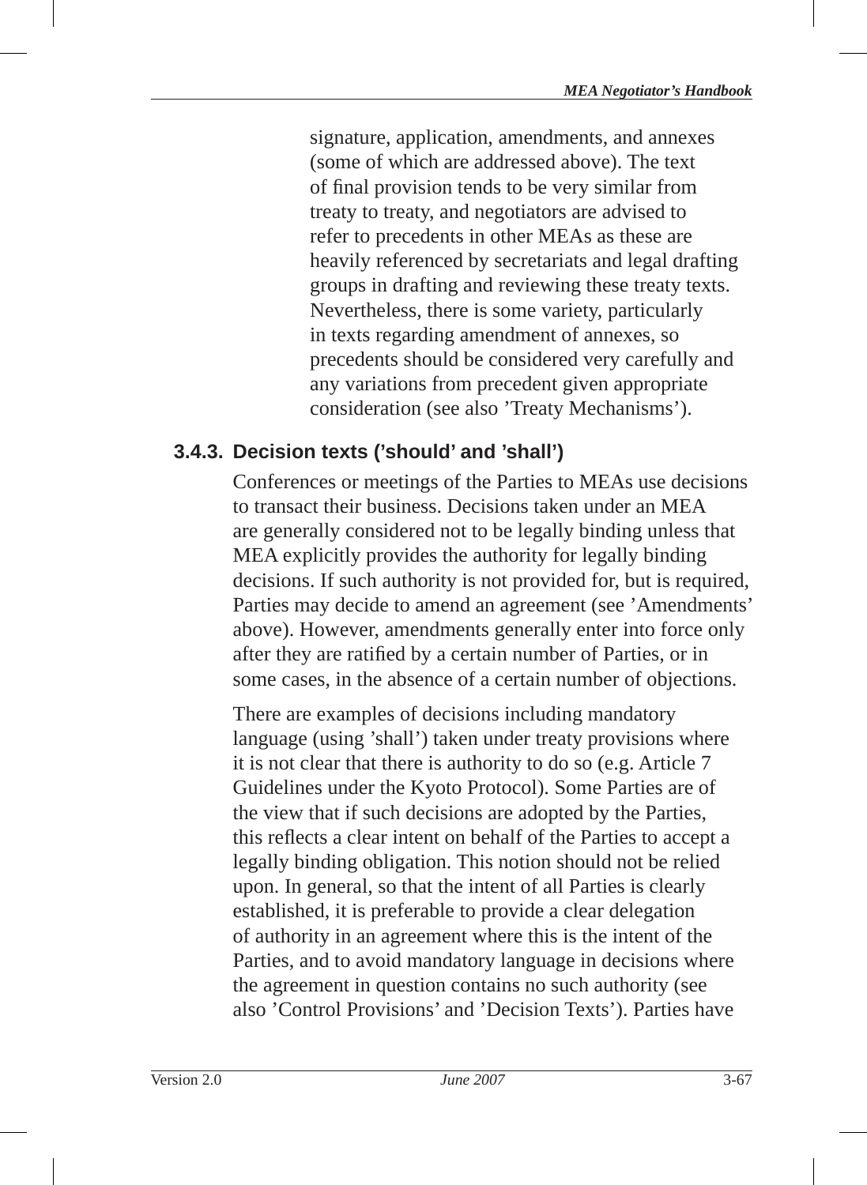signature, application, amendments, and annexes (some of which are addressed above). The text of final provision tends to be very similar from treaty to treaty, and negotiators are advised to refer to precedents in other MEAs as these are heavily referenced by secretariats and legal drafting groups in drafting and reviewing these treaty texts. Nevertheless, there is some variety, particularly in texts regarding amendment of annexes , so precedents should be considered very carefully and any variations from precedent given appropriate consideration (see also 'Treaty Mechanisms').

# **3.4.3. Decision texts ('should' and 'shall')**

Conferences or meetings of the Parties to MEAs use decisions to transact their business. Decisions taken under an MEA are generally considered not to be legally binding unless that MEA explicitly provides the authority for legally binding decisions. If such authority is not provided for, but is required, Parties may decide to amend an agreement (see 'Amendments' above). However, amendments generally enter into force only after they are ratified by a certain number of Parties, or in some cases, in the absence of a certain number of objections.

There are examples of decisions including mandatory language (using 'shall') taken under treaty provisions where it is not clear that there is authority to do so (e.g. Article 7 Guidelines under the Kyoto Protocol). Some Parties are of the view that if such decisions are adopted by the Parties, this reflects a clear intent on behalf of the Parties to accept a legally binding obligation. This notion should not be relied upon. In general, so that the intent of all Parties is clearly established, it is preferable to provide a clear delegation of authority in an agreement where this is the intent of the Parties, and to avoid mandatory language in decisions where the agreement in question contains no such authority (see also 'Control Provisions' and 'Decision Texts'). Parties have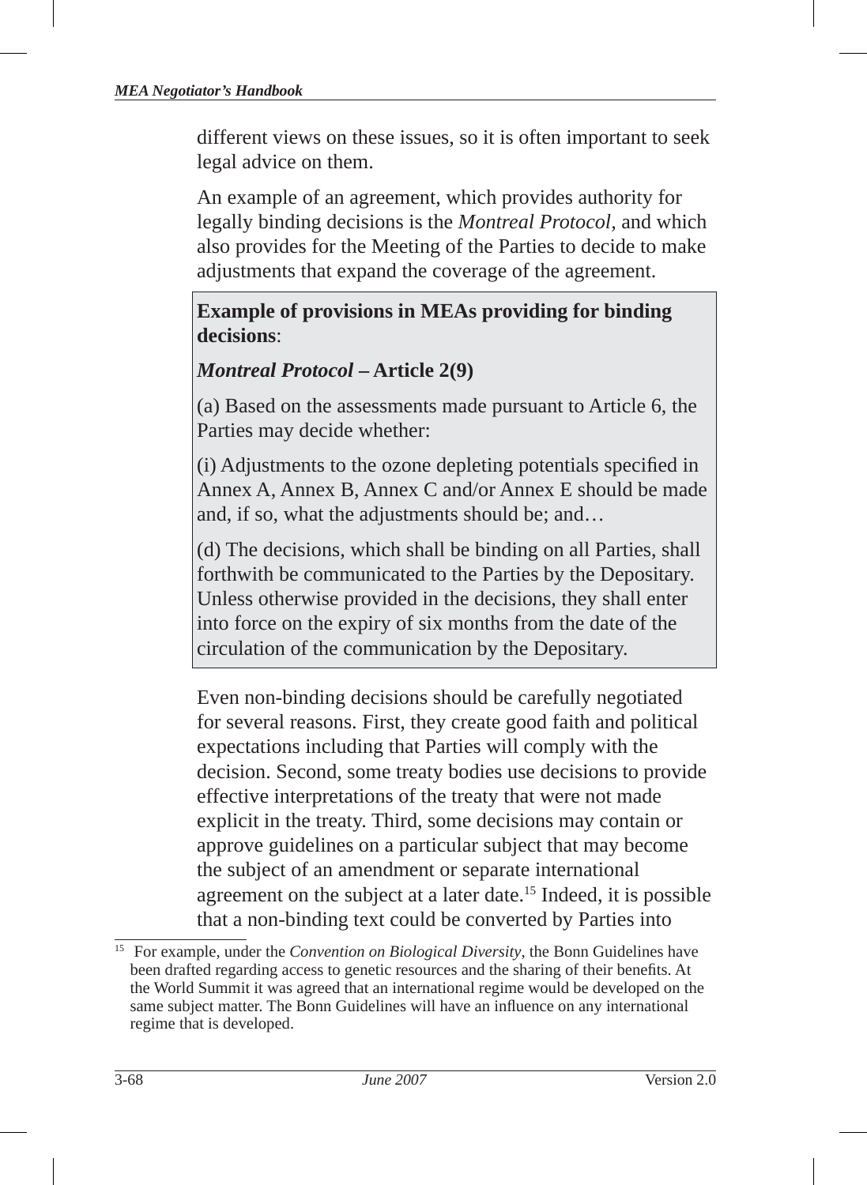different views on these issues, so it is often important to seek legal advice on them.

An example of an agreement, which provides authority for legally binding decisions is the *Montreal Protocol,* and which also provides for the Meeting of the Parties to decide to make adjustments that expand the coverage of the agreement.

#### **Example of provisions in MEAs providing for binding decisions**:

#### *Montreal Protocol* **– Article 2(9)**

(a) Based on the assessments made pursuant to Article 6, the Parties may decide whether:

(i) Adjustments to the ozone depleting potentials specified in Annex A, Annex B, Annex C and/or Annex E should be made and, if so, what the adjustments should be; and…

(d) The decisions, which shall be binding on all Parties, shall forthwith be communicated to the Parties by the Depositary. Unless otherwise provided in the decisions, they shall enter into force on the expiry of six months from the date of the circulation of the communication by the Depositary.

Even non-binding decisions should be carefully negotiated for several reasons. First, they create good faith and political expectations including that Parties will comply with the decision. Second, some treaty bodies use decisions to provide effective interpretations of the treaty that were not made explicit in the treaty. Third, some decisions may contain or approve guidelines on a particular subject that may become the subject of an amendment or separate international agreement on the subject at a later date.15 Indeed, it is possible that a non-binding text could be converted by Parties into

<sup>15</sup> For example, under the *Convention on Biological Diversity*, the Bonn Guidelines have been drafted regarding access to genetic resources and the sharing of their benefits. At the World Summit it was agreed that an international regime would be developed on the same subject matter. The Bonn Guidelines will have an influence on any international regime that is developed.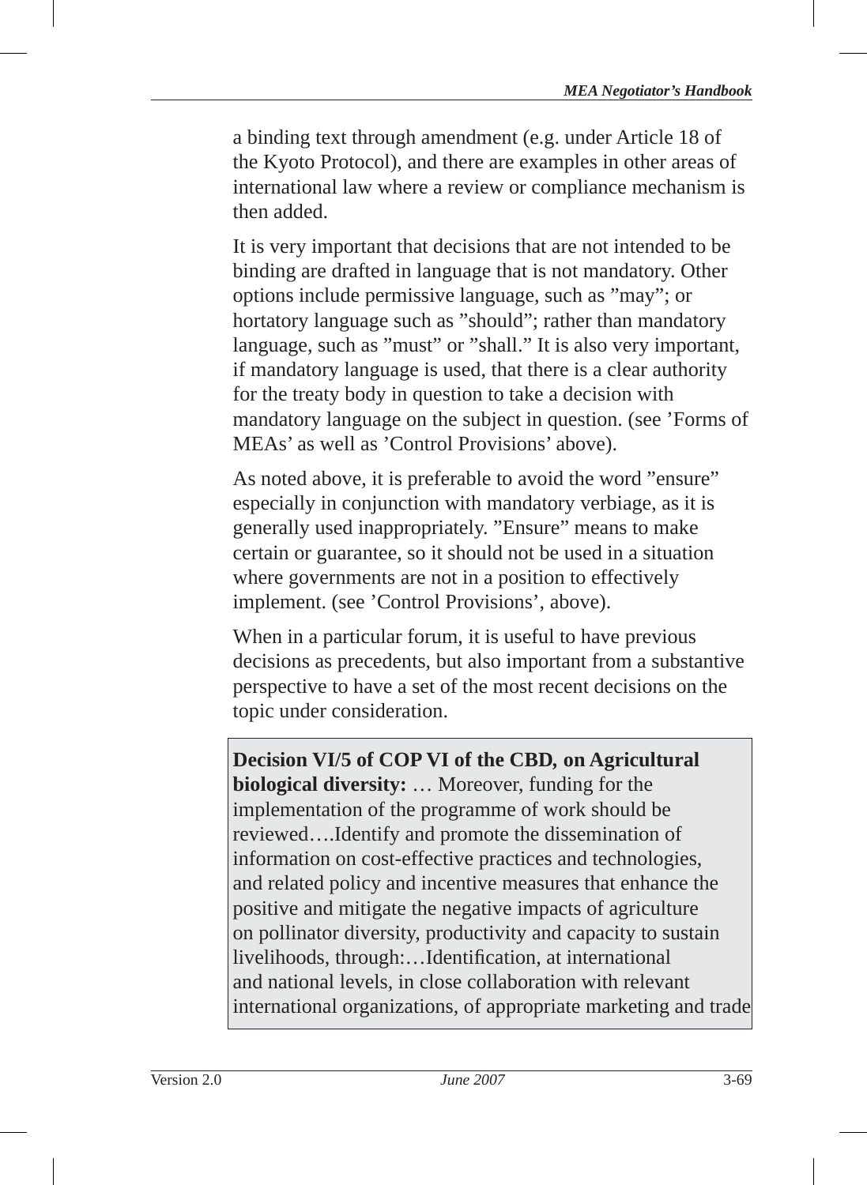a binding text through amendment (e.g. under Article 18 of the Kyoto Protocol), and there are examples in other areas of international law where a review or compliance mechanism is then added.

It is very important that decisions that are not intended to be binding are drafted in language that is not mandatory. Other options include permissive language, such as "may"; or hortatory language such as "should"; rather than mandatory language, such as "must" or "shall." It is also very important, if mandatory language is used, that there is a clear authority for the treaty body in question to take a decision with mandatory language on the subject in question. (see 'Forms of MEAs' as well as 'Control Provisions' above).

As noted above, it is preferable to avoid the word "ensure" especially in conjunction with mandatory verbiage, as it is generally used inappropriately. "Ensure" means to make certain or guarantee, so it should not be used in a situation where governments are not in a position to effectively implement. (see 'Control Provisions', above).

When in a particular forum, it is useful to have previous decisions as precedents, but also important from a substantive perspective to have a set of the most recent decisions on the topic under consideration.

# **Decision VI/5 of COP VI of the CBD***,* **on Agricultural biological diversity:** … Moreover, funding for the

implementation of the programme of work should be reviewed….Identify and promote the dissemination of information on cost-effective practices and technologies, and related policy and incentive measures that enhance the positive and mitigate the negative impacts of agriculture on pollinator diversity, productivity and capacity to sustain livelihoods, through:...Identification, at international and national levels, in close collaboration with relevant international organizations, of appropriate marketing and trade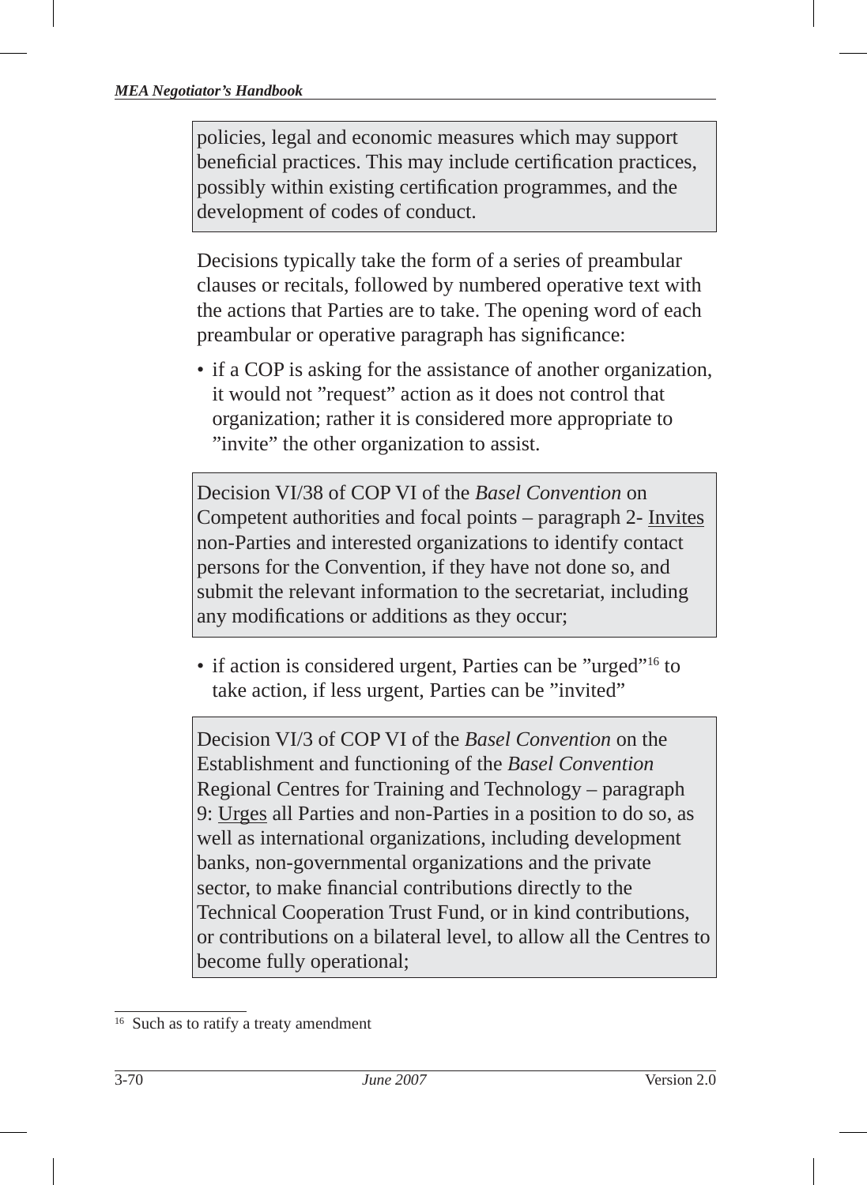policies, legal and economic measures which may support beneficial practices. This may include certification practices, possibly within existing certification programmes, and the development of codes of conduct.

Decisions typically take the form of a series of preambular clauses or recitals, followed by numbered operative text with the actions that Parties are to take. The opening word of each preambular or operative paragraph has significance:

• if a COP is asking for the assistance of another organization, it would not "request" action as it does not control that organization; rather it is considered more appropriate to "invite" the other organization to assist.

Decision VI/38 of COP VI of the *Basel Convention* on Competent authorities and focal points – paragraph 2- Invites non-Parties and interested organizations to identify contact persons for the Convention, if they have not done so, and submit the relevant information to the secretariat, including any modifications or additions as they occur;

• if action is considered urgent, Parties can be "urged"<sup>16</sup> to take action, if less urgent, Parties can be "invited"

Decision VI/3 of COP VI of the *Basel Convention* on the Establishment and functioning of the *Basel Convention* Regional Centres for Training and Technology – paragraph 9: Urges all Parties and non-Parties in a position to do so, as well as international organizations, including development banks, non-governmental organizations and the private sector, to make financial contributions directly to the Technical Cooperation Trust Fund, or in kind contributions, or contributions on a bilateral level, to allow all the Centres to become fully operational;

<sup>&</sup>lt;sup>16</sup> Such as to ratify a treaty amendment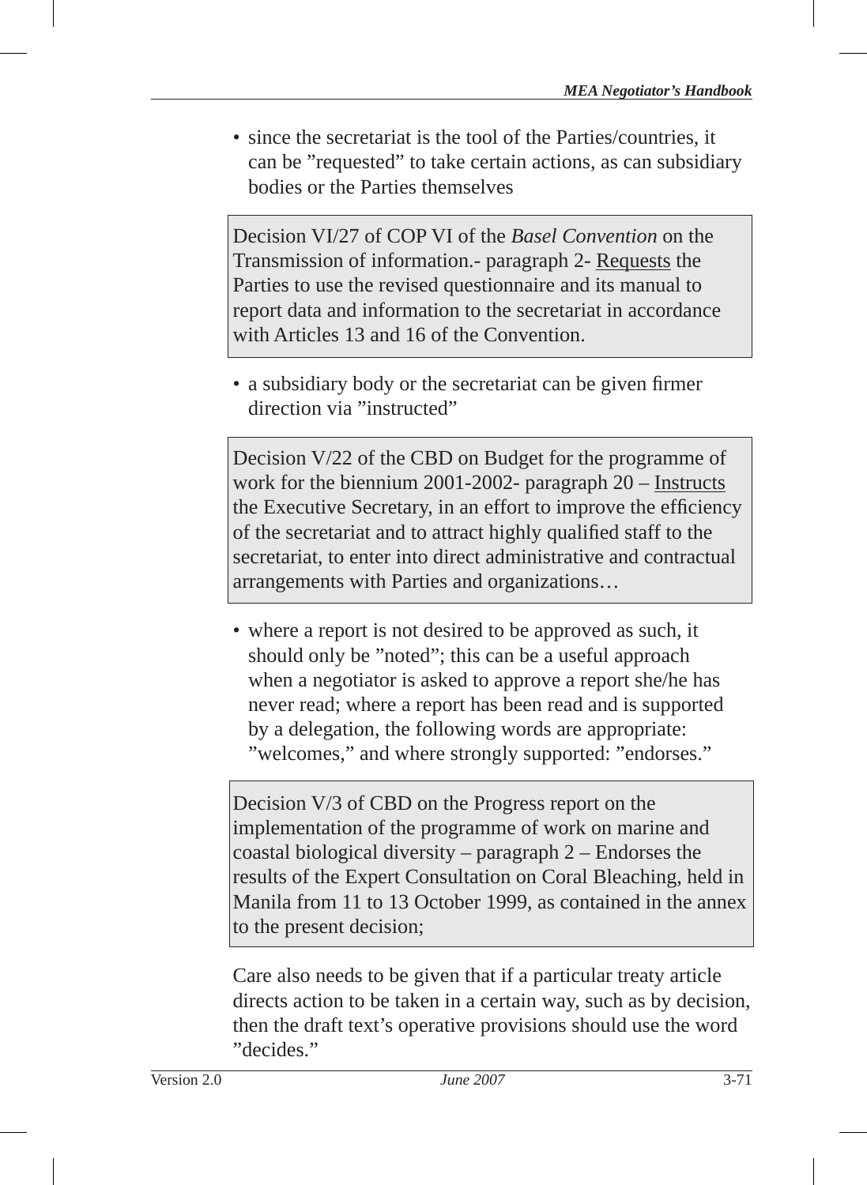• since the secretariat is the tool of the Parties/countries, it can be "requested" to take certain actions, as can subsidiary bodies or the Parties themselves

Decision VI/27 of COP VI of the *Basel Convention* on the Transmission of information.- paragraph 2- Requests the Parties to use the revised questionnaire and its manual to report data and information to the secretariat in accordance with Articles 13 and 16 of the Convention.

• a subsidiary body or the secretariat can be given firmer direction via "instructed"

Decision V/22 of the CBD on Budget for the programme of work for the biennium 2001-2002- paragraph 20 – Instructs the Executive Secretary, in an effort to improve the efficiency of the secretariat and to attract highly qualified staff to the secretariat, to enter into direct administrative and contractual arrangements with Parties and organizations…

• where a report is not desired to be approved as such, it should only be "noted"; this can be a useful approach when a negotiator is asked to approve a report she/he has never read; where a report has been read and is supported by a delegation, the following words are appropriate: "welcomes," and where strongly supported: "endorses."

Decision V/3 of CBD on the Progress report on the implementation of the programme of work on marine and coastal biological diversity – paragraph 2 – Endorses the results of the Expert Consultation on Coral Bleaching, held in Manila from 11 to 13 October 1999, as contained in the annex to the present decision;

Care also needs to be given that if a particular treaty article directs action to be taken in a certain way, such as by decision, then the draft text's operative provisions should use the word "decides."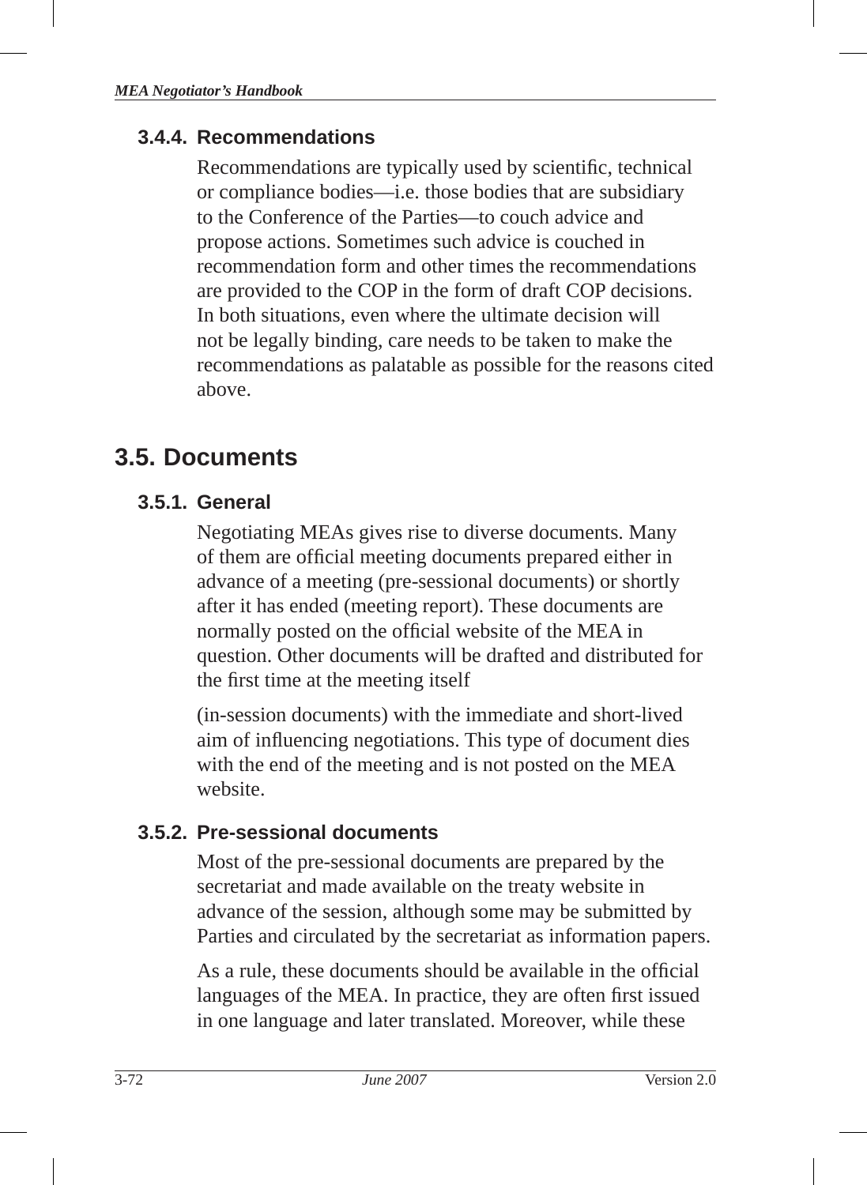#### **3.4.4. Recommendations**

Recommendations are typically used by scientific, technical or compliance bodies—i.e. those bodies that are subsidiary to the Conference of the Parties—to couch advice and propose actions. Sometimes such advice is couched in recommendation form and other times the recommendations are provided to the COP in the form of draft COP decisions. In both situations, even where the ultimate decision will not be legally binding , care needs to be taken to make the recommendations as palatable as possible for the reasons cited above.

# **3.5. Documents**

## **3.5.1. General**

Negotiating MEAs gives rise to diverse documents. Many of them are official meeting documents prepared either in advance of a meeting (pre-sessional documents ) or shortly after it has ended (meeting report). These documents are normally posted on the official website of the MEA in question. Other documents will be drafted and distributed for the first time at the meeting itself

(in-session documents ) with the immediate and short-lived aim of influencing negotiations. This type of document dies with the end of the meeting and is not posted on the MEA website.

## **3.5.2. Pre-sessional documents**

Most of the pre-sessional documents are prepared by the secretariat and made available on the treaty website in advance of the session, although some may be submitted by Parties and circulated by the secretariat as information papers.

As a rule, these documents should be available in the official languages of the MEA. In practice, they are often first issued in one language and later translated. Moreover, while these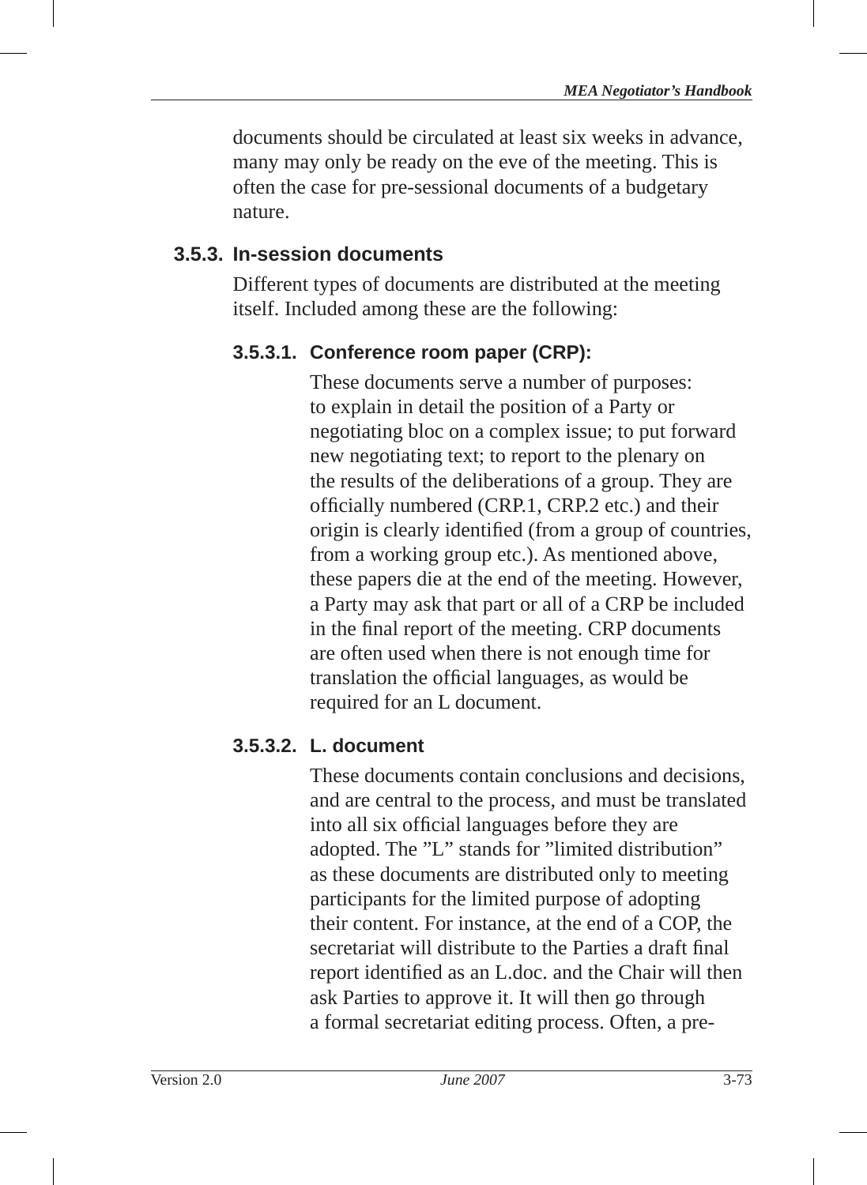documents should be circulated at least six weeks in advance, many may only be ready on the eve of the meeting. This is often the case for pre-sessional documents of a budgetary nature.

## **3.5.3. In-session documents**

Different types of documents are distributed at the meeting itself. Included among these are the following:

# **3.5.3.1. Conference room paper (CRP):**

These documents serve a number of purposes: to explain in detail the position of a Party or negotiating bloc on a complex issue; to put forward new negotiating text; to report to the plenary on the results of the deliberations of a group. They are officially numbered (CRP.1, CRP.2 etc.) and their origin is clearly identified (from a group of countries, from a working group etc.). As mentioned above, these papers die at the end of the meeting. However, a Party may ask that part or all of a CRP be included in the final report of the meeting. CRP documents are often used when there is not enough time for translation the official languages, as would be required for an L document.

# **3.5.3.2. L. document**

These documents contain conclusions and decisions, and are central to the process, and must be translated into all six official languages before they are adopted. The "L" stands for "limited distribution" as these documents are distributed only to meeting participants for the limited purpose of adopting their content. For instance, at the end of a COP, the secretariat will distribute to the Parties a draft final report identified as an L.doc. and the Chair will then ask Parties to approve it. It will then go through a formal secretariat editing process. Often, a pre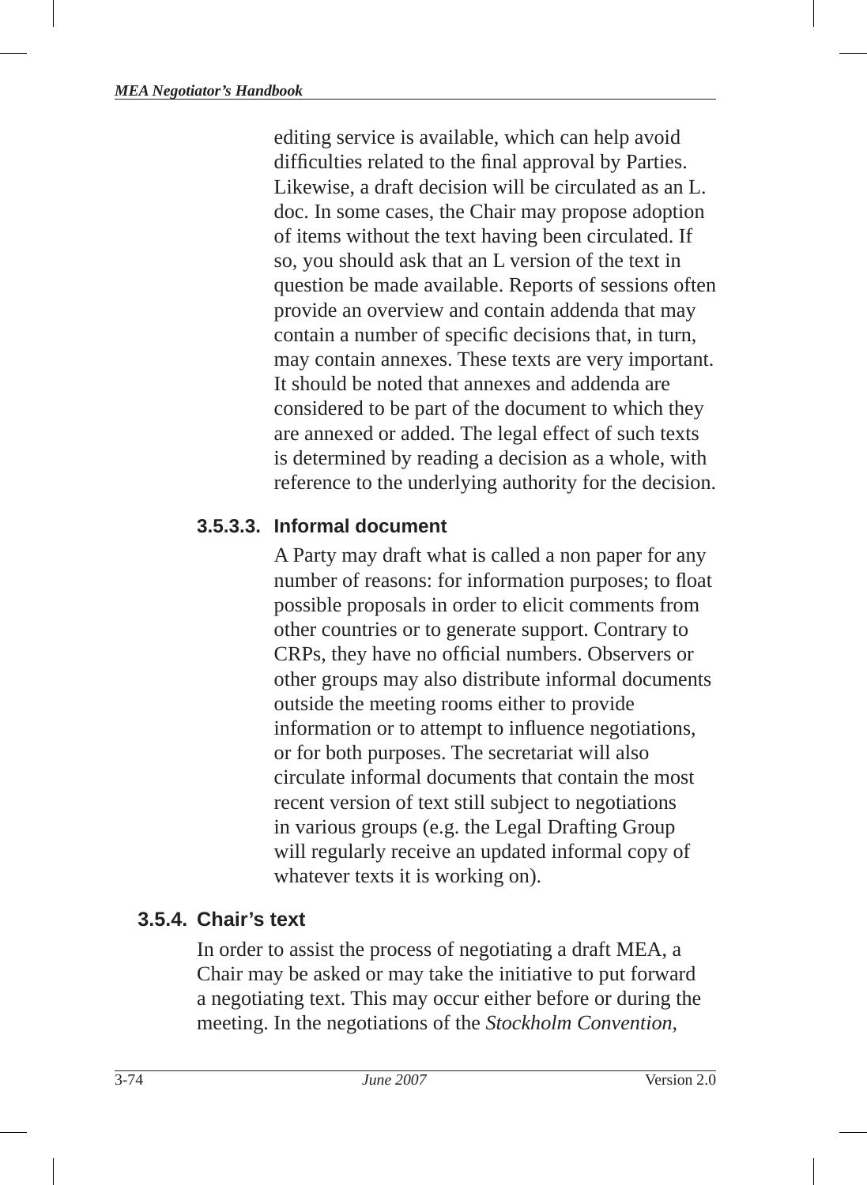editing service is available, which can help avoid difficulties related to the final approval by Parties. Likewise, a draft decision will be circulated as an L. doc. In some cases, the Chair may propose adoption of items without the text having been circulated. If so, you should ask that an L version of the text in question be made available. Reports of sessions often provide an overview and contain addenda that may contain a number of specific decisions that, in turn, may contain annexes. These texts are very important. It should be noted that annexes and addenda are considered to be part of the document to which they are annexed or added. The legal effect of such texts is determined by reading a decision as a whole, with reference to the underlying authority for the decision.

#### **3.5.3.3. Informal document**

A Party may draft what is called a non paper for any number of reasons: for information purposes; to float possible proposals in order to elicit comments from other countries or to generate support. Contrary to CRPs, they have no official numbers. Observers or other groups may also distribute informal documents outside the meeting rooms either to provide information or to attempt to influence negotiations, or for both purposes. The secretariat will also circulate informal documents that contain the most recent version of text still subject to negotiations in various groups (e.g. the Legal Drafting Group will regularly receive an updated informal copy of whatever texts it is working on).

## **3.5.4. Chair's text**

In order to assist the process of negotiating a draft MEA, a Chair may be asked or may take the initiative to put forward a negotiating text. This may occur either before or during the meeting. In the negotiations of the *Stockholm Convention*,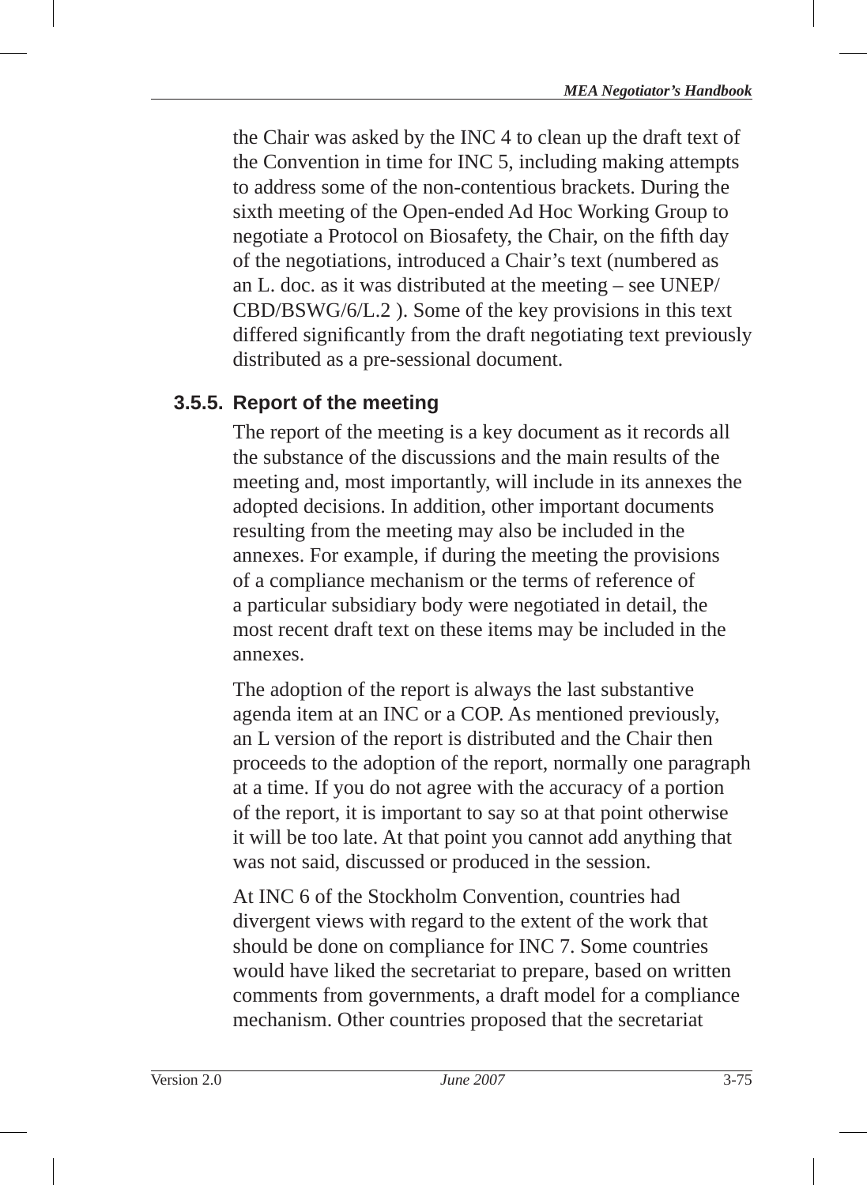the Chair was asked by the INC 4 to clean up the draft text of the Convention in time for INC 5, including making attempts to address some of the non-contentious brackets. During the sixth meeting of the Open-ended Ad Hoc Working Group to negotiate a Protocol on Biosafety, the Chair, on the fifth day of the negotiations, introduced a Chair's text (numbered as an L. doc. as it was distributed at the meeting – see UNEP/ CBD/BSWG/6/L.2 ). Some of the key provisions in this text differed significantly from the draft negotiating text previously distributed as a pre-sessional document.

## **3.5.5. Report of the meeting**

The report of the meeting is a key document as it records all the substance of the discussions and the main results of the meeting and, most importantly, will include in its annexes the adopted decisions. In addition, other important documents resulting from the meeting may also be included in the annexes. For example, if during the meeting the provisions of a compliance mechanism or the terms of reference of a particular subsidiary body were negotiated in detail, the most recent draft text on these items may be included in the annexes.

The adoption of the report is always the last substantive agenda item at an INC or a COP. As mentioned previously, an L version of the report is distributed and the Chair then proceeds to the adoption of the report, normally one paragraph at a time. If you do not agree with the accuracy of a portion of the report, it is important to say so at that point otherwise it will be too late. At that point you cannot add anything that was not said, discussed or produced in the session.

At INC 6 of the Stockholm Convention, countries had divergent views with regard to the extent of the work that should be done on compliance for INC 7. Some countries would have liked the secretariat to prepare, based on written comments from governments, a draft model for a compliance mechanism. Other countries proposed that the secretariat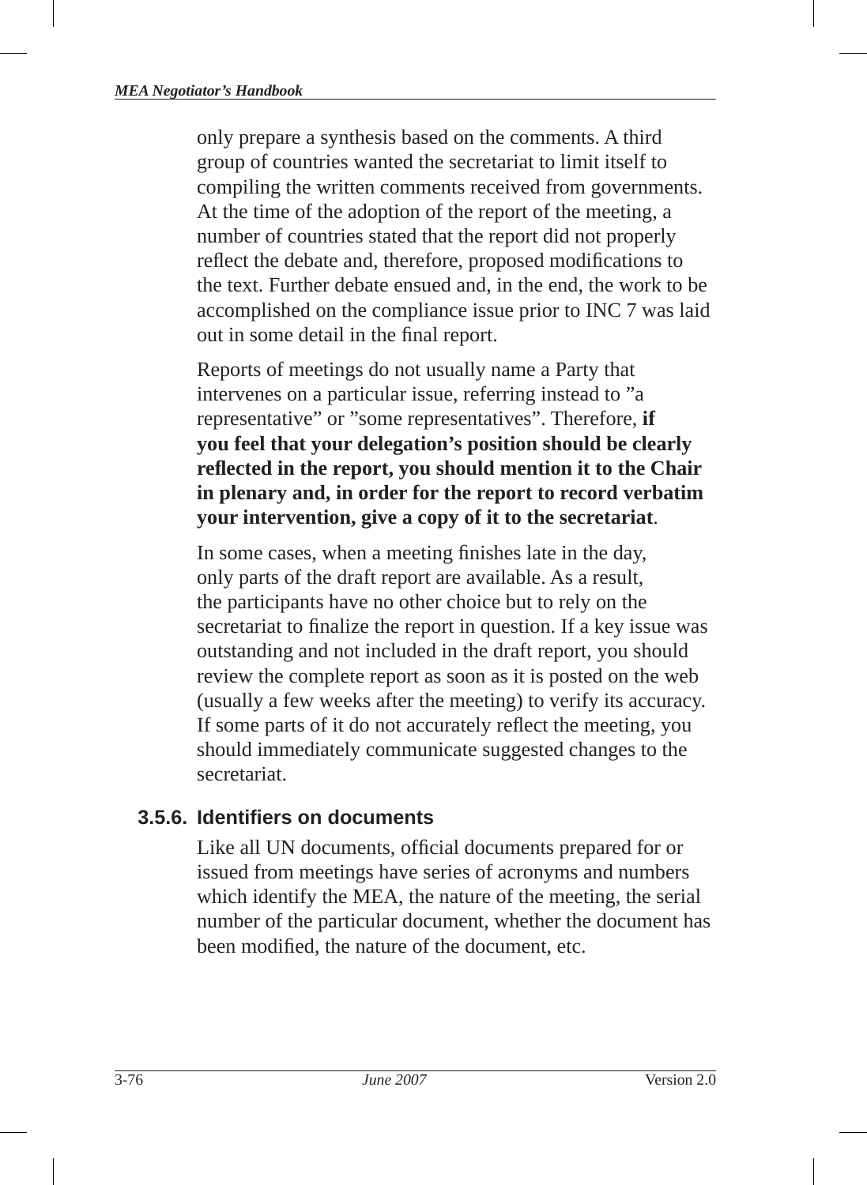only prepare a synthesis based on the comments. A third group of countries wanted the secretariat to limit itself to compiling the written comments received from governments. At the time of the adoption of the report of the meeting, a number of countries stated that the report did not properly reflect the debate and, therefore, proposed modifications to the text. Further debate ensued and, in the end, the work to be accomplished on the compliance issue prior to INC 7 was laid out in some detail in the final report.

Reports of meetings do not usually name a Party that intervenes on a particular issue, referring instead to "a representative" or "some representatives". Therefore, **if you feel that your delegation's position should be clearly**  reflected in the report, you should mention it to the Chair **in plenary and, in order for the report to record verbatim your intervention, give a copy of it to the secretariat**.

In some cases, when a meeting finishes late in the day, only parts of the draft report are available. As a result, the participants have no other choice but to rely on the secretariat to finalize the report in question. If a key issue was outstanding and not included in the draft report, you should review the complete report as soon as it is posted on the web (usually a few weeks after the meeting) to verify its accuracy. If some parts of it do not accurately reflect the meeting, you should immediately communicate suggested changes to the secretariat.

## **3.5.6. Identifi ers on documents**

Like all UN documents, official documents prepared for or issued from meetings have series of acronyms and numbers which identify the MEA, the nature of the meeting, the serial number of the particular document, whether the document has been modified, the nature of the document, etc.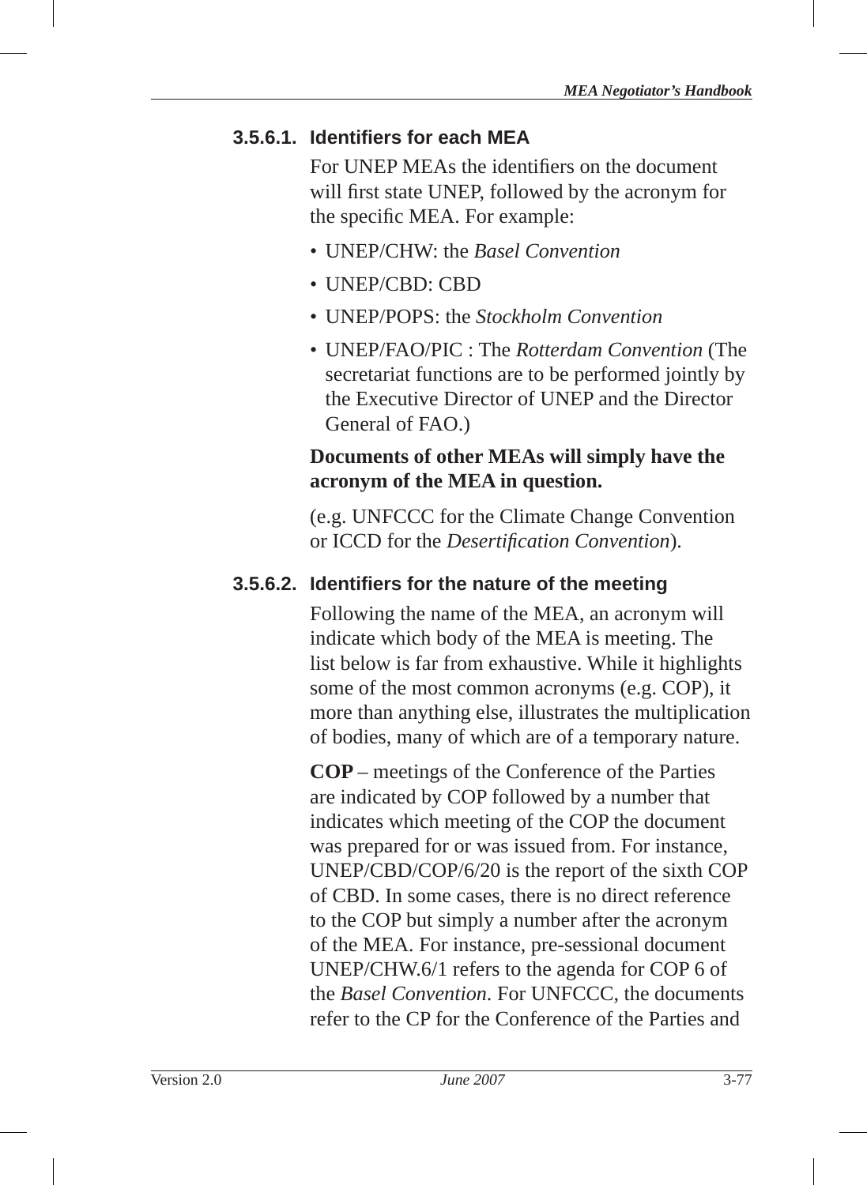#### **3.5.6.1. Identifi ers for each MEA**

For UNEP MEAs the identifiers on the document will first state UNEP, followed by the acronym for the specific MEA. For example:

- UNEP/CHW: the *Basel Convention*
- UNEP/CBD: CBD
- UNEP/POPS: the *Stockholm Convention*
- UNEP/FAO/PIC : The *Rotterdam Convention* (The secretariat functions are to be performed jointly by the Executive Director of UNEP and the Director General of FAO.)

#### **Documents of other MEAs will simply have the acronym of the MEA in question.**

(e.g. UNFCCC for the Climate Change Convention or ICCD for the *Desertification Convention*).

#### **3.5.6.2. Identifiers for the nature of the meeting**

Following the name of the MEA, an acronym will indicate which body of the MEA is meeting. The list below is far from exhaustive. While it highlights some of the most common acronyms (e.g. COP), it more than anything else, illustrates the multiplication of bodies, many of which are of a temporary nature.

**COP** – meetings of the Conference of the Parties are indicated by COP followed by a number that indicates which meeting of the COP the document was prepared for or was issued from. For instance, UNEP/CBD/COP/6/20 is the report of the sixth COP of CBD. In some cases, there is no direct reference to the COP but simply a number after the acronym of the MEA. For instance, pre-sessional document UNEP/CHW.6/1 refers to the agenda for COP 6 of the *Basel Convention*. For UNFCCC, the documents refer to the CP for the Conference of the Parties and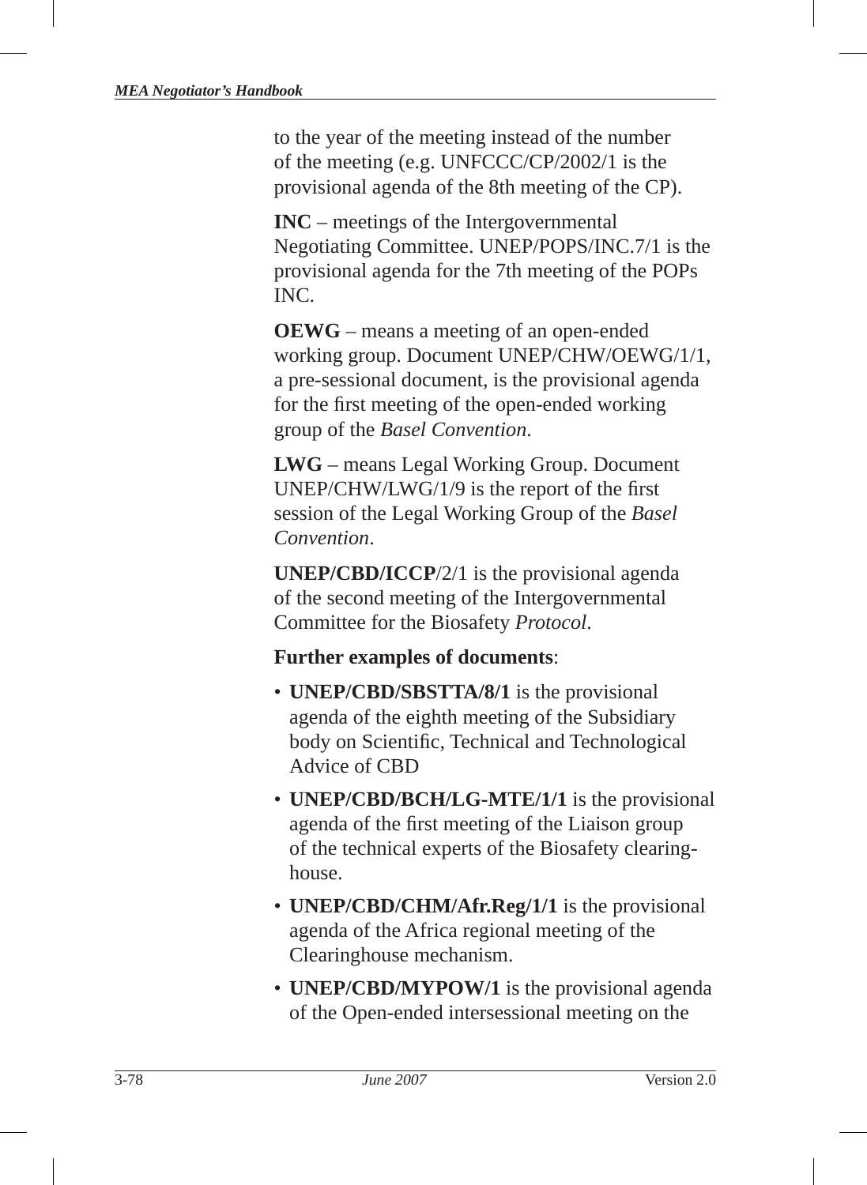to the year of the meeting instead of the number of the meeting (e.g. UNFCCC/CP/2002/1 is the provisional agenda of the 8th meeting of the CP).

**INC** – meetings of the Intergovernmental Negotiating Committee. UNEP/POPS/INC.7/1 is the provisional agenda for the 7th meeting of the POPs INC.

**OEWG** – means a meeting of an open-ended working group. Document UNEP/CHW/OEWG/1/1, a pre-sessional document, is the provisional agenda for the first meeting of the open-ended working group of the *Basel Convention*.

**LWG** – means Legal Working Group. Document  $UNEP/CHW/LWG/1/9$  is the report of the first session of the Legal Working Group of the *Basel Convention*.

**UNEP/CBD/ICCP**/2/1 is the provisional agenda of the second meeting of the Intergovernmental Committee for the Biosafety *Protocol* .

#### **Further examples of documents**:

- **UNEP/CBD/SBSTTA/8/1** is the provisional agenda of the eighth meeting of the Subsidiary body on Scientific, Technical and Technological Advice of CBD
- **UNEP/CBD/BCH/LG-MTE/1/1** is the provisional agenda of the first meeting of the Liaison group of the technical experts of the Biosafety clearinghouse.
- **UNEP/CBD/CHM/Afr.Reg/1/1** is the provisional agenda of the Africa regional meeting of the Clearinghouse mechanism.
- **UNEP/CBD/MYPOW/1** is the provisional agenda of the Open-ended intersessional meeting on the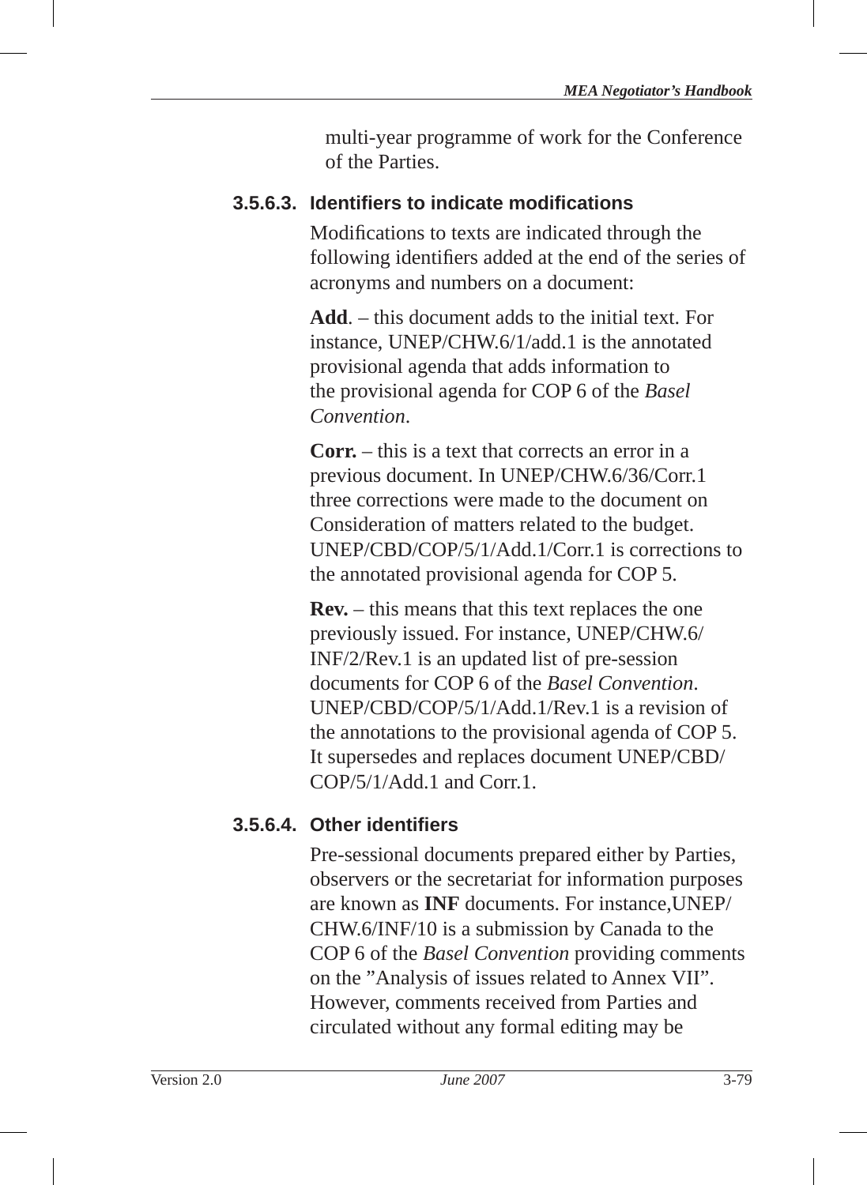multi-year programme of work for the Conference of the Parties .

## **3.5.6.3. Identifi ers to indicate modifi cations**

Modifications to texts are indicated through the following identifiers added at the end of the series of acronyms and numbers on a document:

**Add**. – this document adds to the initial text. For instance, UNEP/CHW.6/1/add.1 is the annotated provisional agenda that adds information to the provisional agenda for COP 6 of the *Basel Convention*.

**Corr.** – this is a text that corrects an error in a previous document. In UNEP/CHW.6/36/Corr.1 three corrections were made to the document on Consideration of matters related to the budget. UNEP/CBD/COP/5/1/Add.1/Corr.1 is corrections to the annotated provisional agenda for COP 5.

**Rev.** – this means that this text replaces the one previously issued. For instance, UNEP/CHW.6/ INF/2/Rev.1 is an updated list of pre-session documents for COP 6 of the *Basel Convention*. UNEP/CBD/COP/5/1/Add.1/Rev.1 is a revision of the annotations to the provisional agenda of COP 5. It supersedes and replaces document UNEP/CBD/ COP/5/1/Add.1 and Corr.1.

## **3.5.6.4. Other identifi ers**

Pre-sessional documents prepared either by Parties, observers or the secretariat for information purposes are known as **INF** documents. For instance,UNEP/ CHW.6/INF/10 is a submission by Canada to the COP 6 of the *Basel Convention* providing comments on the "Analysis of issues related to Annex VII". However, comments received from Parties and circulated without any formal editing may be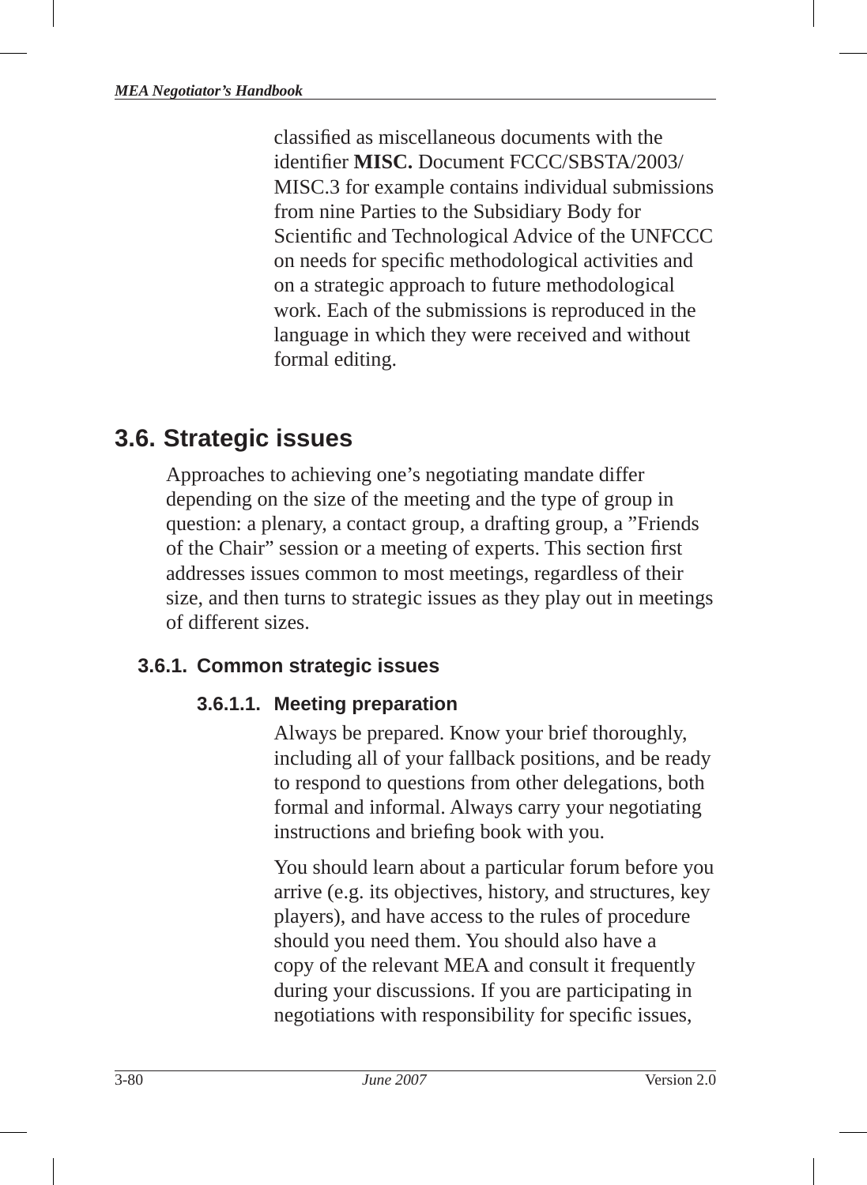classified as miscellaneous documents with the identifier **MISC.** Document FCCC/SBSTA/2003/ MISC.3 for example contains individual submissions from nine Parties to the Subsidiary Body for Scientific and Technological Advice of the UNFCCC on needs for specific methodological activities and on a strategic approach to future methodological work. Each of the submissions is reproduced in the language in which they were received and without formal editing.

# **3.6. Strategic issues**

Approaches to achieving one's negotiating mandate differ depending on the size of the meeting and the type of group in question: a plenary, a contact group, a drafting group, a "Friends of the Chair" session or a meeting of experts. This section first addresses issues common to most meetings, regardless of their size, and then turns to strategic issues as they play out in meetings of different sizes.

# **3.6.1. Common strategic issues**

# **3.6.1.1. Meeting preparation**

Always be prepared. Know your brief thoroughly, including all of your fallback positions, and be ready to respond to questions from other delegations, both formal and informal. Always carry your negotiating instructions and briefing book with you.

You should learn about a particular forum before you arrive (e.g. its objectives, history, and structures, key players), and have access to the rules of procedure should you need them. You should also have a copy of the relevant MEA and consult it frequently during your discussions. If you are participating in negotiations with responsibility for specific issues,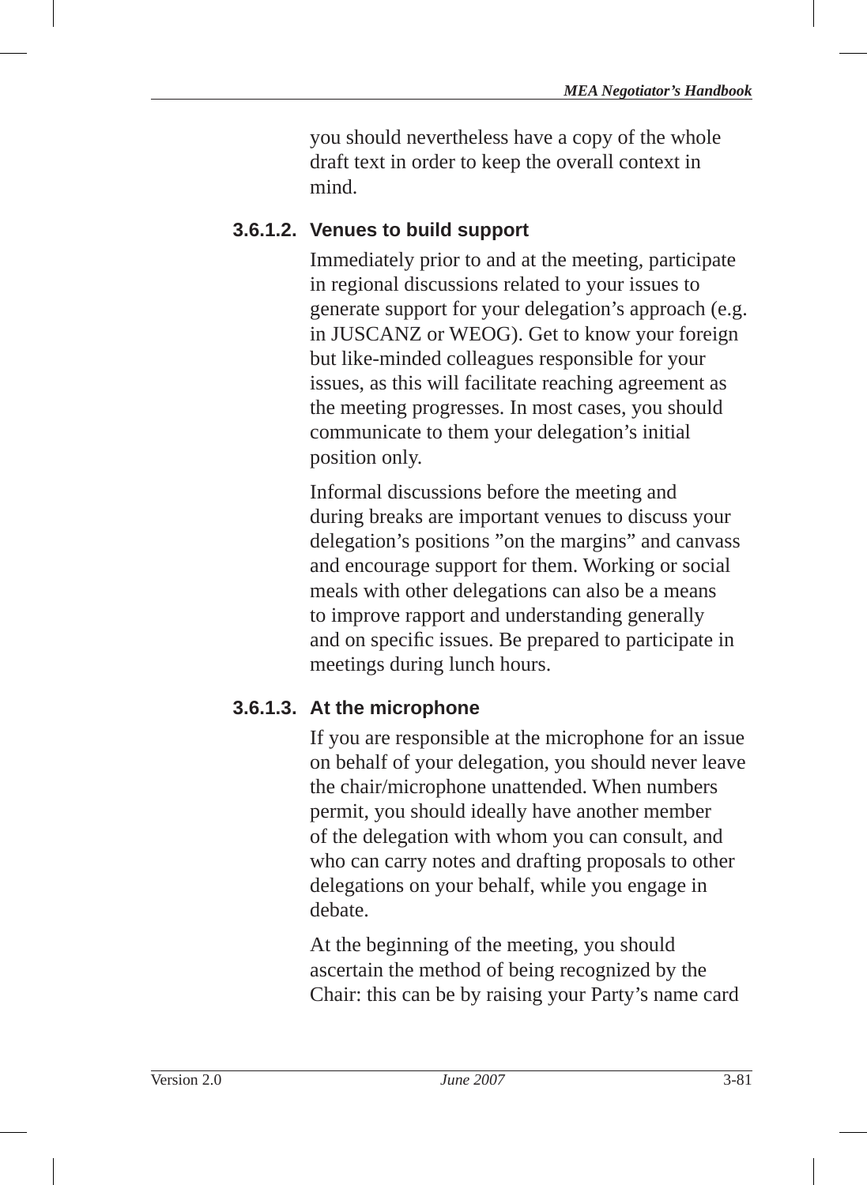you should nevertheless have a copy of the whole draft text in order to keep the overall context in mind.

## **3.6.1.2. Venues to build support**

Immediately prior to and at the meeting, participate in regional discussions related to your issues to generate support for your delegation's approach (e.g. in JUSCANZ or WEOG). Get to know your foreign but like-minded colleagues responsible for your issues, as this will facilitate reaching agreement as the meeting progresses. In most cases, you should communicate to them your delegation's initial position only.

Informal discussions before the meeting and during breaks are important venues to discuss your delegation's positions "on the margins" and canvass and encourage support for them. Working or social meals with other delegations can also be a means to improve rapport and understanding generally and on specific issues. Be prepared to participate in meetings during lunch hours.

#### **3.6.1.3. At the microphone**

If you are responsible at the microphone for an issue on behalf of your delegation, you should never leave the chair/microphone unattended. When numbers permit, you should ideally have another member of the delegation with whom you can consult, and who can carry notes and drafting proposals to other delegations on your behalf, while you engage in debate.

At the beginning of the meeting, you should ascertain the method of being recognized by the Chair: this can be by raising your Party's name card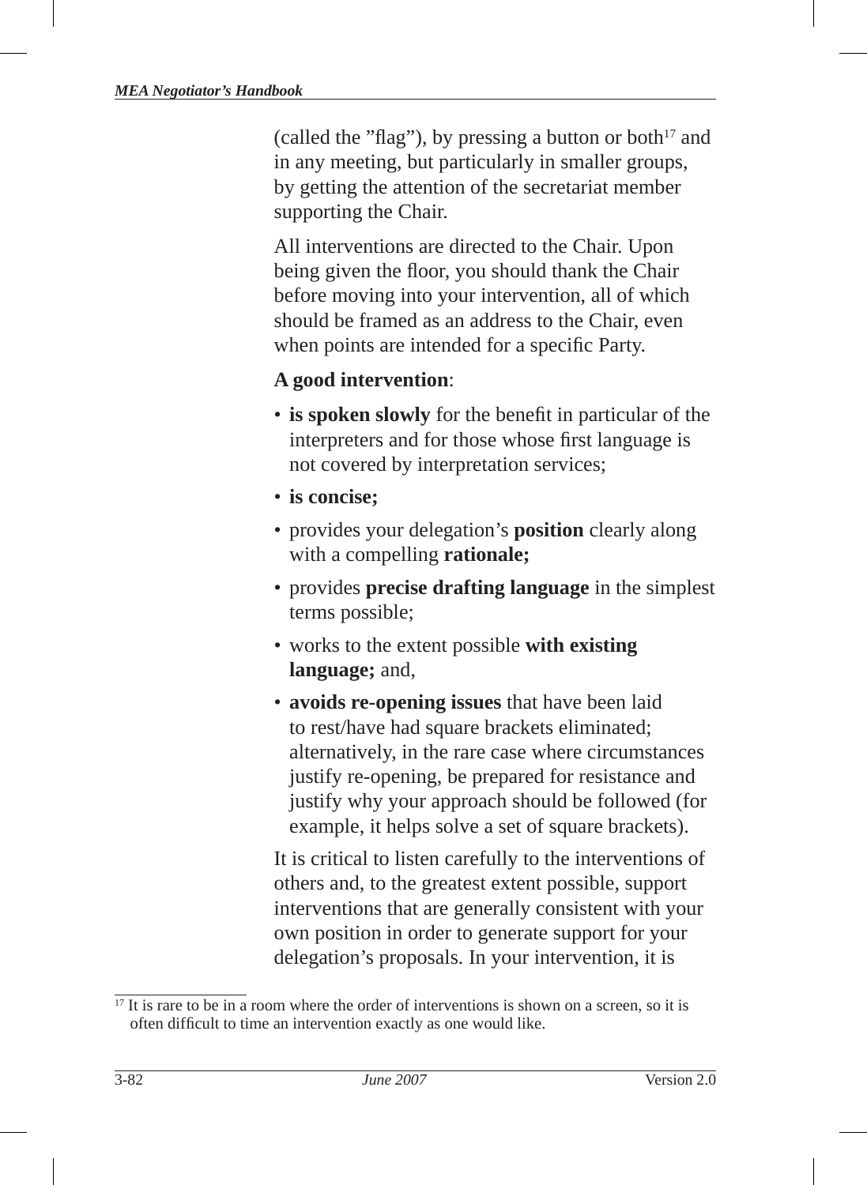(called the "flag"), by pressing a button or both $17$  and in any meeting, but particularly in smaller groups, by getting the attention of the secretariat member supporting the Chair.

All interventions are directed to the Chair. Upon being given the floor, you should thank the Chair before moving into your intervention, all of which should be framed as an address to the Chair, even when points are intended for a specific Party.

#### **A good intervention**:

- **is spoken slowly** for the benefit in particular of the interpreters and for those whose first language is not covered by interpretation services;
- **is concise;**
- provides your delegation's **position** clearly along with a compelling **rationale;**
- provides **precise drafting language** in the simplest terms possible;
- works to the extent possible **with existing language;** and,
- **avoids re-opening issues** that have been laid to rest/have had square brackets eliminated; alternatively, in the rare case where circumstances justify re-opening, be prepared for resistance and justify why your approach should be followed (for example, it helps solve a set of square brackets).

It is critical to listen carefully to the interventions of others and, to the greatest extent possible, support interventions that are generally consistent with your own position in order to generate support for your delegation's proposals. In your intervention, it is

 $17$  It is rare to be in a room where the order of interventions is shown on a screen, so it is often difficult to time an intervention exactly as one would like.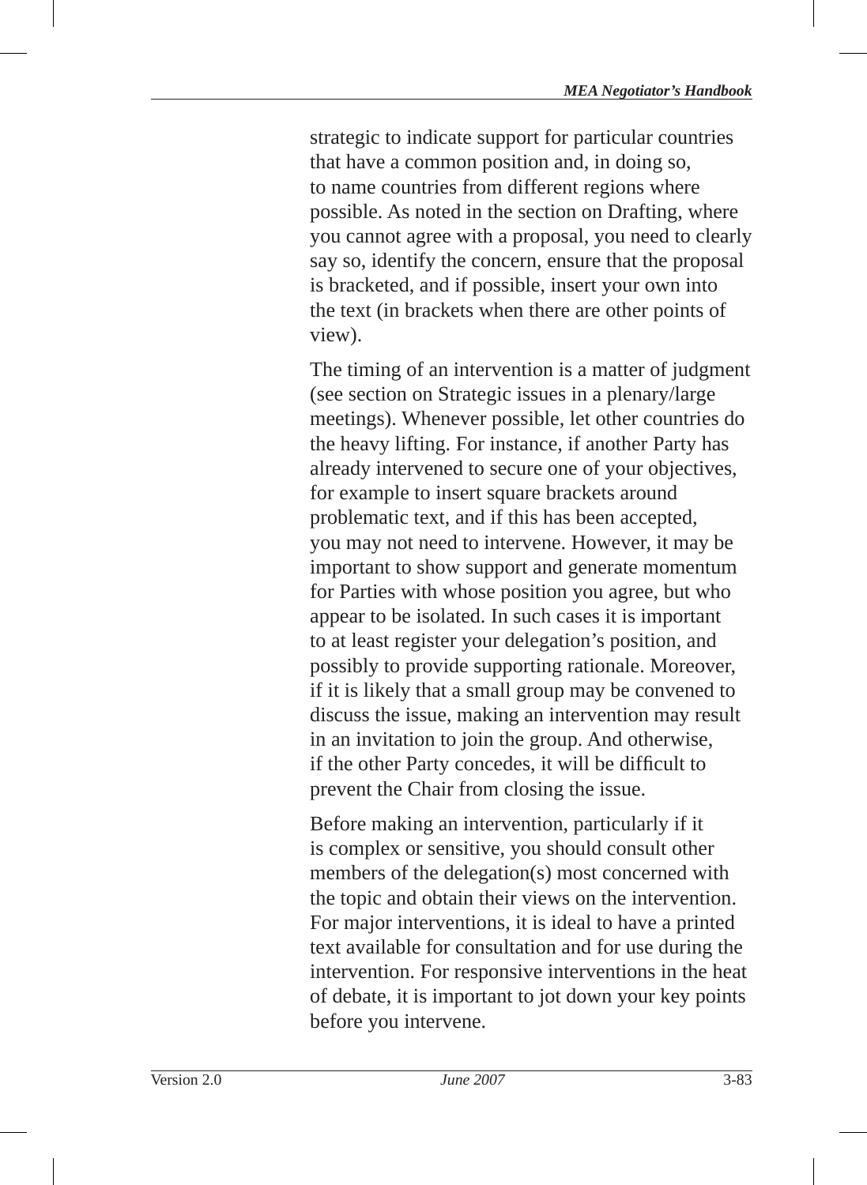strategic to indicate support for particular countries that have a common position and, in doing so, to name countries from different regions where possible. As noted in the section on Drafting, where you cannot agree with a proposal, you need to clearly say so, identify the concern, ensure that the proposal is bracketed, and if possible, insert your own into the text (in brackets when there are other points of view).

The timing of an intervention is a matter of judgment (see section on Strategic issues in a plenary/large meetings). Whenever possible, let other countries do the heavy lifting. For instance, if another Party has already intervened to secure one of your objectives, for example to insert square brackets around problematic text, and if this has been accepted, you may not need to intervene. However, it may be important to show support and generate momentum for Parties with whose position you agree, but who appear to be isolated. In such cases it is important to at least register your delegation's position, and possibly to provide supporting rationale. Moreover, if it is likely that a small group may be convened to discuss the issue, making an intervention may result in an invitation to join the group. And otherwise, if the other Party concedes, it will be difficult to prevent the Chair from closing the issue.

Before making an intervention, particularly if it is complex or sensitive, you should consult other members of the delegation(s) most concerned with the topic and obtain their views on the intervention. For major interventions, it is ideal to have a printed text available for consultation and for use during the intervention. For responsive interventions in the heat of debate, it is important to jot down your key points before you intervene.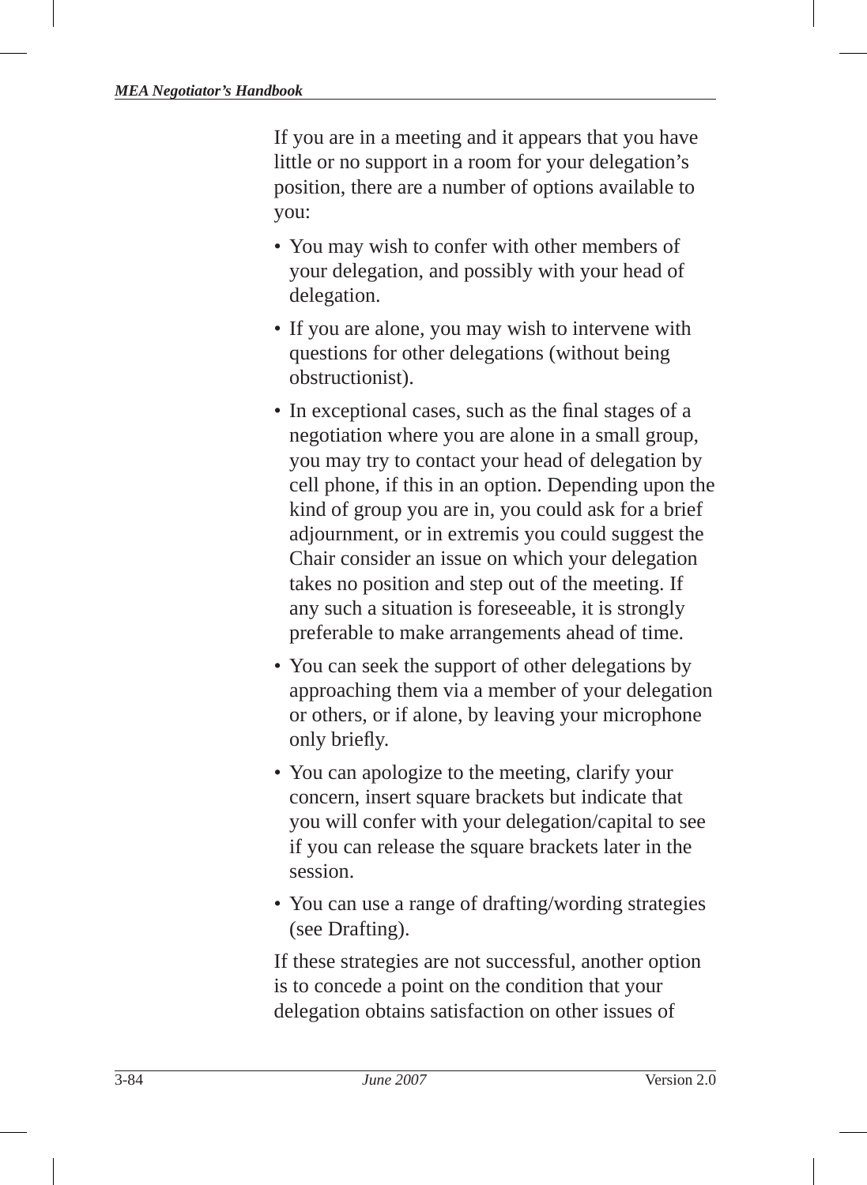If you are in a meeting and it appears that you have little or no support in a room for your delegation's position, there are a number of options available to you:

- You may wish to confer with other members of your delegation, and possibly with your head of delegation.
- If you are alone, you may wish to intervene with questions for other delegations (without being obstructionist).
- In exceptional cases, such as the final stages of a negotiation where you are alone in a small group, you may try to contact your head of delegation by cell phone, if this in an option. Depending upon the kind of group you are in, you could ask for a brief adjournment, or in extremis you could suggest the Chair consider an issue on which your delegation takes no position and step out of the meeting. If any such a situation is foreseeable, it is strongly preferable to make arrangements ahead of time.
- You can seek the support of other delegations by approaching them via a member of your delegation or others, or if alone, by leaving your microphone only briefly.
- You can apologize to the meeting, clarify your concern, insert square brackets but indicate that you will confer with your delegation/capital to see if you can release the square brackets later in the session.
- You can use a range of drafting/wording strategies (see Drafting).

If these strategies are not successful, another option is to concede a point on the condition that your delegation obtains satisfaction on other issues of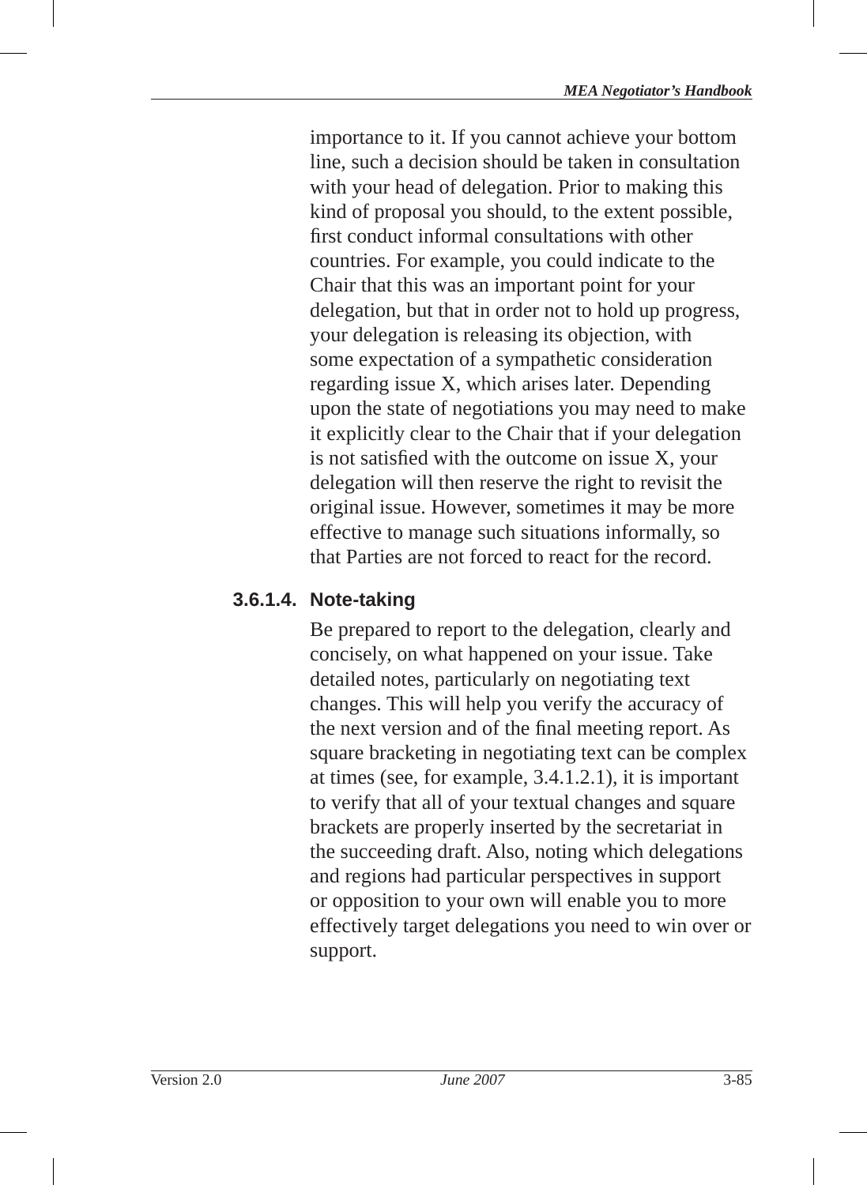importance to it. If you cannot achieve your bottom line, such a decision should be taken in consultation with your head of delegation. Prior to making this kind of proposal you should, to the extent possible, first conduct informal consultations with other countries. For example, you could indicate to the Chair that this was an important point for your delegation, but that in order not to hold up progress, your delegation is releasing its objection, with some expectation of a sympathetic consideration regarding issue X, which arises later. Depending upon the state of negotiations you may need to make it explicitly clear to the Chair that if your delegation is not satisfied with the outcome on issue  $X$ , your delegation will then reserve the right to revisit the original issue. However, sometimes it may be more effective to manage such situations informally, so that Parties are not forced to react for the record.

## **3.6.1.4. Note-taking**

Be prepared to report to the delegation, clearly and concisely, on what happened on your issue. Take detailed notes, particularly on negotiating text changes. This will help you verify the accuracy of the next version and of the final meeting report. As square bracketing in negotiating text can be complex at times (see, for example, 3.4.1.2.1), it is important to verify that all of your textual changes and square brackets are properly inserted by the secretariat in the succeeding draft. Also, noting which delegations and regions had particular perspectives in support or opposition to your own will enable you to more effectively target delegations you need to win over or support.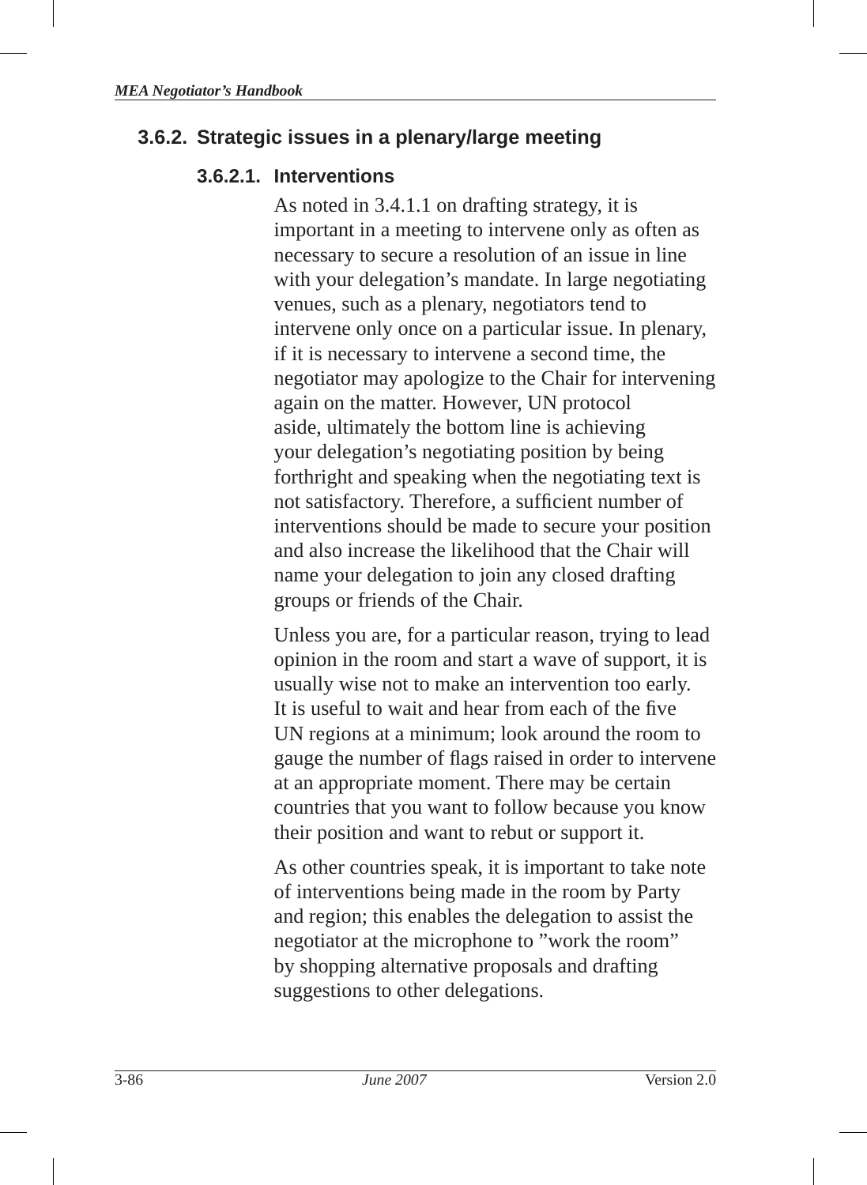## **3.6.2. Strategic issues in a plenary/large meeting**

#### **3.6.2.1. Interventions**

As noted in 3.4.1.1 on drafting strategy, it is important in a meeting to intervene only as often as necessary to secure a resolution of an issue in line with your delegation's mandate. In large negotiating venues, such as a plenary, negotiators tend to intervene only once on a particular issue. In plenary, if it is necessary to intervene a second time, the negotiator may apologize to the Chair for intervening again on the matter. However, UN protocol aside, ultimately the bottom line is achieving your delegation's negotiating position by being forthright and speaking when the negotiating text is not satisfactory. Therefore, a sufficient number of interventions should be made to secure your position and also increase the likelihood that the Chair will name your delegation to join any closed drafting groups or friends of the Chair.

Unless you are, for a particular reason, trying to lead opinion in the room and start a wave of support, it is usually wise not to make an intervention too early. It is useful to wait and hear from each of the five UN regions at a minimum; look around the room to gauge the number of flags raised in order to intervene at an appropriate moment. There may be certain countries that you want to follow because you know their position and want to rebut or support it.

As other countries speak, it is important to take note of interventions being made in the room by Party and region; this enables the delegation to assist the negotiator at the microphone to "work the room" by shopping alternative proposals and drafting suggestions to other delegations.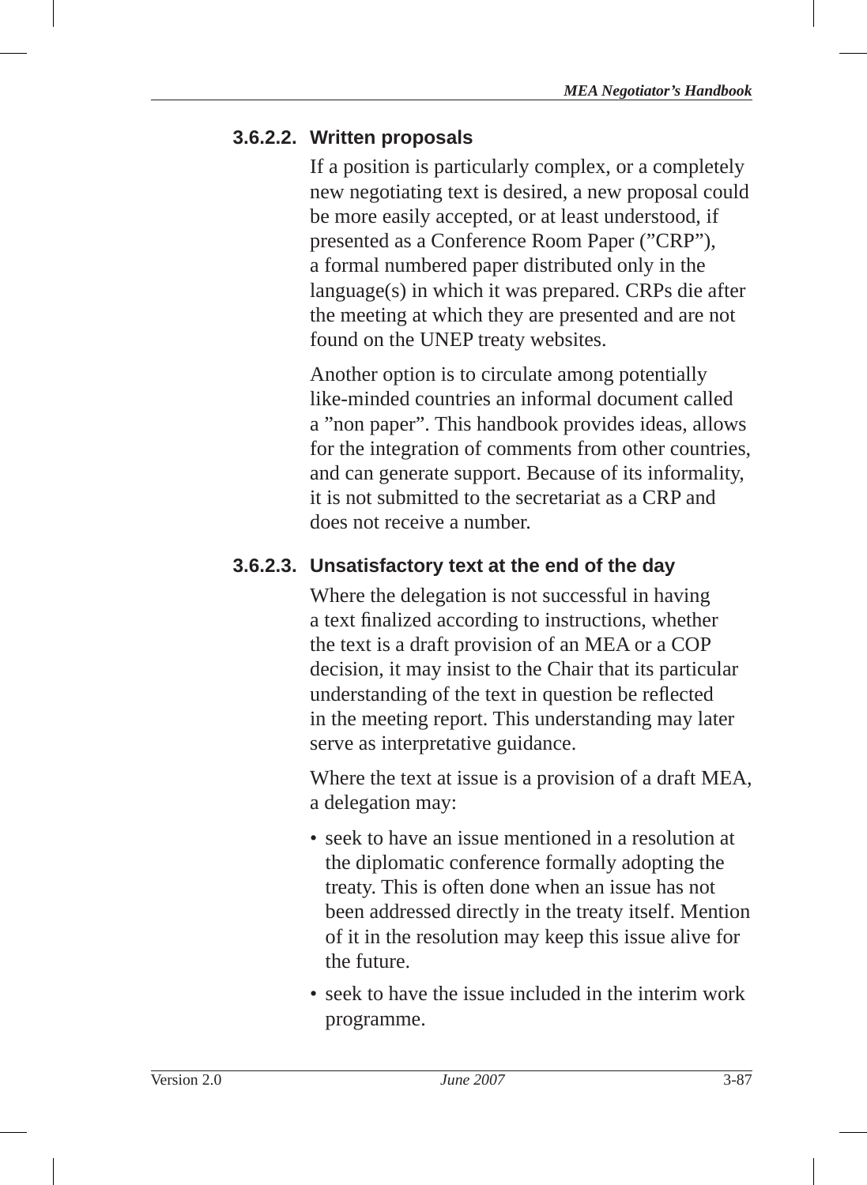#### **3.6.2.2. Written proposals**

If a position is particularly complex, or a completely new negotiating text is desired, a new proposal could be more easily accepted, or at least understood, if presented as a Conference Room Paper ("CRP"), a formal numbered paper distributed only in the language(s) in which it was prepared. CRPs die after the meeting at which they are presented and are not found on the UNEP treaty websites.

Another option is to circulate among potentially like-minded countries an informal document called a "non paper". This handbook provides ideas, allows for the integration of comments from other countries, and can generate support. Because of its informality, it is not submitted to the secretariat as a CRP and does not receive a number.

## **3.6.2.3. Unsatisfactory text at the end of the day**

Where the delegation is not successful in having a text finalized according to instructions, whether the text is a draft provision of an MEA or a COP decision, it may insist to the Chair that its particular understanding of the text in question be reflected in the meeting report. This understanding may later serve as interpretative guidance.

Where the text at issue is a provision of a draft MEA, a delegation may:

- seek to have an issue mentioned in a resolution at the diplomatic conference formally adopting the treaty. This is often done when an issue has not been addressed directly in the treaty itself. Mention of it in the resolution may keep this issue alive for the future.
- seek to have the issue included in the interim work programme.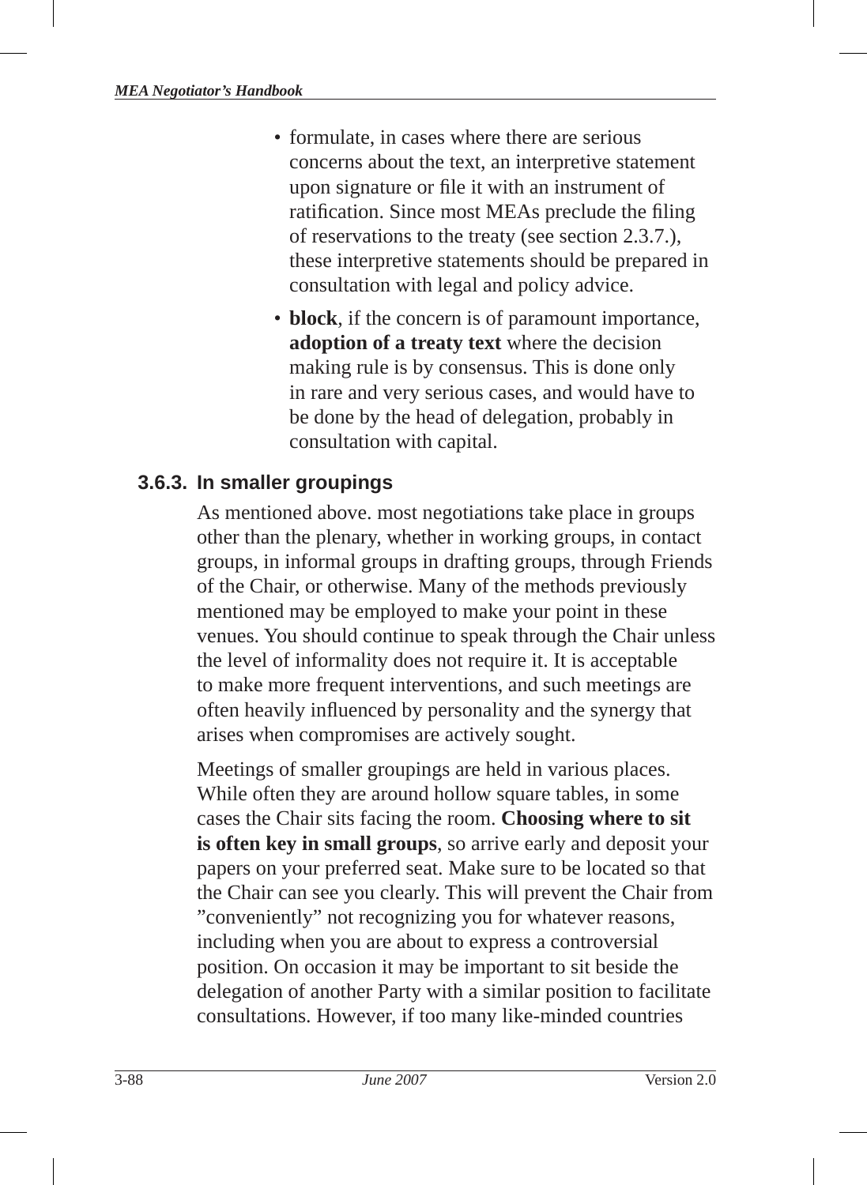- formulate, in cases where there are serious concerns about the text, an interpretive statement upon signature or file it with an instrument of ratification. Since most MEAs preclude the filing of reservations to the treaty (see section 2.3.7.), these interpretive statements should be prepared in consultation with legal and policy advice.
- **block**, if the concern is of paramount importance, **adoption of a treaty text** where the decision making rule is by consensus. This is done only in rare and very serious cases, and would have to be done by the head of delegation, probably in consultation with capital.

#### **3.6.3. In smaller groupings**

As mentioned above. most negotiations take place in groups other than the plenary, whether in working groups, in contact groups, in informal groups in drafting groups, through Friends of the Chair, or otherwise. Many of the methods previously mentioned may be employed to make your point in these venues. You should continue to speak through the Chair unless the level of informality does not require it. It is acceptable to make more frequent interventions , and such meetings are often heavily influenced by personality and the synergy that arises when compromises are actively sought.

Meetings of smaller groupings are held in various places. While often they are around hollow square tables, in some cases the Chair sits facing the room. **Choosing where to sit is often key in small groups**, so arrive early and deposit your papers on your preferred seat. Make sure to be located so that the Chair can see you clearly. This will prevent the Chair from "conveniently" not recognizing you for whatever reasons, including when you are about to express a controversial position. On occasion it may be important to sit beside the delegation of another Party with a similar position to facilitate consultations. However, if too many like-minded countries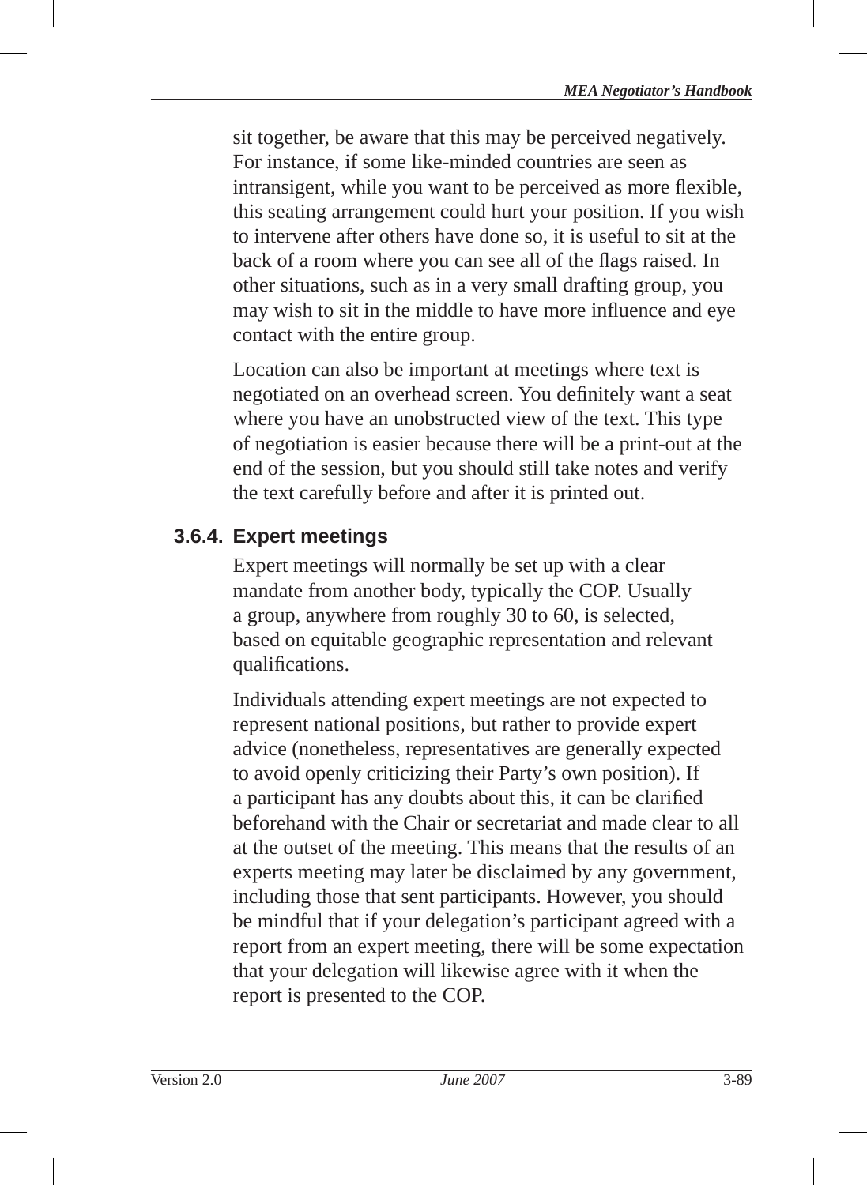sit together, be aware that this may be perceived negatively. For instance, if some like-minded countries are seen as intransigent, while you want to be perceived as more flexible. this seating arrangement could hurt your position. If you wish to intervene after others have done so, it is useful to sit at the back of a room where you can see all of the flags raised. In other situations, such as in a very small drafting group, you may wish to sit in the middle to have more influence and eye contact with the entire group.

Location can also be important at meetings where text is negotiated on an overhead screen. You definitely want a seat where you have an unobstructed view of the text. This type of negotiation is easier because there will be a print-out at the end of the session, but you should still take notes and verify the text carefully before and after it is printed out.

## **3.6.4. Expert meetings**

Expert meetings will normally be set up with a clear mandate from another body, typically the COP. Usually a group, anywhere from roughly 30 to 60, is selected, based on equitable geographic representation and relevant qualifications.

Individuals attending expert meetings are not expected to represent national positions, but rather to provide expert advice (nonetheless, representatives are generally expected to avoid openly criticizing their Party's own position). If a participant has any doubts about this, it can be clarified beforehand with the Chair or secretariat and made clear to all at the outset of the meeting. This means that the results of an experts meeting may later be disclaimed by any government, including those that sent participants. However, you should be mindful that if your delegation's participant agreed with a report from an expert meeting, there will be some expectation that your delegation will likewise agree with it when the report is presented to the COP.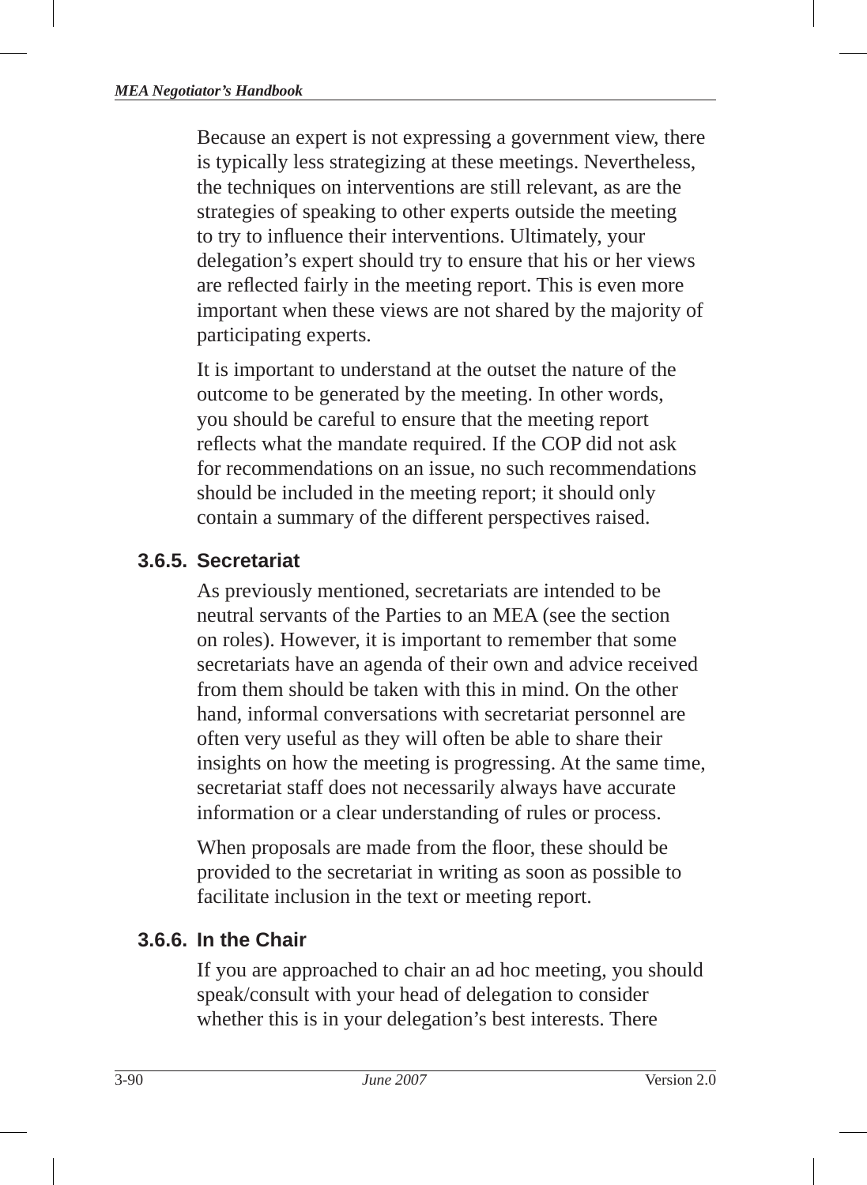Because an expert is not expressing a government view, there is typically less strategizing at these meetings. Nevertheless, the techniques on interventions are still relevant, as are the strategies of speaking to other experts outside the meeting to try to influence their interventions. Ultimately, your delegation's expert should try to ensure that his or her views are reflected fairly in the meeting report. This is even more important when these views are not shared by the majority of participating experts.

It is important to understand at the outset the nature of the outcome to be generated by the meeting. In other words, you should be careful to ensure that the meeting report reflects what the mandate required. If the COP did not ask for recommendations on an issue, no such recommendations should be included in the meeting report; it should only contain a summary of the different perspectives raised.

#### **3.6.5. Secretariat**

As previously mentioned, secretariats are intended to be neutral servants of the Parties to an MEA (see the section on roles). However, it is important to remember that some secretariats have an agenda of their own and advice received from them should be taken with this in mind. On the other hand, informal conversations with secretariat personnel are often very useful as they will often be able to share their insights on how the meeting is progressing. At the same time, secretariat staff does not necessarily always have accurate information or a clear understanding of rules or process.

When proposals are made from the floor, these should be provided to the secretariat in writing as soon as possible to facilitate inclusion in the text or meeting report.

#### **3.6.6. In the Chair**

If you are approached to chair an ad hoc meeting, you should speak/consult with your head of delegation to consider whether this is in your delegation's best interests. There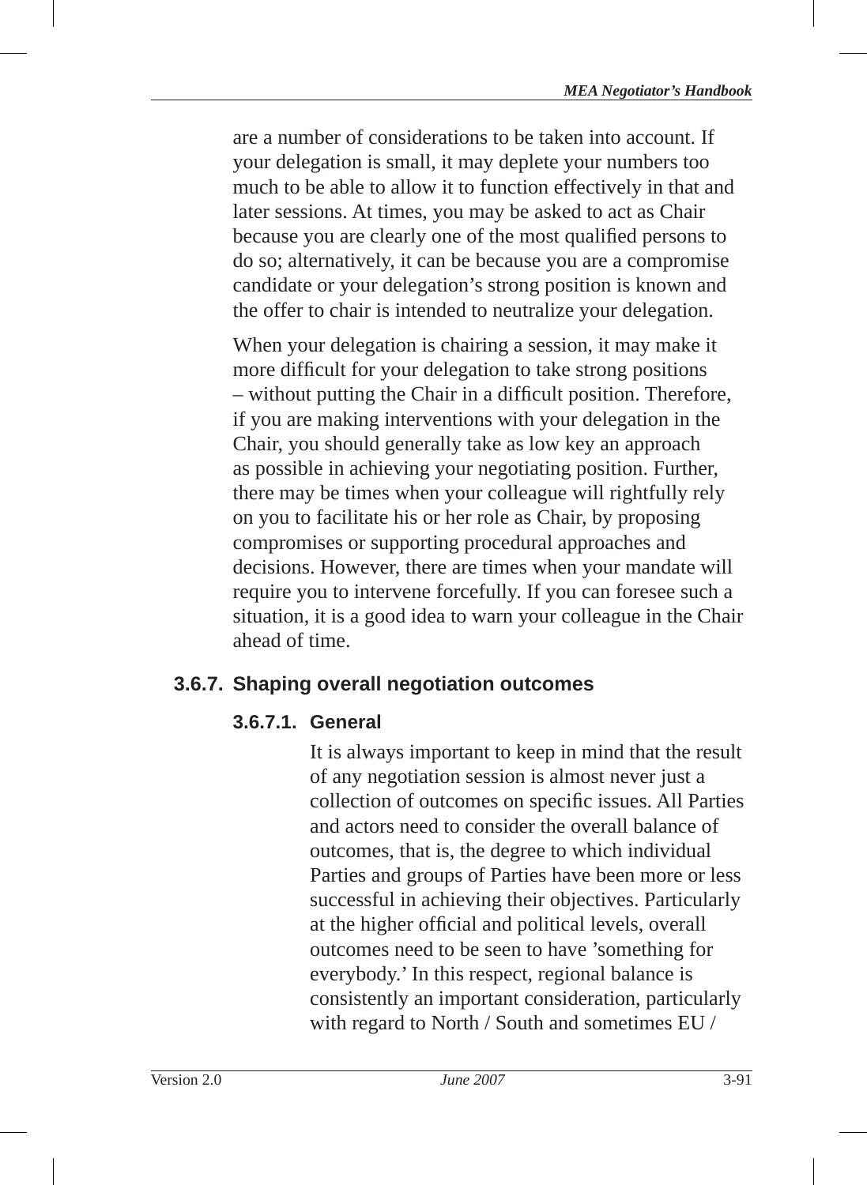are a number of considerations to be taken into account. If your delegation is small, it may deplete your numbers too much to be able to allow it to function effectively in that and later sessions. At times, you may be asked to act as Chair because you are clearly one of the most qualified persons to do so; alternatively, it can be because you are a compromise candidate or your delegation's strong position is known and the offer to chair is intended to neutralize your delegation.

When your delegation is chairing a session, it may make it more difficult for your delegation to take strong positions – without putting the Chair in a difficult position. Therefore, if you are making interventions with your delegation in the Chair, you should generally take as low key an approach as possible in achieving your negotiating position. Further, there may be times when your colleague will rightfully rely on you to facilitate his or her role as Chair, by proposing compromises or supporting procedural approaches and decisions. However, there are times when your mandate will require you to intervene forcefully. If you can foresee such a situation, it is a good idea to warn your colleague in the Chair ahead of time.

### **3.6.7. Shaping overall negotiation outcomes**

### **3.6.7.1. General**

It is always important to keep in mind that the result of any negotiation session is almost never just a collection of outcomes on specific issues. All Parties and actors need to consider the overall balance of outcomes, that is, the degree to which individual Parties and groups of Parties have been more or less successful in achieving their objectives. Particularly at the higher official and political levels, overall outcomes need to be seen to have 'something for everybody.' In this respect, regional balance is consistently an important consideration, particularly with regard to North / South and sometimes EU /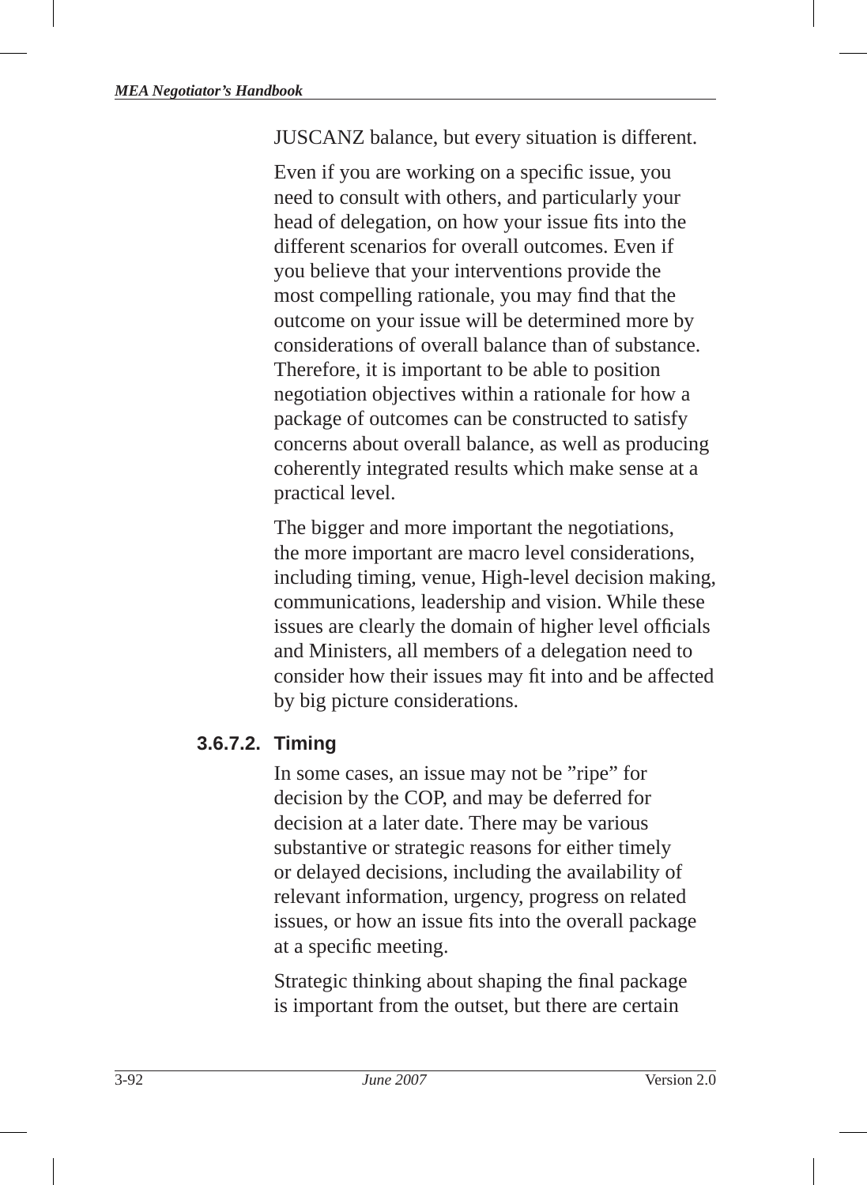JUSCANZ balance, but every situation is different.

Even if you are working on a specific issue, you need to consult with others, and particularly your head of delegation, on how your issue fits into the different scenarios for overall outcomes. Even if you believe that your interventions provide the most compelling rationale, you may find that the outcome on your issue will be determined more by considerations of overall balance than of substance. Therefore, it is important to be able to position negotiation objectives within a rationale for how a package of outcomes can be constructed to satisfy concerns about overall balance, as well as producing coherently integrated results which make sense at a practical level.

The bigger and more important the negotiations, the more important are macro level considerations, including timing, venue, High-level decision making, communications, leadership and vision. While these issues are clearly the domain of higher level officials and Ministers, all members of a delegation need to consider how their issues may fit into and be affected by big picture considerations.

#### **3.6.7.2. Timing**

In some cases, an issue may not be "ripe" for decision by the COP, and may be deferred for decision at a later date. There may be various substantive or strategic reasons for either timely or delayed decisions, including the availability of relevant information, urgency, progress on related issues, or how an issue fits into the overall package at a specific meeting.

Strategic thinking about shaping the final package is important from the outset, but there are certain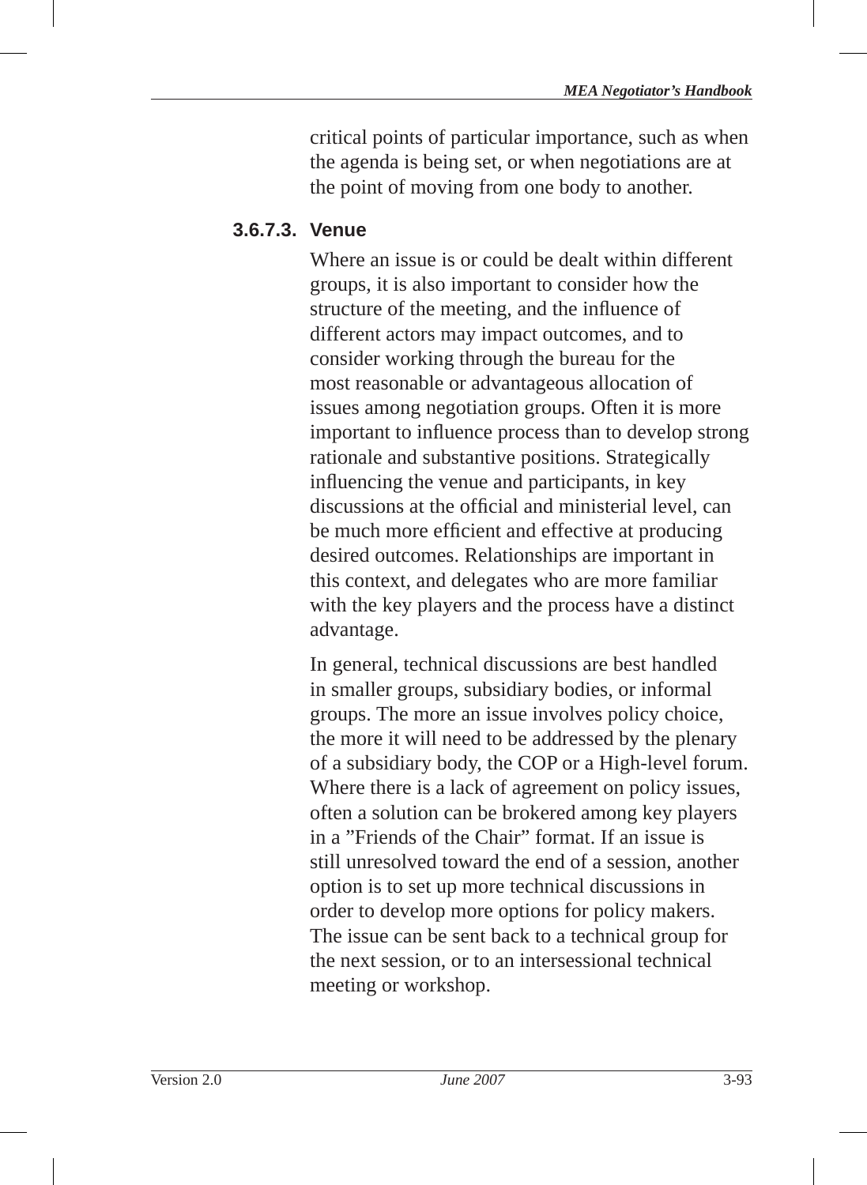critical points of particular importance, such as when the agenda is being set, or when negotiations are at the point of moving from one body to another.

#### **3.6.7.3. Venue**

Where an issue is or could be dealt within different groups, it is also important to consider how the structure of the meeting, and the influence of different actors may impact outcomes, and to consider working through the bureau for the most reasonable or advantageous allocation of issues among negotiation groups. Often it is more important to influence process than to develop strong rationale and substantive positions. Strategically influencing the venue and participants, in key discussions at the official and ministerial level, can be much more efficient and effective at producing desired outcomes. Relationships are important in this context, and delegates who are more familiar with the key players and the process have a distinct advantage.

In general, technical discussions are best handled in smaller groups, subsidiary bodies, or informal groups. The more an issue involves policy choice, the more it will need to be addressed by the plenary of a subsidiary body, the COP or a High-level forum. Where there is a lack of agreement on policy issues, often a solution can be brokered among key players in a "Friends of the Chair" format. If an issue is still unresolved toward the end of a session, another option is to set up more technical discussions in order to develop more options for policy makers. The issue can be sent back to a technical group for the next session, or to an intersessional technical meeting or workshop.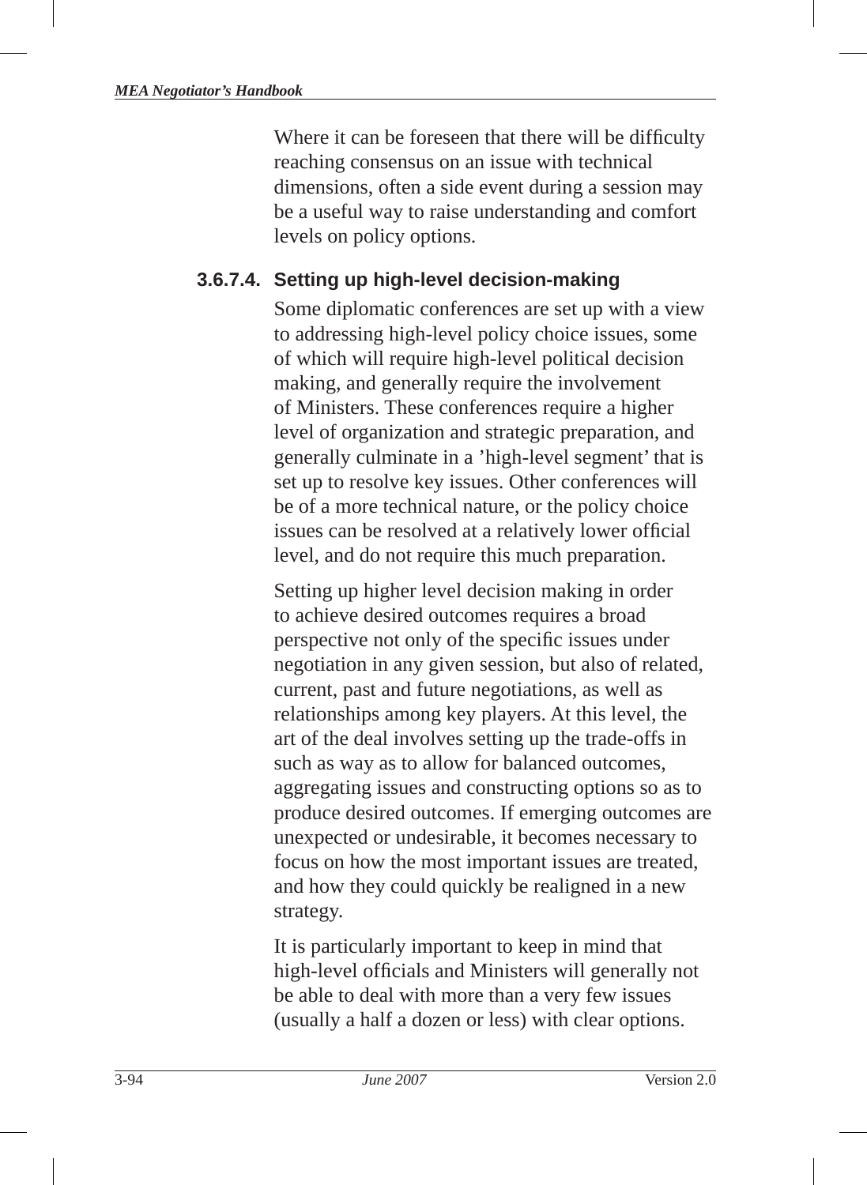Where it can be foreseen that there will be difficulty reaching consensus on an issue with technical dimensions, often a side event during a session may be a useful way to raise understanding and comfort levels on policy options.

#### **3.6.7.4. Setting up high-level decision-making**

Some diplomatic conferences are set up with a view to addressing high-level policy choice issues, some of which will require high-level political decision making, and generally require the involvement of Ministers. These conferences require a higher level of organization and strategic preparation, and generally culminate in a 'high-level segment' that is set up to resolve key issues. Other conferences will be of a more technical nature, or the policy choice issues can be resolved at a relatively lower official level, and do not require this much preparation.

Setting up higher level decision making in order to achieve desired outcomes requires a broad perspective not only of the specific issues under negotiation in any given session, but also of related, current, past and future negotiations, as well as relationships among key players. At this level, the art of the deal involves setting up the trade-offs in such as way as to allow for balanced outcomes, aggregating issues and constructing options so as to produce desired outcomes. If emerging outcomes are unexpected or undesirable, it becomes necessary to focus on how the most important issues are treated, and how they could quickly be realigned in a new strategy.

It is particularly important to keep in mind that high-level officials and Ministers will generally not be able to deal with more than a very few issues (usually a half a dozen or less) with clear options.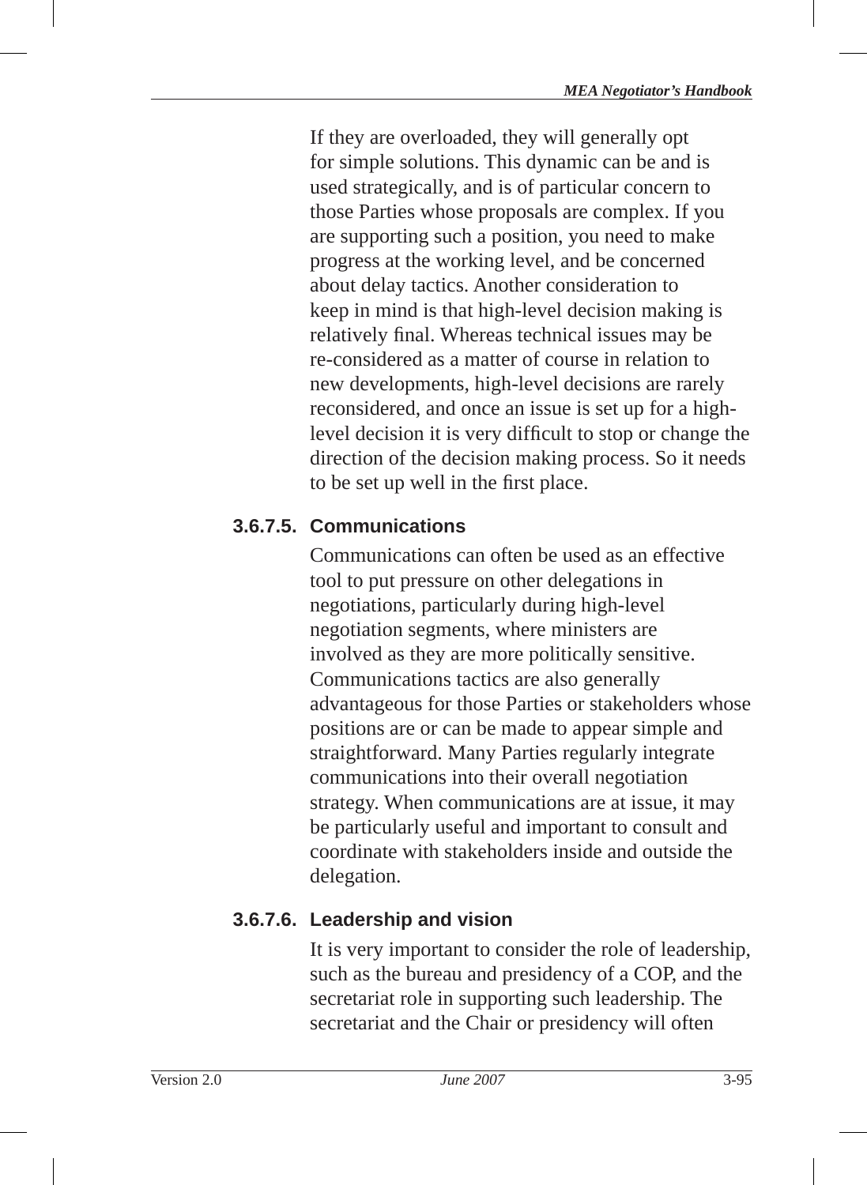If they are overloaded, they will generally opt for simple solutions. This dynamic can be and is used strategically, and is of particular concern to those Parties whose proposals are complex. If you are supporting such a position, you need to make progress at the working level, and be concerned about delay tactics. Another consideration to keep in mind is that high-level decision making is relatively final. Whereas technical issues may be re-considered as a matter of course in relation to new developments, high-level decisions are rarely reconsidered, and once an issue is set up for a highlevel decision it is very difficult to stop or change the direction of the decision making process. So it needs to be set up well in the first place.

### **3.6.7.5. Communications**

Communications can often be used as an effective tool to put pressure on other delegations in negotiations, particularly during high-level negotiation segments, where ministers are involved as they are more politically sensitive. Communications tactics are also generally advantageous for those Parties or stakeholders whose positions are or can be made to appear simple and straightforward. Many Parties regularly integrate communications into their overall negotiation strategy. When communications are at issue, it may be particularly useful and important to consult and coordinate with stakeholders inside and outside the delegation.

# **3.6.7.6. Leadership and vision**

It is very important to consider the role of leadership, such as the bureau and presidency of a COP, and the secretariat role in supporting such leadership. The secretariat and the Chair or presidency will often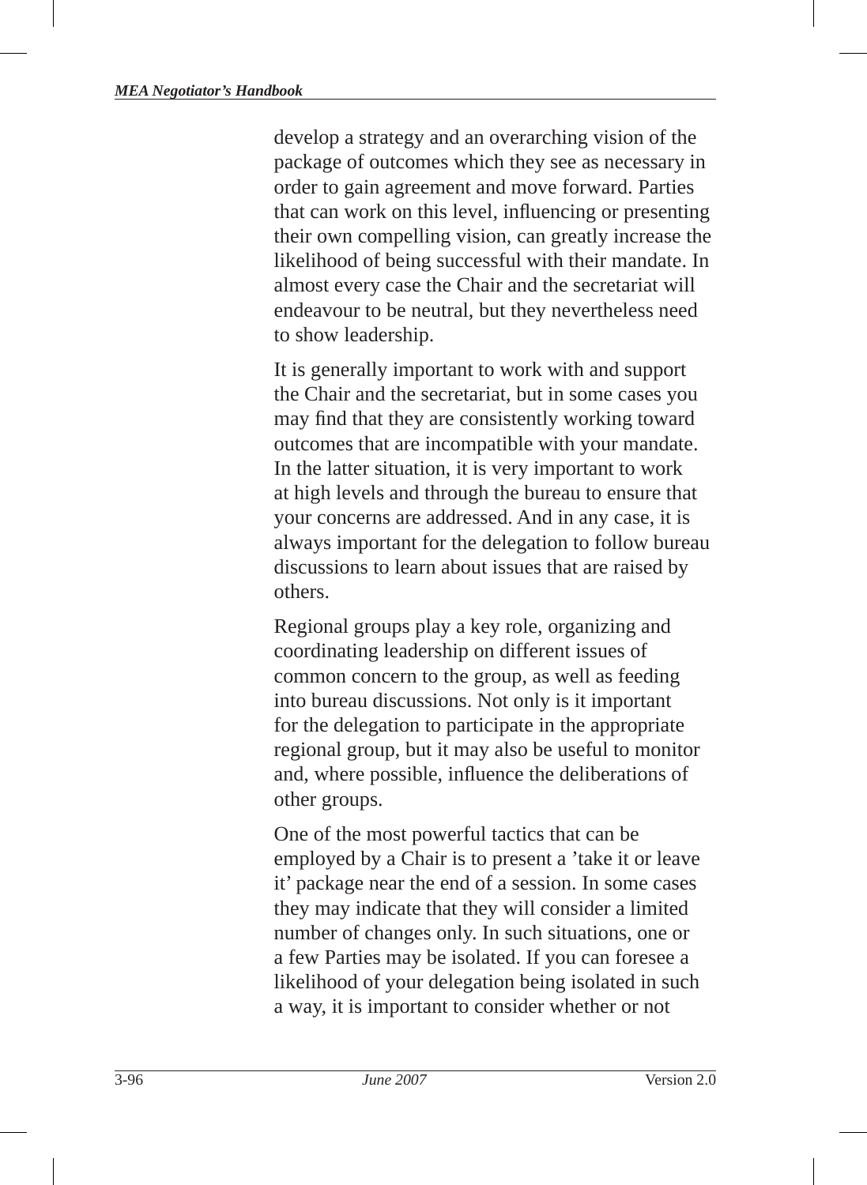develop a strategy and an overarching vision of the package of outcomes which they see as necessary in order to gain agreement and move forward. Parties that can work on this level, influencing or presenting their own compelling vision, can greatly increase the likelihood of being successful with their mandate. In almost every case the Chair and the secretariat will endeavour to be neutral, but they nevertheless need to show leadership.

It is generally important to work with and support the Chair and the secretariat, but in some cases you may find that they are consistently working toward outcomes that are incompatible with your mandate. In the latter situation, it is very important to work at high levels and through the bureau to ensure that your concerns are addressed. And in any case, it is always important for the delegation to follow bureau discussions to learn about issues that are raised by others.

Regional groups play a key role, organizing and coordinating leadership on different issues of common concern to the group, as well as feeding into bureau discussions. Not only is it important for the delegation to participate in the appropriate regional group, but it may also be useful to monitor and, where possible, influence the deliberations of other groups.

One of the most powerful tactics that can be employed by a Chair is to present a 'take it or leave it' package near the end of a session. In some cases they may indicate that they will consider a limited number of changes only. In such situations, one or a few Parties may be isolated. If you can foresee a likelihood of your delegation being isolated in such a way, it is important to consider whether or not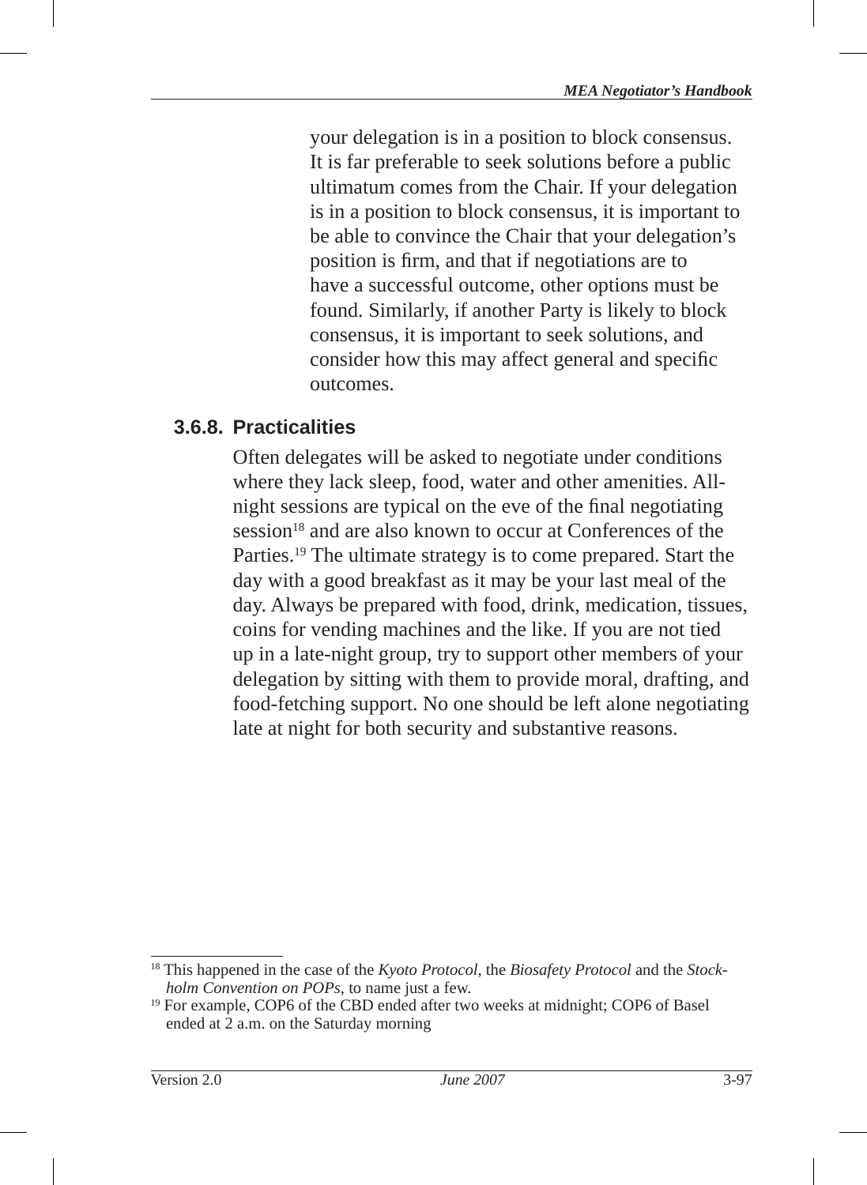your delegation is in a position to block consensus. It is far preferable to seek solutions before a public ultimatum comes from the Chair. If your delegation is in a position to block consensus, it is important to be able to convince the Chair that your delegation's position is firm, and that if negotiations are to have a successful outcome, other options must be found. Similarly, if another Party is likely to block consensus, it is important to seek solutions, and consider how this may affect general and specific outcomes.

#### **3.6.8. Practicalities**

Often delegates will be asked to negotiate under conditions where they lack sleep, food, water and other amenities. Allnight sessions are typical on the eve of the final negotiating session<sup>18</sup> and are also known to occur at Conferences of the Parties.19 The ultimate strategy is to come prepared. Start the day with a good breakfast as it may be your last meal of the day. Always be prepared with food, drink, medication, tissues, coins for vending machines and the like. If you are not tied up in a late-night group, try to support other members of your delegation by sitting with them to provide moral, drafting, and food-fetching support. No one should be left alone negotiating late at night for both security and substantive reasons.

<sup>&</sup>lt;sup>18</sup> This happened in the case of the *Kyoto Protocol*, the *Biosafety Protocol* and the *Stockholm Convention on POPs*, to name just a few.

<sup>&</sup>lt;sup>19</sup> For example, COP6 of the CBD ended after two weeks at midnight; COP6 of Basel ended at 2 a.m. on the Saturday morning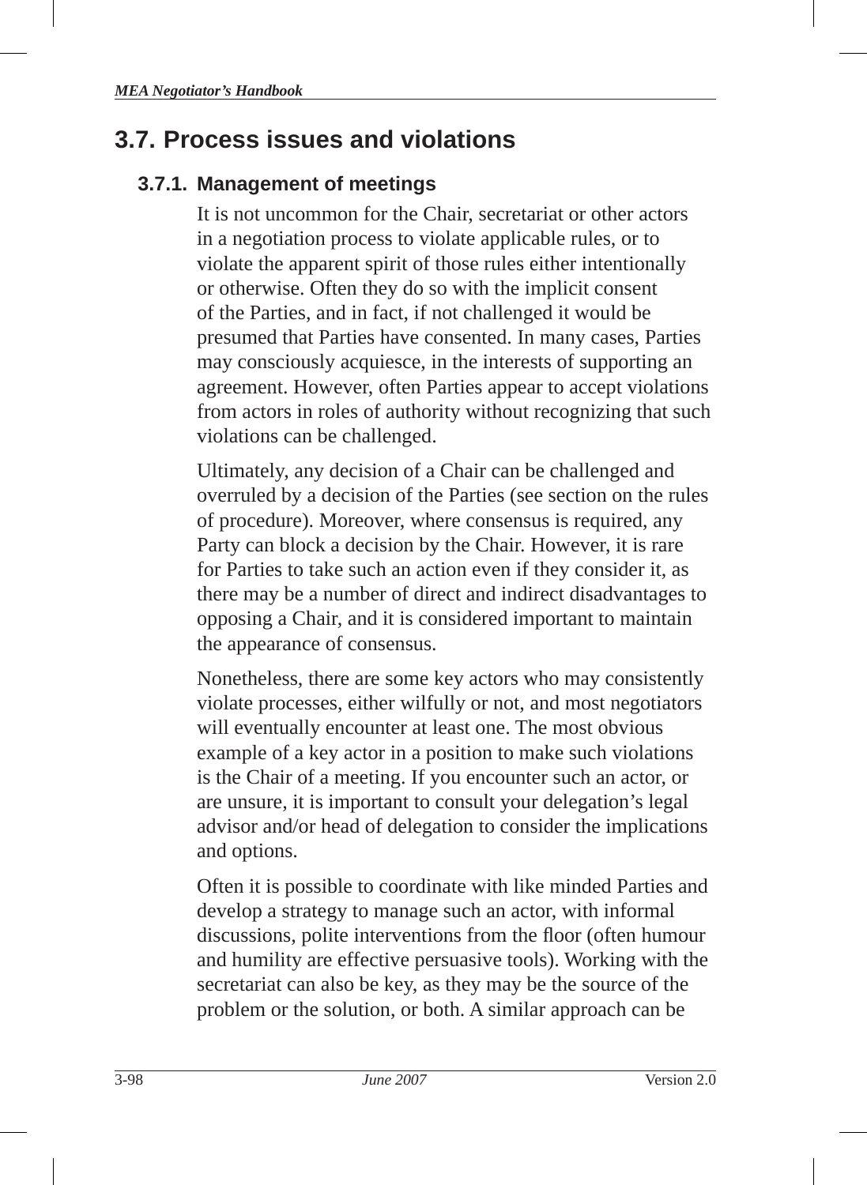# **3.7. Process issues and violations**

### **3.7.1. Management of meetings**

It is not uncommon for the Chair, secretariat or other actors in a negotiation process to violate applicable rules, or to violate the apparent spirit of those rules either intentionally or otherwise. Often they do so with the implicit consent of the Parties, and in fact, if not challenged it would be presumed that Parties have consented. In many cases, Parties may consciously acquiesce, in the interests of supporting an agreement. However, often Parties appear to accept violations from actors in roles of authority without recognizing that such violations can be challenged.

Ultimately, any decision of a Chair can be challenged and overruled by a decision of the Parties (see section on the rules of procedure). Moreover, where consensus is required, any Party can block a decision by the Chair. However, it is rare for Parties to take such an action even if they consider it, as there may be a number of direct and indirect disadvantages to opposing a Chair, and it is considered important to maintain the appearance of consensus.

Nonetheless, there are some key actors who may consistently violate processes, either wilfully or not, and most negotiators will eventually encounter at least one. The most obvious example of a key actor in a position to make such violations is the Chair of a meeting. If you encounter such an actor, or are unsure, it is important to consult your delegation's legal advisor and/or head of delegation to consider the implications and options.

Often it is possible to coordinate with like minded Parties and develop a strategy to manage such an actor, with informal discussions, polite interventions from the floor (often humour and humility are effective persuasive tools). Working with the secretariat can also be key, as they may be the source of the problem or the solution, or both. A similar approach can be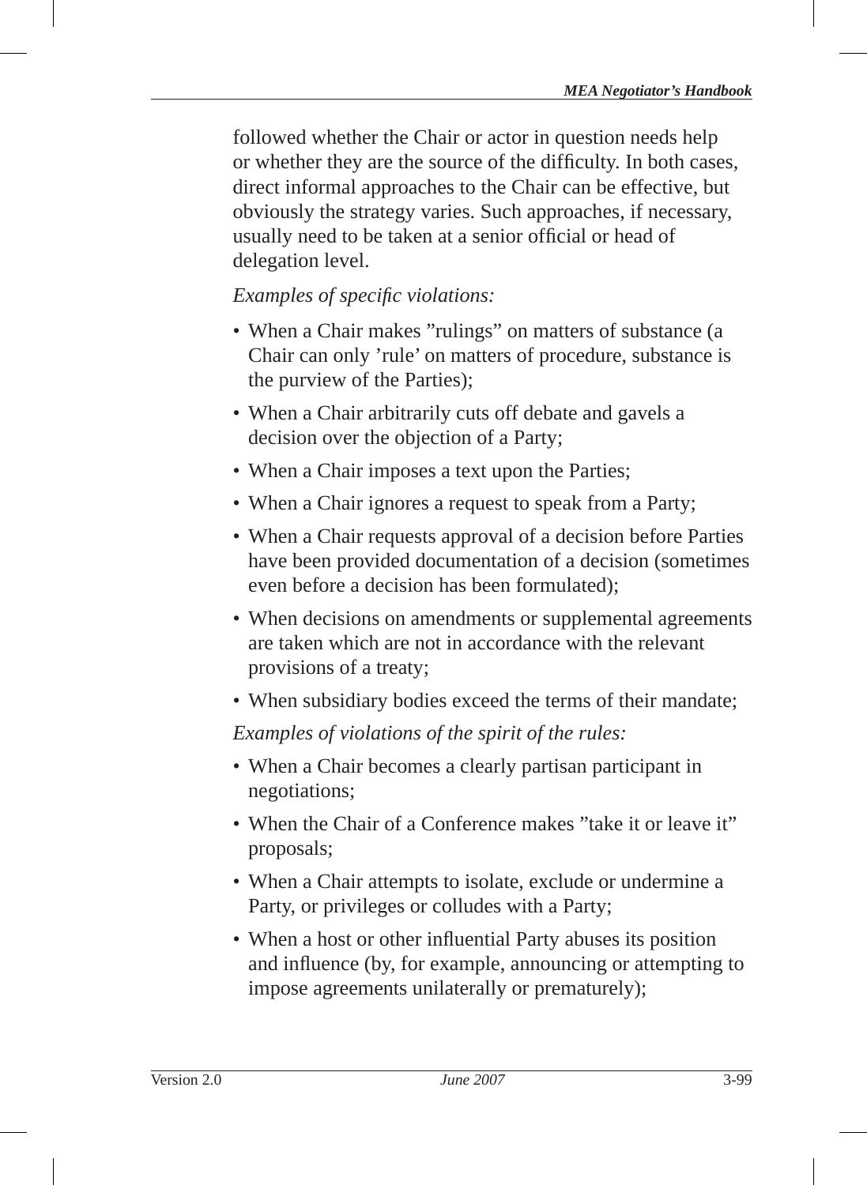followed whether the Chair or actor in question needs help or whether they are the source of the difficulty. In both cases, direct informal approaches to the Chair can be effective, but obviously the strategy varies. Such approaches, if necessary, usually need to be taken at a senior official or head of delegation level.

#### *Examples of specifi c violations:*

- When a Chair makes "rulings" on matters of substance (a Chair can only 'rule' on matters of procedure, substance is the purview of the Parties);
- When a Chair arbitrarily cuts off debate and gavels a decision over the objection of a Party;
- When a Chair imposes a text upon the Parties;
- When a Chair ignores a request to speak from a Party;
- When a Chair requests approval of a decision before Parties have been provided documentation of a decision (sometimes even before a decision has been formulated);
- When decisions on amendments or supplemental agreements are taken which are not in accordance with the relevant provisions of a treaty;
- When subsidiary bodies exceed the terms of their mandate;

*Examples of violations of the spirit of the rules:*

- When a Chair becomes a clearly partisan participant in negotiations;
- When the Chair of a Conference makes "take it or leave it" proposals;
- When a Chair attempts to isolate, exclude or undermine a Party, or privileges or colludes with a Party;
- When a host or other influential Party abuses its position and influence (by, for example, announcing or attempting to impose agreements unilaterally or prematurely);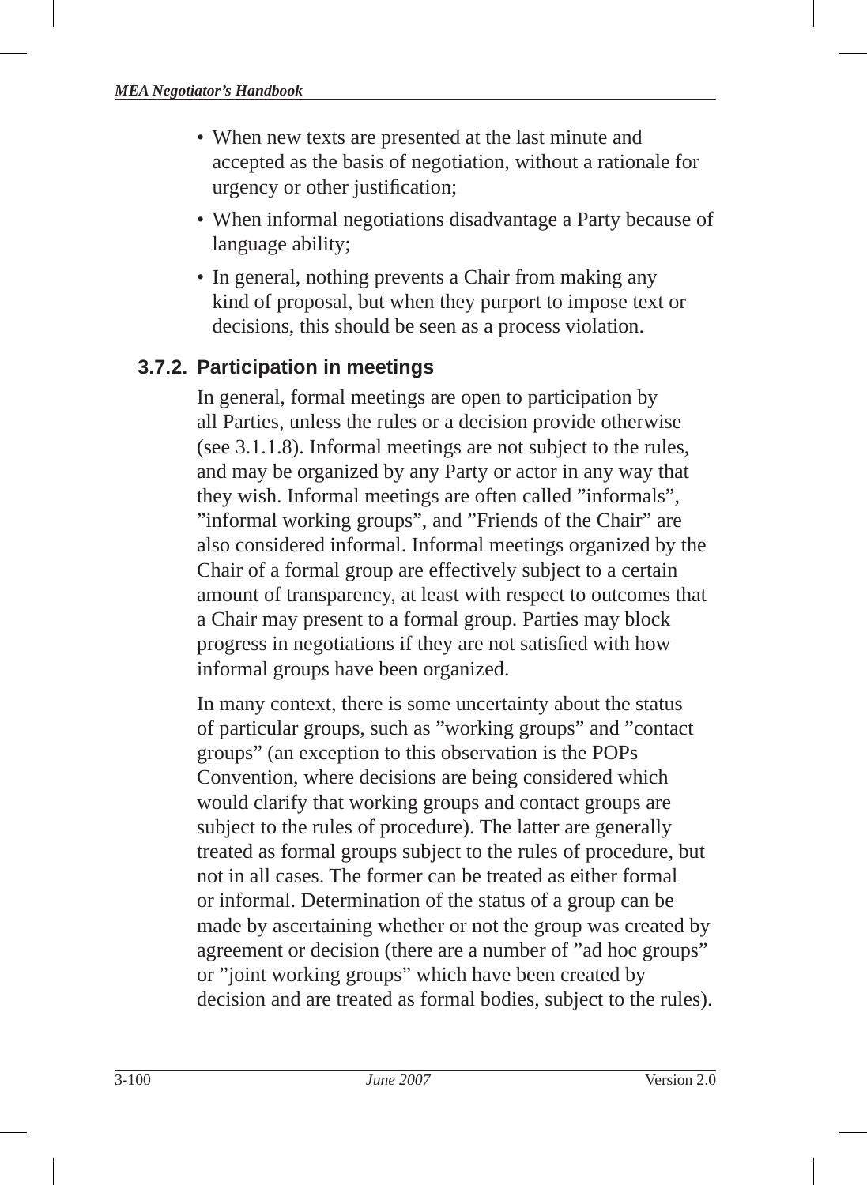- When new texts are presented at the last minute and accepted as the basis of negotiation, without a rationale for urgency or other justification:
- When informal negotiations disadvantage a Party because of language ability;
- In general, nothing prevents a Chair from making any kind of proposal, but when they purport to impose text or decisions, this should be seen as a process violation.

# **3.7.2. Participation in meetings**

In general, formal meetings are open to participation by all Parties, unless the rules or a decision provide otherwise (see 3.1.1.8). Informal meetings are not subject to the rules, and may be organized by any Party or actor in any way that they wish. Informal meetings are often called "informals", "informal working groups", and "Friends of the Chair" are also considered informal. Informal meetings organized by the Chair of a formal group are effectively subject to a certain amount of transparency, at least with respect to outcomes that a Chair may present to a formal group. Parties may block progress in negotiations if they are not satisfied with how informal groups have been organized.

In many context, there is some uncertainty about the status of particular groups, such as "working groups" and "contact groups" (an exception to this observation is the POPs Convention, where decisions are being considered which would clarify that working groups and contact groups are subject to the rules of procedure). The latter are generally treated as formal groups subject to the rules of procedure, but not in all cases. The former can be treated as either formal or informal. Determination of the status of a group can be made by ascertaining whether or not the group was created by agreement or decision (there are a number of "ad hoc groups" or "joint working groups" which have been created by decision and are treated as formal bodies, subject to the rules).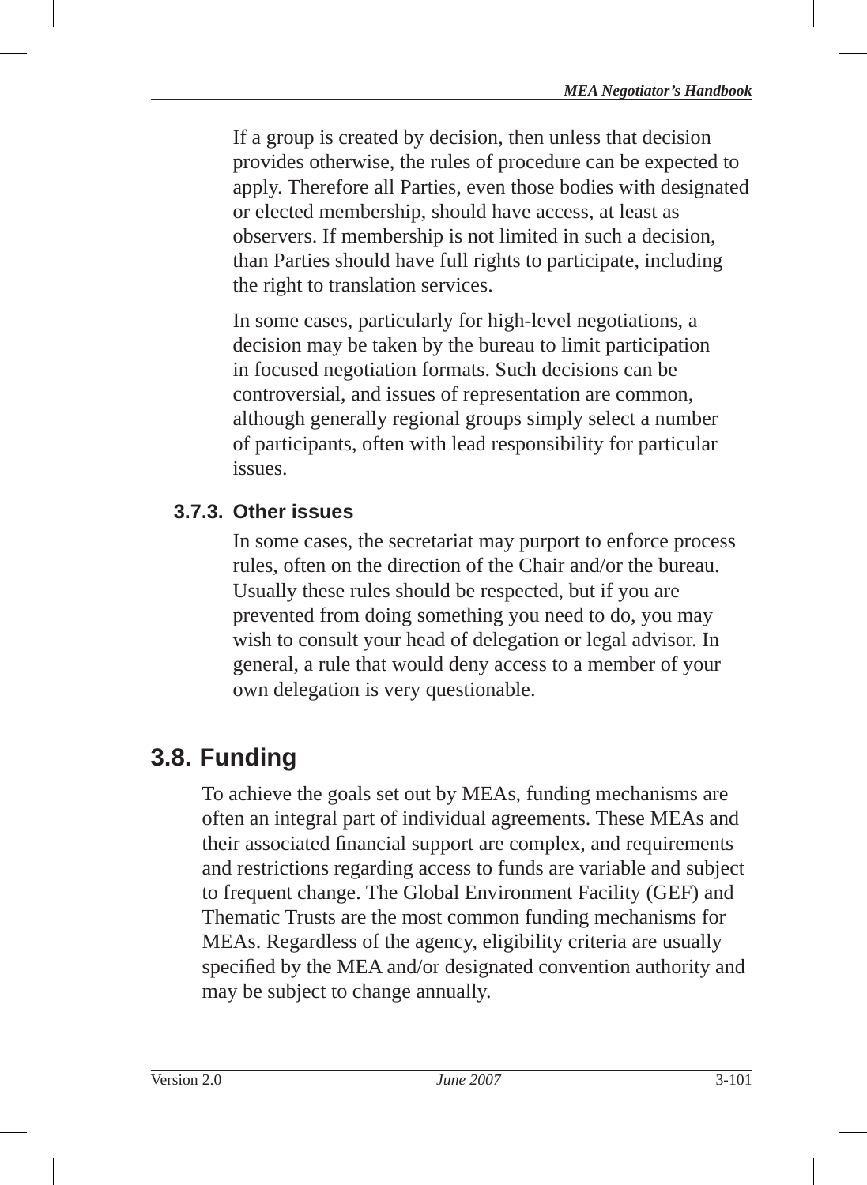If a group is created by decision, then unless that decision provides otherwise, the rules of procedure can be expected to apply. Therefore all Parties, even those bodies with designated or elected membership, should have access, at least as observers. If membership is not limited in such a decision, than Parties should have full rights to participate, including the right to translation services.

In some cases, particularly for high-level negotiations, a decision may be taken by the bureau to limit participation in focused negotiation formats. Such decisions can be controversial, and issues of representation are common, although generally regional groups simply select a number of participants, often with lead responsibility for particular issues.

### **3.7.3. Other issues**

In some cases, the secretariat may purport to enforce process rules, often on the direction of the Chair and/or the bureau. Usually these rules should be respected, but if you are prevented from doing something you need to do, you may wish to consult your head of delegation or legal advisor. In general, a rule that would deny access to a member of your own delegation is very questionable.

# **3.8. Funding**

To achieve the goals set out by MEAs, funding mechanisms are often an integral part of individual agreements. These MEAs and their associated financial support are complex, and requirements and restrictions regarding access to funds are variable and subject to frequent change. The Global Environment Facility (GEF) and Thematic Trusts are the most common funding mechanisms for MEAs. Regardless of the agency, eligibility criteria are usually specified by the MEA and/or designated convention authority and may be subject to change annually.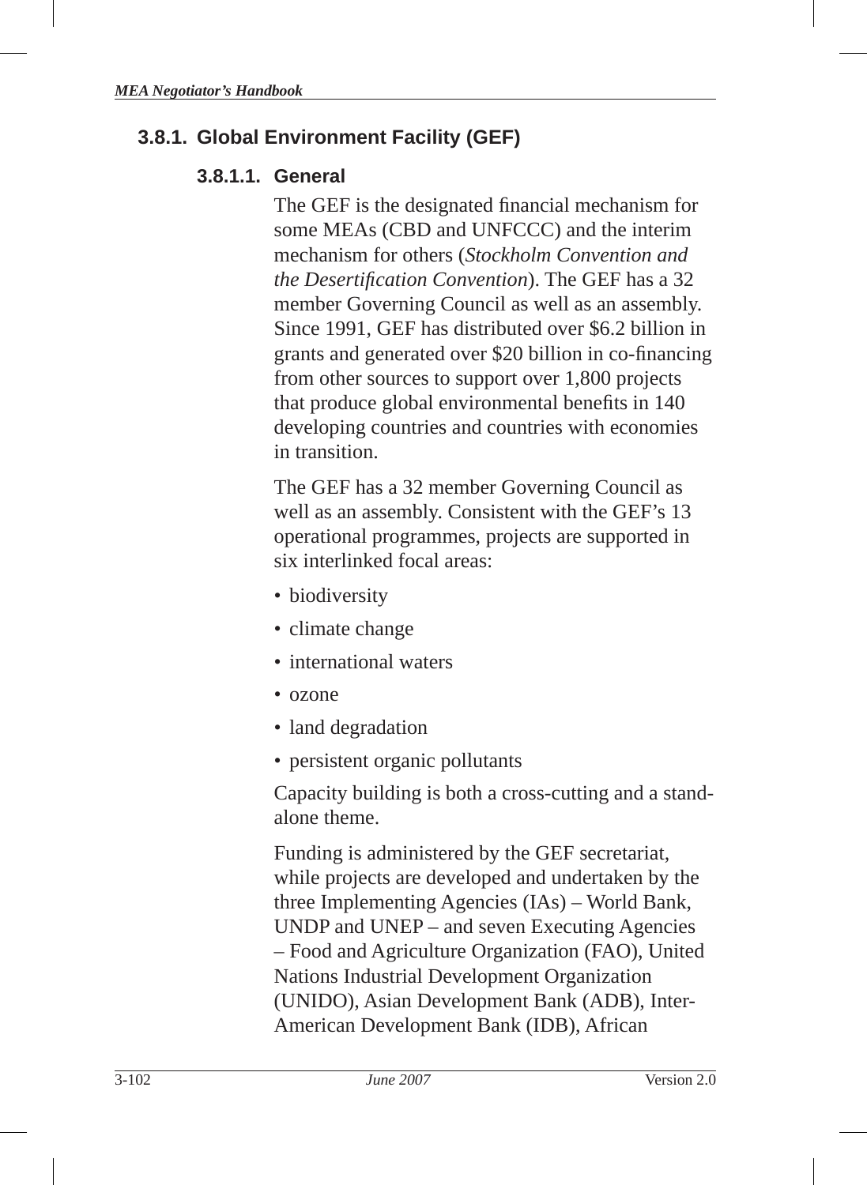# **3.8.1. Global Environment Facility (GEF )**

#### **3.8.1.1. General**

The GEF is the designated financial mechanism for some MEAs (CBD and UNFCCC) and the interim mechanism for others (*Stockholm Convention and the Desertification Convention*). The GEF has a 32 member Governing Council as well as an assembly. Since 1991, GEF has distributed over \$6.2 billion in grants and generated over \$20 billion in co-financing from other sources to support over 1,800 projects that produce global environmental benefits in 140 developing countries and countries with economies in transition.

The GEF has a 32 member Governing Council as well as an assembly. Consistent with the GEF's 13 operational programmes, projects are supported in six interlinked focal areas:

- biodiversity
- climate change
- international waters
- ozone
- land degradation
- persistent organic pollutants

Capacity building is both a cross-cutting and a standalone theme.

Funding is administered by the GEF secretariat, while projects are developed and undertaken by the three Implementing Agencies (IAs) – World Bank, UNDP and UNEP – and seven Executing Agencies – Food and Agriculture Organization (FAO), United Nations Industrial Development Organization (UNIDO), Asian Development Bank (ADB), Inter-American Development Bank (IDB), African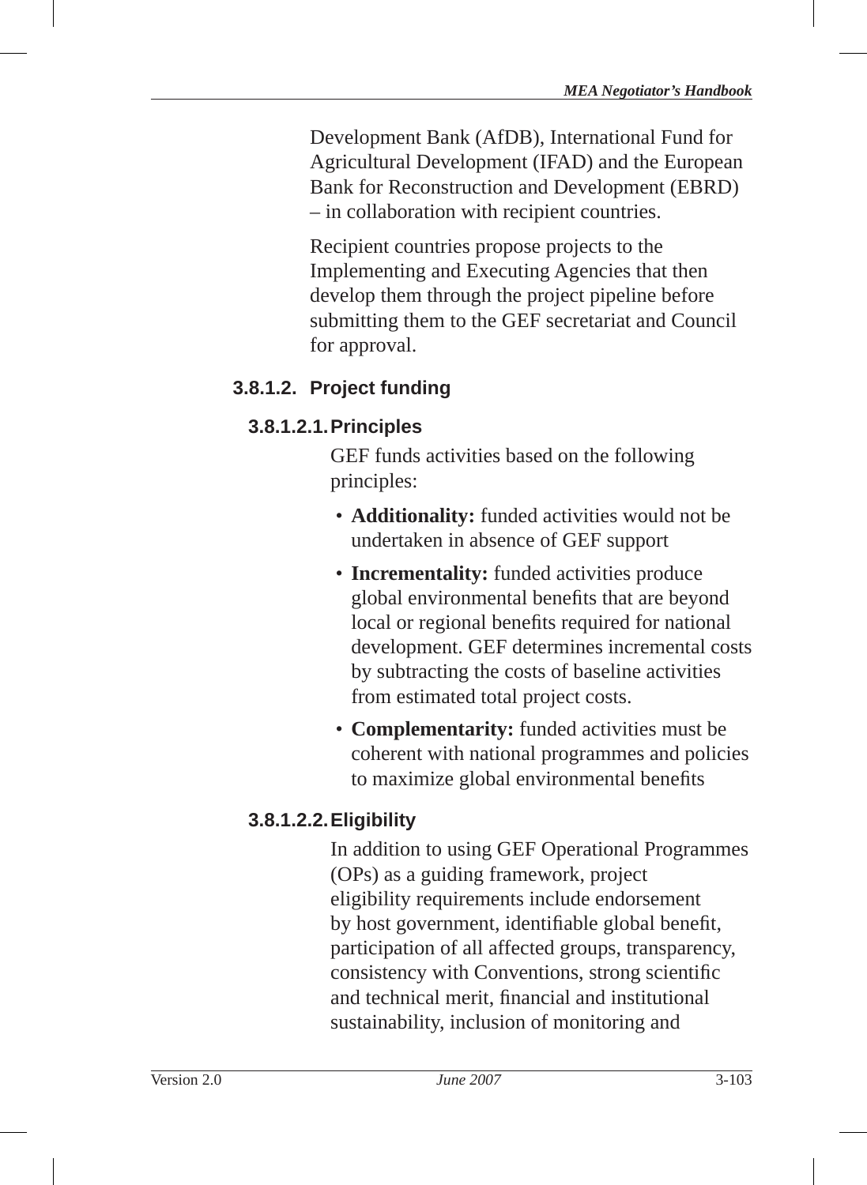Development Bank (AfDB), International Fund for Agricultural Development (IFAD) and the European Bank for Reconstruction and Development (EBRD) – in collaboration with recipient countries.

Recipient countries propose projects to the Implementing and Executing Agencies that then develop them through the project pipeline before submitting them to the GEF secretariat and Council for approval.

#### **3.8.1.2. Project funding**

#### **3.8.1.2.1. Principles**

GEF funds activities based on the following principles :

- **Additionality:** funded activities would not be undertaken in absence of GEF support
- **Incrementality:** funded activities produce global environmental benefits that are beyond local or regional benefits required for national development. GEF determines incremental costs by subtracting the costs of baseline activities from estimated total project costs.
- **Complementarity:** funded activities must be coherent with national programmes and policies to maximize global environmental benefits

# **3.8.1.2.2. Eligibility**

In addition to using GEF Operational Programmes (OPs) as a guiding framework, project eligibility requirements include endorsement by host government, identifiable global benefit, participation of all affected groups, transparency, consistency with Conventions, strong scientific and technical merit, financial and institutional sustainability, inclusion of monitoring and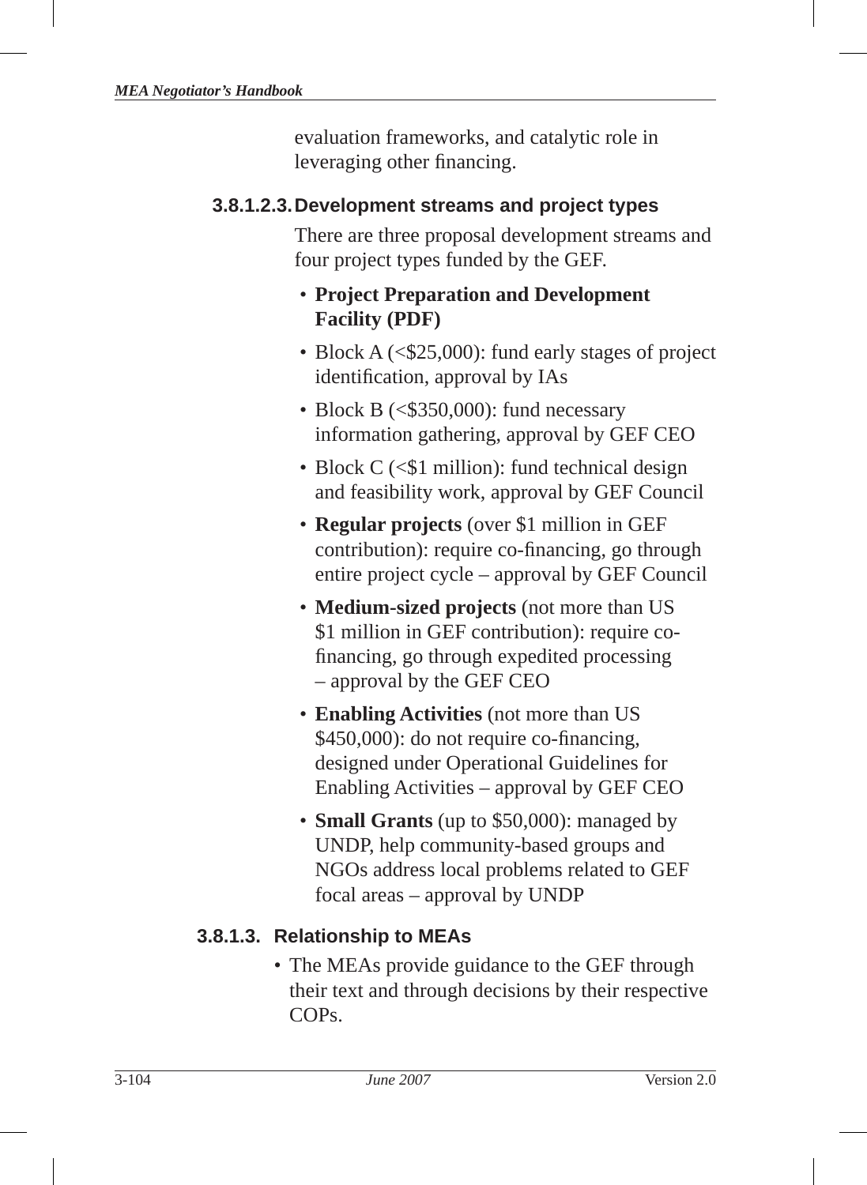evaluation frameworks, and catalytic role in leveraging other financing.

#### **3.8.1.2.3. Development streams and project types**

There are three proposal development streams and four project types funded by the GEF.

#### • **Project Preparation and Development Facility (PDF)**

- Block A (<\$25,000): fund early stages of project identification, approval by IAs
- Block B  $(<$ \$350,000): fund necessary information gathering, approval by GEF CEO
- Block  $C \leq 1$  million): fund technical design and feasibility work, approval by GEF Council
- **Regular projects** (over \$1 million in GEF contribution): require co-financing, go through entire project cycle – approval by GEF Council
- **Medium-sized projects** (not more than US \$1 million in GEF contribution): require cofinancing, go through expedited processing – approval by the GEF CEO
- **Enabling Activities** (not more than US  $$450,000$ : do not require co-financing, designed under Operational Guidelines for Enabling Activities – approval by GEF CEO
- **Small Grants** (up to \$50,000): managed by UNDP, help community-based groups and NGOs address local problems related to GEF focal areas – approval by UNDP

### **3.8.1.3. Relationship to MEAs**

• The MEAs provide guidance to the GEF through their text and through decisions by their respective COPs.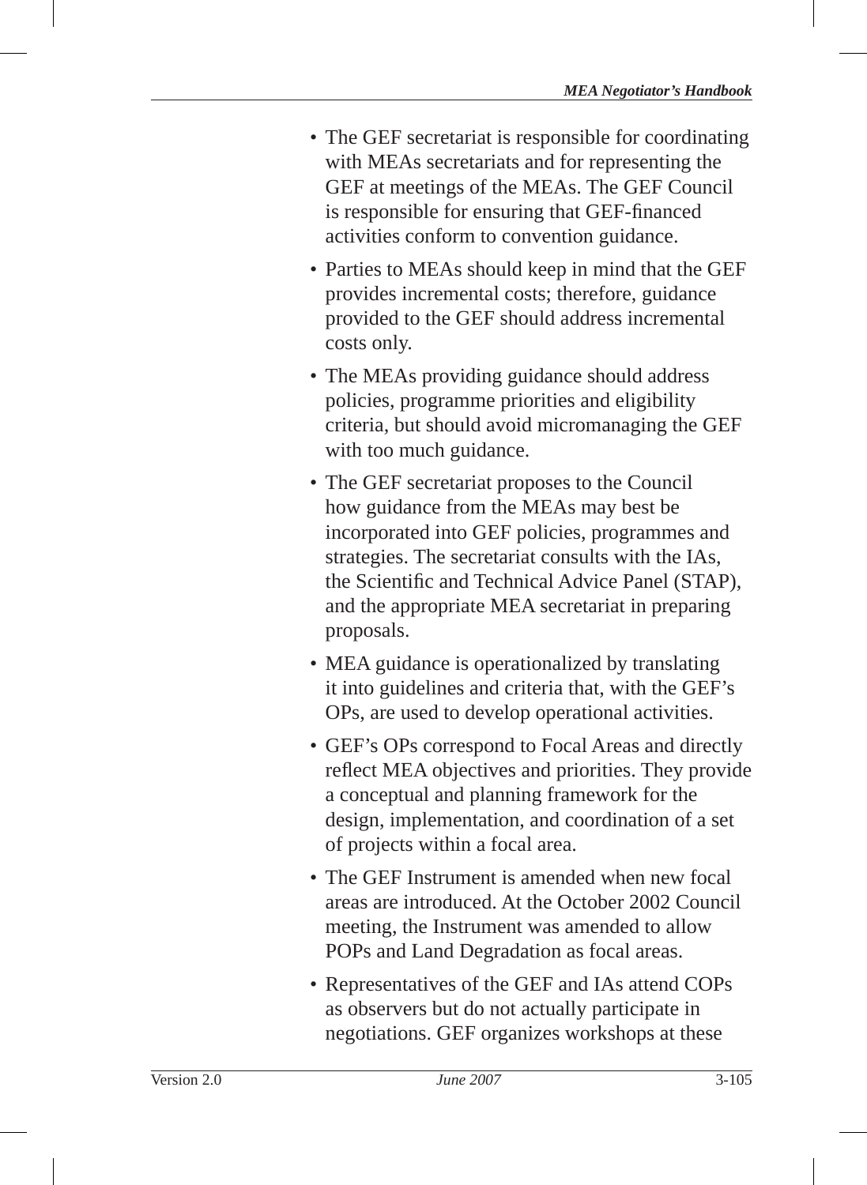- The GEF secretariat is responsible for coordinating with MEAs secretariats and for representing the GEF at meetings of the MEAs. The GEF Council is responsible for ensuring that GEF-financed activities conform to convention guidance.
- Parties to MEAs should keep in mind that the GEF provides incremental costs; therefore, guidance provided to the GEF should address incremental costs only.
- The MEAs providing guidance should address policies, programme priorities and eligibility criteria, but should avoid micromanaging the GEF with too much guidance.
- The GEF secretariat proposes to the Council how guidance from the MEAs may best be incorporated into GEF policies, programmes and strategies. The secretariat consults with the IAs, the Scientific and Technical Advice Panel (STAP), and the appropriate MEA secretariat in preparing proposals.
- MEA guidance is operationalized by translating it into guidelines and criteria that, with the GEF 's OPs, are used to develop operational activities.
- GEF's OPs correspond to Focal Areas and directly reflect MEA objectives and priorities. They provide a conceptual and planning framework for the design, implementation, and coordination of a set of projects within a focal area.
- The GEF Instrument is amended when new focal areas are introduced. At the October 2002 Council meeting, the Instrument was amended to allow POPs and Land Degradation as focal areas.
- Representatives of the GEF and IAs attend COPs as observers but do not actually participate in negotiations. GEF organizes workshops at these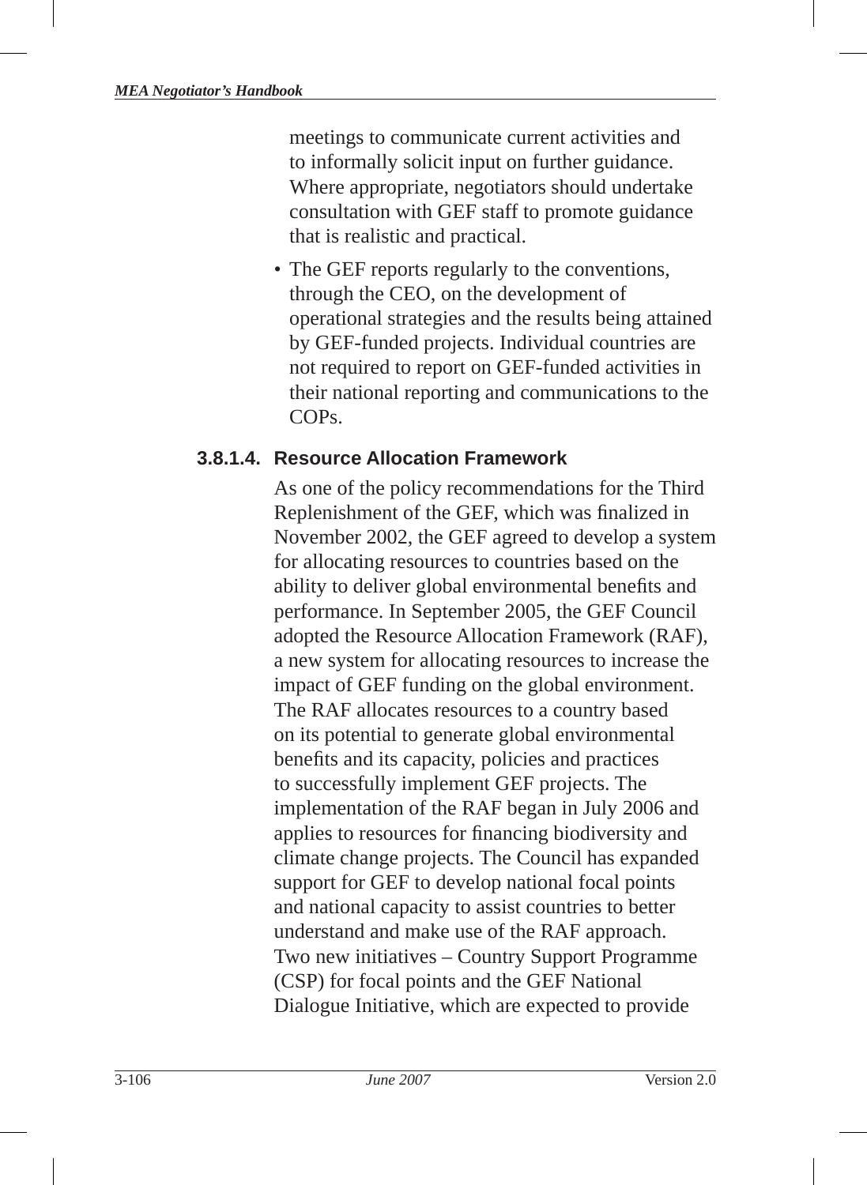meetings to communicate current activities and to informally solicit input on further guidance. Where appropriate, negotiators should undertake consultation with GEF staff to promote guidance that is realistic and practical.

• The GEF reports regularly to the conventions, through the CEO, on the development of operational strategies and the results being attained by GEF-funded projects. Individual countries are not required to report on GEF-funded activities in their national reporting and communications to the COPs.

#### **3.8.1.4. Resource Allocation Framework**

As one of the policy recommendations for the Third Replenishment of the GEF, which was finalized in November 2002, the GEF agreed to develop a system for allocating resources to countries based on the ability to deliver global environmental benefits and performance. In September 2005, the GEF Council adopted the Resource Allocation Framework (RAF), a new system for allocating resources to increase the impact of GEF funding on the global environment. The RAF allocates resources to a country based on its potential to generate global environmental benefits and its capacity, policies and practices to successfully implement GEF projects. The implementation of the RAF began in July 2006 and applies to resources for financing biodiversity and climate change projects. The Council has expanded support for GEF to develop national focal points and national capacity to assist countries to better understand and make use of the RAF approach. Two new initiatives – Country Support Programme (CSP) for focal points and the GEF National Dialogue Initiative, which are expected to provide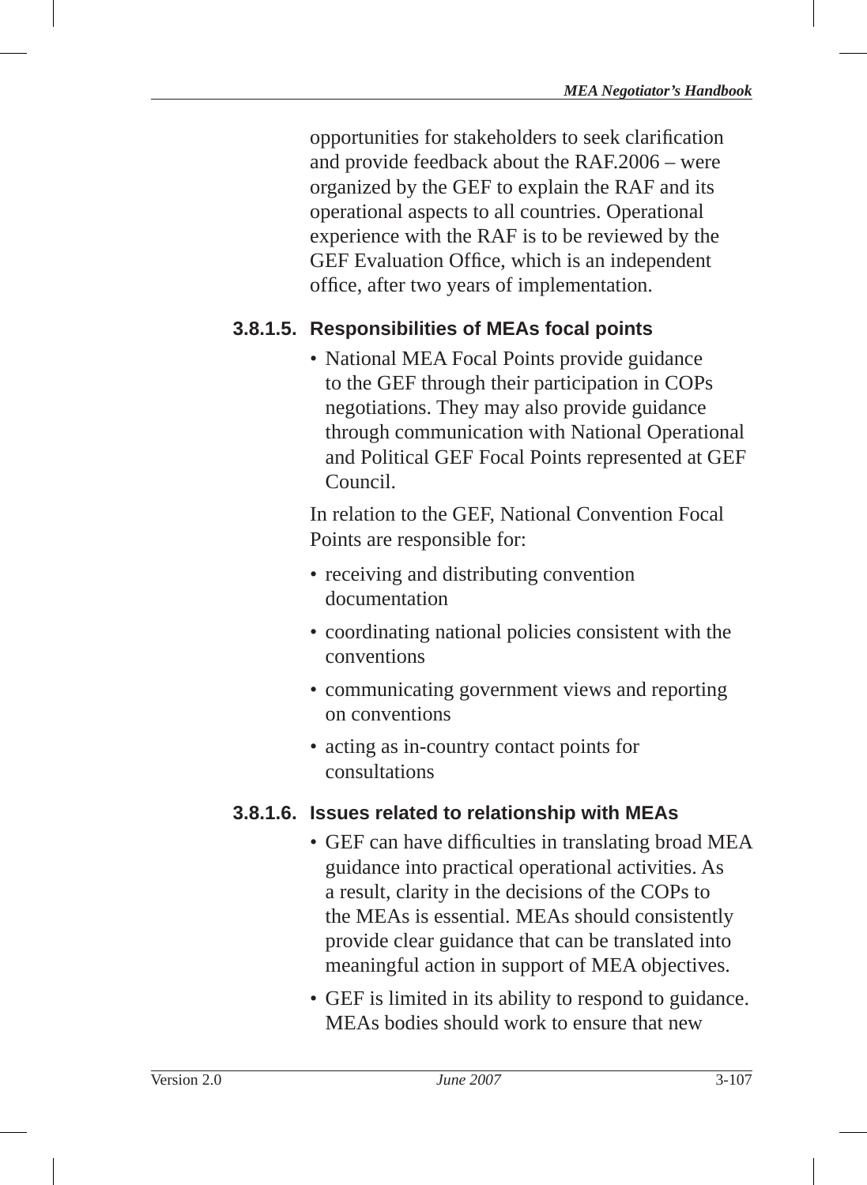opportunities for stakeholders to seek clarification and provide feedback about the RAF.2006 – were organized by the GEF to explain the RAF and its operational aspects to all countries. Operational experience with the RAF is to be reviewed by the GEF Evaluation Office, which is an independent office, after two years of implementation.

### **3.8.1.5. Responsibilities of MEAs focal points**

• National MEA Focal Points provide guidance to the GEF through their participation in COPs negotiations. They may also provide guidance through communication with National Operational and Political GEF Focal Points represented at GEF Council.

In relation to the GEF, National Convention Focal Points are responsible for:

- receiving and distributing convention documentation
- coordinating national policies consistent with the conventions
- communicating government views and reporting on conventions
- acting as in-country contact points for consultations

#### **3.8.1.6. Issues related to relationship with MEAs**

- GEF can have difficulties in translating broad MEA guidance into practical operational activities. As a result, clarity in the decisions of the COPs to the MEAs is essential. MEAs should consistently provide clear guidance that can be translated into meaningful action in support of MEA objectives.
- GEF is limited in its ability to respond to guidance. MEAs bodies should work to ensure that new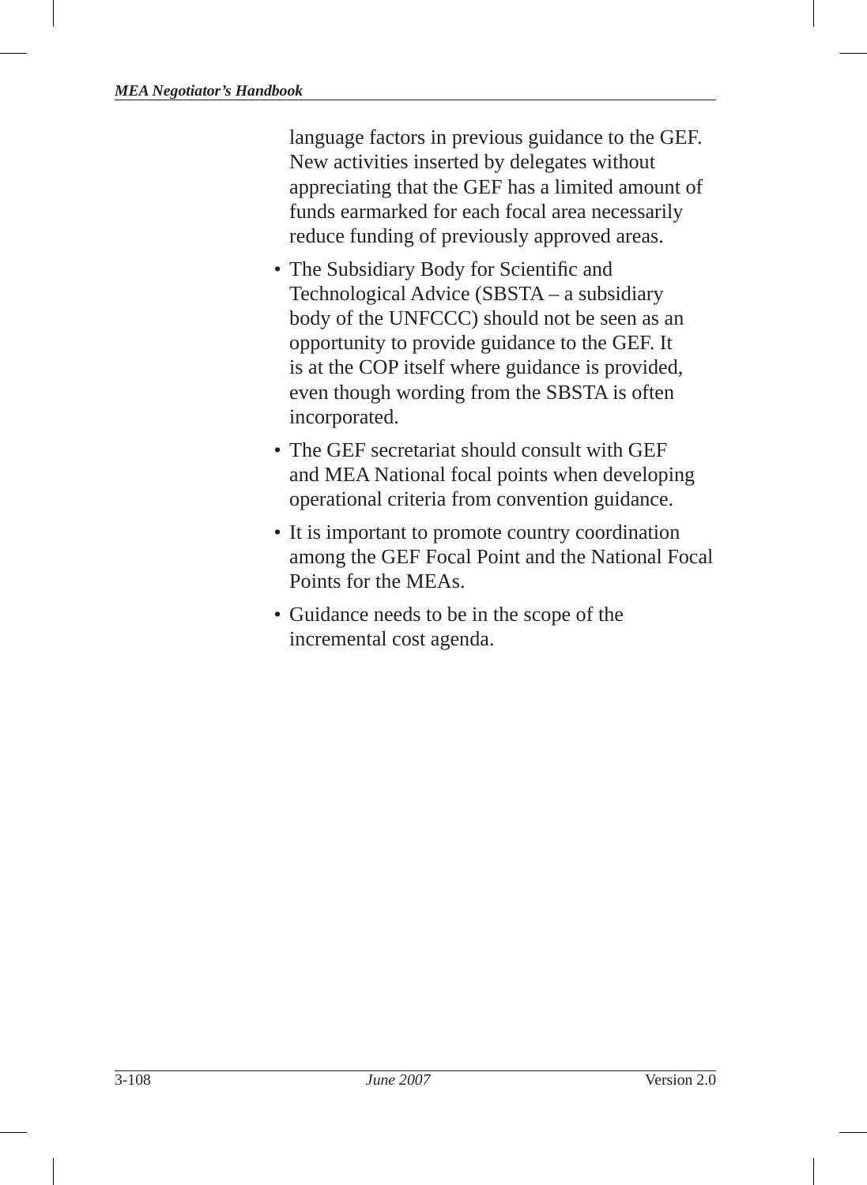language factors in previous guidance to the GEF. New activities inserted by delegates without appreciating that the GEF has a limited amount of funds earmarked for each focal area necessarily reduce funding of previously approved areas.

- The Subsidiary Body for Scientific and Technological Advice (SBSTA – a subsidiary body of the UNFCCC ) should not be seen as an opportunity to provide guidance to the GEF . It is at the COP itself where guidance is provided, even though wording from the SBSTA is often incorporated.
- The GEF secretariat should consult with GEF and MEA National focal points when developing operational criteria from convention guidance.
- It is important to promote country coordination among the GEF Focal Point and the National Focal Points for the MEAs.
- Guidance needs to be in the scope of the incremental cost agenda.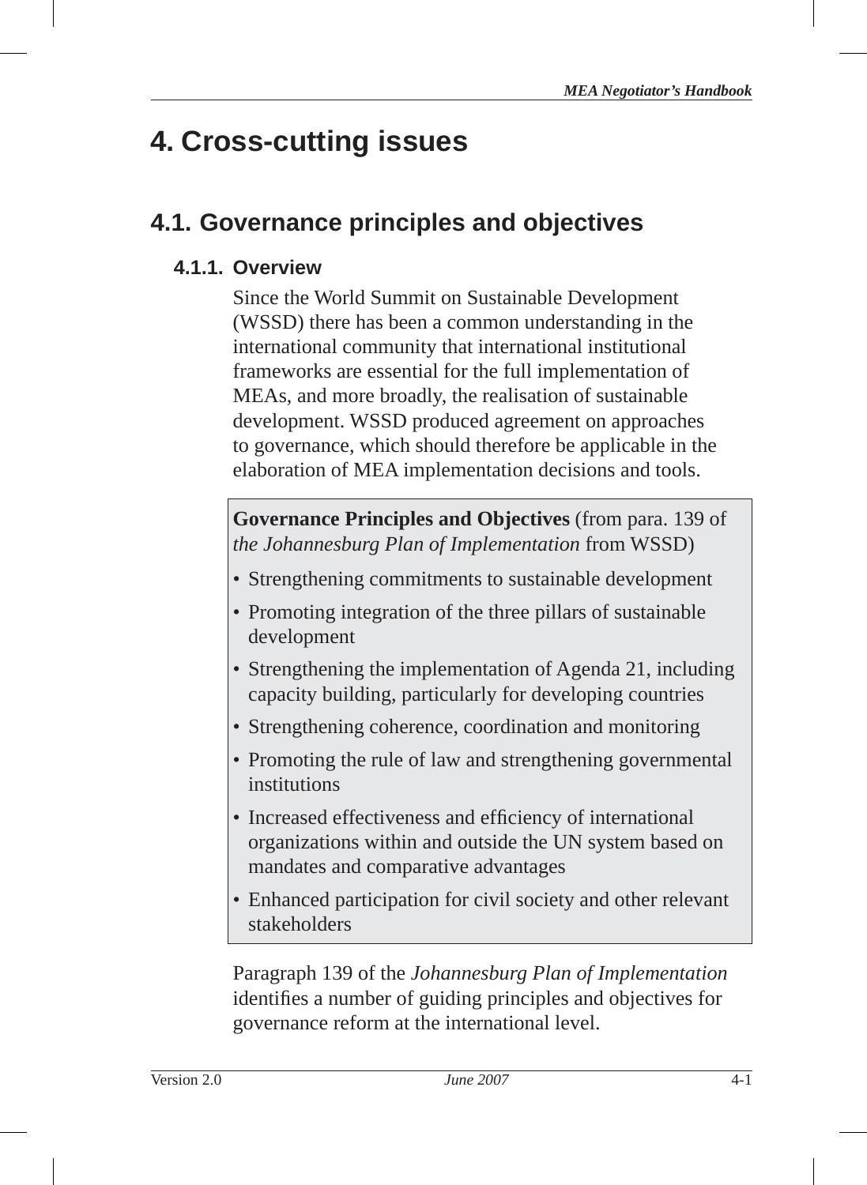# **4. Cross-cutting issues**

# **4.1. Governance principles and objectives**

# **4.1.1. Overview**

Since the World Summit on Sustainable Development (WSSD) there has been a common understanding in the international community that international institutional frameworks are essential for the full implementation of MEAs, and more broadly, the realisation of sustainable development. WSSD produced agreement on approaches to governance, which should therefore be applicable in the elaboration of MEA implementation decisions and tools.

**Governance Principles and Objectives** (from para. 139 of *the Johannesburg Plan of Implementation* from WSSD )

- Strengthening commitments to sustainable development
- Promoting integration of the three pillars of sustainable development
- Strengthening the implementation of Agenda 21, including capacity building, particularly for developing countries
- Strengthening coherence, coordination and monitoring
- Promoting the rule of law and strengthening governmental institutions
- Increased effectiveness and efficiency of international organizations within and outside the UN system based on mandates and comparative advantages
- Enhanced participation for civil society and other relevant stakeholders

Paragraph 139 of the *Johannesburg Plan of Implementation*  identifies a number of guiding principles and objectives for governance reform at the international level.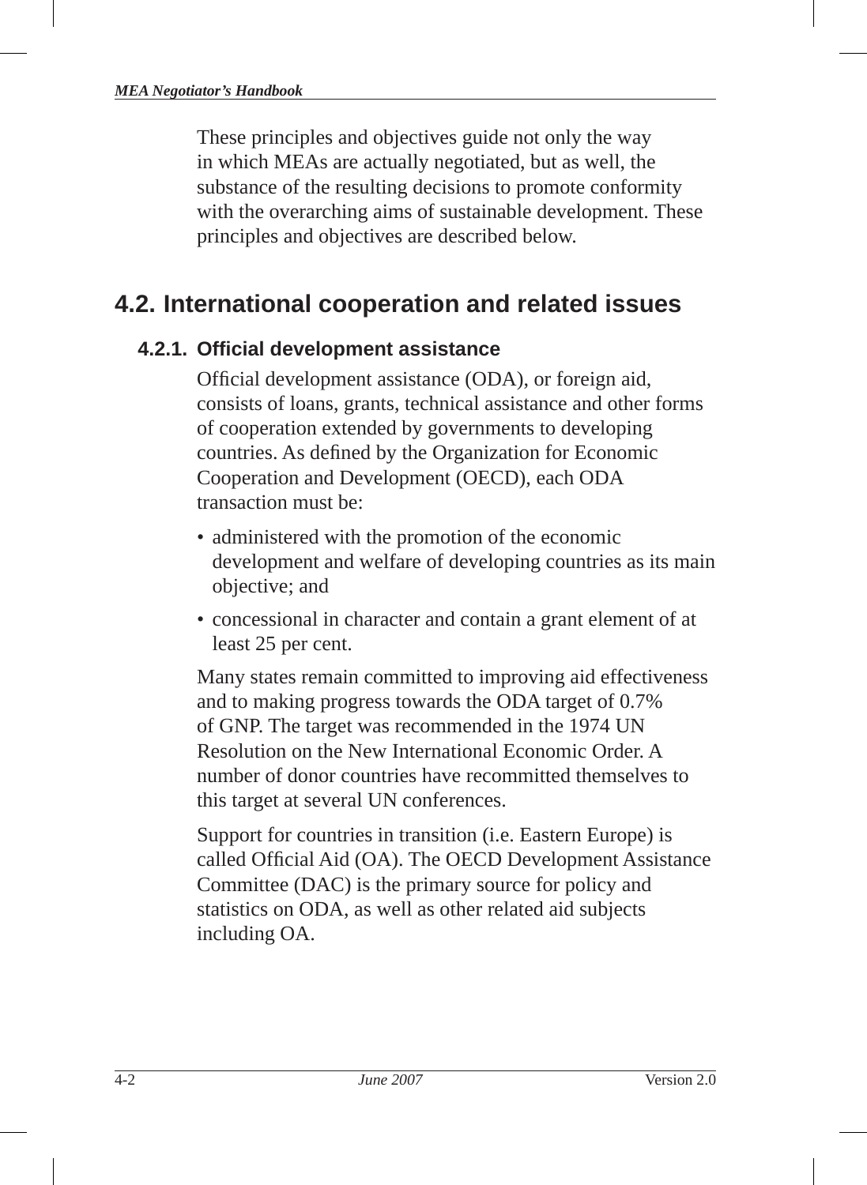These principles and objectives guide not only the way in which MEAs are actually negotiated, but as well, the substance of the resulting decisions to promote conformity with the overarching aims of sustainable development. These principles and objectives are described below.

# **4.2. International cooperation and related issues**

### **4.2.1. Offi cial development assistance**

Official development assistance (ODA), or foreign aid, consists of loans, grants, technical assistance and other forms of cooperation extended by governments to developing countries. As defined by the Organization for Economic Cooperation and Development (OECD), each ODA transaction must be:

- administered with the promotion of the economic development and welfare of developing countries as its main objective; and
- concessional in character and contain a grant element of at least 25 per cent.

Many states remain committed to improving aid effectiveness and to making progress towards the ODA target of 0.7% of GNP. The target was recommended in the 1974 UN Resolution on the New International Economic Order. A number of donor countries have recommitted themselves to this target at several UN conferences.

Support for countries in transition (i.e. Eastern Europe) is called Official Aid (OA). The OECD Development Assistance Committee (DAC) is the primary source for policy and statistics on ODA, as well as other related aid subjects including OA.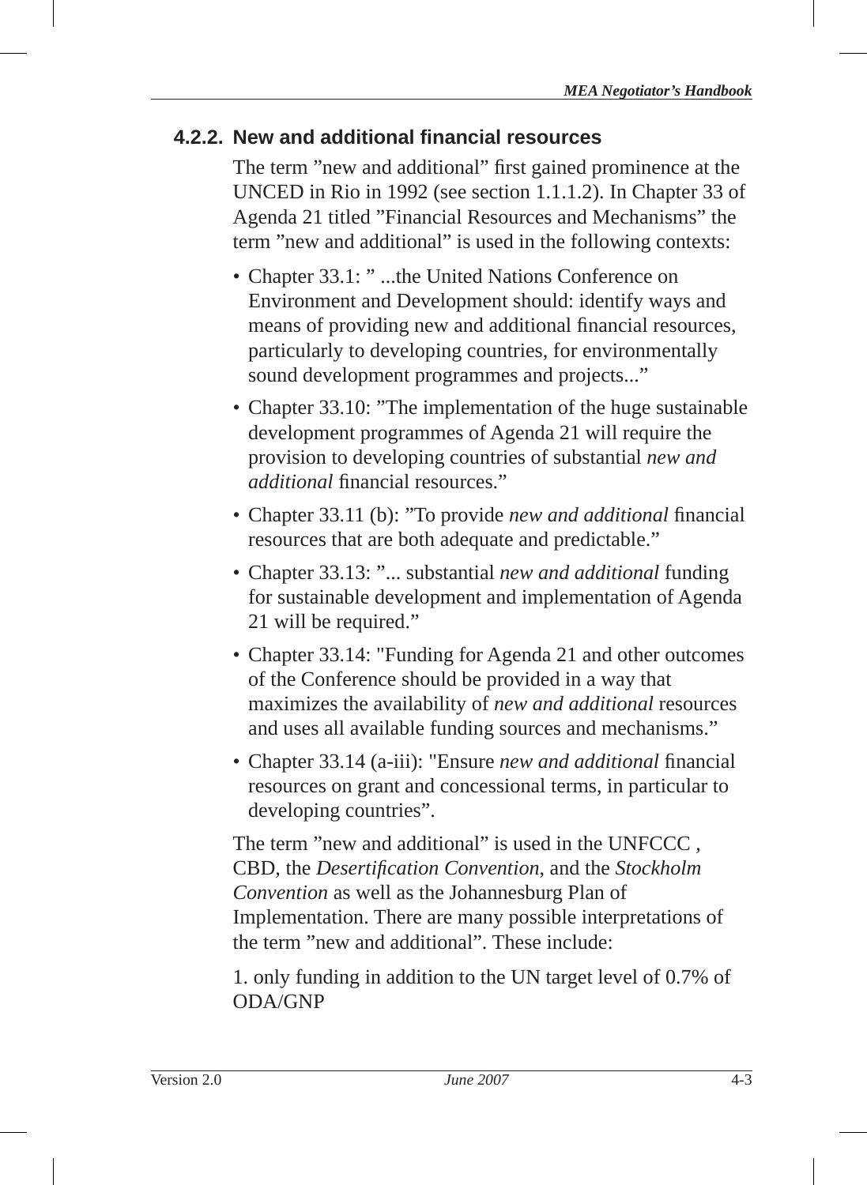### **4.2.2. New and additional fi nancial resources**

The term "new and additional" first gained prominence at the UNCED in Rio in 1992 (see section 1.1.1.2). In Chapter 33 of Agenda 21 titled "Financial Resources and Mechanisms" the term "new and additional" is used in the following contexts:

- Chapter 33.1: " ...the United Nations Conference on Environment and Development should: identify ways and means of providing new and additional financial resources, particularly to developing countries, for environmentally sound development programmes and projects..."
- Chapter 33.10: "The implementation of the huge sustainable development programmes of Agenda 21 will require the provision to developing countries of substantial *new and additional* financial resources."
- Chapter 33.11 (b): "To provide *new and additional* financial resources that are both adequate and predictable."
- Chapter 33.13: "... substantial *new and additional* funding for sustainable development and implementation of Agenda 21 will be required."
- Chapter 33.14: "Funding for Agenda 21 and other outcomes of the Conference should be provided in a way that maximizes the availability of *new and additional* resources and uses all available funding sources and mechanisms."
- Chapter 33.14 (a-iii): "Ensure *new and additional* financial resources on grant and concessional terms, in particular to developing countries".

The term "new and additional" is used in the UNFCCC *,*  CBD*,* the *Desertifi cation Convention*, and the *Stockholm Convention* as well as the Johannesburg Plan of Implementation. There are many possible interpretations of the term "new and additional". These include:

1. only funding in addition to the UN target level of 0.7% of ODA/GNP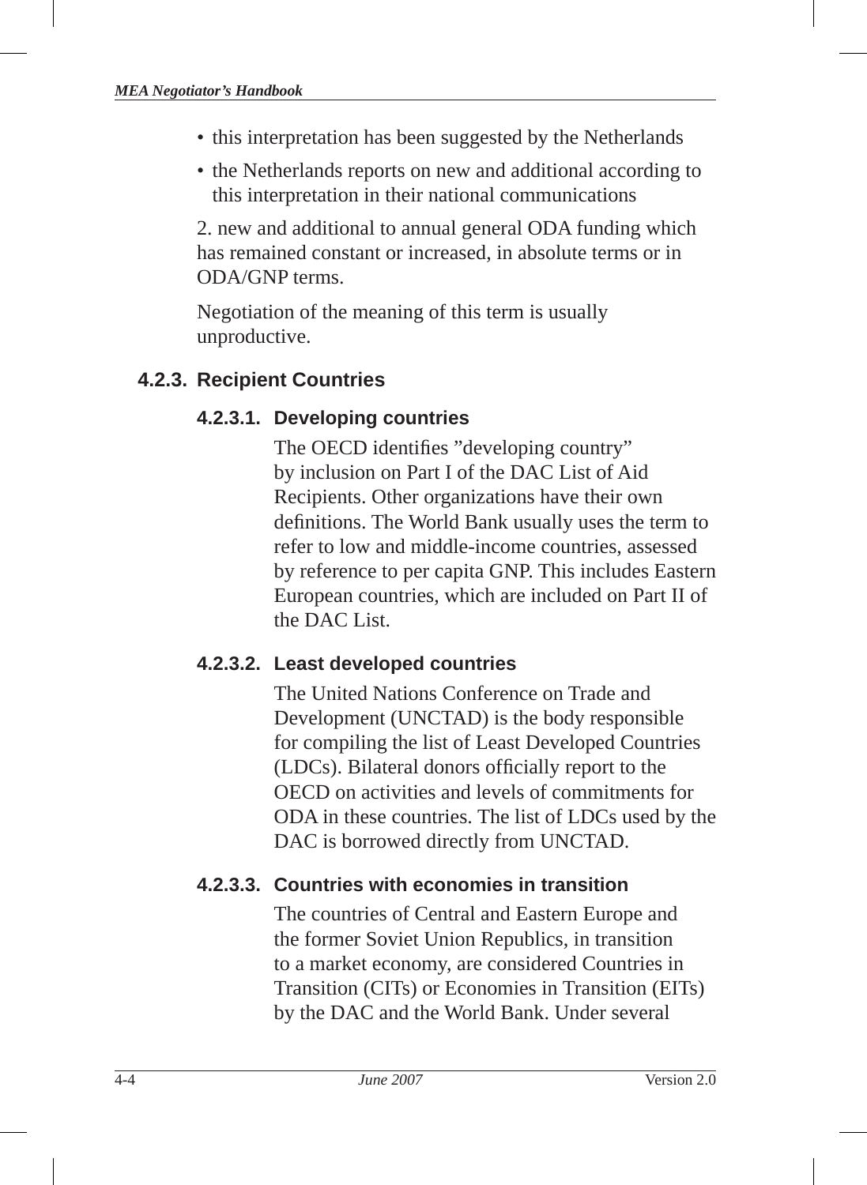- this interpretation has been suggested by the Netherlands
- the Netherlands reports on new and additional according to this interpretation in their national communications

2. new and additional to annual general ODA funding which has remained constant or increased, in absolute terms or in ODA/GNP terms.

Negotiation of the meaning of this term is usually unproductive.

#### **4.2.3. Recipient Countries**

#### **4.2.3.1. Developing countries**

The OECD identifies "developing country" by inclusion on Part I of the DAC List of Aid Recipients. Other organizations have their own definitions. The World Bank usually uses the term to refer to low and middle-income countries, assessed by reference to per capita GNP. This includes Eastern European countries, which are included on Part II of the DAC List.

#### **4.2.3.2. Least developed countries**

The United Nations Conference on Trade and Development (UNCTAD) is the body responsible for compiling the list of Least Developed Countries (LDCs). Bilateral donors officially report to the OECD on activities and levels of commitments for ODA in these countries. The list of LDCs used by the DAC is borrowed directly from UNCTAD.

#### **4.2.3.3. Countries with economies in transition**

The countries of Central and Eastern Europe and the former Soviet Union Republics, in transition to a market economy, are considered Countries in Transition (CITs) or Economies in Transition (EITs ) by the DAC and the World Bank. Under several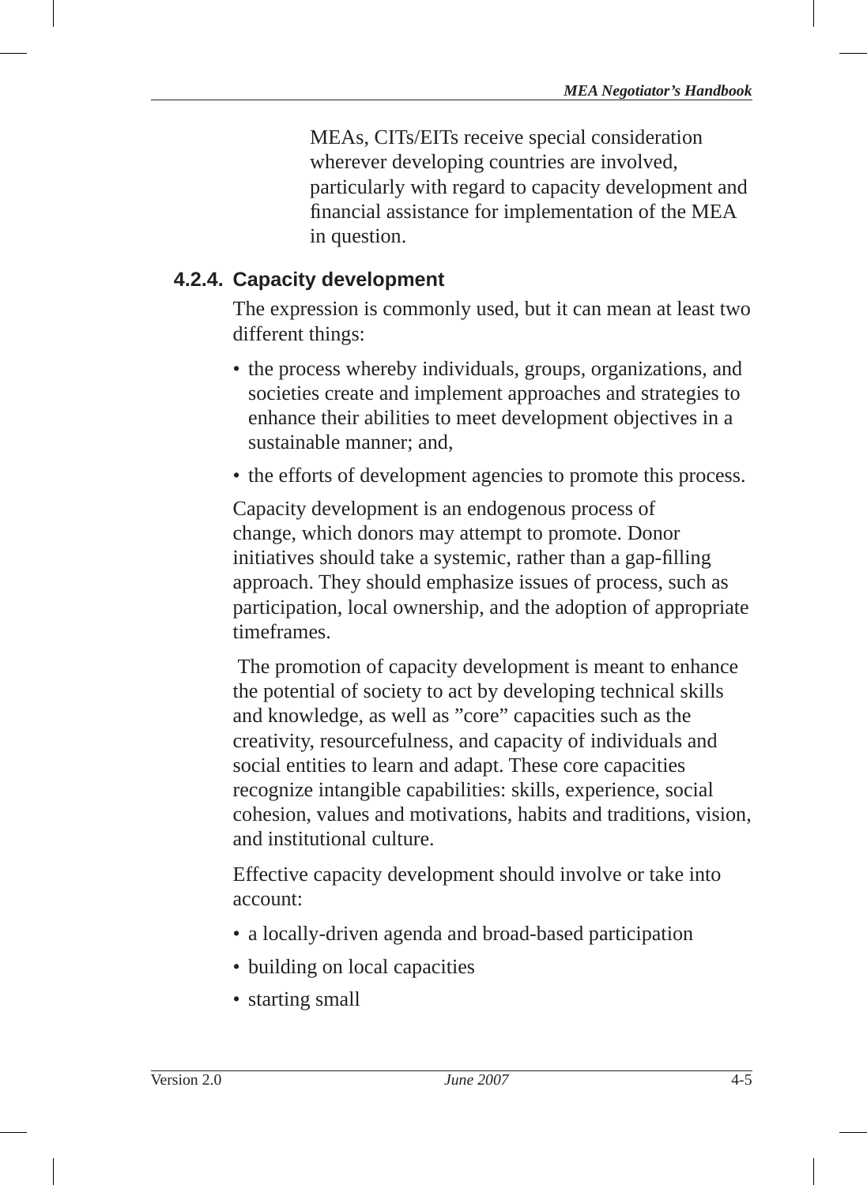MEAs, CITs/EITs receive special consideration wherever developing countries are involved, particularly with regard to capacity development and financial assistance for implementation of the MEA in question.

### **4.2.4. Capacity development**

The expression is commonly used, but it can mean at least two different things:

- the process whereby individuals, groups, organizations, and societies create and implement approaches and strategies to enhance their abilities to meet development objectives in a sustainable manner; and,
- the efforts of development agencies to promote this process.

Capacity development is an endogenous process of change, which donors may attempt to promote. Donor initiatives should take a systemic, rather than a gap-filling approach. They should emphasize issues of process, such as participation, local ownership, and the adoption of appropriate timeframes.

 The promotion of capacity development is meant to enhance the potential of society to act by developing technical skills and knowledge, as well as "core" capacities such as the creativity, resourcefulness, and capacity of individuals and social entities to learn and adapt. These core capacities recognize intangible capabilities: skills, experience, social cohesion, values and motivations, habits and traditions, vision, and institutional culture.

Effective capacity development should involve or take into account:

- a locally-driven agenda and broad-based participation
- building on local capacities
- starting small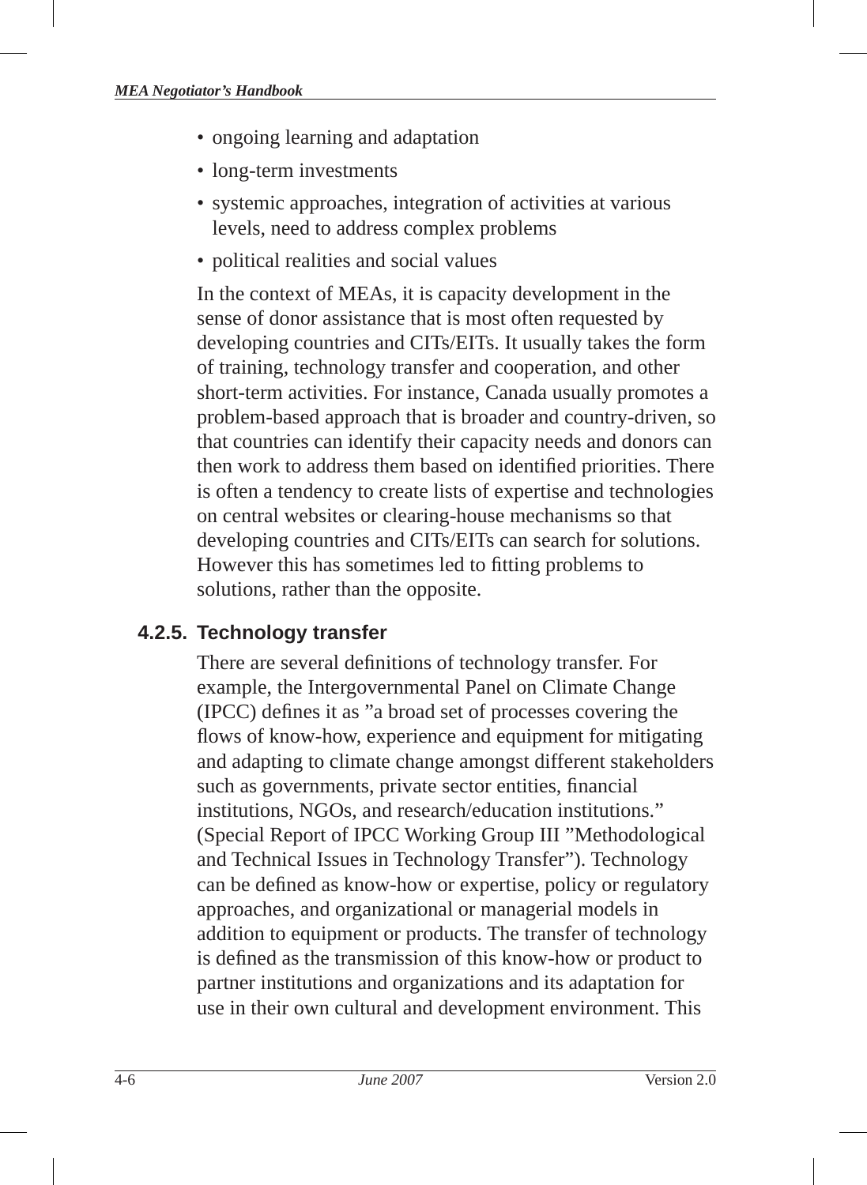- ongoing learning and adaptation
- long-term investments
- systemic approaches, integration of activities at various levels, need to address complex problems
- political realities and social values

In the context of MEAs, it is capacity development in the sense of donor assistance that is most often requested by developing countries and CITs/EITs . It usually takes the form of training, technology transfer and cooperation, and other short-term activities. For instance, Canada usually promotes a problem-based approach that is broader and country-driven, so that countries can identify their capacity needs and donors can then work to address them based on identified priorities. There is often a tendency to create lists of expertise and technologies on central websites or clearing-house mechanisms so that developing countries and CITs/EITs can search for solutions. However this has sometimes led to fitting problems to solutions, rather than the opposite.

# **4.2.5. Technology transfer**

There are several definitions of technology transfer. For example, the Intergovernmental Panel on Climate Change (IPCC) defines it as "a broad set of processes covering the flows of know-how, experience and equipment for mitigating and adapting to climate change amongst different stakeholders such as governments, private sector entities, financial institutions, NGOs, and research/education institutions." (Special Report of IPCC Working Group III "Methodological and Technical Issues in Technology Transfer"). Technology can be defined as know-how or expertise, policy or regulatory approaches, and organizational or managerial models in addition to equipment or products. The transfer of technology is defined as the transmission of this know-how or product to partner institutions and organizations and its adaptation for use in their own cultural and development environment. This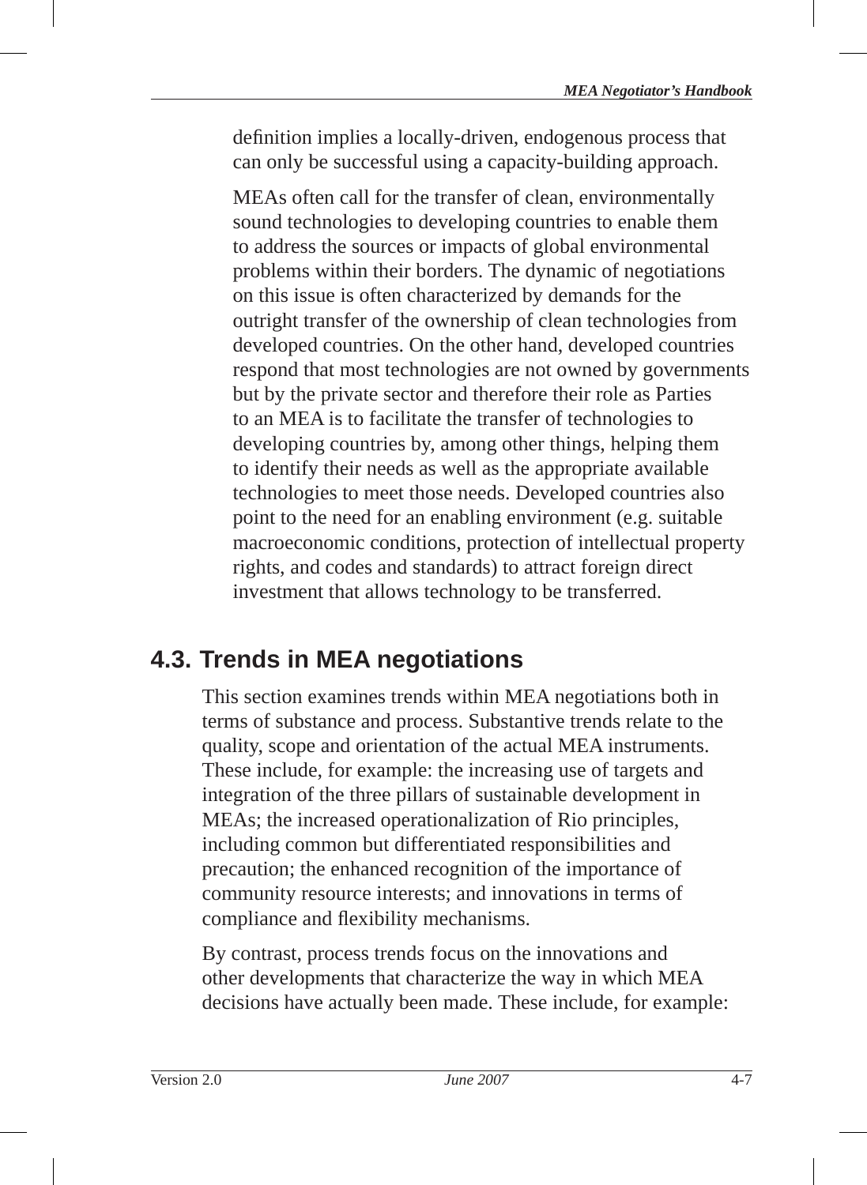definition implies a locally-driven, endogenous process that can only be successful using a capacity-building approach.

MEAs often call for the transfer of clean, environmentally sound technologies to developing countries to enable them to address the sources or impacts of global environmental problems within their borders. The dynamic of negotiations on this issue is often characterized by demands for the outright transfer of the ownership of clean technologies from developed countries. On the other hand, developed countries respond that most technologies are not owned by governments but by the private sector and therefore their role as Parties to an MEA is to facilitate the transfer of technologies to developing countries by, among other things, helping them to identify their needs as well as the appropriate available technologies to meet those needs. Developed countries also point to the need for an enabling environment (e.g. suitable macroeconomic conditions, protection of intellectual property rights, and codes and standards) to attract foreign direct investment that allows technology to be transferred.

# **4.3. Trends in MEA negotiations**

This section examines trends within MEA negotiations both in terms of substance and process. Substantive trends relate to the quality, scope and orientation of the actual MEA instruments. These include, for example: the increasing use of targets and integration of the three pillars of sustainable development in MEAs; the increased operationalization of Rio principles, including common but differentiated responsibilities and precaution; the enhanced recognition of the importance of community resource interests; and innovations in terms of compliance and flexibility mechanisms.

By contrast, process trends focus on the innovations and other developments that characterize the way in which MEA decisions have actually been made. These include, for example: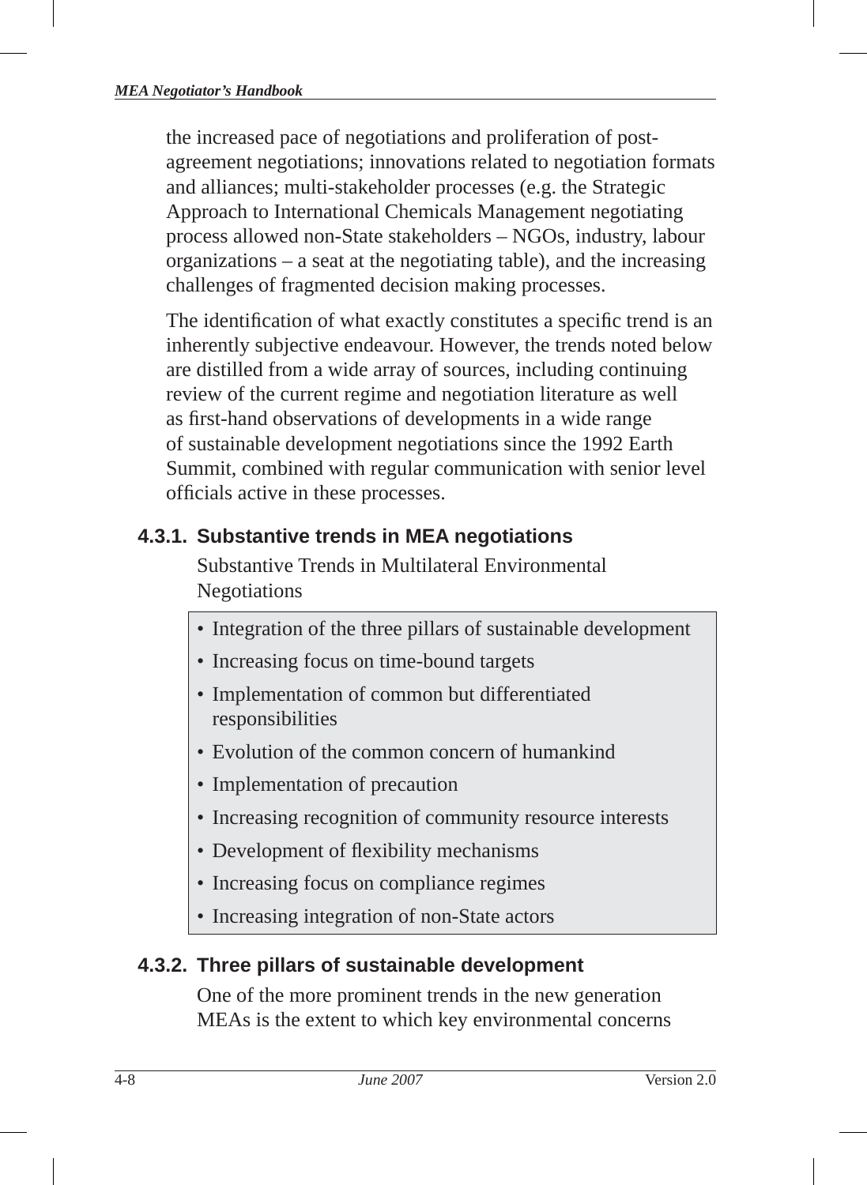the increased pace of negotiations and proliferation of postagreement negotiations; innovations related to negotiation formats and alliances; multi-stakeholder processes (e.g. the Strategic Approach to International Chemicals Management negotiating process allowed non-State stakeholders – NGOs, industry, labour organizations – a seat at the negotiating table), and the increasing challenges of fragmented decision making processes.

The identification of what exactly constitutes a specific trend is an inherently subjective endeavour. However, the trends noted below are distilled from a wide array of sources, including continuing review of the current regime and negotiation literature as well as first-hand observations of developments in a wide range of sustainable development negotiations since the 1992 Earth Summit, combined with regular communication with senior level officials active in these processes.

# **4.3.1. Substantive trends in MEA negotiations**

Substantive Trends in Multilateral Environmental Negotiations

- Integration of the three pillars of sustainable development
- Increasing focus on time-bound targets
- Implementation of common but differentiated responsibilities
- Evolution of the common concern of humankind
- Implementation of precaution
- Increasing recognition of community resource interests
- Development of flexibility mechanisms
- Increasing focus on compliance regimes
- Increasing integration of non-State actors

# **4.3.2. Three pillars of sustainable development**

One of the more prominent trends in the new generation MEAs is the extent to which key environmental concerns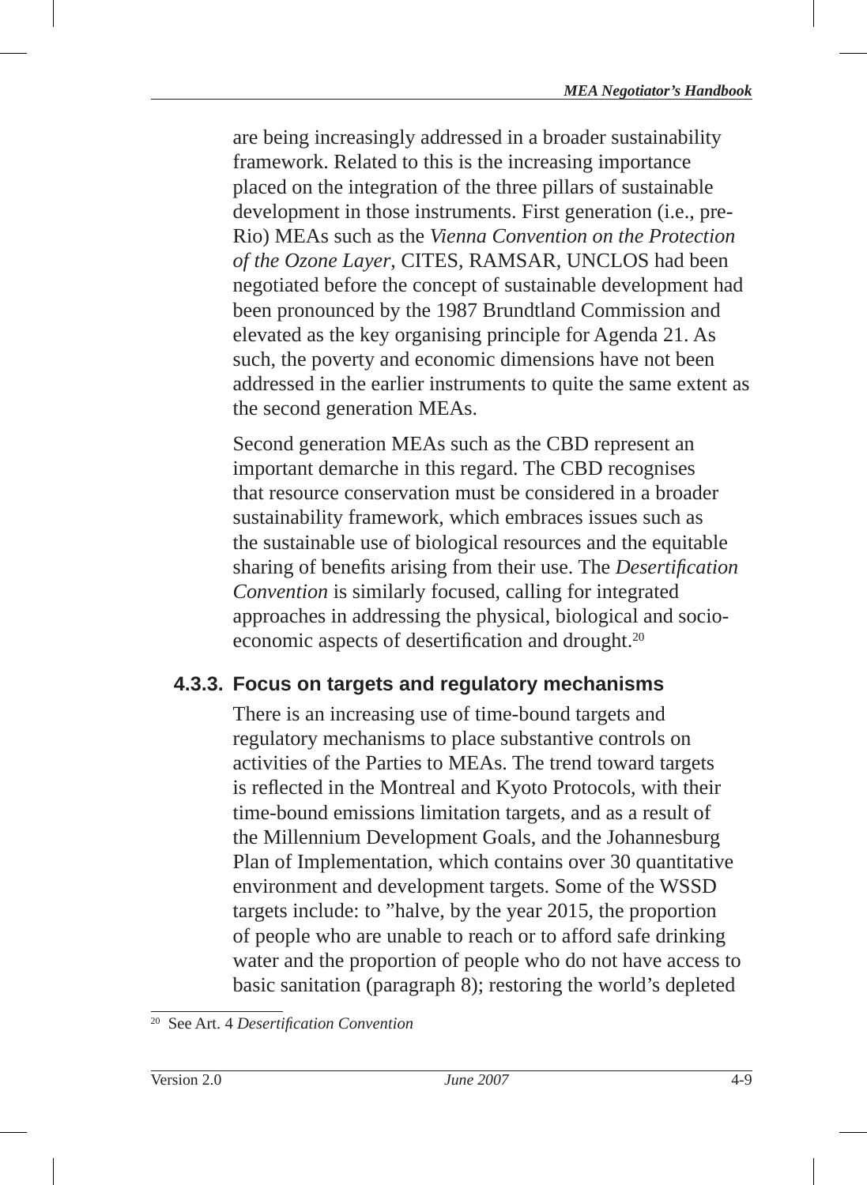are being increasingly addressed in a broader sustainability framework. Related to this is the increasing importance placed on the integration of the three pillars of sustainable development in those instruments. First generation (i.e., pre-Rio) MEAs such as the *Vienna Convention on the Protection of the Ozone Layer*, CITES , RAMSAR, UNCLOS had been negotiated before the concept of sustainable development had been pronounced by the 1987 Brundtland Commission and elevated as the key organising principle for Agenda 21 . As such, the poverty and economic dimensions have not been addressed in the earlier instruments to quite the same extent as the second generation MEAs.

Second generation MEAs such as the CBD represent an important demarche in this regard. The CBD recognises that resource conservation must be considered in a broader sustainability framework, which embraces issues such as the sustainable use of biological resources and the equitable sharing of benefits arising from their use. The *Desertification Convention* is similarly focused, calling for integrated approaches in addressing the physical, biological and socioeconomic aspects of desertification and drought.<sup>20</sup>

### **4.3.3. Focus on targets and regulatory mechanisms**

There is an increasing use of time-bound targets and regulatory mechanisms to place substantive controls on activities of the Parties to MEAs. The trend toward targets is reflected in the Montreal and Kyoto Protocols, with their time-bound emissions limitation targets, and as a result of the Millennium Development Goals , and the Johannesburg Plan of Implementation, which contains over 30 quantitative environment and development targets. Some of the WSSD targets include: to "halve, by the year 2015, the proportion of people who are unable to reach or to afford safe drinking water and the proportion of people who do not have access to basic sanitation (paragraph 8); restoring the world's depleted

<sup>&</sup>lt;sup>20</sup> See Art. 4 *Desertification Convention*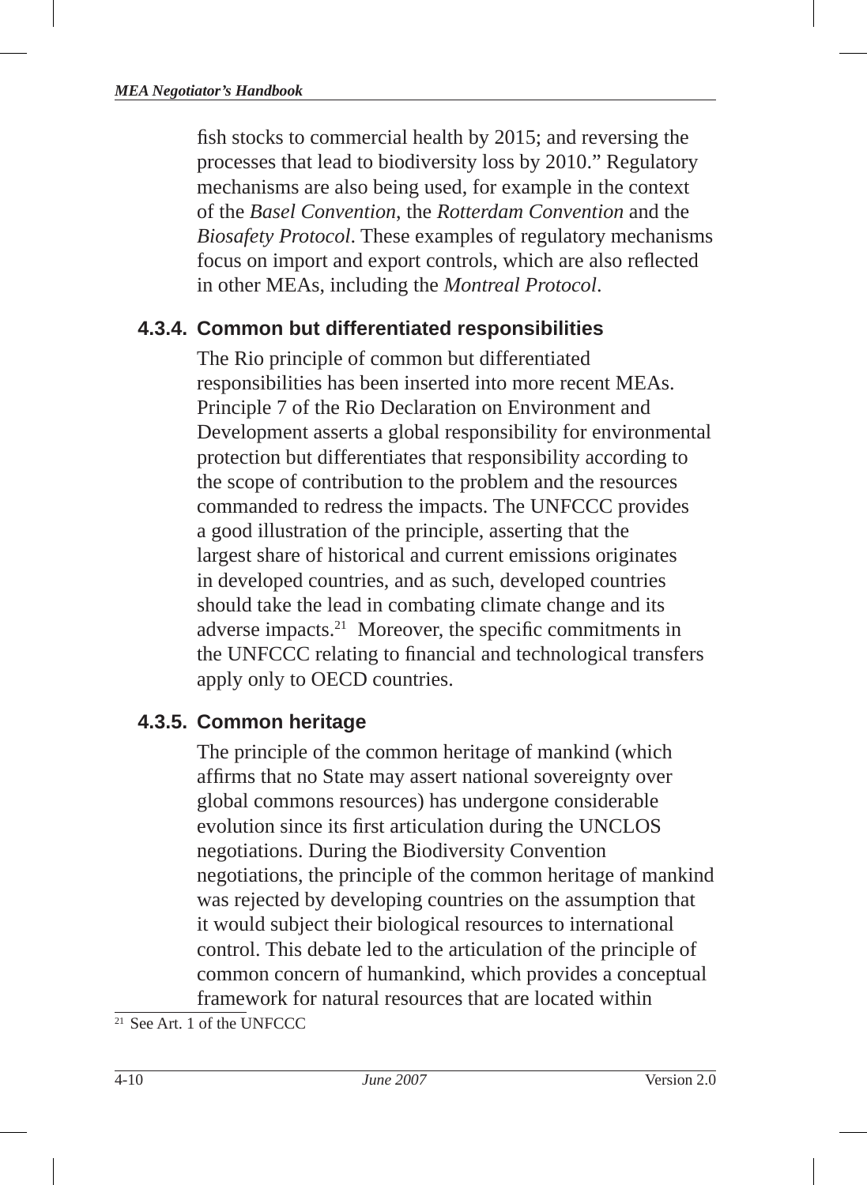fish stocks to commercial health by 2015; and reversing the processes that lead to biodiversity loss by 2010." Regulatory mechanisms are also being used, for example in the context of the *Basel Convention*, the *Rotterdam Convention* and the *Biosafety Protocol* . These examples of regulatory mechanisms focus on import and export controls, which are also reflected in other MEAs, including the *Montreal Protocol*.

#### **4.3.4. Common but differentiated responsibilities**

The Rio principle of common but differentiated responsibilities has been inserted into more recent MEAs. Principle 7 of the Rio Declaration on Environment and Development asserts a global responsibility for environmental protection but differentiates that responsibility according to the scope of contribution to the problem and the resources commanded to redress the impacts. The UNFCCC provides a good illustration of the principle, asserting that the largest share of historical and current emissions originates in developed countries, and as such, developed countries should take the lead in combating climate change and its adverse impacts.<sup>21</sup> Moreover, the specific commitments in the UNFCCC relating to financial and technological transfers apply only to OECD countries.

#### **4.3.5. Common heritage**

The principle of the common heritage of mankind (which affirms that no State may assert national sovereignty over global commons resources) has undergone considerable evolution since its first articulation during the UNCLOS negotiations. During the Biodiversity Convention negotiations, the principle of the common heritage of mankind was rejected by developing countries on the assumption that it would subject their biological resources to international control. This debate led to the articulation of the principle of common concern of humankind, which provides a conceptual framework for natural resources that are located within

 $21$  See Art. 1 of the UNFCCC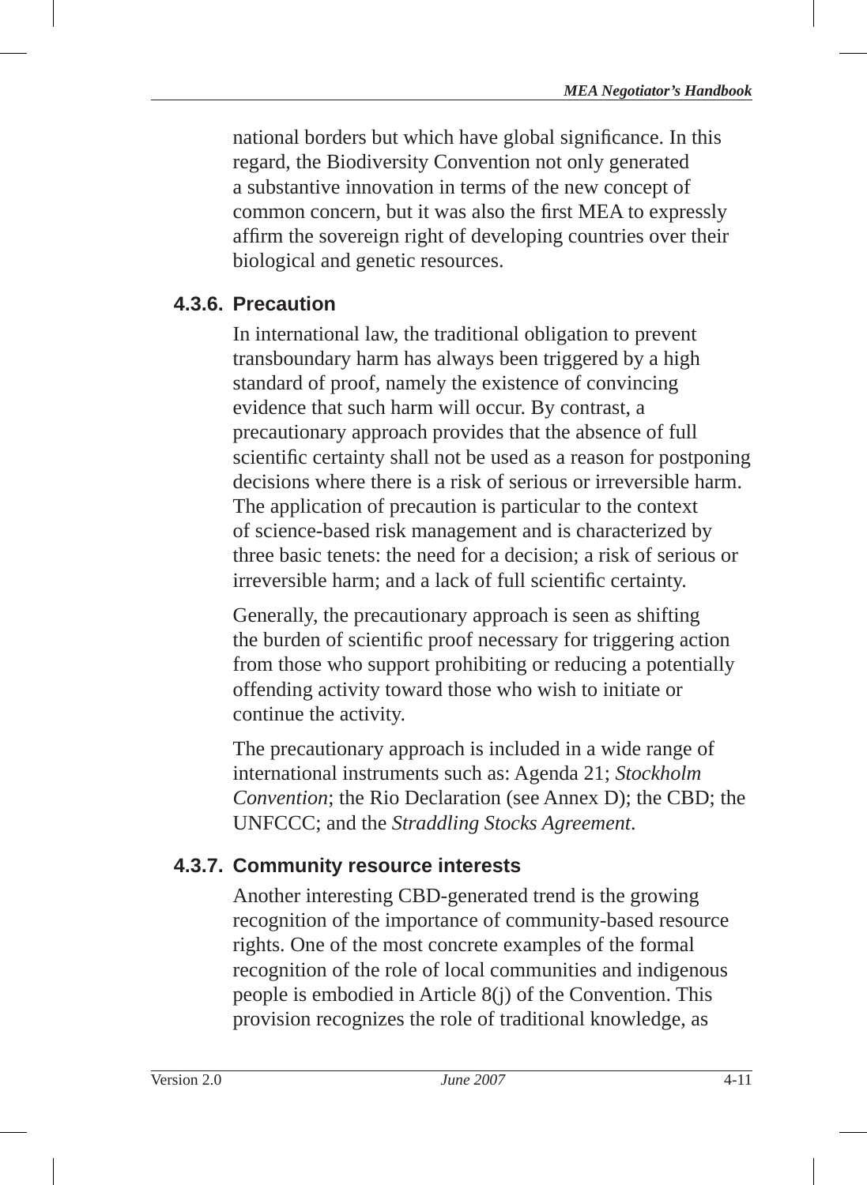national borders but which have global significance. In this regard, the Biodiversity Convention not only generated a substantive innovation in terms of the new concept of common concern, but it was also the first MEA to expressly affirm the sovereign right of developing countries over their biological and genetic resources.

# **4.3.6. Precaution**

In international law, the traditional obligation to prevent transboundary harm has always been triggered by a high standard of proof, namely the existence of convincing evidence that such harm will occur. By contrast, a precautionary approach provides that the absence of full scientific certainty shall not be used as a reason for postponing decisions where there is a risk of serious or irreversible harm. The application of precaution is particular to the context of science-based risk management and is characterized by three basic tenets: the need for a decision; a risk of serious or irreversible harm; and a lack of full scientific certainty.

Generally, the precautionary approach is seen as shifting the burden of scientific proof necessary for triggering action from those who support prohibiting or reducing a potentially offending activity toward those who wish to initiate or continue the activity.

The precautionary approach is included in a wide range of international instruments such as: Agenda 21; *Stockholm Convention*; the Rio Declaration (see Annex D); the CBD; the UNFCCC; and the *Straddling Stocks Agreement*.

# **4.3.7. Community resource interests**

Another interesting CBD-generated trend is the growing recognition of the importance of community-based resource rights. One of the most concrete examples of the formal recognition of the role of local communities and indigenous people is embodied in Article 8(j) of the Convention. This provision recognizes the role of traditional knowledge, as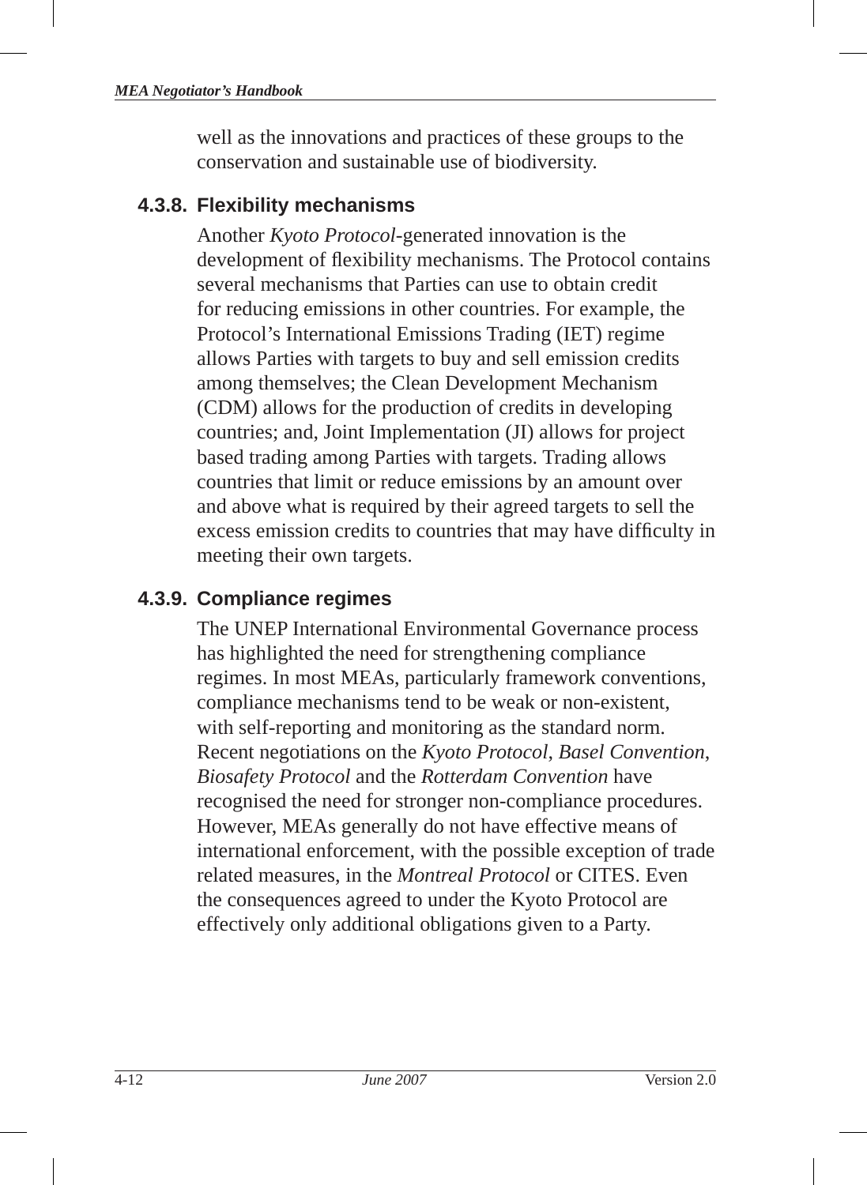well as the innovations and practices of these groups to the conservation and sustainable use of biodiversity.

### **4.3.8. Flexibility mechanisms**

Another *Kyoto Protocol* -generated innovation is the development of flexibility mechanisms. The Protocol contains several mechanisms that Parties can use to obtain credit for reducing emissions in other countries. For example, the Protocol's International Emissions Trading (IET) regime allows Parties with targets to buy and sell emission credits among themselves; the Clean Development Mechanism (CDM ) allows for the production of credits in developing countries; and, Joint Implementation (JI) allows for project based trading among Parties with targets. Trading allows countries that limit or reduce emissions by an amount over and above what is required by their agreed targets to sell the excess emission credits to countries that may have difficulty in meeting their own targets.

# **4.3.9. Compliance regimes**

The UNEP International Environmental Governance process has highlighted the need for strengthening compliance regimes. In most MEAs, particularly framework conventions, compliance mechanisms tend to be weak or non-existent, with self-reporting and monitoring as the standard norm. Recent negotiations on the *Kyoto Protocol* , *Basel Convention*, *Biosafety Protocol* and the *Rotterdam Convention* have recognised the need for stronger non-compliance procedures. However, MEAs generally do not have effective means of international enforcement, with the possible exception of trade related measures, in the *Montreal Protocol* or CITES. Even the consequences agreed to under the Kyoto Protocol are effectively only additional obligations given to a Party.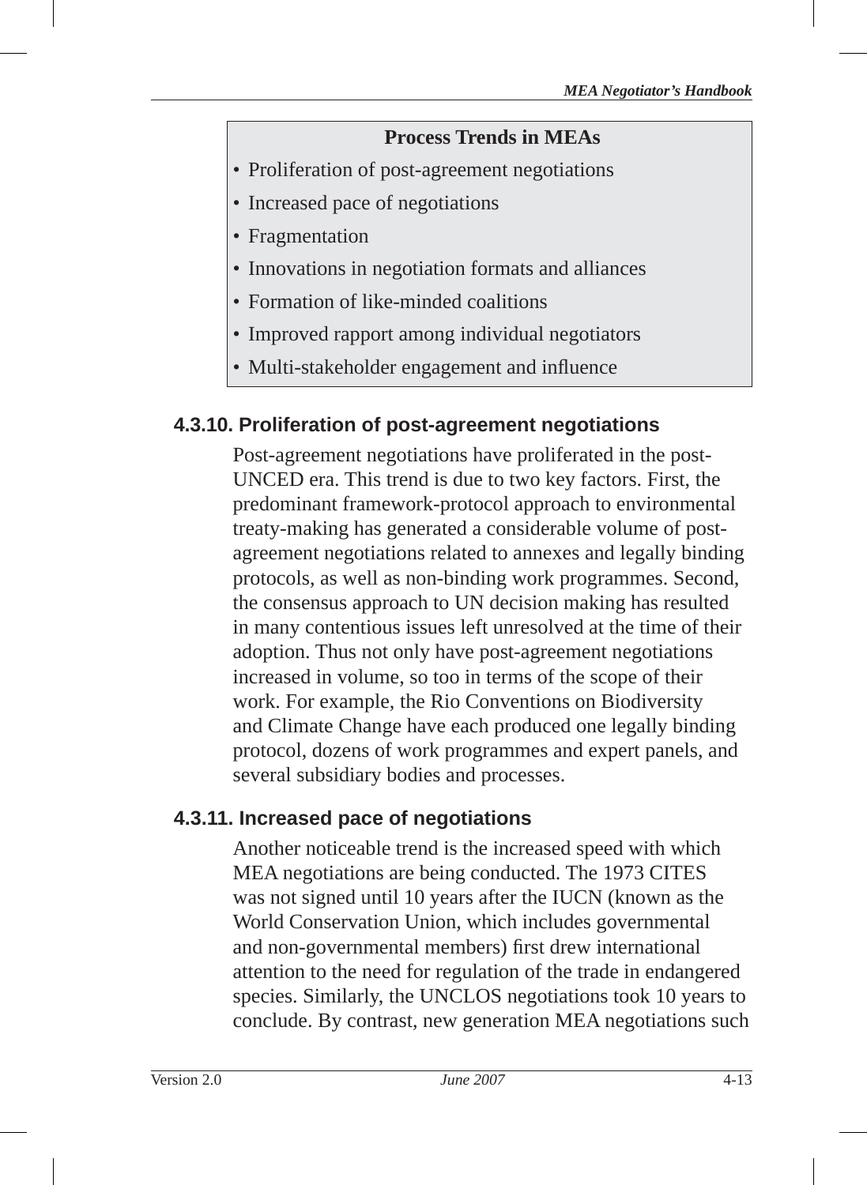#### **Process Trends in MEAs**

- Proliferation of post-agreement negotiations
- Increased pace of negotiations
- Fragmentation
- Innovations in negotiation formats and alliances
- Formation of like-minded coalitions
- Improved rapport among individual negotiators
- Multi-stakeholder engagement and influence

# **4.3.10. Proliferation of post-agreement negotiations**

Post-agreement negotiations have proliferated in the post-UNCED era. This trend is due to two key factors. First, the predominant framework-protocol approach to environmental treaty-making has generated a considerable volume of postagreement negotiations related to annexes and legally binding protocols, as well as non-binding work programmes. Second, the consensus approach to UN decision making has resulted in many contentious issues left unresolved at the time of their adoption. Thus not only have post-agreement negotiations increased in volume, so too in terms of the scope of their work. For example, the Rio Conventions on Biodiversity and Climate Change have each produced one legally binding protocol, dozens of work programmes and expert panels, and several subsidiary bodies and processes.

### **4.3.11. Increased pace of negotiations**

Another noticeable trend is the increased speed with which MEA negotiations are being conducted. The 1973 CITES was not signed until 10 years after the IUCN (known as the World Conservation Union, which includes governmental and non-governmental members) first drew international attention to the need for regulation of the trade in endangered species. Similarly, the UNCLOS negotiations took 10 years to conclude. By contrast, new generation MEA negotiations such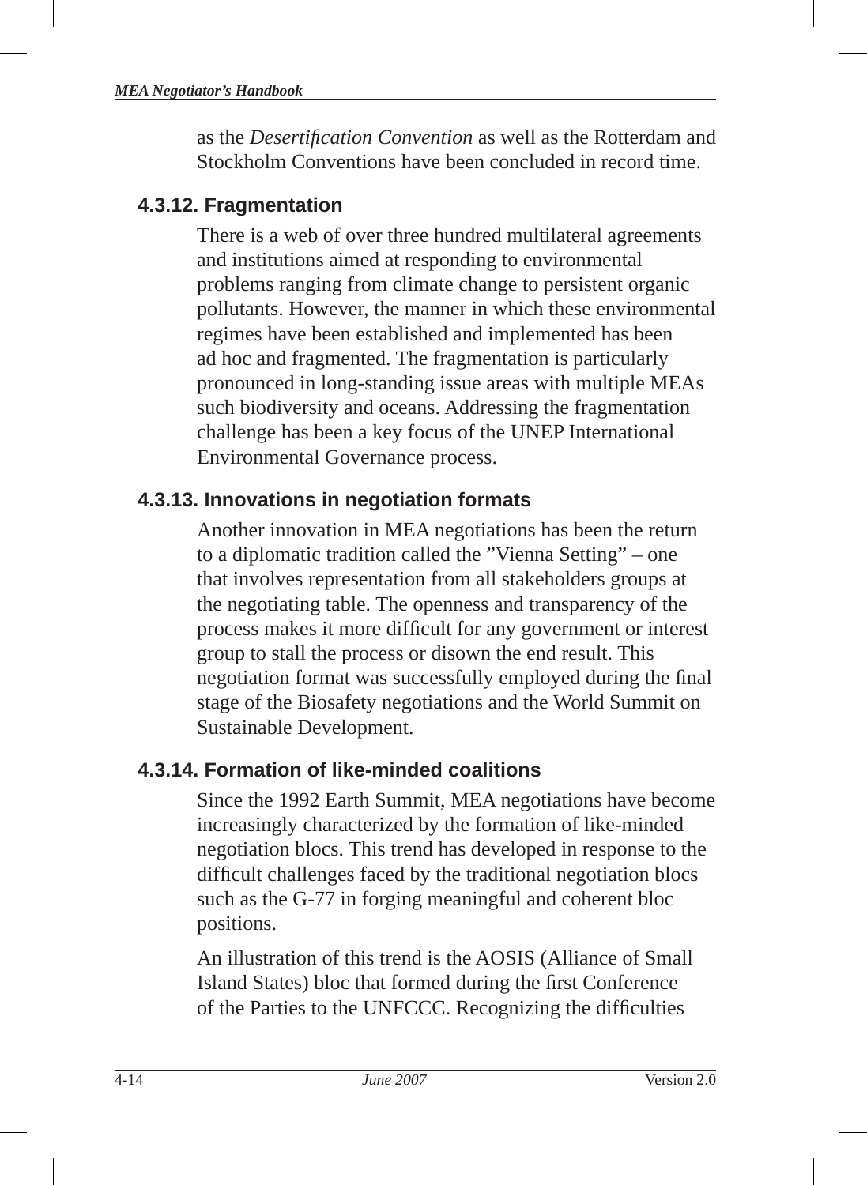as the *Desertifi cation Convention* as well as the Rotterdam and Stockholm Conventions have been concluded in record time.

# **4.3.12. Fragmentation**

There is a web of over three hundred multilateral agreements and institutions aimed at responding to environmental problems ranging from climate change to persistent organic pollutants. However, the manner in which these environmental regimes have been established and implemented has been ad hoc and fragmented. The fragmentation is particularly pronounced in long-standing issue areas with multiple MEAs such biodiversity and oceans. Addressing the fragmentation challenge has been a key focus of the UNEP International Environmental Governance process.

# **4.3.13. Innovations in negotiation formats**

Another innovation in MEA negotiations has been the return to a diplomatic tradition called the "Vienna Setting" – one that involves representation from all stakeholders groups at the negotiating table. The openness and transparency of the process makes it more difficult for any government or interest group to stall the process or disown the end result. This negotiation format was successfully employed during the final stage of the Biosafety negotiations and the World Summit on Sustainable Development.

# **4.3.14. Formation of like-minded coalitions**

Since the 1992 Earth Summit, MEA negotiations have become increasingly characterized by the formation of like-minded negotiation blocs . This trend has developed in response to the difficult challenges faced by the traditional negotiation blocs such as the G-77 in forging meaningful and coherent bloc positions.

An illustration of this trend is the AOSIS (Alliance of Small Island States) bloc that formed during the first Conference of the Parties to the UNFCCC. Recognizing the difficulties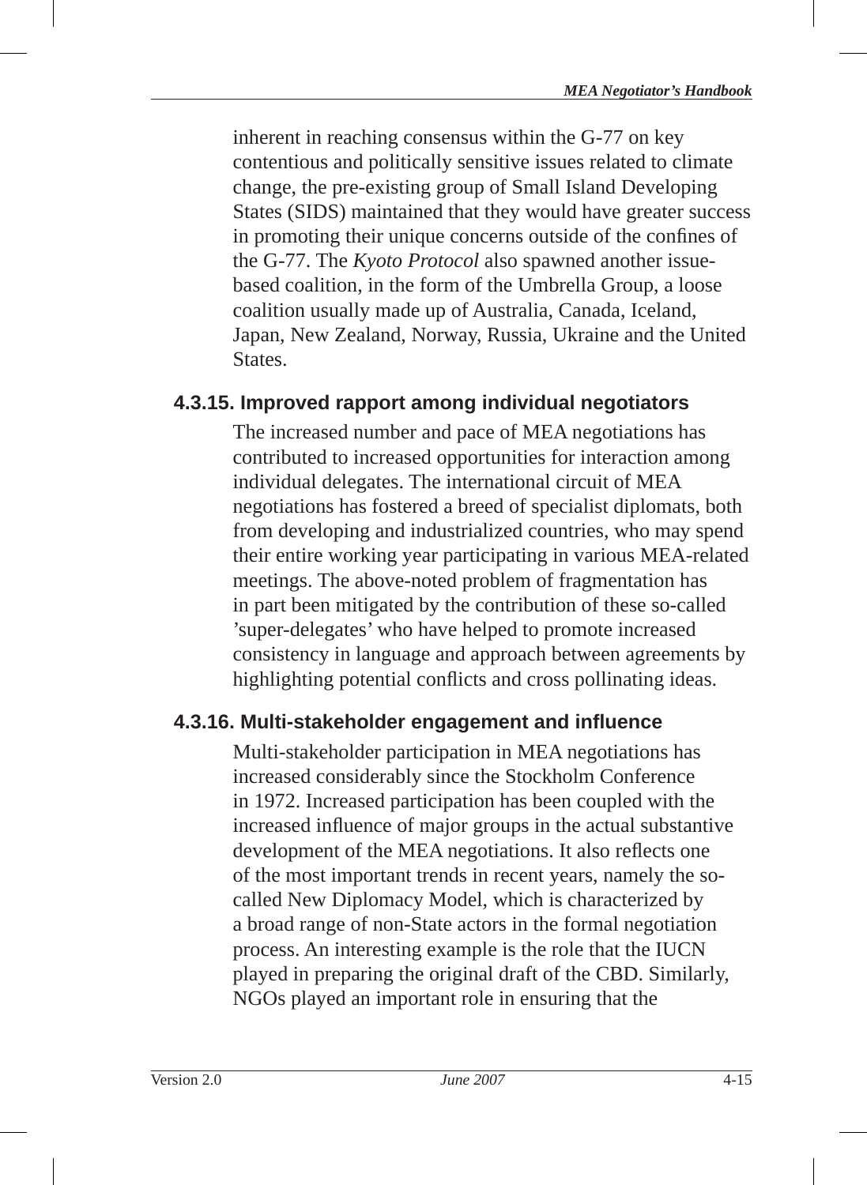inherent in reaching consensus within the G-77 on key contentious and politically sensitive issues related to climate change, the pre-existing group of Small Island Developing States (SIDS) maintained that they would have greater success in promoting their unique concerns outside of the confines of the G-77. The *Kyoto Protocol* also spawned another issuebased coalition, in the form of the Umbrella Group, a loose coalition usually made up of Australia, Canada, Iceland, Japan, New Zealand, Norway, Russia, Ukraine and the United **States** 

### **4.3.15. Improved rapport among individual negotiators**

The increased number and pace of MEA negotiations has contributed to increased opportunities for interaction among individual delegates. The international circuit of MEA negotiations has fostered a breed of specialist diplomats, both from developing and industrialized countries, who may spend their entire working year participating in various MEA-related meetings. The above-noted problem of fragmentation has in part been mitigated by the contribution of these so-called 'super-delegates' who have helped to promote increased consistency in language and approach between agreements by highlighting potential conflicts and cross pollinating ideas.

### **4.3.16. Multi-stakeholder engagement and infl uence**

Multi-stakeholder participation in MEA negotiations has increased considerably since the Stockholm Conference in 1972. Increased participation has been coupled with the increased influence of major groups in the actual substantive development of the MEA negotiations. It also reflects one of the most important trends in recent years, namely the socalled New Diplomacy Model, which is characterized by a broad range of non-State actors in the formal negotiation process. An interesting example is the role that the IUCN played in preparing the original draft of the CBD. Similarly, NGOs played an important role in ensuring that the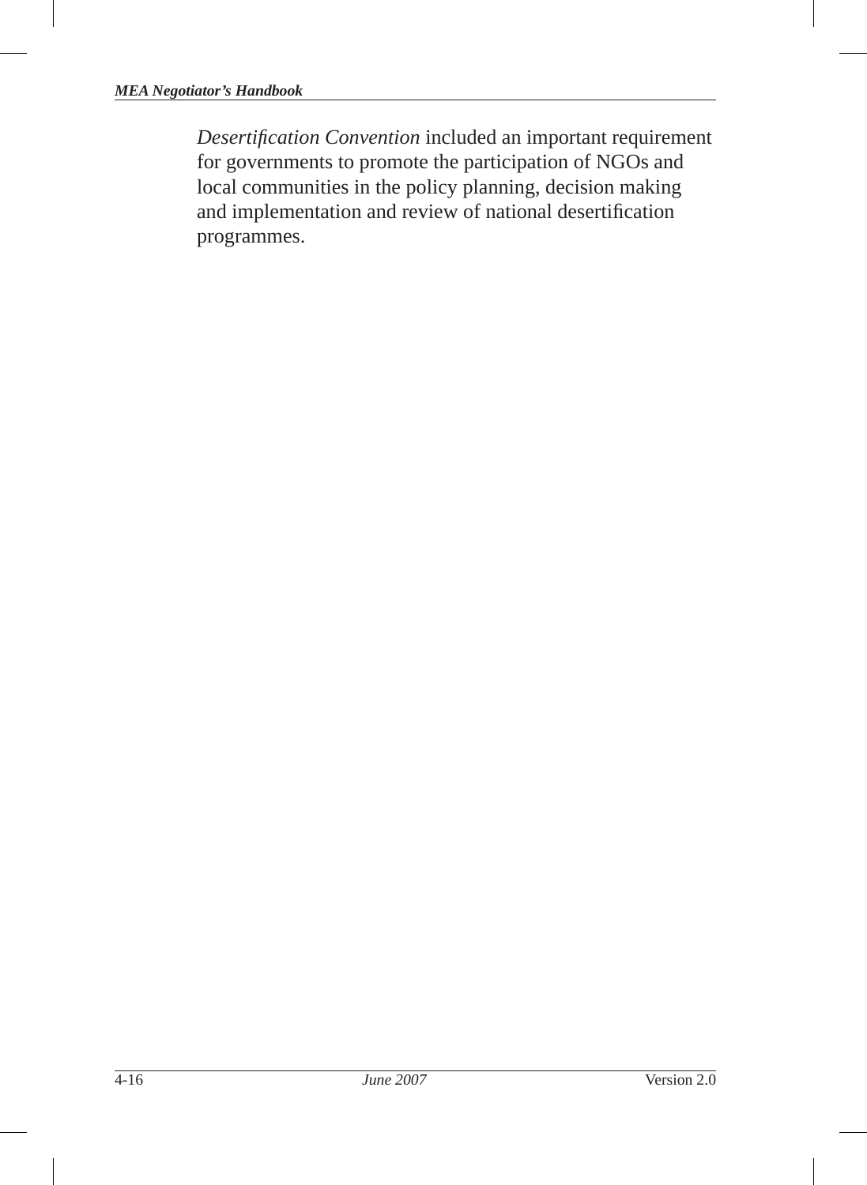**Desertification Convention** included an important requirement for governments to promote the participation of NGOs and local communities in the policy planning, decision making and implementation and review of national desertification programmes.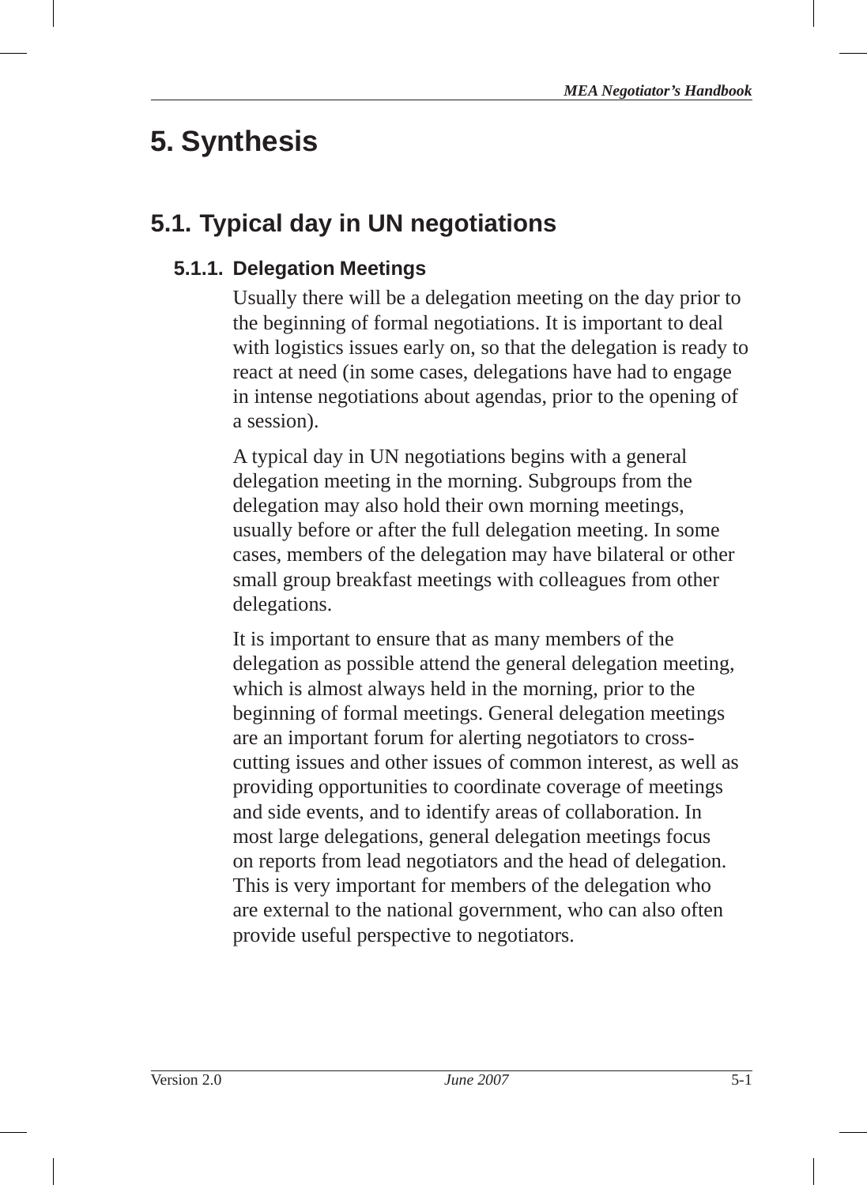# **5. Synthesis**

# **5.1. Typical day in UN negotiations**

# **5.1.1. Delegation Meetings**

Usually there will be a delegation meeting on the day prior to the beginning of formal negotiations. It is important to deal with logistics issues early on, so that the delegation is ready to react at need (in some cases, delegations have had to engage in intense negotiations about agendas, prior to the opening of a session).

A typical day in UN negotiations begins with a general delegation meeting in the morning. Subgroups from the delegation may also hold their own morning meetings, usually before or after the full delegation meeting. In some cases, members of the delegation may have bilateral or other small group breakfast meetings with colleagues from other delegations.

It is important to ensure that as many members of the delegation as possible attend the general delegation meeting, which is almost always held in the morning, prior to the beginning of formal meetings. General delegation meetings are an important forum for alerting negotiators to crosscutting issues and other issues of common interest, as well as providing opportunities to coordinate coverage of meetings and side events, and to identify areas of collaboration. In most large delegations, general delegation meetings focus on reports from lead negotiators and the head of delegation . This is very important for members of the delegation who are external to the national government, who can also often provide useful perspective to negotiators.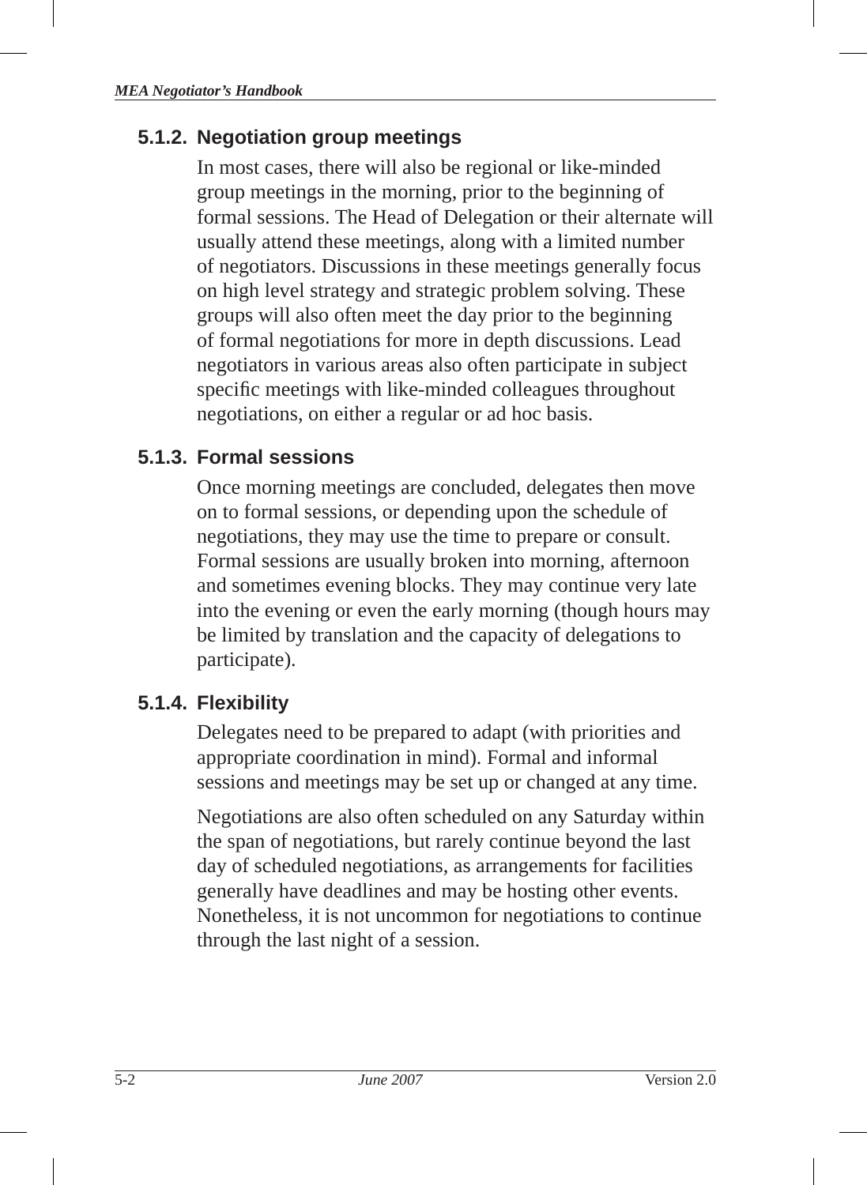## **5.1.2. Negotiation group meetings**

In most cases, there will also be regional or like-minded group meetings in the morning, prior to the beginning of formal sessions. The Head of Delegation or their alternate will usually attend these meetings, along with a limited number of negotiators. Discussions in these meetings generally focus on high level strategy and strategic problem solving. These groups will also often meet the day prior to the beginning of formal negotiations for more in depth discussions. Lead negotiators in various areas also often participate in subject specific meetings with like-minded colleagues throughout negotiations, on either a regular or ad hoc basis.

## **5.1.3. Formal sessions**

Once morning meetings are concluded, delegates then move on to formal sessions, or depending upon the schedule of negotiations, they may use the time to prepare or consult. Formal sessions are usually broken into morning, afternoon and sometimes evening blocks. They may continue very late into the evening or even the early morning (though hours may be limited by translation and the capacity of delegations to participate).

## **5.1.4. Flexibility**

Delegates need to be prepared to adapt (with priorities and appropriate coordination in mind). Formal and informal sessions and meetings may be set up or changed at any time.

Negotiations are also often scheduled on any Saturday within the span of negotiations, but rarely continue beyond the last day of scheduled negotiations, as arrangements for facilities generally have deadlines and may be hosting other events. Nonetheless, it is not uncommon for negotiations to continue through the last night of a session.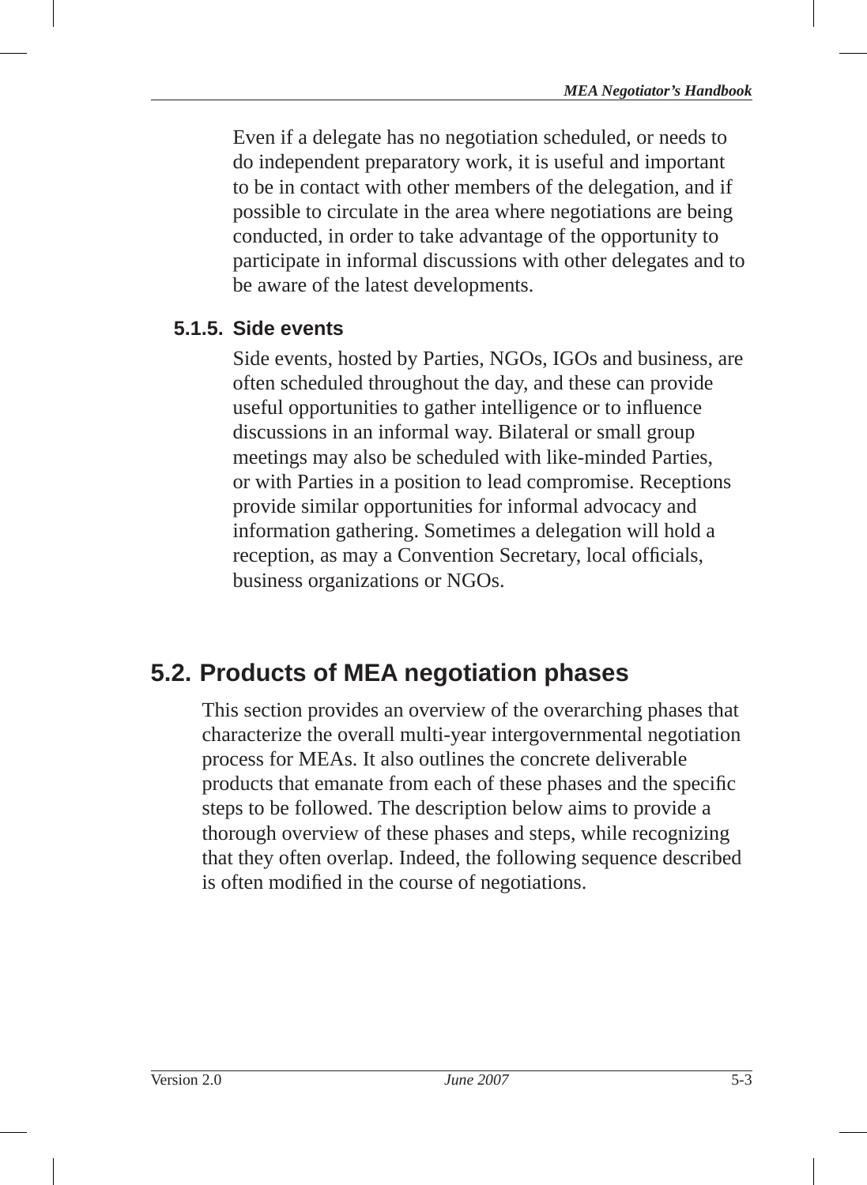Even if a delegate has no negotiation scheduled, or needs to do independent preparatory work, it is useful and important to be in contact with other members of the delegation, and if possible to circulate in the area where negotiations are being conducted, in order to take advantage of the opportunity to participate in informal discussions with other delegates and to be aware of the latest developments.

## **5.1.5. Side events**

Side events, hosted by Parties, NGOs, IGOs and business, are often scheduled throughout the day, and these can provide useful opportunities to gather intelligence or to influence discussions in an informal way. Bilateral or small group meetings may also be scheduled with like-minded Parties, or with Parties in a position to lead compromise. Receptions provide similar opportunities for informal advocacy and information gathering. Sometimes a delegation will hold a reception, as may a Convention Secretary, local officials, business organizations or NGOs.

## **5.2. Products of MEA negotiation phases**

This section provides an overview of the overarching phases that characterize the overall multi-year intergovernmental negotiation process for MEAs. It also outlines the concrete deliverable products that emanate from each of these phases and the specific steps to be followed. The description below aims to provide a thorough overview of these phases and steps, while recognizing that they often overlap. Indeed, the following sequence described is often modified in the course of negotiations.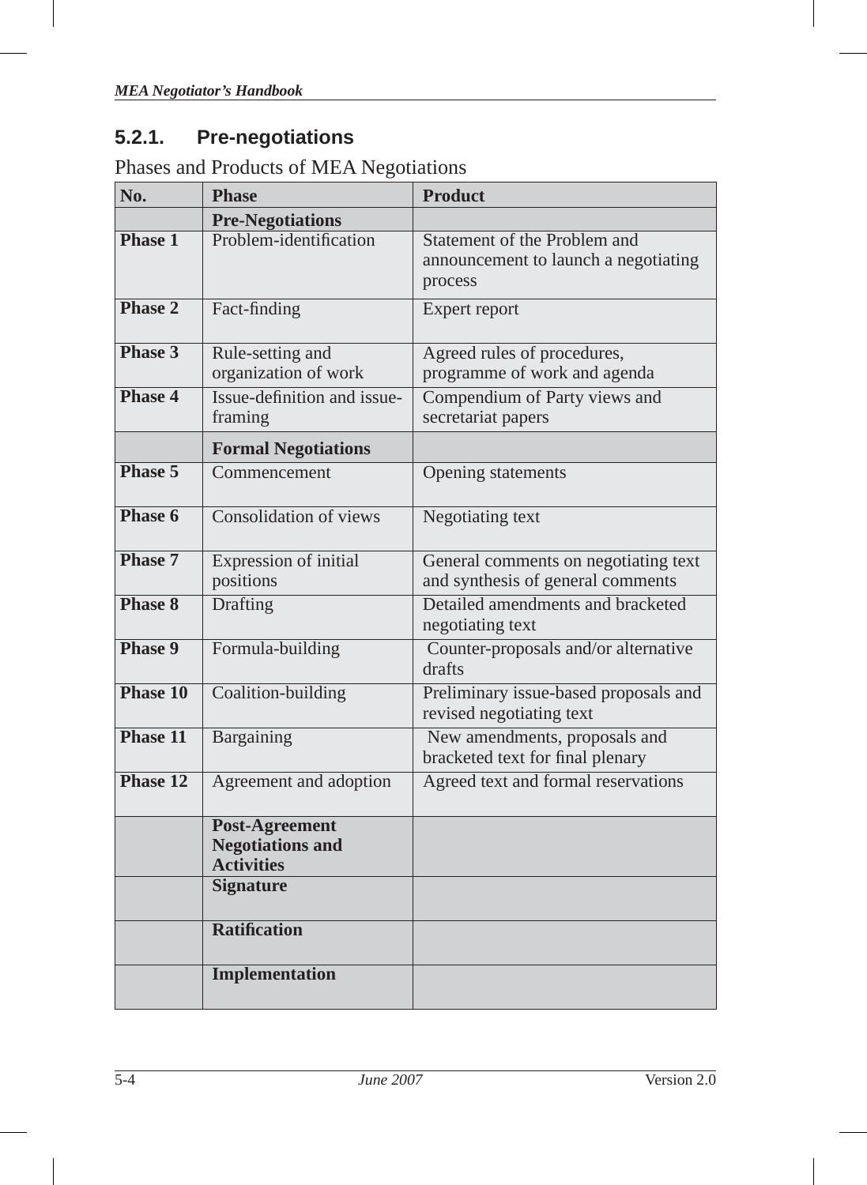## **5.2.1. Pre-negotiations**

Phases and Products of MEA Negotiations

| No.            | <b>Phase</b>                                                          | <b>Product</b>                                                                  |
|----------------|-----------------------------------------------------------------------|---------------------------------------------------------------------------------|
|                | <b>Pre-Negotiations</b>                                               |                                                                                 |
| <b>Phase 1</b> | Problem-identification                                                | Statement of the Problem and<br>announcement to launch a negotiating<br>process |
| Phase 2        | Fact-finding                                                          | Expert report                                                                   |
| Phase 3        | Rule-setting and<br>organization of work                              | Agreed rules of procedures,<br>programme of work and agenda                     |
| Phase 4        | Issue-definition and issue-<br>framing                                | Compendium of Party views and<br>secretariat papers                             |
|                | <b>Formal Negotiations</b>                                            |                                                                                 |
| Phase 5        | Commencement                                                          | Opening statements                                                              |
| Phase 6        | Consolidation of views                                                | Negotiating text                                                                |
| Phase 7        | Expression of initial<br>positions                                    | General comments on negotiating text<br>and synthesis of general comments       |
| Phase 8        | <b>Drafting</b>                                                       | Detailed amendments and bracketed<br>negotiating text                           |
| Phase 9        | Formula-building                                                      | Counter-proposals and/or alternative<br>drafts                                  |
| Phase 10       | Coalition-building                                                    | Preliminary issue-based proposals and<br>revised negotiating text               |
| Phase 11       | Bargaining                                                            | New amendments, proposals and<br>bracketed text for final plenary               |
| Phase 12       | Agreement and adoption                                                | Agreed text and formal reservations                                             |
|                | <b>Post-Agreement</b><br><b>Negotiations and</b><br><b>Activities</b> |                                                                                 |
|                | <b>Signature</b>                                                      |                                                                                 |
|                | <b>Ratification</b>                                                   |                                                                                 |
|                | Implementation                                                        |                                                                                 |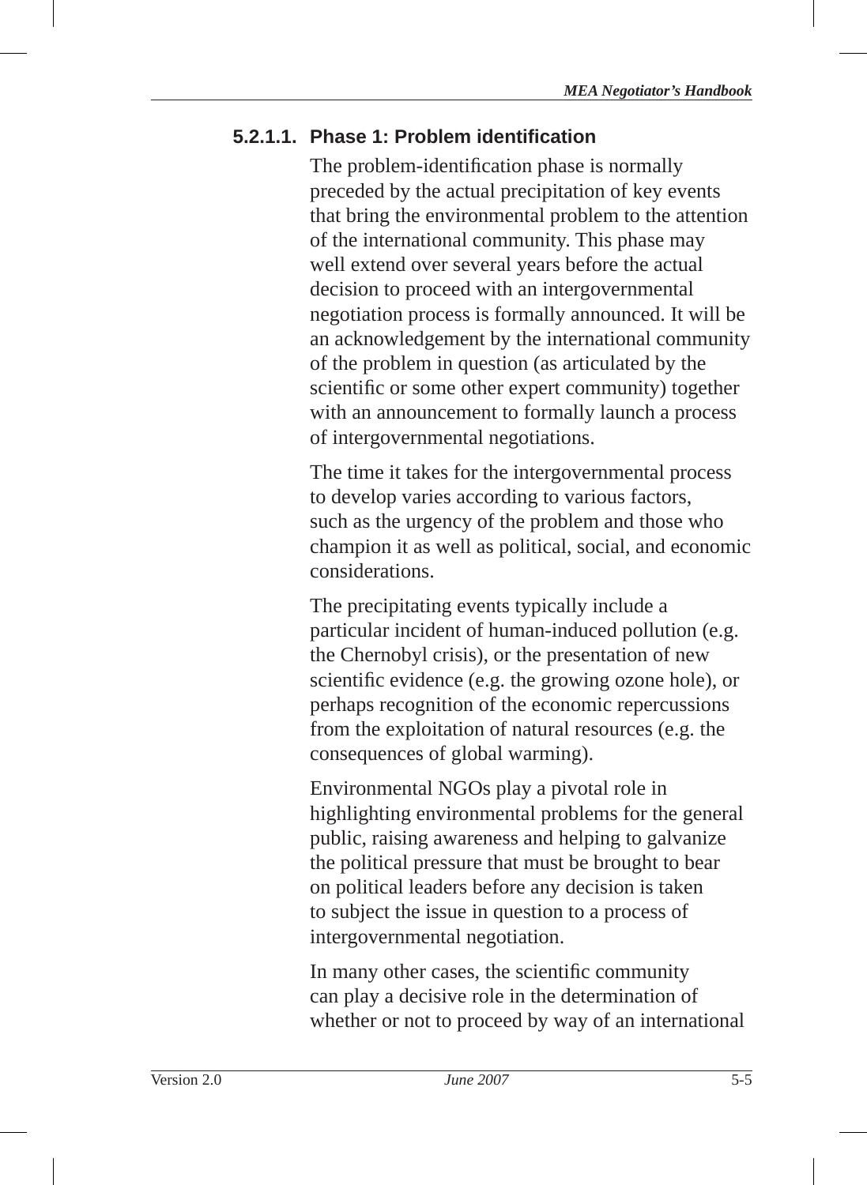## **5.2.1.1. Phase 1: Problem identifi cation**

The problem-identification phase is normally preceded by the actual precipitation of key events that bring the environmental problem to the attention of the international community. This phase may well extend over several years before the actual decision to proceed with an intergovernmental negotiation process is formally announced. It will be an acknowledgement by the international community of the problem in question (as articulated by the scientific or some other expert community) together with an announcement to formally launch a process of intergovernmental negotiations.

The time it takes for the intergovernmental process to develop varies according to various factors, such as the urgency of the problem and those who champion it as well as political, social, and economic considerations.

The precipitating events typically include a particular incident of human-induced pollution (e.g. the Chernobyl crisis), or the presentation of new scientific evidence (e.g. the growing ozone hole), or perhaps recognition of the economic repercussions from the exploitation of natural resources (e.g. the consequences of global warming).

Environmental NGOs play a pivotal role in highlighting environmental problems for the general public, raising awareness and helping to galvanize the political pressure that must be brought to bear on political leaders before any decision is taken to subject the issue in question to a process of intergovernmental negotiation.

In many other cases, the scientific community can play a decisive role in the determination of whether or not to proceed by way of an international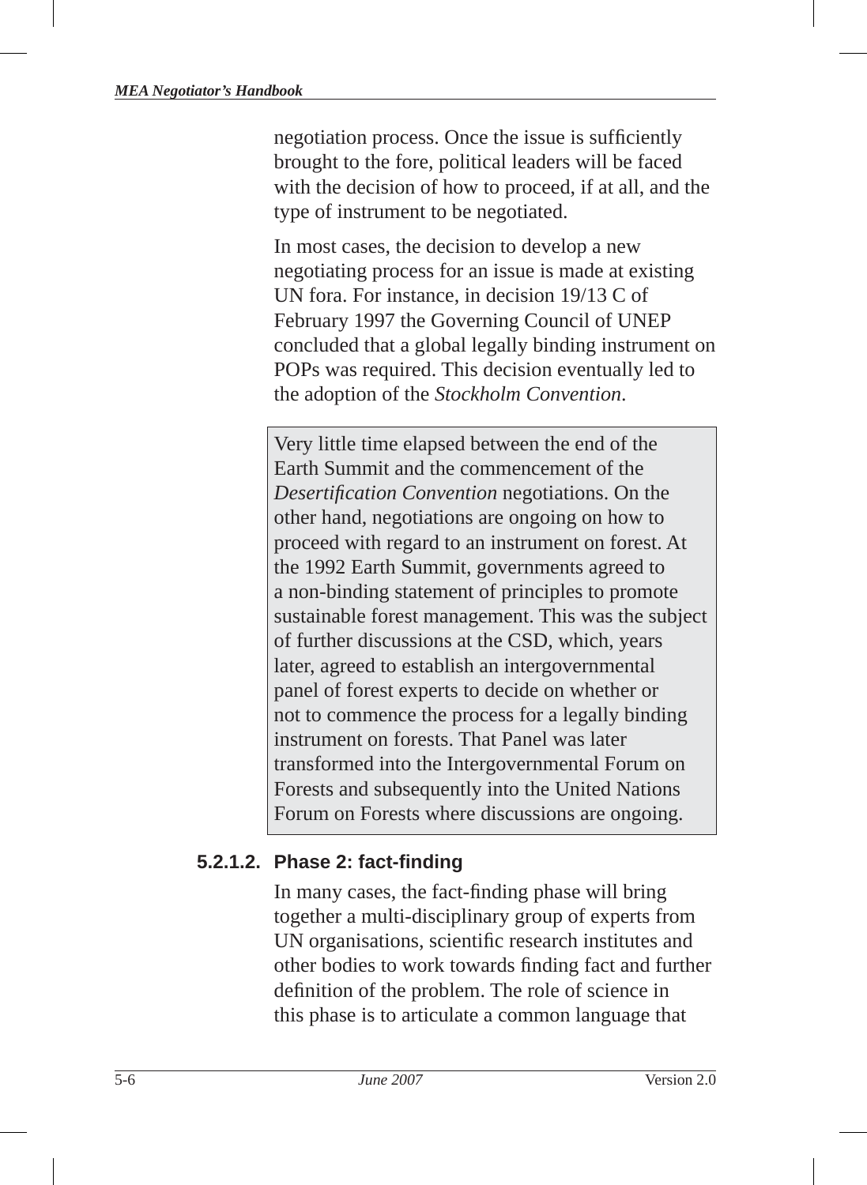negotiation process. Once the issue is sufficiently brought to the fore, political leaders will be faced with the decision of how to proceed, if at all, and the type of instrument to be negotiated.

In most cases, the decision to develop a new negotiating process for an issue is made at existing UN fora. For instance, in decision 19/13 C of February 1997 the Governing Council of UNEP concluded that a global legally binding instrument on POPs was required. This decision eventually led to the adoption of the *Stockholm Convention*.

Very little time elapsed between the end of the Earth Summit and the commencement of the *Desertifi cation Convention* negotiations. On the other hand, negotiations are ongoing on how to proceed with regard to an instrument on forest. At the 1992 Earth Summit, governments agreed to a non-binding statement of principles to promote sustainable forest management. This was the subject of further discussions at the CSD, which, years later, agreed to establish an intergovernmental panel of forest experts to decide on whether or not to commence the process for a legally binding instrument on forests. That Panel was later transformed into the Intergovernmental Forum on Forests and subsequently into the United Nations Forum on Forests where discussions are ongoing.

#### **5.2.1.2. Phase 2: fact-fi nding**

In many cases, the fact-finding phase will bring together a multi-disciplinary group of experts from UN organisations, scientific research institutes and other bodies to work towards finding fact and further definition of the problem. The role of science in this phase is to articulate a common language that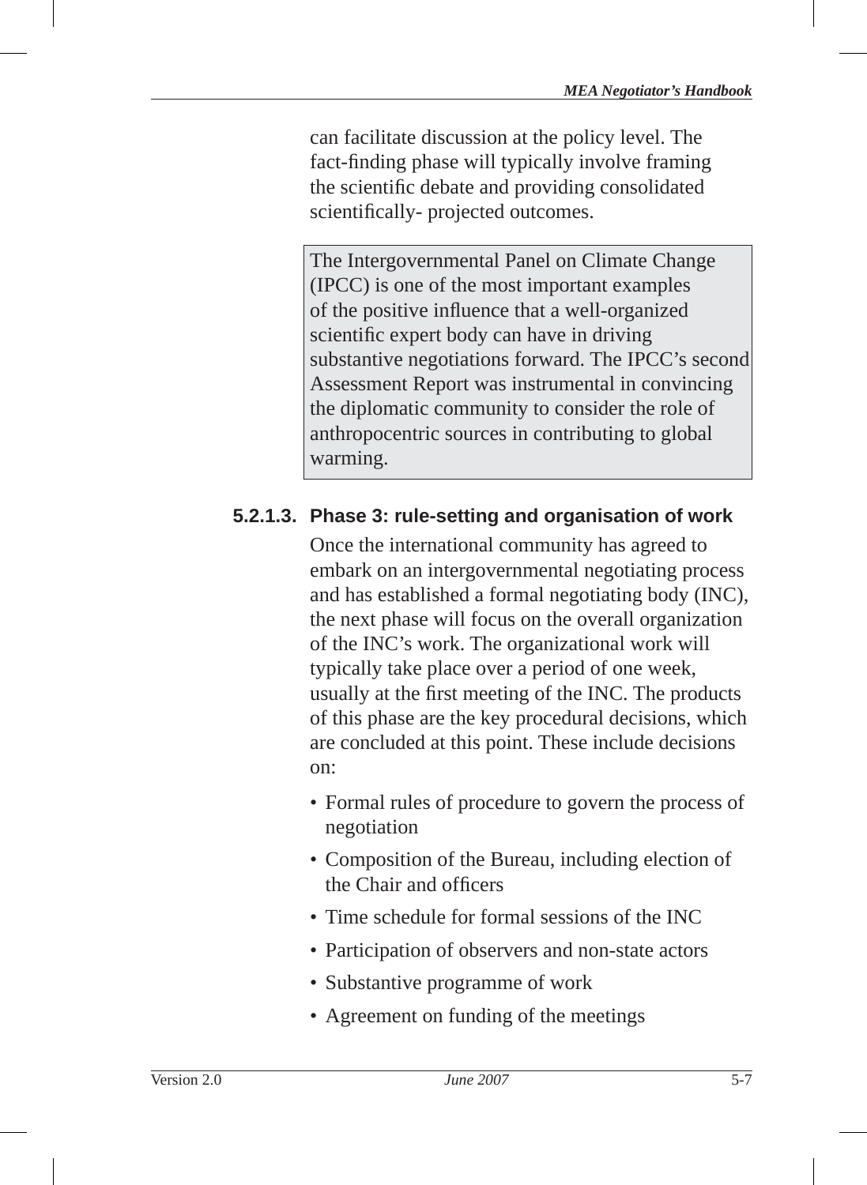can facilitate discussion at the policy level. The fact-finding phase will typically involve framing the scientific debate and providing consolidated scientifically- projected outcomes.

The Intergovernmental Panel on Climate Change (IPCC) is one of the most important examples of the positive influence that a well-organized scientific expert body can have in driving substantive negotiations forward. The IPCC's second Assessment Report was instrumental in convincing the diplomatic community to consider the role of anthropocentric sources in contributing to global warming.

## **5.2.1.3. Phase 3: rule-setting and organisation of work**

Once the international community has agreed to embark on an intergovernmental negotiating process and has established a formal negotiating body (INC), the next phase will focus on the overall organization of the INC's work. The organizational work will typically take place over a period of one week, usually at the first meeting of the INC. The products of this phase are the key procedural decisions, which are concluded at this point. These include decisions on:

- Formal rules of procedure to govern the process of negotiation
- Composition of the Bureau, including election of the Chair and officers
- Time schedule for formal sessions of the INC
- Participation of observers and non-state actors
- Substantive programme of work
- Agreement on funding of the meetings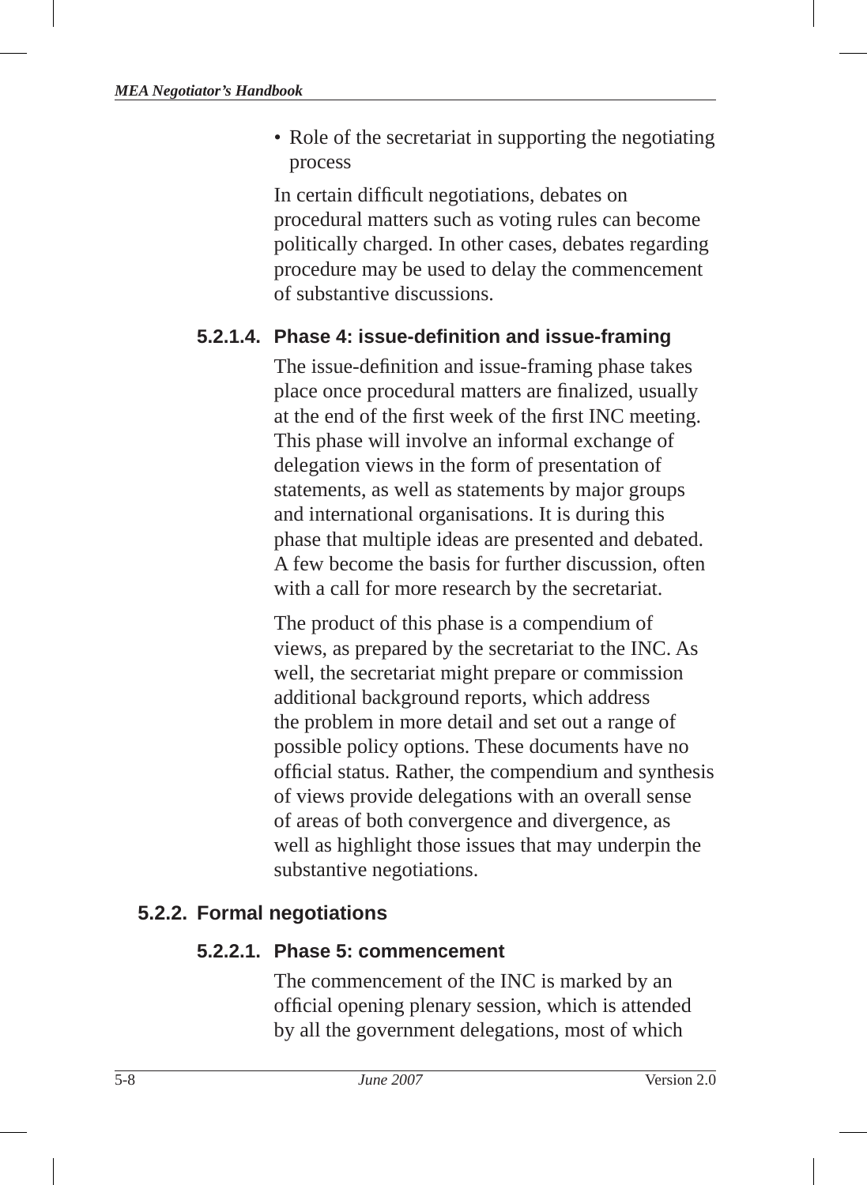• Role of the secretariat in supporting the negotiating process

In certain difficult negotiations, debates on procedural matters such as voting rules can become politically charged. In other cases, debates regarding procedure may be used to delay the commencement of substantive discussions.

#### **5.2.1.4. Phase 4: issue-defi nition and issue-framing**

The issue-definition and issue-framing phase takes place once procedural matters are finalized, usually at the end of the first week of the first INC meeting. This phase will involve an informal exchange of delegation views in the form of presentation of statements, as well as statements by major groups and international organisations. It is during this phase that multiple ideas are presented and debated. A few become the basis for further discussion, often with a call for more research by the secretariat.

The product of this phase is a compendium of views, as prepared by the secretariat to the INC. As well, the secretariat might prepare or commission additional background reports, which address the problem in more detail and set out a range of possible policy options. These documents have no official status. Rather, the compendium and synthesis of views provide delegations with an overall sense of areas of both convergence and divergence, as well as highlight those issues that may underpin the substantive negotiations.

#### **5.2.2. Formal negotiations**

#### **5.2.2.1. Phase 5: commencement**

The commencement of the INC is marked by an official opening plenary session, which is attended by all the government delegations, most of which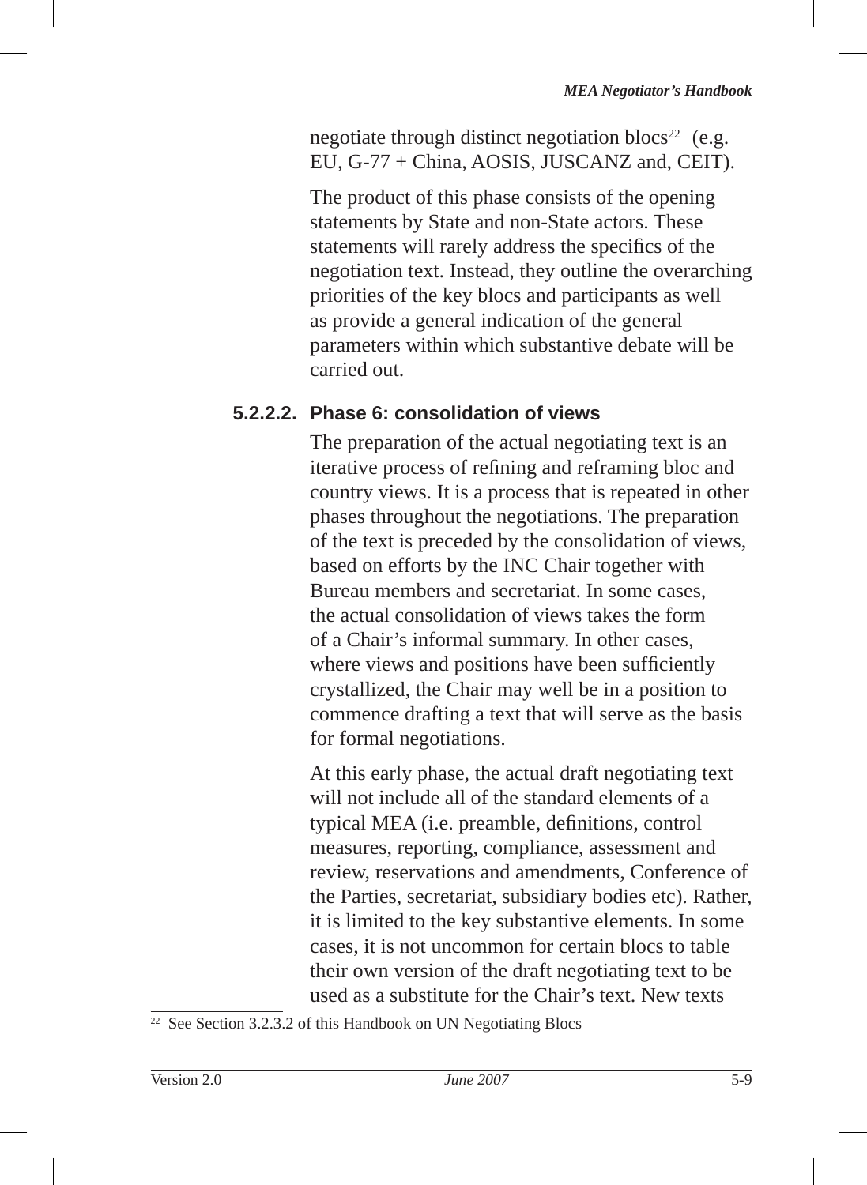negotiate through distinct negotiation blocs<sup>22</sup> (e.g. EU , G-77 + China, AOSIS , JUSCANZ and, CEIT).

The product of this phase consists of the opening statements by State and non-State actors. These statements will rarely address the specifics of the negotiation text. Instead, they outline the overarching priorities of the key blocs and participants as well as provide a general indication of the general parameters within which substantive debate will be carried out.

#### **5.2.2.2. Phase 6: consolidation of views**

The preparation of the actual negotiating text is an iterative process of refining and reframing bloc and country views. It is a process that is repeated in other phases throughout the negotiations. The preparation of the text is preceded by the consolidation of views, based on efforts by the INC Chair together with Bureau members and secretariat. In some cases, the actual consolidation of views takes the form of a Chair's informal summary. In other cases, where views and positions have been sufficiently crystallized, the Chair may well be in a position to commence drafting a text that will serve as the basis for formal negotiations.

At this early phase, the actual draft negotiating text will not include all of the standard elements of a typical MEA (*i.e.* preamble, definitions, control measures, reporting, compliance, assessment and review, reservations and amendments, Conference of the Parties, secretariat, subsidiary bodies etc). Rather, it is limited to the key substantive elements. In some cases, it is not uncommon for certain blocs to table their own version of the draft negotiating text to be used as a substitute for the Chair's text. New texts

<sup>22</sup> See Section 3.2.3.2 of this Handbook on UN Negotiating Blocs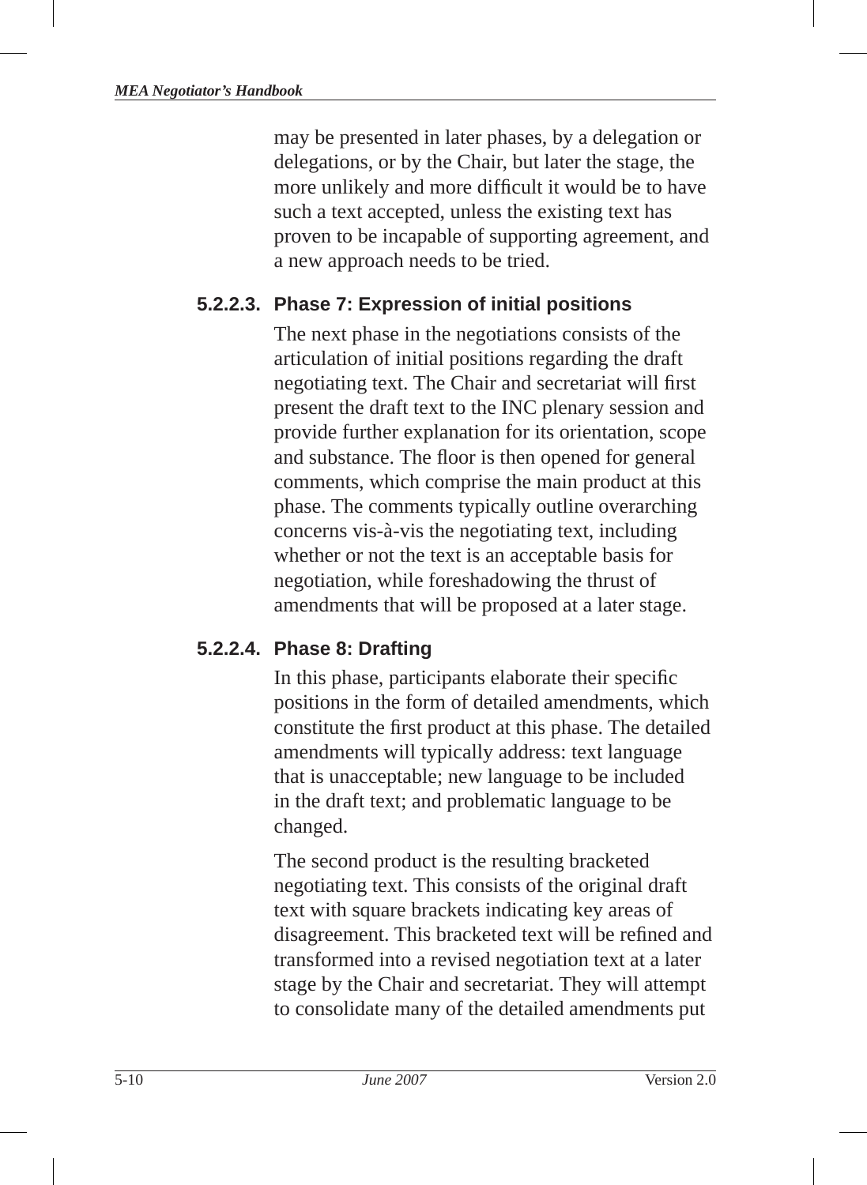may be presented in later phases, by a delegation or delegations, or by the Chair, but later the stage, the more unlikely and more difficult it would be to have such a text accepted, unless the existing text has proven to be incapable of supporting agreement, and a new approach needs to be tried.

## **5.2.2.3. Phase 7: Expression of initial positions**

The next phase in the negotiations consists of the articulation of initial positions regarding the draft negotiating text. The Chair and secretariat will first present the draft text to the INC plenary session and provide further explanation for its orientation, scope and substance. The floor is then opened for general comments, which comprise the main product at this phase. The comments typically outline overarching concerns vis-à-vis the negotiating text, including whether or not the text is an acceptable basis for negotiation, while foreshadowing the thrust of amendments that will be proposed at a later stage.

#### **5.2.2.4. Phase 8: Drafting**

In this phase, participants elaborate their specific positions in the form of detailed amendments, which constitute the first product at this phase. The detailed amendments will typically address: text language that is unacceptable; new language to be included in the draft text; and problematic language to be changed.

The second product is the resulting bracketed negotiating text. This consists of the original draft text with square brackets indicating key areas of disagreement. This bracketed text will be refined and transformed into a revised negotiation text at a later stage by the Chair and secretariat. They will attempt to consolidate many of the detailed amendments put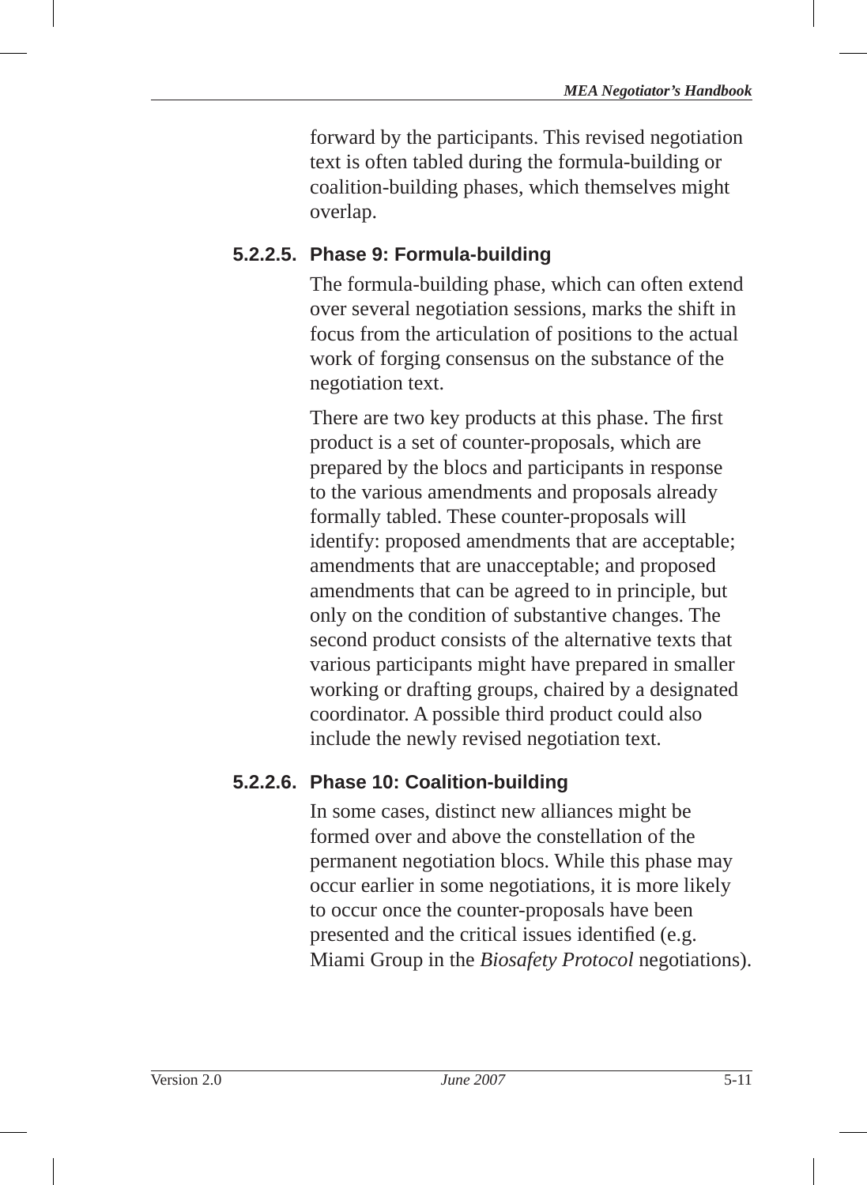forward by the participants. This revised negotiation text is often tabled during the formula-building or coalition-building phases, which themselves might overlap.

## **5.2.2.5. Phase 9: Formula-building**

The formula-building phase, which can often extend over several negotiation sessions, marks the shift in focus from the articulation of positions to the actual work of forging consensus on the substance of the negotiation text.

There are two key products at this phase. The first product is a set of counter-proposals, which are prepared by the blocs and participants in response to the various amendments and proposals already formally tabled. These counter-proposals will identify: proposed amendments that are acceptable; amendments that are unacceptable; and proposed amendments that can be agreed to in principle, but only on the condition of substantive changes. The second product consists of the alternative texts that various participants might have prepared in smaller working or drafting groups, chaired by a designated coordinator. A possible third product could also include the newly revised negotiation text.

#### **5.2.2.6. Phase 10: Coalition-building**

In some cases, distinct new alliances might be formed over and above the constellation of the permanent negotiation blocs . While this phase may occur earlier in some negotiations, it is more likely to occur once the counter-proposals have been presented and the critical issues identified (e.g. Miami Group in the *Biosafety Protocol* negotiations).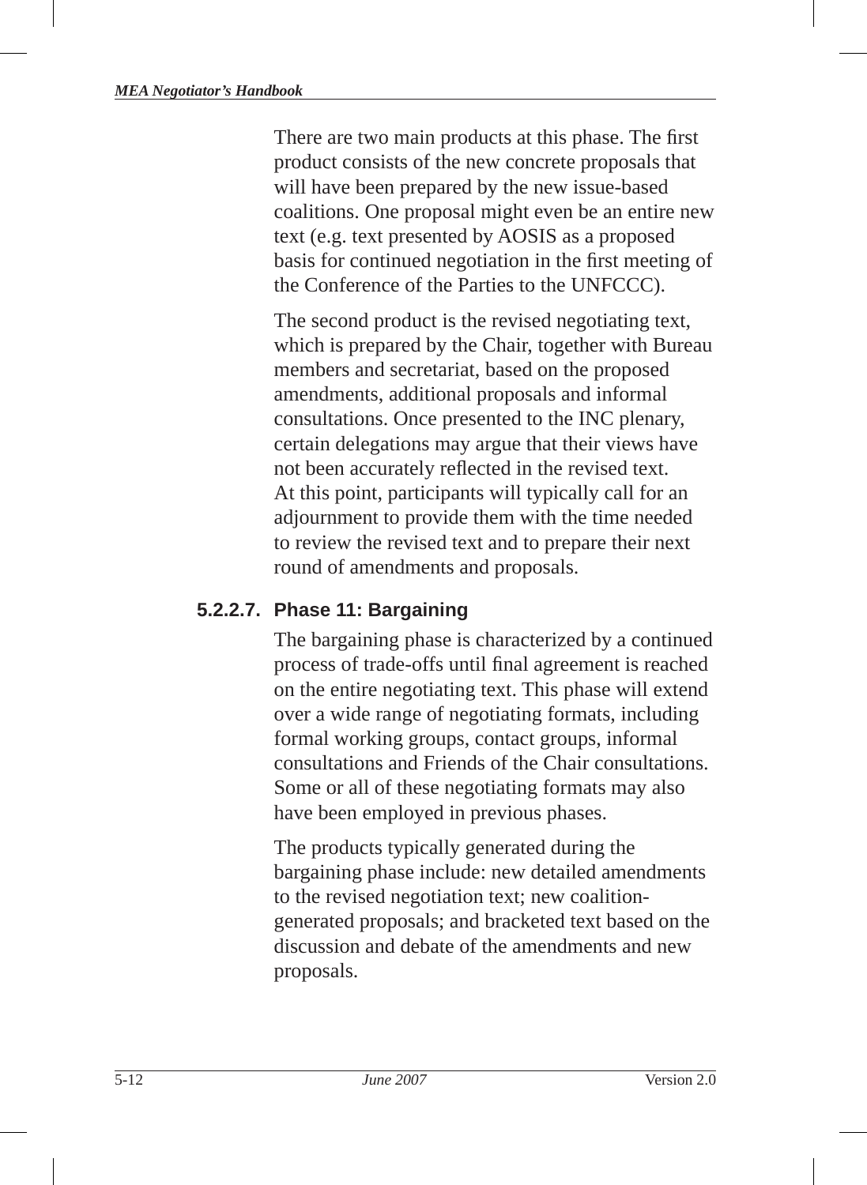There are two main products at this phase. The first product consists of the new concrete proposals that will have been prepared by the new issue-based coalitions. One proposal might even be an entire new text (e.g. text presented by AOSIS as a proposed basis for continued negotiation in the first meeting of the Conference of the Parties to the UNFCCC).

The second product is the revised negotiating text, which is prepared by the Chair, together with Bureau members and secretariat, based on the proposed amendments, additional proposals and informal consultations. Once presented to the INC plenary, certain delegations may argue that their views have not been accurately reflected in the revised text. At this point, participants will typically call for an adjournment to provide them with the time needed to review the revised text and to prepare their next round of amendments and proposals.

#### **5.2.2.7. Phase 11: Bargaining**

The bargaining phase is characterized by a continued process of trade-offs until final agreement is reached on the entire negotiating text. This phase will extend over a wide range of negotiating formats, including formal working groups, contact groups, informal consultations and Friends of the Chair consultations. Some or all of these negotiating formats may also have been employed in previous phases.

The products typically generated during the bargaining phase include: new detailed amendments to the revised negotiation text; new coalitiongenerated proposals; and bracketed text based on the discussion and debate of the amendments and new proposals.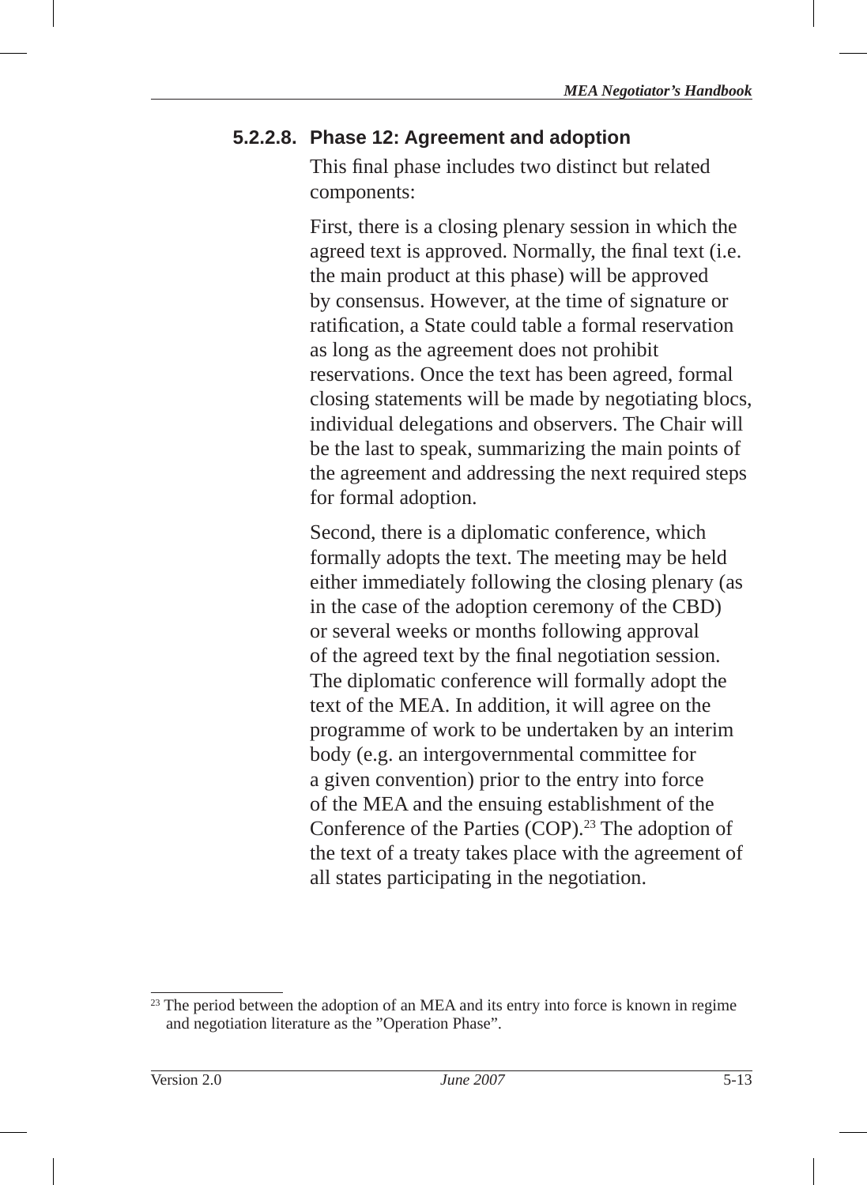### **5.2.2.8. Phase 12: Agreement and adoption**

This final phase includes two distinct but related components:

First, there is a closing plenary session in which the agreed text is approved. Normally, the final text (i.e. the main product at this phase) will be approved by consensus. However, at the time of signature or ratification, a State could table a formal reservation as long as the agreement does not prohibit reservations. Once the text has been agreed, formal closing statements will be made by negotiating blocs , individual delegations and observers. The Chair will be the last to speak, summarizing the main points of the agreement and addressing the next required steps for formal adoption.

Second, there is a diplomatic conference, which formally adopts the text. The meeting may be held either immediately following the closing plenary (as in the case of the adoption ceremony of the CBD) or several weeks or months following approval of the agreed text by the final negotiation session. The diplomatic conference will formally adopt the text of the MEA. In addition, it will agree on the programme of work to be undertaken by an interim body (e.g. an intergovernmental committee for a given convention) prior to the entry into force of the MEA and the ensuing establishment of the Conference of the Parties (COP).<sup>23</sup> The adoption of the text of a treaty takes place with the agreement of all states participating in the negotiation.

<sup>&</sup>lt;sup>23</sup> The period between the adoption of an MEA and its entry into force is known in regime and negotiation literature as the "Operation Phase".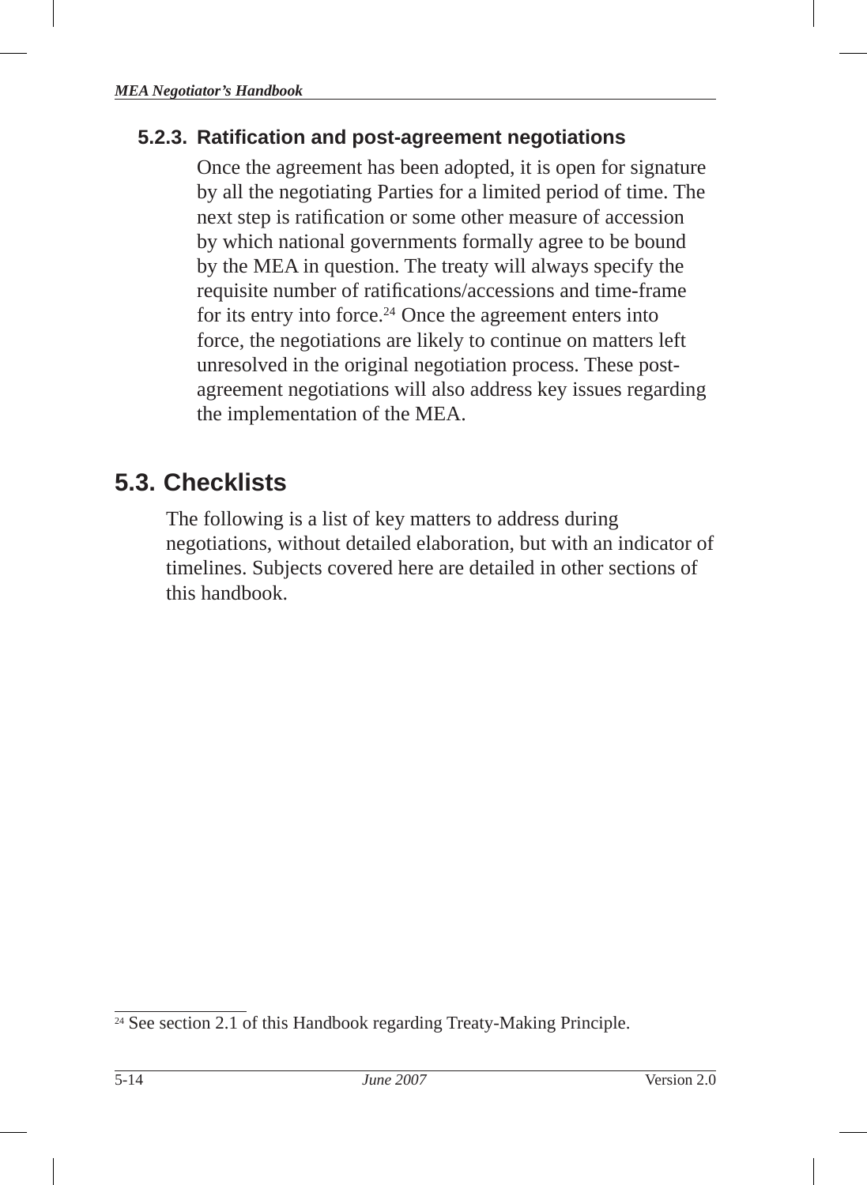## **5.2.3. Ratifi cation and post-agreement negotiations**

Once the agreement has been adopted, it is open for signature by all the negotiating Parties for a limited period of time. The next step is ratification or some other measure of accession by which national governments formally agree to be bound by the MEA in question. The treaty will always specify the requisite number of ratifications/accessions and time-frame for its entry into force. $24$  Once the agreement enters into force, the negotiations are likely to continue on matters left unresolved in the original negotiation process. These postagreement negotiations will also address key issues regarding the implementation of the MEA.

## **5.3. Checklists**

The following is a list of key matters to address during negotiations, without detailed elaboration, but with an indicator of timelines. Subjects covered here are detailed in other sections of this handbook.

<sup>&</sup>lt;sup>24</sup> See section 2.1 of this Handbook regarding Treaty-Making Principle.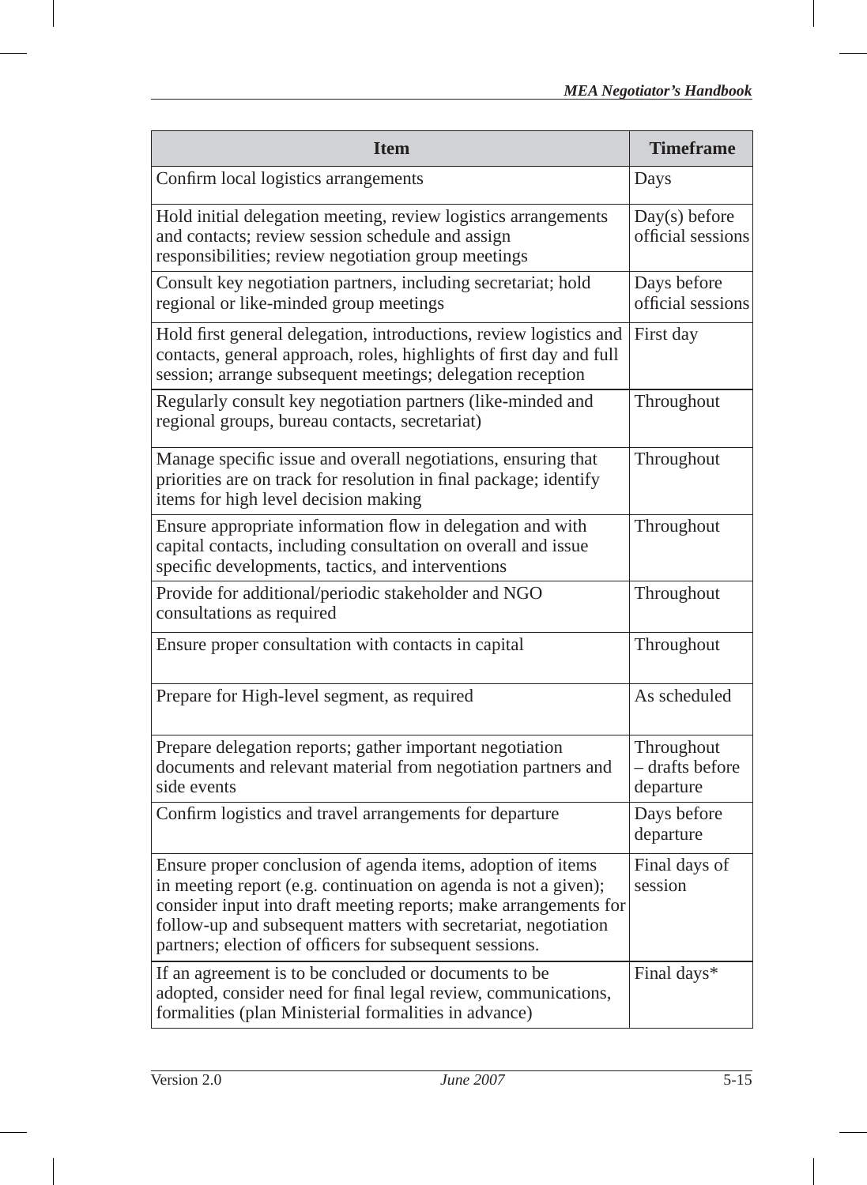| <b>Item</b>                                                                                                                                                                                                                                                                                                                     | <b>Timeframe</b>                           |
|---------------------------------------------------------------------------------------------------------------------------------------------------------------------------------------------------------------------------------------------------------------------------------------------------------------------------------|--------------------------------------------|
| Confirm local logistics arrangements                                                                                                                                                                                                                                                                                            | Days                                       |
| Hold initial delegation meeting, review logistics arrangements<br>and contacts; review session schedule and assign<br>responsibilities; review negotiation group meetings                                                                                                                                                       | $Day(s)$ before<br>official sessions       |
| Consult key negotiation partners, including secretariat; hold<br>regional or like-minded group meetings                                                                                                                                                                                                                         | Days before<br>official sessions           |
| Hold first general delegation, introductions, review logistics and<br>contacts, general approach, roles, highlights of first day and full<br>session; arrange subsequent meetings; delegation reception                                                                                                                         | First day                                  |
| Regularly consult key negotiation partners (like-minded and<br>regional groups, bureau contacts, secretariat)                                                                                                                                                                                                                   | Throughout                                 |
| Manage specific issue and overall negotiations, ensuring that<br>priorities are on track for resolution in final package; identify<br>items for high level decision making                                                                                                                                                      | Throughout                                 |
| Ensure appropriate information flow in delegation and with<br>capital contacts, including consultation on overall and issue<br>specific developments, tactics, and interventions                                                                                                                                                | Throughout                                 |
| Provide for additional/periodic stakeholder and NGO<br>consultations as required                                                                                                                                                                                                                                                | Throughout                                 |
| Ensure proper consultation with contacts in capital                                                                                                                                                                                                                                                                             | Throughout                                 |
| Prepare for High-level segment, as required                                                                                                                                                                                                                                                                                     | As scheduled                               |
| Prepare delegation reports; gather important negotiation<br>documents and relevant material from negotiation partners and<br>side events                                                                                                                                                                                        | Throughout<br>– drafts before<br>departure |
| Confirm logistics and travel arrangements for departure                                                                                                                                                                                                                                                                         | Days before<br>departure                   |
| Ensure proper conclusion of agenda items, adoption of items<br>in meeting report (e.g. continuation on agenda is not a given);<br>consider input into draft meeting reports; make arrangements for<br>follow-up and subsequent matters with secretariat, negotiation<br>partners; election of officers for subsequent sessions. | Final days of<br>session                   |
| If an agreement is to be concluded or documents to be<br>adopted, consider need for final legal review, communications,<br>formalities (plan Ministerial formalities in advance)                                                                                                                                                | Final days*                                |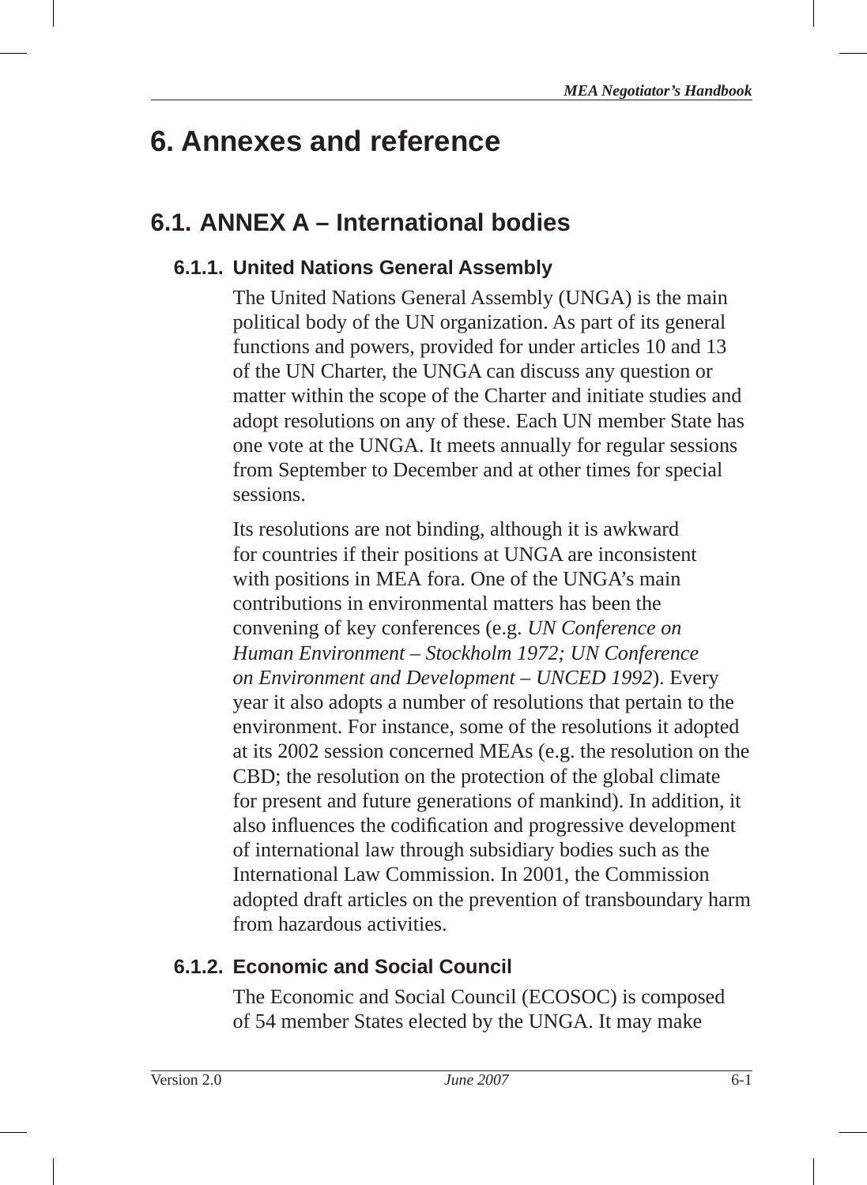# **6. Annexes and reference**

## **6.1. ANNEX A – International bodies**

## **6.1.1. United Nations General Assembly**

The United Nations General Assembly (UNGA) is the main political body of the UN organization. As part of its general functions and powers, provided for under articles 10 and 13 of the UN Charter, the UNGA can discuss any question or matter within the scope of the Charter and initiate studies and adopt resolutions on any of these. Each UN member State has one vote at the UNGA. It meets annually for regular sessions from September to December and at other times for special sessions.

Its resolutions are not binding, although it is awkward for countries if their positions at UNGA are inconsistent with positions in MEA fora. One of the UNGA's main contributions in environmental matters has been the convening of key conferences (e.g. *UN Conference on Human Environment – Stockholm 1972; UN Conference on Environment and Development – UNCED 1992*). Every year it also adopts a number of resolutions that pertain to the environment. For instance, some of the resolutions it adopted at its 2002 session concerned MEAs (e.g. the resolution on the CBD; the resolution on the protection of the global climate for present and future generations of mankind). In addition, it also influences the codification and progressive development of international law through subsidiary bodies such as the International Law Commission. In 2001, the Commission adopted draft articles on the prevention of transboundary harm from hazardous activities.

## **6.1.2. Economic and Social Council**

The Economic and Social Council (ECOSOC ) is composed of 54 member States elected by the UNGA. It may make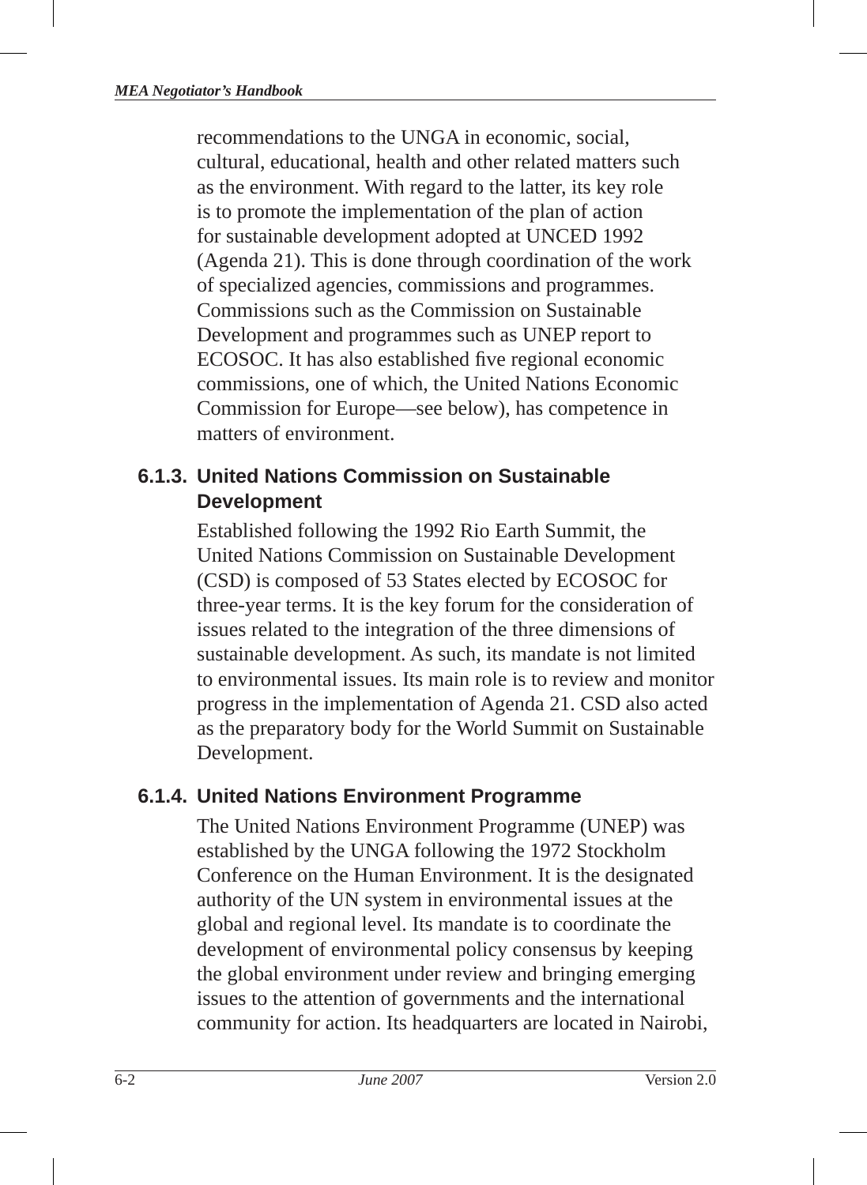recommendations to the UNGA in economic, social, cultural, educational, health and other related matters such as the environment. With regard to the latter, its key role is to promote the implementation of the plan of action for sustainable development adopted at UNCED 1992 (Agenda 21). This is done through coordination of the work of specialized agencies, commissions and programmes. Commissions such as the Commission on Sustainable Development and programmes such as UNEP report to ECOSOC. It has also established five regional economic commissions, one of which, the United Nations Economic Commission for Europe—see below), has competence in matters of environment.

## **6.1.3. United Nations Commission on Sustainable Development**

Established following the 1992 Rio Earth Summit, the United Nations Commission on Sustainable Development (CSD) is composed of 53 States elected by ECOSOC for three-year terms. It is the key forum for the consideration of issues related to the integration of the three dimensions of sustainable development. As such, its mandate is not limited to environmental issues. Its main role is to review and monitor progress in the implementation of Agenda 21 . CSD also acted as the preparatory body for the World Summit on Sustainable Development.

## **6.1.4. United Nations Environment Program me**

The United Nations Environment Programme (UNEP) was established by the UNGA following the 1972 Stockholm Conference on the Human Environment. It is the designated authority of the UN system in environmental issues at the global and regional level. Its mandate is to coordinate the development of environmental policy consensus by keeping the global environment under review and bringing emerging issues to the attention of governments and the international community for action. Its headquarters are located in Nairobi,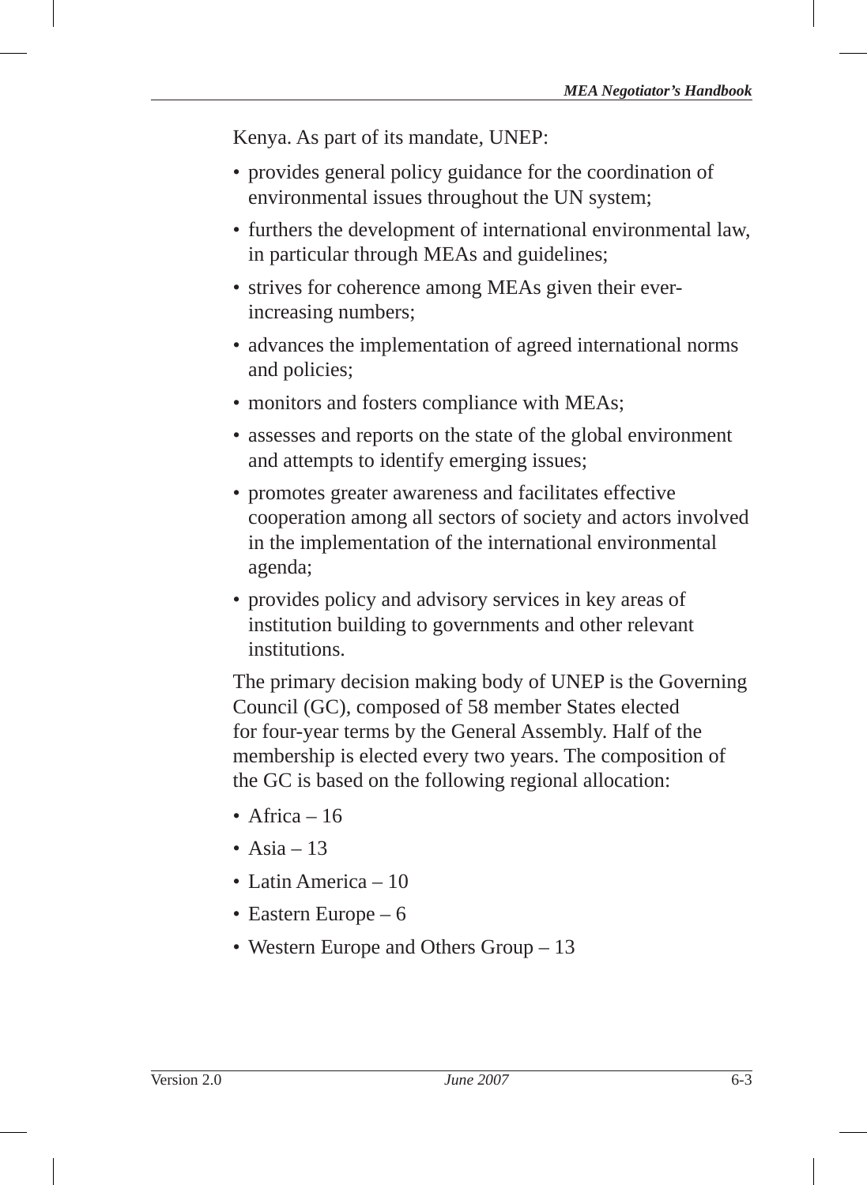Kenya. As part of its mandate, UNEP:

- provides general policy guidance for the coordination of environmental issues throughout the UN system;
- furthers the development of international environmental law, in particular through MEAs and guidelines;
- strives for coherence among MEAs given their everincreasing numbers;
- advances the implementation of agreed international norms and policies;
- monitors and fosters compliance with MEAs;
- assesses and reports on the state of the global environment and attempts to identify emerging issues;
- promotes greater awareness and facilitates effective cooperation among all sectors of society and actors involved in the implementation of the international environmental agenda;
- provides policy and advisory services in key areas of institution building to governments and other relevant institutions.

The primary decision making body of UNEP is the Governing Council (GC), composed of 58 member States elected for four-year terms by the General Assembly. Half of the membership is elected every two years. The composition of the GC is based on the following regional allocation:

- Africa  $16$
- Asia  $-13$
- Latin America 10
- Eastern Europe 6
- Western Europe and Others Group 13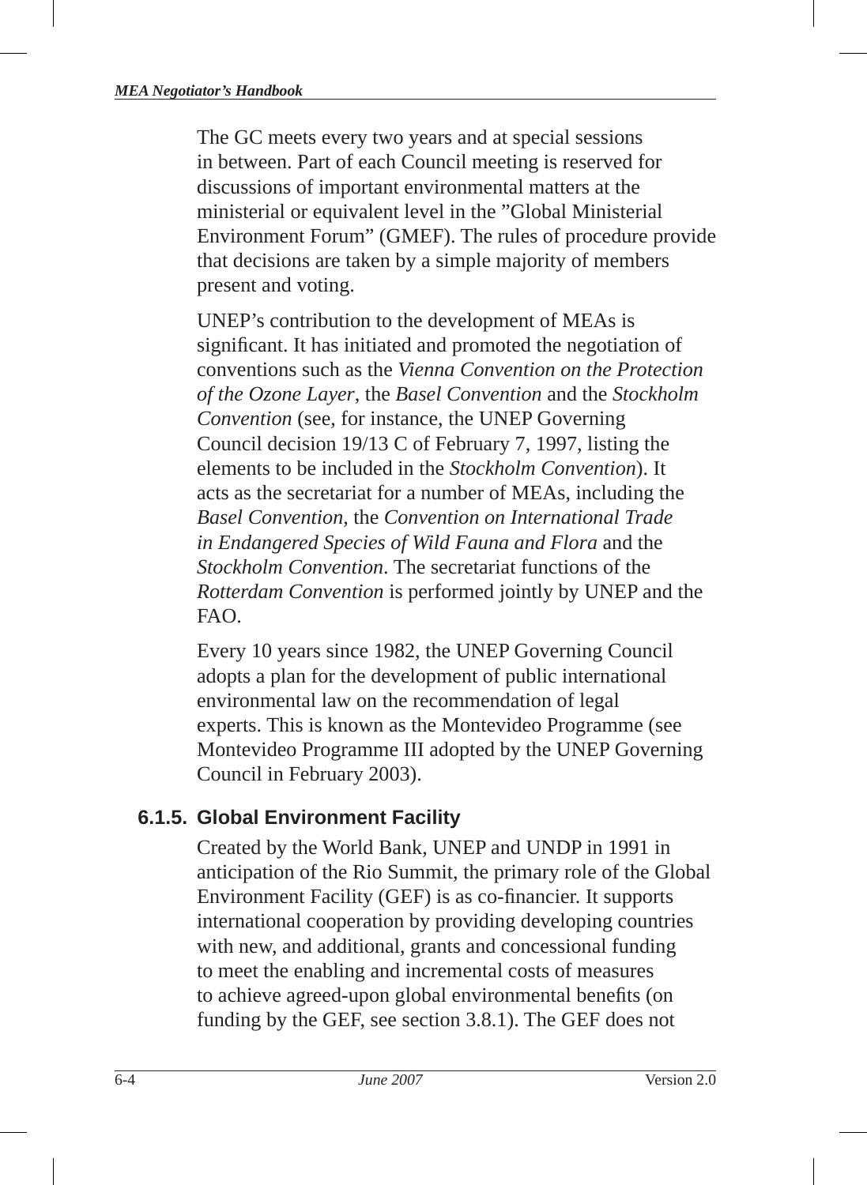The GC meets every two years and at special sessions in between. Part of each Council meeting is reserved for discussions of important environmental matters at the ministerial or equivalent level in the "Global Ministerial Environment Forum" (GMEF). The rules of procedure provide that decisions are taken by a simple majority of members present and voting.

UNEP's contribution to the development of MEAs is significant. It has initiated and promoted the negotiation of conventions such as the *Vienna Convention on the Protection of the Ozone Layer*, the *Basel Convention* and the *Stockholm Convention* (see, for instance, the UNEP Governing Council decision 19/13 C of February 7, 1997, listing the elements to be included in the *Stockholm Convention*). It acts as the secretariat for a number of MEAs, including the *Basel Convention*, the *Convention on International Trade in Endangered Species of Wild Fauna and Flora* and the *Stockholm Convention*. The secretariat functions of the *Rotterdam Convention* is performed jointly by UNEP and the FAO.

Every 10 years since 1982, the UNEP Governing Council adopts a plan for the development of public international environmental law on the recommendation of legal experts. This is known as the Montevideo Programme (see Montevideo Programme III adopted by the UNEP Governing Council in February 2003).

#### **6.1.5. Global Environment Facility**

Created by the World Bank, UNEP and UNDP in 1991 in anticipation of the Rio Summit, the primary role of the Global Environment Facility (GEF) is as co-financier. It supports international cooperation by providing developing countries with new, and additional, grants and concessional funding to meet the enabling and incremental costs of measures to achieve agreed-upon global environmental benefits (on funding by the GEF, see section 3.8.1). The GEF does not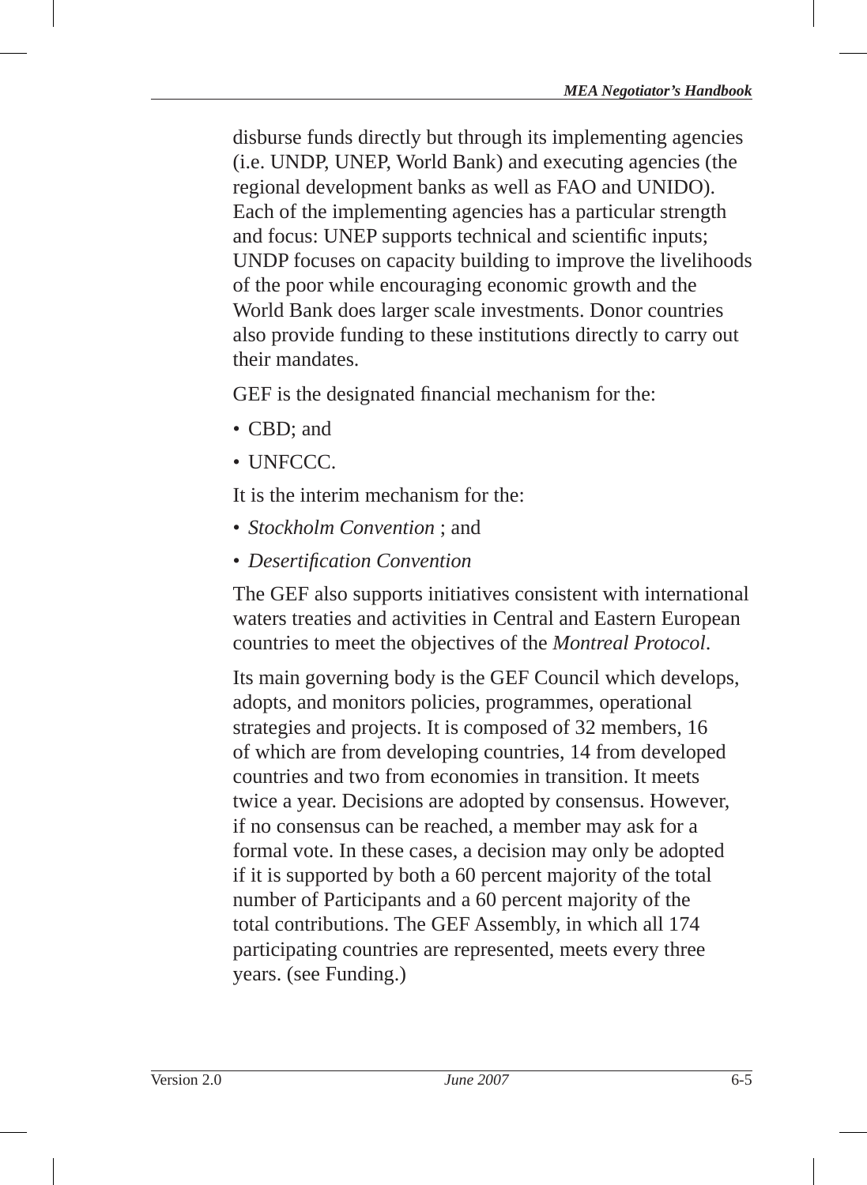disburse funds directly but through its implementing agencies (i.e. UNDP, UNEP, World Bank) and executing agencies (the regional development banks as well as FAO and UNIDO). Each of the implementing agencies has a particular strength and focus: UNEP supports technical and scientific inputs; UNDP focuses on capacity building to improve the livelihoods of the poor while encouraging economic growth and the World Bank does larger scale investments. Donor countries also provide funding to these institutions directly to carry out their mandates.

GEF is the designated financial mechanism for the:

- CBD; and
- UNFCCC.

It is the interim mechanism for the:

- *Stockholm Convention* ; and
- *Desertifi cation Convention*

The GEF also supports initiatives consistent with international waters treaties and activities in Central and Eastern European countries to meet the objectives of the *Montreal Protocol*.

Its main governing body is the GEF Council which develops, adopts, and monitors policies, programmes, operational strategies and projects. It is composed of 32 members, 16 of which are from developing countries, 14 from developed countries and two from economies in transition. It meets twice a year. Decisions are adopted by consensus. However, if no consensus can be reached, a member may ask for a formal vote. In these cases, a decision may only be adopted if it is supported by both a 60 percent majority of the total number of Participants and a 60 percent majority of the total contributions. The GEF Assembly, in which all 174 participating countries are represented, meets every three years. (see Funding.)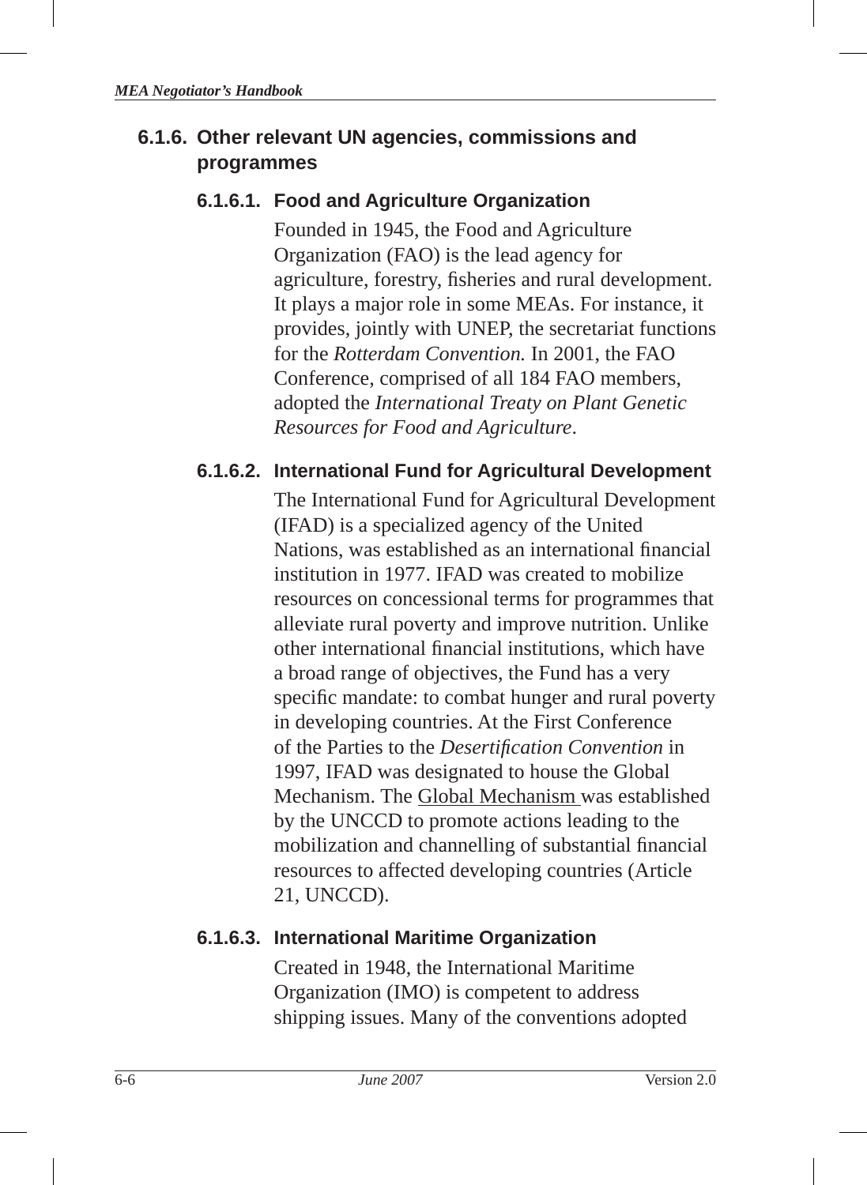## **6.1.6. Other relevant UN agencies, commissions and programmes**

#### **6.1.6.1. Food and Agriculture Organization**

Founded in 1945, the Food and Agriculture Organization (FAO) is the lead agency for agriculture, forestry, fisheries and rural development. It plays a major role in some MEAs. For instance, it provides, jointly with UNEP, the secretariat functions for the *Rotterdam Convention.* In 2001, the FAO Conference, comprised of all 184 FAO members, adopted the *International Treaty on Plant Genetic Resources for Food and Agriculture*.

#### **6.1.6.2. International Fund for Agricultural Development**

The International Fund for Agricultural Development (IFAD) is a specialized agency of the United Nations, was established as an international financial institution in 1977. IFAD was created to mobilize resources on concessional terms for programmes that alleviate rural poverty and improve nutrition. Unlike other international financial institutions, which have a broad range of objectives, the Fund has a very specific mandate: to combat hunger and rural poverty in developing countries. At the First Conference of the Parties to the *Desertifi cation Convention* in 1997, IFAD was designated to house the Global Mechanism. The Global Mechanism was established by the UNCCD to promote actions leading to the mobilization and channelling of substantial financial resources to affected developing countries (Article 21, UNCCD).

#### **6.1.6.3. International Maritime Organization**

Created in 1948, the International Maritime Organization (IMO) is competent to address shipping issues. Many of the conventions adopted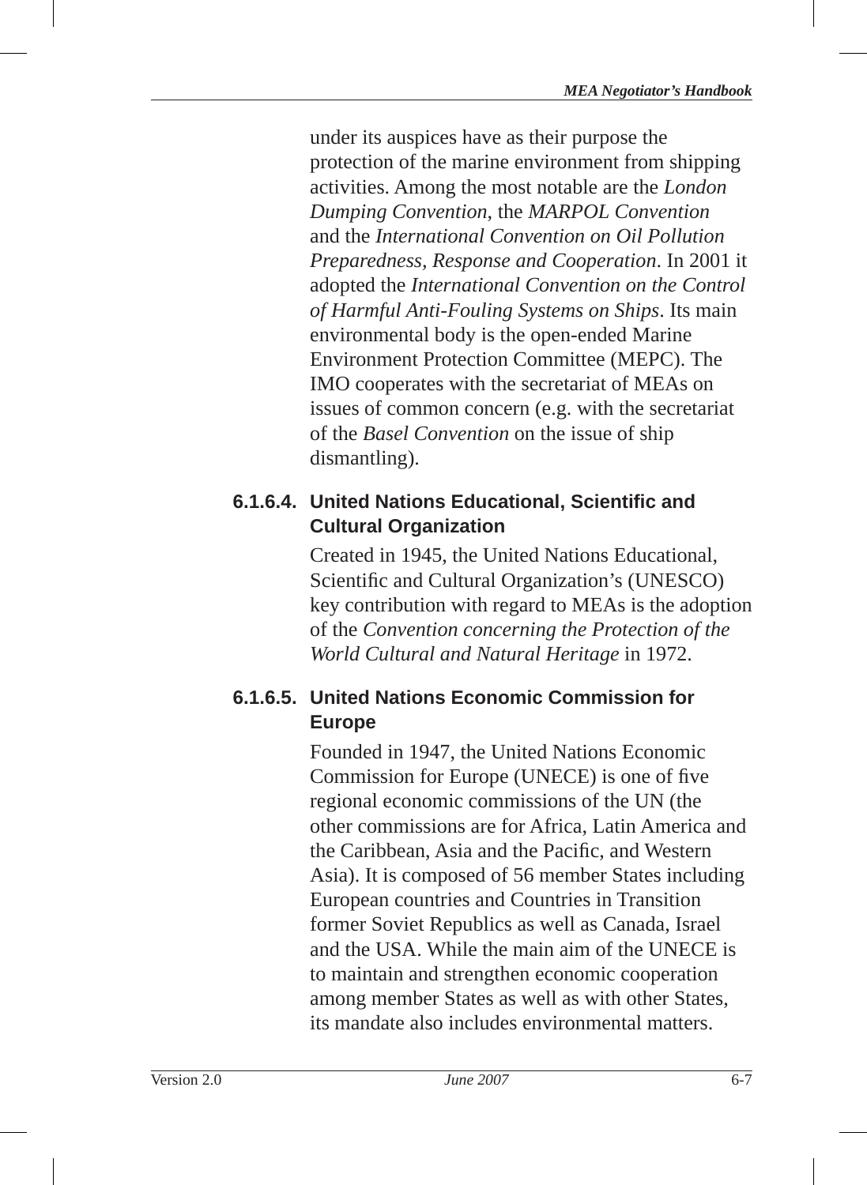under its auspices have as their purpose the protection of the marine environment from shipping activities. Among the most notable are the *London Dumping Convention*, the *MARPOL Convention* and the *International Convention on Oil Pollution Preparedness, Response and Cooperation*. In 2001 it adopted the *International Convention on the Control of Harmful Anti-Fouling Systems on Ships*. Its main environmental body is the open-ended Marine Environment Protection Committee (MEPC). The IMO cooperates with the secretariat of MEAs on issues of common concern (e.g. with the secretariat of the *Basel Convention* on the issue of ship dismantling).

## **6.1.6.4. United Nations Educational, Scientifi c and Cultural Organization**

Created in 1945, the United Nations Educational, Scientific and Cultural Organization's (UNESCO) key contribution with regard to MEAs is the adoption of the *Convention concerning the Protection of the World Cultural and Natural Heritage* in 1972.

## **6.1.6.5. United Nations Economic Commission for Europe**

Founded in 1947, the United Nations Economic Commission for Europe (UNECE) is one of five regional economic commissions of the UN (the other commissions are for Africa, Latin America and the Caribbean, Asia and the Pacific, and Western Asia). It is composed of 56 member States including European countries and Countries in Transition former Soviet Republics as well as Canada, Israel and the USA. While the main aim of the UNECE is to maintain and strengthen economic cooperation among member States as well as with other States, its mandate also includes environmental matters.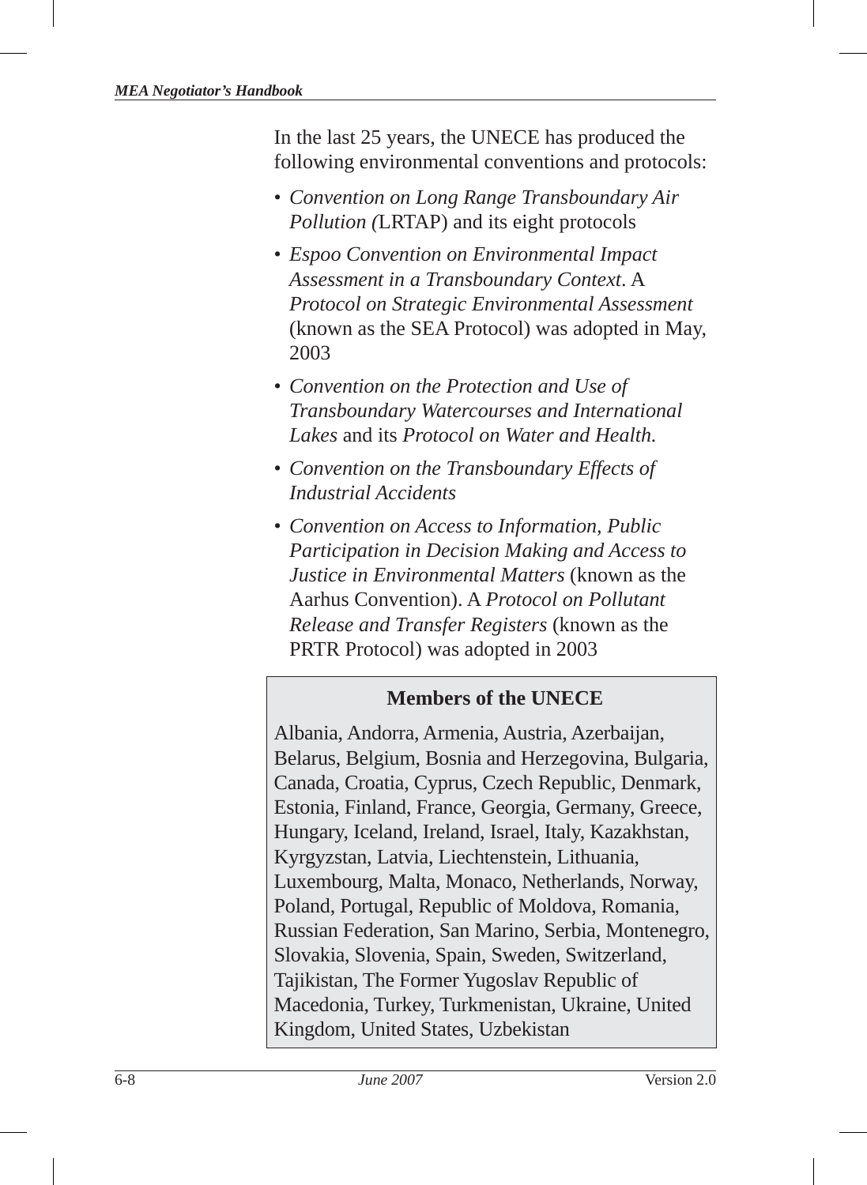In the last 25 years, the UNECE has produced the following environmental conventions and protocols:

- *Convention on Long Range Transboundary Air Pollution (*LRTAP) and its eight protocols
- *Espoo Convention on Environmental Impact Assessment in a Transboundary Context*. A *Protocol on Strategic Environmental Assessment* (known as the SEA Protocol) was adopted in May, 2003
- *Convention on the Protection and Use of Transboundary Watercourses and International Lakes* and its *Protocol on Water and Health.*
- *Convention on the Transboundary Effects of Industrial Accidents*
- *Convention on Access to Information, Public Participation in Decision Making and Access to Justice in Environmental Matters* (known as the Aarhus Convention). A *Protocol on Pollutant Release and Transfer Registers* (known as the PRTR Protocol) was adopted in 2003

## **Members of the UNECE**

Albania, Andorra, Armenia, Austria, Azerbaijan, Belarus, Belgium, Bosnia and Herzegovina, Bulgaria, Canada, Croatia, Cyprus, Czech Republic, Denmark, Estonia, Finland, France, Georgia, Germany, Greece, Hungary, Iceland, Ireland, Israel, Italy, Kazakhstan, Kyrgyzstan, Latvia, Liechtenstein, Lithuania, Luxembourg, Malta, Monaco, Netherlands, Norway, Poland, Portugal, Republic of Moldova, Romania, Russian Federation, San Marino, Serbia, Montenegro, Slovakia, Slovenia, Spain, Sweden, Switzerland, Tajikistan, The Former Yugoslav Republic of Macedonia, Turkey, Turkmenistan, Ukraine, United Kingdom, United States, Uzbekistan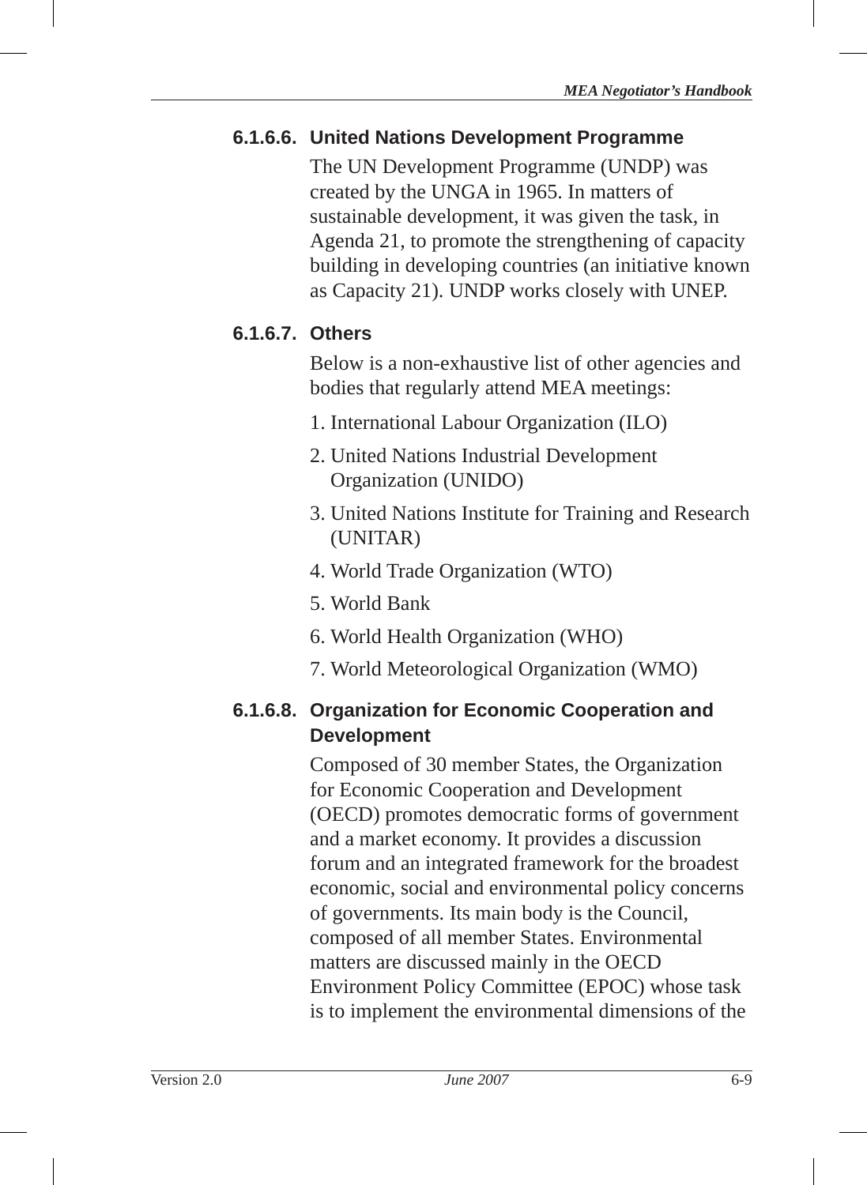## **6.1.6.6. United Nations Development Programme**

The UN Development Programme (UNDP) was created by the UNGA in 1965. In matters of sustainable development, it was given the task, in Agenda 21 , to promote the strengthening of capacity building in developing countries (an initiative known as Capacity 21). UNDP works closely with UNEP.

## **6.1.6.7. Others**

Below is a non-exhaustive list of other agencies and bodies that regularly attend MEA meetings:

- 1. International Labour Organization (ILO)
- 2. United Nations Industrial Development Organization (UNIDO)
- 3. United Nations Institute for Training and Research (UNITAR)
- 4. World Trade Organization (WTO)
- 5. World Bank
- 6. World Health Organization (WHO)
- 7. World Meteorological Organization (WMO)

#### **6.1.6.8. Organization for Economic Cooperation and Development**

Composed of 30 member States, the Organization for Economic Cooperation and Development (OECD) promotes democratic forms of government and a market economy. It provides a discussion forum and an integrated framework for the broadest economic, social and environmental policy concerns of governments. Its main body is the Council, composed of all member States. Environmental matters are discussed mainly in the OECD Environment Policy Committee (EPOC) whose task is to implement the environmental dimensions of the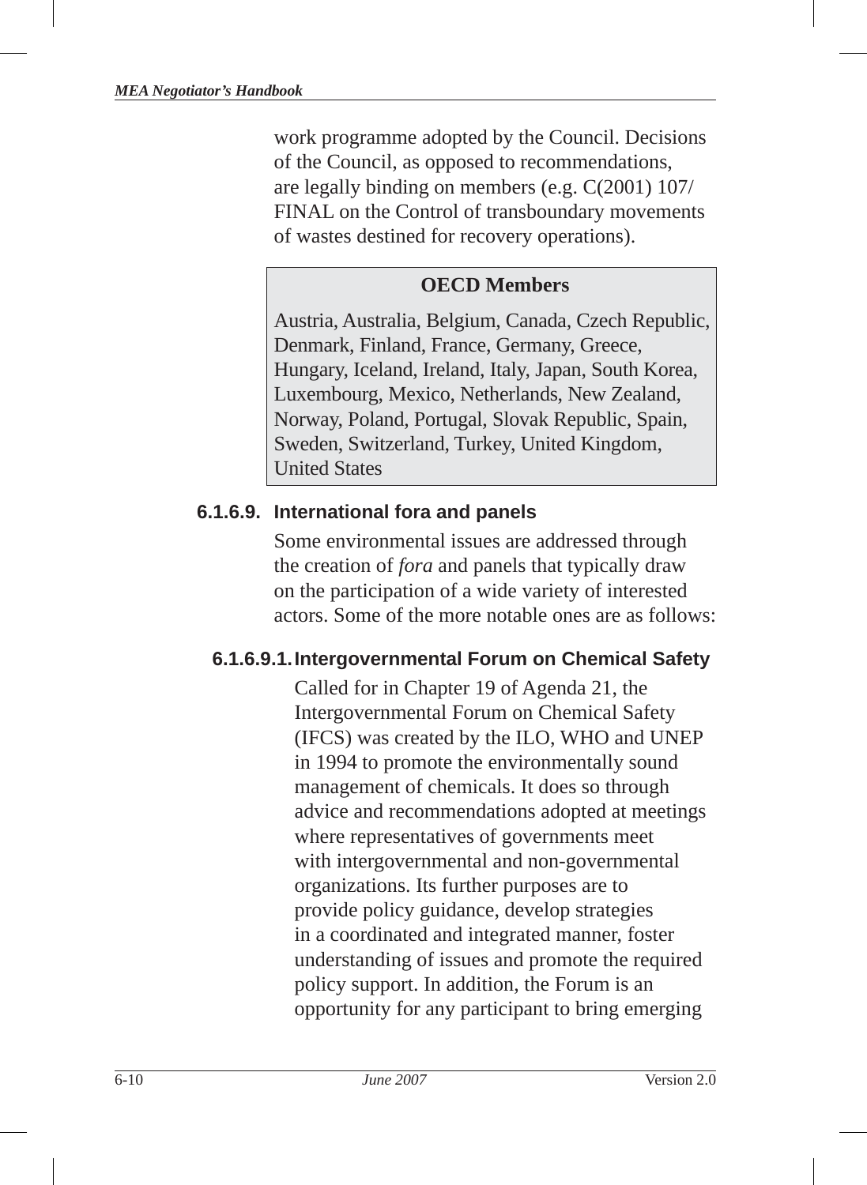work programme adopted by the Council. Decisions of the Council, as opposed to recommendations, are legally binding on members (e.g. C(2001) 107/ FINAL on the Control of transboundary movements of wastes destined for recovery operations).

#### **OECD Members**

Austria, Australia, Belgium, Canada, Czech Republic, Denmark, Finland, France, Germany, Greece, Hungary, Iceland, Ireland, Italy, Japan, South Korea, Luxembourg, Mexico, Netherlands, New Zealand, Norway, Poland, Portugal, Slovak Republic, Spain, Sweden, Switzerland, Turkey, United Kingdom, United States

## **6.1.6.9. International fora and panels**

Some environmental issues are addressed through the creation of *fora* and panels that typically draw on the participation of a wide variety of interested actors. Some of the more notable ones are as follows:

## **6.1.6.9.1. Intergovernmental Forum on Chemical Safety**

Called for in Chapter 19 of Agenda 21, the Intergovernmental Forum on Chemical Safety (IFCS) was created by the ILO, WHO and UNEP in 1994 to promote the environmentally sound management of chemicals. It does so through advice and recommendations adopted at meetings where representatives of governments meet with intergovernmental and non-governmental organizations. Its further purposes are to provide policy guidance, develop strategies in a coordinated and integrated manner, foster understanding of issues and promote the required policy support. In addition, the Forum is an opportunity for any participant to bring emerging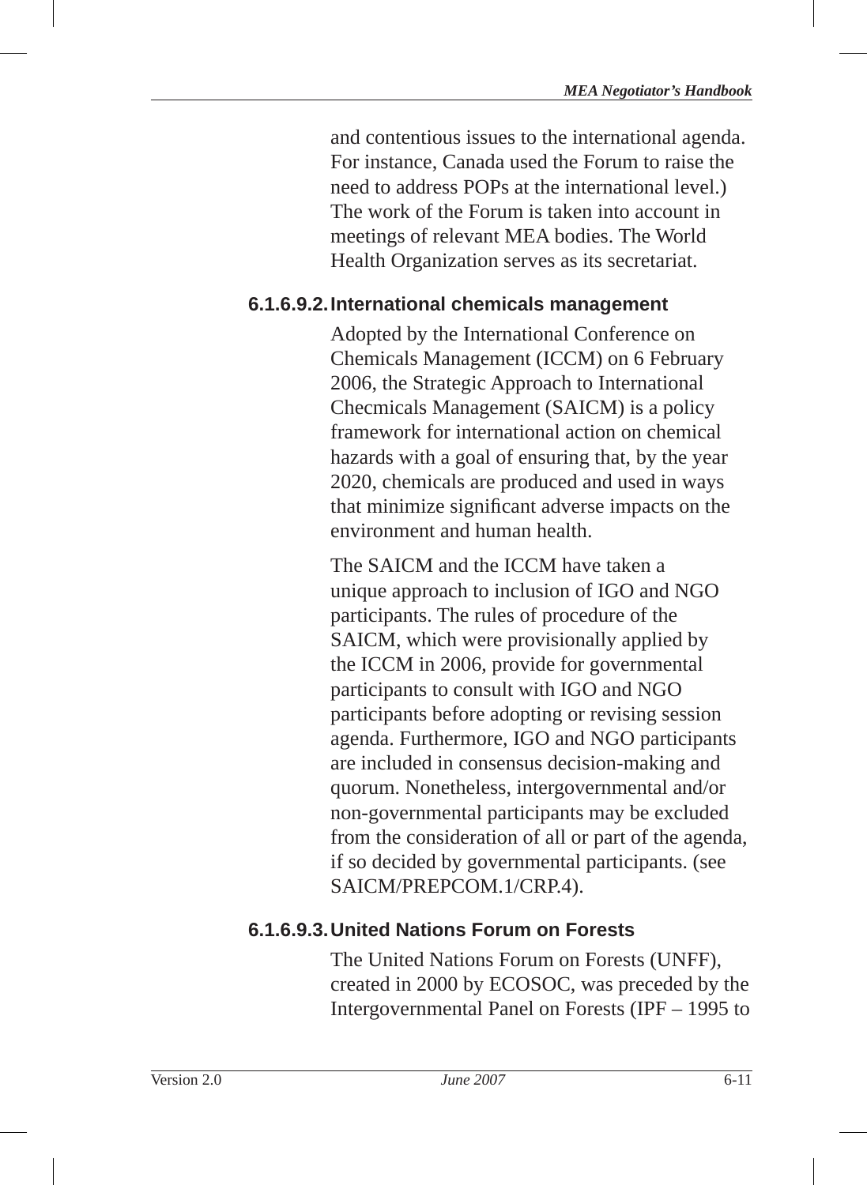and contentious issues to the international agenda. For instance, Canada used the Forum to raise the need to address POPs at the international level.) The work of the Forum is taken into account in meetings of relevant MEA bodies. The World Health Organization serves as its secretariat.

## **6.1.6.9.2. International chemicals management**

Adopted by the International Conference on Chemicals Management (ICCM) on 6 February 2006, the Strategic Approach to International Checmicals Management (SAICM) is a policy framework for international action on chemical hazards with a goal of ensuring that, by the year 2020, chemicals are produced and used in ways that minimize significant adverse impacts on the environment and human health.

The SAICM and the ICCM have taken a unique approach to inclusion of IGO and NGO participants. The rules of procedure of the SAICM, which were provisionally applied by the ICCM in 2006, provide for governmental participants to consult with IGO and NGO participants before adopting or revising session agenda. Furthermore, IGO and NGO participants are included in consensus decision-making and quorum. Nonetheless, intergovernmental and/or non-governmental participants may be excluded from the consideration of all or part of the agenda, if so decided by governmental participants. (see SAICM/PREPCOM.1/CRP.4).

## **6.1.6.9.3. United Nations Forum on Forests**

The United Nations Forum on Forests (UNFF), created in 2000 by ECOSOC, was preceded by the Intergovernmental Panel on Forests (IPF – 1995 to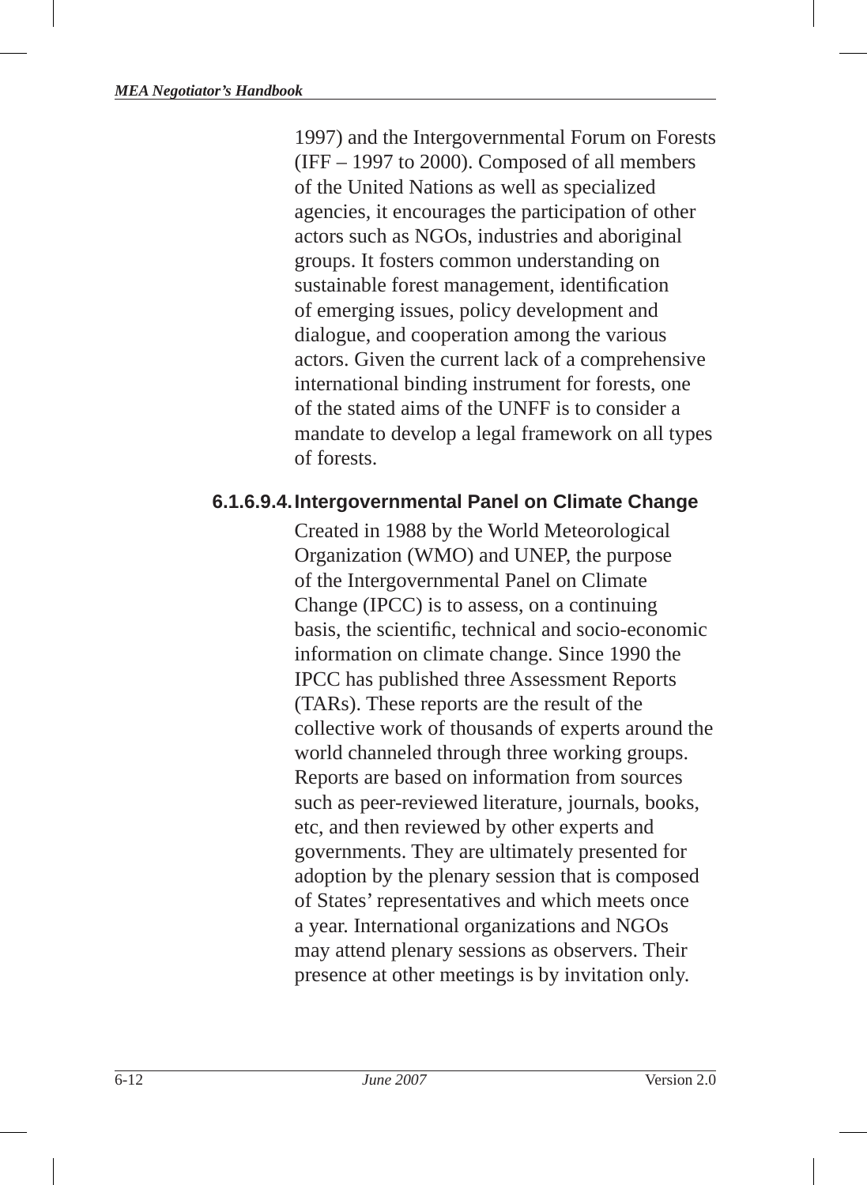1997) and the Intergovernmental Forum on Forests (IFF – 1997 to 2000). Composed of all members of the United Nations as well as specialized agencies, it encourages the participation of other actors such as NGOs, industries and aboriginal groups. It fosters common understanding on sustainable forest management, identification of emerging issues, policy development and dialogue, and cooperation among the various actors. Given the current lack of a comprehensive international binding instrument for forests, one of the stated aims of the UNFF is to consider a mandate to develop a legal framework on all types of forests.

#### **6.1.6.9.4. Intergovernmental Panel on Climate Change**

Created in 1988 by the World Meteorological Organization (WMO) and UNEP, the purpose of the Intergovernmental Panel on Climate Change (IPCC) is to assess, on a continuing basis, the scientific, technical and socio-economic information on climate change. Since 1990 the IPCC has published three Assessment Reports (TARs). These reports are the result of the collective work of thousands of experts around the world channeled through three working groups. Reports are based on information from sources such as peer-reviewed literature, journals, books, etc, and then reviewed by other experts and governments. They are ultimately presented for adoption by the plenary session that is composed of States' representatives and which meets once a year. International organizations and NGOs may attend plenary sessions as observers. Their presence at other meetings is by invitation only.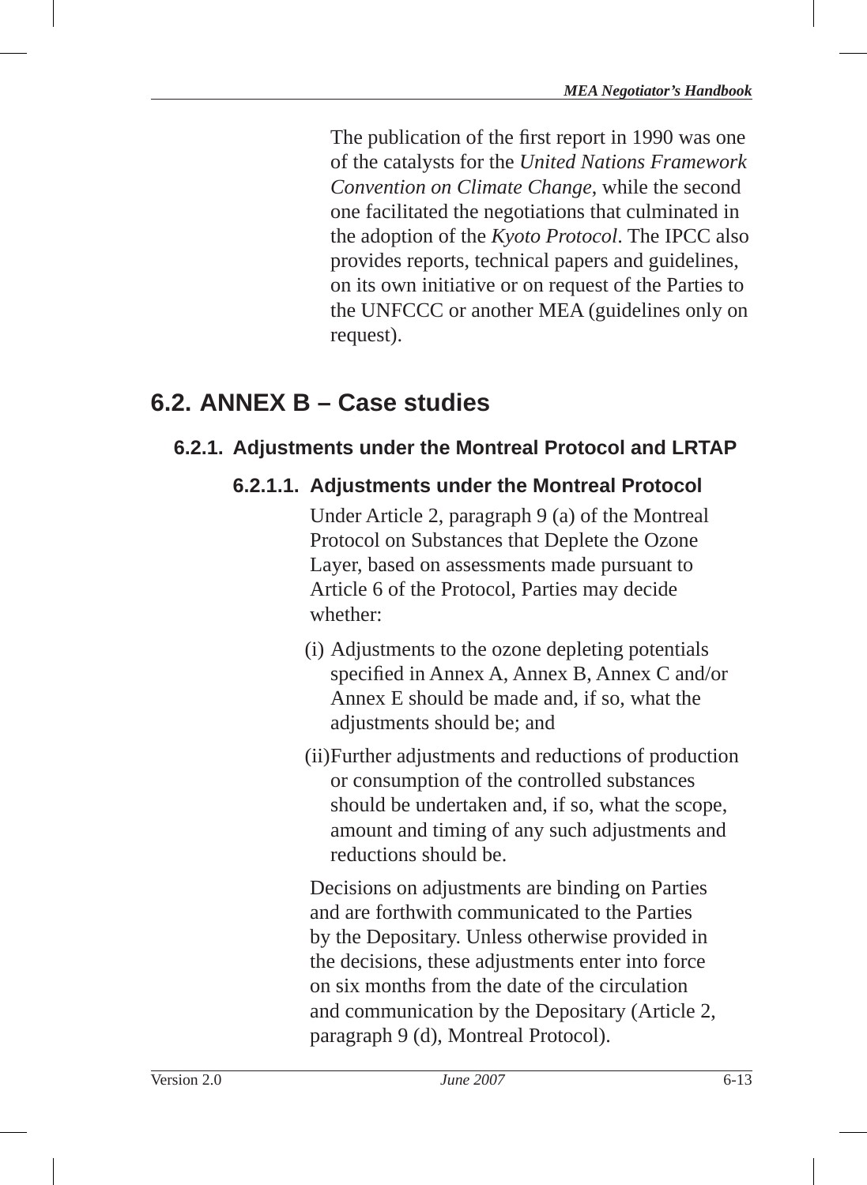The publication of the first report in 1990 was one of the catalysts for the *United Nations Framework Convention on Climate Change*, while the second one facilitated the negotiations that culminated in the adoption of the *Kyoto Protocol* . The IPCC also provides reports, technical papers and guidelines, on its own initiative or on request of the Parties to the UNFCCC or another MEA (guidelines only on request).

## **6.2. ANNEX B – Case studies**

## **6.2.1. Adjustments under the Montreal Protocol and LRTAP**

## **6.2.1.1. Adjustments under the Montreal Protocol**

Under Article 2, paragraph 9 (a) of the Montreal Protocol on Substances that Deplete the Ozone Layer, based on assessments made pursuant to Article 6 of the Protocol, Parties may decide whether:

- (i) Adjustments to the ozone depleting potentials specified in Annex A, Annex B, Annex C and/or Annex E should be made and, if so, what the adjustments should be; and
- (ii) Further adjustments and reductions of production or consumption of the controlled substances should be undertaken and, if so, what the scope, amount and timing of any such adjustments and reductions should be.

Decisions on adjustments are binding on Parties and are forthwith communicated to the Parties by the Depositary. Unless otherwise provided in the decisions, these adjustments enter into force on six months from the date of the circulation and communication by the Depositary (Article 2, paragraph 9 (d), Montreal Protocol).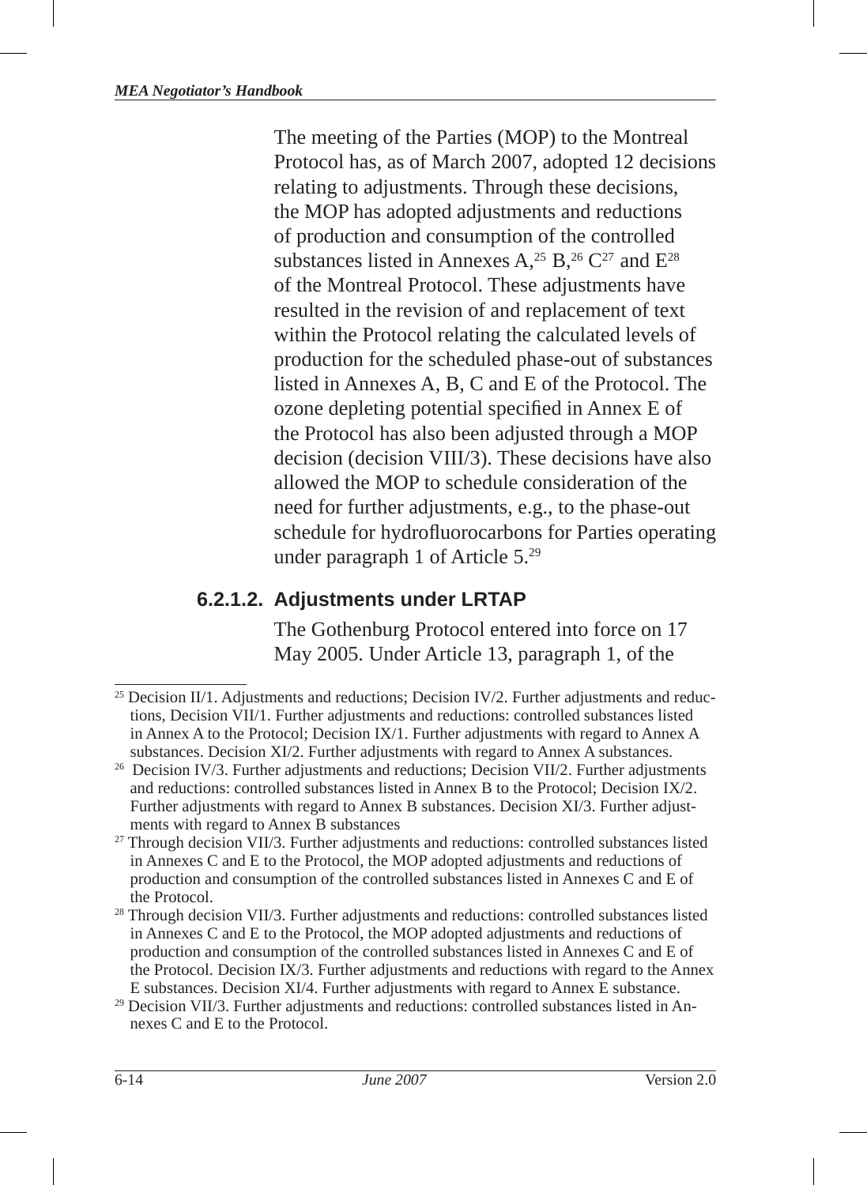The meeting of the Parties (MOP) to the Montreal Protocol has, as of March 2007, adopted 12 decisions relating to adjustments. Through these decisions, the MOP has adopted adjustments and reductions of production and consumption of the controlled substances listed in Annexes A,<sup>25</sup> B,<sup>26</sup> C<sup>27</sup> and E<sup>28</sup> of the Montreal Protocol. These adjustments have resulted in the revision of and replacement of text within the Protocol relating the calculated levels of production for the scheduled phase-out of substances listed in Annexes A, B, C and E of the Protocol. The ozone depleting potential specified in Annex E of the Protocol has also been adjusted through a MOP decision (decision VIII/3). These decisions have also allowed the MOP to schedule consideration of the need for further adjustments, e.g., to the phase-out schedule for hydrofluorocarbons for Parties operating under paragraph 1 of Article  $5.^{29}$ 

## **6.2.1.2. Adjustments under LRTAP**

The Gothenburg Protocol entered into force on 17 May 2005. Under Article 13, paragraph 1, of the

<sup>&</sup>lt;sup>25</sup> Decision II/1. Adjustments and reductions; Decision IV/2. Further adjustments and reductions, Decision VII/1. Further adjustments and reductions: controlled substances listed in Annex A to the Protocol; Decision IX/1. Further adjustments with regard to Annex A substances. Decision XI/2. Further adjustments with regard to Annex A substances.

<sup>&</sup>lt;sup>26</sup> Decision IV/3. Further adjustments and reductions; Decision VII/2. Further adjustments and reductions: controlled substances listed in Annex B to the Protocol; Decision IX/2. Further adjustments with regard to Annex B substances. Decision XI/3. Further adjustments with regard to Annex B substances

<sup>&</sup>lt;sup>27</sup> Through decision VII/3. Further adjustments and reductions: controlled substances listed in Annexes C and E to the Protocol, the MOP adopted adjustments and reductions of production and consumption of the controlled substances listed in Annexes C and E of

the Protocol. 28 Through decision VII/3. Further adjustments and reductions: controlled substances listed in Annexes C and E to the Protocol, the MOP adopted adjustments and reductions of production and consumption of the controlled substances listed in Annexes C and E of the Protocol. Decision IX/3. Further adjustments and reductions with regard to the Annex E substances. Decision XI/4. Further adjustments with regard to Annex E substance.

<sup>29</sup> Decision VII/3. Further adjustments and reductions: controlled substances listed in Annexes C and E to the Protocol.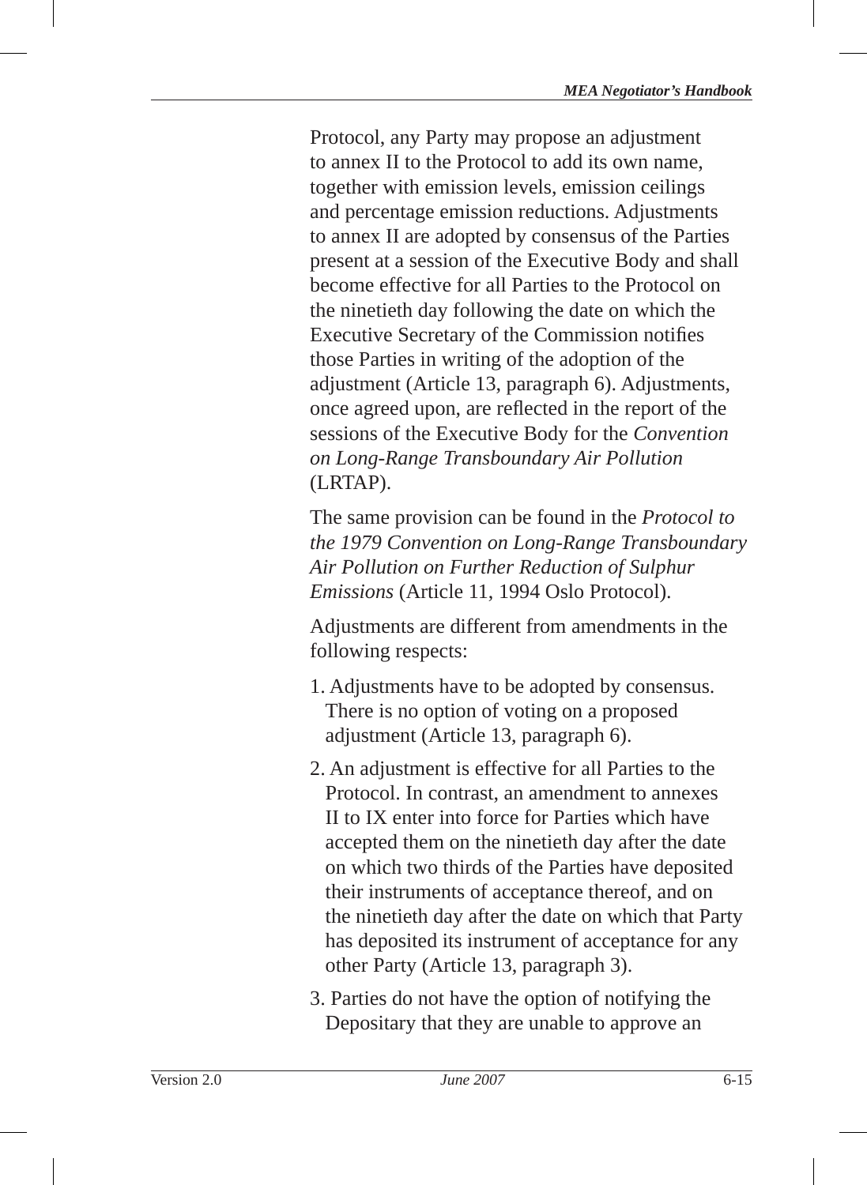Protocol, any Party may propose an adjustment to annex II to the Protocol to add its own name, together with emission levels, emission ceilings and percentage emission reductions. Adjustments to annex II are adopted by consensus of the Parties present at a session of the Executive Body and shall become effective for all Parties to the Protocol on the ninetieth day following the date on which the Executive Secretary of the Commission notifies those Parties in writing of the adoption of the adjustment (Article 13, paragraph 6). Adjustments, once agreed upon, are reflected in the report of the sessions of the Executive Body for the *Convention on Long-Range Transboundary Air Pollution*  (LRTAP).

The same provision can be found in the *Protocol to the 1979 Convention on Long-Range Transboundary Air Pollution on Further Reduction of Sulphur Emissions* (Article 11, 1994 Oslo Protocol).

Adjustments are different from amendments in the following respects:

- 1. Adjustments have to be adopted by consensus. There is no option of voting on a proposed adjustment (Article 13, paragraph 6).
- 2. An adjustment is effective for all Parties to the Protocol. In contrast, an amendment to annexes II to IX enter into force for Parties which have accepted them on the ninetieth day after the date on which two thirds of the Parties have deposited their instruments of acceptance thereof, and on the ninetieth day after the date on which that Party has deposited its instrument of acceptance for any other Party (Article 13, paragraph 3).
- 3. Parties do not have the option of notifying the Depositary that they are unable to approve an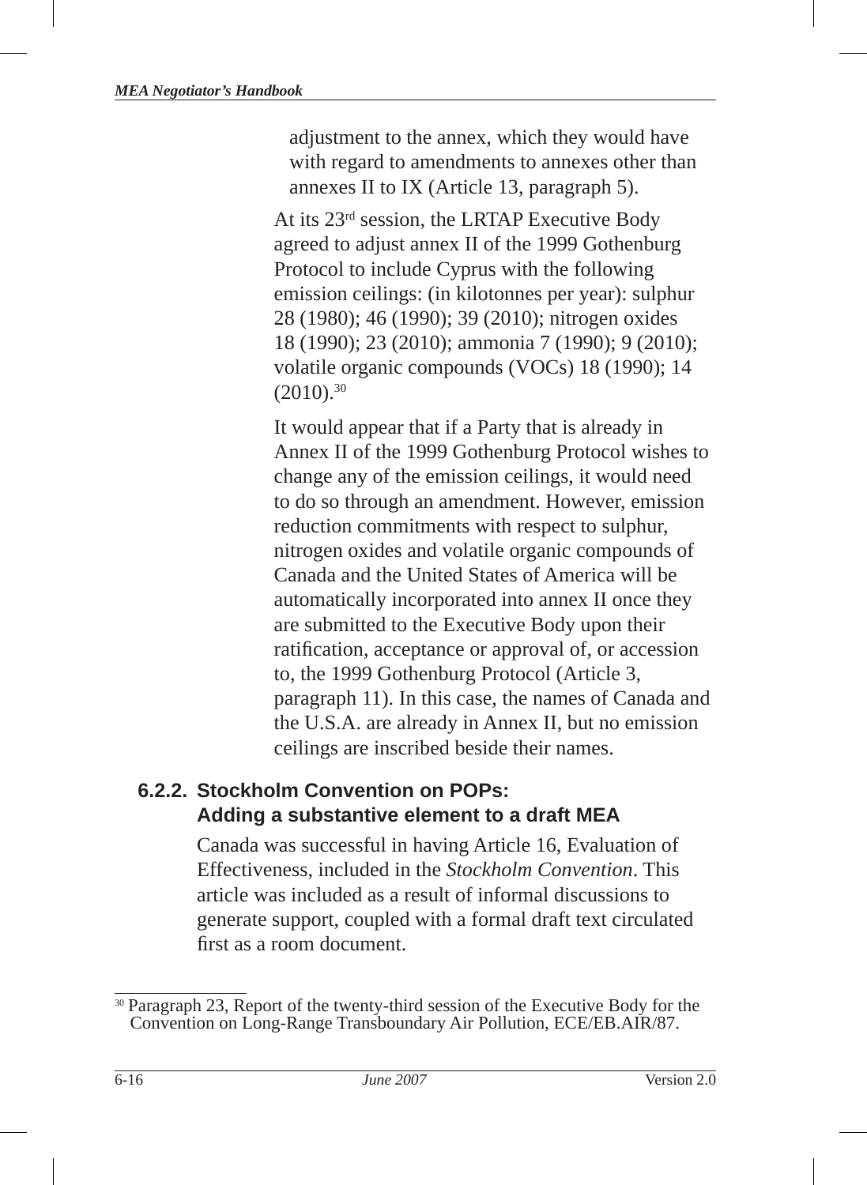adjustment to the annex, which they would have with regard to amendments to annexes other than annexes II to IX (Article 13, paragraph 5).

At its 23rd session, the LRTAP Executive Body agreed to adjust annex II of the 1999 Gothenburg Protocol to include Cyprus with the following emission ceilings: (in kilotonnes per year): sulphur 28 (1980); 46 (1990); 39 (2010); nitrogen oxides 18 (1990); 23 (2010); ammonia 7 (1990); 9 (2010); volatile organic compounds (VOCs) 18 (1990); 14  $(2010).^{30}$ 

It would appear that if a Party that is already in Annex II of the 1999 Gothenburg Protocol wishes to change any of the emission ceilings, it would need to do so through an amendment. However, emission reduction commitments with respect to sulphur, nitrogen oxides and volatile organic compounds of Canada and the United States of America will be automatically incorporated into annex II once they are submitted to the Executive Body upon their ratification, acceptance or approval of, or accession to, the 1999 Gothenburg Protocol (Article 3, paragraph 11). In this case, the names of Canada and the U.S.A. are already in Annex II, but no emission ceilings are inscribed beside their names.

## **6.2.2. Stockholm Convention on POPs: Adding a substantive element to a draft MEA**

Canada was successful in having Article 16, Evaluation of Effectiveness, included in the *Stockholm Convention*. This article was included as a result of informal discussions to generate support, coupled with a formal draft text circulated first as a room document.

<sup>&</sup>lt;sup>30</sup> Paragraph 23, Report of the twenty-third session of the Executive Body for the Convention on Long-Range Transboundary Air Pollution, ECE/EB.AIR/87.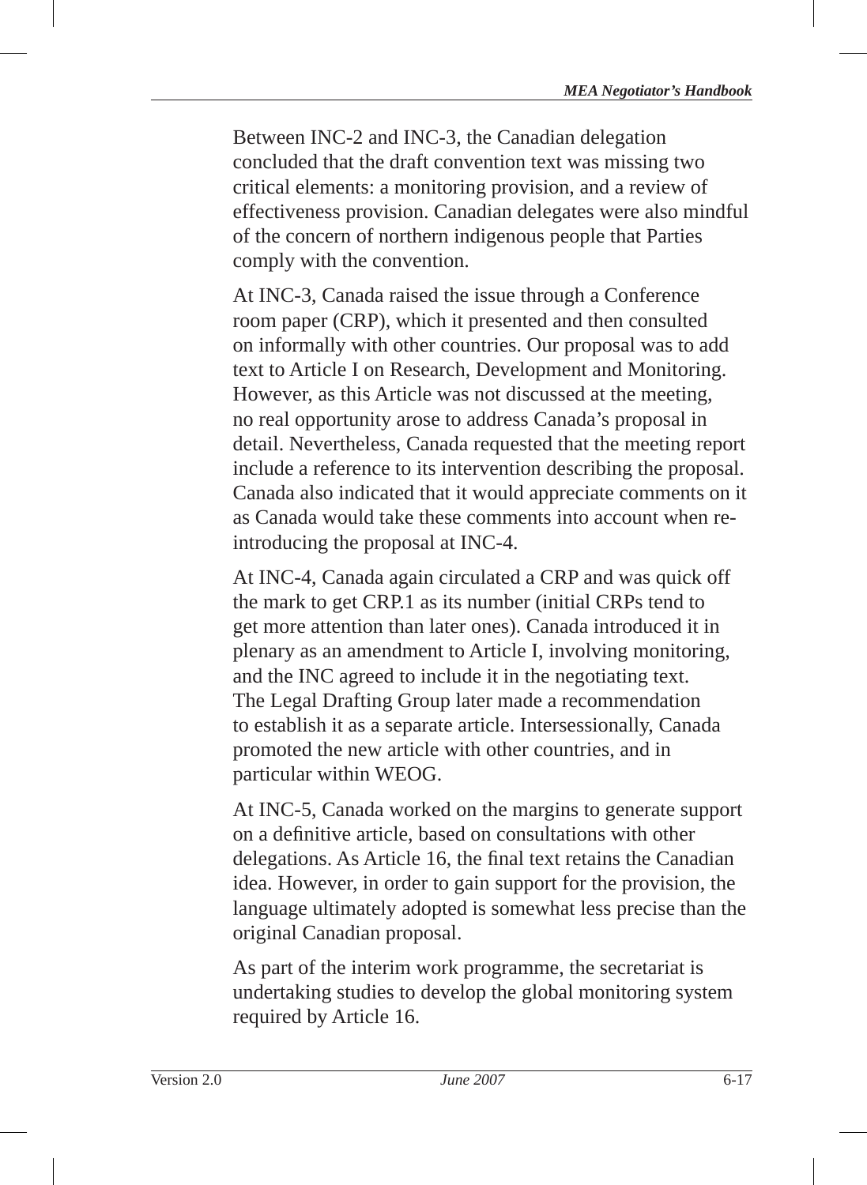Between INC-2 and INC-3, the Canadian delegation concluded that the draft convention text was missing two critical elements: a monitoring provision, and a review of effectiveness provision. Canadian delegates were also mindful of the concern of northern indigenous people that Parties comply with the convention.

At INC-3, Canada raised the issue through a Conference room paper (CRP), which it presented and then consulted on informally with other countries. Our proposal was to add text to Article I on Research, Development and Monitoring. However, as this Article was not discussed at the meeting, no real opportunity arose to address Canada's proposal in detail. Nevertheless, Canada requested that the meeting report include a reference to its intervention describing the proposal. Canada also indicated that it would appreciate comments on it as Canada would take these comments into account when reintroducing the proposal at INC-4.

At INC-4, Canada again circulated a CRP and was quick off the mark to get CRP.1 as its number (initial CRPs tend to get more attention than later ones). Canada introduced it in plenary as an amendment to Article I, involving monitoring, and the INC agreed to include it in the negotiating text. The Legal Drafting Group later made a recommendation to establish it as a separate article. Intersessionally, Canada promoted the new article with other countries, and in particular within WEOG.

At INC-5, Canada worked on the margins to generate support on a definitive article, based on consultations with other delegations. As Article 16, the final text retains the Canadian idea. However, in order to gain support for the provision, the language ultimately adopted is somewhat less precise than the original Canadian proposal.

As part of the interim work programme, the secretariat is undertaking studies to develop the global monitoring system required by Article 16.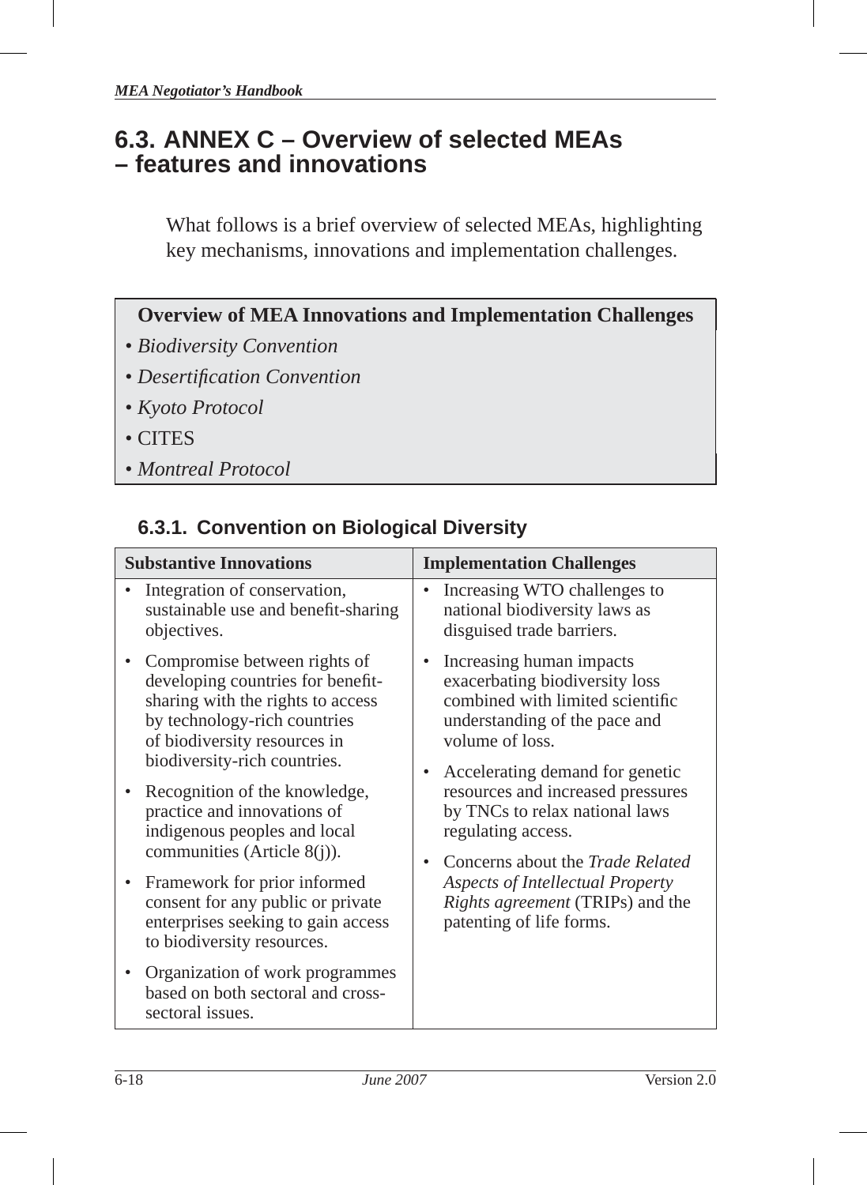## **6.3. ANNEX C – Overview of selected MEAs – features and innovations**

What follows is a brief overview of selected MEAs, highlighting key mechanisms, innovations and implementation challenges .

## **Overview of MEA Innovations and Implementation Challenges**

- *Biodiversity Convention*
- *Desertifi cation Convention*
- *Kyoto Protocol*
- CITES
- *Montreal Protocol*

## **6.3.1. Convention on Biological Diversity**

| <b>Substantive Innovations</b> |                                                                                                                                                                                                                                                                                                                                                                                                                                                  | <b>Implementation Challenges</b>                                                                                                                                                                                                                                                                                                                                                                                                  |  |
|--------------------------------|--------------------------------------------------------------------------------------------------------------------------------------------------------------------------------------------------------------------------------------------------------------------------------------------------------------------------------------------------------------------------------------------------------------------------------------------------|-----------------------------------------------------------------------------------------------------------------------------------------------------------------------------------------------------------------------------------------------------------------------------------------------------------------------------------------------------------------------------------------------------------------------------------|--|
|                                | Integration of conservation,<br>sustainable use and benefit-sharing<br>objectives.                                                                                                                                                                                                                                                                                                                                                               | Increasing WTO challenges to<br>٠<br>national biodiversity laws as<br>disguised trade barriers.                                                                                                                                                                                                                                                                                                                                   |  |
|                                | Compromise between rights of<br>developing countries for benefit-<br>sharing with the rights to access<br>by technology-rich countries<br>of biodiversity resources in<br>biodiversity-rich countries.<br>Recognition of the knowledge,<br>practice and innovations of<br>indigenous peoples and local<br>communities (Article 8(j)).<br>Framework for prior informed<br>consent for any public or private<br>enterprises seeking to gain access | Increasing human impacts<br>exacerbating biodiversity loss<br>combined with limited scientific<br>understanding of the pace and<br>volume of loss.<br>Accelerating demand for genetic<br>resources and increased pressures<br>by TNCs to relax national laws<br>regulating access.<br>Concerns about the <i>Trade Related</i><br>Aspects of Intellectual Property<br>Rights agreement (TRIPs) and the<br>patenting of life forms. |  |
|                                | to biodiversity resources.<br>Organization of work programmes<br>based on both sectoral and cross-<br>sectoral issues.                                                                                                                                                                                                                                                                                                                           |                                                                                                                                                                                                                                                                                                                                                                                                                                   |  |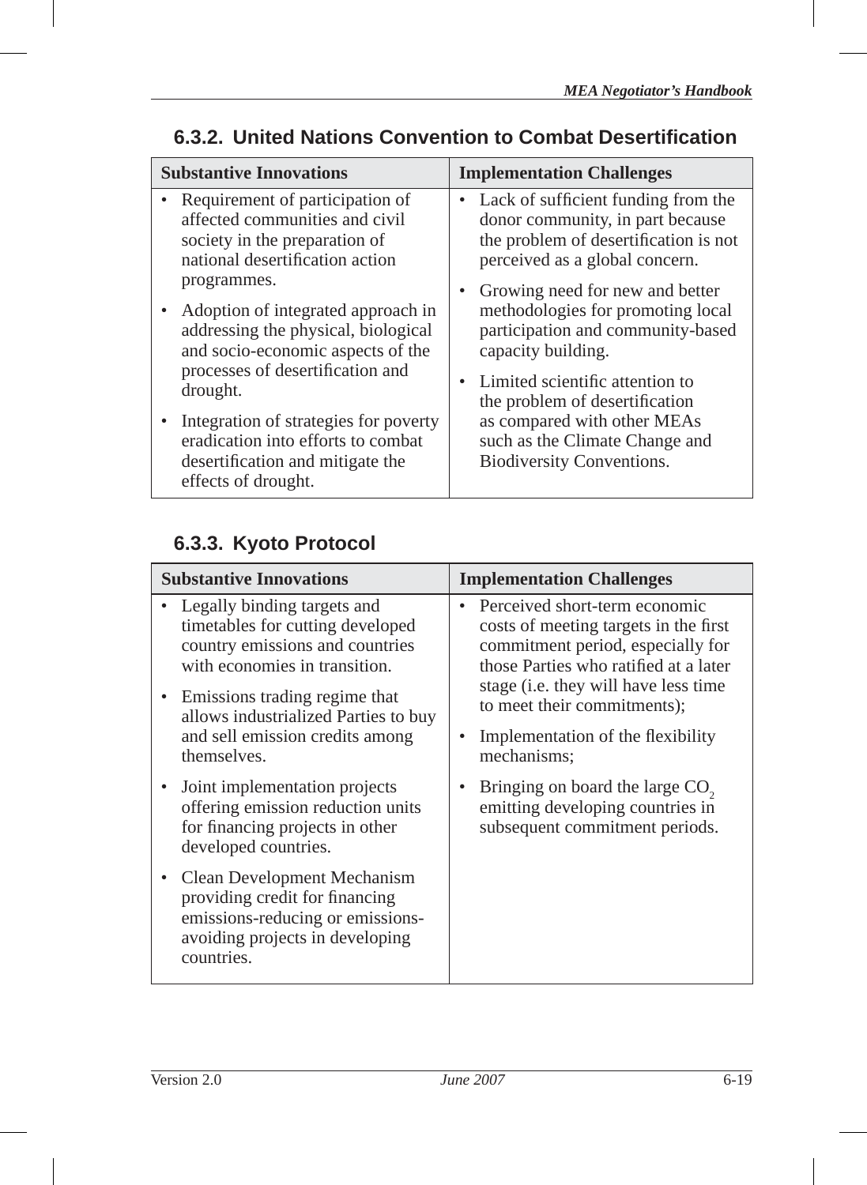| <b>Substantive Innovations</b> |                                                                                                                                                                                 | <b>Implementation Challenges</b>                                                           |                                                                                                                                                                                                        |
|--------------------------------|---------------------------------------------------------------------------------------------------------------------------------------------------------------------------------|--------------------------------------------------------------------------------------------|--------------------------------------------------------------------------------------------------------------------------------------------------------------------------------------------------------|
|                                | • Requirement of participation of<br>affected communities and civil<br>society in the preparation of<br>national desertification action                                         |                                                                                            | Lack of sufficient funding from the<br>donor community, in part because<br>the problem of desertification is not<br>perceived as a global concern.                                                     |
|                                | programmes.<br>• Adoption of integrated approach in<br>addressing the physical, biological<br>and socio-economic aspects of the<br>processes of desertification and<br>drought. |                                                                                            | • Growing need for new and better<br>methodologies for promoting local<br>participation and community-based<br>capacity building.<br>Limited scientific attention to<br>the problem of desertification |
|                                | Integration of strategies for poverty<br>eradication into efforts to combat<br>desertification and mitigate the<br>effects of drought.                                          | as compared with other MEAs<br>such as the Climate Change and<br>Biodiversity Conventions. |                                                                                                                                                                                                        |

## **6.3.2. United Nations Convention to Combat Desertifi cation**

## **6.3.3. Kyoto Protocol**

| <b>Substantive Innovations</b>                                                                                                                                                                                                                                 | <b>Implementation Challenges</b>                                                                                                                                                                                                                                                |
|----------------------------------------------------------------------------------------------------------------------------------------------------------------------------------------------------------------------------------------------------------------|---------------------------------------------------------------------------------------------------------------------------------------------------------------------------------------------------------------------------------------------------------------------------------|
| Legally binding targets and<br>timetables for cutting developed<br>country emissions and countries<br>with economies in transition.<br>Emissions trading regime that<br>allows industrialized Parties to buy<br>and sell emission credits among<br>themselves. | Perceived short-term economic<br>costs of meeting targets in the first<br>commitment period, especially for<br>those Parties who ratified at a later<br>stage (i.e. they will have less time<br>to meet their commitments);<br>Implementation of the flexibility<br>mechanisms: |
| Joint implementation projects<br>offering emission reduction units<br>for financing projects in other<br>developed countries.                                                                                                                                  | Bringing on board the large CO <sub>2</sub><br>emitting developing countries in<br>subsequent commitment periods.                                                                                                                                                               |
| Clean Development Mechanism<br>providing credit for financing<br>emissions-reducing or emissions-<br>avoiding projects in developing<br>countries.                                                                                                             |                                                                                                                                                                                                                                                                                 |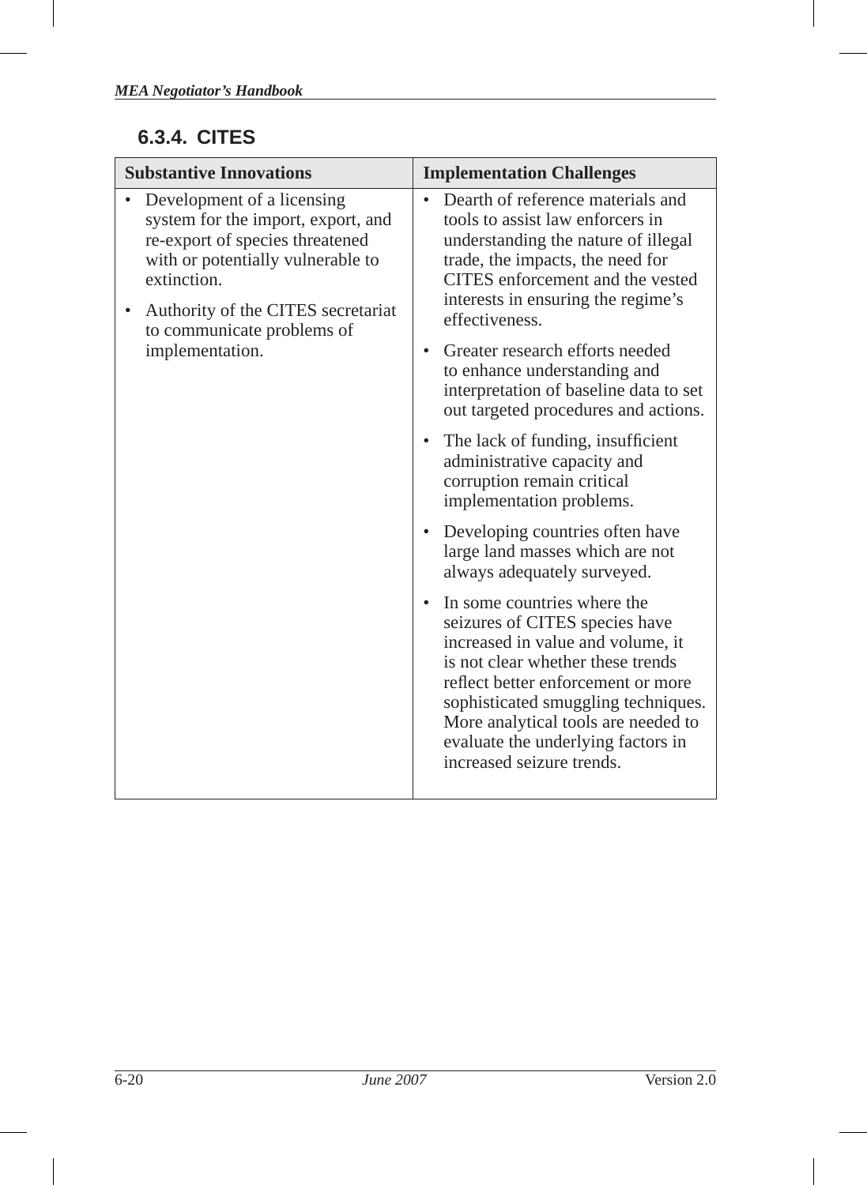## **6.3.4. CITES**

| <b>Substantive Innovations</b>                                                                                                                                                                                                                | <b>Implementation Challenges</b>                                                                                                                                                                                                                                                                                                                                                                                                                                                                                                                                                                                                                                                                                                                                                                                                                                                                                                                                                                     |  |
|-----------------------------------------------------------------------------------------------------------------------------------------------------------------------------------------------------------------------------------------------|------------------------------------------------------------------------------------------------------------------------------------------------------------------------------------------------------------------------------------------------------------------------------------------------------------------------------------------------------------------------------------------------------------------------------------------------------------------------------------------------------------------------------------------------------------------------------------------------------------------------------------------------------------------------------------------------------------------------------------------------------------------------------------------------------------------------------------------------------------------------------------------------------------------------------------------------------------------------------------------------------|--|
| Development of a licensing<br>system for the import, export, and<br>re-export of species threatened<br>with or potentially vulnerable to<br>extinction<br>Authority of the CITES secretariat<br>to communicate problems of<br>implementation. | Dearth of reference materials and<br>$\bullet$<br>tools to assist law enforcers in<br>understanding the nature of illegal<br>trade, the impacts, the need for<br>CITES enforcement and the vested<br>interests in ensuring the regime's<br>effectiveness.<br>Greater research efforts needed<br>$\bullet$<br>to enhance understanding and<br>interpretation of baseline data to set<br>out targeted procedures and actions.<br>• The lack of funding, insufficient<br>administrative capacity and<br>corruption remain critical<br>implementation problems.<br>• Developing countries often have<br>large land masses which are not<br>always adequately surveyed.<br>In some countries where the<br>seizures of CITES species have<br>increased in value and volume, it<br>is not clear whether these trends<br>reflect better enforcement or more<br>sophisticated smuggling techniques.<br>More analytical tools are needed to<br>evaluate the underlying factors in<br>increased seizure trends. |  |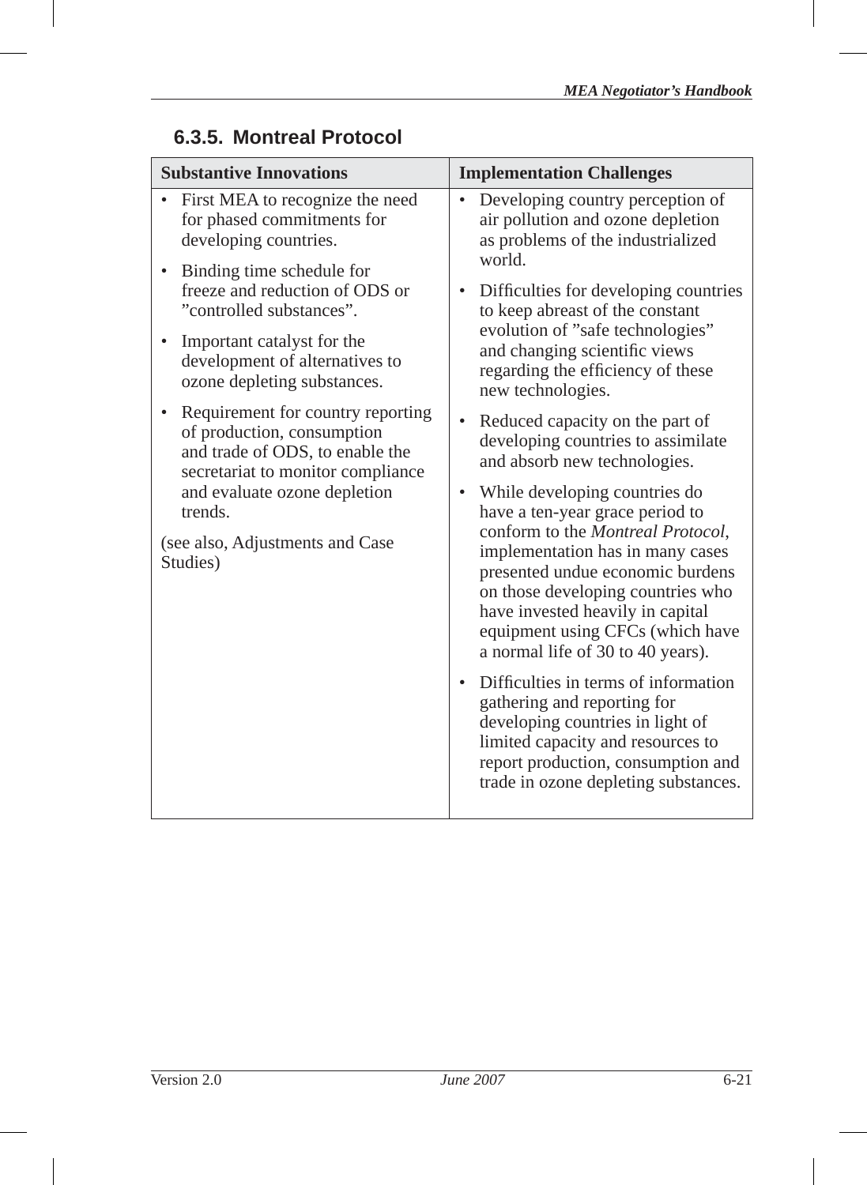| <b>Substantive Innovations</b>                                                                                                          | <b>Implementation Challenges</b>                                                                                                                                                                                                                                                                                                             |  |
|-----------------------------------------------------------------------------------------------------------------------------------------|----------------------------------------------------------------------------------------------------------------------------------------------------------------------------------------------------------------------------------------------------------------------------------------------------------------------------------------------|--|
| • First MEA to recognize the need<br>for phased commitments for<br>developing countries.                                                | Developing country perception of<br>$\bullet$<br>air pollution and ozone depletion<br>as problems of the industrialized<br>world.                                                                                                                                                                                                            |  |
| Binding time schedule for<br>freeze and reduction of ODS or<br>"controlled substances".                                                 | Difficulties for developing countries<br>$\bullet$<br>to keep abreast of the constant<br>evolution of "safe technologies"<br>and changing scientific views<br>regarding the efficiency of these<br>new technologies.                                                                                                                         |  |
| Important catalyst for the<br>development of alternatives to<br>ozone depleting substances.                                             |                                                                                                                                                                                                                                                                                                                                              |  |
| Requirement for country reporting<br>of production, consumption<br>and trade of ODS, to enable the<br>secretariat to monitor compliance | Reduced capacity on the part of<br>$\bullet$<br>developing countries to assimilate<br>and absorb new technologies.                                                                                                                                                                                                                           |  |
| and evaluate ozone depletion<br>trends.<br>(see also, Adjustments and Case<br>Studies)                                                  | While developing countries do<br>$\bullet$<br>have a ten-year grace period to<br>conform to the Montreal Protocol,<br>implementation has in many cases<br>presented undue economic burdens<br>on those developing countries who<br>have invested heavily in capital<br>equipment using CFCs (which have<br>a normal life of 30 to 40 years). |  |
|                                                                                                                                         | Difficulties in terms of information<br>$\bullet$<br>gathering and reporting for<br>developing countries in light of<br>limited capacity and resources to<br>report production, consumption and<br>trade in ozone depleting substances.                                                                                                      |  |

## **6.3.5. Montreal Protocol**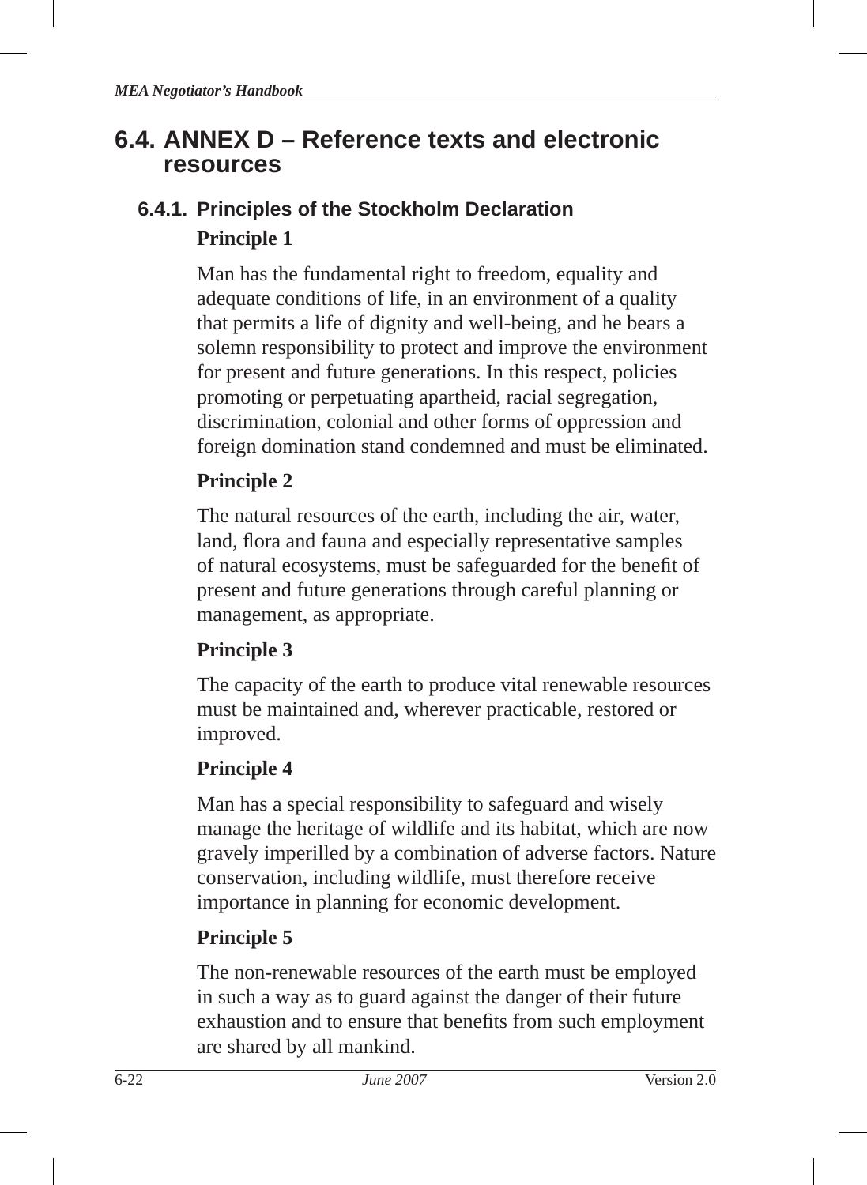# **6.4. ANNEX D – Reference texts and electronic resources**

# **6.4.1. Principles of the Stockholm Declaration Principle 1**

Man has the fundamental right to freedom, equality and adequate conditions of life, in an environment of a quality that permits a life of dignity and well-being, and he bears a solemn responsibility to protect and improve the environment for present and future generations. In this respect, policies promoting or perpetuating apartheid, racial segregation, discrimination, colonial and other forms of oppression and foreign domination stand condemned and must be eliminated.

## **Principle 2**

The natural resources of the earth, including the air, water, land, flora and fauna and especially representative samples of natural ecosystems, must be safeguarded for the benefit of present and future generations through careful planning or management, as appropriate.

# **Principle 3**

The capacity of the earth to produce vital renewable resources must be maintained and, wherever practicable, restored or improved.

# **Principle 4**

Man has a special responsibility to safeguard and wisely manage the heritage of wildlife and its habitat, which are now gravely imperilled by a combination of adverse factors. Nature conservation, including wildlife, must therefore receive importance in planning for economic development.

# **Principle 5**

The non-renewable resources of the earth must be employed in such a way as to guard against the danger of their future exhaustion and to ensure that benefits from such employment are shared by all mankind.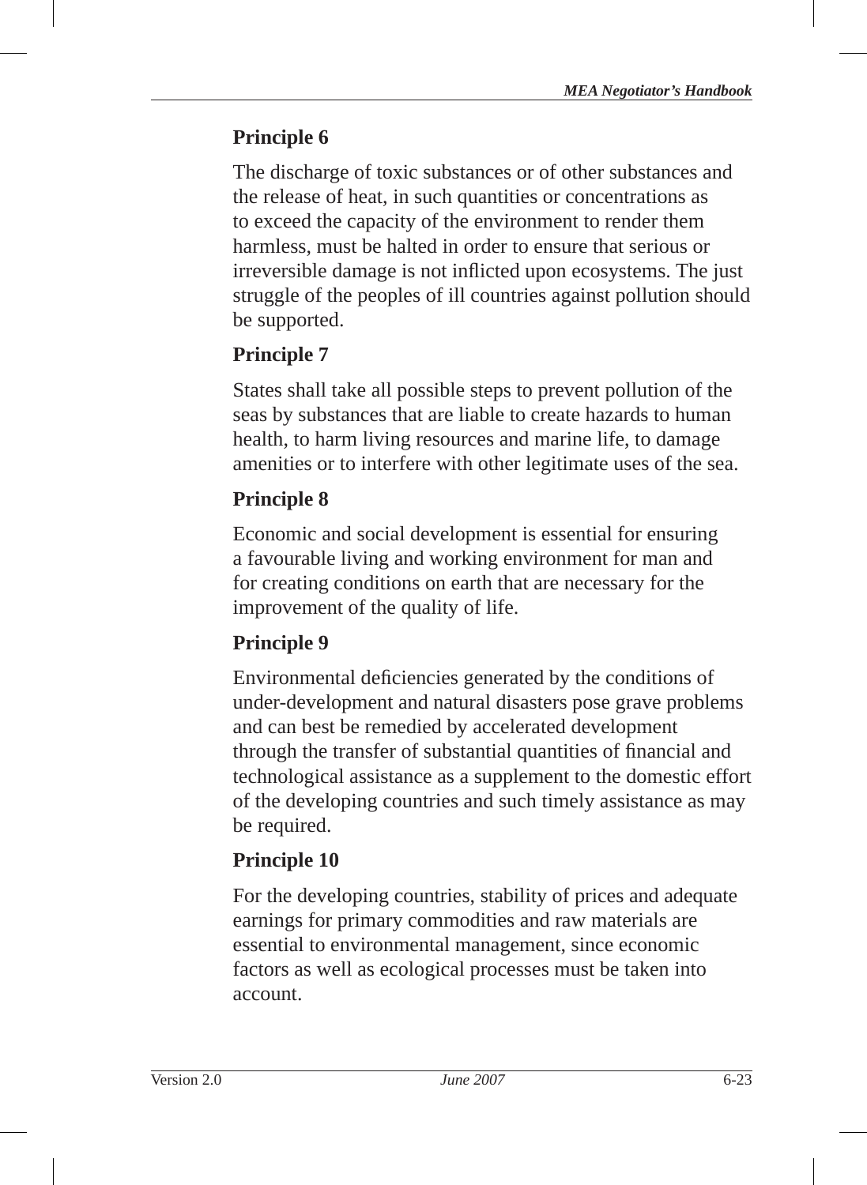The discharge of toxic substances or of other substances and the release of heat, in such quantities or concentrations as to exceed the capacity of the environment to render them harmless, must be halted in order to ensure that serious or irreversible damage is not inflicted upon ecosystems. The just struggle of the peoples of ill countries against pollution should be supported.

## **Principle 7**

States shall take all possible steps to prevent pollution of the seas by substances that are liable to create hazards to human health, to harm living resources and marine life, to damage amenities or to interfere with other legitimate uses of the sea.

# **Principle 8**

Economic and social development is essential for ensuring a favourable living and working environment for man and for creating conditions on earth that are necessary for the improvement of the quality of life.

# **Principle 9**

Environmental deficiencies generated by the conditions of under-development and natural disasters pose grave problems and can best be remedied by accelerated development through the transfer of substantial quantities of financial and technological assistance as a supplement to the domestic effort of the developing countries and such timely assistance as may be required.

# **Principle 10**

For the developing countries, stability of prices and adequate earnings for primary commodities and raw materials are essential to environmental management, since economic factors as well as ecological processes must be taken into account.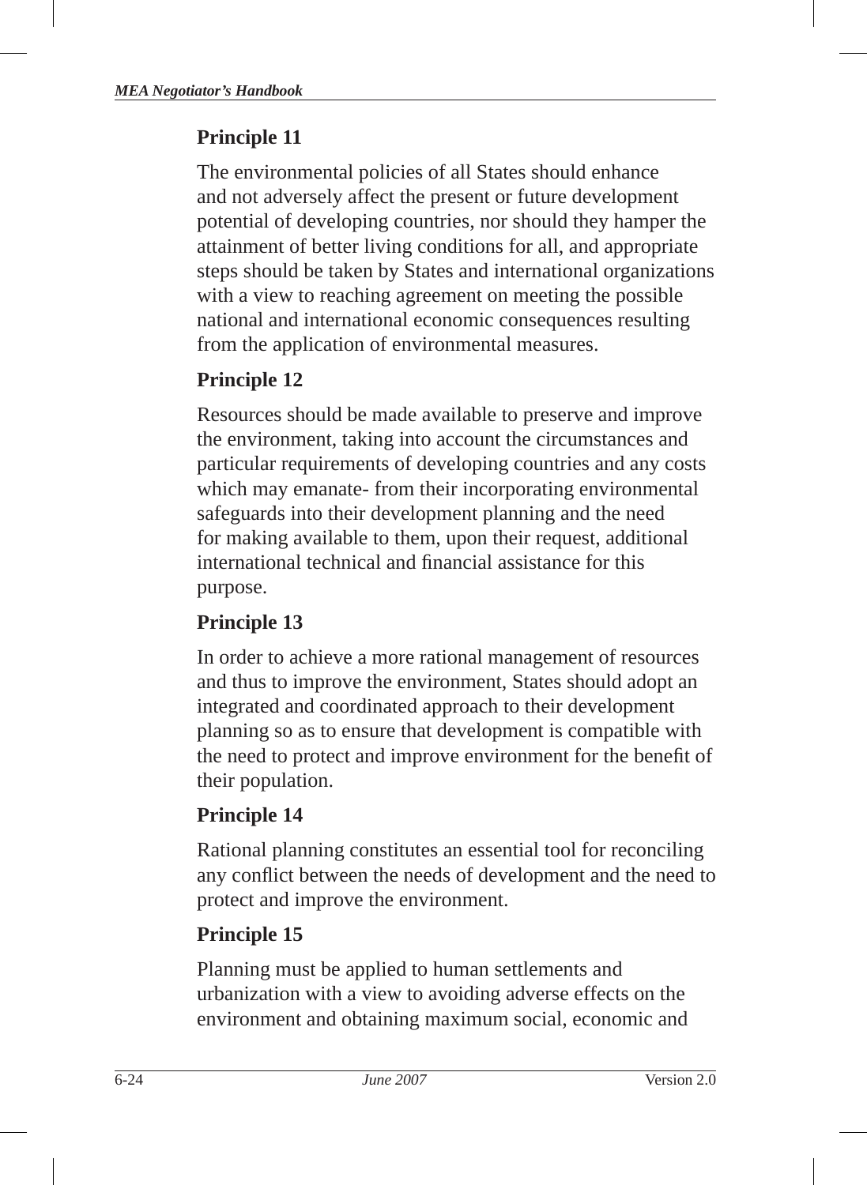The environmental policies of all States should enhance and not adversely affect the present or future development potential of developing countries, nor should they hamper the attainment of better living conditions for all, and appropriate steps should be taken by States and international organizations with a view to reaching agreement on meeting the possible national and international economic consequences resulting from the application of environmental measures.

## **Principle 12**

Resources should be made available to preserve and improve the environment, taking into account the circumstances and particular requirements of developing countries and any costs which may emanate- from their incorporating environmental safeguards into their development planning and the need for making available to them, upon their request, additional international technical and financial assistance for this purpose.

## **Principle 13**

In order to achieve a more rational management of resources and thus to improve the environment, States should adopt an integrated and coordinated approach to their development planning so as to ensure that development is compatible with the need to protect and improve environment for the benefit of their population.

## **Principle 14**

Rational planning constitutes an essential tool for reconciling any conflict between the needs of development and the need to protect and improve the environment.

## **Principle 15**

Planning must be applied to human settlements and urbanization with a view to avoiding adverse effects on the environment and obtaining maximum social, economic and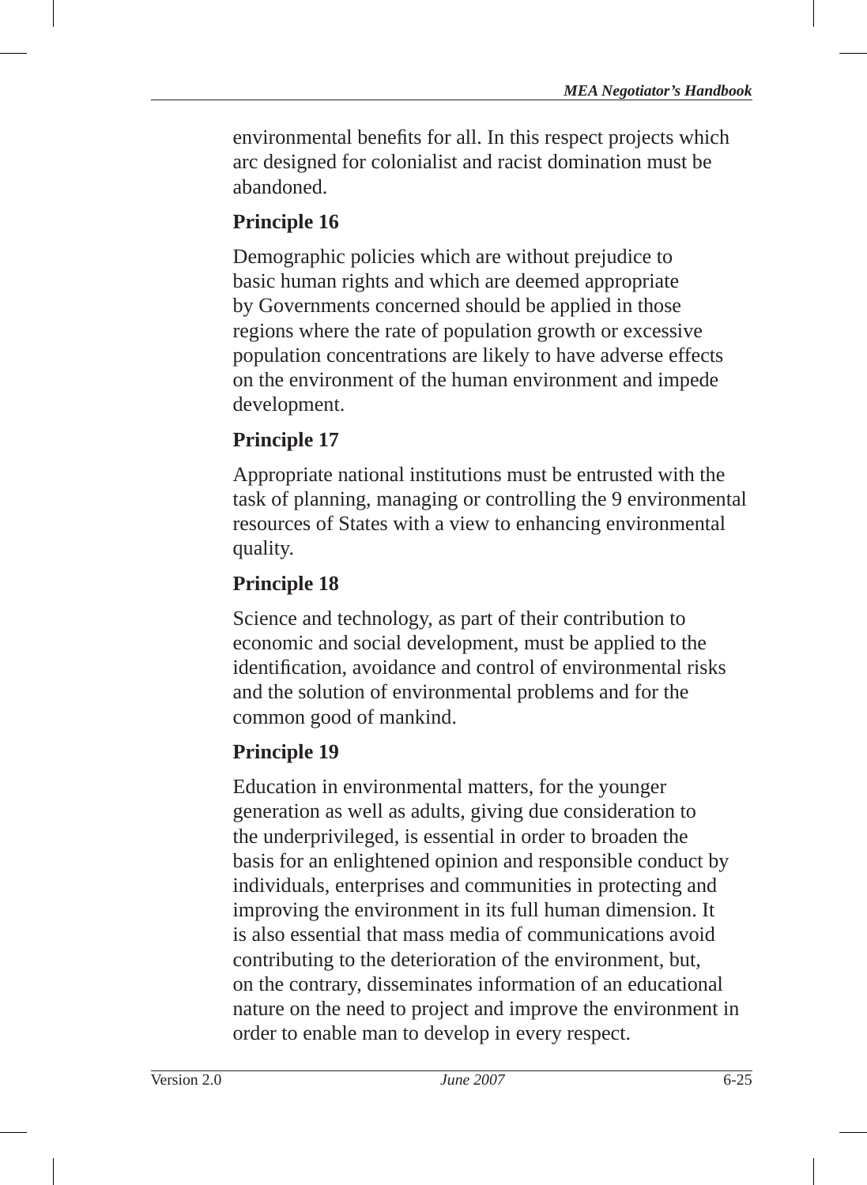environmental benefits for all. In this respect projects which arc designed for colonialist and racist domination must be abandoned.

## **Principle 16**

Demographic policies which are without prejudice to basic human rights and which are deemed appropriate by Governments concerned should be applied in those regions where the rate of population growth or excessive population concentrations are likely to have adverse effects on the environment of the human environment and impede development.

## **Principle 17**

Appropriate national institutions must be entrusted with the task of planning, managing or controlling the 9 environmental resources of States with a view to enhancing environmental quality.

## **Principle 18**

Science and technology, as part of their contribution to economic and social development, must be applied to the identification, avoidance and control of environmental risks and the solution of environmental problems and for the common good of mankind.

## **Principle 19**

Education in environmental matters, for the younger generation as well as adults, giving due consideration to the underprivileged, is essential in order to broaden the basis for an enlightened opinion and responsible conduct by individuals, enterprises and communities in protecting and improving the environment in its full human dimension. It is also essential that mass media of communications avoid contributing to the deterioration of the environment, but, on the contrary, disseminates information of an educational nature on the need to project and improve the environment in order to enable man to develop in every respect.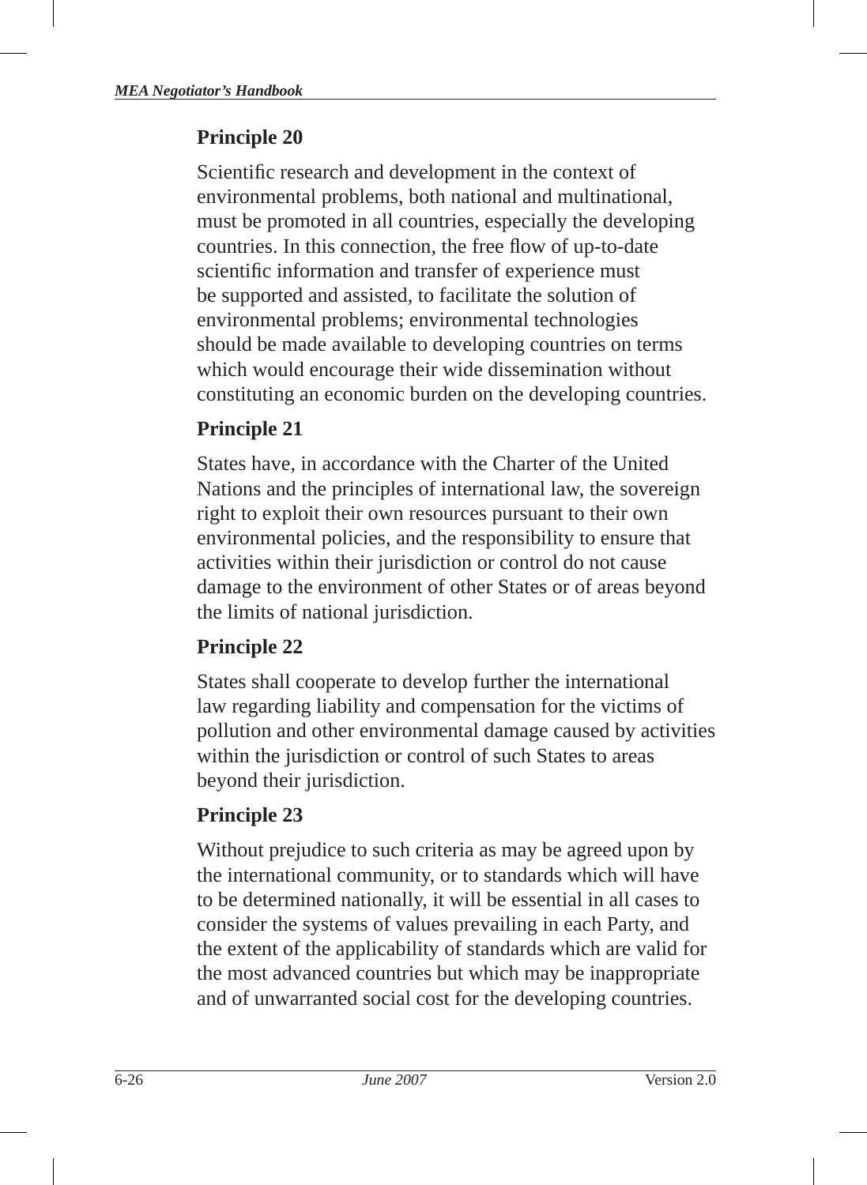Scientific research and development in the context of environmental problems, both national and multinational, must be promoted in all countries, especially the developing countries. In this connection, the free flow of up-to-date scientific information and transfer of experience must be supported and assisted, to facilitate the solution of environmental problems; environmental technologies should be made available to developing countries on terms which would encourage their wide dissemination without constituting an economic burden on the developing countries.

# **Principle 21**

States have, in accordance with the Charter of the United Nations and the principles of international law, the sovereign right to exploit their own resources pursuant to their own environmental policies, and the responsibility to ensure that activities within their jurisdiction or control do not cause damage to the environment of other States or of areas beyond the limits of national jurisdiction.

## **Principle 22**

States shall cooperate to develop further the international law regarding liability and compensation for the victims of pollution and other environmental damage caused by activities within the jurisdiction or control of such States to areas beyond their jurisdiction.

# **Principle 23**

Without prejudice to such criteria as may be agreed upon by the international community, or to standards which will have to be determined nationally, it will be essential in all cases to consider the systems of values prevailing in each Party, and the extent of the applicability of standards which are valid for the most advanced countries but which may be inappropriate and of unwarranted social cost for the developing countries.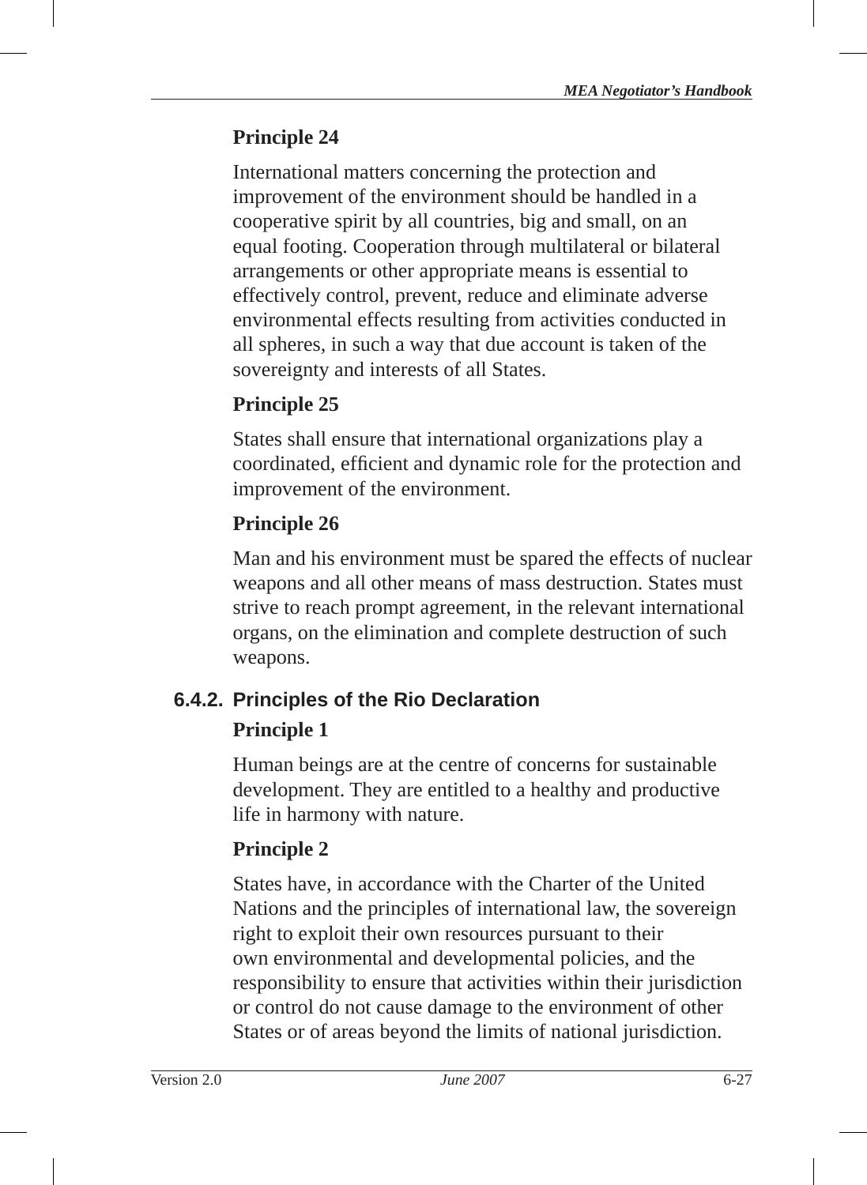International matters concerning the protection and improvement of the environment should be handled in a cooperative spirit by all countries, big and small, on an equal footing. Cooperation through multilateral or bilateral arrangements or other appropriate means is essential to effectively control, prevent, reduce and eliminate adverse environmental effects resulting from activities conducted in all spheres, in such a way that due account is taken of the sovereignty and interests of all States.

# **Principle 25**

States shall ensure that international organizations play a coordinated, efficient and dynamic role for the protection and improvement of the environment.

# **Principle 26**

Man and his environment must be spared the effects of nuclear weapons and all other means of mass destruction. States must strive to reach prompt agreement, in the relevant international organs, on the elimination and complete destruction of such weapons.

# **6.4.2. Principles of the Rio Declaration Principle 1**

Human beings are at the centre of concerns for sustainable development. They are entitled to a healthy and productive life in harmony with nature.

# **Principle 2**

States have, in accordance with the Charter of the United Nations and the principles of international law, the sovereign right to exploit their own resources pursuant to their own environmental and developmental policies, and the responsibility to ensure that activities within their jurisdiction or control do not cause damage to the environment of other States or of areas beyond the limits of national jurisdiction.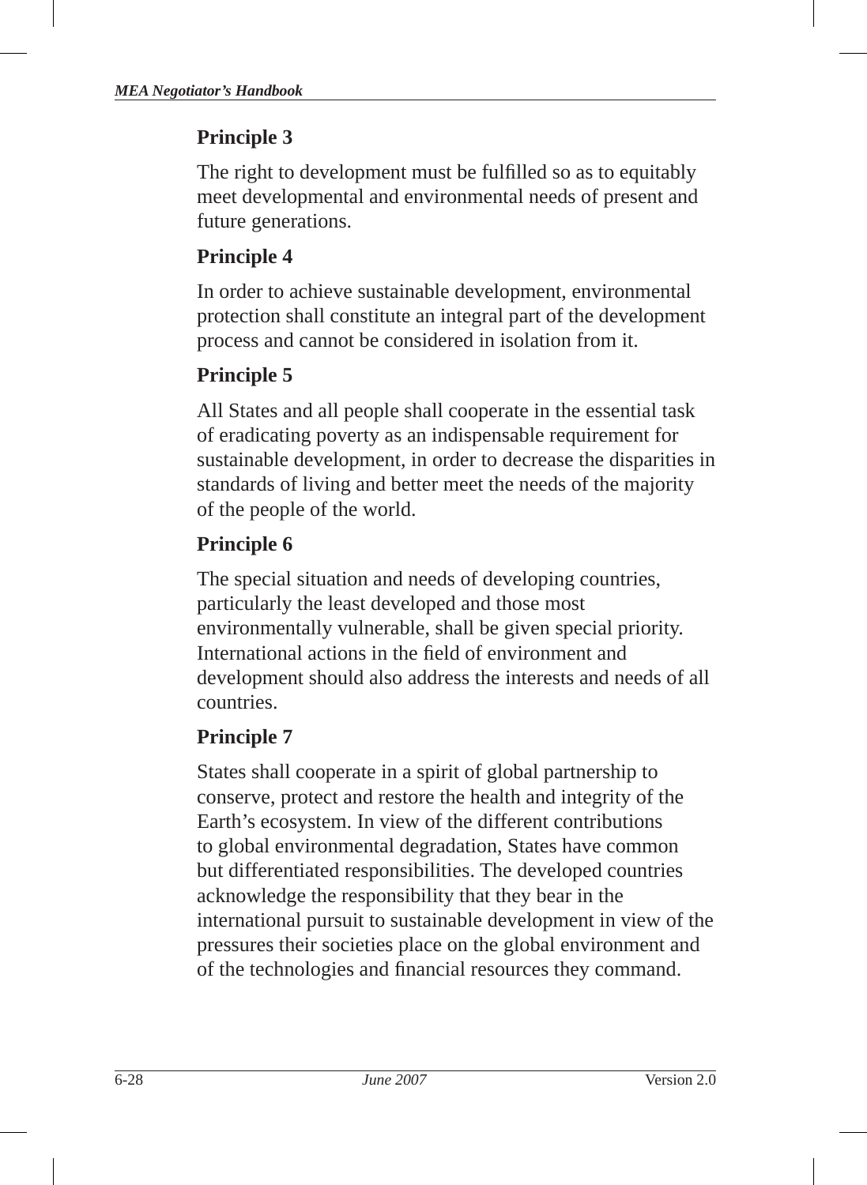The right to development must be fulfilled so as to equitably meet developmental and environmental needs of present and future generations.

# **Principle 4**

In order to achieve sustainable development, environmental protection shall constitute an integral part of the development process and cannot be considered in isolation from it.

# **Principle 5**

All States and all people shall cooperate in the essential task of eradicating poverty as an indispensable requirement for sustainable development, in order to decrease the disparities in standards of living and better meet the needs of the majority of the people of the world.

# **Principle 6**

The special situation and needs of developing countries, particularly the least developed and those most environmentally vulnerable, shall be given special priority. International actions in the field of environment and development should also address the interests and needs of all countries.

# **Principle 7**

States shall cooperate in a spirit of global partnership to conserve, protect and restore the health and integrity of the Earth's ecosystem. In view of the different contributions to global environmental degradation, States have common but differentiated responsibilities. The developed countries acknowledge the responsibility that they bear in the international pursuit to sustainable development in view of the pressures their societies place on the global environment and of the technologies and financial resources they command.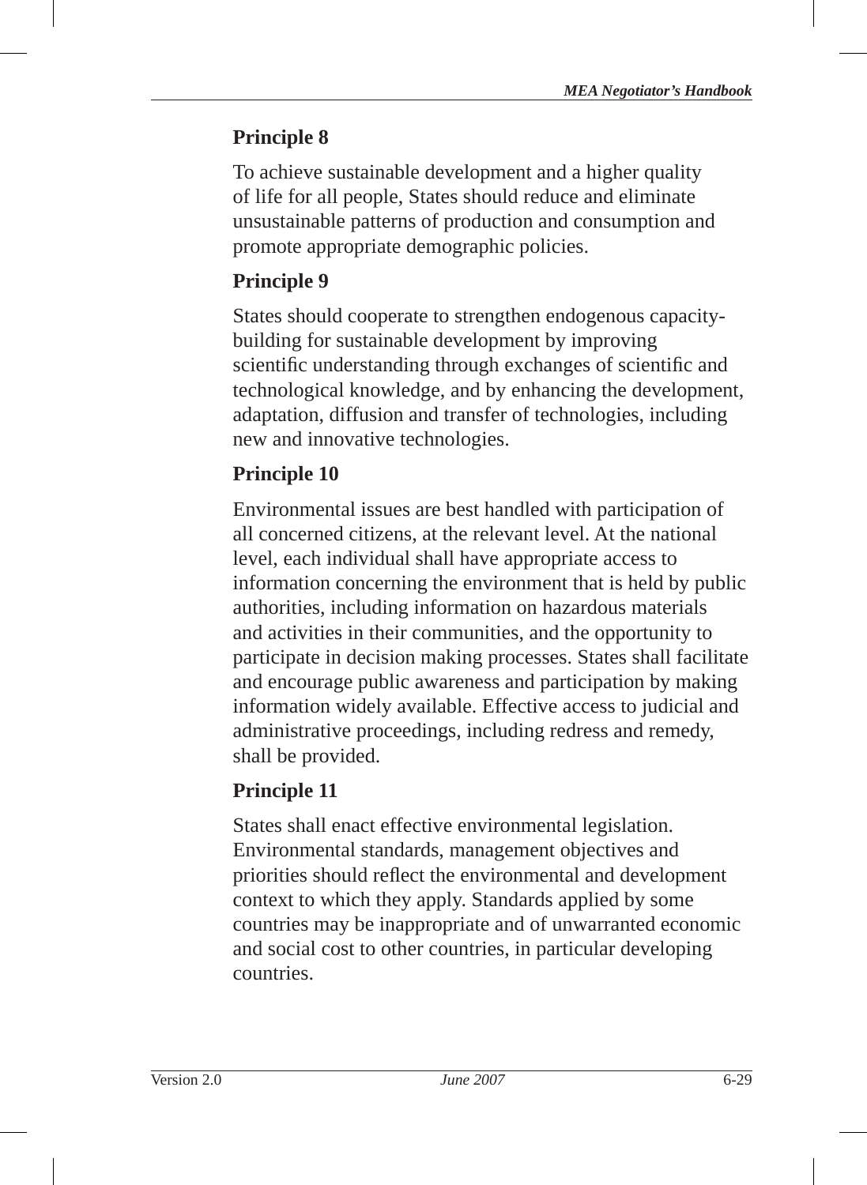To achieve sustainable development and a higher quality of life for all people, States should reduce and eliminate unsustainable patterns of production and consumption and promote appropriate demographic policies.

## **Principle 9**

States should cooperate to strengthen endogenous capacitybuilding for sustainable development by improving scientific understanding through exchanges of scientific and technological knowledge, and by enhancing the development, adaptation, diffusion and transfer of technologies, including new and innovative technologies.

# **Principle 10**

Environmental issues are best handled with participation of all concerned citizens, at the relevant level. At the national level, each individual shall have appropriate access to information concerning the environment that is held by public authorities, including information on hazardous materials and activities in their communities, and the opportunity to participate in decision making processes. States shall facilitate and encourage public awareness and participation by making information widely available. Effective access to judicial and administrative proceedings, including redress and remedy, shall be provided.

## **Principle 11**

States shall enact effective environmental legislation. Environmental standards, management objectives and priorities should reflect the environmental and development context to which they apply. Standards applied by some countries may be inappropriate and of unwarranted economic and social cost to other countries, in particular developing countries.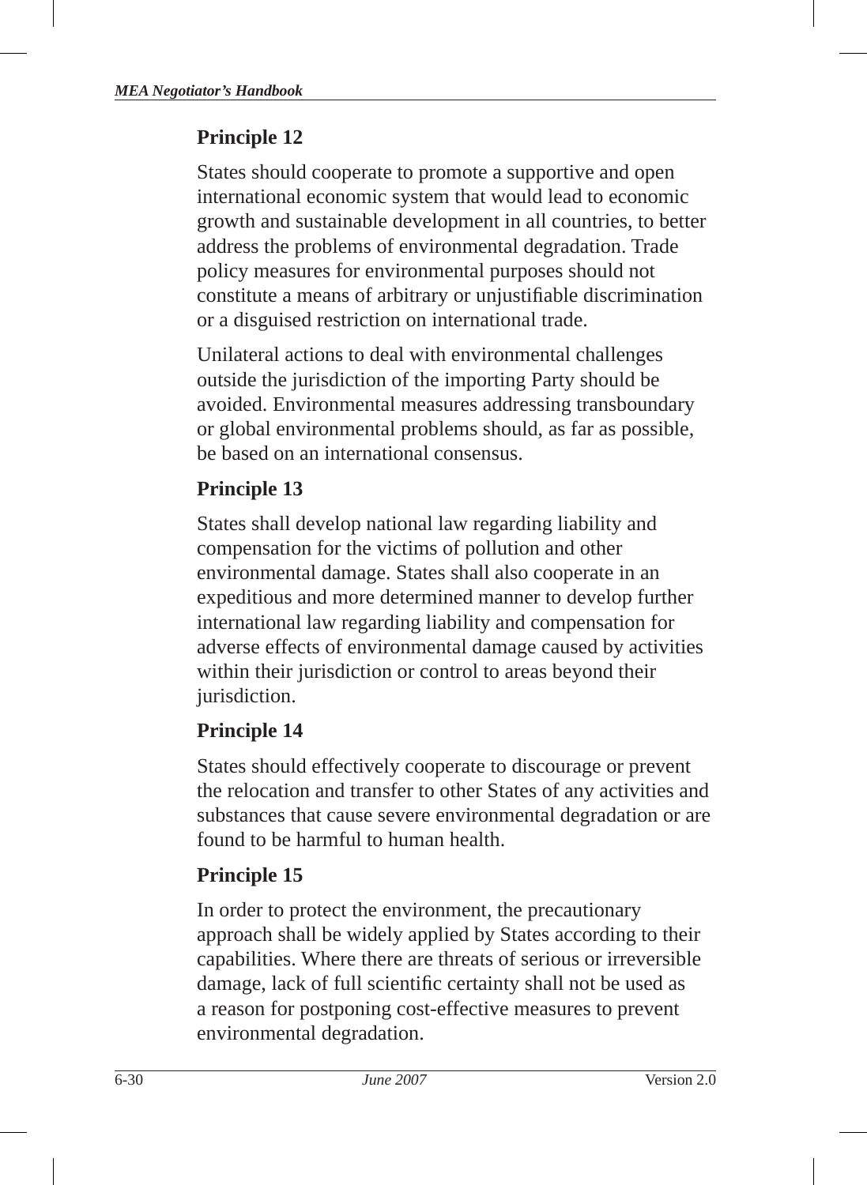States should cooperate to promote a supportive and open international economic system that would lead to economic growth and sustainable development in all countries, to better address the problems of environmental degradation. Trade policy measures for environmental purposes should not constitute a means of arbitrary or unjustifiable discrimination or a disguised restriction on international trade.

Unilateral actions to deal with environmental challenges outside the jurisdiction of the importing Party should be avoided. Environmental measures addressing transboundary or global environmental problems should, as far as possible, be based on an international consensus.

## **Principle 13**

States shall develop national law regarding liability and compensation for the victims of pollution and other environmental damage. States shall also cooperate in an expeditious and more determined manner to develop further international law regarding liability and compensation for adverse effects of environmental damage caused by activities within their jurisdiction or control to areas beyond their jurisdiction.

## **Principle 14**

States should effectively cooperate to discourage or prevent the relocation and transfer to other States of any activities and substances that cause severe environmental degradation or are found to be harmful to human health.

## **Principle 15**

In order to protect the environment, the precautionary approach shall be widely applied by States according to their capabilities. Where there are threats of serious or irreversible damage, lack of full scientific certainty shall not be used as a reason for postponing cost-effective measures to prevent environmental degradation.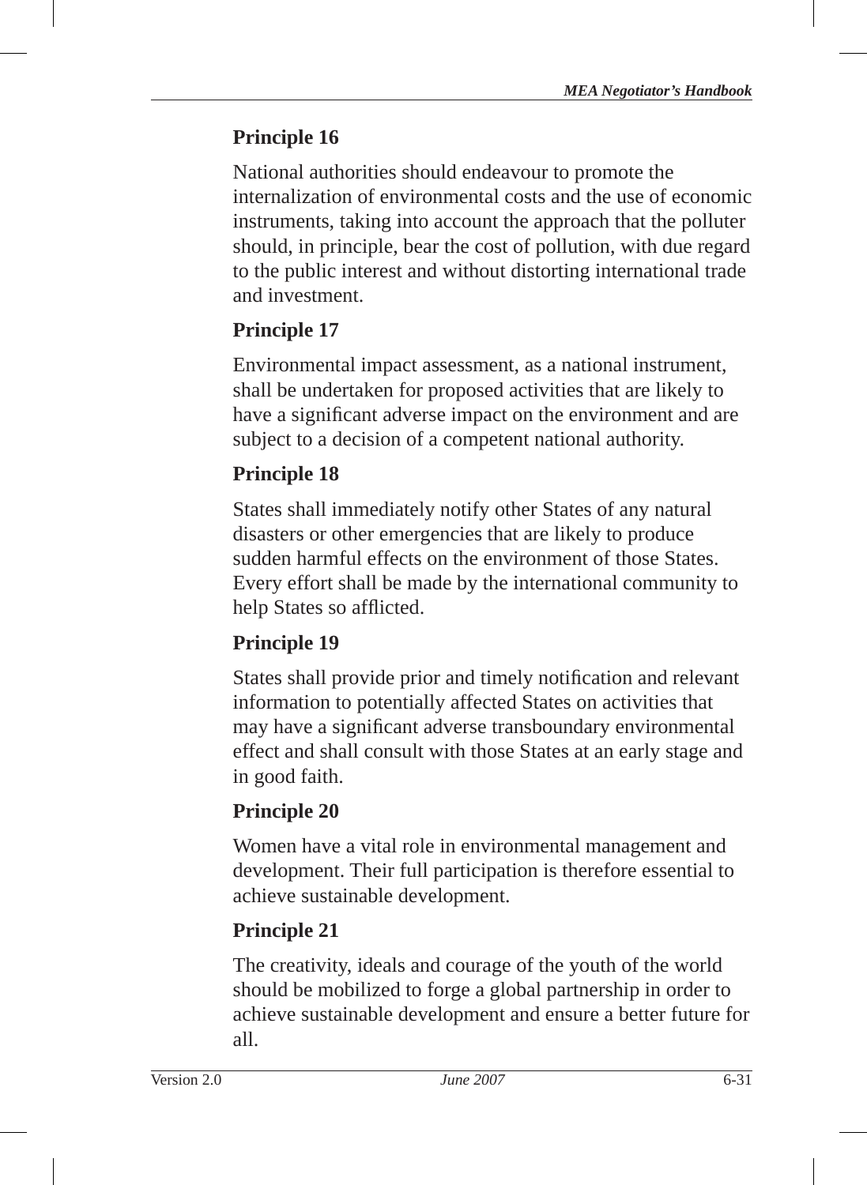National authorities should endeavour to promote the internalization of environmental costs and the use of economic instruments, taking into account the approach that the polluter should, in principle, bear the cost of pollution, with due regard to the public interest and without distorting international trade and investment.

# **Principle 17**

Environmental impact assessment, as a national instrument, shall be undertaken for proposed activities that are likely to have a significant adverse impact on the environment and are subject to a decision of a competent national authority.

# **Principle 18**

States shall immediately notify other States of any natural disasters or other emergencies that are likely to produce sudden harmful effects on the environment of those States. Every effort shall be made by the international community to help States so afflicted.

# **Principle 19**

States shall provide prior and timely notification and relevant information to potentially affected States on activities that may have a significant adverse transboundary environmental effect and shall consult with those States at an early stage and in good faith.

# **Principle 20**

Women have a vital role in environmental management and development. Their full participation is therefore essential to achieve sustainable development.

# **Principle 21**

The creativity, ideals and courage of the youth of the world should be mobilized to forge a global partnership in order to achieve sustainable development and ensure a better future for all.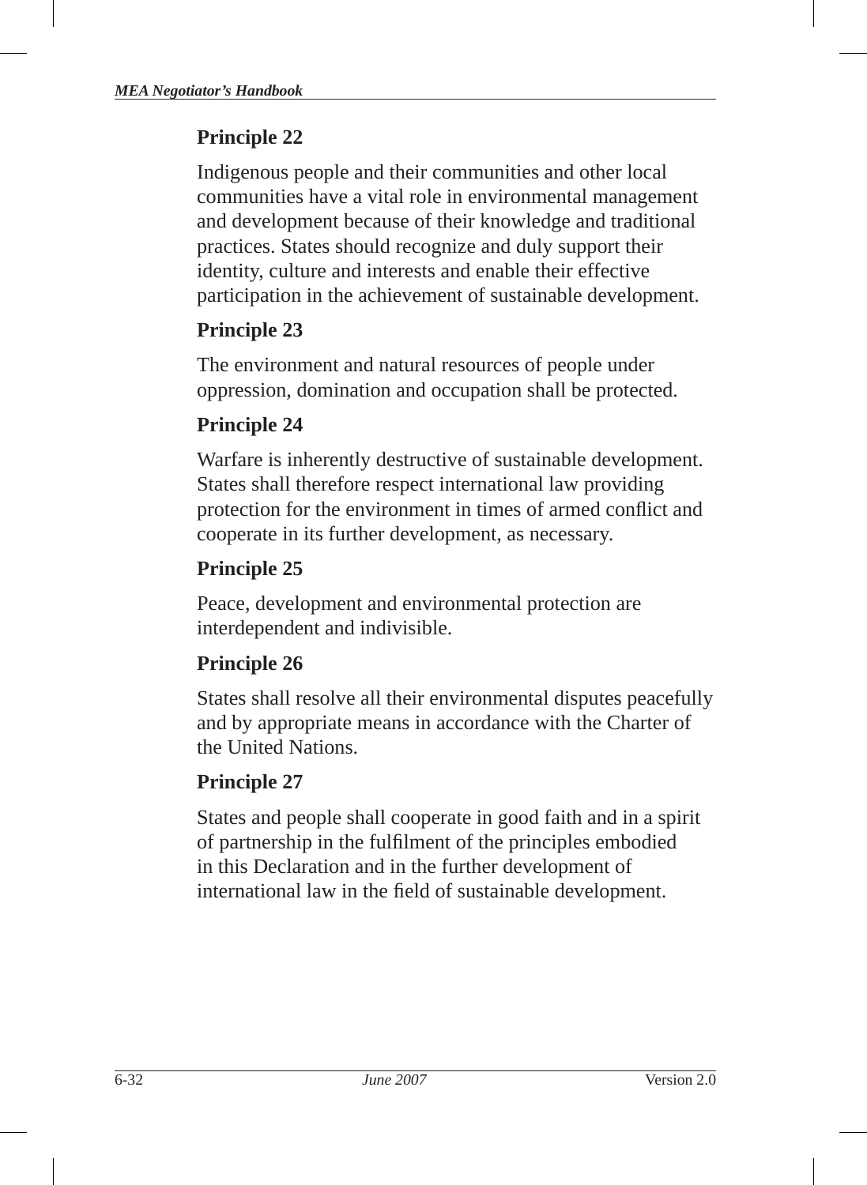Indigenous people and their communities and other local communities have a vital role in environmental management and development because of their knowledge and traditional practices. States should recognize and duly support their identity, culture and interests and enable their effective participation in the achievement of sustainable development.

## **Principle 23**

The environment and natural resources of people under oppression, domination and occupation shall be protected.

# **Principle 24**

Warfare is inherently destructive of sustainable development. States shall therefore respect international law providing protection for the environment in times of armed conflict and cooperate in its further development, as necessary.

# **Principle 25**

Peace, development and environmental protection are interdependent and indivisible.

# **Principle 26**

States shall resolve all their environmental disputes peacefully and by appropriate means in accordance with the Charter of the United Nations.

# **Principle 27**

States and people shall cooperate in good faith and in a spirit of partnership in the fulfilment of the principles embodied in this Declaration and in the further development of international law in the field of sustainable development.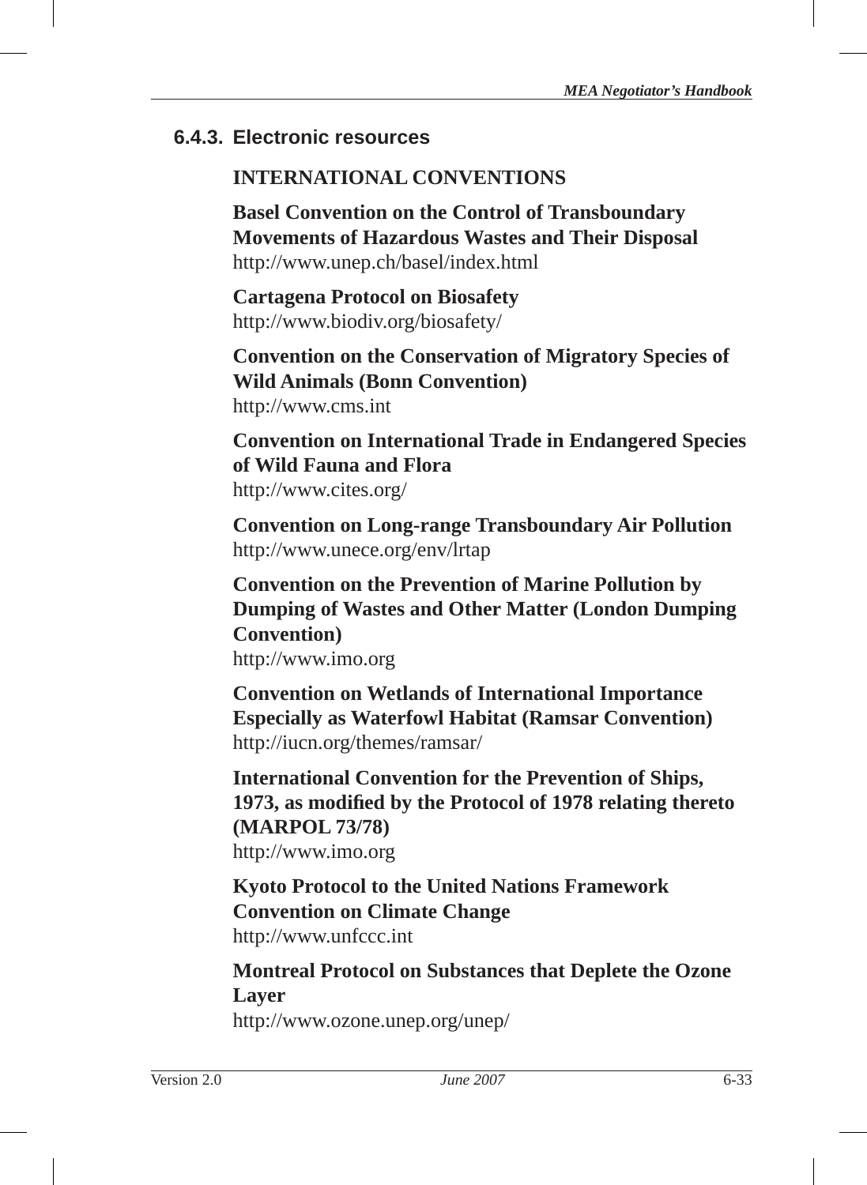## **6.4.3. Electronic resources**

## **INTERNATIONAL CONVENTIONS**

**Basel Convention on the Control of Transboundary Movements of Hazardous Wastes and Their Disposal** http://www.unep.ch/basel/index.html

**Cartagena Protocol on Biosafety** http://www.biodiv.org/biosafety/

**Convention on the Conservation of Migratory Species of Wild Animals (Bonn Convention)** http://www.cms.int

**Convention on International Trade in Endangered Species of Wild Fauna and Flora** http://www.cites.org/

**Convention on Long-range Transboundary Air Pollution** http://www.unece.org/env/lrtap

**Convention on the Prevention of Marine Pollution by Dumping of Wastes and Other Matter (London Dumping Convention)** http://www.imo.org

**Convention on Wetlands of International Importance Especially as Waterfowl Habitat (Ramsar Convention)** http://iucn.org/themes/ramsar/

**International Convention for the Prevention of Ships, 1973, as modifi ed by the Protocol of 1978 relating thereto (MARPOL 73/78)** http://www.imo.org

**Kyoto Protocol to the United Nations Framework Convention on Climate Change**  http://www.unfccc.int

**Montreal Protocol on Substances that Deplete the Ozone Layer**

http://www.ozone.unep.org/unep/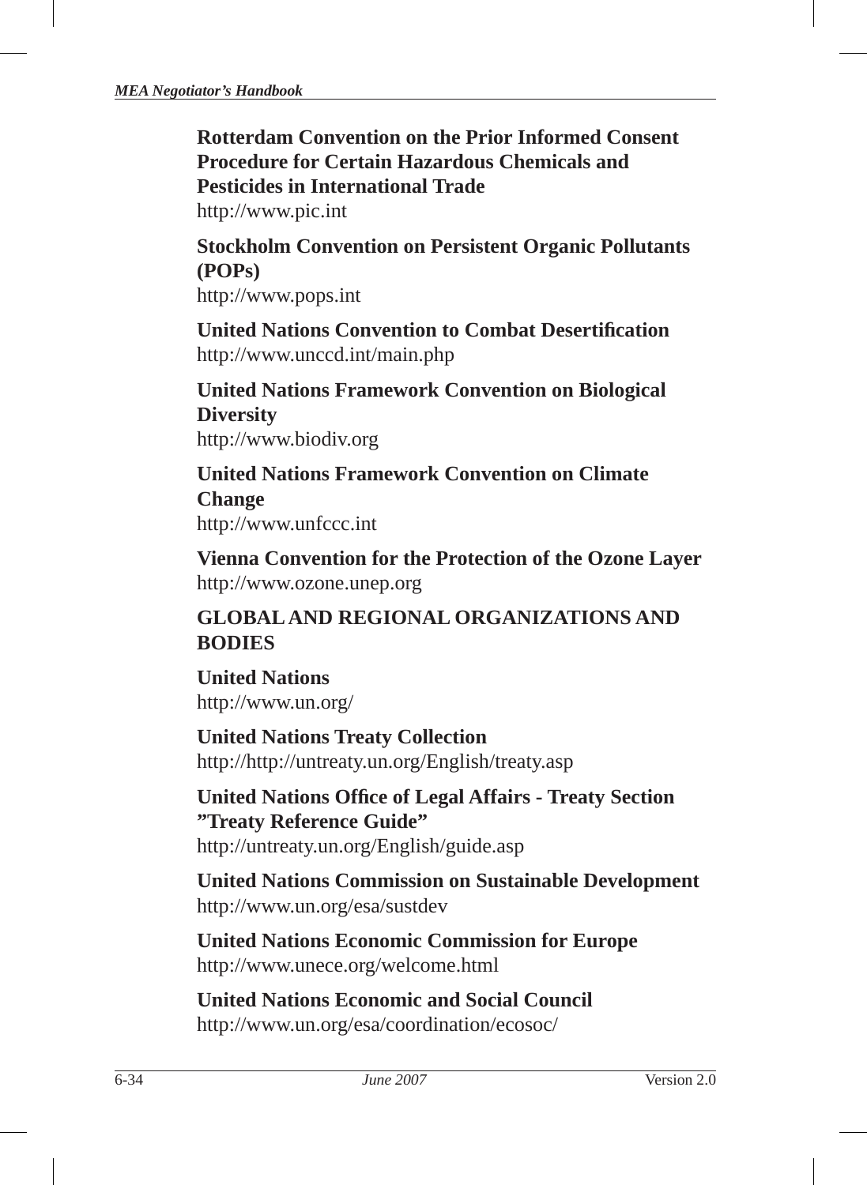**Rotterdam Convention on the Prior Informed Consent Procedure for Certain Hazardous Chemicals and Pesticides in International Trade**

http://www.pic.int

**Stockholm Convention on Persistent Organic Pollutants (POPs)**

http://www.pops.int

**United Nations Convention to Combat Desertifi cation** http://www.unccd.int/main.php

**United Nations Framework Convention on Biological Diversity** http://www.biodiv.org

**United Nations Framework Convention on Climate Change** http://www.unfccc.int

**Vienna Convention for the Protection of the Ozone Layer** http://www.ozone.unep.org

## **GLOBAL AND REGIONAL ORGANIZATIONS AND BODIES**

**United Nations** http://www.un.org/

**United Nations Treaty Collection** http://http://untreaty.un.org/English/treaty.asp

**United Nations Offi ce of Legal Affairs - Treaty Section "Treaty Reference Guide"**

http://untreaty.un.org/English/guide.asp

**United Nations Commission on Sustainable Development**  http://www.un.org/esa/sustdev

**United Nations Economic Commission for Europe** http://www.unece.org/welcome.html

**United Nations Economic and Social Council** http://www.un.org/esa/coordination/ecosoc/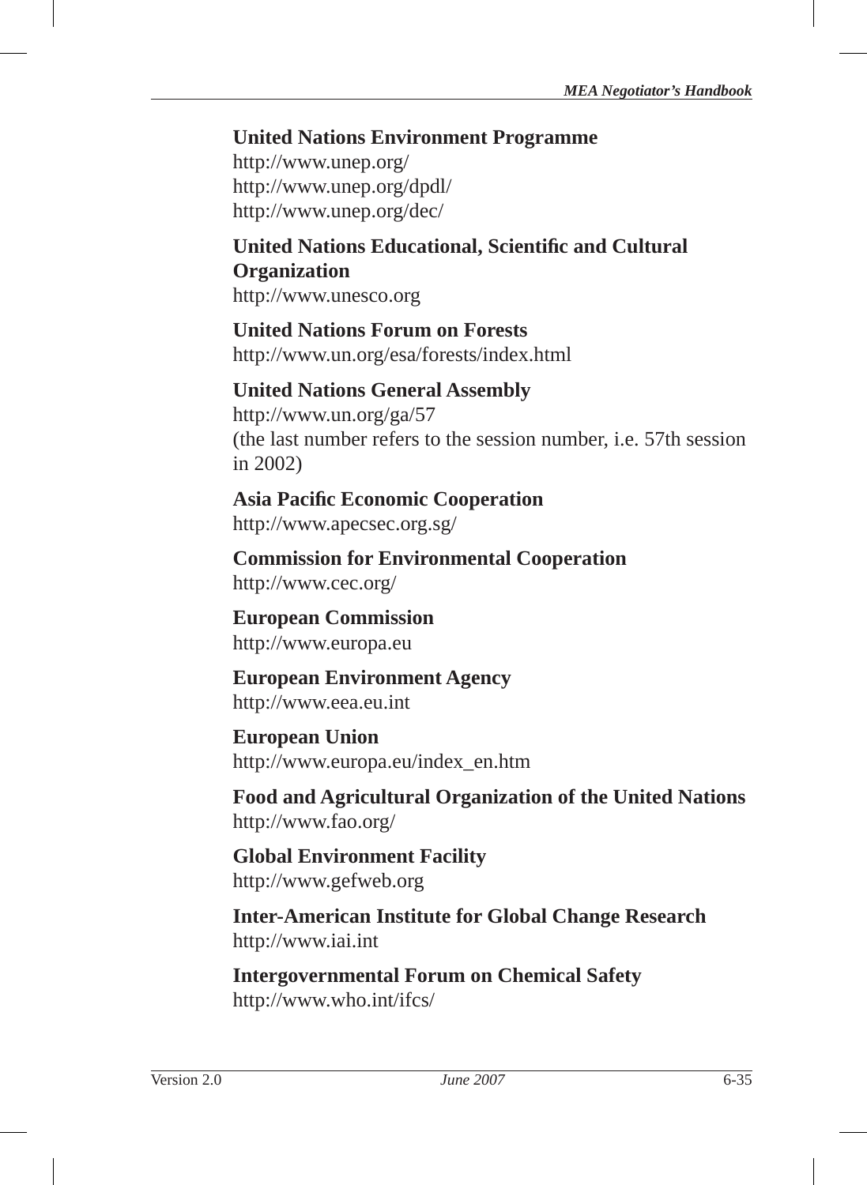## **United Nations Environment Programme**

http://www.unep.org/ http://www.unep.org/dpdl/ http://www.unep.org/dec/

## **United Nations Educational, Scientifi c and Cultural Organization**  http://www.unesco.org

## **United Nations Forum on Forests** http://www.un.org/esa/forests/index.html

## **United Nations General Assembly** http://www.un.org/ga/57 (the last number refers to the session number, i.e. 57th session

**Asia Pacifi c Economic Cooperation** http://www.apecsec.org.sg/

**Commission for Environmental Cooperation** http://www.cec.org/

**European Commission** http://www.europa.eu

in 2002)

**European Environment Agency** http://www.eea.eu.int

**European Union** http://www.europa.eu/index\_en.htm

**Food and Agricultural Organization of the United Nations** http://www.fao.org/

**Global Environment Facility** http://www.gefweb.org

**Inter-American Institute for Global Change Research** http://www.iai.int

**Intergovernmental Forum on Chemical Safety** http://www.who.int/ifcs/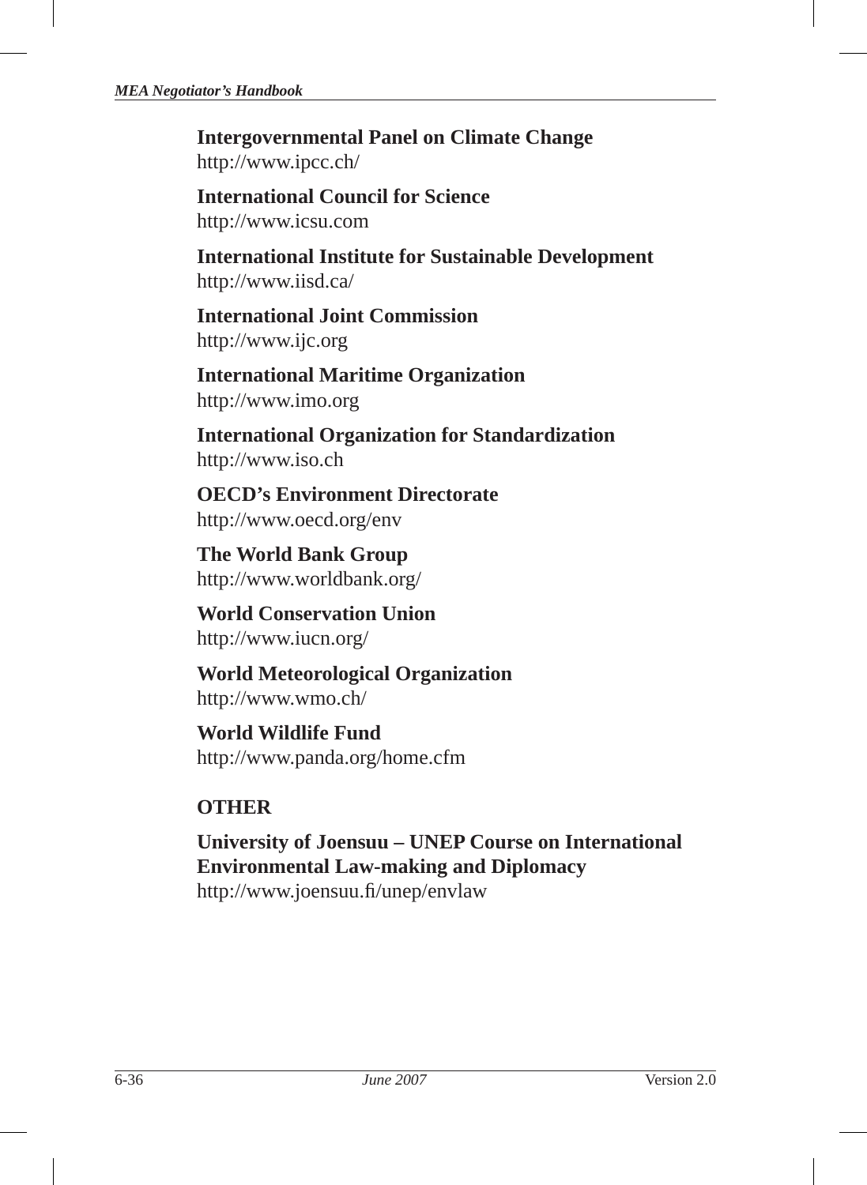**Intergovernmental Panel on Climate Change** http://www.ipcc.ch/

**International Council for Science**  http://www.icsu.com

**International Institute for Sustainable Development** http://www.iisd.ca/

**International Joint Commission**  http://www.ijc.org

**International Maritime Organization** http://www.imo.org

**International Organization for Standardization**  http://www.iso.ch

**OECD's Environment Directorate**  http://www.oecd.org/env

**The World Bank Group** http://www.worldbank.org/

**World Conservation Union** http://www.iucn.org/

**World Meteorological Organization** http://www.wmo.ch/

**World Wildlife Fund** http://www.panda.org/home.cfm

# **OTHER**

**University of Joensuu – UNEP Course on International Environmental Law-making and Diplomacy** http://www.joensuu.fi/unep/envlaw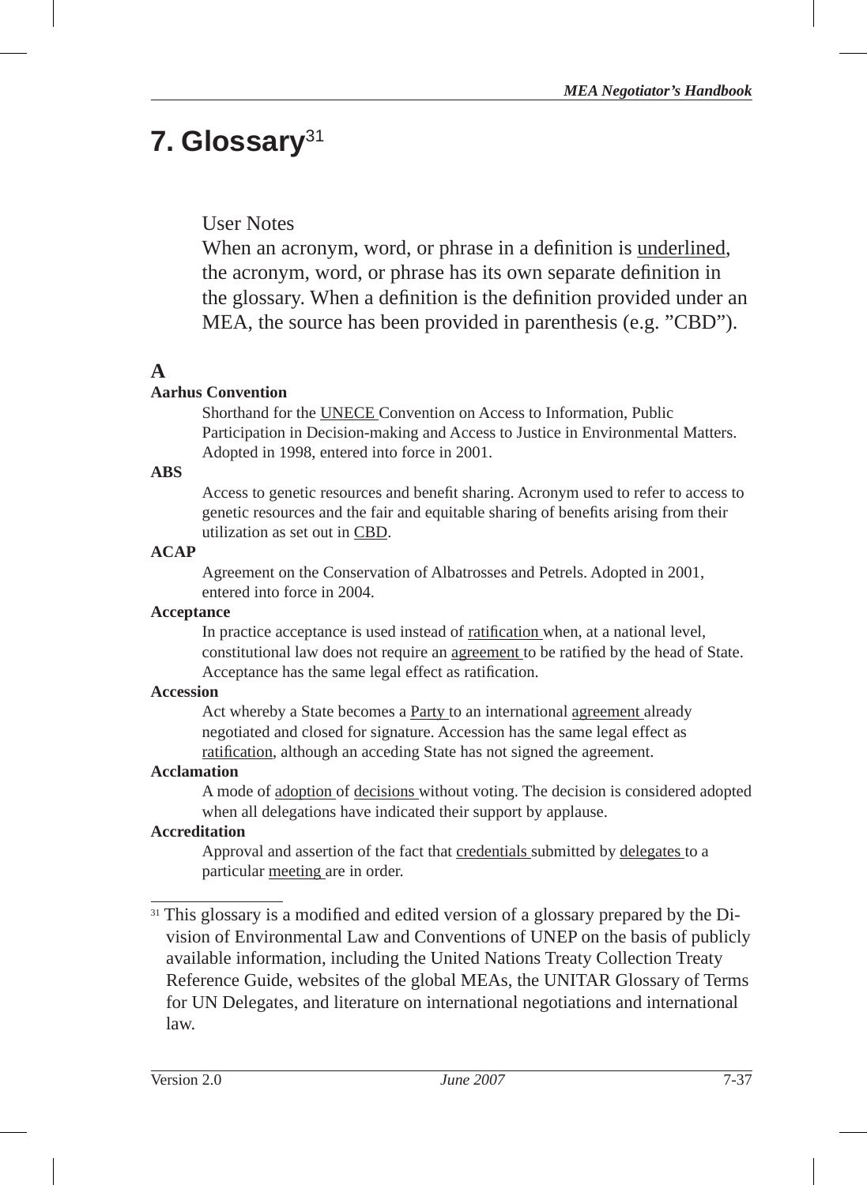# **7. Glossary**31**<sup>1</sup>**

## User Notes

When an acronym, word, or phrase in a definition is underlined, the acronym, word, or phrase has its own separate definition in the glossary. When a definition is the definition provided under an MEA, the source has been provided in parenthesis (e.g. "CBD").

## **A**

### **Aarhus Convention**

Shorthand for the UNECE Convention on Access to Information, Public Participation in Decision-making and Access to Justice in Environmental Matters. Adopted in 1998, entered into force in 2001.

### **ABS**

Access to genetic resources and benefi t sharing. Acronym used to refer to access to genetic resources and the fair and equitable sharing of benefits arising from their utilization as set out in CBD.

### **ACAP**

Agreement on the Conservation of Albatrosses and Petrels. Adopted in 2001, entered into force in 2004.

### **Acceptance**

In practice acceptance is used instead of ratification when, at a national level, constitutional law does not require an agreement to be ratified by the head of State. Acceptance has the same legal effect as ratification.

### **Accession**

Act whereby a State becomes a Party to an international agreement already negotiated and closed for signature. Accession has the same legal effect as ratification, although an acceding State has not signed the agreement.

### **Acclamation**

A mode of adoption of decisions without voting. The decision is considered adopted when all delegations have indicated their support by applause.

### **Accreditation**

Approval and assertion of the fact that credentials submitted by delegates to a particular meeting are in order.

<sup>31</sup> This glossary is a modified and edited version of a glossary prepared by the Division of Environmental Law and Conventions of UNEP on the basis of publicly available information, including the United Nations Treaty Collection Treaty Reference Guide, websites of the global MEAs, the UNITAR Glossary of Terms for UN Delegates, and literature on international negotiations and international law.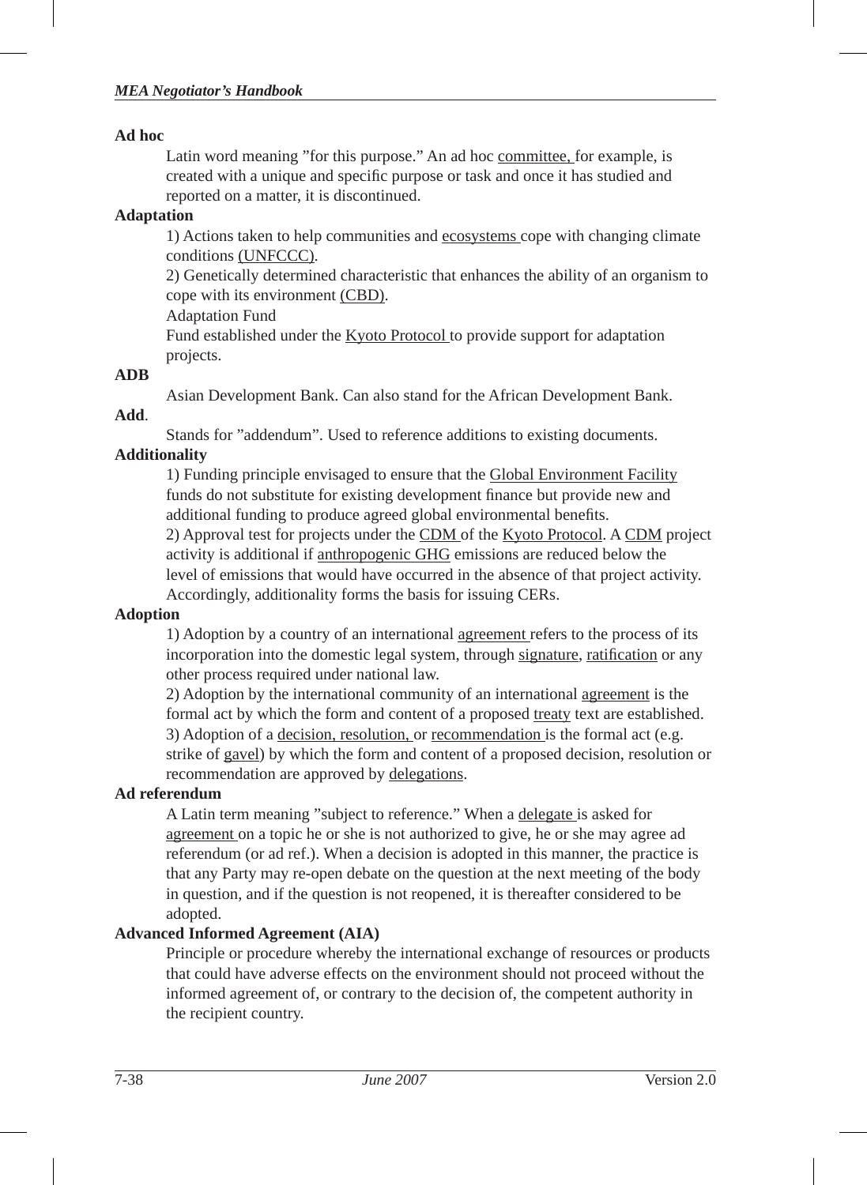#### **Ad hoc**

Latin word meaning "for this purpose." An ad hoc committee, for example, is created with a unique and specific purpose or task and once it has studied and reported on a matter, it is discontinued.

## **Adaptation**

1) Actions taken to help communities and ecosystems cope with changing climate conditions (UNFCCC).

2) Genetically determined characteristic that enhances the ability of an organism to cope with its environment (CBD).

Adaptation Fund

Fund established under the Kyoto Protocol to provide support for adaptation projects.

### **ADB**

Asian Development Bank. Can also stand for the African Development Bank.

## **Add**.

Stands for "addendum". Used to reference additions to existing documents.

## **Additionality**

1) Funding principle envisaged to ensure that the Global Environment Facility funds do not substitute for existing development finance but provide new and additional funding to produce agreed global environmental benefits. 2) Approval test for projects under the CDM of the Kyoto Protocol. A CDM project activity is additional if anthropogenic GHG emissions are reduced below the level of emissions that would have occurred in the absence of that project activity.

Accordingly, additionality forms the basis for issuing CERs.

## **Adoption**

1) Adoption by a country of an international agreement refers to the process of its incorporation into the domestic legal system, through signature, ratification or any other process required under national law.

2) Adoption by the international community of an international agreement is the formal act by which the form and content of a proposed treaty text are established. 3) Adoption of a decision, resolution, or recommendation is the formal act (e.g. strike of gavel) by which the form and content of a proposed decision, resolution or recommendation are approved by delegations.

## **Ad referendum**

A Latin term meaning "subject to reference." When a delegate is asked for agreement on a topic he or she is not authorized to give, he or she may agree ad referendum (or ad ref.). When a decision is adopted in this manner, the practice is that any Party may re-open debate on the question at the next meeting of the body in question, and if the question is not reopened, it is thereafter considered to be adopted.

## **Advanced Informed Agreement (AIA)**

Principle or procedure whereby the international exchange of resources or products that could have adverse effects on the environment should not proceed without the informed agreement of, or contrary to the decision of, the competent authority in the recipient country.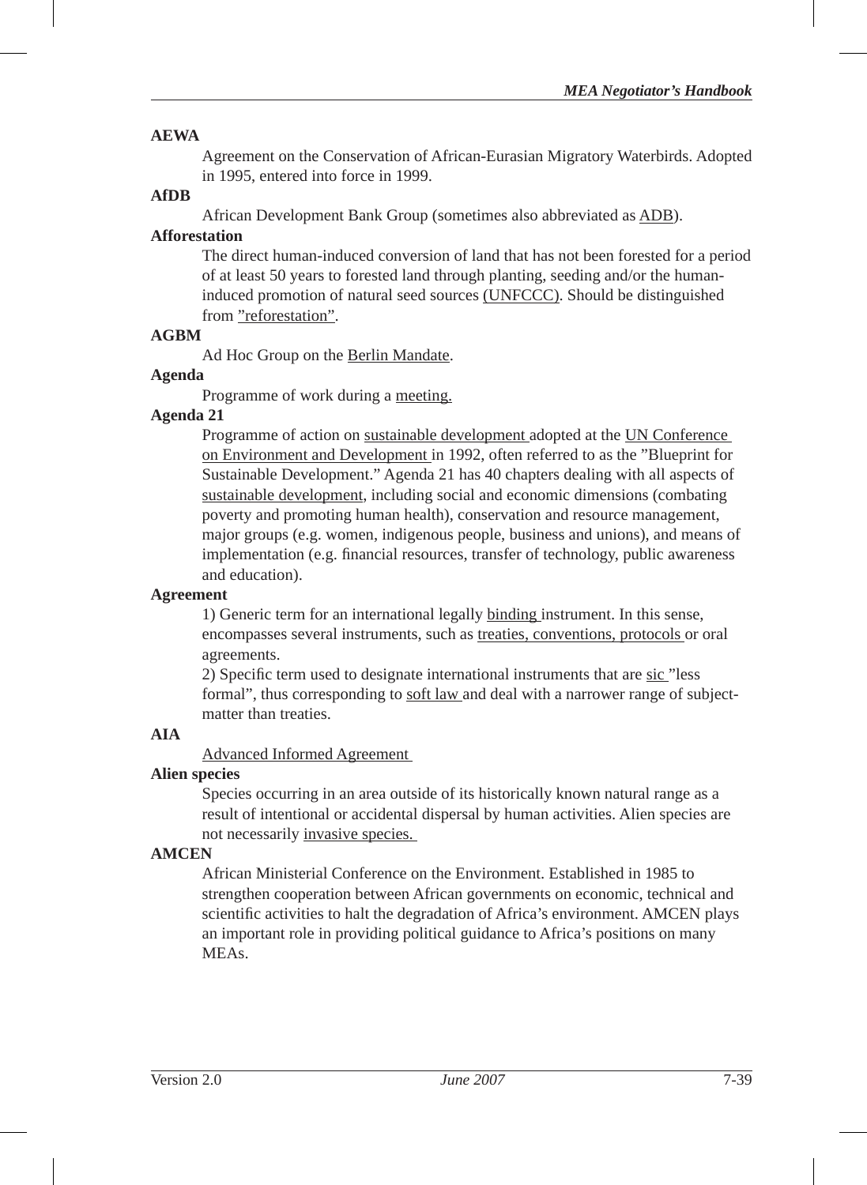### **AEWA**

Agreement on the Conservation of African-Eurasian Migratory Waterbirds. Adopted in 1995, entered into force in 1999.

## **AfDB**

African Development Bank Group (sometimes also abbreviated as ADB).

## **Afforestation**

The direct human-induced conversion of land that has not been forested for a period of at least 50 years to forested land through planting, seeding and/or the humaninduced promotion of natural seed sources (UNFCCC). Should be distinguished from "reforestation".

### **AGBM**

Ad Hoc Group on the Berlin Mandate.

### **Agenda**

Programme of work during a meeting.

### **Agenda 21**

Programme of action on sustainable development adopted at the UN Conference on Environment and Development in 1992, often referred to as the "Blueprint for Sustainable Development." Agenda 21 has 40 chapters dealing with all aspects of sustainable development, including social and economic dimensions (combating poverty and promoting human health), conservation and resource management, major groups (e.g. women, indigenous people, business and unions), and means of implementation (e.g. financial resources, transfer of technology, public awareness and education).

#### **Agreement**

1) Generic term for an international legally binding instrument. In this sense, encompasses several instruments, such as treaties, conventions, protocols or oral agreements.

2) Specific term used to designate international instruments that are sic "less" formal", thus corresponding to soft law and deal with a narrower range of subjectmatter than treaties.

## **AIA**

Advanced Informed Agreement

### **Alien species**

Species occurring in an area outside of its historically known natural range as a result of intentional or accidental dispersal by human activities. Alien species are not necessarily invasive species.

### **AMCEN**

African Ministerial Conference on the Environment. Established in 1985 to strengthen cooperation between African governments on economic, technical and scientific activities to halt the degradation of Africa's environment. AMCEN plays an important role in providing political guidance to Africa's positions on many MEAs.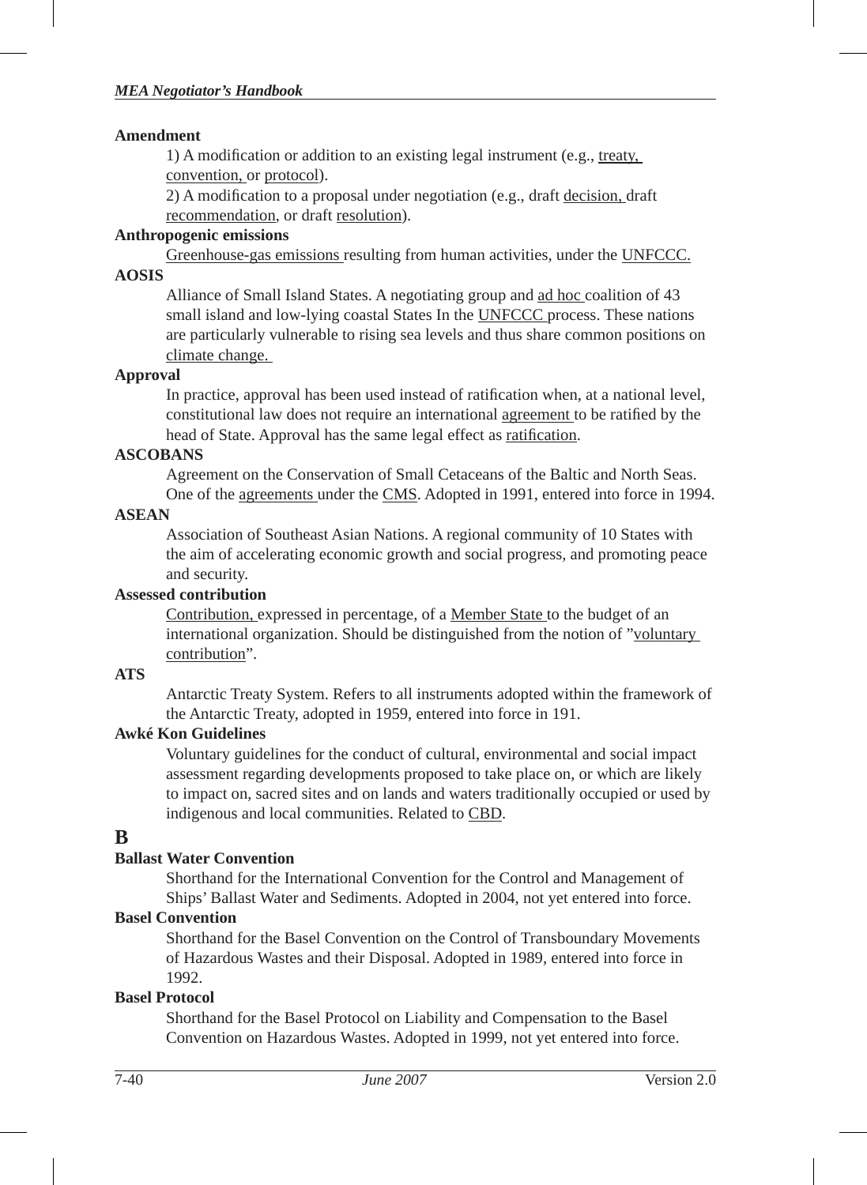#### **Amendment**

1) A modification or addition to an existing legal instrument (e.g., treaty, convention, or protocol).

 $2)$  A modification to a proposal under negotiation (e.g., draft decision, draft recommendation, or draft resolution).

## **Anthropogenic emissions**

Greenhouse-gas emissions resulting from human activities, under the UNFCCC.

## **AOSIS**

Alliance of Small Island States. A negotiating group and ad hoc coalition of 43 small island and low-lying coastal States In the UNFCCC process. These nations are particularly vulnerable to rising sea levels and thus share common positions on climate change.

### **Approval**

In practice, approval has been used instead of ratification when, at a national level, constitutional law does not require an international agreement to be ratified by the head of State. Approval has the same legal effect as ratification.

### **ASCOBANS**

Agreement on the Conservation of Small Cetaceans of the Baltic and North Seas. One of the agreements under the CMS. Adopted in 1991, entered into force in 1994.

### **ASEAN**

Association of Southeast Asian Nations. A regional community of 10 States with the aim of accelerating economic growth and social progress, and promoting peace and security.

### **Assessed contribution**

Contribution, expressed in percentage, of a Member State to the budget of an international organization. Should be distinguished from the notion of "voluntary contribution".

## **ATS**

Antarctic Treaty System. Refers to all instruments adopted within the framework of the Antarctic Treaty, adopted in 1959, entered into force in 191.

## **Awké Kon Guidelines**

Voluntary guidelines for the conduct of cultural, environmental and social impact assessment regarding developments proposed to take place on, or which are likely to impact on, sacred sites and on lands and waters traditionally occupied or used by indigenous and local communities. Related to CBD.

## **B**

## **Ballast Water Convention**

Shorthand for the International Convention for the Control and Management of Ships' Ballast Water and Sediments. Adopted in 2004, not yet entered into force.

### **Basel Convention**

Shorthand for the Basel Convention on the Control of Transboundary Movements of Hazardous Wastes and their Disposal. Adopted in 1989, entered into force in 1992.

## **Basel Protocol**

Shorthand for the Basel Protocol on Liability and Compensation to the Basel Convention on Hazardous Wastes. Adopted in 1999, not yet entered into force.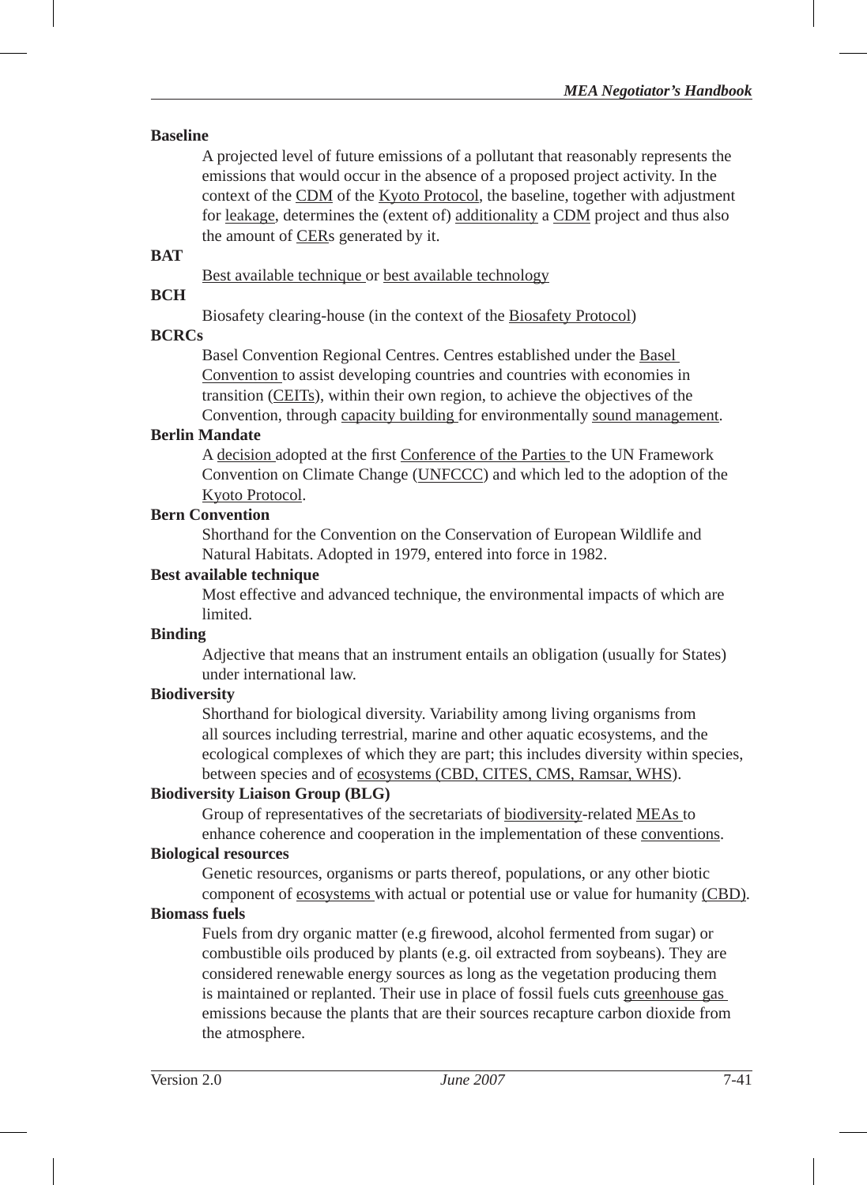### **Baseline**

A projected level of future emissions of a pollutant that reasonably represents the emissions that would occur in the absence of a proposed project activity. In the context of the CDM of the Kyoto Protocol, the baseline, together with adjustment for leakage, determines the (extent of) additionality a CDM project and thus also the amount of CERs generated by it.

#### **BAT**

Best available technique or best available technology

## **BCH**

Biosafety clearing-house (in the context of the Biosafety Protocol)

## **BCRCs**

Basel Convention Regional Centres. Centres established under the Basel Convention to assist developing countries and countries with economies in transition (CEITs), within their own region, to achieve the objectives of the Convention, through capacity building for environmentally sound management.

#### **Berlin Mandate**

A decision adopted at the first Conference of the Parties to the UN Framework Convention on Climate Change (UNFCCC) and which led to the adoption of the Kyoto Protocol.

#### **Bern Convention**

Shorthand for the Convention on the Conservation of European Wildlife and Natural Habitats. Adopted in 1979, entered into force in 1982.

#### **Best available technique**

Most effective and advanced technique, the environmental impacts of which are limited.

#### **Binding**

Adjective that means that an instrument entails an obligation (usually for States) under international law.

### **Biodiversity**

Shorthand for biological diversity. Variability among living organisms from all sources including terrestrial, marine and other aquatic ecosystems, and the ecological complexes of which they are part; this includes diversity within species, between species and of ecosystems (CBD, CITES, CMS, Ramsar, WHS).

### **Biodiversity Liaison Group (BLG)**

Group of representatives of the secretariats of biodiversity-related MEAs to enhance coherence and cooperation in the implementation of these conventions.

## **Biological resources**

Genetic resources, organisms or parts thereof, populations, or any other biotic component of ecosystems with actual or potential use or value for humanity (CBD).

### **Biomass fuels**

Fuels from dry organic matter (e.g firewood, alcohol fermented from sugar) or combustible oils produced by plants (e.g. oil extracted from soybeans). They are considered renewable energy sources as long as the vegetation producing them is maintained or replanted. Their use in place of fossil fuels cuts greenhouse gas emissions because the plants that are their sources recapture carbon dioxide from the atmosphere.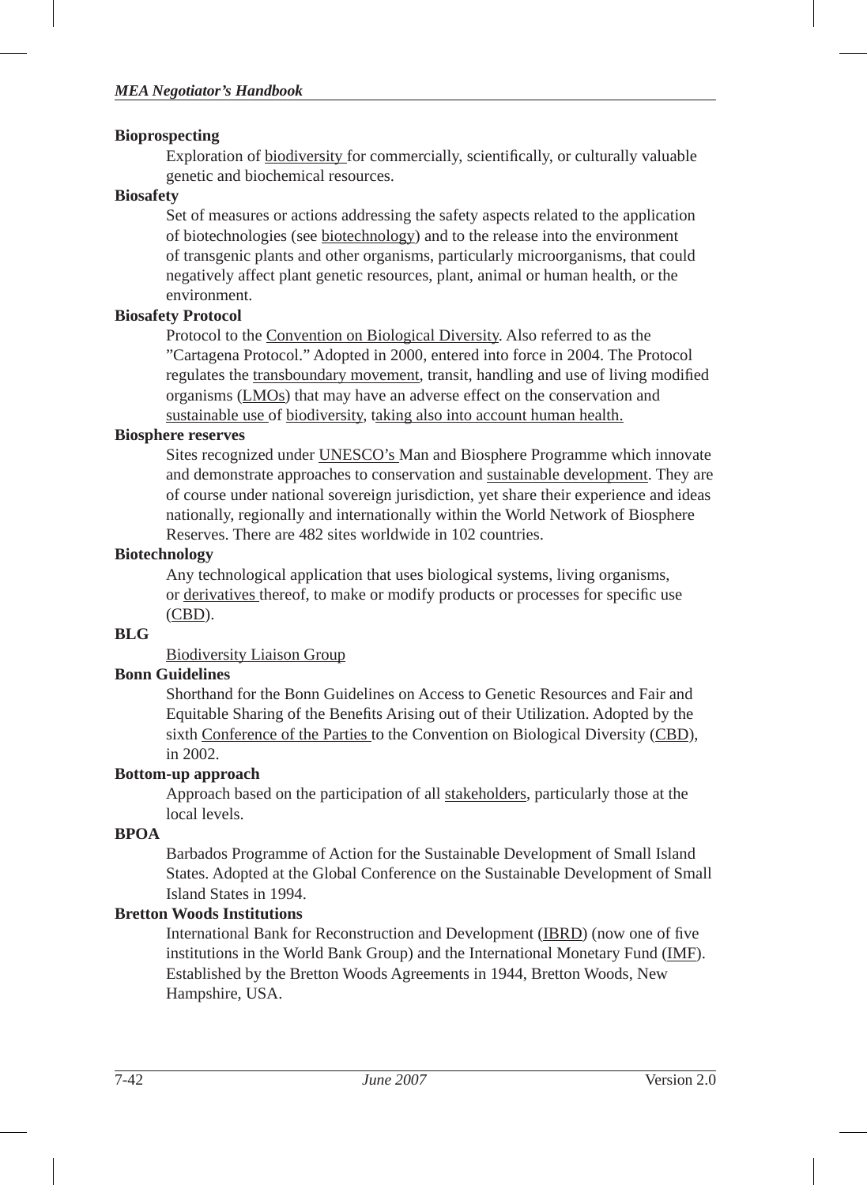### **Bioprospecting**

Exploration of biodiversity for commercially, scientifically, or culturally valuable genetic and biochemical resources.

### **Biosafety**

Set of measures or actions addressing the safety aspects related to the application of biotechnologies (see biotechnology) and to the release into the environment of transgenic plants and other organisms, particularly microorganisms, that could negatively affect plant genetic resources, plant, animal or human health, or the environment.

### **Biosafety Protocol**

Protocol to the Convention on Biological Diversity. Also referred to as the "Cartagena Protocol." Adopted in 2000, entered into force in 2004. The Protocol regulates the transboundary movement, transit, handling and use of living modified organisms (LMOs) that may have an adverse effect on the conservation and sustainable use of biodiversity, taking also into account human health.

#### **Biosphere reserves**

Sites recognized under UNESCO's Man and Biosphere Programme which innovate and demonstrate approaches to conservation and sustainable development. They are of course under national sovereign jurisdiction, yet share their experience and ideas nationally, regionally and internationally within the World Network of Biosphere Reserves. There are 482 sites worldwide in 102 countries.

#### **Biotechnology**

Any technological application that uses biological systems, living organisms, or derivatives thereof, to make or modify products or processes for specific use (CBD).

### **BLG**

Biodiversity Liaison Group

## **Bonn Guidelines**

Shorthand for the Bonn Guidelines on Access to Genetic Resources and Fair and Equitable Sharing of the Benefits Arising out of their Utilization. Adopted by the sixth Conference of the Parties to the Convention on Biological Diversity (CBD), in 2002.

### **Bottom-up approach**

Approach based on the participation of all stakeholders, particularly those at the local levels.

#### **BPOA**

Barbados Programme of Action for the Sustainable Development of Small Island States. Adopted at the Global Conference on the Sustainable Development of Small Island States in 1994.

### **Bretton Woods Institutions**

International Bank for Reconstruction and Development (IBRD) (now one of five institutions in the World Bank Group) and the International Monetary Fund (IMF). Established by the Bretton Woods Agreements in 1944, Bretton Woods, New Hampshire, USA.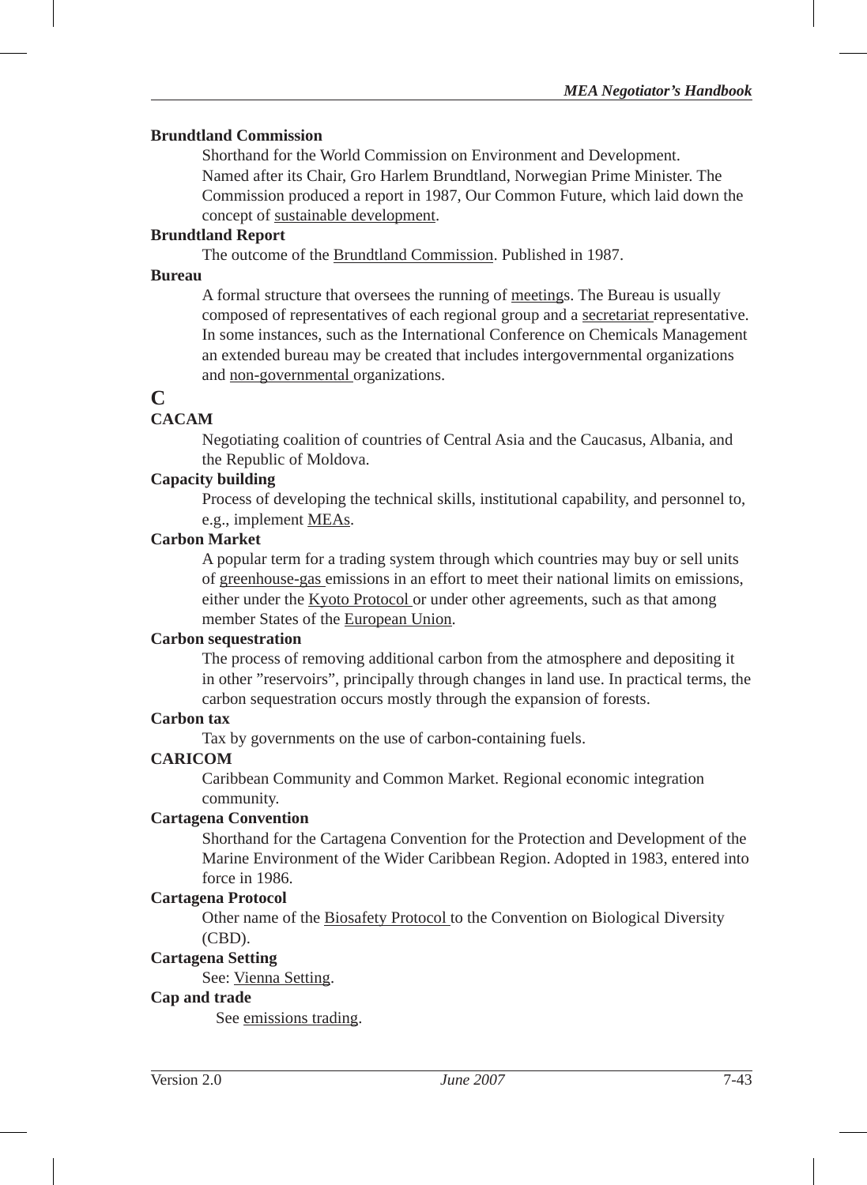#### **Brundtland Commission**

Shorthand for the World Commission on Environment and Development. Named after its Chair, Gro Harlem Brundtland, Norwegian Prime Minister. The Commission produced a report in 1987, Our Common Future, which laid down the concept of sustainable development.

#### **Brundtland Report**

The outcome of the Brundtland Commission. Published in 1987.

#### **Bureau**

A formal structure that oversees the running of meetings. The Bureau is usually composed of representatives of each regional group and a secretariat representative. In some instances, such as the International Conference on Chemicals Management an extended bureau may be created that includes intergovernmental organizations and non-governmental organizations.

## **C**

## **CACAM**

Negotiating coalition of countries of Central Asia and the Caucasus, Albania, and the Republic of Moldova.

### **Capacity building**

Process of developing the technical skills, institutional capability, and personnel to, e.g., implement MEAs.

#### **Carbon Market**

A popular term for a trading system through which countries may buy or sell units of greenhouse-gas emissions in an effort to meet their national limits on emissions, either under the Kyoto Protocol or under other agreements, such as that among member States of the European Union.

#### **Carbon sequestration**

The process of removing additional carbon from the atmosphere and depositing it in other "reservoirs", principally through changes in land use. In practical terms, the carbon sequestration occurs mostly through the expansion of forests.

### **Carbon tax**

Tax by governments on the use of carbon-containing fuels.

### **CARICOM**

Caribbean Community and Common Market. Regional economic integration community.

### **Cartagena Convention**

Shorthand for the Cartagena Convention for the Protection and Development of the Marine Environment of the Wider Caribbean Region. Adopted in 1983, entered into force in 1986.

### **Cartagena Protocol**

Other name of the Biosafety Protocol to the Convention on Biological Diversity (CBD).

#### **Cartagena Setting**

See: Vienna Setting.

#### **Cap and trade**

See emissions trading.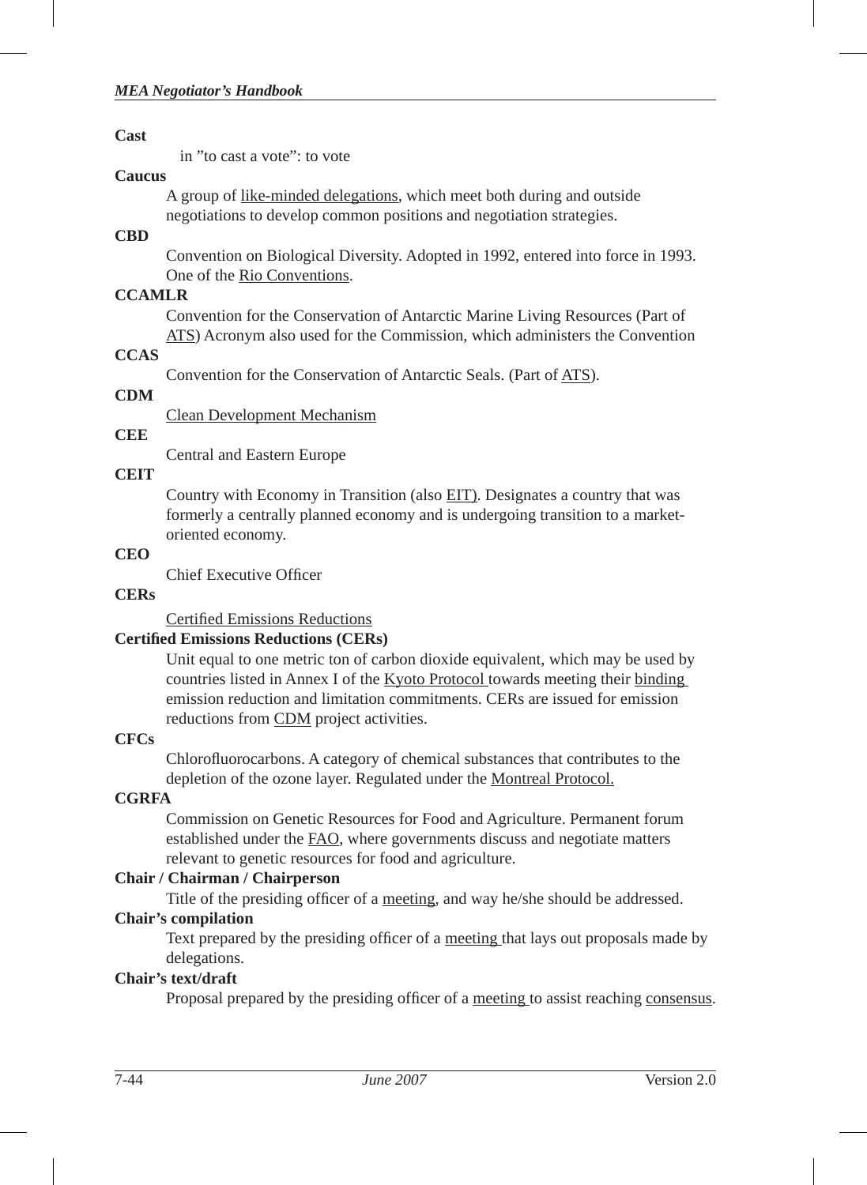#### **Cast**

in "to cast a vote": to vote

#### **Caucus**

A group of like-minded delegations, which meet both during and outside negotiations to develop common positions and negotiation strategies.

## **CBD**

Convention on Biological Diversity. Adopted in 1992, entered into force in 1993. One of the Rio Conventions.

## **CCAMLR**

Convention for the Conservation of Antarctic Marine Living Resources (Part of ATS) Acronym also used for the Commission, which administers the Convention

## **CCAS**

Convention for the Conservation of Antarctic Seals. (Part of ATS).

## **CDM**

Clean Development Mechanism

## **CEE**

Central and Eastern Europe

## **CEIT**

Country with Economy in Transition (also EIT). Designates a country that was formerly a centrally planned economy and is undergoing transition to a marketoriented economy.

## **CEO**

Chief Executive Officer

## **CERs**

Certified Emissions Reductions

## **Certifi ed Emissions Reductions (CERs)**

Unit equal to one metric ton of carbon dioxide equivalent, which may be used by countries listed in Annex I of the Kyoto Protocol towards meeting their binding emission reduction and limitation commitments. CERs are issued for emission reductions from CDM project activities.

## **CFCs**

Chlorofluorocarbons. A category of chemical substances that contributes to the depletion of the ozone layer. Regulated under the Montreal Protocol.

## **CGRFA**

Commission on Genetic Resources for Food and Agriculture. Permanent forum established under the FAO, where governments discuss and negotiate matters relevant to genetic resources for food and agriculture.

## **Chair / Chairman / Chairperson**

Title of the presiding officer of a meeting, and way he/she should be addressed.

## **Chair's compilation**

Text prepared by the presiding officer of a meeting that lays out proposals made by delegations.

## **Chair's text/draft**

Proposal prepared by the presiding officer of a meeting to assist reaching consensus.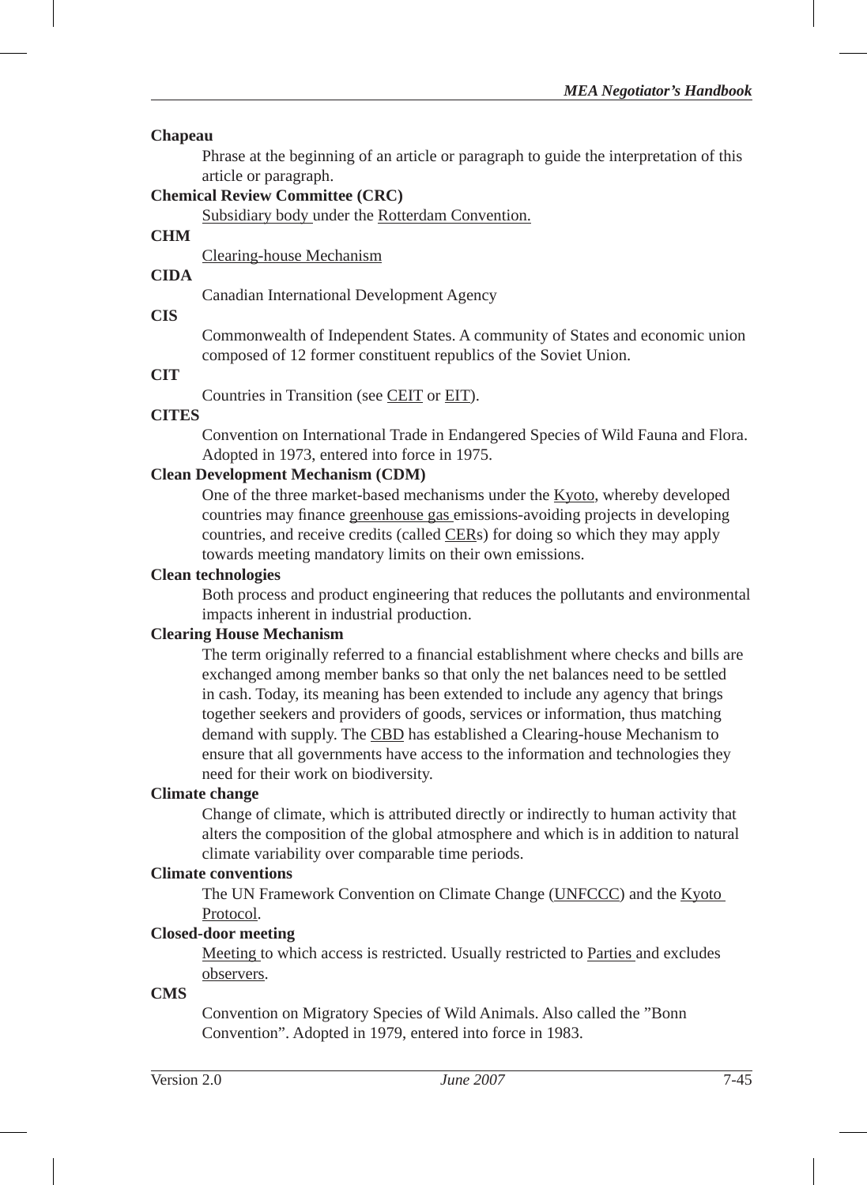#### **Chapeau**

Phrase at the beginning of an article or paragraph to guide the interpretation of this article or paragraph.

## **Chemical Review Committee (CRC)**

Subsidiary body under the Rotterdam Convention.

## **CHM**

Clearing-house Mechanism

#### **CIDA**

Canadian International Development Agency

#### **CIS**

Commonwealth of Independent States. A community of States and economic union composed of 12 former constituent republics of the Soviet Union.

### **CIT**

Countries in Transition (see CEIT or EIT).

#### **CITES**

Convention on International Trade in Endangered Species of Wild Fauna and Flora. Adopted in 1973, entered into force in 1975.

### **Clean Development Mechanism (CDM)**

One of the three market-based mechanisms under the Kyoto, whereby developed countries may finance greenhouse gas emissions-avoiding projects in developing countries, and receive credits (called CERs) for doing so which they may apply towards meeting mandatory limits on their own emissions.

#### **Clean technologies**

Both process and product engineering that reduces the pollutants and environmental impacts inherent in industrial production.

#### **Clearing House Mechanism**

The term originally referred to a financial establishment where checks and bills are exchanged among member banks so that only the net balances need to be settled in cash. Today, its meaning has been extended to include any agency that brings together seekers and providers of goods, services or information, thus matching demand with supply. The CBD has established a Clearing-house Mechanism to ensure that all governments have access to the information and technologies they need for their work on biodiversity.

### **Climate change**

Change of climate, which is attributed directly or indirectly to human activity that alters the composition of the global atmosphere and which is in addition to natural climate variability over comparable time periods.

#### **Climate conventions**

The UN Framework Convention on Climate Change (UNFCCC) and the Kyoto Protocol.

### **Closed-door meeting**

Meeting to which access is restricted. Usually restricted to Parties and excludes observers.

#### **CMS**

Convention on Migratory Species of Wild Animals. Also called the "Bonn Convention". Adopted in 1979, entered into force in 1983.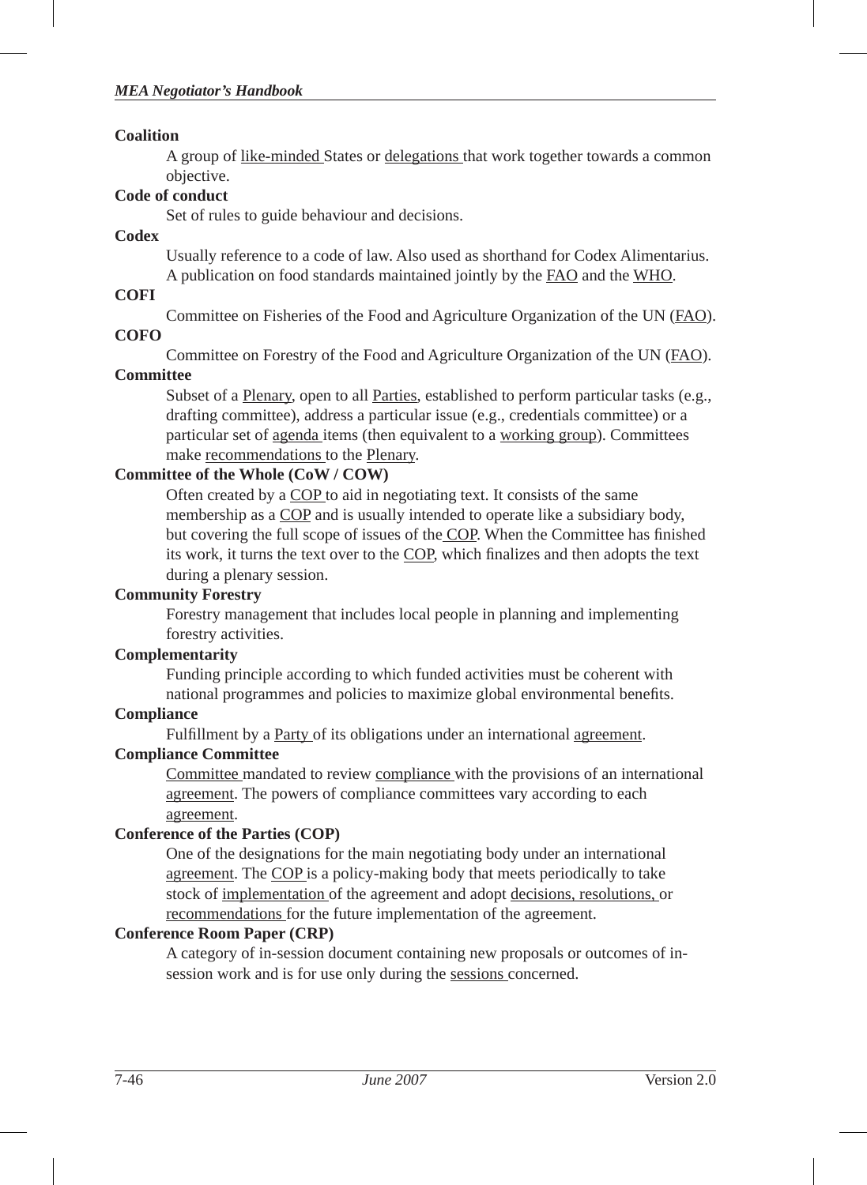#### **Coalition**

A group of like-minded States or delegations that work together towards a common objective.

# **Code of conduct**

Set of rules to guide behaviour and decisions.

## **Codex**

Usually reference to a code of law. Also used as shorthand for Codex Alimentarius. A publication on food standards maintained jointly by the FAO and the WHO.

## **COFI**

Committee on Fisheries of the Food and Agriculture Organization of the UN (FAO).

## **COFO**

Committee on Forestry of the Food and Agriculture Organization of the UN (FAO).

## **Committee**

Subset of a Plenary, open to all Parties, established to perform particular tasks (e.g., drafting committee), address a particular issue (e.g., credentials committee) or a particular set of agenda items (then equivalent to a working group). Committees make recommendations to the Plenary.

## **Committee of the Whole (CoW / COW)**

Often created by a COP to aid in negotiating text. It consists of the same membership as a COP and is usually intended to operate like a subsidiary body, but covering the full scope of issues of the COP. When the Committee has finished its work, it turns the text over to the COP, which finalizes and then adopts the text during a plenary session.

## **Community Forestry**

Forestry management that includes local people in planning and implementing forestry activities.

## **Complementarity**

Funding principle according to which funded activities must be coherent with national programmes and policies to maximize global environmental benefits.

## **Compliance**

Fulfillment by a Party of its obligations under an international agreement.

## **Compliance Committee**

Committee mandated to review compliance with the provisions of an international agreement. The powers of compliance committees vary according to each agreement.

## **Conference of the Parties (COP)**

One of the designations for the main negotiating body under an international agreement. The COP is a policy-making body that meets periodically to take stock of implementation of the agreement and adopt decisions, resolutions, or recommendations for the future implementation of the agreement.

## **Conference Room Paper (CRP)**

A category of in-session document containing new proposals or outcomes of insession work and is for use only during the sessions concerned.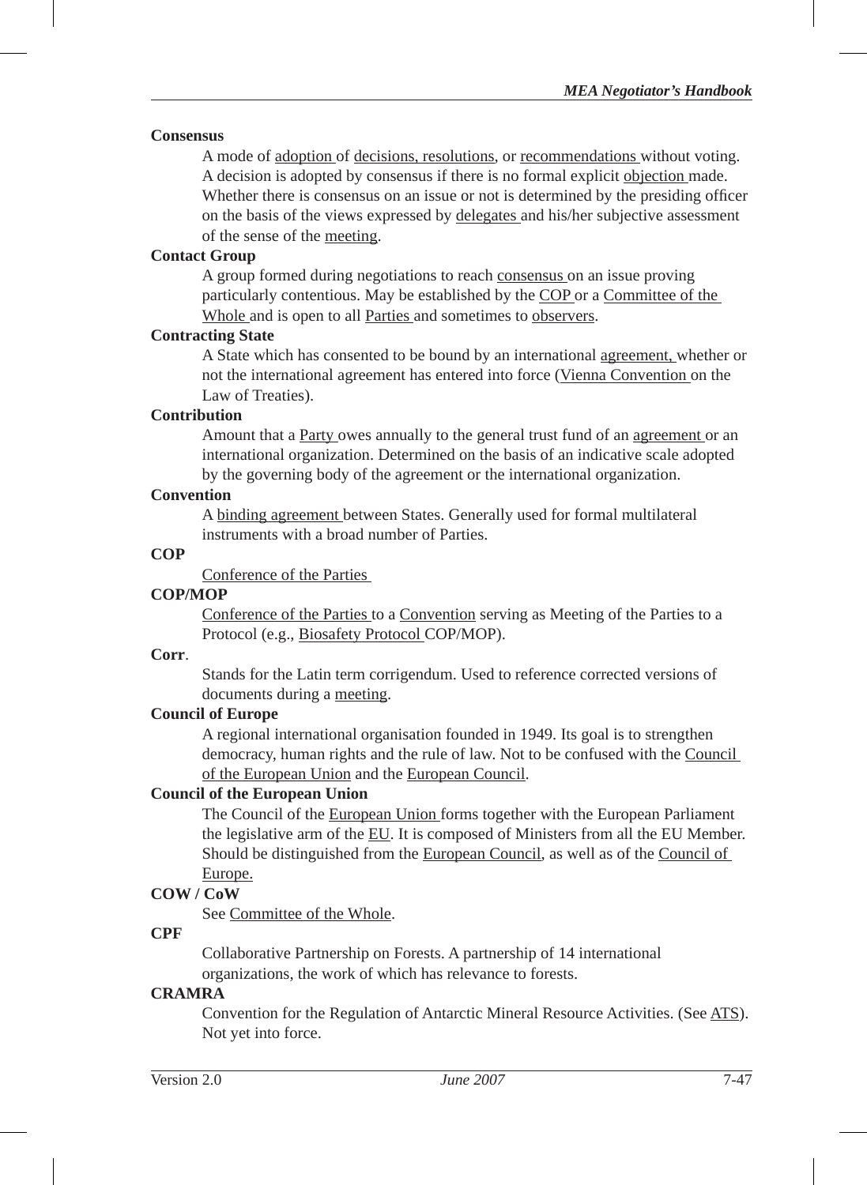#### **Consensus**

A mode of adoption of decisions, resolutions, or recommendations without voting. A decision is adopted by consensus if there is no formal explicit objection made. Whether there is consensus on an issue or not is determined by the presiding officer on the basis of the views expressed by delegates and his/her subjective assessment of the sense of the meeting.

### **Contact Group**

A group formed during negotiations to reach consensus on an issue proving particularly contentious. May be established by the COP or a Committee of the Whole and is open to all Parties and sometimes to observers.

#### **Contracting State**

A State which has consented to be bound by an international agreement, whether or not the international agreement has entered into force (Vienna Convention on the Law of Treaties).

### **Contribution**

Amount that a Party owes annually to the general trust fund of an agreement or an international organization. Determined on the basis of an indicative scale adopted by the governing body of the agreement or the international organization.

## **Convention**

A binding agreement between States. Generally used for formal multilateral instruments with a broad number of Parties.

## **COP**

Conference of the Parties

### **COP/MOP**

Conference of the Parties to a Convention serving as Meeting of the Parties to a Protocol (e.g., Biosafety Protocol COP/MOP).

#### **Corr**.

Stands for the Latin term corrigendum. Used to reference corrected versions of documents during a meeting.

### **Council of Europe**

A regional international organisation founded in 1949. Its goal is to strengthen democracy, human rights and the rule of law. Not to be confused with the Council of the European Union and the European Council.

### **Council of the European Union**

The Council of the European Union forms together with the European Parliament the legislative arm of the EU. It is composed of Ministers from all the EU Member. Should be distinguished from the European Council, as well as of the Council of Europe.

### **COW / CoW**

See Committee of the Whole.

### **CPF**

Collaborative Partnership on Forests. A partnership of 14 international organizations, the work of which has relevance to forests.

### **CRAMRA**

Convention for the Regulation of Antarctic Mineral Resource Activities. (See ATS). Not yet into force.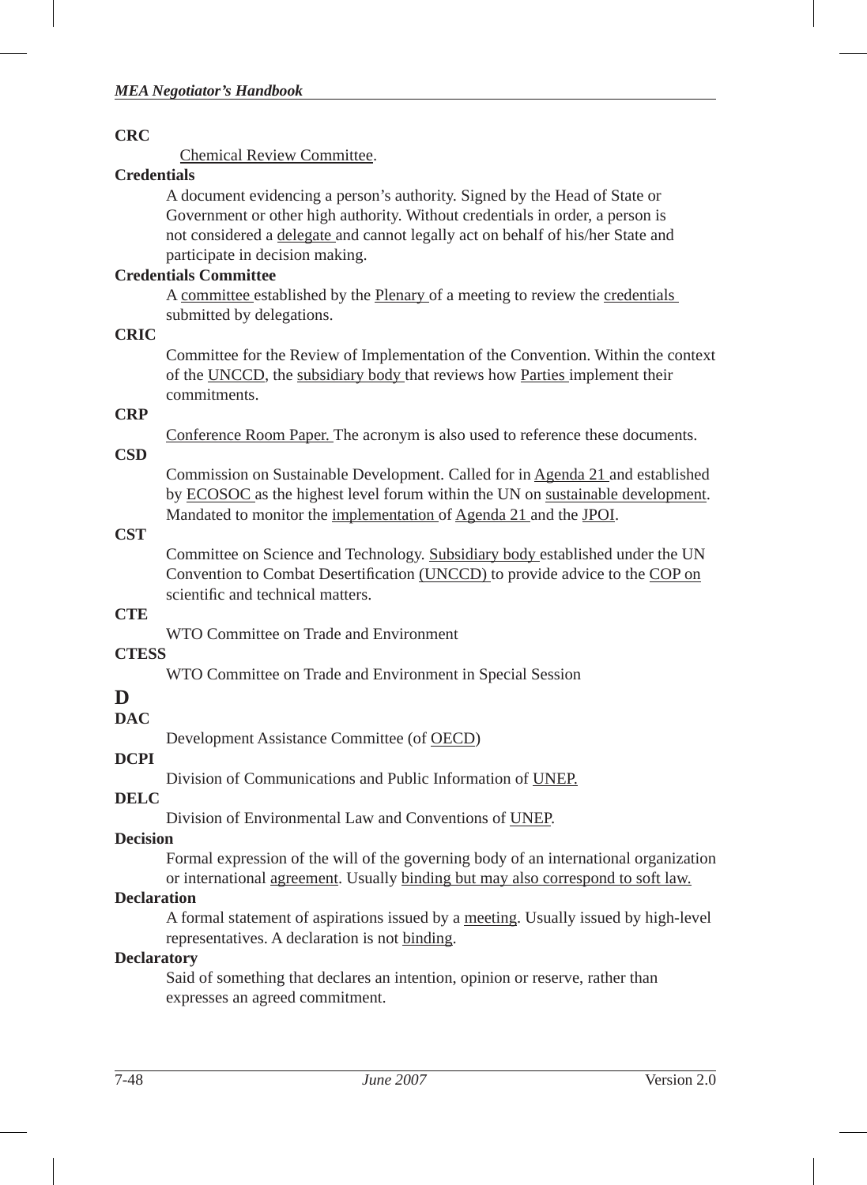## **CRC**

Chemical Review Committee.

## **Credentials**

A document evidencing a person's authority. Signed by the Head of State or Government or other high authority. Without credentials in order, a person is not considered a delegate and cannot legally act on behalf of his/her State and participate in decision making.

## **Credentials Committee**

A committee established by the Plenary of a meeting to review the credentials submitted by delegations.

## **CRIC**

Committee for the Review of Implementation of the Convention. Within the context of the UNCCD, the subsidiary body that reviews how Parties implement their commitments.

## **CRP**

Conference Room Paper. The acronym is also used to reference these documents.

## **CSD**

Commission on Sustainable Development. Called for in Agenda 21 and established by ECOSOC as the highest level forum within the UN on sustainable development. Mandated to monitor the implementation of Agenda 21 and the JPOI.

## **CST**

Committee on Science and Technology. Subsidiary body established under the UN Convention to Combat Desertification (UNCCD) to provide advice to the COP on scientific and technical matters.

## **CTE**

WTO Committee on Trade and Environment

## **CTESS**

WTO Committee on Trade and Environment in Special Session

## **D**

**DAC**

Development Assistance Committee (of OECD)

## **DCPI**

Division of Communications and Public Information of UNEP.

## **DELC**

Division of Environmental Law and Conventions of UNEP.

## **Decision**

Formal expression of the will of the governing body of an international organization or international agreement. Usually binding but may also correspond to soft law.

## **Declaration**

A formal statement of aspirations issued by a meeting. Usually issued by high-level representatives. A declaration is not binding.

## **Declaratory**

Said of something that declares an intention, opinion or reserve, rather than expresses an agreed commitment.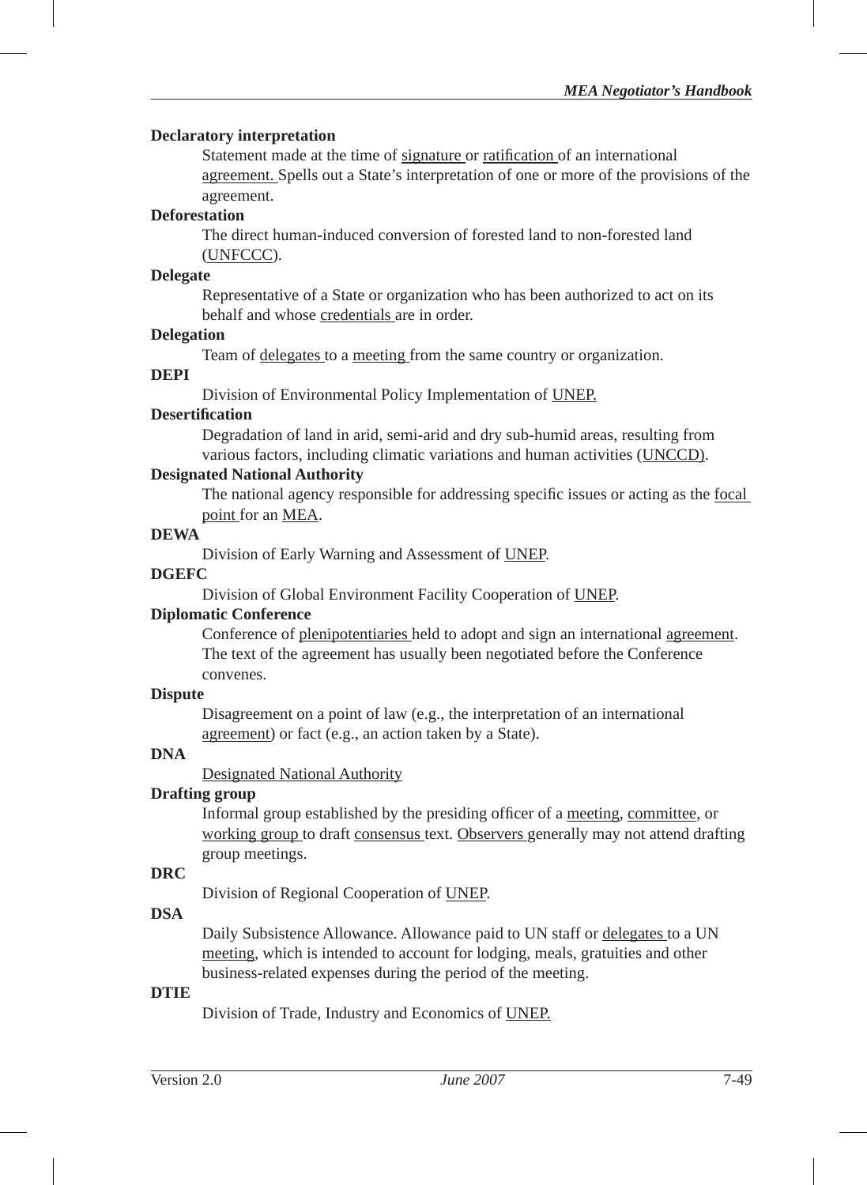#### **Declaratory interpretation**

Statement made at the time of signature or ratification of an international agreement. Spells out a State's interpretation of one or more of the provisions of the agreement.

#### **Deforestation**

The direct human-induced conversion of forested land to non-forested land (UNFCCC).

#### **Delegate**

Representative of a State or organization who has been authorized to act on its behalf and whose credentials are in order.

#### **Delegation**

Team of delegates to a meeting from the same country or organization.

#### **DEPI**

Division of Environmental Policy Implementation of UNEP.

#### **Desertifi cation**

Degradation of land in arid, semi-arid and dry sub-humid areas, resulting from various factors, including climatic variations and human activities (UNCCD).

#### **Designated National Authority**

The national agency responsible for addressing specific issues or acting as the focal point for an MEA.

#### **DEWA**

Division of Early Warning and Assessment of UNEP.

#### **DGEFC**

Division of Global Environment Facility Cooperation of UNEP.

### **Diplomatic Conference**

Conference of plenipotentiaries held to adopt and sign an international agreement. The text of the agreement has usually been negotiated before the Conference convenes.

#### **Dispute**

Disagreement on a point of law (e.g., the interpretation of an international agreement) or fact (e.g., an action taken by a State).

### **DNA**

Designated National Authority

#### **Drafting group**

Informal group established by the presiding officer of a meeting, committee, or working group to draft consensus text. Observers generally may not attend drafting group meetings.

#### **DRC**

Division of Regional Cooperation of UNEP.

#### **DSA**

Daily Subsistence Allowance. Allowance paid to UN staff or delegates to a UN meeting, which is intended to account for lodging, meals, gratuities and other business-related expenses during the period of the meeting.

#### **DTIE**

Division of Trade, Industry and Economics of UNEP.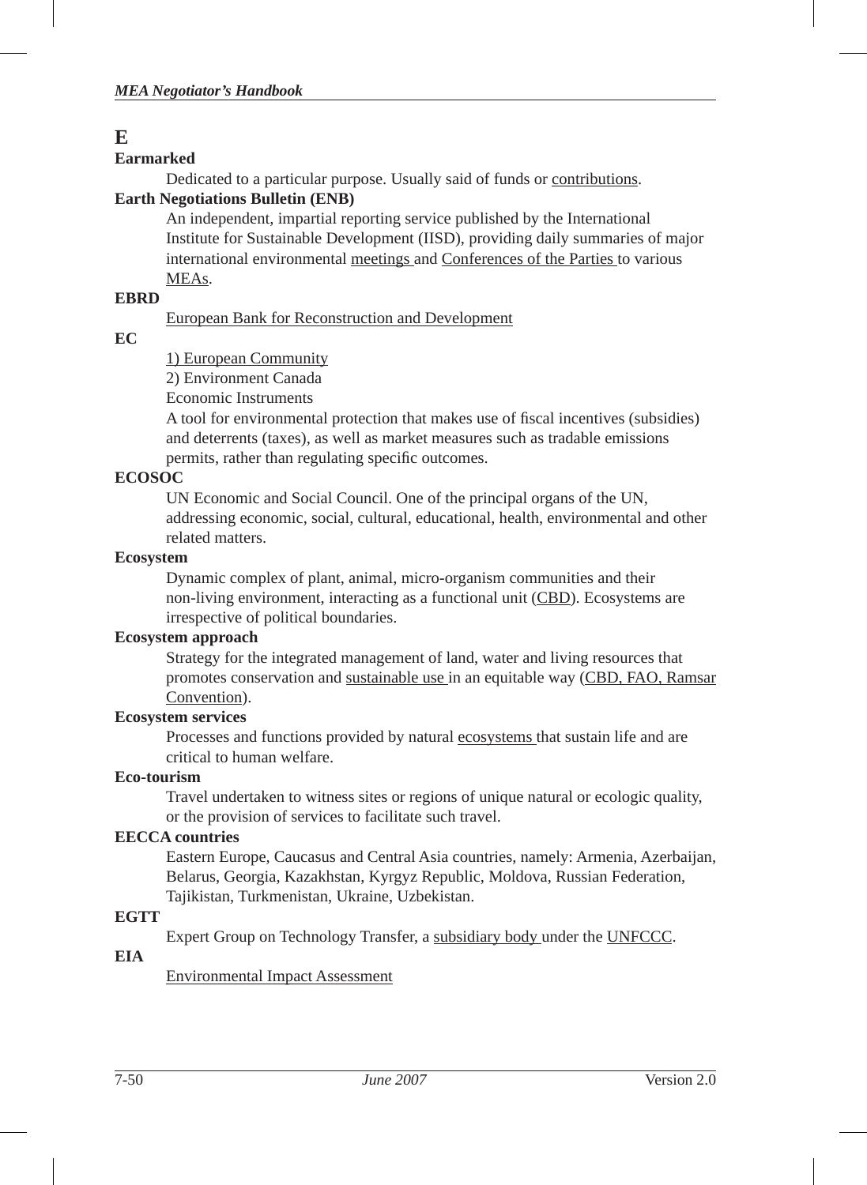## **E**

## **Earmarked**

Dedicated to a particular purpose. Usually said of funds or contributions.

## **Earth Negotiations Bulletin (ENB)**

An independent, impartial reporting service published by the International Institute for Sustainable Development (IISD), providing daily summaries of major international environmental meetings and Conferences of the Parties to various MEAs.

## **EBRD**

European Bank for Reconstruction and Development

## **EC**

1) European Community

2) Environment Canada

Economic Instruments

A tool for environmental protection that makes use of fiscal incentives (subsidies) and deterrents (taxes), as well as market measures such as tradable emissions permits, rather than regulating specific outcomes.

## **ECOSOC**

UN Economic and Social Council. One of the principal organs of the UN, addressing economic, social, cultural, educational, health, environmental and other related matters.

## **Ecosystem**

Dynamic complex of plant, animal, micro-organism communities and their non-living environment, interacting as a functional unit (CBD). Ecosystems are irrespective of political boundaries.

## **Ecosystem approach**

Strategy for the integrated management of land, water and living resources that promotes conservation and sustainable use in an equitable way (CBD, FAO, Ramsar Convention).

## **Ecosystem services**

Processes and functions provided by natural ecosystems that sustain life and are critical to human welfare.

## **Eco-tourism**

Travel undertaken to witness sites or regions of unique natural or ecologic quality, or the provision of services to facilitate such travel.

## **EECCA countries**

Eastern Europe, Caucasus and Central Asia countries, namely: Armenia, Azerbaijan, Belarus, Georgia, Kazakhstan, Kyrgyz Republic, Moldova, Russian Federation, Tajikistan, Turkmenistan, Ukraine, Uzbekistan.

## **EGTT**

Expert Group on Technology Transfer, a subsidiary body under the UNFCCC.

## **EIA**

Environmental Impact Assessment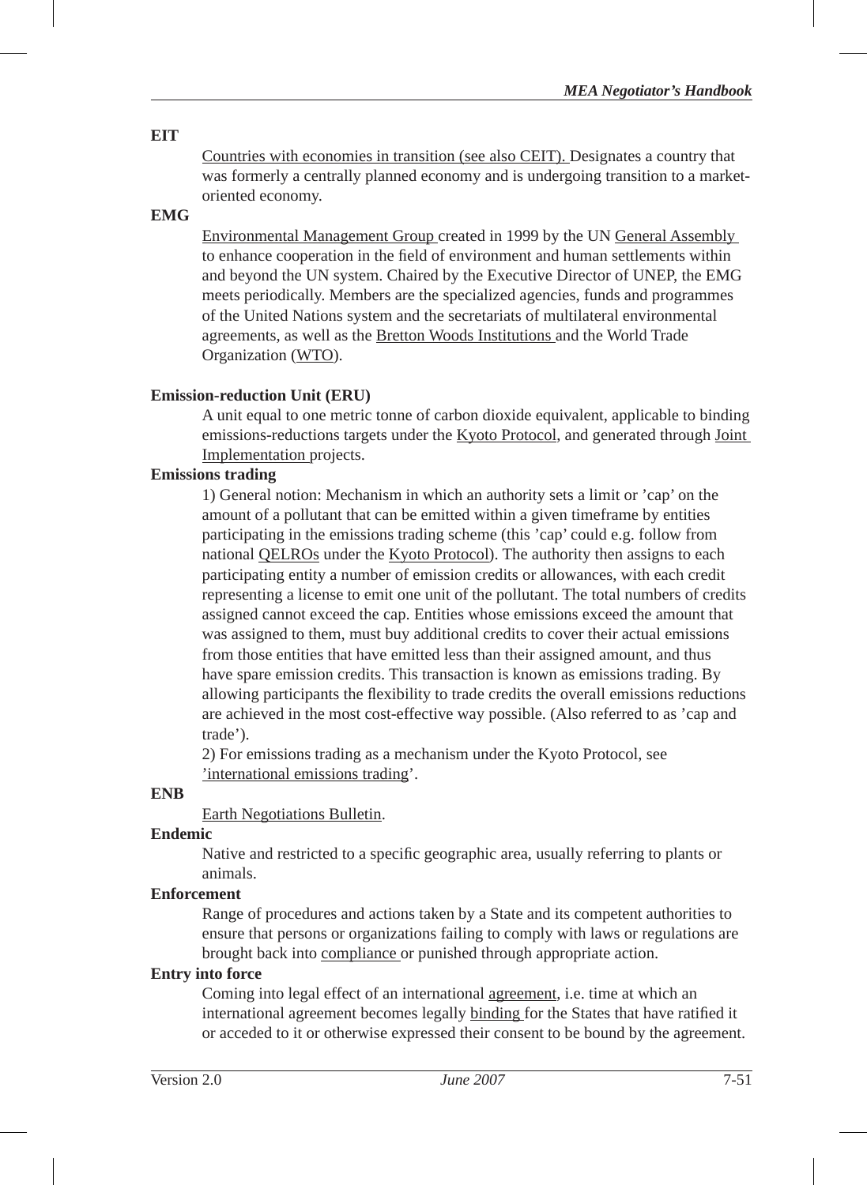## **EIT**

Countries with economies in transition (see also CEIT). Designates a country that was formerly a centrally planned economy and is undergoing transition to a marketoriented economy.

## **EMG**

Environmental Management Group created in 1999 by the UN General Assembly to enhance cooperation in the field of environment and human settlements within and beyond the UN system. Chaired by the Executive Director of UNEP, the EMG meets periodically. Members are the specialized agencies, funds and programmes of the United Nations system and the secretariats of multilateral environmental agreements, as well as the Bretton Woods Institutions and the World Trade Organization (WTO).

## **Emission-reduction Unit (ERU)**

A unit equal to one metric tonne of carbon dioxide equivalent, applicable to binding emissions-reductions targets under the Kyoto Protocol, and generated through Joint Implementation projects.

## **Emissions trading**

1) General notion: Mechanism in which an authority sets a limit or 'cap' on the amount of a pollutant that can be emitted within a given timeframe by entities participating in the emissions trading scheme (this 'cap' could e.g. follow from national QELROs under the Kyoto Protocol). The authority then assigns to each participating entity a number of emission credits or allowances, with each credit representing a license to emit one unit of the pollutant. The total numbers of credits assigned cannot exceed the cap. Entities whose emissions exceed the amount that was assigned to them, must buy additional credits to cover their actual emissions from those entities that have emitted less than their assigned amount, and thus have spare emission credits. This transaction is known as emissions trading. By allowing participants the flexibility to trade credits the overall emissions reductions are achieved in the most cost-effective way possible. (Also referred to as 'cap and trade').

2) For emissions trading as a mechanism under the Kyoto Protocol, see 'international emissions trading'.

## **ENB**

Earth Negotiations Bulletin.

### **Endemic**

Native and restricted to a specific geographic area, usually referring to plants or animals.

### **Enforcement**

Range of procedures and actions taken by a State and its competent authorities to ensure that persons or organizations failing to comply with laws or regulations are brought back into compliance or punished through appropriate action.

### **Entry into force**

Coming into legal effect of an international agreement, i.e. time at which an international agreement becomes legally binding for the States that have ratified it or acceded to it or otherwise expressed their consent to be bound by the agreement.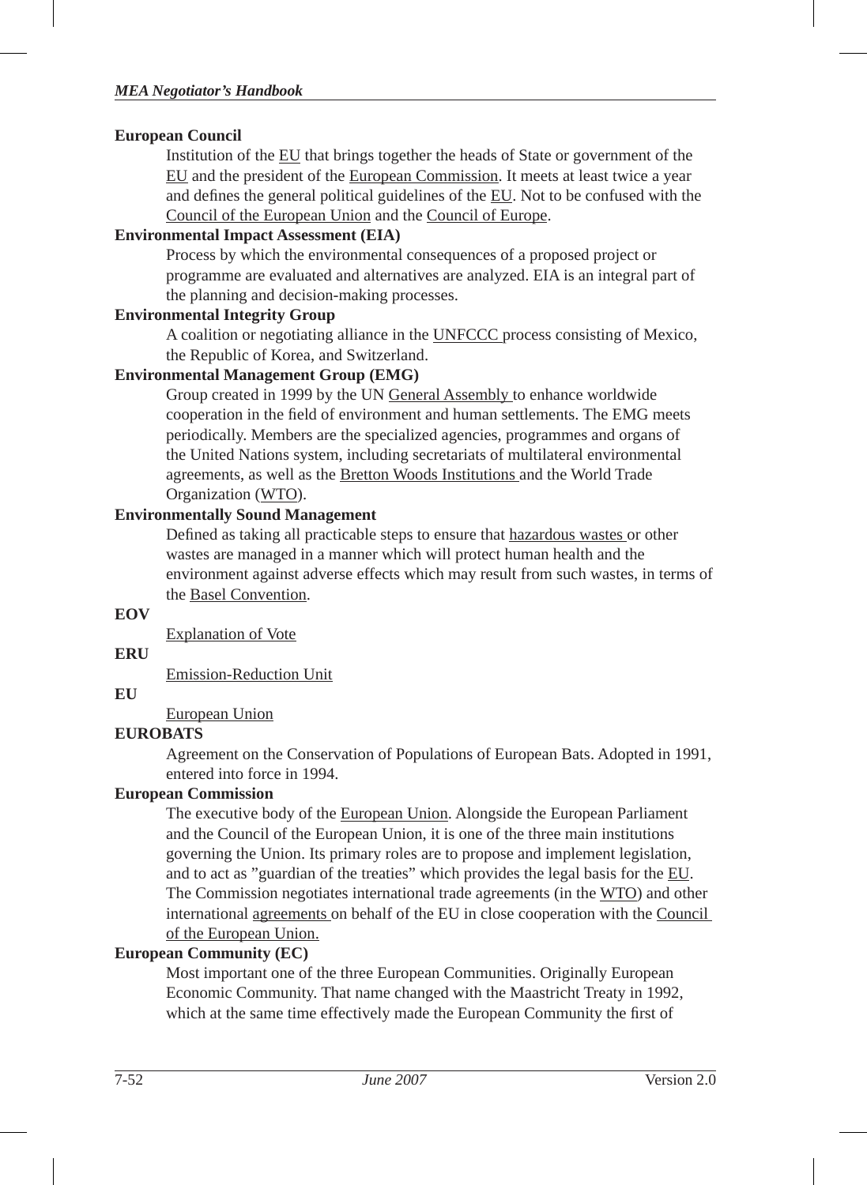## **European Council**

Institution of the EU that brings together the heads of State or government of the EU and the president of the European Commission. It meets at least twice a year and defines the general political guidelines of the EU. Not to be confused with the Council of the European Union and the Council of Europe.

## **Environmental Impact Assessment (EIA)**

Process by which the environmental consequences of a proposed project or programme are evaluated and alternatives are analyzed. EIA is an integral part of the planning and decision-making processes.

## **Environmental Integrity Group**

A coalition or negotiating alliance in the UNFCCC process consisting of Mexico, the Republic of Korea, and Switzerland.

## **Environmental Management Group (EMG)**

Group created in 1999 by the UN General Assembly to enhance worldwide cooperation in the field of environment and human settlements. The EMG meets periodically. Members are the specialized agencies, programmes and organs of the United Nations system, including secretariats of multilateral environmental agreements, as well as the Bretton Woods Institutions and the World Trade Organization (WTO).

## **Environmentally Sound Management**

Defined as taking all practicable steps to ensure that hazardous wastes or other wastes are managed in a manner which will protect human health and the environment against adverse effects which may result from such wastes, in terms of the Basel Convention.

### **EOV**

Explanation of Vote

## **ERU**

Emission-Reduction Unit

## **EU**

European Union

## **EUROBATS**

Agreement on the Conservation of Populations of European Bats. Adopted in 1991, entered into force in 1994.

## **European Commission**

The executive body of the European Union. Alongside the European Parliament and the Council of the European Union, it is one of the three main institutions governing the Union. Its primary roles are to propose and implement legislation, and to act as "guardian of the treaties" which provides the legal basis for the EU. The Commission negotiates international trade agreements (in the WTO) and other international agreements on behalf of the EU in close cooperation with the Council of the European Union.

## **European Community (EC)**

Most important one of the three European Communities. Originally European Economic Community. That name changed with the Maastricht Treaty in 1992, which at the same time effectively made the European Community the first of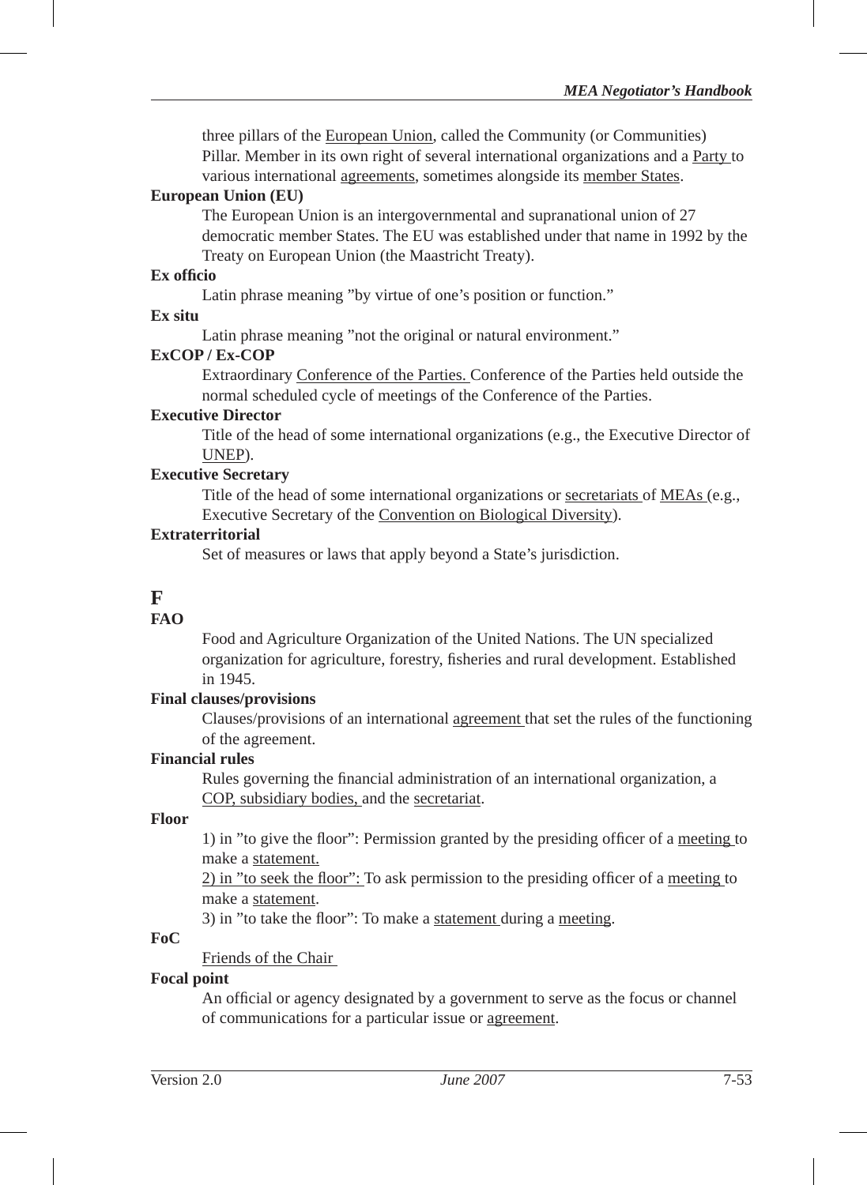three pillars of the European Union, called the Community (or Communities) Pillar. Member in its own right of several international organizations and a Party to various international agreements, sometimes alongside its member States.

#### **European Union (EU)**

The European Union is an intergovernmental and supranational union of 27 democratic member States. The EU was established under that name in 1992 by the Treaty on European Union (the Maastricht Treaty).

#### **Ex offi cio**

Latin phrase meaning "by virtue of one's position or function."

#### **Ex situ**

Latin phrase meaning "not the original or natural environment."

## **ExCOP / Ex-COP**

Extraordinary Conference of the Parties. Conference of the Parties held outside the normal scheduled cycle of meetings of the Conference of the Parties.

#### **Executive Director**

Title of the head of some international organizations (e.g., the Executive Director of UNEP).

#### **Executive Secretary**

Title of the head of some international organizations or secretariats of MEAs (e.g., Executive Secretary of the Convention on Biological Diversity).

#### **Extraterritorial**

Set of measures or laws that apply beyond a State's jurisdiction.

## **F**

### **FAO**

Food and Agriculture Organization of the United Nations. The UN specialized organization for agriculture, forestry, fi sheries and rural development. Established in 1945.

### **Final clauses/provisions**

Clauses/provisions of an international agreement that set the rules of the functioning of the agreement.

## **Financial rules**

Rules governing the financial administration of an international organization, a COP, subsidiary bodies, and the secretariat.

### **Floor**

1) in "to give the floor": Permission granted by the presiding officer of a meeting to make a statement.

2) in "to seek the floor": To ask permission to the presiding officer of a meeting to make a statement.

3) in "to take the floor": To make a statement during a meeting.

## **FoC**

Friends of the Chair

## **Focal point**

An official or agency designated by a government to serve as the focus or channel of communications for a particular issue or agreement.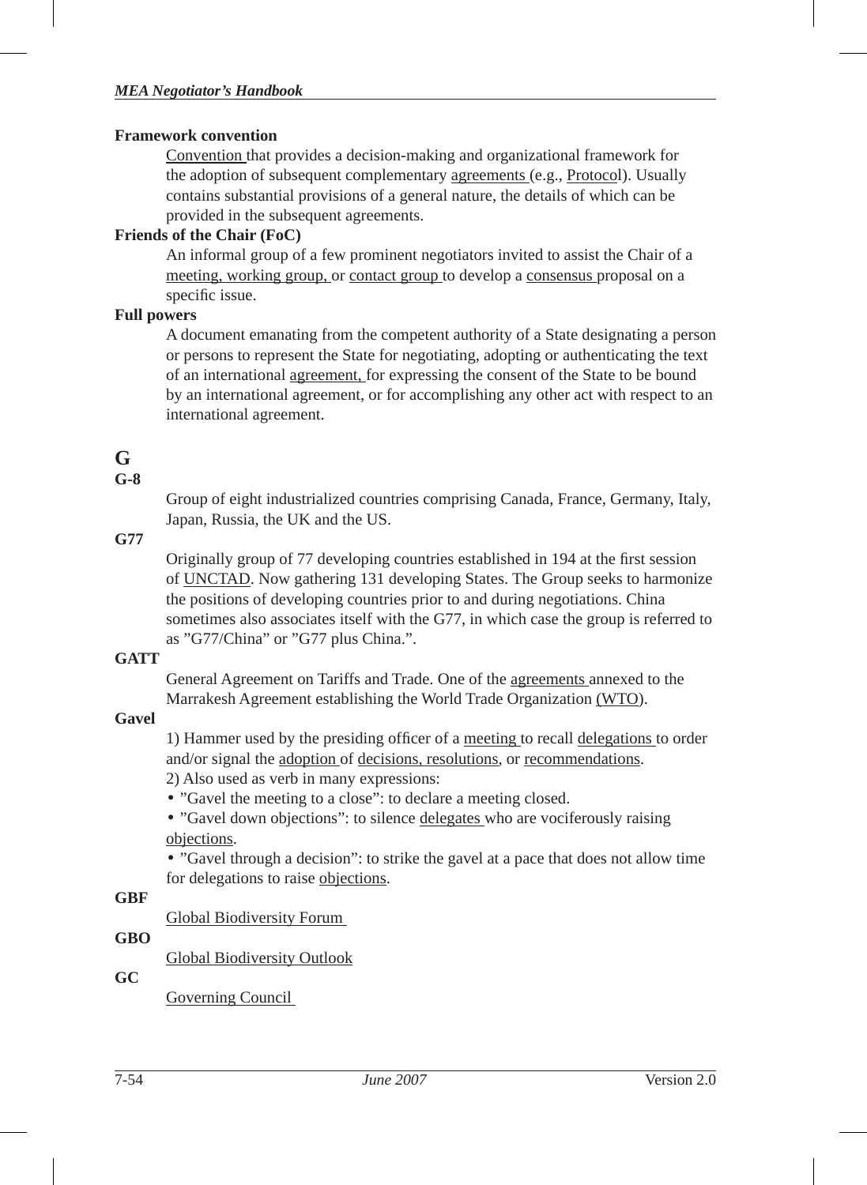#### **Framework convention**

Convention that provides a decision-making and organizational framework for the adoption of subsequent complementary agreements (e.g., Protocol). Usually contains substantial provisions of a general nature, the details of which can be provided in the subsequent agreements.

### **Friends of the Chair (FoC)**

An informal group of a few prominent negotiators invited to assist the Chair of a meeting, working group, or contact group to develop a consensus proposal on a specific issue.

### **Full powers**

A document emanating from the competent authority of a State designating a person or persons to represent the State for negotiating, adopting or authenticating the text of an international agreement, for expressing the consent of the State to be bound by an international agreement, or for accomplishing any other act with respect to an international agreement.

## **G**

## **G-8**

Group of eight industrialized countries comprising Canada, France, Germany, Italy, Japan, Russia, the UK and the US.

## **G77**

Originally group of 77 developing countries established in 194 at the first session of UNCTAD. Now gathering 131 developing States. The Group seeks to harmonize the positions of developing countries prior to and during negotiations. China sometimes also associates itself with the G77, in which case the group is referred to as "G77/China" or "G77 plus China.".

## **GATT**

General Agreement on Tariffs and Trade. One of the agreements annexed to the Marrakesh Agreement establishing the World Trade Organization (WTO).

## **Gavel**

1) Hammer used by the presiding officer of a meeting to recall delegations to order and/or signal the adoption of decisions, resolutions, or recommendations.

2) Also used as verb in many expressions:

• "Gavel the meeting to a close": to declare a meeting closed.

• "Gavel down objections": to silence delegates who are vociferously raising objections.

• "Gavel through a decision": to strike the gavel at a pace that does not allow time for delegations to raise objections.

## **GBF**

Global Biodiversity Forum

## **GBO**

Global Biodiversity Outlook

## **GC**

Governing Council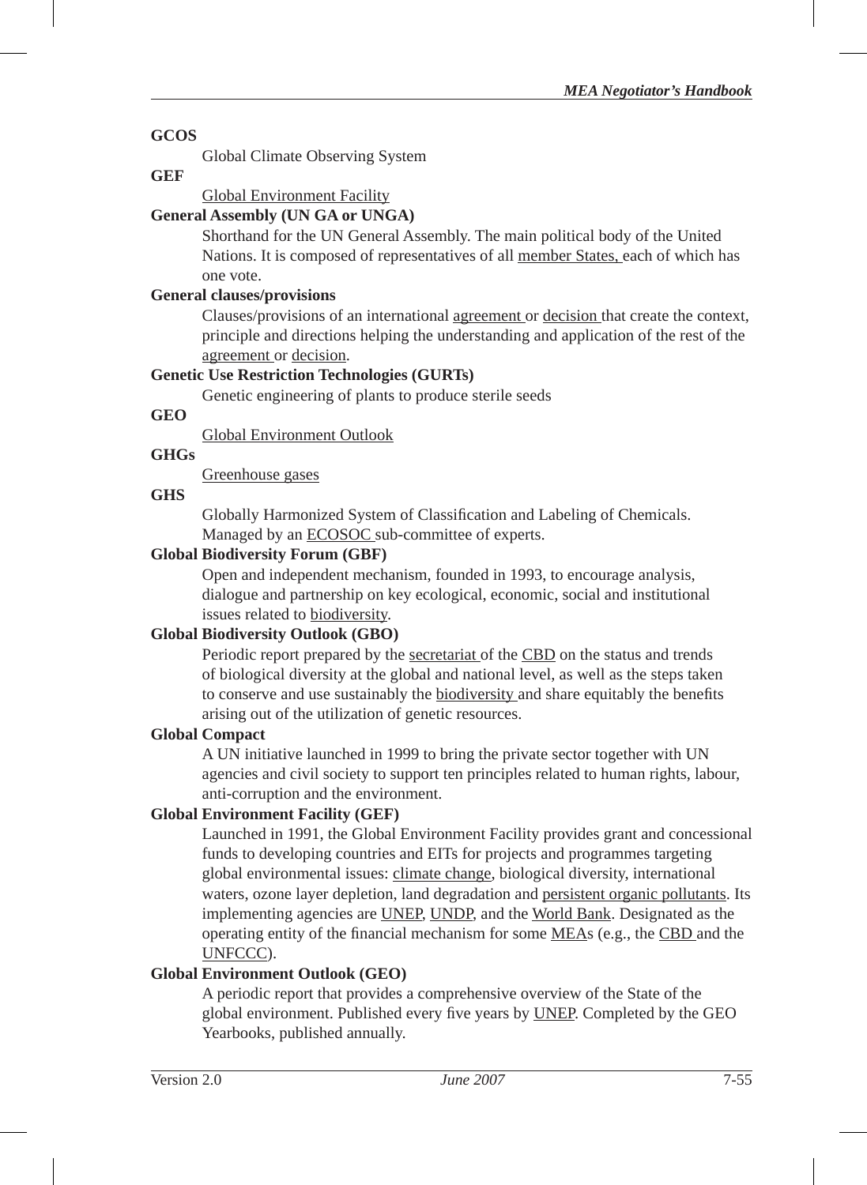## **GCOS**

Global Climate Observing System

#### **GEF**

## Global Environment Facility

## **General Assembly (UN GA or UNGA)**

Shorthand for the UN General Assembly. The main political body of the United Nations. It is composed of representatives of all member States, each of which has one vote.

## **General clauses/provisions**

Clauses/provisions of an international agreement or decision that create the context, principle and directions helping the understanding and application of the rest of the agreement or decision.

## **Genetic Use Restriction Technologies (GURTs)**

Genetic engineering of plants to produce sterile seeds

## **GEO**

Global Environment Outlook

## **GHGs**

Greenhouse gases

### **GHS**

Globally Harmonized System of Classification and Labeling of Chemicals. Managed by an ECOSOC sub-committee of experts.

## **Global Biodiversity Forum (GBF)**

Open and independent mechanism, founded in 1993, to encourage analysis, dialogue and partnership on key ecological, economic, social and institutional issues related to biodiversity.

## **Global Biodiversity Outlook (GBO)**

Periodic report prepared by the secretariat of the CBD on the status and trends of biological diversity at the global and national level, as well as the steps taken to conserve and use sustainably the biodiversity and share equitably the benefits arising out of the utilization of genetic resources.

### **Global Compact**

A UN initiative launched in 1999 to bring the private sector together with UN agencies and civil society to support ten principles related to human rights, labour, anti-corruption and the environment.

## **Global Environment Facility (GEF)**

Launched in 1991, the Global Environment Facility provides grant and concessional funds to developing countries and EITs for projects and programmes targeting global environmental issues: climate change, biological diversity, international waters, ozone layer depletion, land degradation and persistent organic pollutants. Its implementing agencies are UNEP, UNDP, and the World Bank. Designated as the operating entity of the financial mechanism for some MEAs (e.g., the CBD and the UNFCCC).

## **Global Environment Outlook (GEO)**

A periodic report that provides a comprehensive overview of the State of the global environment. Published every five years by UNEP. Completed by the GEO Yearbooks, published annually.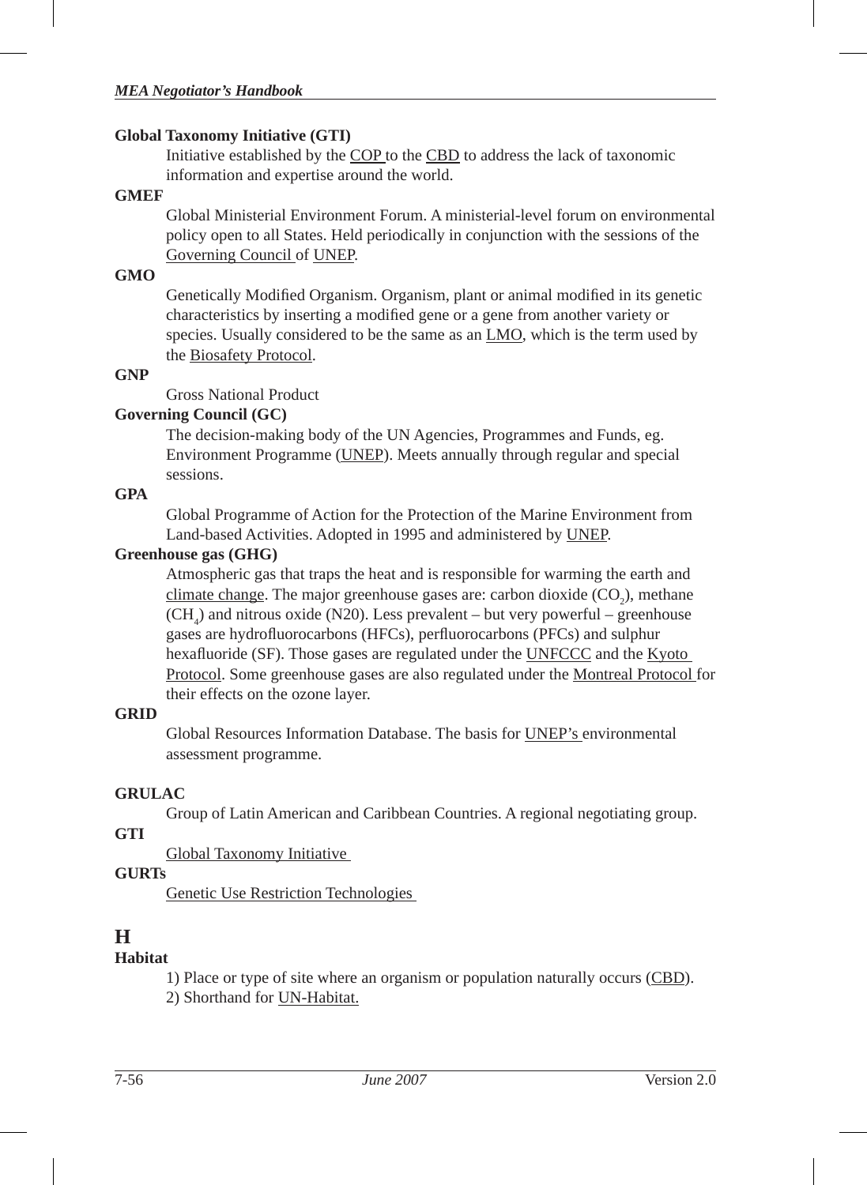#### **Global Taxonomy Initiative (GTI)**

Initiative established by the COP to the CBD to address the lack of taxonomic information and expertise around the world.

#### **GMEF**

Global Ministerial Environment Forum. A ministerial-level forum on environmental policy open to all States. Held periodically in conjunction with the sessions of the Governing Council of UNEP.

#### **GMO**

Genetically Modified Organism. Organism, plant or animal modified in its genetic characteristics by inserting a modified gene or a gene from another variety or species. Usually considered to be the same as an LMO, which is the term used by the Biosafety Protocol.

#### **GNP**

Gross National Product

### **Governing Council (GC)**

The decision-making body of the UN Agencies, Programmes and Funds, eg. Environment Programme (UNEP). Meets annually through regular and special sessions.

### **GPA**

Global Programme of Action for the Protection of the Marine Environment from Land-based Activities. Adopted in 1995 and administered by UNEP.

### **Greenhouse gas (GHG)**

Atmospheric gas that traps the heat and is responsible for warming the earth and climate change. The major greenhouse gases are: carbon dioxide  $(CO_2)$ , methane  $(CH<sub>4</sub>)$  and nitrous oxide (N20). Less prevalent – but very powerful – greenhouse gases are hydrofluorocarbons (HFCs), perfluorocarbons (PFCs) and sulphur hexafluoride (SF). Those gases are regulated under the UNFCCC and the Kyoto Protocol. Some greenhouse gases are also regulated under the Montreal Protocol for their effects on the ozone layer.

## **GRID**

Global Resources Information Database. The basis for UNEP's environmental assessment programme.

## **GRULAC**

Group of Latin American and Caribbean Countries. A regional negotiating group.

## **GTI**

Global Taxonomy Initiative

## **GURTs**

Genetic Use Restriction Technologies

## **H**

## **Habitat**

1) Place or type of site where an organism or population naturally occurs (CBD). 2) Shorthand for UN-Habitat.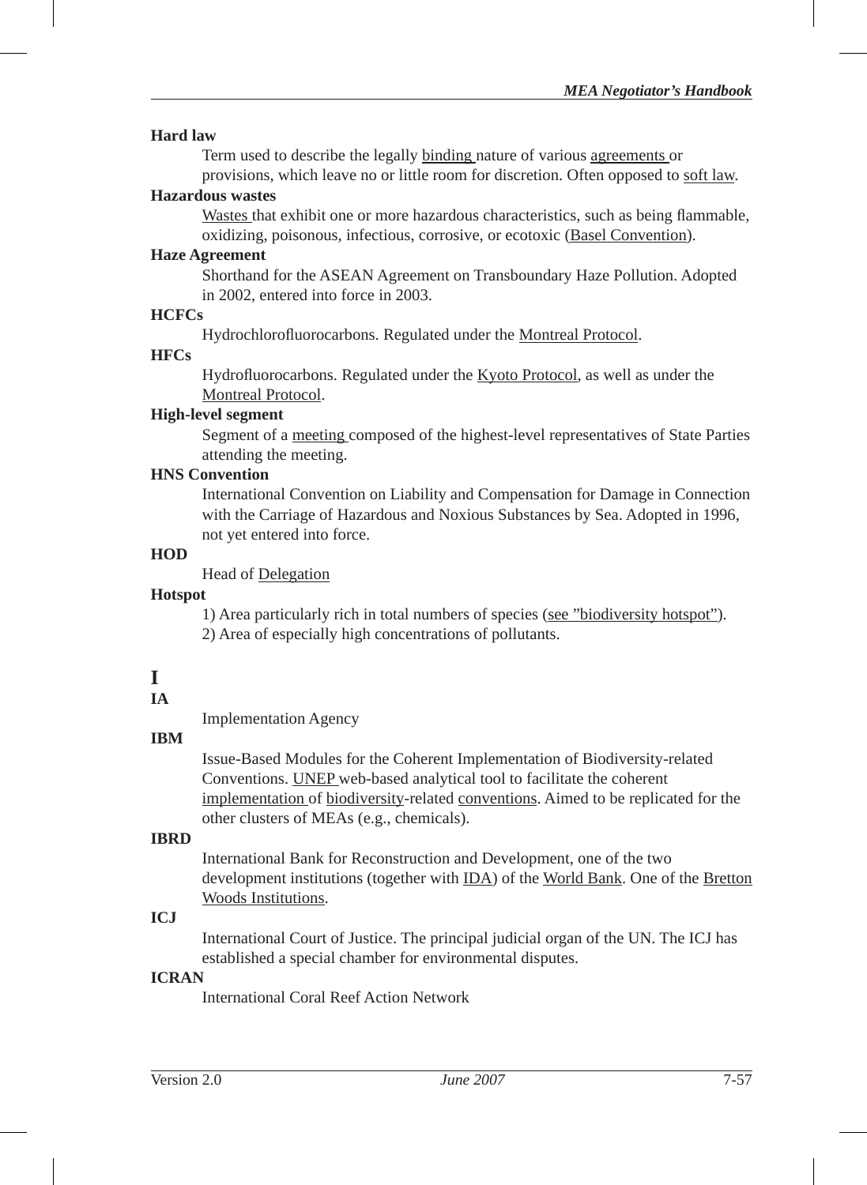#### **Hard law**

Term used to describe the legally binding nature of various agreements or provisions, which leave no or little room for discretion. Often opposed to soft law.

#### **Hazardous wastes**

Wastes that exhibit one or more hazardous characteristics, such as being flammable, oxidizing, poisonous, infectious, corrosive, or ecotoxic (Basel Convention).

#### **Haze Agreement**

Shorthand for the ASEAN Agreement on Transboundary Haze Pollution. Adopted in 2002, entered into force in 2003.

#### **HCFCs**

Hydrochlorofluorocarbons. Regulated under the Montreal Protocol.

#### **HFCs**

Hydrofluorocarbons. Regulated under the Kyoto Protocol, as well as under the Montreal Protocol.

### **High-level segment**

Segment of a meeting composed of the highest-level representatives of State Parties attending the meeting.

#### **HNS Convention**

International Convention on Liability and Compensation for Damage in Connection with the Carriage of Hazardous and Noxious Substances by Sea. Adopted in 1996, not yet entered into force.

## **HOD**

Head of Delegation

#### **Hotspot**

1) Area particularly rich in total numbers of species (see "biodiversity hotspot"). 2) Area of especially high concentrations of pollutants.

## **I**

### **IA**

Implementation Agency

### **IBM**

Issue-Based Modules for the Coherent Implementation of Biodiversity-related Conventions. UNEP web-based analytical tool to facilitate the coherent implementation of biodiversity-related conventions. Aimed to be replicated for the other clusters of MEAs (e.g., chemicals).

### **IBRD**

International Bank for Reconstruction and Development, one of the two development institutions (together with IDA) of the World Bank. One of the Bretton Woods Institutions.

## **ICJ**

International Court of Justice. The principal judicial organ of the UN. The ICJ has established a special chamber for environmental disputes.

### **ICRAN**

International Coral Reef Action Network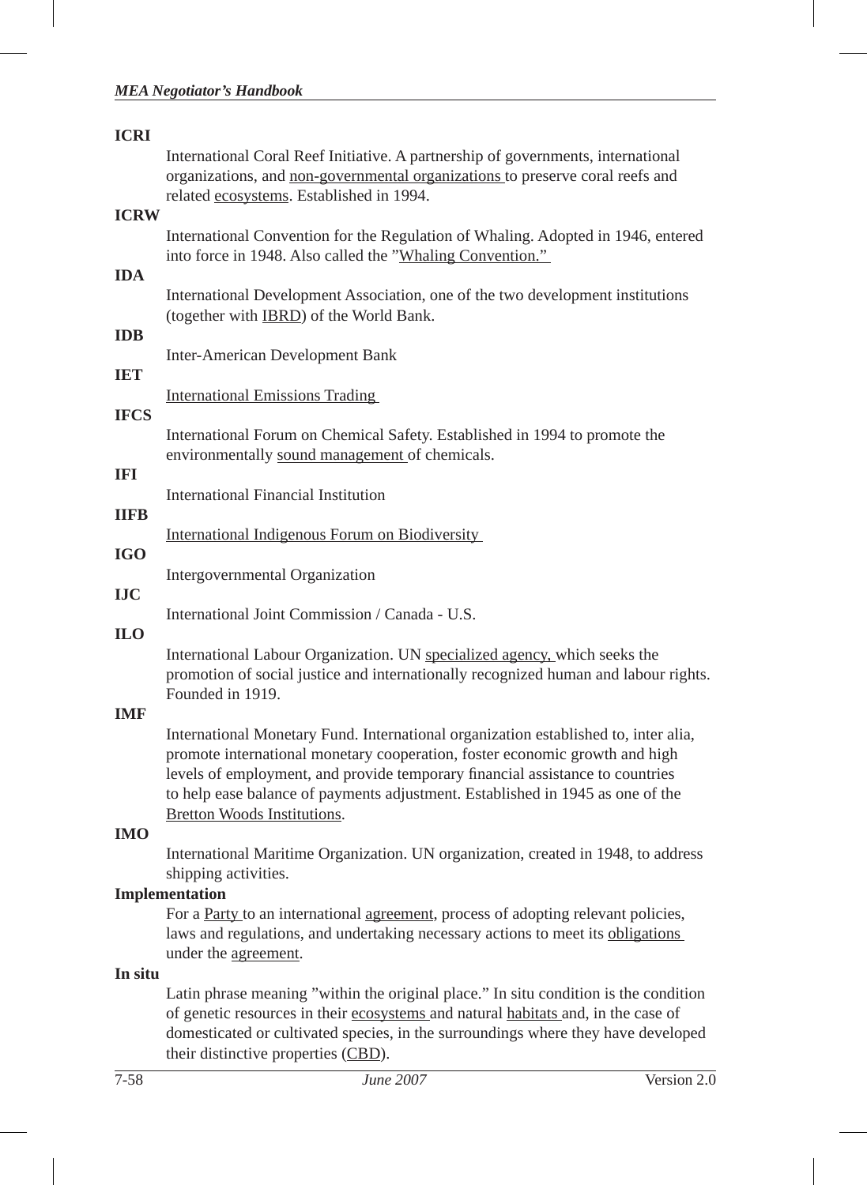#### *MEA Negotiator's Handbook*

| <b>ICRI</b> |                                                                                                                                                                                                                                                                                                                                                                      |
|-------------|----------------------------------------------------------------------------------------------------------------------------------------------------------------------------------------------------------------------------------------------------------------------------------------------------------------------------------------------------------------------|
|             | International Coral Reef Initiative. A partnership of governments, international<br>organizations, and non-governmental organizations to preserve coral reefs and<br>related ecosystems. Established in 1994.                                                                                                                                                        |
| <b>ICRW</b> |                                                                                                                                                                                                                                                                                                                                                                      |
| <b>IDA</b>  | International Convention for the Regulation of Whaling. Adopted in 1946, entered<br>into force in 1948. Also called the "Whaling Convention."                                                                                                                                                                                                                        |
|             | International Development Association, one of the two development institutions<br>(together with <b>IBRD</b> ) of the World Bank.                                                                                                                                                                                                                                    |
| <b>IDB</b>  | <b>Inter-American Development Bank</b>                                                                                                                                                                                                                                                                                                                               |
| <b>IET</b>  |                                                                                                                                                                                                                                                                                                                                                                      |
|             | <b>International Emissions Trading</b>                                                                                                                                                                                                                                                                                                                               |
| <b>IFCS</b> | International Forum on Chemical Safety. Established in 1994 to promote the<br>environmentally sound management of chemicals.                                                                                                                                                                                                                                         |
| IFI         |                                                                                                                                                                                                                                                                                                                                                                      |
|             | International Financial Institution                                                                                                                                                                                                                                                                                                                                  |
| <b>IIFB</b> | International Indigenous Forum on Biodiversity                                                                                                                                                                                                                                                                                                                       |
| <b>IGO</b>  |                                                                                                                                                                                                                                                                                                                                                                      |
|             | Intergovernmental Organization                                                                                                                                                                                                                                                                                                                                       |
| <b>LIC</b>  | International Joint Commission / Canada - U.S.                                                                                                                                                                                                                                                                                                                       |
| <b>ILO</b>  |                                                                                                                                                                                                                                                                                                                                                                      |
|             | International Labour Organization. UN specialized agency, which seeks the<br>promotion of social justice and internationally recognized human and labour rights.<br>Founded in 1919.                                                                                                                                                                                 |
| <b>IMF</b>  |                                                                                                                                                                                                                                                                                                                                                                      |
|             | International Monetary Fund. International organization established to, inter alia,<br>promote international monetary cooperation, foster economic growth and high<br>levels of employment, and provide temporary financial assistance to countries<br>to help ease balance of payments adjustment. Established in 1945 as one of the<br>Bretton Woods Institutions. |
| <b>IMO</b>  |                                                                                                                                                                                                                                                                                                                                                                      |
|             | International Maritime Organization. UN organization, created in 1948, to address<br>shipping activities.                                                                                                                                                                                                                                                            |
|             | Implementation                                                                                                                                                                                                                                                                                                                                                       |
|             | For a Party to an international agreement, process of adopting relevant policies,<br>laws and regulations, and undertaking necessary actions to meet its obligations<br>under the agreement.                                                                                                                                                                         |

# **In situ**

Latin phrase meaning "within the original place." In situ condition is the condition of genetic resources in their ecosystems and natural habitats and, in the case of domesticated or cultivated species, in the surroundings where they have developed their distinctive properties (CBD).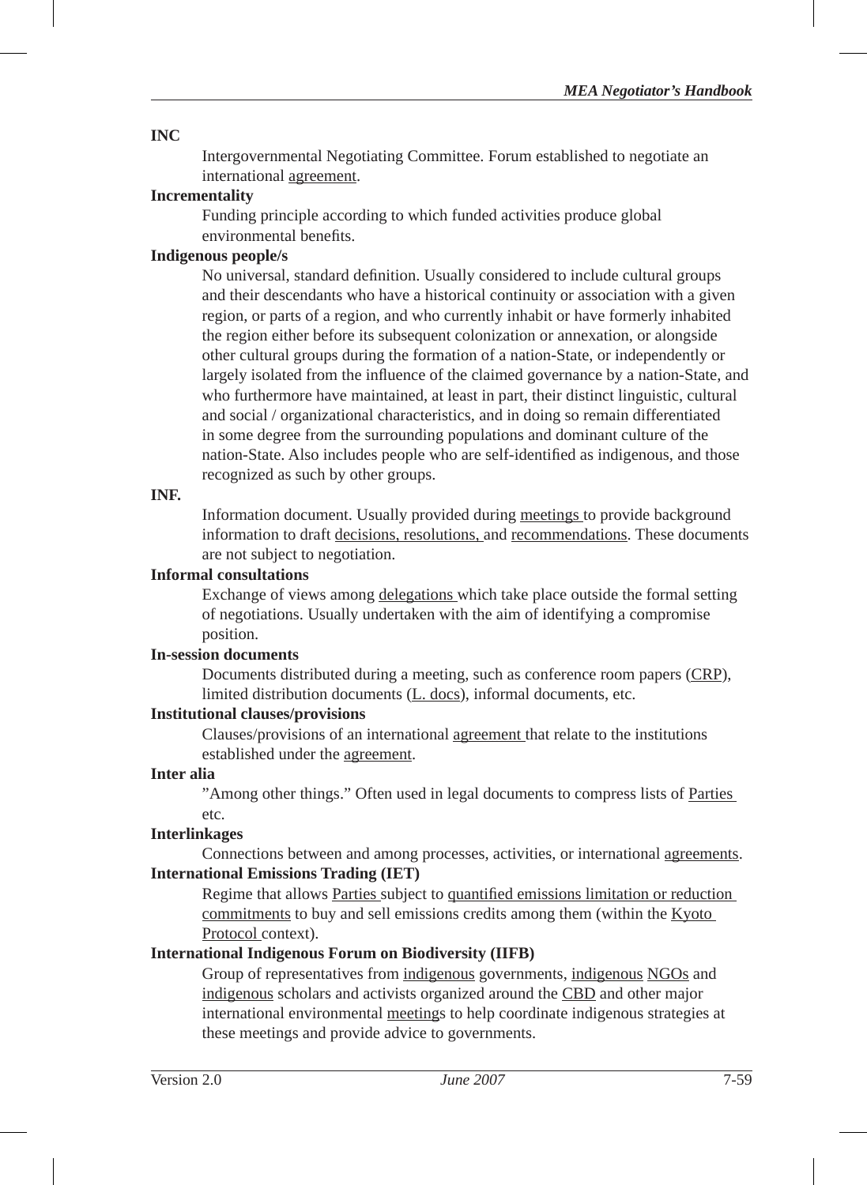#### **INC**

Intergovernmental Negotiating Committee. Forum established to negotiate an international agreement.

## **Incrementality**

Funding principle according to which funded activities produce global environmental benefits.

#### **Indigenous people/s**

No universal, standard definition. Usually considered to include cultural groups and their descendants who have a historical continuity or association with a given region, or parts of a region, and who currently inhabit or have formerly inhabited the region either before its subsequent colonization or annexation, or alongside other cultural groups during the formation of a nation-State, or independently or largely isolated from the influence of the claimed governance by a nation-State, and who furthermore have maintained, at least in part, their distinct linguistic, cultural and social / organizational characteristics, and in doing so remain differentiated in some degree from the surrounding populations and dominant culture of the nation-State. Also includes people who are self-identified as indigenous, and those recognized as such by other groups.

#### **INF.**

Information document. Usually provided during meetings to provide background information to draft decisions, resolutions, and recommendations. These documents are not subject to negotiation.

#### **Informal consultations**

Exchange of views among delegations which take place outside the formal setting of negotiations. Usually undertaken with the aim of identifying a compromise position.

## **In-session documents**

Documents distributed during a meeting, such as conference room papers (CRP), limited distribution documents (L. docs), informal documents, etc.

#### **Institutional clauses/provisions**

Clauses/provisions of an international agreement that relate to the institutions established under the agreement.

#### **Inter alia**

"Among other things." Often used in legal documents to compress lists of Parties etc.

#### **Interlinkages**

Connections between and among processes, activities, or international agreements. **International Emissions Trading (IET)**

Regime that allows Parties subject to quantified emissions limitation or reduction commitments to buy and sell emissions credits among them (within the Kyoto Protocol context).

#### **International Indigenous Forum on Biodiversity (IIFB)**

Group of representatives from indigenous governments, indigenous NGOs and indigenous scholars and activists organized around the CBD and other major international environmental meetings to help coordinate indigenous strategies at these meetings and provide advice to governments.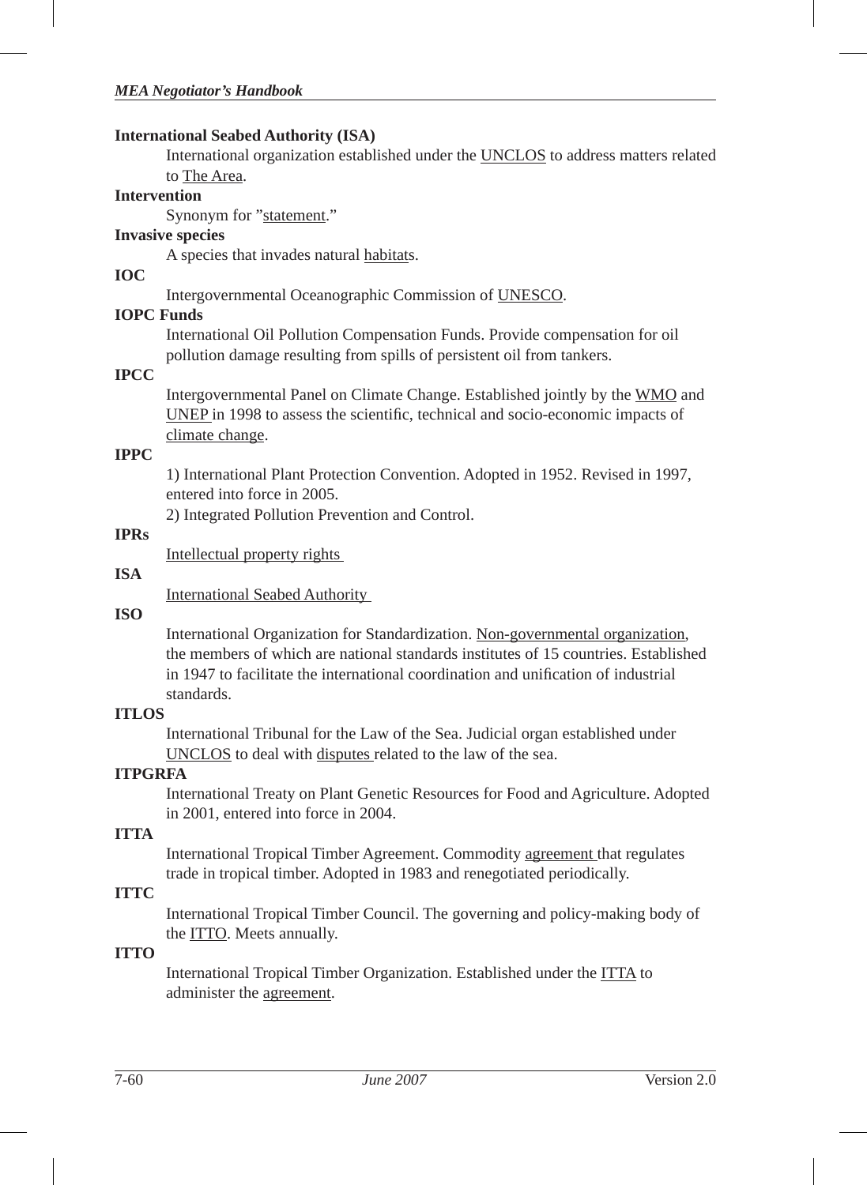#### **International Seabed Authority (ISA)**

International organization established under the UNCLOS to address matters related to The Area.

## **Intervention**

Synonym for "statement."

#### **Invasive species**

A species that invades natural habitats.

#### **IOC**

Intergovernmental Oceanographic Commission of UNESCO.

#### **IOPC Funds**

International Oil Pollution Compensation Funds. Provide compensation for oil pollution damage resulting from spills of persistent oil from tankers.

#### **IPCC**

Intergovernmental Panel on Climate Change. Established jointly by the WMO and UNEP in 1998 to assess the scientific, technical and socio-economic impacts of climate change.

#### **IPPC**

1) International Plant Protection Convention. Adopted in 1952. Revised in 1997, entered into force in 2005.

2) Integrated Pollution Prevention and Control.

#### **IPRs**

Intellectual property rights

#### **ISA**

International Seabed Authority

#### **ISO**

International Organization for Standardization. Non-governmental organization, the members of which are national standards institutes of 15 countries. Established in 1947 to facilitate the international coordination and unification of industrial standards.

## **ITLOS**

International Tribunal for the Law of the Sea. Judicial organ established under UNCLOS to deal with disputes related to the law of the sea.

#### **ITPGRFA**

International Treaty on Plant Genetic Resources for Food and Agriculture. Adopted in 2001, entered into force in 2004.

# **ITTA**

International Tropical Timber Agreement. Commodity agreement that regulates trade in tropical timber. Adopted in 1983 and renegotiated periodically.

# **ITTC**

International Tropical Timber Council. The governing and policy-making body of the **ITTO**. Meets annually.

#### **ITTO**

International Tropical Timber Organization. Established under the ITTA to administer the agreement.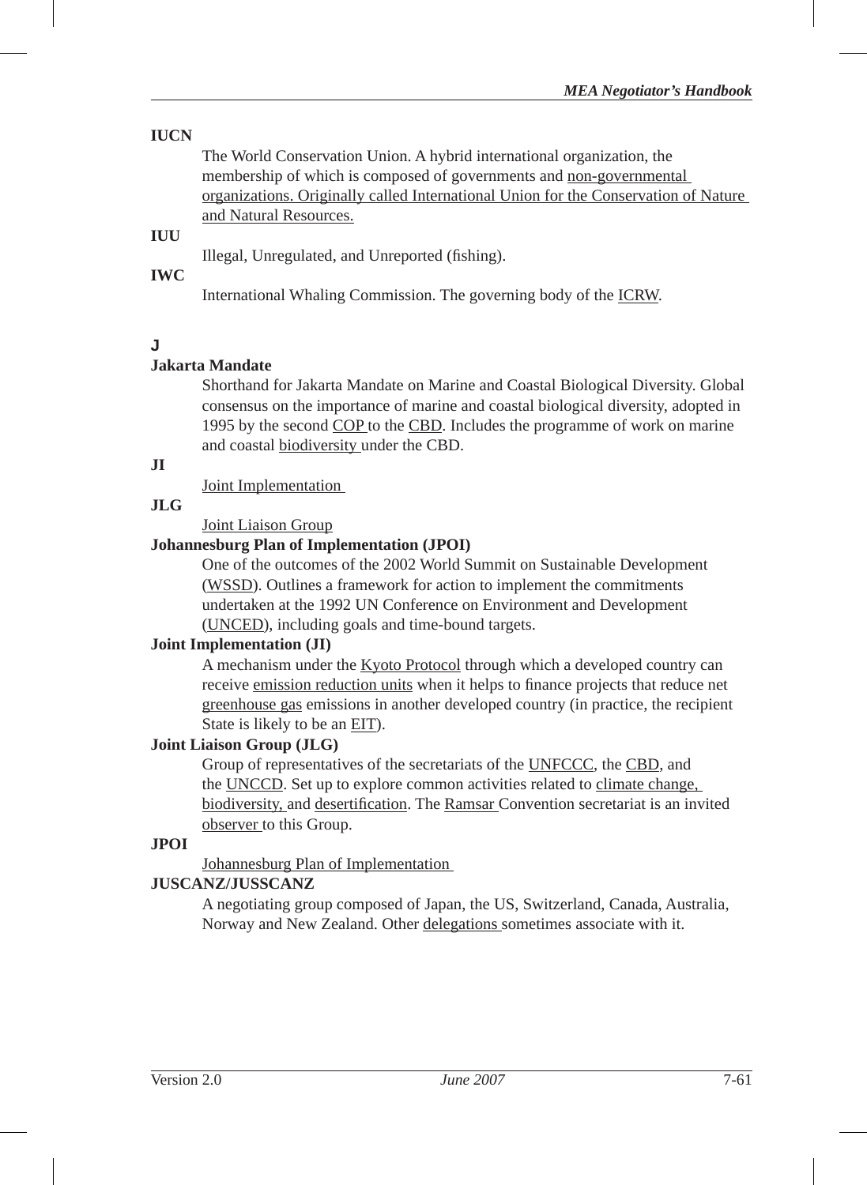# **IUCN**

The World Conservation Union. A hybrid international organization, the membership of which is composed of governments and non-governmental organizations. Originally called International Union for the Conservation of Nature and Natural Resources.

# **IUU**

Illegal, Unregulated, and Unreported (fishing).

#### **IWC**

International Whaling Commission. The governing body of the ICRW.

# **J**

# **Jakarta Mandate**

Shorthand for Jakarta Mandate on Marine and Coastal Biological Diversity. Global consensus on the importance of marine and coastal biological diversity, adopted in 1995 by the second COP to the CBD. Includes the programme of work on marine and coastal biodiversity under the CBD.

# **JI**

Joint Implementation

#### **JLG**

Joint Liaison Group

#### **Johannesburg Plan of Implementation (JPOI)**

One of the outcomes of the 2002 World Summit on Sustainable Development (WSSD). Outlines a framework for action to implement the commitments undertaken at the 1992 UN Conference on Environment and Development (UNCED), including goals and time-bound targets.

#### **Joint Implementation (JI)**

A mechanism under the Kyoto Protocol through which a developed country can receive emission reduction units when it helps to finance projects that reduce net greenhouse gas emissions in another developed country (in practice, the recipient State is likely to be an EIT).

#### **Joint Liaison Group (JLG)**

Group of representatives of the secretariats of the UNFCCC, the CBD, and the UNCCD. Set up to explore common activities related to climate change, biodiversity, and desertification. The Ramsar Convention secretariat is an invited observer to this Group.

#### **JPOI**

Johannesburg Plan of Implementation

#### **JUSCANZ/JUSSCANZ**

A negotiating group composed of Japan, the US, Switzerland, Canada, Australia, Norway and New Zealand. Other delegations sometimes associate with it.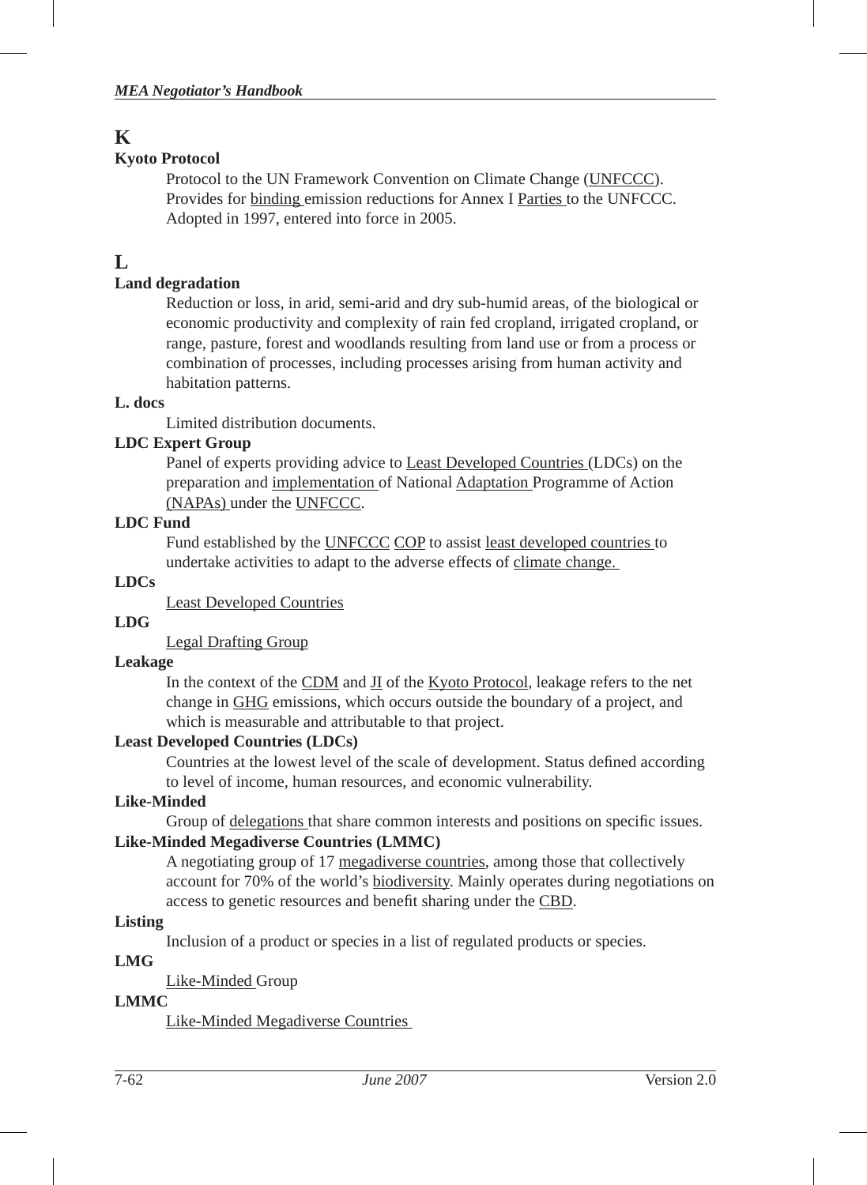# **K**

# **Kyoto Protocol**

Protocol to the UN Framework Convention on Climate Change (UNFCCC). Provides for binding emission reductions for Annex I Parties to the UNFCCC. Adopted in 1997, entered into force in 2005.

# **L**

# **Land degradation**

Reduction or loss, in arid, semi-arid and dry sub-humid areas, of the biological or economic productivity and complexity of rain fed cropland, irrigated cropland, or range, pasture, forest and woodlands resulting from land use or from a process or combination of processes, including processes arising from human activity and habitation patterns.

# **L. docs**

Limited distribution documents.

# **LDC Expert Group**

Panel of experts providing advice to Least Developed Countries (LDCs) on the preparation and implementation of National Adaptation Programme of Action (NAPAs) under the UNFCCC.

# **LDC Fund**

Fund established by the UNFCCC COP to assist least developed countries to undertake activities to adapt to the adverse effects of climate change.

# **LDCs**

Least Developed Countries

# **LDG**

Legal Drafting Group

# **Leakage**

In the context of the CDM and JI of the Kyoto Protocol, leakage refers to the net change in GHG emissions, which occurs outside the boundary of a project, and which is measurable and attributable to that project.

# **Least Developed Countries (LDCs)**

Countries at the lowest level of the scale of development. Status defined according to level of income, human resources, and economic vulnerability.

# **Like-Minded**

Group of delegations that share common interests and positions on specific issues. **Like-Minded Megadiverse Countries (LMMC)**

A negotiating group of 17 megadiverse countries, among those that collectively account for 70% of the world's biodiversity. Mainly operates during negotiations on access to genetic resources and benefit sharing under the CBD.

# **Listing**

Inclusion of a product or species in a list of regulated products or species.

# **LMG**

Like-Minded Group

# **LMMC**

Like-Minded Megadiverse Countries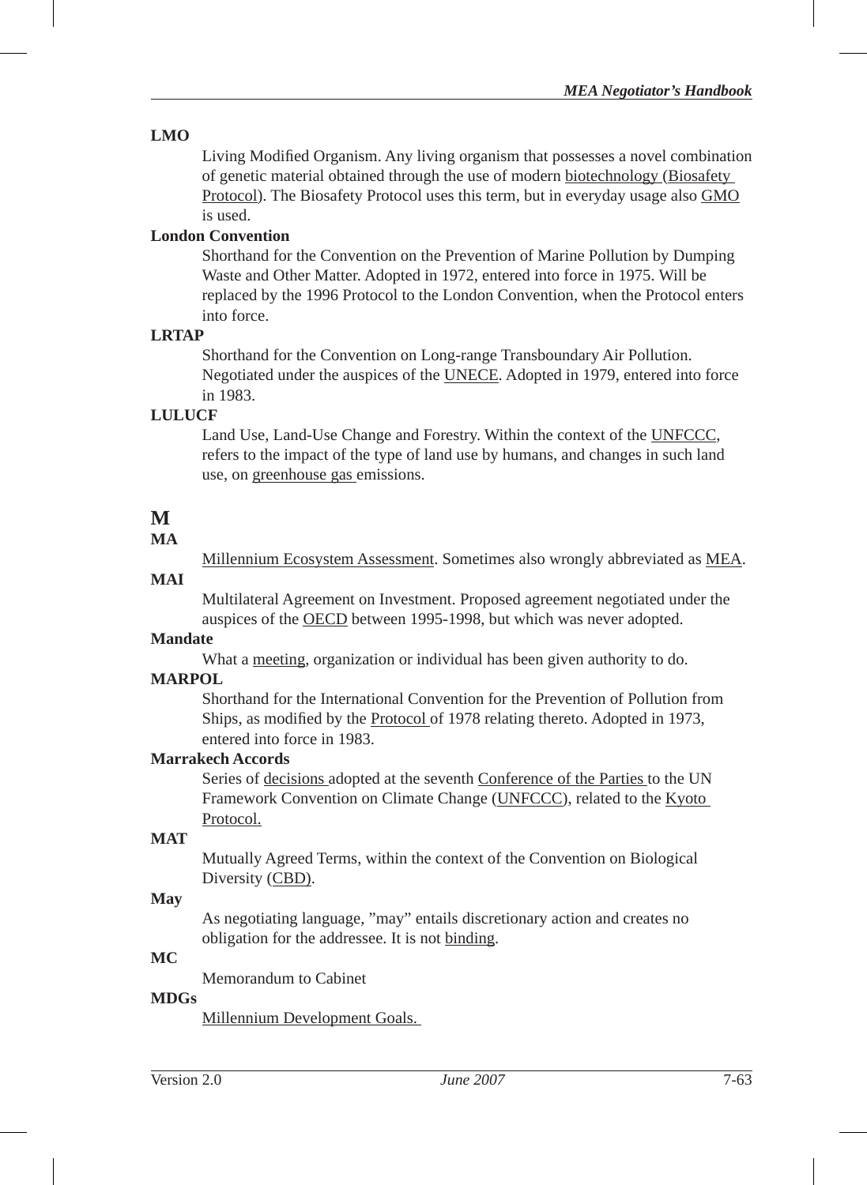#### **LMO**

Living Modified Organism. Any living organism that possesses a novel combination of genetic material obtained through the use of modern biotechnology (Biosafety Protocol). The Biosafety Protocol uses this term, but in everyday usage also GMO is used.

# **London Convention**

Shorthand for the Convention on the Prevention of Marine Pollution by Dumping Waste and Other Matter. Adopted in 1972, entered into force in 1975. Will be replaced by the 1996 Protocol to the London Convention, when the Protocol enters into force.

#### **LRTAP**

Shorthand for the Convention on Long-range Transboundary Air Pollution. Negotiated under the auspices of the UNECE. Adopted in 1979, entered into force in 1983.

# **LULUCF**

Land Use, Land-Use Change and Forestry. Within the context of the UNFCCC, refers to the impact of the type of land use by humans, and changes in such land use, on greenhouse gas emissions.

# **M**

#### **MA**

Millennium Ecosystem Assessment. Sometimes also wrongly abbreviated as MEA.

# **MAI**

Multilateral Agreement on Investment. Proposed agreement negotiated under the auspices of the OECD between 1995-1998, but which was never adopted.

# **Mandate**

What a meeting, organization or individual has been given authority to do.

#### **MARPOL**

Shorthand for the International Convention for the Prevention of Pollution from Ships, as modified by the Protocol of 1978 relating thereto. Adopted in 1973, entered into force in 1983.

#### **Marrakech Accords**

Series of decisions adopted at the seventh Conference of the Parties to the UN Framework Convention on Climate Change (UNFCCC), related to the Kyoto Protocol.

## **MAT**

Mutually Agreed Terms, within the context of the Convention on Biological Diversity (CBD).

#### **May**

As negotiating language, "may" entails discretionary action and creates no obligation for the addressee. It is not binding.

# **MC**

Memorandum to Cabinet

## **MDGs**

Millennium Development Goals.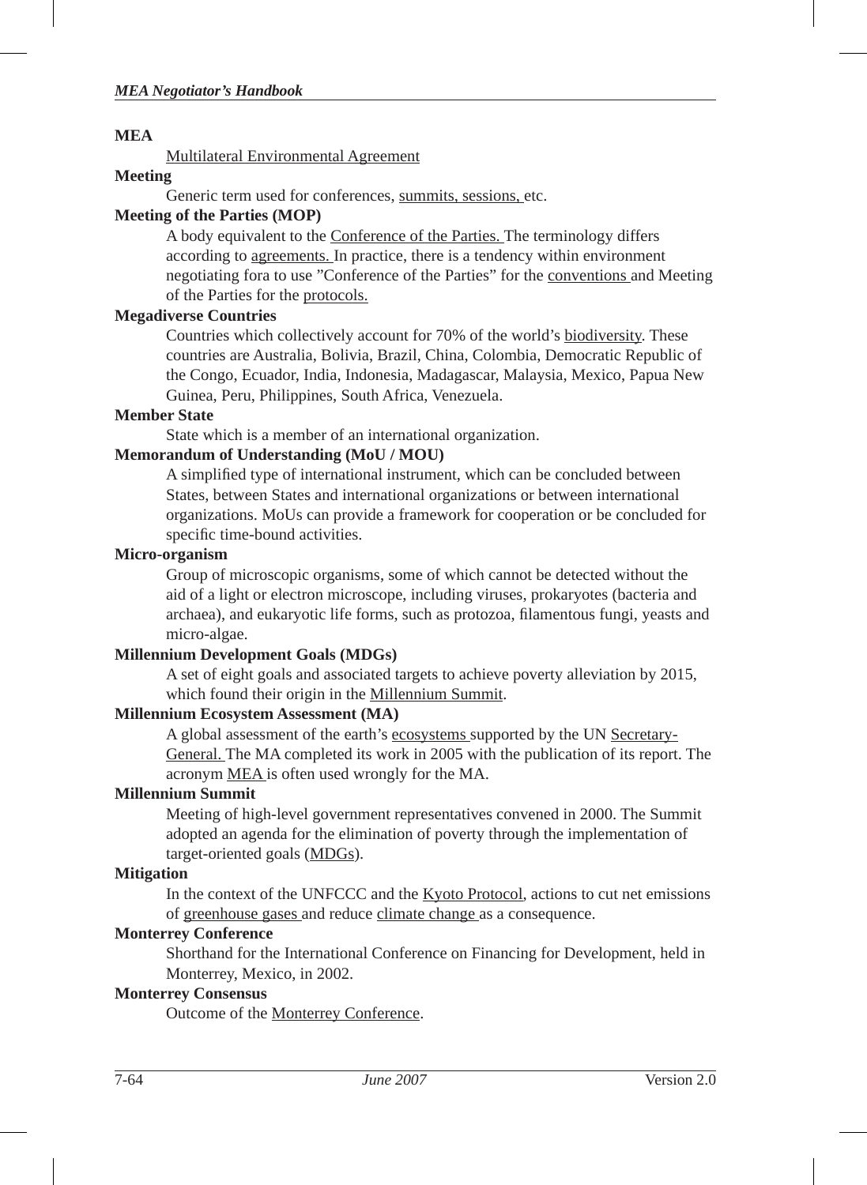#### **MEA**

Multilateral Environmental Agreement

#### **Meeting**

Generic term used for conferences, summits, sessions, etc.

## **Meeting of the Parties (MOP)**

A body equivalent to the Conference of the Parties. The terminology differs according to agreements. In practice, there is a tendency within environment negotiating fora to use "Conference of the Parties" for the conventions and Meeting of the Parties for the protocols.

#### **Megadiverse Countries**

Countries which collectively account for 70% of the world's biodiversity. These countries are Australia, Bolivia, Brazil, China, Colombia, Democratic Republic of the Congo, Ecuador, India, Indonesia, Madagascar, Malaysia, Mexico, Papua New Guinea, Peru, Philippines, South Africa, Venezuela.

#### **Member State**

State which is a member of an international organization.

# **Memorandum of Understanding (MoU / MOU)**

A simplified type of international instrument, which can be concluded between States, between States and international organizations or between international organizations. MoUs can provide a framework for cooperation or be concluded for specific time-bound activities.

#### **Micro-organism**

Group of microscopic organisms, some of which cannot be detected without the aid of a light or electron microscope, including viruses, prokaryotes (bacteria and archaea), and eukaryotic life forms, such as protozoa, filamentous fungi, yeasts and micro-algae.

#### **Millennium Development Goals (MDGs)**

A set of eight goals and associated targets to achieve poverty alleviation by 2015, which found their origin in the Millennium Summit.

#### **Millennium Ecosystem Assessment (MA)**

A global assessment of the earth's ecosystems supported by the UN Secretary-General. The MA completed its work in 2005 with the publication of its report. The acronym MEA is often used wrongly for the MA.

#### **Millennium Summit**

Meeting of high-level government representatives convened in 2000. The Summit adopted an agenda for the elimination of poverty through the implementation of target-oriented goals (MDGs).

#### **Mitigation**

In the context of the UNFCCC and the Kyoto Protocol, actions to cut net emissions of greenhouse gases and reduce climate change as a consequence.

#### **Monterrey Conference**

Shorthand for the International Conference on Financing for Development, held in Monterrey, Mexico, in 2002.

# **Monterrey Consensus**

Outcome of the Monterrey Conference.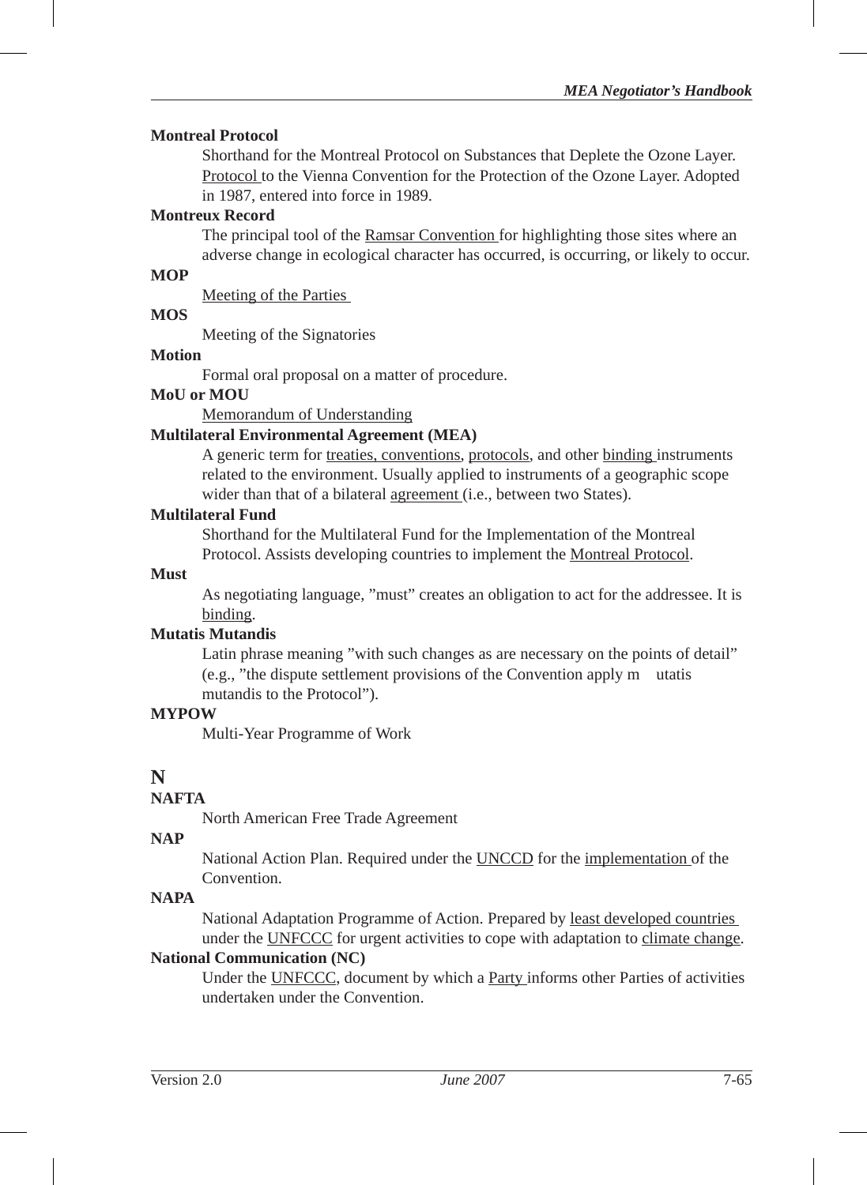#### **Montreal Protocol**

Shorthand for the Montreal Protocol on Substances that Deplete the Ozone Layer. Protocol to the Vienna Convention for the Protection of the Ozone Layer. Adopted in 1987, entered into force in 1989.

#### **Montreux Record**

The principal tool of the Ramsar Convention for highlighting those sites where an adverse change in ecological character has occurred, is occurring, or likely to occur.

#### **MOP**

Meeting of the Parties

#### **MOS**

Meeting of the Signatories

#### **Motion**

Formal oral proposal on a matter of procedure.

#### **MoU or MOU**

Memorandum of Understanding

#### **Multilateral Environmental Agreement (MEA)**

A generic term for treaties, conventions, protocols, and other binding instruments related to the environment. Usually applied to instruments of a geographic scope wider than that of a bilateral agreement (i.e., between two States).

#### **Multilateral Fund**

Shorthand for the Multilateral Fund for the Implementation of the Montreal Protocol. Assists developing countries to implement the Montreal Protocol.

#### **Must**

As negotiating language, "must" creates an obligation to act for the addressee. It is binding.

#### **Mutatis Mutandis**

Latin phrase meaning "with such changes as are necessary on the points of detail" (e.g., "the dispute settlement provisions of the Convention apply m utatis mutandis to the Protocol").

#### **MYPOW**

Multi-Year Programme of Work

# **N**

## **NAFTA**

North American Free Trade Agreement

#### **NAP**

National Action Plan. Required under the **UNCCD** for the *implementation* of the Convention.

# **NAPA**

National Adaptation Programme of Action. Prepared by least developed countries under the UNFCCC for urgent activities to cope with adaptation to climate change.

# **National Communication (NC)**

Under the UNFCCC, document by which a Party informs other Parties of activities undertaken under the Convention.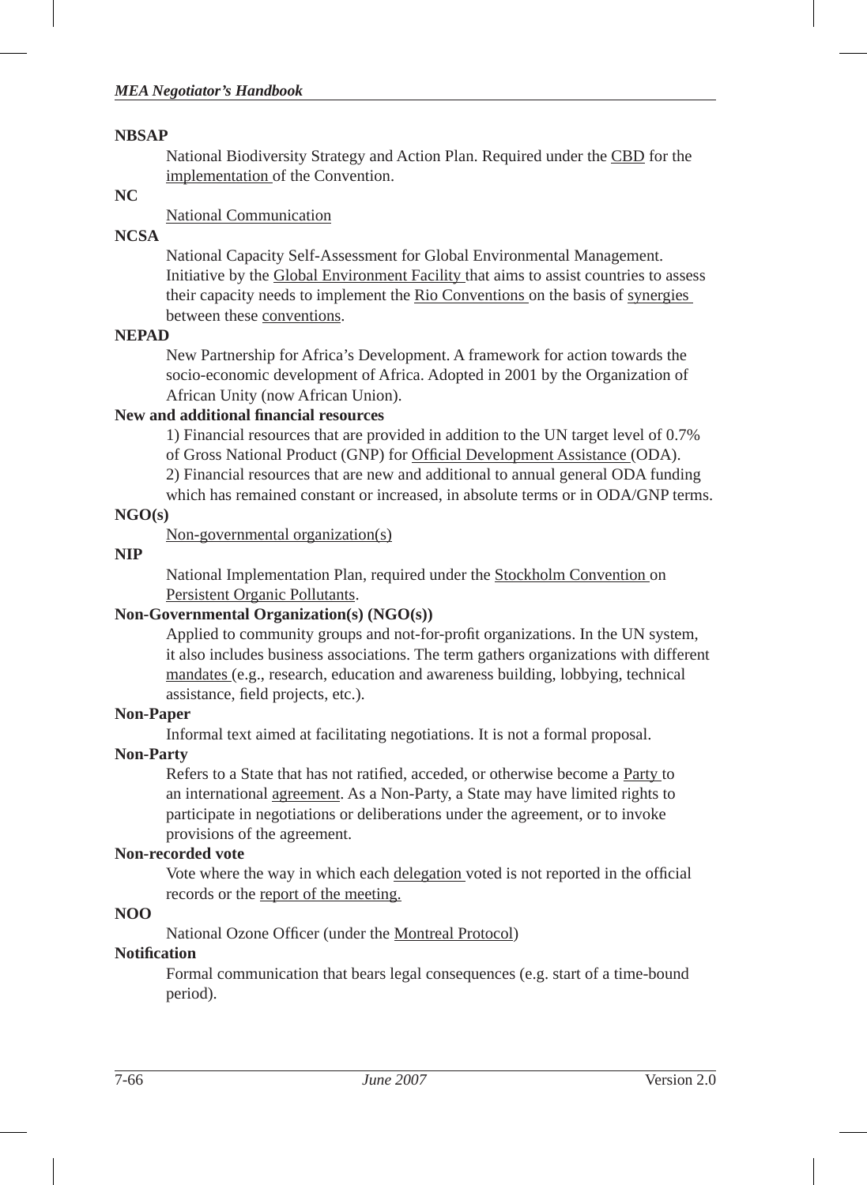#### **NBSAP**

National Biodiversity Strategy and Action Plan. Required under the CBD for the implementation of the Convention.

# **NC**

# National Communication

# **NCSA**

National Capacity Self-Assessment for Global Environmental Management. Initiative by the Global Environment Facility that aims to assist countries to assess their capacity needs to implement the Rio Conventions on the basis of synergies between these conventions.

#### **NEPAD**

New Partnership for Africa's Development. A framework for action towards the socio-economic development of Africa. Adopted in 2001 by the Organization of African Unity (now African Union).

#### **New and additional fi nancial resources**

1) Financial resources that are provided in addition to the UN target level of 0.7% of Gross National Product (GNP) for Official Development Assistance (ODA).

2) Financial resources that are new and additional to annual general ODA funding

which has remained constant or increased, in absolute terms or in ODA/GNP terms.

#### **NGO(s)**

Non-governmental organization(s)

#### **NIP**

National Implementation Plan, required under the Stockholm Convention on Persistent Organic Pollutants.

# **Non-Governmental Organization(s) (NGO(s))**

Applied to community groups and not-for-profit organizations. In the UN system, it also includes business associations. The term gathers organizations with different mandates (e.g., research, education and awareness building, lobbying, technical assistance, field projects, etc.).

#### **Non-Paper**

Informal text aimed at facilitating negotiations. It is not a formal proposal.

#### **Non-Party**

Refers to a State that has not ratified, acceded, or otherwise become a Party to an international agreement. As a Non-Party, a State may have limited rights to participate in negotiations or deliberations under the agreement, or to invoke provisions of the agreement.

#### **Non-recorded vote**

Vote where the way in which each delegation voted is not reported in the official records or the report of the meeting.

#### **NOO**

National Ozone Officer (under the Montreal Protocol)

# **Notifi cation**

Formal communication that bears legal consequences (e.g. start of a time-bound period).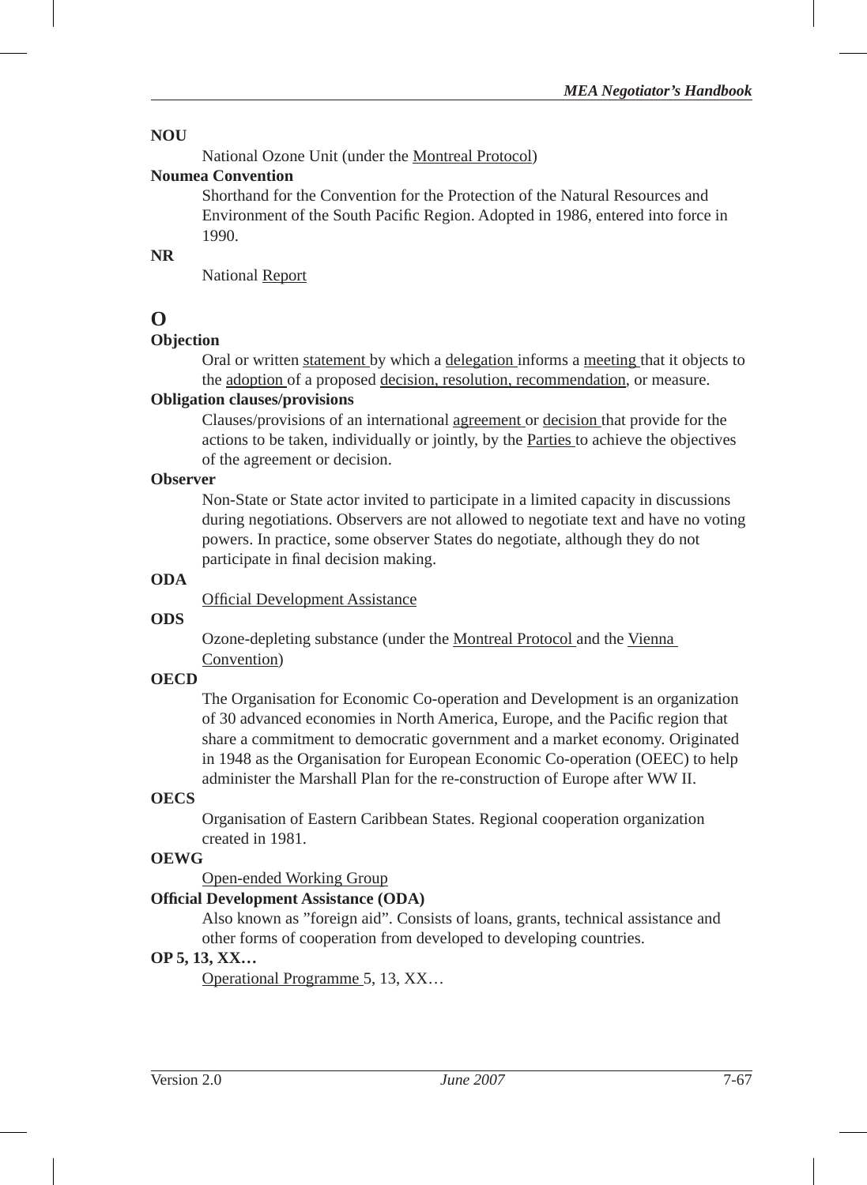#### **NOU**

National Ozone Unit (under the Montreal Protocol)

#### **Noumea Convention**

Shorthand for the Convention for the Protection of the Natural Resources and Environment of the South Pacific Region. Adopted in 1986, entered into force in 1990.

## **NR**

National Report

# **O**

# **Objection**

Oral or written statement by which a delegation informs a meeting that it objects to the adoption of a proposed decision, resolution, recommendation, or measure.

# **Obligation clauses/provisions**

Clauses/provisions of an international agreement or decision that provide for the actions to be taken, individually or jointly, by the Parties to achieve the objectives of the agreement or decision.

#### **Observer**

Non-State or State actor invited to participate in a limited capacity in discussions during negotiations. Observers are not allowed to negotiate text and have no voting powers. In practice, some observer States do negotiate, although they do not participate in final decision making.

#### **ODA**

Official Development Assistance

#### **ODS**

Ozone-depleting substance (under the Montreal Protocol and the Vienna Convention)

#### **OECD**

The Organisation for Economic Co-operation and Development is an organization of 30 advanced economies in North America, Europe, and the Pacific region that share a commitment to democratic government and a market economy. Originated in 1948 as the Organisation for European Economic Co-operation (OEEC) to help administer the Marshall Plan for the re-construction of Europe after WW II.

# **OECS**

Organisation of Eastern Caribbean States. Regional cooperation organization created in 1981.

# **OEWG**

Open-ended Working Group

# **Offi cial Development Assistance (ODA)**

Also known as "foreign aid". Consists of loans, grants, technical assistance and other forms of cooperation from developed to developing countries.

# **OP 5, 13, XX…**

Operational Programme 5, 13, XX…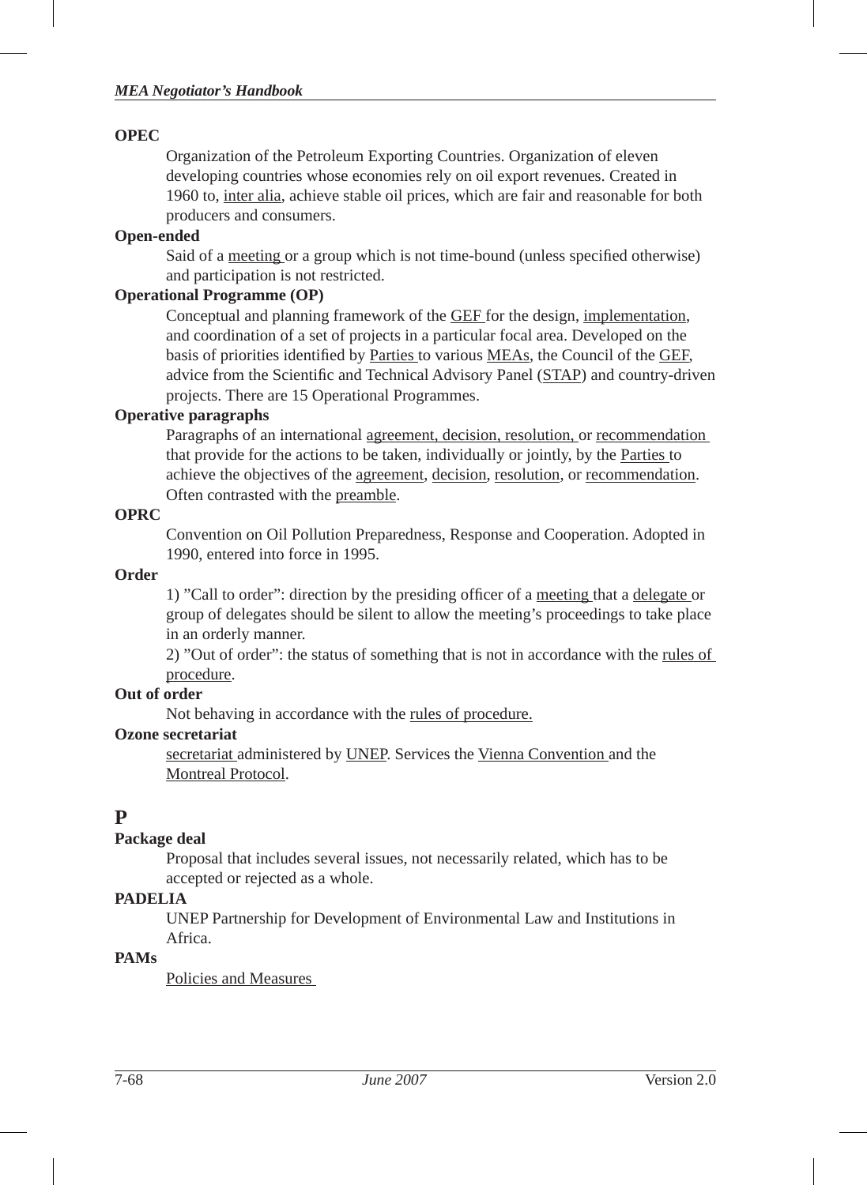#### *MEA Negotiator's Handbook*

#### **OPEC**

Organization of the Petroleum Exporting Countries. Organization of eleven developing countries whose economies rely on oil export revenues. Created in 1960 to, inter alia, achieve stable oil prices, which are fair and reasonable for both producers and consumers.

# **Open-ended**

Said of a meeting or a group which is not time-bound (unless specified otherwise) and participation is not restricted.

#### **Operational Programme (OP)**

Conceptual and planning framework of the GEF for the design, implementation, and coordination of a set of projects in a particular focal area. Developed on the basis of priorities identified by Parties to various MEAs, the Council of the GEF, advice from the Scientific and Technical Advisory Panel (STAP) and country-driven projects. There are 15 Operational Programmes.

#### **Operative paragraphs**

Paragraphs of an international agreement, decision, resolution, or recommendation that provide for the actions to be taken, individually or jointly, by the Parties to achieve the objectives of the agreement, decision, resolution, or recommendation. Often contrasted with the preamble.

#### **OPRC**

Convention on Oil Pollution Preparedness, Response and Cooperation. Adopted in 1990, entered into force in 1995.

#### **Order**

1) "Call to order": direction by the presiding officer of a meeting that a delegate or group of delegates should be silent to allow the meeting's proceedings to take place in an orderly manner.

2) "Out of order": the status of something that is not in accordance with the rules of procedure.

#### **Out of order**

Not behaving in accordance with the rules of procedure.

#### **Ozone secretariat**

secretariat administered by UNEP. Services the Vienna Convention and the Montreal Protocol.

# **P**

# **Package deal**

Proposal that includes several issues, not necessarily related, which has to be accepted or rejected as a whole.

#### **PADELIA**

UNEP Partnership for Development of Environmental Law and Institutions in Africa.

# **PAMs**

Policies and Measures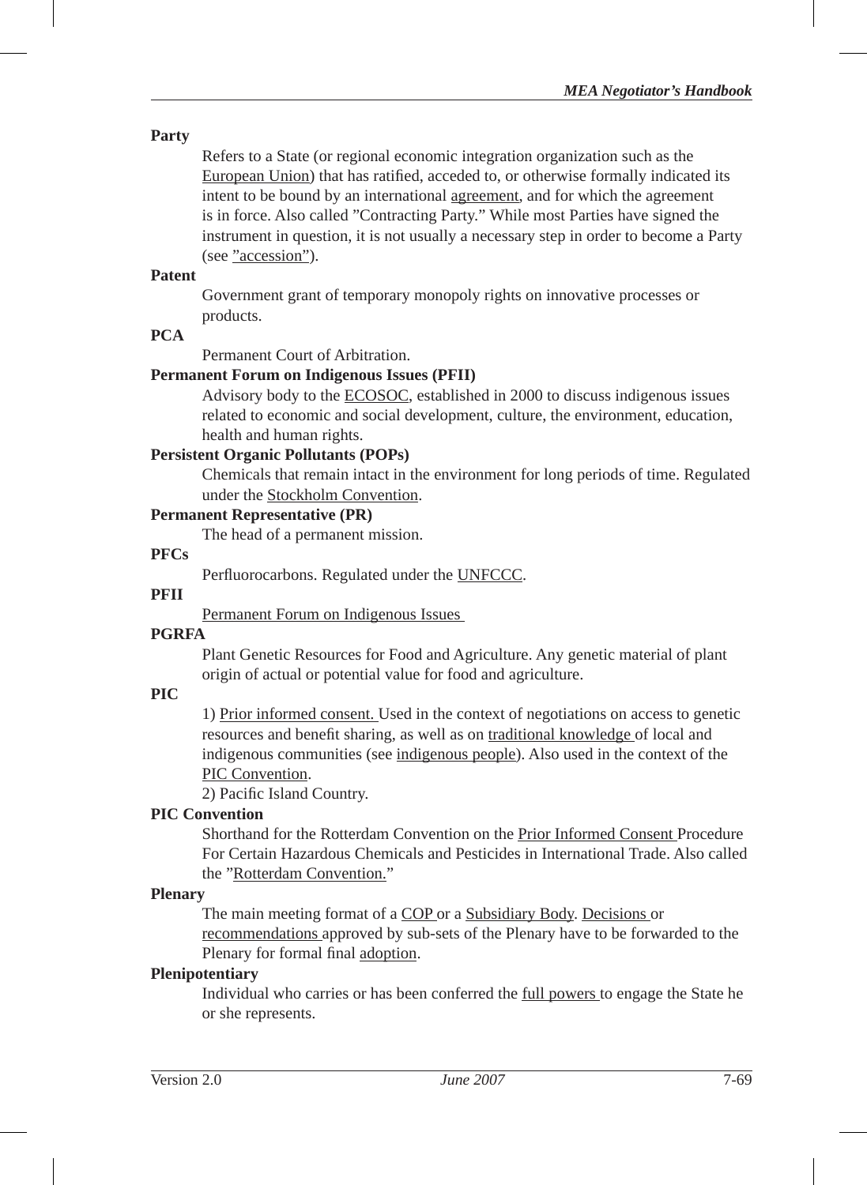#### **Party**

Refers to a State (or regional economic integration organization such as the European Union) that has ratified, acceded to, or otherwise formally indicated its intent to be bound by an international agreement, and for which the agreement is in force. Also called "Contracting Party." While most Parties have signed the instrument in question, it is not usually a necessary step in order to become a Party (see "accession").

#### **Patent**

Government grant of temporary monopoly rights on innovative processes or products.

#### **PCA**

Permanent Court of Arbitration.

#### **Permanent Forum on Indigenous Issues (PFII)**

Advisory body to the ECOSOC, established in 2000 to discuss indigenous issues related to economic and social development, culture, the environment, education, health and human rights.

#### **Persistent Organic Pollutants (POPs)**

Chemicals that remain intact in the environment for long periods of time. Regulated under the Stockholm Convention.

## **Permanent Representative (PR)**

The head of a permanent mission.

#### **PFCs**

Perfluorocarbons. Regulated under the UNFCCC.

#### **PFII**

Permanent Forum on Indigenous Issues

## **PGRFA**

Plant Genetic Resources for Food and Agriculture. Any genetic material of plant origin of actual or potential value for food and agriculture.

## **PIC**

1) Prior informed consent. Used in the context of negotiations on access to genetic resources and benefit sharing, as well as on traditional knowledge of local and indigenous communities (see indigenous people). Also used in the context of the PIC Convention.

2) Pacific Island Country.

#### **PIC Convention**

Shorthand for the Rotterdam Convention on the Prior Informed Consent Procedure For Certain Hazardous Chemicals and Pesticides in International Trade. Also called the "Rotterdam Convention."

#### **Plenary**

The main meeting format of a COP or a Subsidiary Body. Decisions or recommendations approved by sub-sets of the Plenary have to be forwarded to the Plenary for formal final adoption.

#### **Plenipotentiary**

Individual who carries or has been conferred the full powers to engage the State he or she represents.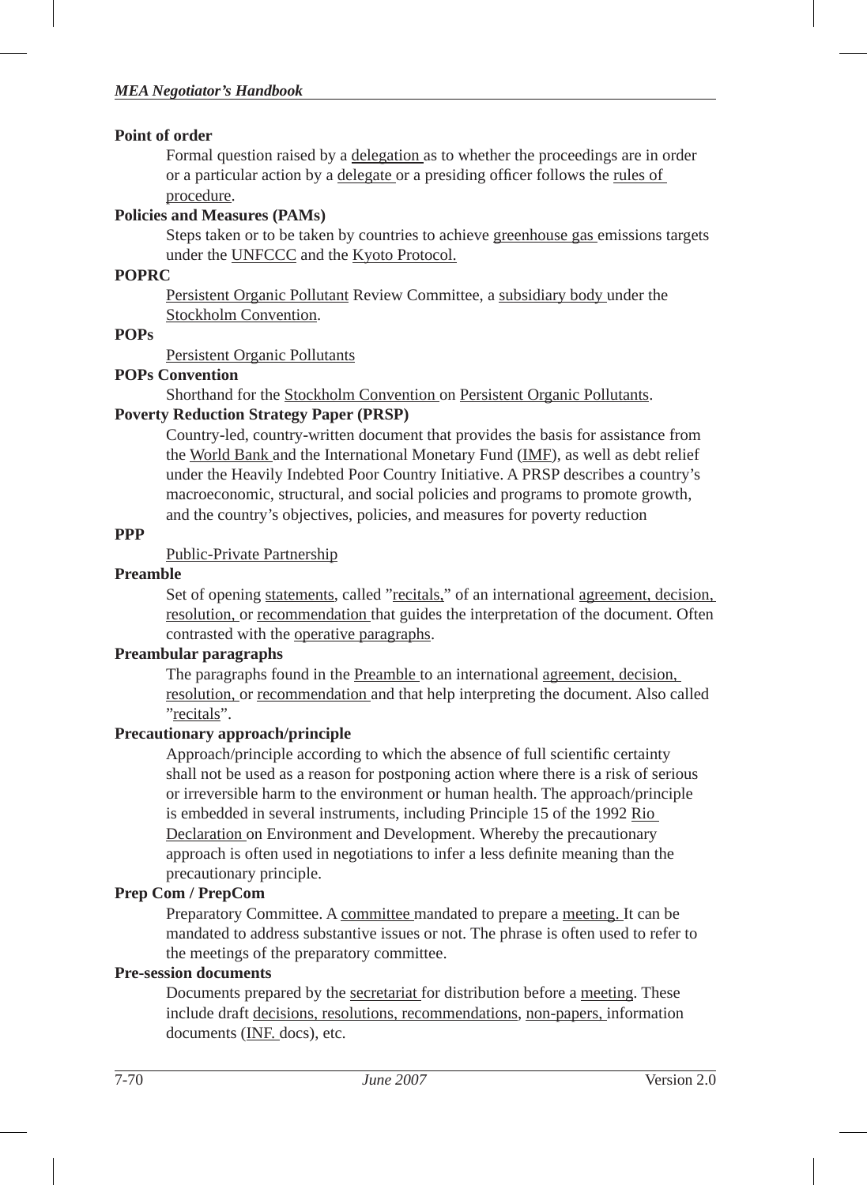#### **Point of order**

Formal question raised by a delegation as to whether the proceedings are in order or a particular action by a delegate or a presiding officer follows the rules of procedure.

## **Policies and Measures (PAMs)**

Steps taken or to be taken by countries to achieve greenhouse gas emissions targets under the UNFCCC and the Kyoto Protocol.

#### **POPRC**

Persistent Organic Pollutant Review Committee, a subsidiary body under the Stockholm Convention.

#### **POPs**

Persistent Organic Pollutants

#### **POPs Convention**

Shorthand for the Stockholm Convention on Persistent Organic Pollutants.

#### **Poverty Reduction Strategy Paper (PRSP)**

Country-led, country-written document that provides the basis for assistance from the World Bank and the International Monetary Fund (IMF), as well as debt relief under the Heavily Indebted Poor Country Initiative. A PRSP describes a country's macroeconomic, structural, and social policies and programs to promote growth, and the country's objectives, policies, and measures for poverty reduction

#### **PPP**

# Public-Private Partnership

#### **Preamble**

Set of opening statements, called "recitals," of an international agreement, decision, resolution, or recommendation that guides the interpretation of the document. Often contrasted with the operative paragraphs.

#### **Preambular paragraphs**

The paragraphs found in the Preamble to an international agreement, decision, resolution, or recommendation and that help interpreting the document. Also called "recitals".

#### **Precautionary approach/principle**

Approach/principle according to which the absence of full scientific certainty shall not be used as a reason for postponing action where there is a risk of serious or irreversible harm to the environment or human health. The approach/principle is embedded in several instruments, including Principle 15 of the 1992 Rio Declaration on Environment and Development. Whereby the precautionary approach is often used in negotiations to infer a less definite meaning than the precautionary principle.

#### **Prep Com / PrepCom**

Preparatory Committee. A committee mandated to prepare a meeting. It can be mandated to address substantive issues or not. The phrase is often used to refer to the meetings of the preparatory committee.

#### **Pre-session documents**

Documents prepared by the secretariat for distribution before a meeting. These include draft decisions, resolutions, recommendations, non-papers, information documents (INF. docs), etc.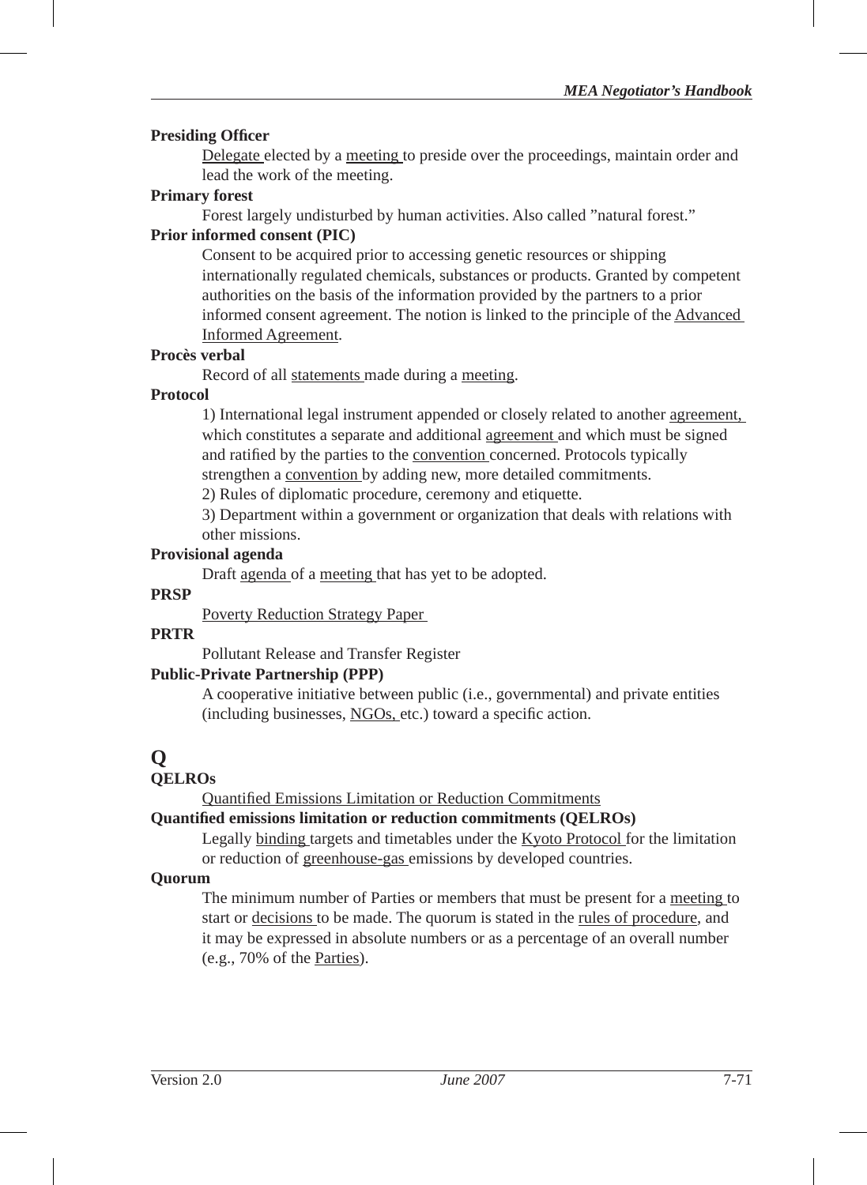#### **Presiding Officer**

Delegate elected by a meeting to preside over the proceedings, maintain order and lead the work of the meeting.

#### **Primary forest**

Forest largely undisturbed by human activities. Also called "natural forest."

#### **Prior informed consent (PIC)**

Consent to be acquired prior to accessing genetic resources or shipping internationally regulated chemicals, substances or products. Granted by competent authorities on the basis of the information provided by the partners to a prior informed consent agreement. The notion is linked to the principle of the Advanced Informed Agreement.

#### **Procès verbal**

Record of all statements made during a meeting.

#### **Protocol**

1) International legal instrument appended or closely related to another agreement, which constitutes a separate and additional agreement and which must be signed and ratified by the parties to the convention concerned. Protocols typically strengthen a convention by adding new, more detailed commitments.

2) Rules of diplomatic procedure, ceremony and etiquette.

3) Department within a government or organization that deals with relations with other missions.

# **Provisional agenda**

Draft agenda of a meeting that has yet to be adopted.

# **PRSP**

Poverty Reduction Strategy Paper

#### **PRTR**

Pollutant Release and Transfer Register

#### **Public-Private Partnership (PPP)**

A cooperative initiative between public (i.e., governmental) and private entities (including businesses,  $NGOs$ , etc.) toward a specific action.

# **Q**

# **QELROs**

Quantified Emissions Limitation or Reduction Commitments

#### **Quantifi ed emissions limitation or reduction commitments (QELROs)**

Legally binding targets and timetables under the Kyoto Protocol for the limitation or reduction of greenhouse-gas emissions by developed countries.

#### **Quorum**

The minimum number of Parties or members that must be present for a meeting to start or decisions to be made. The quorum is stated in the rules of procedure, and it may be expressed in absolute numbers or as a percentage of an overall number (e.g., 70% of the Parties).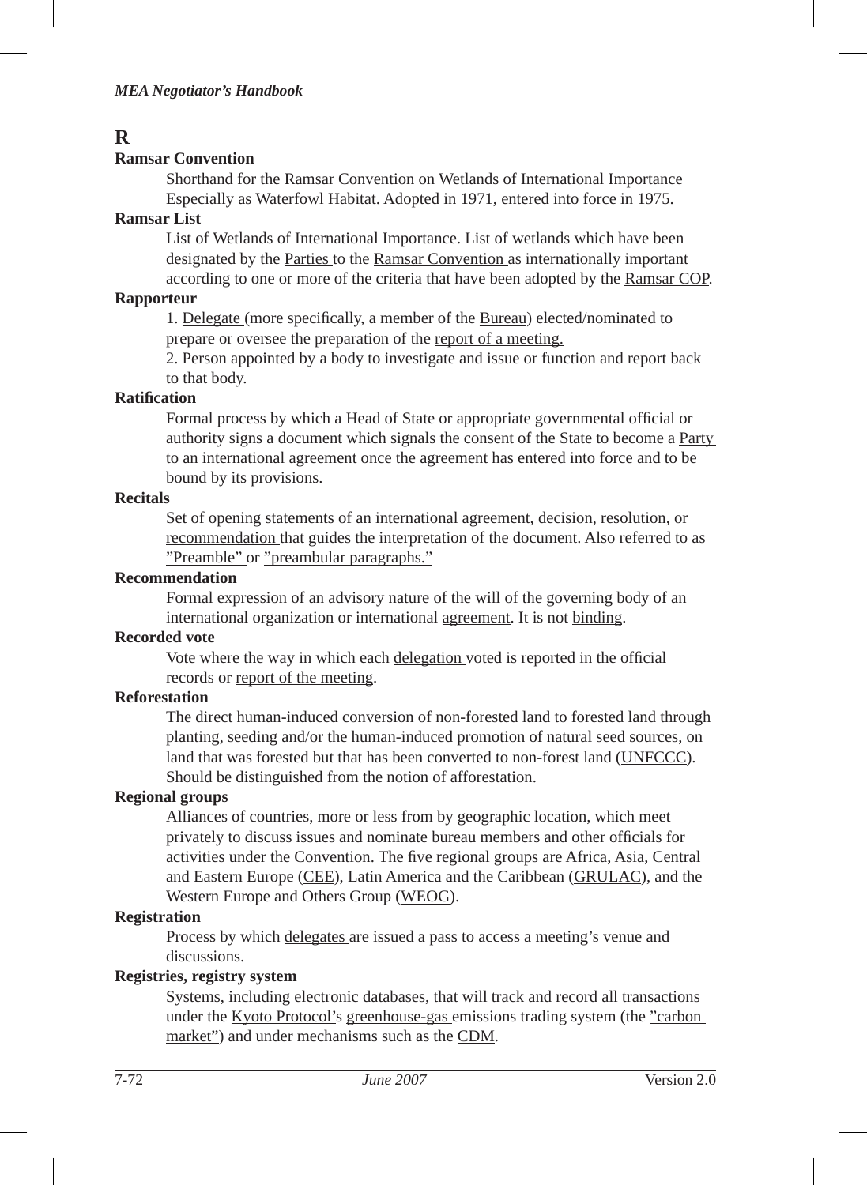# **R**

# **Ramsar Convention**

Shorthand for the Ramsar Convention on Wetlands of International Importance Especially as Waterfowl Habitat. Adopted in 1971, entered into force in 1975.

## **Ramsar List**

List of Wetlands of International Importance. List of wetlands which have been designated by the Parties to the Ramsar Convention as internationally important according to one or more of the criteria that have been adopted by the Ramsar COP.

# **Rapporteur**

1. Delegate (more specifically, a member of the Bureau) elected/nominated to prepare or oversee the preparation of the report of a meeting.

2. Person appointed by a body to investigate and issue or function and report back to that body.

# **Ratifi cation**

Formal process by which a Head of State or appropriate governmental official or authority signs a document which signals the consent of the State to become a Party to an international agreement once the agreement has entered into force and to be bound by its provisions.

# **Recitals**

Set of opening statements of an international agreement, decision, resolution, or recommendation that guides the interpretation of the document. Also referred to as "Preamble" or "preambular paragraphs."

# **Recommendation**

Formal expression of an advisory nature of the will of the governing body of an international organization or international agreement. It is not binding.

# **Recorded vote**

Vote where the way in which each delegation voted is reported in the official records or report of the meeting.

# **Reforestation**

The direct human-induced conversion of non-forested land to forested land through planting, seeding and/or the human-induced promotion of natural seed sources, on land that was forested but that has been converted to non-forest land (UNFCCC). Should be distinguished from the notion of afforestation.

# **Regional groups**

Alliances of countries, more or less from by geographic location, which meet privately to discuss issues and nominate bureau members and other officials for activities under the Convention. The five regional groups are Africa, Asia, Central and Eastern Europe (CEE), Latin America and the Caribbean (GRULAC), and the Western Europe and Others Group (WEOG).

# **Registration**

Process by which delegates are issued a pass to access a meeting's venue and discussions.

# **Registries, registry system**

Systems, including electronic databases, that will track and record all transactions under the Kyoto Protocol's greenhouse-gas emissions trading system (the "carbon market") and under mechanisms such as the CDM.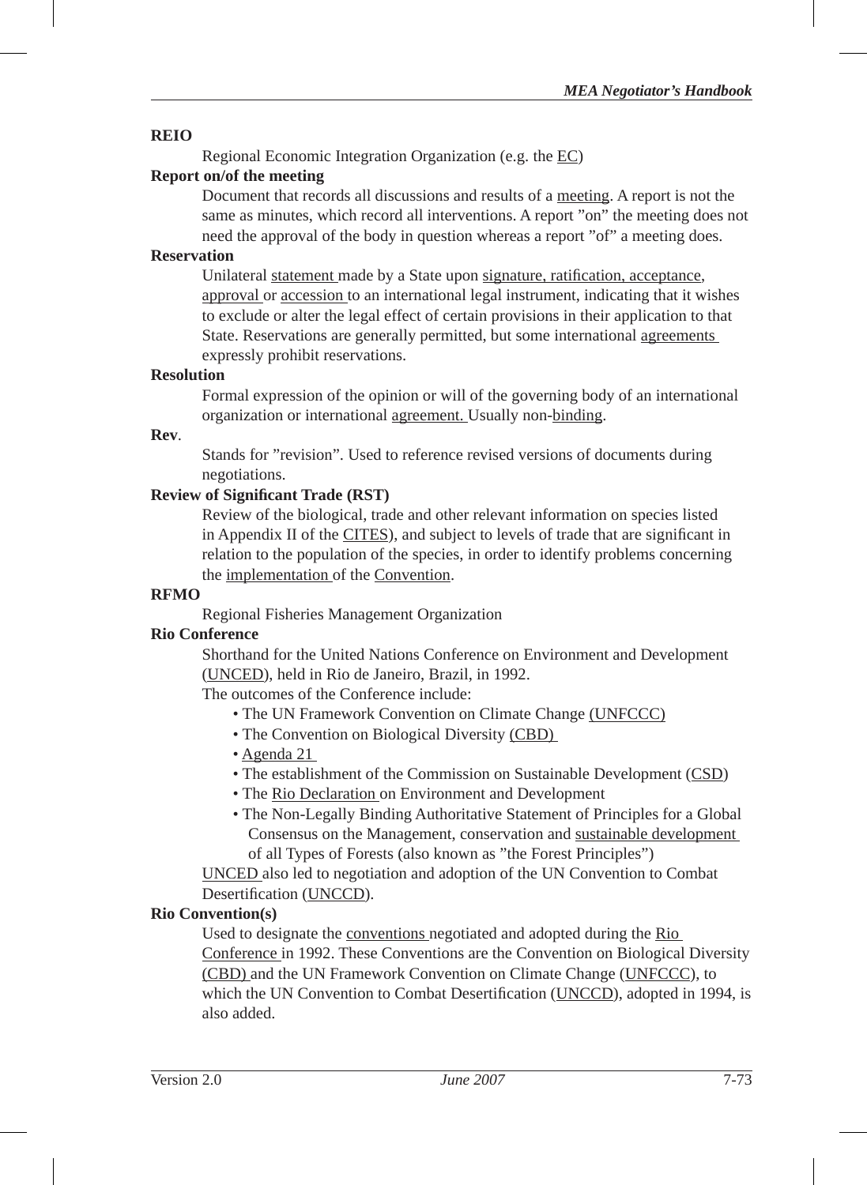#### **REIO**

Regional Economic Integration Organization (e.g. the EC)

#### **Report on/of the meeting**

Document that records all discussions and results of a meeting. A report is not the same as minutes, which record all interventions. A report "on" the meeting does not need the approval of the body in question whereas a report "of" a meeting does.

#### **Reservation**

Unilateral statement made by a State upon signature, ratification, acceptance, approval or accession to an international legal instrument, indicating that it wishes to exclude or alter the legal effect of certain provisions in their application to that State. Reservations are generally permitted, but some international agreements expressly prohibit reservations.

#### **Resolution**

Formal expression of the opinion or will of the governing body of an international organization or international agreement. Usually non-binding.

#### **Rev**.

Stands for "revision". Used to reference revised versions of documents during negotiations.

## **Review of Signifi cant Trade (RST)**

Review of the biological, trade and other relevant information on species listed in Appendix II of the CITES), and subject to levels of trade that are significant in relation to the population of the species, in order to identify problems concerning the implementation of the Convention.

#### **RFMO**

Regional Fisheries Management Organization

## **Rio Conference**

Shorthand for the United Nations Conference on Environment and Development (UNCED), held in Rio de Janeiro, Brazil, in 1992.

The outcomes of the Conference include:

- The UN Framework Convention on Climate Change (UNFCCC)
- The Convention on Biological Diversity (CBD)
- Agenda 21
- The establishment of the Commission on Sustainable Development (CSD)
- The Rio Declaration on Environment and Development
- The Non-Legally Binding Authoritative Statement of Principles for a Global Consensus on the Management, conservation and sustainable development of all Types of Forests (also known as "the Forest Principles")

UNCED also led to negotiation and adoption of the UN Convention to Combat Desertification (UNCCD).

#### **Rio Convention(s)**

Used to designate the conventions negotiated and adopted during the Rio Conference in 1992. These Conventions are the Convention on Biological Diversity (CBD) and the UN Framework Convention on Climate Change (UNFCCC), to which the UN Convention to Combat Desertification (UNCCD), adopted in 1994, is also added.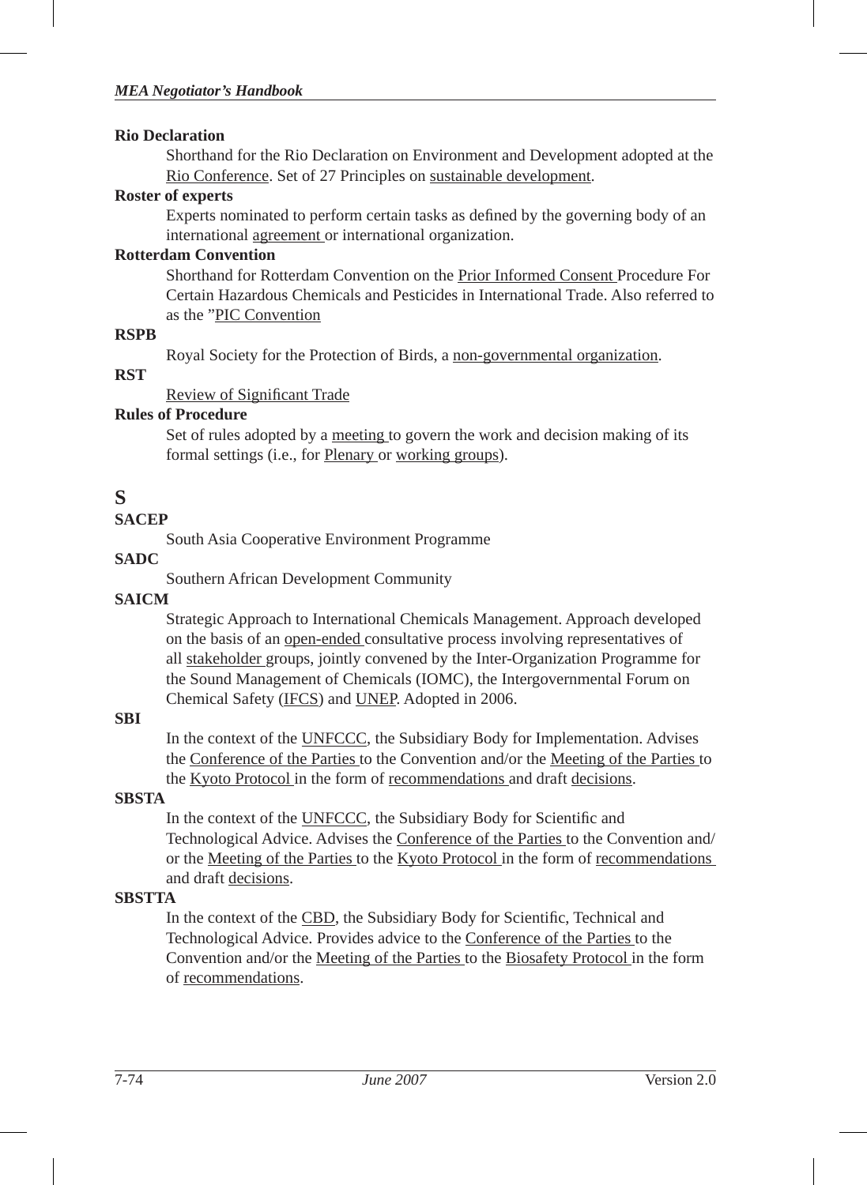#### **Rio Declaration**

Shorthand for the Rio Declaration on Environment and Development adopted at the Rio Conference. Set of 27 Principles on sustainable development.

#### **Roster of experts**

Experts nominated to perform certain tasks as defined by the governing body of an international agreement or international organization.

#### **Rotterdam Convention**

Shorthand for Rotterdam Convention on the Prior Informed Consent Procedure For Certain Hazardous Chemicals and Pesticides in International Trade. Also referred to as the "PIC Convention

#### **RSPB**

Royal Society for the Protection of Birds, a non-governmental organization.

#### **RST**

Review of Significant Trade

# **Rules of Procedure**

Set of rules adopted by a meeting to govern the work and decision making of its formal settings (i.e., for Plenary or working groups).

# **S**

# **SACEP**

South Asia Cooperative Environment Programme

# **SADC**

Southern African Development Community

# **SAICM**

Strategic Approach to International Chemicals Management. Approach developed on the basis of an open-ended consultative process involving representatives of all stakeholder groups, jointly convened by the Inter-Organization Programme for the Sound Management of Chemicals (IOMC), the Intergovernmental Forum on Chemical Safety (IFCS) and UNEP. Adopted in 2006.

# **SBI**

In the context of the UNFCCC, the Subsidiary Body for Implementation. Advises the Conference of the Parties to the Convention and/or the Meeting of the Parties to the Kyoto Protocol in the form of recommendations and draft decisions.

# **SBSTA**

In the context of the UNFCCC, the Subsidiary Body for Scientific and Technological Advice. Advises the Conference of the Parties to the Convention and/ or the Meeting of the Parties to the Kyoto Protocol in the form of recommendations and draft decisions.

# **SBSTTA**

In the context of the CBD, the Subsidiary Body for Scientific, Technical and Technological Advice. Provides advice to the Conference of the Parties to the Convention and/or the Meeting of the Parties to the Biosafety Protocol in the form of recommendations.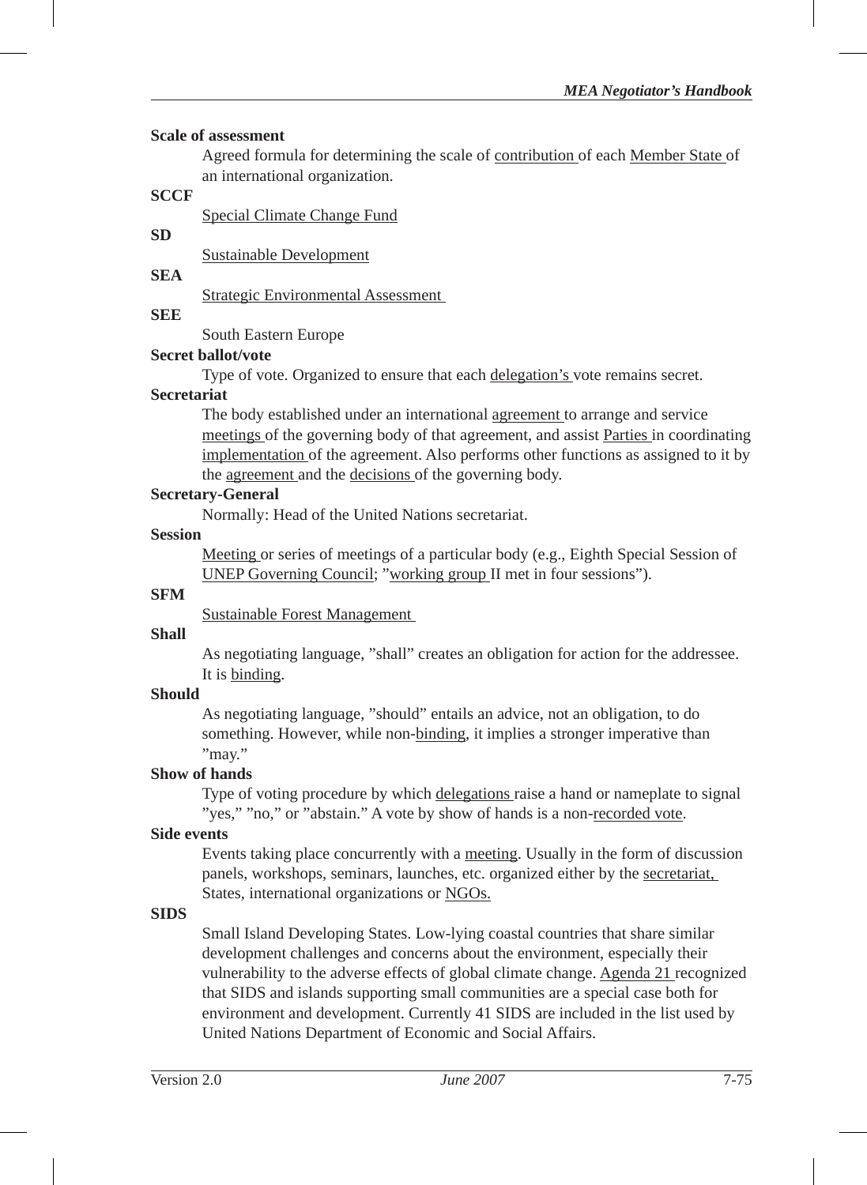#### **Scale of assessment**

Agreed formula for determining the scale of contribution of each Member State of an international organization.

# **SCCF**

Special Climate Change Fund

#### **SD**

Sustainable Development

# **SEA**

Strategic Environmental Assessment

# **SEE**

South Eastern Europe

## **Secret ballot/vote**

Type of vote. Organized to ensure that each delegation's vote remains secret.

#### **Secretariat**

The body established under an international agreement to arrange and service meetings of the governing body of that agreement, and assist Parties in coordinating implementation of the agreement. Also performs other functions as assigned to it by the agreement and the decisions of the governing body.

# **Secretary-General**

Normally: Head of the United Nations secretariat.

## **Session**

Meeting or series of meetings of a particular body (e.g., Eighth Special Session of UNEP Governing Council; "working group II met in four sessions").

#### **SFM**

Sustainable Forest Management

## **Shall**

As negotiating language, "shall" creates an obligation for action for the addressee. It is binding.

## **Should**

As negotiating language, "should" entails an advice, not an obligation, to do something. However, while non-binding, it implies a stronger imperative than "may."

#### **Show of hands**

Type of voting procedure by which delegations raise a hand or nameplate to signal "yes," "no," or "abstain." A vote by show of hands is a non-recorded vote.

#### **Side events**

Events taking place concurrently with a meeting. Usually in the form of discussion panels, workshops, seminars, launches, etc. organized either by the secretariat, States, international organizations or NGOs.

#### **SIDS**

Small Island Developing States. Low-lying coastal countries that share similar development challenges and concerns about the environment, especially their vulnerability to the adverse effects of global climate change. Agenda 21 recognized that SIDS and islands supporting small communities are a special case both for environment and development. Currently 41 SIDS are included in the list used by United Nations Department of Economic and Social Affairs.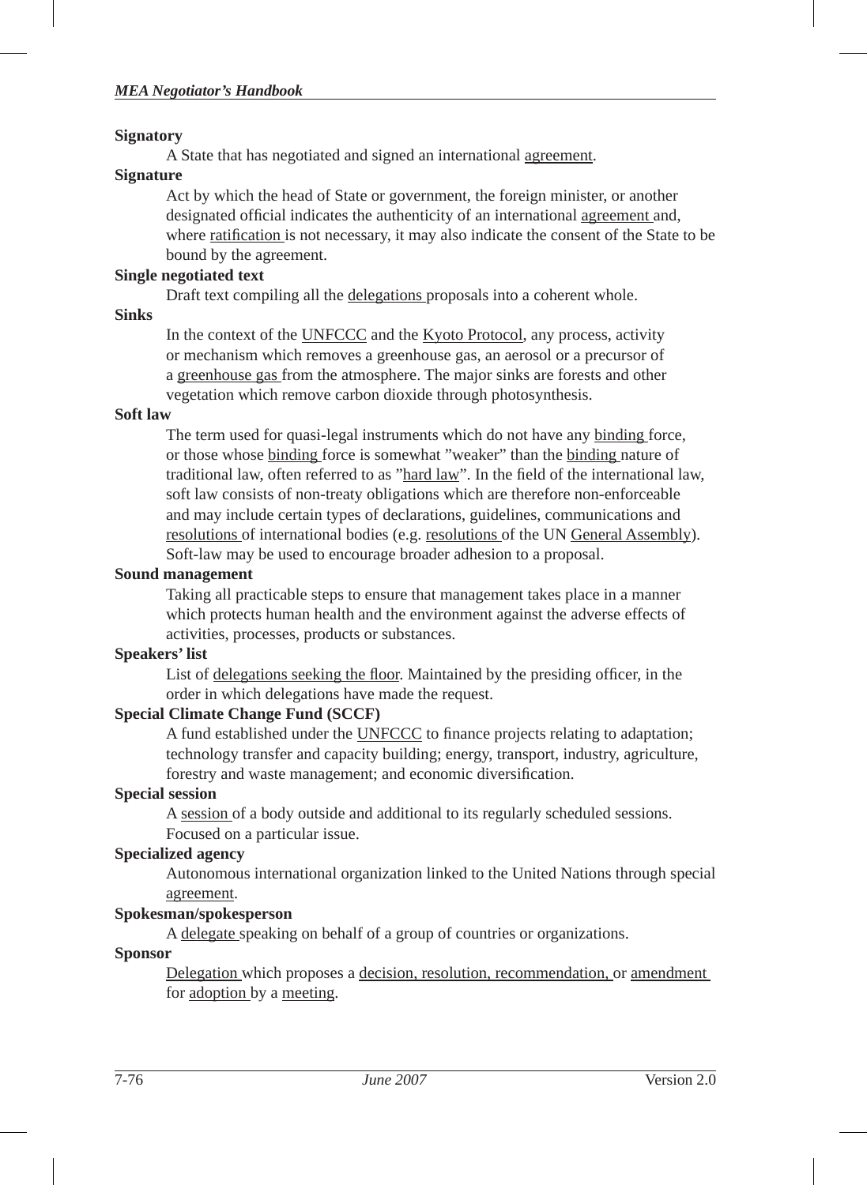#### **Signatory**

A State that has negotiated and signed an international agreement.

#### **Signature**

Act by which the head of State or government, the foreign minister, or another designated official indicates the authenticity of an international agreement and, where ratification is not necessary, it may also indicate the consent of the State to be bound by the agreement.

#### **Single negotiated text**

Draft text compiling all the delegations proposals into a coherent whole.

#### **Sinks**

In the context of the UNFCCC and the Kyoto Protocol, any process, activity or mechanism which removes a greenhouse gas, an aerosol or a precursor of a greenhouse gas from the atmosphere. The major sinks are forests and other vegetation which remove carbon dioxide through photosynthesis.

#### **Soft law**

The term used for quasi-legal instruments which do not have any binding force, or those whose binding force is somewhat "weaker" than the binding nature of traditional law, often referred to as "hard law". In the field of the international law, soft law consists of non-treaty obligations which are therefore non-enforceable and may include certain types of declarations, guidelines, communications and resolutions of international bodies (e.g. resolutions of the UN General Assembly). Soft-law may be used to encourage broader adhesion to a proposal.

#### **Sound management**

Taking all practicable steps to ensure that management takes place in a manner which protects human health and the environment against the adverse effects of activities, processes, products or substances.

#### **Speakers' list**

List of delegations seeking the floor. Maintained by the presiding officer, in the order in which delegations have made the request.

#### **Special Climate Change Fund (SCCF)**

A fund established under the UNFCCC to finance projects relating to adaptation; technology transfer and capacity building; energy, transport, industry, agriculture, forestry and waste management; and economic diversification.

#### **Special session**

A session of a body outside and additional to its regularly scheduled sessions. Focused on a particular issue.

#### **Specialized agency**

Autonomous international organization linked to the United Nations through special agreement.

#### **Spokesman/spokesperson**

A delegate speaking on behalf of a group of countries or organizations.

#### **Sponsor**

Delegation which proposes a decision, resolution, recommendation, or amendment for adoption by a meeting.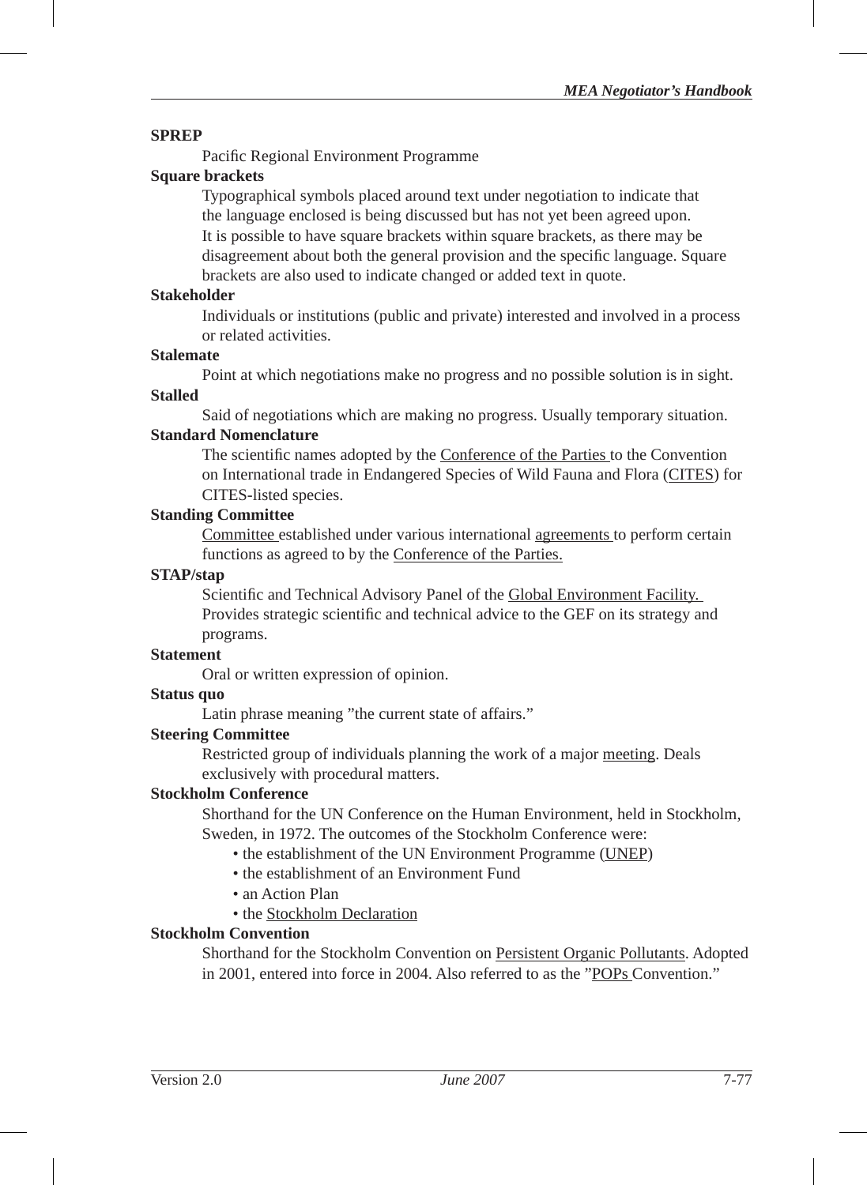#### **SPREP**

Pacific Regional Environment Programme

# **Square brackets**

Typographical symbols placed around text under negotiation to indicate that the language enclosed is being discussed but has not yet been agreed upon. It is possible to have square brackets within square brackets, as there may be disagreement about both the general provision and the specific language. Square brackets are also used to indicate changed or added text in quote.

#### **Stakeholder**

Individuals or institutions (public and private) interested and involved in a process or related activities.

#### **Stalemate**

Point at which negotiations make no progress and no possible solution is in sight.

#### **Stalled**

Said of negotiations which are making no progress. Usually temporary situation.

#### **Standard Nomenclature**

The scientific names adopted by the Conference of the Parties to the Convention on International trade in Endangered Species of Wild Fauna and Flora (CITES) for CITES-listed species.

#### **Standing Committee**

Committee established under various international agreements to perform certain functions as agreed to by the Conference of the Parties.

#### **STAP/stap**

Scientific and Technical Advisory Panel of the Global Environment Facility. Provides strategic scientific and technical advice to the GEF on its strategy and programs.

#### **Statement**

Oral or written expression of opinion.

#### **Status quo**

Latin phrase meaning "the current state of affairs."

#### **Steering Committee**

Restricted group of individuals planning the work of a major meeting. Deals exclusively with procedural matters.

#### **Stockholm Conference**

Shorthand for the UN Conference on the Human Environment, held in Stockholm, Sweden, in 1972. The outcomes of the Stockholm Conference were:

- the establishment of the UN Environment Programme (UNEP)
- the establishment of an Environment Fund
- an Action Plan
- the Stockholm Declaration

#### **Stockholm Convention**

Shorthand for the Stockholm Convention on Persistent Organic Pollutants. Adopted in 2001, entered into force in 2004. Also referred to as the "POPs Convention."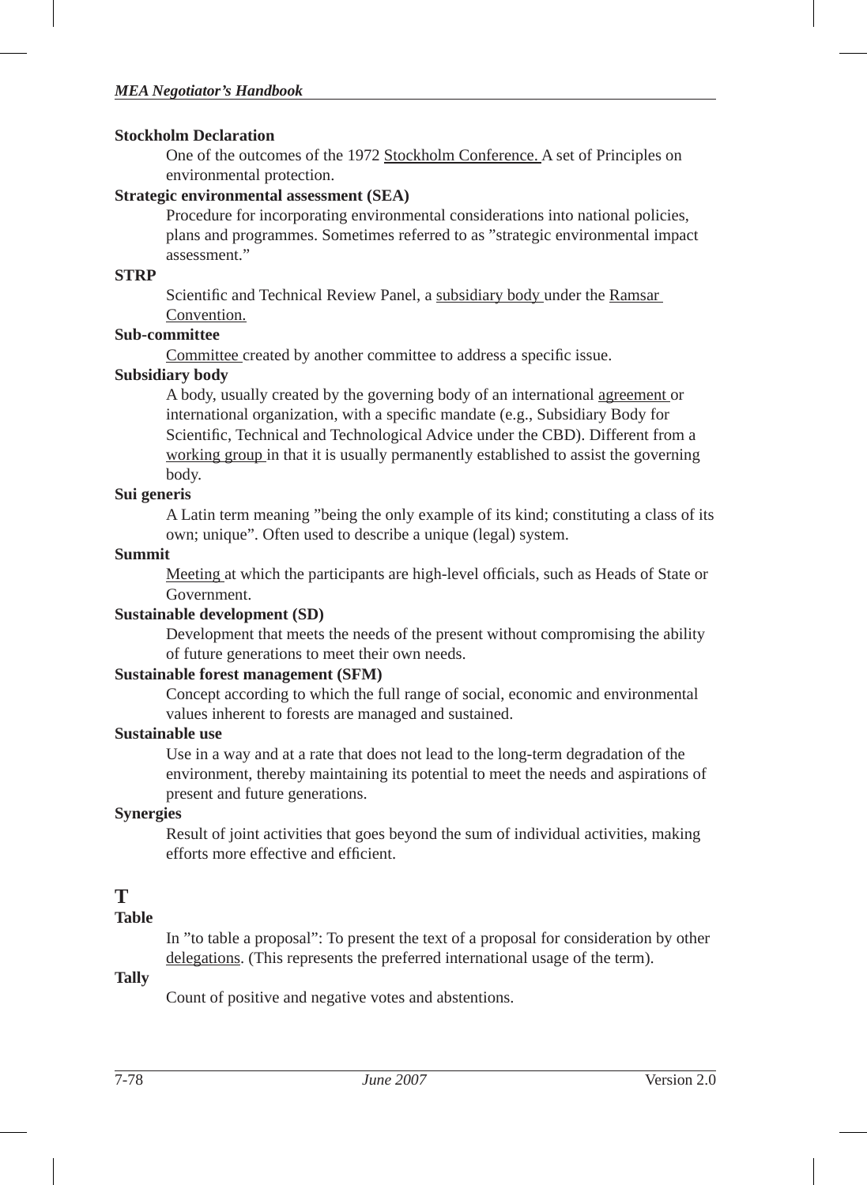#### **Stockholm Declaration**

One of the outcomes of the 1972 Stockholm Conference. A set of Principles on environmental protection.

#### **Strategic environmental assessment (SEA)**

Procedure for incorporating environmental considerations into national policies, plans and programmes. Sometimes referred to as "strategic environmental impact assessment."

#### **STRP**

Scientific and Technical Review Panel, a subsidiary body under the Ramsar Convention.

#### **Sub-committee**

Committee created by another committee to address a specific issue.

#### **Subsidiary body**

A body, usually created by the governing body of an international agreement or international organization, with a specific mandate (e.g., Subsidiary Body for Scientific, Technical and Technological Advice under the CBD). Different from a working group in that it is usually permanently established to assist the governing body.

# **Sui generis**

A Latin term meaning "being the only example of its kind; constituting a class of its own; unique". Often used to describe a unique (legal) system.

#### **Summit**

Meeting at which the participants are high-level officials, such as Heads of State or Government.

#### **Sustainable development (SD)**

Development that meets the needs of the present without compromising the ability of future generations to meet their own needs.

#### **Sustainable forest management (SFM)**

Concept according to which the full range of social, economic and environmental values inherent to forests are managed and sustained.

#### **Sustainable use**

Use in a way and at a rate that does not lead to the long-term degradation of the environment, thereby maintaining its potential to meet the needs and aspirations of present and future generations.

#### **Synergies**

Result of joint activities that goes beyond the sum of individual activities, making efforts more effective and efficient.

# **T**

# **Table**

In "to table a proposal": To present the text of a proposal for consideration by other delegations. (This represents the preferred international usage of the term).

#### **Tally**

Count of positive and negative votes and abstentions.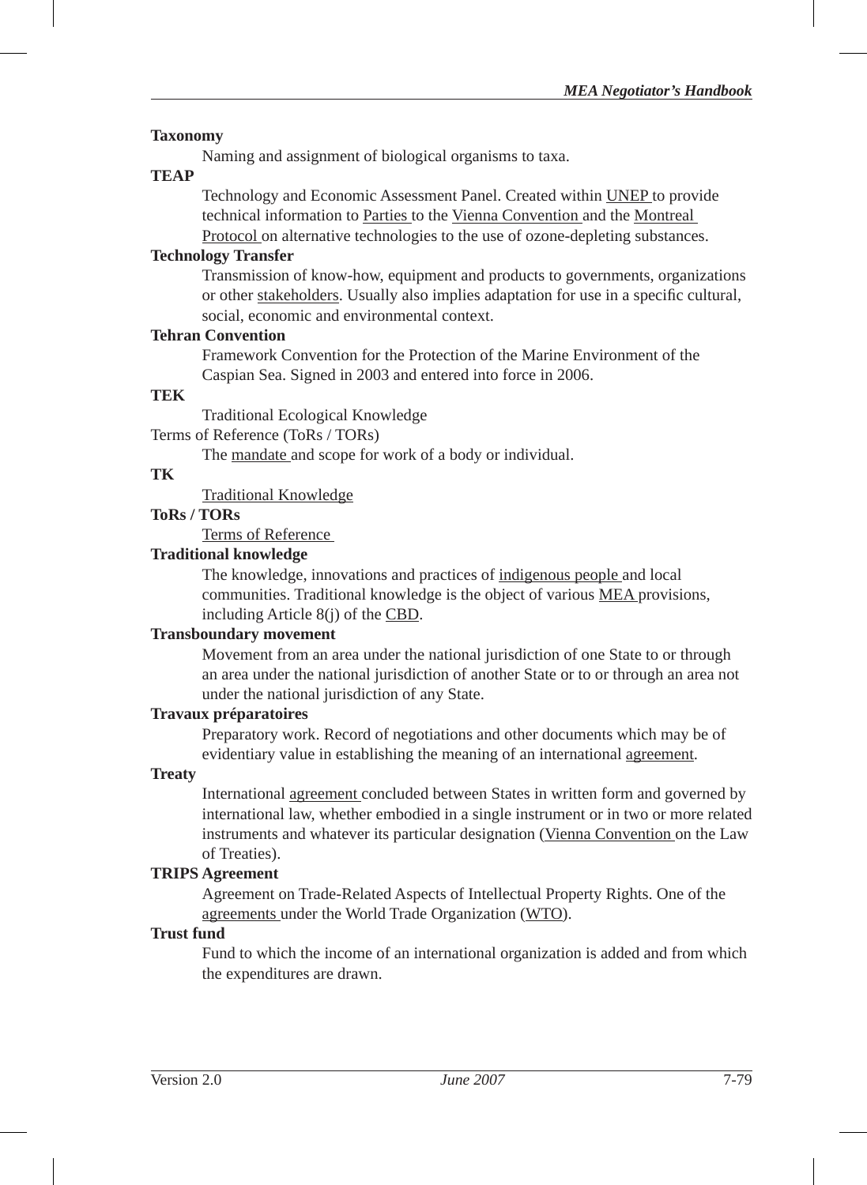#### **Taxonomy**

Naming and assignment of biological organisms to taxa.

#### **TEAP**

Technology and Economic Assessment Panel. Created within UNEP to provide technical information to Parties to the Vienna Convention and the Montreal Protocol on alternative technologies to the use of ozone-depleting substances.

#### **Technology Transfer**

Transmission of know-how, equipment and products to governments, organizations or other stakeholders. Usually also implies adaptation for use in a specific cultural, social, economic and environmental context.

#### **Tehran Convention**

Framework Convention for the Protection of the Marine Environment of the Caspian Sea. Signed in 2003 and entered into force in 2006.

#### **TEK**

Traditional Ecological Knowledge

Terms of Reference (ToRs / TORs)

The mandate and scope for work of a body or individual.

#### **TK**

Traditional Knowledge

# **ToRs / TORs**

Terms of Reference

#### **Traditional knowledge**

The knowledge, innovations and practices of indigenous people and local communities. Traditional knowledge is the object of various MEA provisions, including Article 8(j) of the CBD.

#### **Transboundary movement**

Movement from an area under the national jurisdiction of one State to or through an area under the national jurisdiction of another State or to or through an area not under the national jurisdiction of any State.

#### **Travaux préparatoires**

Preparatory work. Record of negotiations and other documents which may be of evidentiary value in establishing the meaning of an international agreement.

#### **Treaty**

International agreement concluded between States in written form and governed by international law, whether embodied in a single instrument or in two or more related instruments and whatever its particular designation (Vienna Convention on the Law of Treaties).

#### **TRIPS Agreement**

Agreement on Trade-Related Aspects of Intellectual Property Rights. One of the agreements under the World Trade Organization (WTO).

#### **Trust fund**

Fund to which the income of an international organization is added and from which the expenditures are drawn.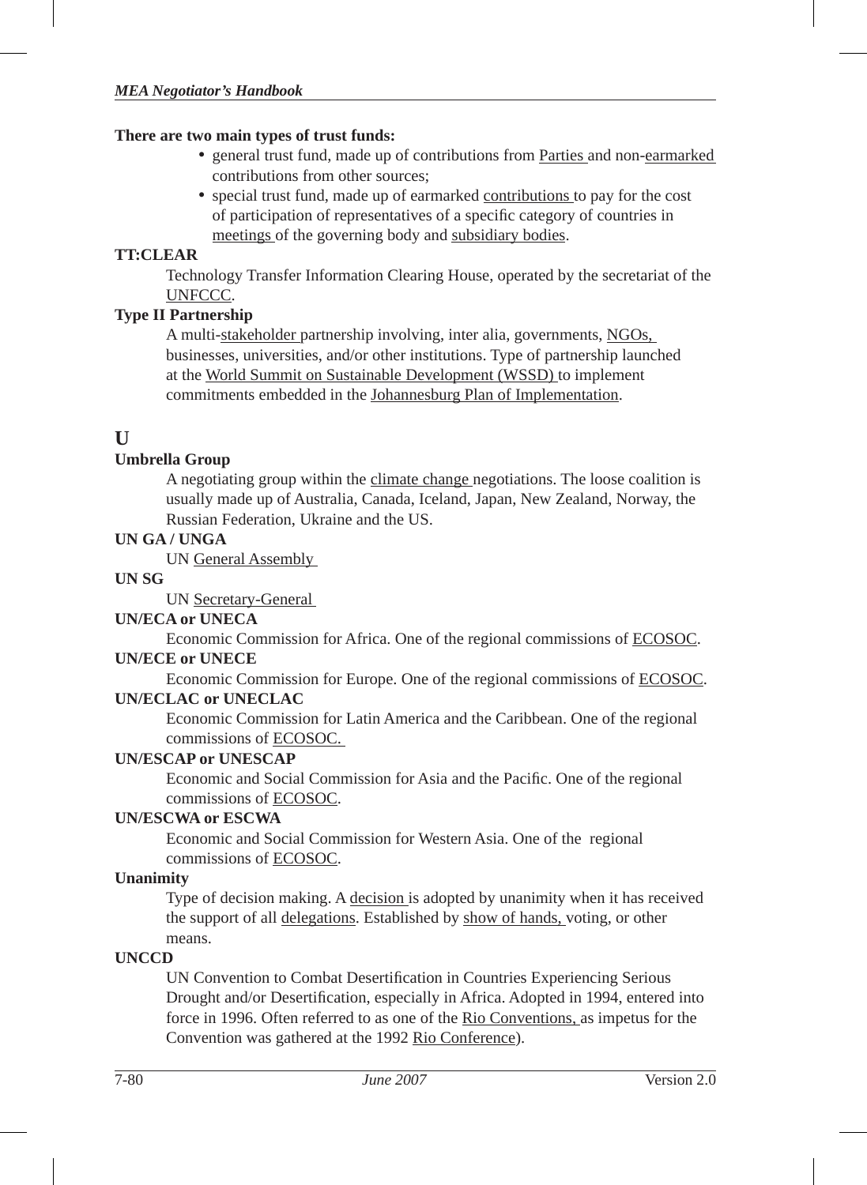#### **There are two main types of trust funds:**

- general trust fund, made up of contributions from Parties and non-earmarked contributions from other sources;
- special trust fund, made up of earmarked contributions to pay for the cost of participation of representatives of a specific category of countries in meetings of the governing body and subsidiary bodies.

# **TT:CLEAR**

Technology Transfer Information Clearing House, operated by the secretariat of the UNFCCC.

# **Type II Partnership**

A multi-stakeholder partnership involving, inter alia, governments, NGOs, businesses, universities, and/or other institutions. Type of partnership launched at the World Summit on Sustainable Development (WSSD) to implement commitments embedded in the Johannesburg Plan of Implementation.

# **U**

# **Umbrella Group**

A negotiating group within the climate change negotiations. The loose coalition is usually made up of Australia, Canada, Iceland, Japan, New Zealand, Norway, the Russian Federation, Ukraine and the US.

# **UN GA / UNGA**

UN General Assembly

#### **UN SG**

UN Secretary-General

#### **UN/ECA or UNECA**

Economic Commission for Africa. One of the regional commissions of ECOSOC. **UN/ECE or UNECE**

Economic Commission for Europe. One of the regional commissions of ECOSOC.

# **UN/ECLAC or UNECLAC**

Economic Commission for Latin America and the Caribbean. One of the regional commissions of ECOSOC.

#### **UN/ESCAP or UNESCAP**

Economic and Social Commission for Asia and the Pacific. One of the regional commissions of ECOSOC.

#### **UN/ESCWA or ESCWA**

Economic and Social Commission for Western Asia. One of the regional commissions of ECOSOC.

#### **Unanimity**

Type of decision making. A decision is adopted by unanimity when it has received the support of all delegations. Established by show of hands, voting, or other means.

# **UNCCD**

UN Convention to Combat Desertification in Countries Experiencing Serious Drought and/or Desertification, especially in Africa. Adopted in 1994, entered into force in 1996. Often referred to as one of the Rio Conventions, as impetus for the Convention was gathered at the 1992 Rio Conference).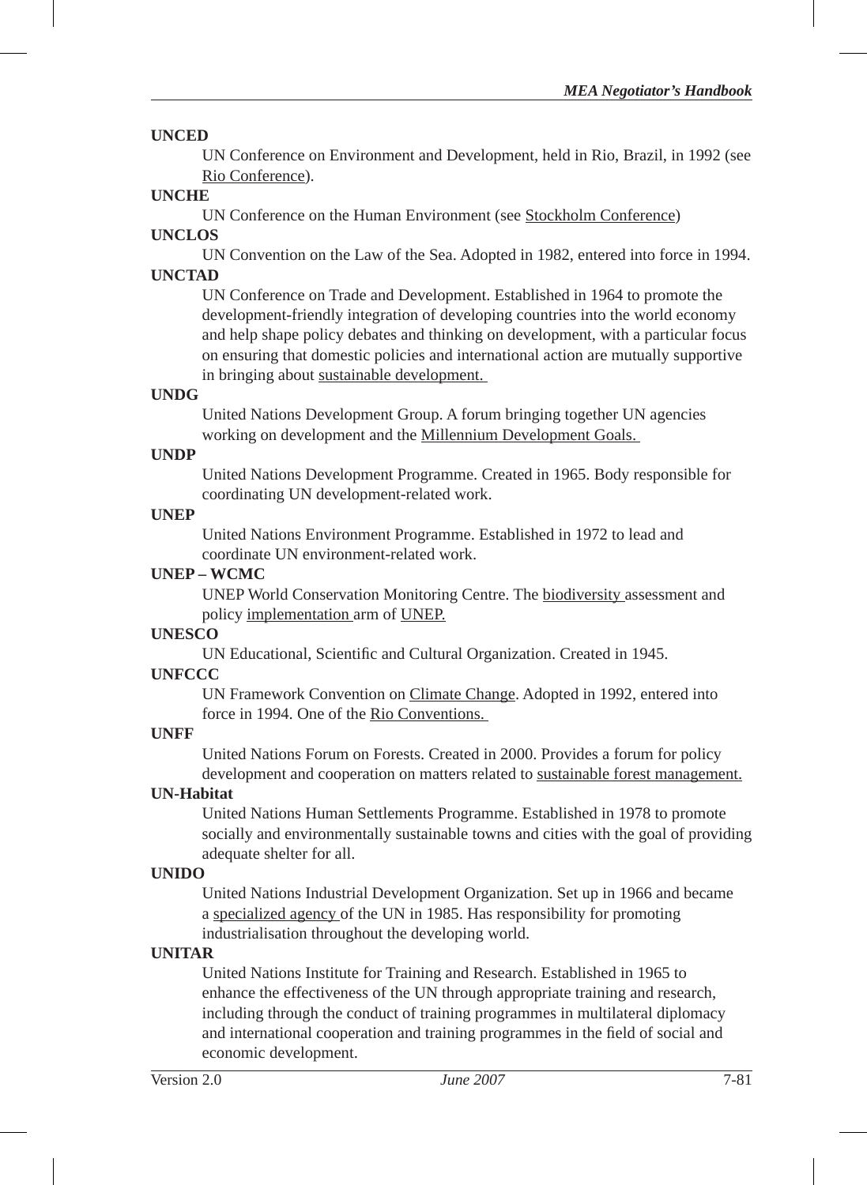#### **UNCED**

UN Conference on Environment and Development, held in Rio, Brazil, in 1992 (see Rio Conference).

# **UNCHE**

UN Conference on the Human Environment (see Stockholm Conference)

# **UNCLOS**

UN Convention on the Law of the Sea. Adopted in 1982, entered into force in 1994. **UNCTAD**

UN Conference on Trade and Development. Established in 1964 to promote the development-friendly integration of developing countries into the world economy and help shape policy debates and thinking on development, with a particular focus on ensuring that domestic policies and international action are mutually supportive in bringing about sustainable development.

# **UNDG**

United Nations Development Group. A forum bringing together UN agencies working on development and the Millennium Development Goals.

# **UNDP**

United Nations Development Programme. Created in 1965. Body responsible for coordinating UN development-related work.

# **UNEP**

United Nations Environment Programme. Established in 1972 to lead and coordinate UN environment-related work.

# **UNEP – WCMC**

UNEP World Conservation Monitoring Centre. The biodiversity assessment and policy implementation arm of UNEP.

# **UNESCO**

UN Educational, Scientific and Cultural Organization. Created in 1945.

# **UNFCCC**

UN Framework Convention on Climate Change. Adopted in 1992, entered into force in 1994. One of the Rio Conventions.

# **UNFF**

United Nations Forum on Forests. Created in 2000. Provides a forum for policy development and cooperation on matters related to sustainable forest management.

# **UN-Habitat**

United Nations Human Settlements Programme. Established in 1978 to promote socially and environmentally sustainable towns and cities with the goal of providing adequate shelter for all.

# **UNIDO**

United Nations Industrial Development Organization. Set up in 1966 and became a specialized agency of the UN in 1985. Has responsibility for promoting industrialisation throughout the developing world.

# **UNITAR**

United Nations Institute for Training and Research. Established in 1965 to enhance the effectiveness of the UN through appropriate training and research, including through the conduct of training programmes in multilateral diplomacy and international cooperation and training programmes in the field of social and economic development.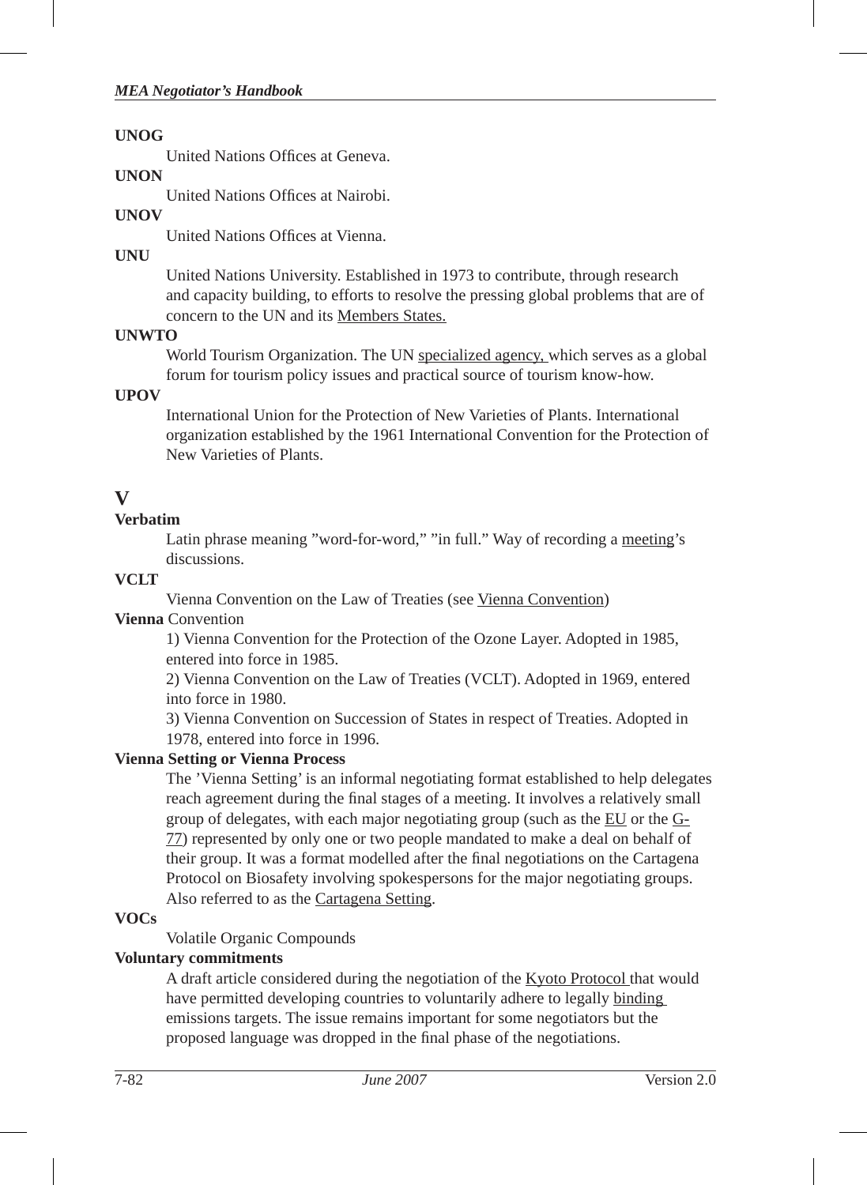#### **UNOG**

United Nations Offices at Geneva.

#### **UNON**

United Nations Offices at Nairobi.

# **UNOV**

United Nations Offices at Vienna.

## **UNU**

United Nations University. Established in 1973 to contribute, through research and capacity building, to efforts to resolve the pressing global problems that are of concern to the UN and its Members States.

#### **UNWTO**

World Tourism Organization. The UN specialized agency, which serves as a global forum for tourism policy issues and practical source of tourism know-how.

#### **UPOV**

International Union for the Protection of New Varieties of Plants. International organization established by the 1961 International Convention for the Protection of New Varieties of Plants.

# **V**

# **Verbatim**

Latin phrase meaning "word-for-word," "in full." Way of recording a meeting's discussions.

# **VCLT**

Vienna Convention on the Law of Treaties (see Vienna Convention)

#### **Vienna** Convention

1) Vienna Convention for the Protection of the Ozone Layer. Adopted in 1985, entered into force in 1985.

2) Vienna Convention on the Law of Treaties (VCLT). Adopted in 1969, entered into force in 1980.

3) Vienna Convention on Succession of States in respect of Treaties. Adopted in 1978, entered into force in 1996.

# **Vienna Setting or Vienna Process**

The 'Vienna Setting' is an informal negotiating format established to help delegates reach agreement during the final stages of a meeting. It involves a relatively small group of delegates, with each major negotiating group (such as the EU or the G-77) represented by only one or two people mandated to make a deal on behalf of their group. It was a format modelled after the final negotiations on the Cartagena Protocol on Biosafety involving spokespersons for the major negotiating groups. Also referred to as the Cartagena Setting.

#### **VOCs**

Volatile Organic Compounds

# **Voluntary commitments**

A draft article considered during the negotiation of the Kyoto Protocol that would have permitted developing countries to voluntarily adhere to legally binding emissions targets. The issue remains important for some negotiators but the proposed language was dropped in the final phase of the negotiations.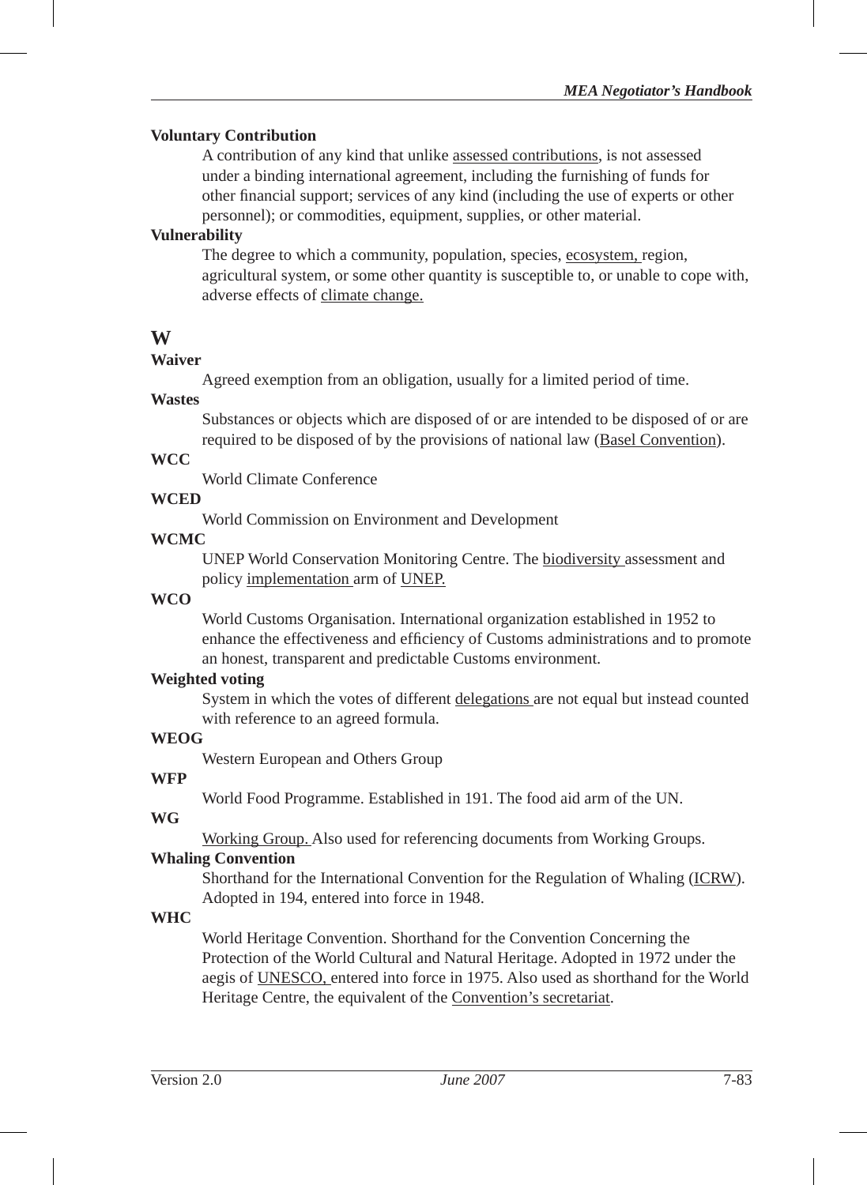#### **Voluntary Contribution**

A contribution of any kind that unlike assessed contributions, is not assessed under a binding international agreement, including the furnishing of funds for other financial support; services of any kind (including the use of experts or other personnel); or commodities, equipment, supplies, or other material.

# **Vulnerability**

The degree to which a community, population, species, ecosystem, region, agricultural system, or some other quantity is susceptible to, or unable to cope with, adverse effects of climate change.

# **W**

#### **Waiver**

Agreed exemption from an obligation, usually for a limited period of time.

#### **Wastes**

Substances or objects which are disposed of or are intended to be disposed of or are required to be disposed of by the provisions of national law (Basel Convention).

#### **WCC**

World Climate Conference

# **WCED**

World Commission on Environment and Development

#### **WCMC**

UNEP World Conservation Monitoring Centre. The biodiversity assessment and policy implementation arm of UNEP.

#### **WCO**

World Customs Organisation. International organization established in 1952 to enhance the effectiveness and efficiency of Customs administrations and to promote an honest, transparent and predictable Customs environment.

#### **Weighted voting**

System in which the votes of different delegations are not equal but instead counted with reference to an agreed formula.

#### **WEOG**

Western European and Others Group

#### **WFP**

World Food Programme. Established in 191. The food aid arm of the UN.

#### **WG**

Working Group. Also used for referencing documents from Working Groups.

#### **Whaling Convention**

Shorthand for the International Convention for the Regulation of Whaling (ICRW). Adopted in 194, entered into force in 1948.

#### **WHC**

World Heritage Convention. Shorthand for the Convention Concerning the Protection of the World Cultural and Natural Heritage. Adopted in 1972 under the aegis of UNESCO, entered into force in 1975. Also used as shorthand for the World Heritage Centre, the equivalent of the Convention's secretariat.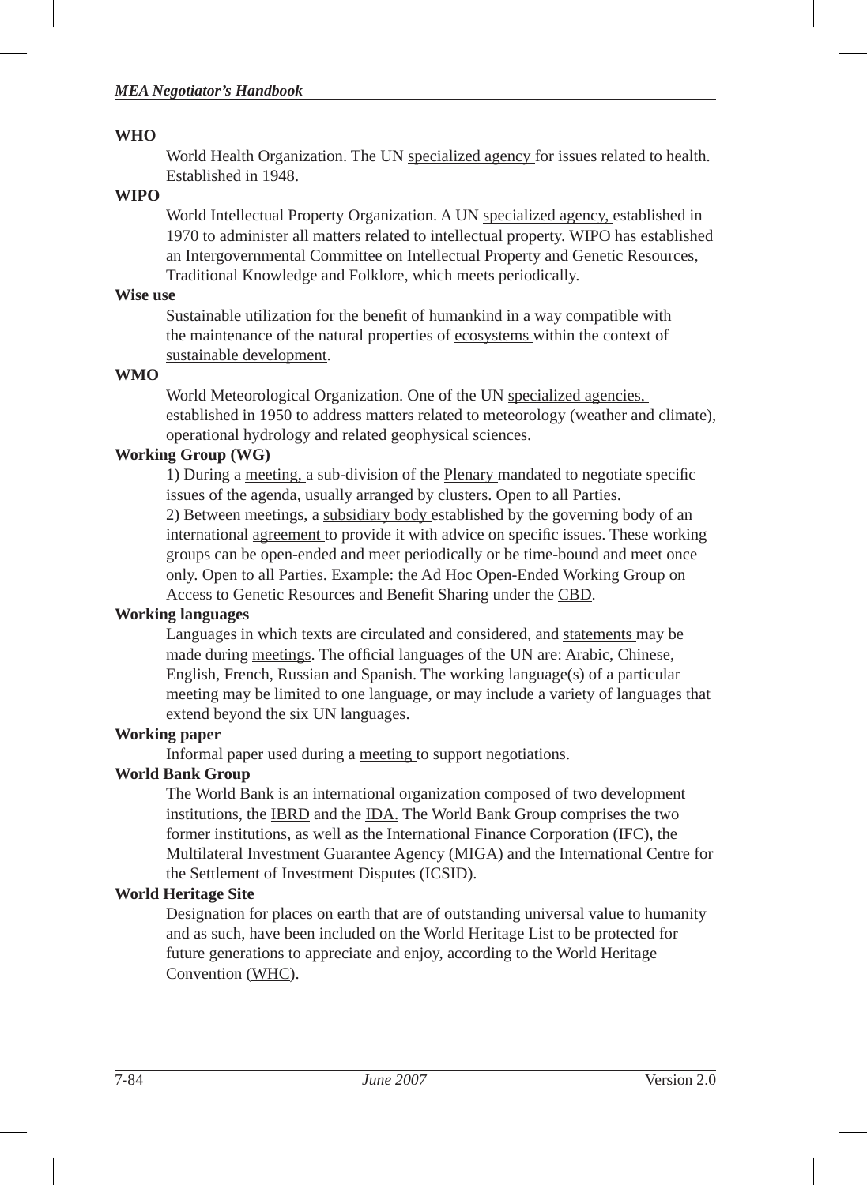#### **WHO**

World Health Organization. The UN specialized agency for issues related to health. Established in 1948.

#### **WIPO**

World Intellectual Property Organization. A UN specialized agency, established in 1970 to administer all matters related to intellectual property. WIPO has established an Intergovernmental Committee on Intellectual Property and Genetic Resources, Traditional Knowledge and Folklore, which meets periodically.

#### **Wise use**

Sustainable utilization for the benefit of humankind in a way compatible with the maintenance of the natural properties of ecosystems within the context of sustainable development.

#### **WMO**

World Meteorological Organization. One of the UN specialized agencies, established in 1950 to address matters related to meteorology (weather and climate), operational hydrology and related geophysical sciences.

# **Working Group (WG)**

1) During a meeting, a sub-division of the Plenary mandated to negotiate specific issues of the agenda, usually arranged by clusters. Open to all Parties. 2) Between meetings, a subsidiary body established by the governing body of an international agreement to provide it with advice on specific issues. These working groups can be open-ended and meet periodically or be time-bound and meet once only. Open to all Parties. Example: the Ad Hoc Open-Ended Working Group on Access to Genetic Resources and Benefit Sharing under the CBD.

#### **Working languages**

Languages in which texts are circulated and considered, and statements may be made during meetings. The official languages of the UN are: Arabic, Chinese, English, French, Russian and Spanish. The working language(s) of a particular meeting may be limited to one language, or may include a variety of languages that extend beyond the six UN languages.

#### **Working paper**

Informal paper used during a meeting to support negotiations.

# **World Bank Group**

The World Bank is an international organization composed of two development institutions, the IBRD and the IDA. The World Bank Group comprises the two former institutions, as well as the International Finance Corporation (IFC), the Multilateral Investment Guarantee Agency (MIGA) and the International Centre for the Settlement of Investment Disputes (ICSID).

#### **World Heritage Site**

Designation for places on earth that are of outstanding universal value to humanity and as such, have been included on the World Heritage List to be protected for future generations to appreciate and enjoy, according to the World Heritage Convention (WHC).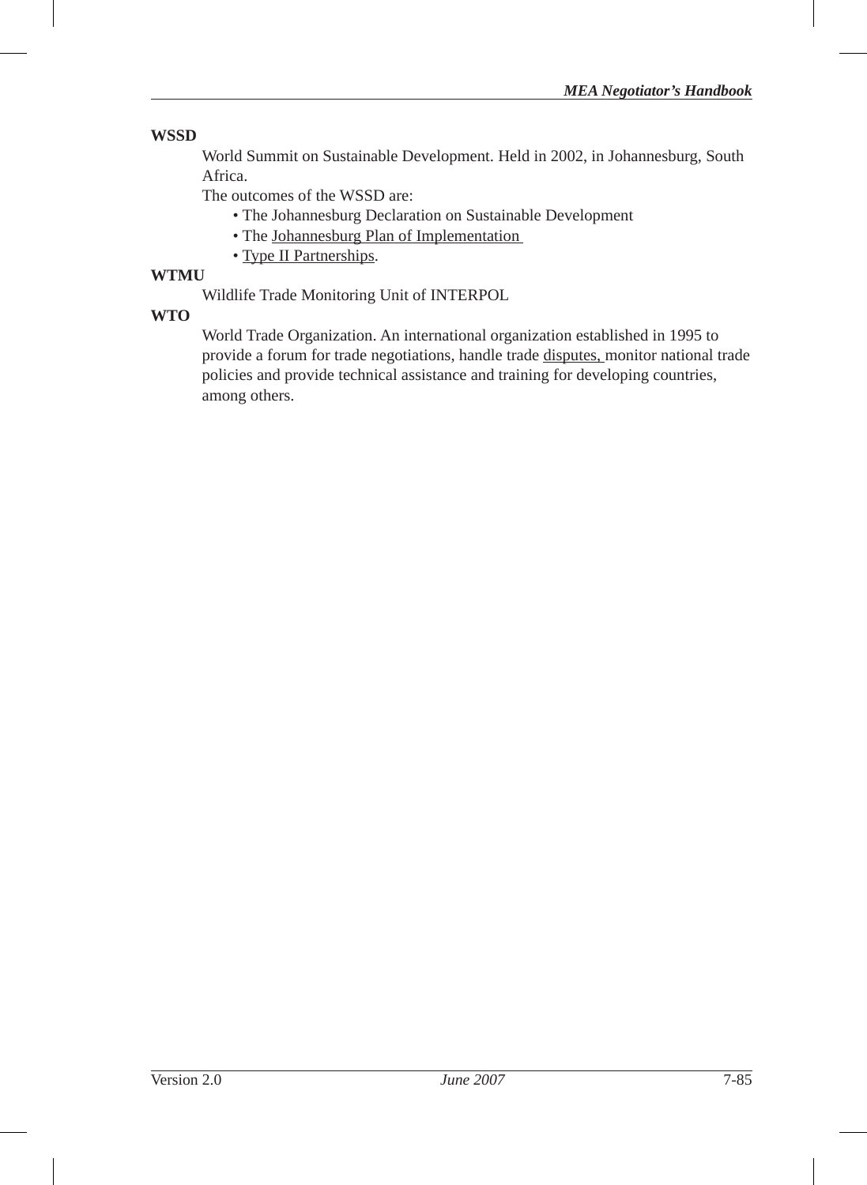#### **WSSD**

World Summit on Sustainable Development. Held in 2002, in Johannesburg, South Africa.

The outcomes of the WSSD are:

- The Johannesburg Declaration on Sustainable Development
- The Johannesburg Plan of Implementation
- Type II Partnerships.

# **WTMU**

Wildlife Trade Monitoring Unit of INTERPOL

## **WTO**

World Trade Organization. An international organization established in 1995 to provide a forum for trade negotiations, handle trade disputes, monitor national trade policies and provide technical assistance and training for developing countries, among others.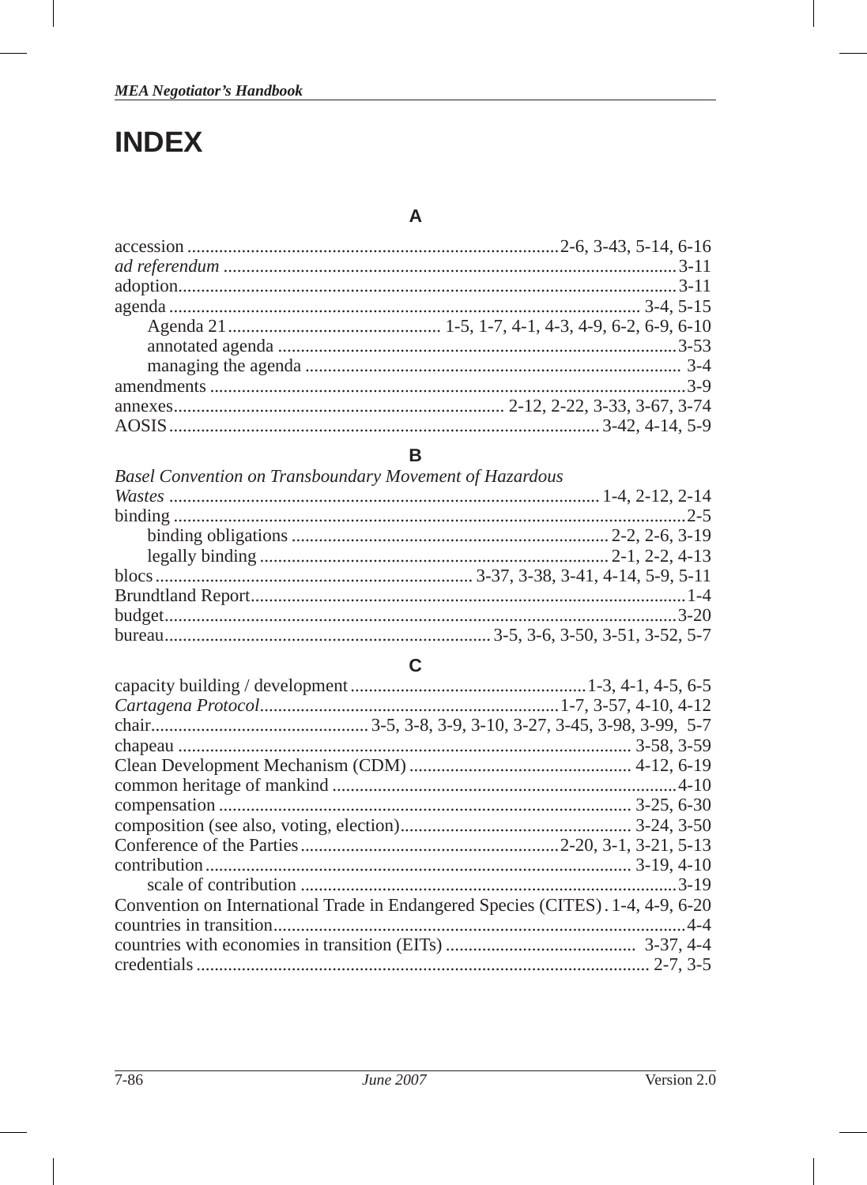# **INDEX**

I

# $\mathsf{A}$

# $\, {\bf B}$

| <b>Basel Convention on Transboundary Movement of Hazardous</b> |  |
|----------------------------------------------------------------|--|
|                                                                |  |
|                                                                |  |
|                                                                |  |
|                                                                |  |
|                                                                |  |
|                                                                |  |
|                                                                |  |
|                                                                |  |

# $\mathbf c$

| Convention on International Trade in Endangered Species (CITES). 1-4, 4-9, 6-20 |  |
|---------------------------------------------------------------------------------|--|
|                                                                                 |  |
|                                                                                 |  |
|                                                                                 |  |

I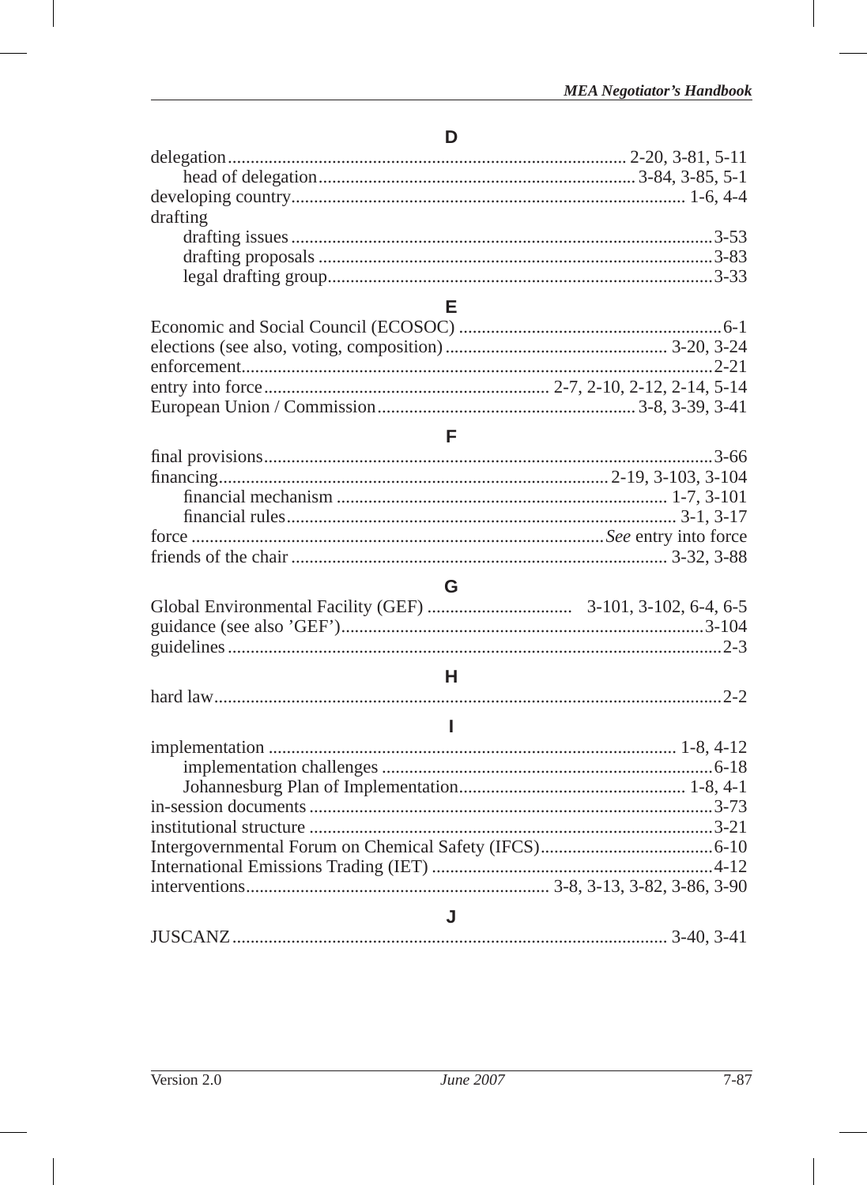# D

| drafting |  |
|----------|--|
|          |  |
|          |  |
|          |  |
|          |  |

# $\bar{\mathsf{F}}$

# G

# $\sf H$

|--|

|--|--|--|--|

I

I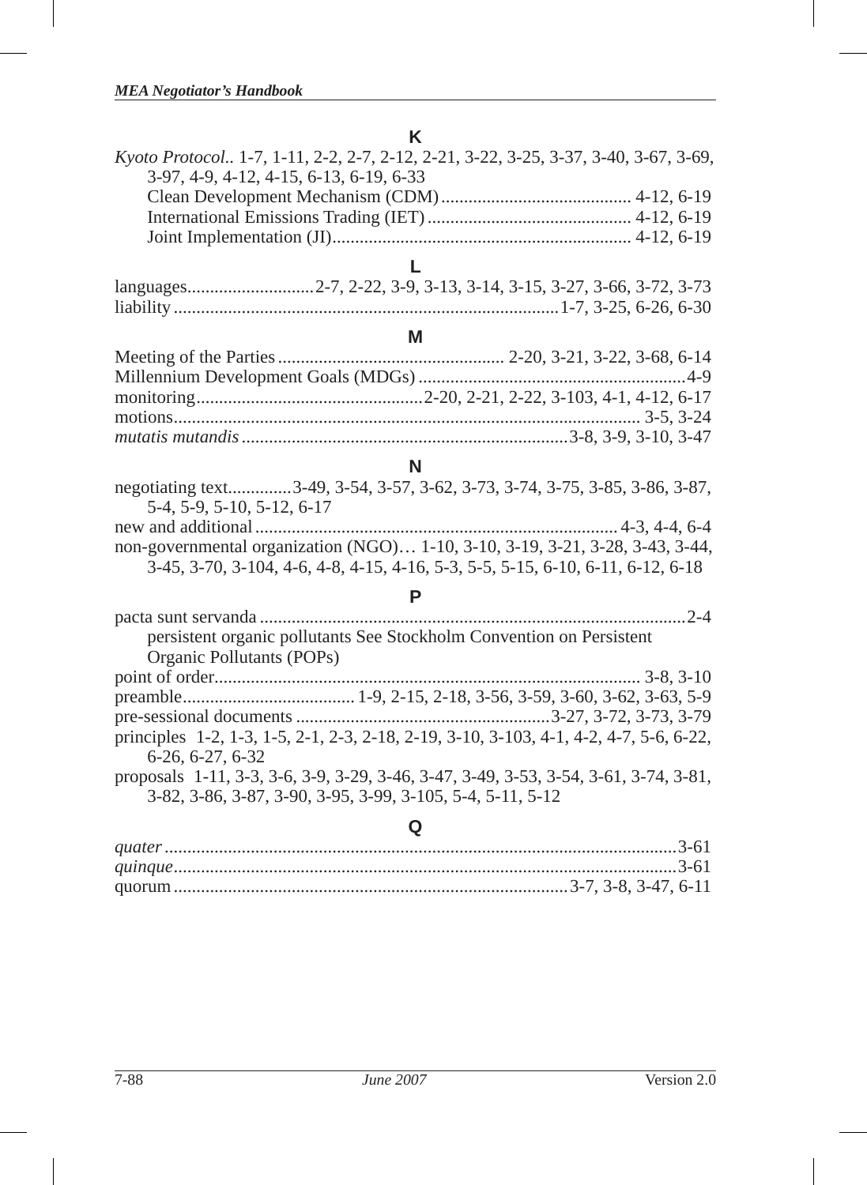# **K** *Kyoto Protocol..* 1-7, 1-11, 2-2, 2-7, 2-12, 2-21, 3-22, 3-25, 3-37, 3-40, 3-67, 3-69, 3-97, 4-9, 4-12, 4-15, 6-13, 6-19, 6-33 Clean Development Mechanism (CDM) .......................................... 4-12, 6-19 International Emissions Trading (IET) ............................................. 4-12, 6-19 Joint Implementation (JI) .................................................................. 4-12, 6-19 **L** languages ............................2-7, 2-22, 3-9, 3-13, 3-14, 3-15, 3-27, 3-66, 3-72, 3-73 liability .....................................................................................1-7, 3-25, 6-26, 6-30 **M** Meeting of the Parties .................................................. 2-20, 3-21, 3-22, 3-68, 6-14 Millennium Development Goals (MDGs) ...........................................................4-9 monitoring ..................................................2-20, 2-21, 2-22, 3-103, 4-1, 4-12, 6-17 motions ....................................................................................................... 3-5, 3-24 *mutatis mutandis* ........................................................................3-8, 3-9, 3-10, 3-47 **N**

|                            | negotiating text3-49, 3-54, 3-57, 3-62, 3-73, 3-74, 3-75, 3-85, 3-86, 3-87,     |
|----------------------------|---------------------------------------------------------------------------------|
| 5-4, 5-9, 5-10, 5-12, 6-17 |                                                                                 |
|                            |                                                                                 |
|                            | non-governmental organization (NGO) 1-10, 3-10, 3-19, 3-21, 3-28, 3-43, 3-44,   |
|                            | 3-45, 3-70, 3-104, 4-6, 4-8, 4-15, 4-16, 5-3, 5-5, 5-15, 6-10, 6-11, 6-12, 6-18 |

**P**

| persistent organic pollutants See Stockholm Convention on Persistent                   |
|----------------------------------------------------------------------------------------|
| Organic Pollutants (POPs)                                                              |
|                                                                                        |
|                                                                                        |
|                                                                                        |
| principles 1-2, 1-3, 1-5, 2-1, 2-3, 2-18, 2-19, 3-10, 3-103, 4-1, 4-2, 4-7, 5-6, 6-22, |
| $6-26, 6-27, 6-32$                                                                     |
| proposals 1-11, 3-3, 3-6, 3-9, 3-29, 3-46, 3-47, 3-49, 3-53, 3-54, 3-61, 3-74, 3-81,   |
| 3-82, 3-86, 3-87, 3-90, 3-95, 3-99, 3-105, 5-4, 5-11, 5-12                             |
|                                                                                        |

#### **Q**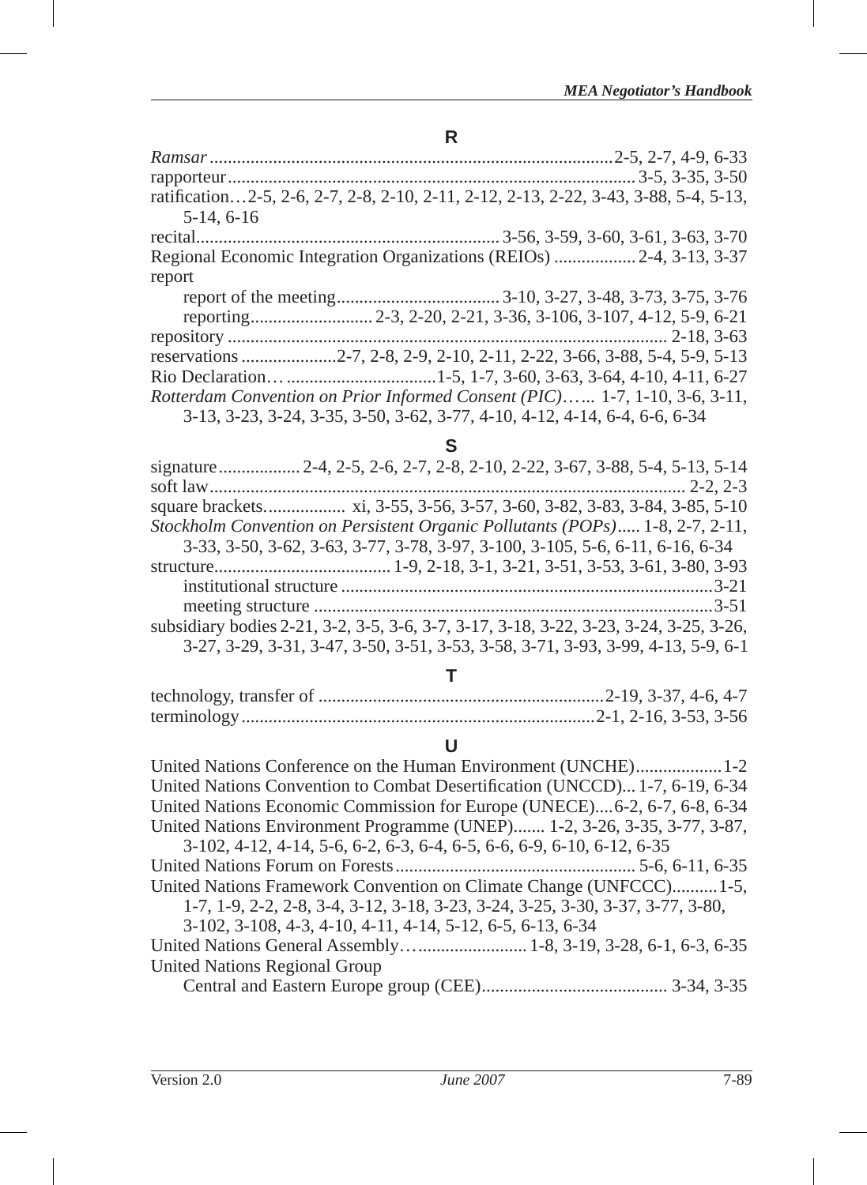# **R**

| ratification2-5, 2-6, 2-7, 2-8, 2-10, 2-11, 2-12, 2-13, 2-22, 3-43, 3-88, 5-4, 5-13, |  |
|--------------------------------------------------------------------------------------|--|
| $5-14, 6-16$                                                                         |  |
|                                                                                      |  |
| Regional Economic Integration Organizations (REIOs)  2-4, 3-13, 3-37                 |  |
| report                                                                               |  |
|                                                                                      |  |
|                                                                                      |  |
|                                                                                      |  |
|                                                                                      |  |
|                                                                                      |  |
| Rotterdam Convention on Prior Informed Consent (PIC) 1-7, 1-10, 3-6, 3-11,           |  |
| 3-13, 3-23, 3-24, 3-35, 3-50, 3-62, 3-77, 4-10, 4-12, 4-14, 6-4, 6-6, 6-34           |  |

|   | 전 사 |         |    |
|---|-----|---------|----|
| I | .,  |         |    |
| × |     | ۹<br>۰. | ۰. |

| Stockholm Convention on Persistent Organic Pollutants (POPs) 1-8, 2-7, 2-11,          |  |
|---------------------------------------------------------------------------------------|--|
| 3-33, 3-50, 3-62, 3-63, 3-77, 3-78, 3-97, 3-100, 3-105, 5-6, 6-11, 6-16, 6-34         |  |
|                                                                                       |  |
|                                                                                       |  |
|                                                                                       |  |
| subsidiary bodies 2-21, 3-2, 3-5, 3-6, 3-7, 3-17, 3-18, 3-22, 3-23, 3-24, 3-25, 3-26, |  |
| 3-27, 3-29, 3-31, 3-47, 3-50, 3-51, 3-53, 3-58, 3-71, 3-93, 3-99, 4-13, 5-9, 6-1      |  |

# **T**

# **U**

| United Nations Convention to Combat Desertification (UNCCD) 1-7, 6-19, 6-34    |
|--------------------------------------------------------------------------------|
| United Nations Economic Commission for Europe (UNECE)6-2, 6-7, 6-8, 6-34       |
| United Nations Environment Programme (UNEP) 1-2, 3-26, 3-35, 3-77, 3-87,       |
| 3-102, 4-12, 4-14, 5-6, 6-2, 6-3, 6-4, 6-5, 6-6, 6-9, 6-10, 6-12, 6-35         |
|                                                                                |
| United Nations Framework Convention on Climate Change (UNFCCC)1-5,             |
| 1-7, 1-9, 2-2, 2-8, 3-4, 3-12, 3-18, 3-23, 3-24, 3-25, 3-30, 3-37, 3-77, 3-80, |
| 3-102, 3-108, 4-3, 4-10, 4-11, 4-14, 5-12, 6-5, 6-13, 6-34                     |
|                                                                                |
| United Nations Regional Group                                                  |
|                                                                                |